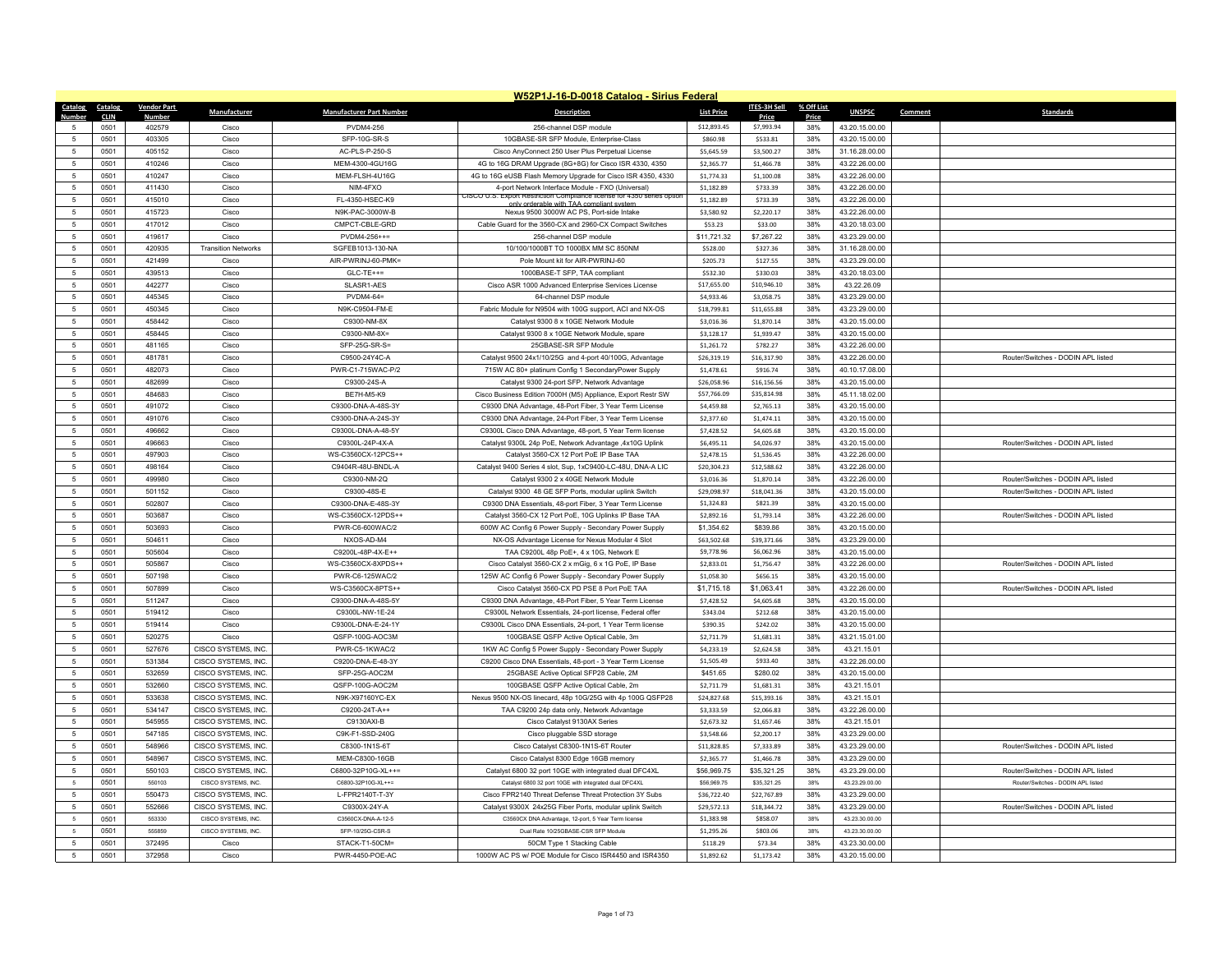|                          | W52P1J-16-D-0018 Catalog - Sirius Federal |                    |                            |                                         |                                                                                                                            |                   |                     |            |                                  |                                    |  |
|--------------------------|-------------------------------------------|--------------------|----------------------------|-----------------------------------------|----------------------------------------------------------------------------------------------------------------------------|-------------------|---------------------|------------|----------------------------------|------------------------------------|--|
| Catalog                  | Catalog                                   | <b>Vendor Part</b> | Manufacturer               | <b>Manufacturer Part Number</b>         | <b>Description</b>                                                                                                         | <b>List Price</b> | <b>ITES-3H Sell</b> | % Off List | <b>UNSPSC</b>                    | Comment<br><b>Standards</b>        |  |
| Number                   | <b>CLIN</b>                               | Numbe              |                            |                                         |                                                                                                                            |                   | Price               | Price      |                                  |                                    |  |
|                          | 0501                                      | 402579             | Cisco                      | <b>PVDM4-256</b>                        | 256-channel DSP module                                                                                                     | \$12,893.45       | \$7,993.94          | 38%        | 43.20.15.00.00                   |                                    |  |
| $\sqrt{2}$               | 0501                                      | 403305             | Cisco                      | SFP-10G-SR-S                            | 10GBASE-SR SFP Module, Enterprise-Class                                                                                    | \$860.98          | \$533.81            | 38%        | 43.20.15.00.00                   |                                    |  |
| 5                        | 0501                                      | 405152             | Cisco                      | AC-PLS-P-250-S                          | Cisco AnyConnect 250 User Plus Perpetual License                                                                           | \$5,645.59        | \$3,500.27          | 38%        | 31.16.28.00.00                   |                                    |  |
| $\overline{5}$           | 0501                                      | 410246             | Cisco                      | MEM-4300-4GU16G                         | 4G to 16G DRAM Upgrade (8G+8G) for Cisco ISR 4330, 4350                                                                    | \$2,365.77        | \$1,466.78          | 38%        | 43.22.26.00.00                   |                                    |  |
| 5                        | 0501                                      | 410247             | Cisco                      | MEM-FLSH-4U16G                          | 4G to 16G eUSB Flash Memory Upgrade for Cisco ISR 4350, 4330                                                               | \$1,774.33        | \$1,100.08          | 38%        | 43.22.26.00.00                   |                                    |  |
| 5                        | 0501                                      | 411430             | Cisco                      | NIM-4FXO                                | 4-port Network Interface Module - FXO (Universal<br>CISCO U.S. Export Restriction Compliance license for 4350 series optio | \$1,182.89        | \$733.39            | 38%        | 43.22.26.00.00                   |                                    |  |
| $\overline{5}$           | 0501                                      | 415010             | Cisco                      | FL-4350-HSEC-K9                         | v orderable with TAA compliant syste                                                                                       | \$1,182.89        | \$733.39            | 38%        | 43.22.26.00.00                   |                                    |  |
| 5                        | 0501                                      | 415723             | Cisco                      | N9K-PAC-3000W-B                         | Nexus 9500 3000W AC PS, Port-side Intake                                                                                   | \$3,580.92        | \$2,220.17          | 38%        | 43.22.26.00.00                   |                                    |  |
| 5                        | 0501                                      | 417012             | Cisco                      | CMPCT-CBI F-GRD                         | Cable Guard for the 3560-CX and 2960-CX Compact Switches                                                                   | \$53.23           | \$33.00             | 38%        | 43.20.18.03.00                   |                                    |  |
| $\overline{5}$           | 0501                                      | 419617             | Cisco                      | $PVDM4-256++=$                          | 256-channel DSP module                                                                                                     | \$11,721.32       | \$7,267.22          | 38%        | 43.23.29.00.00                   |                                    |  |
| $\overline{5}$           | 0501                                      | 420935             | <b>Transition Networks</b> | SGFEB1013-130-NA                        | 10/100/1000BT TO 1000BX MM SC 850NM                                                                                        | \$528.00          | \$327.36            | 38%        | 31.16.28.00.00                   |                                    |  |
| 5                        | 0501                                      | 421499             | Cisco                      | AIR-PWRINJ-60-PMK=                      | Pole Mount kit for AIR-PWRINJ-60                                                                                           | \$205.73          | \$127.55            | 38%        | 43.23.29.00.00                   |                                    |  |
| $\overline{5}$           | 0501                                      | 439513             | Cisco                      | $GLC-TE++=$                             | 1000BASE-T SFP, TAA compliant                                                                                              | \$532.30          | \$330.03            | 38%        | 43.20.18.03.00                   |                                    |  |
| 5                        | 0501                                      | 442277             | Cisco                      | SLASR1-AES                              | Cisco ASR 1000 Advanced Enterprise Services License                                                                        | \$17,655.00       | \$10,946.10         | 38%        | 43.22.26.09                      |                                    |  |
| 5                        | 0501                                      | 445345             | Cisco                      | PVDM4-64=                               | 64-channel DSP module                                                                                                      | \$4,933.46        | \$3,058.75          | 38%        | 43.23.29.00.00                   |                                    |  |
| $\overline{5}$           | 0501                                      | 450345             | Cisco                      | N9K-C9504-FM-E                          | Fabric Module for N9504 with 100G support, ACI and NX-OS                                                                   | \$18,799.81       | \$11,655.88         | 38%        | 43.23.29.00.00                   |                                    |  |
| 5                        | 0501                                      | 458442             | Cisco                      | C9300-NM-8X                             | Catalyst 9300 8 x 10GE Network Module                                                                                      | \$3,016.36        | \$1,870.14          | 38%        | 43.20.15.00.00                   |                                    |  |
| 5                        | 0501                                      | 458445             | Cisco                      | C9300-NM-8X=                            | Catalyst 9300 8 x 10GE Network Module, spare                                                                               | \$3,128.17        | \$1,939.47          | 38%        | 43.20.15.00.00                   |                                    |  |
| 5                        | 0501                                      | 481165             | Cisco                      | SFP-25G-SR-S=                           | 25GBASE-SR SFP Module                                                                                                      | \$1,261.72        | \$782.27            | 38%        | 43.22.26.00.00                   |                                    |  |
| 5                        | 0501                                      | 481781             | Cisco                      | C9500-24Y4C-A                           | Catalyst 9500 24x1/10/25G and 4-port 40/100G, Advantage                                                                    | \$26,319.19       | \$16,317.90         | 38%        | 43.22.26.00.00                   | Router/Switches - DODIN API listed |  |
| 5                        | 0501                                      | 482073             | Cisco                      | PWR-C1-715WAC-P/2                       | 715W AC 80+ platinum Config 1 SecondaryPower Supply                                                                        | \$1,478.61        | \$916.74            | 38%        | 40.10.17.08.00                   |                                    |  |
| 5                        | 0501                                      | 482699             | Cisco                      | C9300-24S-A                             | Catalyst 9300 24-port SFP, Network Advantage                                                                               | \$26,058.96       | \$16,156.56         | 38%        | 43.20.15.00.00                   |                                    |  |
| -5                       | 0501                                      | 484683             | Cisco                      | <b>BF7H-M5-K9</b>                       | Cisco Business Edition 7000H (M5) Appliance, Export Restr SW                                                               | \$57,766.09       | \$35,814.98         | 38%        | 45.11.18.02.00                   |                                    |  |
| $\overline{5}$           | 0501                                      | 491072             | Cisco                      | C9300-DNA-A-48S-3Y                      | C9300 DNA Advantage, 48-Port Fiber, 3 Year Term License                                                                    | \$4,459.88        | \$2,765.13          | 38%        | 43.20.15.00.00                   |                                    |  |
| 5                        | 0501                                      | 491076             | Cisco                      | C9300-DNA-A-24S-3Y                      | C9300 DNA Advantage, 24-Port Fiber, 3 Year Term License                                                                    | \$2,377.60        | \$1,474.11          | 38%        | 43.20.15.00.00                   |                                    |  |
| 5                        | 0501                                      | 496662             | Cisco                      | C9300L-DNA-A-48-5Y                      | C9300L Cisco DNA Advantage, 48-port, 5 Year Term license                                                                   | \$7,428.52        | \$4,605.68          | 38%        | 43.20.15.00.00                   |                                    |  |
| $\overline{5}$           | 0501                                      | 496663             | Cisco                      | C9300L-24P-4X-A                         | Catalyst 9300L 24p PoE, Network Advantage ,4x10G Uplink                                                                    | \$6,495.11        | \$4,026.97          | 38%        | 43.20.15.00.00                   | Router/Switches - DODIN APL listed |  |
| 5                        | 0501                                      | 497903             | Cisco                      | WS-C3560CX-12PCS++                      | Catalyst 3560-CX 12 Port PoE IP Base TAA                                                                                   | \$2,478.15        | \$1,536.45          | 38%        | 43.22.26.00.00                   |                                    |  |
| 5                        | 0501                                      | 498164             | Cisco                      | C9404R-48U-BNDL-A                       | Catalyst 9400 Series 4 slot, Sup, 1xC9400-LC-48U, DNA-A LIC                                                                | \$20,304.23       | \$12,588.62         | 38%        | 43.22.26.00.00                   |                                    |  |
| $\overline{5}$           | 0501                                      | 499980             | Cisco                      | C9300-NM-2Q                             | Catalyst 9300 2 x 40GF Network Module                                                                                      | \$3,016.36        | \$1,870.14          | 38%        | 43.22.26.00.00                   | Router/Switches - DODIN API listed |  |
| 5                        | 0501                                      | 501152             | Cisco                      | C9300-48S-E                             | Catalyst 9300 48 GE SFP Ports, modular uplink Switch                                                                       | \$29,098.97       | \$18,041.36         | 38%        | 43.20.15.00.00                   | Router/Switches - DODIN APL listed |  |
| 5                        | 0501                                      | 502807             | Cisco                      | C9300-DNA-E-48S-3Y                      | C9300 DNA Essentials, 48-port Fiber, 3 Year Term License                                                                   | \$1,324.83        | \$821.39            | 38%        | 43.20.15.00.00                   |                                    |  |
| $\overline{5}$           | 0501                                      | 503687             | Cisco                      | WS-C3560CX-12PDS++                      | Catalyst 3560-CX 12 Port PoE, 10G Uplinks IP Base TAA                                                                      | \$2,892.16        | \$1,793.14          | 38%        | 43.22.26.00.00                   | Router/Switches - DODIN API listed |  |
| $\overline{5}$           | 0501                                      | 503693             | Cisco                      | PWR-C6-600WAC/2                         | 600W AC Config 6 Power Supply - Secondary Power Supply                                                                     | \$1,354.62        | \$839.86            | 38%        | 43.20.15.00.00                   |                                    |  |
| 5                        | 0501                                      | 504611             | Cisco                      | NXOS-AD-M4                              | NX-OS Advantage License for Nexus Modular 4 Slot                                                                           | \$63,502.68       | \$39,371.66         | 38%        | 43.23.29.00.00                   |                                    |  |
| $\mathbf{5}$             |                                           | 505604             |                            |                                         |                                                                                                                            | \$9,778.96        | \$6,062.96          | 38%        |                                  |                                    |  |
| 5                        | 0501<br>0501                              | 505867             | Cisco<br>Cisco             | C9200L-48P-4X-E++<br>WS-C3560CX-8XPDS++ | TAA C9200L 48p PoE+, 4 x 10G, Network E<br>Cisco Catalyst 3560-CX 2 x mGig, 6 x 1G PoE, IP Base                            | \$2,833.01        | \$1,756.47          | 38%        | 43.20.15.00.00<br>43.22.26.00.00 | Router/Switches - DODIN APL listed |  |
|                          |                                           |                    |                            |                                         |                                                                                                                            |                   |                     |            |                                  |                                    |  |
| 5                        | 0501                                      | 507198             | Cisco                      | PWR-C6-125WAC/2                         | 125W AC Config 6 Power Supply - Secondary Power Supply                                                                     | \$1,058.30        | \$656.15            | 38%        | 43.20.15.00.00                   |                                    |  |
| $\overline{5}$           | 0501                                      | 507899             | Cisco                      | WS-C3560CX-8PTS++                       | Cisco Catalyst 3560-CX PD PSE 8 Port PoE TAA                                                                               | \$1,715.18        | \$1,063.41          | 38%        | 43.22.26.00.00                   | Router/Switches - DODIN APL listed |  |
| 5                        | 0501                                      | 511247             | Cisco                      | C9300-DNA-A-48S-5Y                      | C9300 DNA Advantage, 48-Port Fiber, 5 Year Term License                                                                    | \$7,428.52        | \$4,605.68          | 38%        | 43.20.15.00.00                   |                                    |  |
| $\overline{5}$           | 0501                                      | 519412             | Cisco                      | C9300L-NW-1E-24                         | C9300L Network Essentials, 24-port license, Federal offer                                                                  | \$343.04          | \$212.68            | 38%        | 43.20.15.00.00                   |                                    |  |
| 5                        | 0501                                      | 519414             | Cisco                      | C9300L-DNA-E-24-1Y                      | C9300L Cisco DNA Essentials, 24-port, 1 Year Term license                                                                  | \$390.35          | \$242.02            | 38%        | 43.20.15.00.00                   |                                    |  |
| 5                        | 0501                                      | 520275             | Cisco                      | OSFP-100G-AOC3M                         | 100GBASE QSFP Active Optical Cable, 3m                                                                                     | \$2,711.79        | \$1,681.31          | 38%        | 43.21.15.01.00                   |                                    |  |
| $\overline{5}$           | 0501                                      | 527676             | CISCO SYSTEMS, INC         | PWR-C5-1KWAC/2                          | 1KW AC Config 5 Power Supply - Secondary Power Supply                                                                      | \$4,233.19        | \$2,624.58          | 38%        | 43.21.15.01                      |                                    |  |
| 5                        | 0501                                      | 531384             | CISCO SYSTEMS, INC.        | C9200-DNA-E-48-3Y                       | C9200 Cisco DNA Essentials, 48-port - 3 Year Term License                                                                  | \$1,505.49        | \$933.40            | 38%        | 43.22.26.00.00                   |                                    |  |
| 5                        | 0501                                      | 532659             | CISCO SYSTEMS. INC         | SFP-25G-AOC2M                           | 25GBASE Active Optical SFP28 Cable, 2M                                                                                     | \$451.65          | \$280.02            | 38%        | 43.20.15.00.00                   |                                    |  |
| $\overline{5}$           | 0501                                      | 532660             | CISCO SYSTEMS, INC         | QSFP-100G-AOC2M                         | 100GBASE QSFP Active Optical Cable, 2m                                                                                     | \$2,711.79        | \$1,681.31          | 38%        | 43.21.15.01                      |                                    |  |
| 5                        | 0501                                      | 533638             | CISCO SYSTEMS, INC.        | N9K-X97160YC-EX                         | Nexus 9500 NX-OS linecard, 48p 10G/25G with 4p 100G QSFP28                                                                 | \$24,827.68       | \$15,393.16         | 38%        | 43.21.15.01                      |                                    |  |
| 5                        | 0501                                      | 534147             | CISCO SYSTEMS. INC         | C9200-24T-A++                           | TAA C9200 24p data only, Network Advantage                                                                                 | \$3,333.59        | \$2,066.83          | 38%        | 43.22.26.00.00                   |                                    |  |
| $\overline{5}$           | 0501                                      | 545955             | CISCO SYSTEMS, INC         | C9130AXI-B                              | Cisco Catalyst 9130AX Series                                                                                               | \$2,673.32        | \$1,657.46          | 38%        | 43.21.15.01                      |                                    |  |
| 5                        | 0501                                      | 547185             | CISCO SYSTEMS, INC.        | C9K-F1-SSD-240G                         | Cisco pluggable SSD storage                                                                                                | \$3,548.66        | \$2,200.17          | 38%        | 43.23.29.00.00                   |                                    |  |
| 5                        | 0501                                      | 548966             | CISCO SYSTEMS, INC         | C8300-1N1S-6T                           | Cisco Catalyst C8300-1N1S-6T Router                                                                                        | \$11,828.85       | \$7,333.89          | 38%        | 43.23.29.00.00                   | Router/Switches - DODIN APL listed |  |
| 5                        | 0501                                      | 548967             | CISCO SYSTEMS, INC.        | MEM-C8300-16GB                          | Cisco Catalyst 8300 Edge 16GB memory                                                                                       | \$2,365.77        | \$1,466.78          | 38%        | 43.23.29.00.00                   |                                    |  |
| 5                        | 0501                                      | 550103             | CISCO SYSTEMS, INC.        | C6800-32P10G-XL++=                      | Catalyst 6800 32 port 10GE with integrated dual DFC4XL                                                                     | \$56,969.75       | \$35,321.25         | 38%        | 43.23.29.00.00                   | Router/Switches - DODIN APL listed |  |
| $\sqrt{5}$               | 0501                                      | 550103             | CISCO SYSTEMS, INC.        | C6800-32P10G-XL++=                      | Catalyst 6800 32 port 10GE with integrated dual DFC4XL                                                                     | \$56,969.75       | \$35,321.25         | 38%        | 43.23.29.00.00                   | Router/Switches - DODIN APL listed |  |
| 5                        | 0501                                      | 550473             | CISCO SYSTEMS, INC         | L-FPR2140T-T-3Y                         | Cisco FPR2140 Threat Defense Threat Protection 3Y Subs                                                                     | \$36,722.40       | \$22,767.89         | 38%        | 43.23.29.00.00                   |                                    |  |
| 5                        | 0501                                      | 552666             | CISCO SYSTEMS, INC.        | C9300X-24Y-A                            | Catalyst 9300X 24x25G Fiber Ports, modular uplink Switch                                                                   | \$29,572.13       | \$18,344.72         | 38%        | 43.23.29.00.00                   | Router/Switches - DODIN APL listed |  |
| $\overline{\phantom{a}}$ | 0501                                      | 553330             | CISCO SYSTEMS, INC.        | C3560CX-DNA-A-12-5                      | C3560CX DNA Advantage, 12-port, 5 Year Term license                                                                        | \$1,383.98        | \$858.07            | 38%        | 43.23.30.00.00                   |                                    |  |
| $\sqrt{2}$               | 0501                                      | 555859             | CISCO SYSTEMS. INC.        | SFP-10/25G-CSR-S                        | Dual Rate 10/25GBASE-CSR SFP Module                                                                                        | \$1,295.26        | \$803.06            | 38%        | 43.23.30.00.00                   |                                    |  |
| 5                        | 0501                                      | 372495             | Cisco                      | STACK-T1-50CM=                          | 50CM Type 1 Stacking Cable                                                                                                 | \$118.29          | \$73.34             | 38%        | 43.23.30.00.00                   |                                    |  |
| $\overline{5}$           | 0501                                      | 372958             | Cisco                      | PWR-4450-POE-AC                         | 1000W AC PS w/ POE Module for Cisco ISR4450 and ISR4350                                                                    | \$1,892.62        | \$1.173.42          | 38%        | 43.20.15.00.00                   |                                    |  |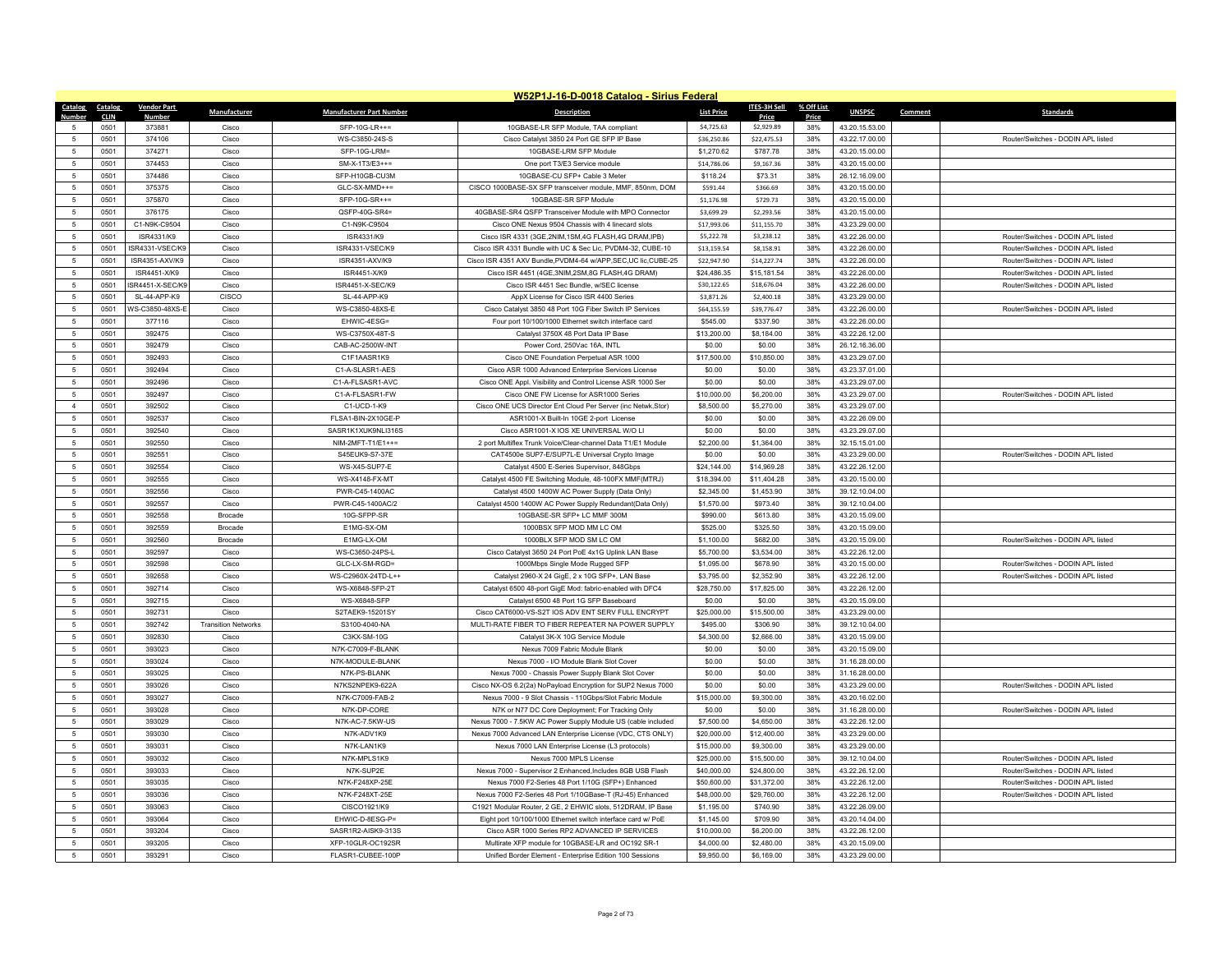|                | W52P1J-16-D-0018 Catalog - Sirius Federal |                    |                            |                                 |                                                                 |                   |                     |              |                |         |                                    |  |
|----------------|-------------------------------------------|--------------------|----------------------------|---------------------------------|-----------------------------------------------------------------|-------------------|---------------------|--------------|----------------|---------|------------------------------------|--|
| <b>Catalog</b> | Catalog                                   | <b>Vendor Part</b> | Manufacturer               | <b>Manufacturer Part Number</b> | <b>Description</b>                                              | <b>List Price</b> | <b>ITES-3H Sell</b> | % Off List   | <b>UNSPSC</b>  | Comment | Standards                          |  |
| $\sqrt{2}$     | <b>CLIN</b><br>0501                       | Number<br>373881   | Cisco                      | SFP-10G-LR++=                   | 10GBASE-LR SFP Module, TAA compliant                            | \$4,725.63        | Price<br>\$2,929.89 | Price<br>38% | 43.20.15.53.00 |         |                                    |  |
| -5             | 0501                                      | 374106             | Cisco                      | WS-C3850-24S-S                  | Cisco Catalyst 3850 24 Port GE SFP IP Base                      | \$36,250.86       | \$22,475.53         | 38%          | 43.22.17.00.00 |         | Router/Switches - DODIN APL listed |  |
| 5              | 0501                                      | 374271             | Cisco                      | SFP-10G-LRM=                    | 10GBASE-LRM SFP Module                                          | \$1,270.62        | \$787.78            | 38%          | 43.20.15.00.00 |         |                                    |  |
| 5              | 0501                                      | 374453             | Cisco                      | SM-X-1T3/E3++=                  | One port T3/E3 Service module                                   | \$14,786.06       | \$9,167.36          | 38%          | 43.20.15.00.00 |         |                                    |  |
| 5              | 0501                                      | 374486             | Cisco                      | SFP-H10GB-CU3M                  | 10GBASE-CU SFP+ Cable 3 Meter                                   | \$118.24          | \$73.31             | 38%          | 26.12.16.09.00 |         |                                    |  |
| 5              | 0501                                      | 375375             | Cisco                      | GLC-SX-MMD++=                   | CISCO 1000BASE-SX SFP transceiver module, MMF, 850nm, DOM       | \$591.44          | \$366.69            | 38%          | 43.20.15.00.00 |         |                                    |  |
| 5              | 0501                                      | 375870             | Cisco                      | SFP-10G-SR++=                   | 10GBASE-SR SFP Module                                           | \$1,176.98        | \$729.73            | 38%          | 43.20.15.00.00 |         |                                    |  |
| 5              | 0501                                      | 376175             | Cisco                      | QSFP-40G-SR4=                   | 40GBASE-SR4 QSFP Transceiver Module with MPO Connector          | \$3,699.29        | \$2,293.56          | 38%          | 43.20.15.00.00 |         |                                    |  |
| 5              | 0501                                      | C1-N9K-C9504       | Cisco                      | C1-N9K-C9504                    | Cisco ONE Nexus 9504 Chassis with 4 linecard slots              | \$17,993.06       | \$11,155.70         | 38%          | 43.23.29.00.00 |         |                                    |  |
| $\overline{5}$ | 0501                                      | ISR4331/K9         | Cisco                      | ISR4331/K9                      | Cisco ISR 4331 (3GE, 2NIM, 1SM, 4G FLASH, 4G DRAM, IPB)         | \$5,222.78        | \$3,238.12          | 38%          | 43.22.26.00.00 |         | Router/Switches - DODIN API listed |  |
| 5              | 0501                                      | ISR4331-VSEC/K9    | Cisco                      | ISR4331-VSEC/K9                 | Cisco ISR 4331 Bundle with UC & Sec Lic, PVDM4-32, CUBE-10      | \$13,159.54       | \$8,158.91          | 38%          | 43.22.26.00.00 |         | Router/Switches - DODIN APL listed |  |
| 5              | 0501                                      | ISR4351-AXV/K9     | Cisco                      | ISR4351-AXV/K9                  | Cisco ISR 4351 AXV Bundle, PVDM4-64 w/APP, SEC, UC lic, CUBE-25 | \$22,947.90       | \$14,227.74         | 38%          | 43.22.26.00.00 |         | Router/Switches - DODIN APL listed |  |
| $\overline{5}$ | 0501                                      | ISR4451-X/K9       | Cisco                      | ISR4451-X/K9                    | Cisco ISR 4451 (4GE, 3NIM, 2SM, 8G FLASH, 4G DRAM)              | \$24,486.35       | \$15,181.54         | 38%          | 43.22.26.00.00 |         | Router/Switches - DODIN APL listed |  |
| 5              | 0501                                      | ISR4451-X-SEC/K9   | Cisco                      | ISR4451-X-SEC/K9                | Cisco ISR 4451 Sec Bundle, w/SEC license                        | \$30,122.65       | \$18,676.04         | 38%          | 43.22.26.00.00 |         | Router/Switches - DODIN APL listed |  |
| 5              | 0501                                      | SL-44-APP-K9       | CISCO                      | SL-44-APP-K9                    | AppX License for Cisco ISR 4400 Series                          | \$3,871.26        | \$2,400.18          | 38%          | 43.23.29.00.00 |         |                                    |  |
| 5              | 0501                                      | WS-C3850-48XS-E    | Cisco                      | WS-C3850-48XS-E                 | Cisco Catalyst 3850 48 Port 10G Fiber Switch IP Services        | \$64,155.59       | \$39,776.47         | 38%          | 43.22.26.00.00 |         | Router/Switches - DODIN APL listed |  |
| 5              | 0501                                      | 377116             | Cisco                      | EHWIC-4ESG=                     | Four port 10/100/1000 Ethernet switch interface card            | \$545.00          | \$337.90            | 38%          | 43.22.26.00.00 |         |                                    |  |
| 5              | 0501                                      | 392475             | Cisco                      | WS-C3750X-48T-S                 | Catalyst 3750X 48 Port Data IP Base                             | \$13,200.00       | \$8,184.00          | 38%          | 43.22.26.12.00 |         |                                    |  |
| 5              | 0501                                      | 392479             | Cisco                      | CAB-AC-2500W-INT                | Power Cord, 250Vac 16A, INTL                                    | \$0.00            | \$0.00              | 38%          | 26.12.16.36.00 |         |                                    |  |
| 5              | 0501                                      | 392493             | Cisco                      | C1F1AASR1K9                     | Cisco ONE Foundation Perpetual ASR 1000                         | \$17,500.00       | \$10,850.00         | 38%          | 43.23.29.07.00 |         |                                    |  |
| 5              | 0501                                      | 392494             | Cisco                      | C1-A-SLASR1-AES                 | Cisco ASR 1000 Advanced Enterprise Services License             | \$0.00            | \$0.00              | 38%          | 43.23.37.01.00 |         |                                    |  |
| 5              | 0501                                      | 392496             | Cisco                      | C1-A-FLSASR1-AVC                | Cisco ONE Appl. Visibility and Control License ASR 1000 Ser     | \$0.00            | \$0.00              | 38%          | 43.23.29.07.00 |         |                                    |  |
| 5              | 0501                                      | 392497             | Cisco                      | C1-A-FLSASR1-FW                 | Cisco ONE FW License for ASR1000 Series                         | \$10,000.00       | \$6,200.00          | 38%          | 43.23.29.07.00 |         | Router/Switches - DODIN API listed |  |
| $\overline{4}$ | 0501                                      | 392502             | Cisco                      | C1-UCD-1-K9                     | Cisco ONE UCS Director Ent Cloud Per Server (inc Netwk, Stor)   | \$8,500.00        | \$5,270.00          | 38%          | 43.23.29.07.00 |         |                                    |  |
| 5              | 0501                                      | 392537             | Cisco                      | FLSA1-BIN-2X10GE-P              | ASR1001-X Built-In 10GE 2-port License                          | \$0.00            | \$0.00              | 38%          | 43.22.26.09.00 |         |                                    |  |
| 5              | 0501                                      | 392540             | Cisco                      | SASR1K1XUK9NLI316S              | Cisco ASR1001-X IOS XE UNIVERSAL W/O LI                         | \$0.00            | \$0.00              | 38%          | 43.23.29.07.00 |         |                                    |  |
| $\overline{5}$ | 0501                                      | 392550             | Cisco                      | NIM-2MFT-T1/E1++=               | 2 port Multiflex Trunk Voice/Clear-channel Data T1/E1 Module    | \$2,200.00        | \$1,364.00          | 38%          | 32.15.15.01.00 |         |                                    |  |
| 5              | 0501                                      | 392551             | Cisco                      | S45EUK9-S7-37E                  | CAT4500e SUP7-E/SUP7L-E Universal Crypto Image                  | \$0.00            | \$0.00              | 38%          | 43.23.29.00.00 |         | Router/Switches - DODIN APL listed |  |
| 5              | 0501                                      | 392554             | Cisco                      | <b>WS-X45-SUP7-E</b>            | Catalyst 4500 E-Series Supervisor, 848Gbps                      | \$24,144.00       | \$14,969.28         | 38%          | 43.22.26.12.00 |         |                                    |  |
| $\overline{5}$ | 0501                                      | 392555             | Cisco                      | <b>WS-X4148-FX-MT</b>           | Catalyst 4500 FE Switching Module, 48-100FX MMF(MTRJ)           | \$18,394.00       | \$11,404.28         | 38%          | 43.20.15.00.00 |         |                                    |  |
| 5              | 0501                                      | 392556             | Cisco                      | PWR-C45-1400AC                  | Catalyst 4500 1400W AC Power Supply (Data Only)                 | \$2,345.00        | \$1,453.90          | 38%          | 39.12.10.04.00 |         |                                    |  |
| 5              | 0501                                      | 392557             | Cisco                      | PWR-C45-1400AC/2                | Catalyst 4500 1400W AC Power Supply Redundant(Data Only)        | \$1,570.00        | \$973.40            | 38%          | 39.12.10.04.00 |         |                                    |  |
| $\overline{5}$ | 0501                                      | 392558             | <b>Brocade</b>             | 10G-SFPP-SR                     | 10GBASE-SR SFP+ LC MMF 300M                                     | \$990.00          | \$613.80            | 38%          | 43.20.15.09.00 |         |                                    |  |
| 5              | 0501                                      | 392559             | Brocade                    | E1MG-SX-OM                      | 1000BSX SFP MOD MM LC OM                                        | \$525.00          | \$325.50            | 38%          | 43.20.15.09.00 |         |                                    |  |
| 5              | 0501                                      | 392560             | Brocade                    | E1MG-LX-OM                      | 1000BLX SFP MOD SM LC OM                                        | \$1,100.00        | \$682.00            | 38%          | 43.20.15.09.00 |         | Router/Switches - DODIN APL listed |  |
| $\overline{5}$ | 0501                                      | 392597             | Cisco                      | WS-C3650-24PS-L                 | Cisco Catalyst 3650 24 Port PoE 4x1G Uplink LAN Base            | \$5,700.00        | \$3,534.00          | 38%          | 43.22.26.12.00 |         |                                    |  |
| 5              | 0501                                      | 392598             | Cisco                      | GLC-LX-SM-RGD=                  | 1000Mbps Single Mode Rugged SFP                                 | \$1,095.00        | \$678.90            | 38%          | 43.20.15.00.00 |         | Router/Switches - DODIN APL listed |  |
| 5              | 0501                                      | 392658             | Cisco                      | WS-C2960X-24TD-L++              | Catalyst 2960-X 24 GigE, 2 x 10G SFP+, LAN Base                 | \$3,795.00        | \$2,352.90          | 38%          | 43.22.26.12.00 |         | Router/Switches - DODIN APL listed |  |
| $\overline{5}$ | 0501                                      | 392714             | Cisco                      | WS-X6848-SFP-2T                 | Catalyst 6500 48-port GigE Mod: fabric-enabled with DFC4        | \$28,750.00       | \$17,825.00         | 38%          | 43.22.26.12.00 |         |                                    |  |
| 5              | 0501                                      | 392715             | Cisco                      | WS-X6848-SFP                    | Catalyst 6500 48 Port 1G SFP Baseboard                          | \$0.00            | \$0.00              | 38%          | 43.20.15.09.00 |         |                                    |  |
| $\overline{5}$ | 0501                                      | 392731             | Cisco                      | S2TAEK9-15201SY                 | Cisco CAT6000-VS-S2T IOS ADV ENT SERV FULL ENCRYPT              | \$25,000.00       | \$15,500.00         | 38%          | 43.23.29.00.00 |         |                                    |  |
| $\overline{5}$ | 0501                                      | 392742             | <b>Transition Networks</b> | S3100-4040-NA                   | MULTI-RATE FIBER TO FIBER REPEATER NA POWER SUPPLY              | \$495.00          | \$306.90            | 38%          | 39.12.10.04.00 |         |                                    |  |
| 5              | 0501                                      | 392830             | Cisco                      | C3KX-SM-10G                     | Catalyst 3K-X 10G Service Module                                | \$4,300.00        | \$2,666.00          | 38%          | 43.20.15.09.00 |         |                                    |  |
| $\overline{5}$ | 0501                                      | 393023             | Cisco                      | N7K-C7009-F-BLANK               | Nexus 7009 Fabric Module Blank                                  | \$0.00            | \$0.00              | 38%          | 43.20.15.09.00 |         |                                    |  |
| 5              | 0501                                      | 393024             | Cisco                      | N7K-MODULE-BLANK                | Nexus 7000 - I/O Module Blank Slot Cover                        | \$0.00            | \$0.00              | 38%          | 31.16.28.00.00 |         |                                    |  |
| -5             | 0501                                      | 393025             | Cisco                      | N7K-PS-BI ANK                   | Nexus 7000 - Chassis Power Supply Blank Slot Cover              | \$0.00            | \$0.00              | 38%          | 31.16.28.00.00 |         |                                    |  |
| $\overline{5}$ | 0501                                      | 393026             | Cisco                      | N7KS2NPEK9-622A                 | Cisco NX-OS 6.2(2a) NoPayload Encryption for SUP2 Nexus 7000    | \$0.00            | \$0.00              | 38%          | 43.23.29.00.00 |         | Router/Switches - DODIN APL listed |  |
| $\overline{5}$ | 0501                                      | 393027             | Cisco                      | N7K-C7009-FAB-2                 | Nexus 7000 - 9 Slot Chassis - 110Gbps/Slot Fabric Module        | \$15,000.00       | \$9,300.00          | 38%          | 43.20.16.02.00 |         |                                    |  |
| 5              | 0501                                      | 393028             | Cisco                      | N7K-DP-CORE                     | N7K or N77 DC Core Deployment; For Tracking Only                | \$0.00            | \$0.00              | 38%          | 31.16.28.00.00 |         | Router/Switches - DODIN API listed |  |
| $\overline{5}$ | 0501                                      | 393029             | Cisco                      | N7K-AC-7.5KW-US                 | Nexus 7000 - 7.5KW AC Power Supply Module US (cable included    | \$7,500.00        | \$4,650.00          | 38%          | 43.22.26.12.00 |         |                                    |  |
| $\overline{5}$ | 0501                                      | 393030             | Cisco                      | N7K-ADV1K9                      | Nexus 7000 Advanced LAN Enterprise License (VDC, CTS ONLY)      | \$20,000.00       | \$12,400.00         | 38%          | 43.23.29.00.00 |         |                                    |  |
| 5              | 0501                                      | 393031             | Cisco                      | N7K-LAN1K9                      | Nexus 7000 LAN Enterprise License (L3 protocols)                | \$15,000.00       | \$9,300.00          | 38%          | 43.23.29.00.00 |         |                                    |  |
| $\overline{5}$ | 0501                                      | 393032             | Cisco                      | N7K-MPLS1K9                     | Nexus 7000 MPLS License                                         | \$25,000.00       | \$15,500.00         | 38%          | 39.12.10.04.00 |         | Router/Switches - DODIN API listed |  |
| $\overline{5}$ | 0501                                      | 393033             | Cisco                      | N7K-SUP2E                       | Nexus 7000 - Supervisor 2 Enhanced, Includes 8GB USB Flash      | \$40,000.00       | \$24,800.00         | 38%          | 43.22.26.12.00 |         | Router/Switches - DODIN API listed |  |
| 5              | 0501                                      | 393035             | Cisco                      | N7K-F248XP-25F                  | Nexus 7000 F2-Series 48 Port 1/10G (SFP+) Enhanced              | \$50,600.00       | \$31,372.00         | 38%          | 43.22.26.12.00 |         | Router/Switches - DODIN APL listed |  |
| 5              | 0501                                      | 393036             | Cisco                      | N7K-F248XT-25E                  | Nexus 7000 F2-Series 48 Port 1/10GBase-T (RJ-45) Enhanced       | \$48,000.00       | \$29,760.00         | 38%          | 43.22.26.12.00 |         | Router/Switches - DODIN APL listed |  |
| 5              | 0501                                      | 393063             | Cisco                      | CISCO1921/K9                    | C1921 Modular Router, 2 GE, 2 EHWIC slots, 512DRAM, IP Base     | \$1,195.00        | \$740.90            | 38%          | 43.22.26.09.00 |         |                                    |  |
| 5              | 0501                                      | 393064             | Cisco                      | EHWIC-D-8ESG-P=                 | Eight port 10/100/1000 Ethernet switch interface card w/ PoE    | \$1,145.00        | \$709.90            | 38%          | 43.20.14.04.00 |         |                                    |  |
| $\overline{5}$ | 0501                                      | 393204             | Cisco                      | SASR1R2-AISK9-313S              | Cisco ASR 1000 Series RP2 ADVANCED IP SERVICES                  | \$10,000.00       | \$6,200.00          | 38%          | 43.22.26.12.00 |         |                                    |  |
| 5              | 0501                                      | 393205             | Cisco                      | XFP-10GLR-OC192SR               | Multirate XFP module for 10GBASE-LR and OC192 SR-1              | \$4,000.00        | \$2,480.00          | 38%          | 43.20.15.09.00 |         |                                    |  |
| 5              | 0501                                      | 393291             | Cisco                      | FLASR1-CUBEE-100P               | Unified Border Element - Enterprise Edition 100 Sessions        | \$9,950.00        | \$6,169.00          | 38%          | 43.23.29.00.00 |         |                                    |  |
|                |                                           |                    |                            |                                 |                                                                 |                   |                     |              |                |         |                                    |  |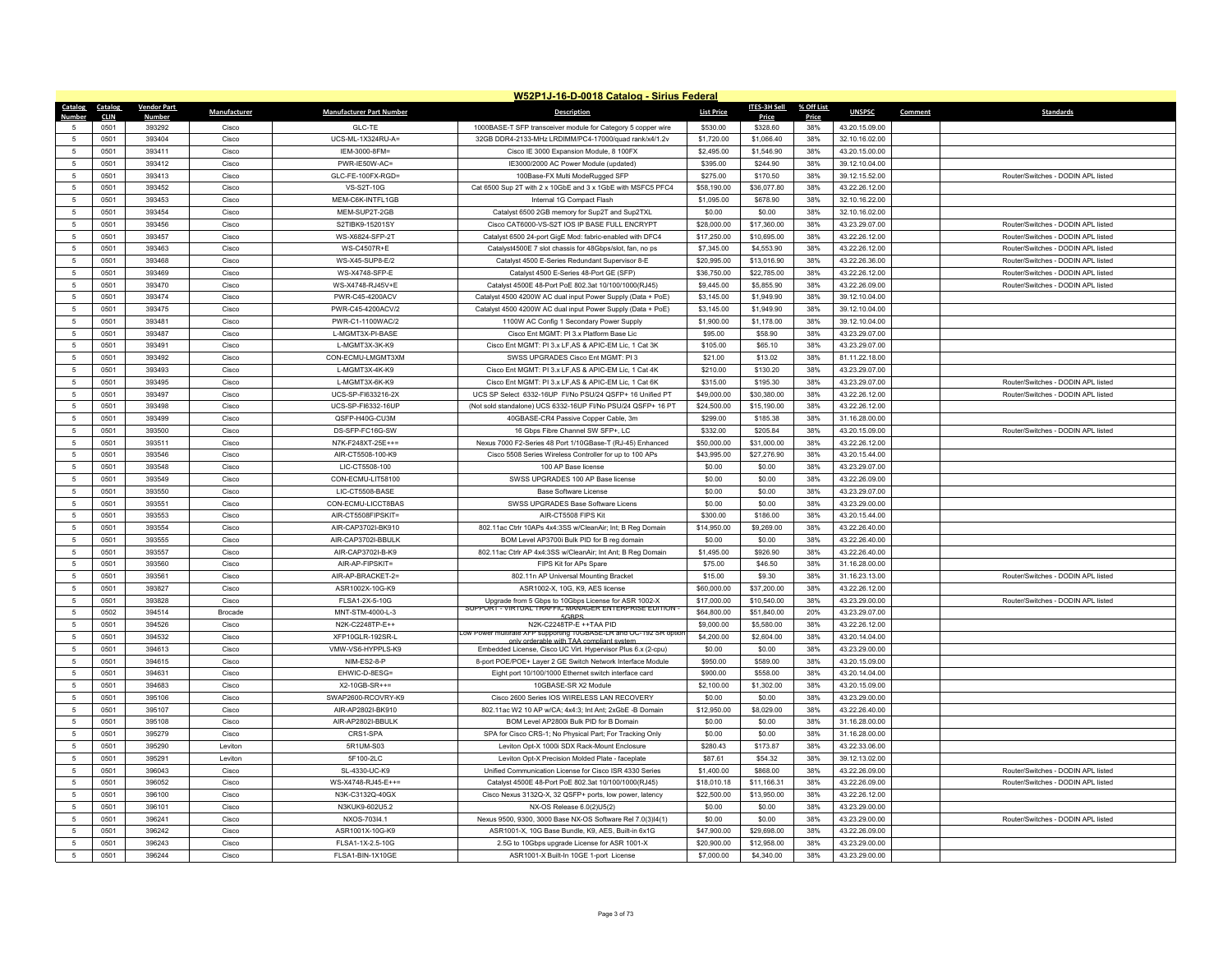| W52P1J-16-D-0018 Catalog - Sirius Federal |                     |                        |              |                                 |                                                                                                       |                   |                     |              |                          |                                    |  |
|-------------------------------------------|---------------------|------------------------|--------------|---------------------------------|-------------------------------------------------------------------------------------------------------|-------------------|---------------------|--------------|--------------------------|------------------------------------|--|
| Catalog                                   | Catalog             | <b>Vendor Part</b>     | Manufacturer | <b>Manufacturer Part Number</b> | <b>Description</b>                                                                                    | <b>List Price</b> | <b>ITES-3H Sell</b> | % Off List   | <b>UNSPSC</b><br>Comment | <b>Standards</b>                   |  |
| Numhei                                    | <b>CLIN</b><br>0501 | <b>Numbe</b><br>393292 | Cisco        | GLC-TE                          | 1000BASE-T SFP transceiver module for Category 5 copper wire                                          | \$530.00          | Price<br>\$328.60   | Price<br>38% | 43.20.15.09.00           |                                    |  |
| 5                                         | 0501                | 393404                 | Cisco        | UCS-ML-1X324RU-A=               | 32GB DDR4-2133-MHz LRDIMM/PC4-17000/quad rank/x4/1.2v                                                 | \$1,720.00        | \$1,066.40          | 38%          | 32.10.16.02.00           |                                    |  |
| -5                                        | 0501                | 393411                 | Cisco        | IEM-3000-8FM=                   | Cisco IE 3000 Expansion Module, 8 100FX                                                               | \$2,495.00        | \$1,546.90          | 38%          | 43.20.15.00.00           |                                    |  |
| 5                                         | 0501                | 393412                 | Cisco        | PWR-IE50W-AC=                   | IE3000/2000 AC Power Module (updated)                                                                 | \$395.00          | \$244.90            | 38%          | 39.12.10.04.00           |                                    |  |
| 5                                         | 0501                | 393413                 | Cisco        | GLC-FE-100FX-RGD=               | 100Base-FX Multi ModeRugged SFP                                                                       | \$275.00          | \$170.50            | 38%          | 39.12.15.52.00           | Router/Switches - DODIN APL listed |  |
| 5                                         | 0501                | 393452                 | Cisco        | <b>VS-S2T-10G</b>               | Cat 6500 Sup 2T with 2 x 10GbE and 3 x 1GbE with MSFC5 PFC4                                           | \$58,190.00       | \$36,077.80         | 38%          | 43.22.26.12.00           |                                    |  |
| 5                                         | 0501                | 393453                 | Cisco        | MEM-C6K-INTFL1GB                | Internal 1G Compact Flash                                                                             | \$1,095.00        | \$678.90            | 38%          | 32.10.16.22.00           |                                    |  |
| 5                                         | 0501                | 393454                 | Cisco        | MEM-SUP2T-2GB                   | Catalyst 6500 2GB memory for Sup2T and Sup2TXL                                                        | \$0.00            | \$0.00              | 38%          | 32.10.16.02.00           |                                    |  |
| 5                                         | 0501                | 393456                 | Cisco        | S2TIBK9-15201SY                 | Cisco CAT6000-VS-S2T IOS IP BASE FULL ENCRYPT                                                         | \$28,000.00       | \$17,360.00         | 38%          | 43.23.29.07.00           | Router/Switches - DODIN API listed |  |
| 5                                         | 0501                | 393457                 | Cisco        | WS-X6824-SFP-2T                 | Catalyst 6500 24-port GigE Mod: fabric-enabled with DFC4                                              | \$17,250.00       | \$10,695.00         | 38%          | 43.22.26.12.00           | Router/Switches - DODIN APL listed |  |
| 5                                         | 0501                | 393463                 | Cisco        | WS-C4507R+E                     | Catalyst4500E 7 slot chassis for 48Gbps/slot, fan, no ps                                              | \$7,345.00        | \$4,553.90          | 38%          | 43.22.26.12.00           | Router/Switches - DODIN APL listed |  |
| 5                                         | 0501                | 393468                 | Cisco        | WS-X45-SUP8-F/2                 | Catalyst 4500 E-Series Redundant Supervisor 8-E                                                       | \$20,995.00       | \$13,016.90         | 38%          | 43.22.26.36.00           | Router/Switches - DODIN API listed |  |
| $\overline{5}$                            | 0501                | 393469                 | Cisco        | WS-X4748-SFP-E                  | Catalyst 4500 E-Series 48-Port GE (SFP)                                                               | \$36,750.00       | \$22,785.00         | 38%          | 43.22.26.12.00           | Router/Switches - DODIN APL listed |  |
| 5                                         | 0501                | 393470                 | Cisco        | WS-X4748-RJ45V+E                | Catalyst 4500E 48-Port PoE 802.3at 10/100/1000(RJ45)                                                  | \$9,445.00        | \$5,855.90          | 38%          | 43.22.26.09.00           | Router/Switches - DODIN APL listed |  |
| 5                                         | 0501                | 393474                 | Cisco        | PWR-C45-4200ACV                 | Catalyst 4500 4200W AC dual input Power Supply (Data + PoE)                                           | \$3,145.00        | \$1,949.90          | 38%          | 39.12.10.04.00           |                                    |  |
| $\overline{5}$                            | 0501                | 393475                 | Cisco        | PWR-C45-4200ACV/2               | Catalyst 4500 4200W AC dual input Power Supply (Data + PoE)                                           | \$3,145.00        | \$1,949.90          | 38%          | 39.12.10.04.00           |                                    |  |
| 5                                         | 0501                | 393481                 | Cisco        | PWR-C1-1100WAC/2                | 1100W AC Config 1 Secondary Power Supply                                                              | \$1,900.00        | \$1,178.00          | 38%          | 39.12.10.04.00           |                                    |  |
| 5                                         | 0501                | 393487                 | Cisco        | L-MGMT3X-PI-BASE                | Cisco Ent MGMT: PI 3.x Platform Base Lic                                                              | \$95.00           | \$58.90             | 38%          | 43.23.29.07.00           |                                    |  |
| $\overline{5}$                            | 0501                | 393491                 | Cisco        | L-MGMT3X-3K-K9                  | Cisco Ent MGMT: PI 3.x LF.AS & APIC-EM Lic. 1 Cat 3K                                                  | \$105.00          | \$65.10             | 38%          | 43.23.29.07.00           |                                    |  |
| $\overline{5}$                            | 0501                | 393492                 | Cisco        | CON-ECMU-LMGMT3XM               | SWSS UPGRADES Cisco Ent MGMT: PI 3                                                                    | \$21.00           | \$13.02             | 38%          | 81.11.22.18.00           |                                    |  |
| 5                                         | 0501                | 393493                 | Cisco        | L-MGMT3X-4K-K9                  | Cisco Ent MGMT: PI 3.x LF, AS & APIC-EM Lic, 1 Cat 4K                                                 | \$210.00          | \$130.20            | 38%          | 43.23.29.07.00           |                                    |  |
| $\overline{5}$                            | 0501                | 393495                 | Cisco        | L-MGMT3X-6K-KS                  | Cisco Ent MGMT: PI 3.x LF, AS & APIC-EM Lic, 1 Cat 6K                                                 | \$315.00          | \$195.30            | 38%          | 43.23.29.07.00           | Router/Switches - DODIN API listed |  |
| $\overline{5}$                            | 0501                | 393497                 | Cisco        | UCS-SP-FI633216-2X              | UCS SP Select 6332-16UP FI/No PSU/24 QSFP+ 16 Unified PT                                              | \$49,000.00       | \$30,380.00         | 38%          | 43.22.26.12.00           | Router/Switches - DODIN APL listed |  |
| 5                                         | 0501                | 393498                 | Cisco        | UCS-SP-FI6332-16UP              | (Not sold standalone) UCS 6332-16UP FI/No PSU/24 QSFP+ 16 PT                                          | \$24,500.00       | \$15,190.00         | 38%          | 43.22.26.12.00           |                                    |  |
| $\overline{5}$                            | 0501                | 393499                 | Cisco        | QSFP-H40G-CU3M                  | 40GBASE-CR4 Passive Copper Cable, 3m                                                                  | \$299.00          | \$185.38            | 38%          | 31.16.28.00.00           |                                    |  |
| $\overline{5}$                            | 0501                | 393500                 | Cisco        | DS-SFP-FC16G-SW                 | 16 Gbps Fibre Channel SW SFP+, LC                                                                     | \$332.00          | \$205.84            | 38%          | 43.20.15.09.00           | Router/Switches - DODIN APL listed |  |
| 5                                         | 0501                | 393511                 | Cisco        | N7K-F248XT-25E++=               | Nexus 7000 F2-Series 48 Port 1/10GBase-T (RJ-45) Enhanced                                             | \$50,000.00       | \$31,000.00         | 38%          | 43.22.26.12.00           |                                    |  |
| $\overline{5}$                            | 0501                | 393546                 | Cisco        | AIR-CT5508-100-K9               | Cisco 5508 Series Wireless Controller for up to 100 APs                                               | \$43,995.00       | \$27,276.90         | 38%          | 43.20.15.44.00           |                                    |  |
| $\overline{5}$                            | 0501                | 393548                 | Cisco        | LIC-CT5508-100                  | 100 AP Base license                                                                                   | \$0.00            | \$0.00              | 38%          | 43.23.29.07.00           |                                    |  |
| $\overline{5}$                            | 0501                | 393549                 | Cisco        | CON-ECMU-LIT58100               | SWSS UPGRADES 100 AP Base license                                                                     | \$0.00            | \$0.00              | 38%          | 43.22.26.09.00           |                                    |  |
| $\overline{5}$                            | 0501                | 393550                 | Cisco        | LIC-CT5508-BASE                 | Base Software License                                                                                 | \$0.00            | \$0.00              | 38%          | 43.23.29.07.00           |                                    |  |
| -5                                        | 0501                | 393551                 | Cisco        | CON-ECMU-LICCT8BAS              | SWSS UPGRADES Base Software Licens                                                                    | \$0.00            | \$0.00              | 38%          | 43.23.29.00.00           |                                    |  |
| $\overline{5}$                            | 0501                | 393553                 | Cisco        | AIR-CT5508FIPSKIT=              | AIR-CT5508 FIPS Kit                                                                                   | \$300.00          | \$186.00            | 38%          | 43.20.15.44.00           |                                    |  |
| $\overline{5}$                            | 0501                | 393554                 | Cisco        | AIR-CAP3702I-BK910              | 802.11ac Ctrlr 10APs 4x4:3SS w/CleanAir; Int; B Reg Domain                                            | \$14,950.00       | \$9,269.00          | 38%          | 43.22.26.40.00           |                                    |  |
| 5                                         | 0501                | 393555                 | Cisco        | AIR-CAP3702I-BBULK              | BOM Level AP3700i Bulk PID for B reg domain                                                           | \$0.00            | \$0.00              | 38%          | 43.22.26.40.00           |                                    |  |
| $\overline{5}$                            | 0501                | 393557                 | Cisco        | AIR-CAP3702I-B-K9               | 802.11ac Ctrlr AP 4x4:3SS w/CleanAir; Int Ant; B Reg Domain                                           | \$1,495.00        | \$926.90            | 38%          | 43.22.26.40.00           |                                    |  |
| 5                                         | 0501                | 393560                 | Cisco        | AIR-AP-FIPSKIT=                 | FIPS Kit for APs Spare                                                                                | \$75.00           | \$46.50             | 38%          | 31.16.28.00.00           |                                    |  |
| 5                                         | 0501                | 393561                 | Cisco        | AIR-AP-BRACKFT-2=               | 802.11n AP Universal Mounting Bracket                                                                 | \$15.00           | \$9.30              | 38%          | 31.16.23.13.00           | Router/Switches - DODIN API listed |  |
| 5                                         | 0501                | 393827                 | Cisco        | ASR1002X-10G-K9                 | ASR1002-X, 10G, K9, AES license                                                                       | \$60,000.00       | \$37,200.00         | 38%          | 43.22.26.12.00           |                                    |  |
| 5                                         | 0501                | 393828                 | Cisco        | FLSA1-2X-5-10G                  | Upgrade from 5 Gbps to 10Gbps License for ASR 1002-X                                                  | \$17,000.00       | \$10,540.00         | 38%          | 43.23.29.00.00           | Router/Switches - DODIN APL listed |  |
| 5                                         | 0502                | 394514                 | Brocade      | MNT-STM-4000-L-3                | SUPPORT - VIRTUAL TRAFFIC MANAGER ENTERPRISE EDITION                                                  | \$64,800.00       | \$51,840.00         | 20%          | 43.23.29.07.00           |                                    |  |
| $\overline{5}$                            | 0501                | 394526                 | Cisco        | N2K-C2248TP-E++                 | 5GRP<br>N2K-C2248TP-E ++TAA PID                                                                       | \$9,000.00        | \$5,580.00          | 38%          | 43.22.26.12.00           |                                    |  |
| 5                                         | 0501                | 394532                 | Cisco        | XFP10GLR-192SR-L                | Low Power multirate XFP supporting 10GBASE-LR and OC-192 SR optio                                     | \$4,200.00        | \$2,604.00          | 38%          | 43.20.14.04.00           |                                    |  |
| 5                                         | 0501                | 394613                 | Cisco        | VMW-VS6-HYPPLS-K9               | only orderable with TAA compliant sys<br>Embedded License, Cisco UC Virt. Hypervisor Plus 6.x (2-cpu) | \$0.00            | \$0.00              | 38%          | 43.23.29.00.00           |                                    |  |
| $\overline{5}$                            | 0501                | 394615                 | Cisco        | NIM-FS2-8-P                     | 8-port POE/POE+ Layer 2 GE Switch Network Interface Module                                            | \$950.00          | \$589.00            | 38%          | 43.20.15.09.00           |                                    |  |
| $\overline{5}$                            | 0501                | 394631                 | Cisco        | EHWIC-D-8ESG=                   | Eight port 10/100/1000 Ethernet switch interface card                                                 | \$900.00          | \$558.00            | 38%          | 43.20.14.04.00           |                                    |  |
| 5                                         | 0501                | 394683                 | Cisco        | X2-10GB-SR++=                   | 10GBASE-SR X2 Module                                                                                  | \$2,100.00        | \$1,302.00          | 38%          | 43.20.15.09.00           |                                    |  |
| $\overline{5}$                            | 0501                | 395106                 | Cisco        | SWAP2600-RCOVRY-K9              | Cisco 2600 Series IOS WIRELESS LAN RECOVERY                                                           | \$0.00            | \$0.00              | 38%          | 43.23.29.00.00           |                                    |  |
| 5                                         | 0501                | 395107                 | Cisco        | AIR-AP2802I-BK910               | 802.11ac W2 10 AP w/CA; 4x4:3; Int Ant; 2xGbE -B Domain                                               | \$12,950.00       | \$8,029.00          | 38%          | 43.22.26.40.00           |                                    |  |
| 5                                         | 0501                | 395108                 | Cisco        | AIR-AP2802I-BBULK               | BOM Level AP2800i Bulk PID for B Domain                                                               | \$0.00            | \$0.00              | 38%          | 31.16.28.00.00           |                                    |  |
| $\overline{5}$                            | 0501                | 395279                 | Cisco        | CRS1-SPA                        | SPA for Cisco CRS-1; No Physical Part; For Tracking Only                                              | \$0.00            | \$0.00              | 38%          | 31.16.28.00.00           |                                    |  |
| $\overline{5}$                            | 0501                | 395290                 | I eviton     | 5R1UM-S03                       | Leviton Opt-X 1000i SDX Rack-Mount Enclosure                                                          | \$280.43          | \$173.87            | 38%          | 43.22.33.06.00           |                                    |  |
| 5                                         | 0501                | 395291                 | Leviton      | 5F100-2LC                       | Leviton Opt-X Precision Molded Plate - faceplate                                                      | \$87.61           | \$54.32             | 38%          | 39.12.13.02.00           |                                    |  |
| $\overline{5}$                            | 0501                | 396043                 | Cisco        | SL-4330-UC-K9                   | Unified Communication License for Cisco ISR 4330 Series                                               | \$1,400.00        | \$868.00            | 38%          | 43.22.26.09.00           | Router/Switches - DODIN APL listed |  |
| 5                                         | 0501                | 396052                 | Cisco        | WS-X4748-RJ45-E++=              | Catalyst 4500E 48-Port PoE 802.3at 10/100/1000(RJ45)                                                  | \$18,010.18       | \$11,166.31         | 38%          | 43.22.26.09.00           | Router/Switches - DODIN APL listed |  |
| $\overline{5}$                            | 0501                | 396100                 | Cisco        | N3K-C3132Q-40GX                 | Cisco Nexus 3132Q-X, 32 QSFP+ ports, low power, latency                                               | \$22,500.00       | \$13,950.00         | 38%          | 43.22.26.12.00           |                                    |  |
| $\sqrt{2}$                                | 0501                | 396101                 | Cisco        | N3KUK9-602U5.2                  | NX-OS Release 6.0(2)U5(2)                                                                             | \$0.00            | \$0.00              | 38%          | 43.23.29.00.00           |                                    |  |
| -5                                        | 0501                | 396241                 | Cisco        | NXOS-703I4.1                    | Nexus 9500, 9300, 3000 Base NX-OS Software Rel 7.0(3) 4(1)                                            | \$0.00            | \$0.00              | 38%          | 43.23.29.00.00           | Router/Switches - DODIN APL listed |  |
| $\overline{5}$                            | 0501                | 396242                 | Cisco        | ASR1001X-10G-K9                 | ASR1001-X, 10G Base Bundle, K9, AES, Built-in 6x1G                                                    | \$47,900.00       | \$29,698.00         | 38%          | 43.22.26.09.00           |                                    |  |
| $\overline{5}$                            | 0501                | 396243                 | Cisco        | FLSA1-1X-2.5-10G                | 2.5G to 10Gbps upgrade License for ASR 1001-X                                                         | \$20,900.00       | \$12,958.00         | 38%          | 43.23.29.00.00           |                                    |  |
| 5                                         | 0501                | 396244                 | Cisco        | FLSA1-BIN-1X10GE                | ASR1001-X Built-In 10GE 1-port License                                                                | \$7,000.00        | \$4,340.00          | 38%          | 43.23.29.00.00           |                                    |  |
|                                           |                     |                        |              |                                 |                                                                                                       |                   |                     |              |                          |                                    |  |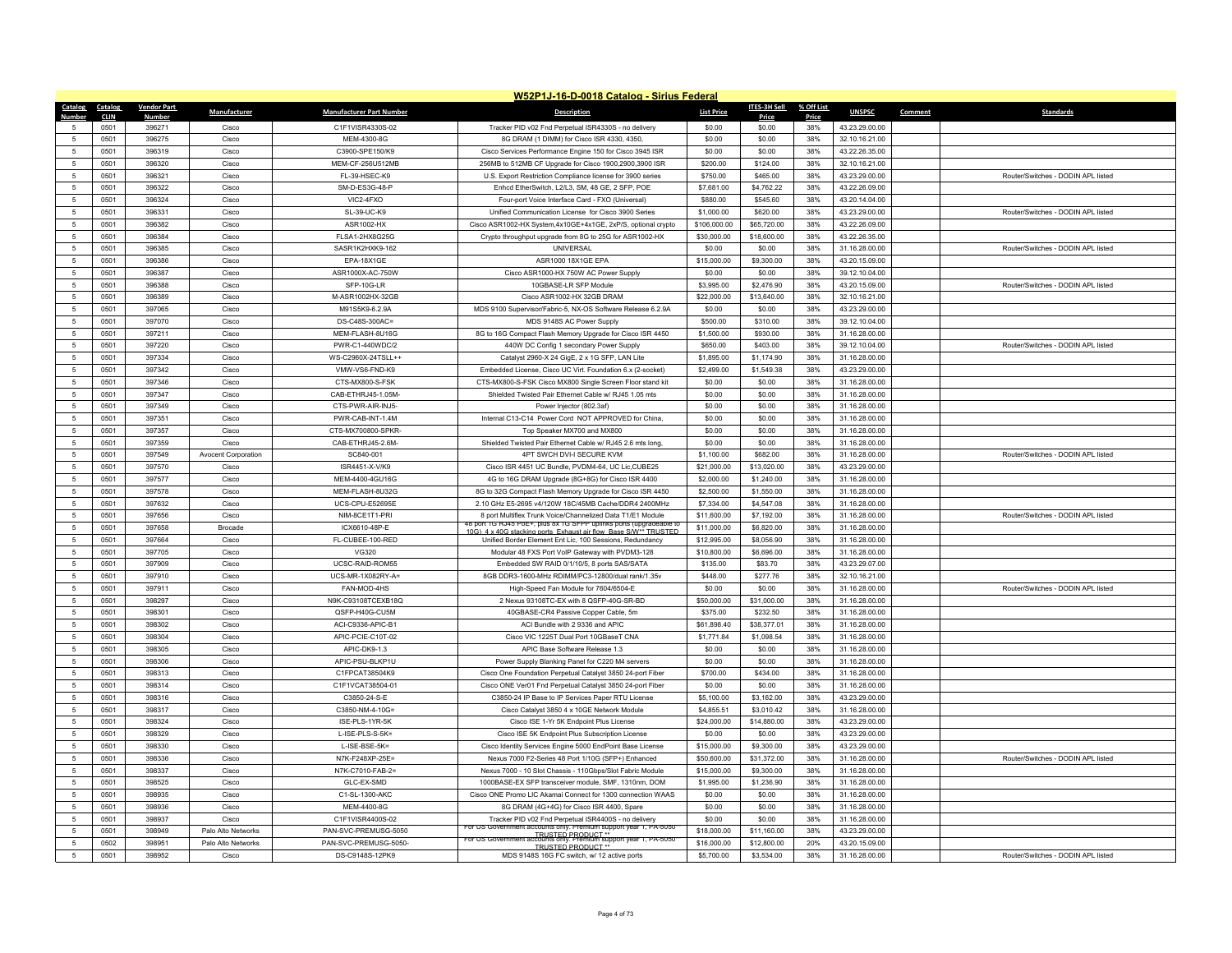|                | W52P1J-16-D-0018 Catalog - Sirius Federal |                    |                     |                                 |                                                                                                                                   |                   |                     |            |                |         |                                    |  |
|----------------|-------------------------------------------|--------------------|---------------------|---------------------------------|-----------------------------------------------------------------------------------------------------------------------------------|-------------------|---------------------|------------|----------------|---------|------------------------------------|--|
| Catalog        | Catalog                                   | <b>Vendor Part</b> | Manufacturer        | <b>Manufacturer Part Number</b> | <b>Description</b>                                                                                                                | <b>List Price</b> | <b>ITES-3H Sell</b> | % Off List | <b>UNSPSC</b>  | Comment | <b>Standards</b>                   |  |
| Numhei         | <b>CLIN</b>                               | <b>Numbe</b>       |                     |                                 |                                                                                                                                   |                   | Price               | Price      |                |         |                                    |  |
|                | 0501                                      | 396271             | Cisco               | C1F1VISR4330S-02                | Tracker PID v02 Fnd Perpetual ISR4330S - no delivery                                                                              | \$0.00            | \$0.00              | 38%        | 43.23.29.00.00 |         |                                    |  |
| $\sqrt{2}$     | 0501                                      | 396275             | Cisco               | MEM-4300-8G                     | 8G DRAM (1 DIMM) for Cisco ISR 4330, 4350.                                                                                        | \$0.00            | \$0.00              | 38%        | 32.10.16.21.00 |         |                                    |  |
| $\overline{5}$ | 0501                                      | 396319             | Cisco               | C3900-SPE150/K9                 | Cisco Services Performance Engine 150 for Cisco 3945 ISR                                                                          | \$0.00            | \$0.00              | 38%        | 43.22.26.35.00 |         |                                    |  |
| $\overline{5}$ | 0501                                      | 396320             | Cisco               | MEM-CF-256U512MB                | 256MB to 512MB CF Upgrade for Cisco 1900,2900,3900 ISR                                                                            | \$200.00          | \$124.00            | 38%        | 32.10.16.21.00 |         |                                    |  |
| $\overline{5}$ | 0501                                      | 396321             | Cisco               | FL-39-HSEC-K9                   | U.S. Export Restriction Compliance license for 3900 series                                                                        | \$750.00          | \$465.00            | 38%        | 43.23.29.00.00 |         | Router/Switches - DODIN APL listed |  |
| -5             | 0501                                      | 396322             | Cisco               | SM-D-ES3G-48-P                  | Enhcd EtherSwitch, L2/L3, SM, 48 GE, 2 SFP, POE                                                                                   | \$7,681.00        | \$4.762.22          | 38%        | 43.22.26.09.00 |         |                                    |  |
| $\overline{5}$ | 0501                                      | 396324             | Cisco               | VIC2-4FXO                       | Four-port Voice Interface Card - FXO (Universal)                                                                                  | \$880.00          | \$545.60            | 38%        | 43.20.14.04.00 |         |                                    |  |
| $\overline{5}$ | 0501                                      | 396331             | Cisco               | SL-39-UC-K9                     | Unified Communication License for Cisco 3900 Series                                                                               | \$1,000.00        | \$620.00            | 38%        | 43.23.29.00.00 |         | Router/Switches - DODIN APL listed |  |
| 5              | 0501                                      | 396382             | Cisco               | ASR1002-HX                      | Cisco ASR1002-HX System,4x10GE+4x1GE, 2xP/S, optional crypto                                                                      | \$106,000.00      | \$65,720.00         | 38%        | 43.22.26.09.00 |         |                                    |  |
| $\overline{5}$ | 0501                                      | 396384             | Cisco               | FLSA1-2HX8G25G                  | Crypto throughput upgrade from 8G to 25G for ASR1002-HX                                                                           | \$30,000.00       | \$18,600.00         | 38%        | 43.22.26.35.00 |         |                                    |  |
| $\overline{5}$ | 0501                                      | 396385             | Cisco               | SASR1K2HXK9-162                 | <b>UNIVERSAL</b>                                                                                                                  | \$0.00            | \$0.00              | 38%        | 31.16.28.00.00 |         | Router/Switches - DODIN APL listed |  |
| -5             | 0501                                      | 396386             | Cisco               | <b>FPA-18X1GF</b>               | ASR1000 18X1GE EPA                                                                                                                | \$15,000.00       | \$9,300.00          | 38%        | 43.20.15.09.00 |         |                                    |  |
| $\overline{5}$ | 0501                                      | 396387             | Cisco               | ASR1000X-AC-750W                | Cisco ASR1000-HX 750W AC Power Supply                                                                                             | \$0.00            | \$0.00              | 38%        | 39.12.10.04.00 |         |                                    |  |
| -5             | 0501                                      | 396388             | Cisco               | SFP-10G-LR                      | 10GBASE-LR SFP Module                                                                                                             | \$3,995.00        | \$2,476.90          | 38%        | 43.20.15.09.00 |         | Router/Switches - DODIN APL listed |  |
| 5              | 0501                                      | 396389             | Cisco               | M-ASR1002HX-32GB                | Cisco ASR1002-HX 32GB DRAM                                                                                                        | \$22,000.00       | \$13,640.00         | 38%        | 32.10.16.21.00 |         |                                    |  |
| $\overline{5}$ | 0501                                      | 397065             | Cisco               | M91S5K9-6.2.9A                  | MDS 9100 Supervisor/Fabric-5, NX-OS Software Release 6.2.9A                                                                       | \$0.00            | \$0.00              | 38%        | 43.23.29.00.00 |         |                                    |  |
| $\overline{5}$ | 0501                                      | 397070             | Cisco               | DS-C48S-300AC=                  | MDS 9148S AC Power Supply                                                                                                         | \$500.00          | \$310.00            | 38%        | 39.12.10.04.00 |         |                                    |  |
| 5              | 0501                                      | 397211             | Cisco               | MEM-FLASH-8U16G                 | 8G to 16G Compact Flash Memory Upgrade for Cisco ISR 4450                                                                         | \$1,500.00        | \$930.00            | 38%        | 31.16.28.00.00 |         |                                    |  |
| $\overline{5}$ | 0501                                      | 397220             | Cisco               | PWR-C1-440WDC/2                 | 440W DC Config 1 secondary Power Supply                                                                                           | \$650.00          | \$403.00            | 38%        | 39.12.10.04.00 |         | Router/Switches - DODIN API listed |  |
| -5             | 0501                                      | 397334             | Cisco               | WS-C2960X-24TSLL++              | Catalyst 2960-X 24 GigE, 2 x 1G SFP, LAN Lite                                                                                     | \$1,895.00        | \$1,174.90          | 38%        | 31.16.28.00.00 |         |                                    |  |
| $\overline{5}$ | 0501                                      | 397342             | Cisco               | VMW-VS6-FND-K9                  | Embedded License, Cisco UC Virt. Foundation 6.x (2-socket)                                                                        | \$2,499.00        | \$1,549.38          | 38%        | 43.23.29.00.00 |         |                                    |  |
| $\overline{5}$ | 0501                                      | 397346             | Cisco               | CTS-MX800-S-FSK                 | CTS-MX800-S-FSK Cisco MX800 Single Screen Floor stand kit                                                                         | \$0.00            | \$0.00              | 38%        | 31.16.28.00.00 |         |                                    |  |
| -5             | 0501                                      | 397347             | Cisco               | CAB-ETHRJ45-1.05M-              | Shielded Twisted Pair Ethernet Cable w/ RJ45 1.05 mts                                                                             | \$0.00            | \$0.00              | 38%        | 31.16.28.00.00 |         |                                    |  |
| $\overline{5}$ | 0501                                      | 397349             | Cisco               | CTS-PWR-AIR-INJ5-               | Power Injector (802.3af)                                                                                                          | \$0.00            | \$0.00              | 38%        | 31.16.28.00.00 |         |                                    |  |
| 5              | 0501                                      | 397351             | Cisco               | PWR-CAB-INT-1.4M                | Internal C13-C14 Power Cord NOT APPROVED for China,                                                                               | \$0.00            | \$0.00              | 38%        | 31.16.28.00.00 |         |                                    |  |
| -5             | 0501                                      | 397357             | Cisco               | CTS-MX700800-SPKR-              | Top Speaker MX700 and MX800                                                                                                       | \$0.00            | \$0.00              | 38%        | 31.16.28.00.00 |         |                                    |  |
| $\overline{5}$ | 0501                                      | 397359             | Cisco               | CAB-ETHRJ45-2.6M-               | Shielded Twisted Pair Ethernet Cable w/ RJ45 2.6 mts long,                                                                        | \$0.00            | \$0.00              | 38%        | 31.16.28.00.00 |         |                                    |  |
| $\overline{5}$ | 0501                                      | 397549             | Avocent Corporation | SC840-001                       | 4PT SWCH DVI-I SECURE KVM                                                                                                         | \$1,100.00        | \$682.00            | 38%        | 31.16.28.00.00 |         | Router/Switches - DODIN APL listed |  |
| 5              | 0501                                      | 397570             | Cisco               | ISR4451-X-V/K9                  | Cisco ISR 4451 UC Bundle, PVDM4-64, UC Lic,CUBE25                                                                                 | \$21,000.00       | \$13,020.00         | 38%        | 43.23.29.00.00 |         |                                    |  |
| $\overline{5}$ | 0501                                      | 397577             | Cisco               | MEM-4400-4GU16G                 | 4G to 16G DRAM Upgrade (8G+8G) for Cisco ISR 4400                                                                                 | \$2,000.00        | \$1,240.00          | 38%        | 31.16.28.00.00 |         |                                    |  |
| $\overline{5}$ | 0501                                      | 397578             | Cisco               | MEM-FLASH-8U32G                 | 8G to 32G Compact Flash Memory Upgrade for Cisco ISR 4450                                                                         | \$2,500.00        | \$1,550.00          | 38%        | 31.16.28.00.00 |         |                                    |  |
| 5              | 0501                                      | 397632             | Cisco               | UCS-CPU-F52695F                 | 2.10 GHz E5-2695 v4/120W 18C/45MB Cache/DDR4 2400MHz                                                                              | \$7,334.00        | \$4,547.08          | 38%        | 31.16.28.00.00 |         |                                    |  |
| $\overline{5}$ | 0501                                      | 397656             | Cisco               | NIM-8CE1T1-PRI                  | 8 port Multiflex Trunk Voice/Channelized Data T1/F1 Module<br>48 port 1G RJ45 PoE+, plus 8x 1G SFPP uplinks ports (upgradeable to | \$11,600.00       | \$7,192.00          | 38%        | 31.16.28.00.00 |         | Router/Switches - DODIN APL listed |  |
|                | 0501                                      | 397658             | Brocade             | ICX6610-48P-E                   | 10G) 4 x 40G stacking ports Exhaust air flow Base S/W** TRUSTED                                                                   | \$11,000.00       | \$6,820.00          | 38%        | 31.16.28.00.00 |         |                                    |  |
| 5              | 0501                                      | 397664             | Cisco               | FL-CUBEE-100-RED                | Unified Border Element Ent Lic, 100 Sessions, Redundancy                                                                          | \$12,995.00       | \$8,056.90          | 38%        | 31.16.28.00.00 |         |                                    |  |
| 5              | 0501                                      | 397705             | Cisco               | VG320                           | Modular 48 FXS Port VoIP Gateway with PVDM3-128                                                                                   | \$10,800.00       | \$6,696.00          | 38%        | 31.16.28.00.00 |         |                                    |  |
| $\overline{5}$ | 0501                                      | 397909             | Cisco               | UCSC-RAID-ROM55                 | Embedded SW RAID 0/1/10/5, 8 ports SAS/SATA                                                                                       | \$135.00          | \$83.70             | 38%        | 43.23.29.07.00 |         |                                    |  |
| 5              | 0501                                      | 397910             | Cisco               | UCS-MR-1X082RY-A=               | 8GB DDR3-1600-MHz RDIMM/PC3-12800/dual rank/1.35v                                                                                 | \$448.00          | \$277.76            | 38%        | 32.10.16.21.00 |         |                                    |  |
| $\sqrt{2}$     | 0501                                      | 397911             | Cisco               | FAN-MOD-4HS                     | High-Speed Fan Module for 7604/6504-E                                                                                             | \$0.00            | \$0.00              | 38%        | 31.16.28.00.00 |         | Router/Switches - DODIN API listed |  |
| 5              | 0501                                      | 398297             | Cisco               | N9K-C93108TCEXB18Q              | 2 Nexus 93108TC-EX with 8 QSFP-40G-SR-BD                                                                                          | \$50,000.00       | \$31,000.00         | 38%        | 31.16.28.00.00 |         |                                    |  |
| 5              | 0501                                      | 398301             | Cisco               | QSFP-H40G-CU5M                  | 40GBASE-CR4 Passive Copper Cable, 5m                                                                                              | \$375.00          | \$232.50            | 38%        | 31.16.28.00.00 |         |                                    |  |
| $\sqrt{2}$     | 0501                                      | 398302             | Cisco               | ACI-C9336-APIC-B1               | ACI Bundle with 2 9336 and APIC                                                                                                   | \$61,898.40       | \$38,377.01         | 38%        | 31.16.28.00.00 |         |                                    |  |
| -5             | 0501                                      | 398304             | Cisco               | APIC-PCIE-C10T-02               | Cisco VIC 1225T Dual Port 10GBaseT CNA                                                                                            | \$1,771.84        | \$1,098.54          | 38%        | 31.16.28.00.00 |         |                                    |  |
| 5              | 0501                                      | 398305             | Cisco               | APIC-DK9-1.3                    | APIC Base Software Release 1.3                                                                                                    | \$0.00            | \$0.00              | 38%        | 31.16.28.00.00 |         |                                    |  |
| 5              | 0501                                      | 398306             | Cisco               | APIC-PSU-BLKP1U                 | Power Supply Blanking Panel for C220 M4 servers                                                                                   | \$0.00            | \$0.00              | 38%        | 31.16.28.00.00 |         |                                    |  |
| 5              | 0501                                      | 398313             | Cisco               | C1FPCAT38504K9                  | Cisco One Foundation Perpetual Catalyst 3850 24-port Fiber                                                                        | \$700.00          | \$434.00            | 38%        | 31.16.28.00.00 |         |                                    |  |
| $\overline{5}$ | 0501                                      | 398314             | Cisco               | C1F1VCAT38504-01                | Cisco ONE Ver01 Fnd Perpetual Catalyst 3850 24-port Fiber                                                                         | \$0.00            | \$0.00              | 38%        | 31.16.28.00.00 |         |                                    |  |
| 5              | 0501                                      | 398316             | Cisco               | C3850-24-S-E                    | C3850-24 IP Base to IP Services Paper RTU License                                                                                 | \$5,100.00        | \$3,162.00          | 38%        | 43.23.29.00.00 |         |                                    |  |
| 5              | 0501                                      | 398317             | Cisco               | $C.3850 - NM - 4 - 10G =$       | Cisco Catalyst 3850 4 x 10GE Network Module                                                                                       | \$4,855.51        | \$3,010.42          | 38%        | 31.16.28.00.00 |         |                                    |  |
| 5              | 0501                                      | 398324             | Cisco               | ISE-PLS-1YR-5K                  | Cisco ISE 1-Yr 5K Endpoint Plus License                                                                                           | \$24,000.00       | \$14,880.00         | 38%        | 43.23.29.00.00 |         |                                    |  |
| 5              | 0501                                      | 398329             | Cisco               | L-ISE-PLS-S-5K=                 | Cisco ISE 5K Endpoint Plus Subscription License                                                                                   | \$0.00            | \$0.00              | 38%        | 43.23.29.00.00 |         |                                    |  |
| 5              | 0501                                      | 398330             | Cisco               | L-ISE-BSE-5K=                   | Cisco Identity Services Engine 5000 EndPoint Base License                                                                         | \$15,000.00       | \$9,300.00          | 38%        | 43.23.29.00.00 |         |                                    |  |
| $\overline{5}$ | 0501                                      | 398336             | Cisco               | N7K-F248XP-25E=                 | Nexus 7000 F2-Series 48 Port 1/10G (SFP+) Enhanced                                                                                | \$50,600.00       | \$31,372.00         | 38%        | 31.16.28.00.00 |         | Router/Switches - DODIN APL listed |  |
| 5              | 0501                                      | 398337             | Cisco               | N7K-C7010-FAB-2=                | Nexus 7000 - 10 Slot Chassis - 110Gbps/Slot Fabric Module                                                                         | \$15,000.00       | \$9,300.00          | 38%        | 31.16.28.00.00 |         |                                    |  |
| 5              | 0501                                      | 398525             | Cisco               | GLC-EX-SMD                      | 1000BASE-EX SFP transceiver module, SMF, 1310nm, DOM                                                                              | \$1,995.00        | \$1,236.90          | 38%        | 31.16.28.00.00 |         |                                    |  |
| $\overline{5}$ | 0501                                      | 398935             | Cisco               | C1-SL-1300-AKC                  | Cisco ONE Promo LIC Akamai Connect for 1300 connection WAAS                                                                       | \$0.00            | \$0.00              | 38%        | 31.16.28.00.00 |         |                                    |  |
| 5              | 0501                                      | 398936             | Cisco               | MEM-4400-8G                     | 8G DRAM (4G+4G) for Cisco ISR 4400, Spare                                                                                         | \$0.00            | \$0.00              | 38%        | 31.16.28.00.00 |         |                                    |  |
| 5              | 0501                                      | 398937             | Cisco               | C1F1VISR4400S-02                | Tracker PID v02 Fnd Perpetual ISR4400S - no delivery<br>For US Government accounts only. Premium support year 1, PA-5050*         | \$0.00            | \$0.00              | 38%        | 31.16.28.00.00 |         |                                    |  |
| $\sqrt{2}$     | 0501                                      | 398949             | Palo Alto Networks  | PAN-SVC-PREMUSG-5050            | For US Government accounts only. PRODUCT ** FOR US GOVERnment accounts only. Premium support year 1, PA-5050*                     | \$18,000.00       | \$11,160.00         | 38%        | 43.23.29.00.00 |         |                                    |  |
| 5              | 0502                                      | 398951             | Palo Alto Networks  | PAN-SVC-PREMUSG-5050-           | <b>TRUSTED PRODUCT**</b>                                                                                                          | \$16,000.00       | \$12,800.00         | 20%        | 43.20.15.09.00 |         |                                    |  |
| 5              | 0501                                      | 398952             | Cisco               | DS-C9148S-12PK9                 | MDS 9148S 16G FC switch, w/ 12 active ports                                                                                       | \$5,700.00        | \$3,534.00          | 38%        | 31.16.28.00.00 |         | Router/Switches - DODIN APL listed |  |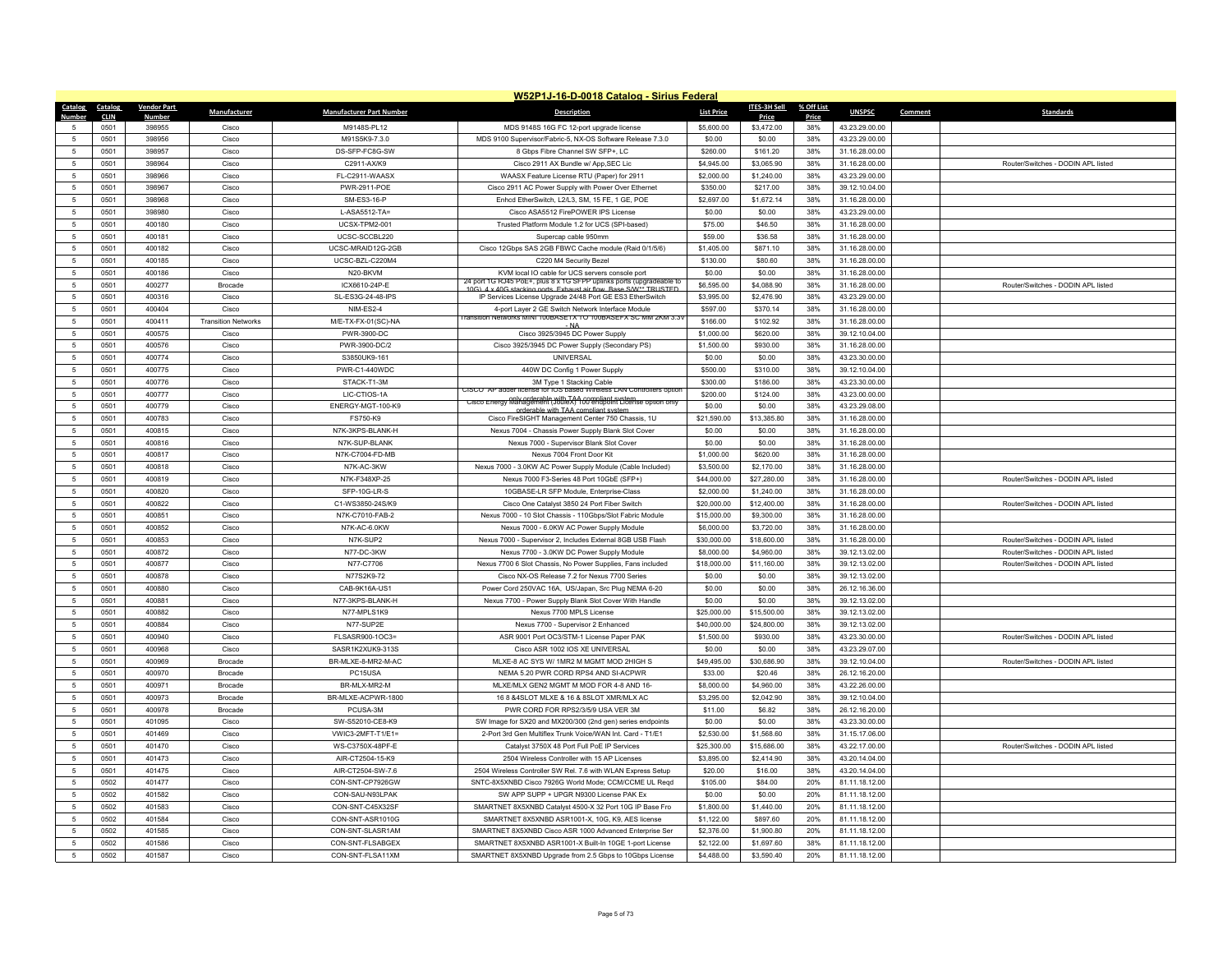|                     | W52P1J-16-D-0018 Catalog - Sirius Federal |                    |                            |                                        |                                                                                                                         |                            |                            |            |                                  |                                    |  |  |
|---------------------|-------------------------------------------|--------------------|----------------------------|----------------------------------------|-------------------------------------------------------------------------------------------------------------------------|----------------------------|----------------------------|------------|----------------------------------|------------------------------------|--|--|
|                     | Catalog Catalog                           | <b>Vendor Part</b> | Manufacturer               | <b>Manufacturer Part Number</b>        | <b>Description</b>                                                                                                      | <b>List Price</b>          | <b>ITES-3H Sell</b>        | % Off List | <b>UNSPSC</b>                    | Comment<br><b>Standards</b>        |  |  |
| Number              | <b>CLIN</b>                               | <b>Numbe</b>       |                            |                                        |                                                                                                                         |                            | Price                      | Price      |                                  |                                    |  |  |
|                     | 0501                                      | 398955             | Cisco                      | M9148S-PL12                            | MDS 9148S 16G FC 12-port upgrade license                                                                                | \$5,600.00                 | \$3,472.00                 | 38%        | 43.23.29.00.00                   |                                    |  |  |
| $\sqrt{2}$          | 0501                                      | 398956             | Cisco                      | M91S5K9-7.3.0                          | MDS 9100 Supervisor/Fabric-5, NX-OS Software Release 7.3.0                                                              | \$0.00                     | \$0.00                     | 38%        | 43.23.29.00.00                   |                                    |  |  |
| 5                   | 0501                                      | 398957             | Cisco                      | DS-SFP-FC8G-SW                         | 8 Gbps Fibre Channel SW SFP+, LC                                                                                        | \$260.00                   | \$161.20                   | 38%        | 31.16.28.00.00                   |                                    |  |  |
| $\overline{5}$      | 0501                                      | 398964             | Cisco                      | C2911-AX/K9                            | Cisco 2911 AX Bundle w/ App, SEC Lic                                                                                    | \$4,945.00                 | \$3,065.90                 | 38%        | 31.16.28.00.00                   | Router/Switches - DODIN API listed |  |  |
| -5                  | 0501                                      | 398966             | Cisco                      | FL-C2911-WAASX                         | WAASX Feature License RTU (Paper) for 2911                                                                              | \$2,000.00                 | \$1,240.00                 | 38%        | 43.23.29.00.00                   |                                    |  |  |
| 5                   | 0501                                      | 398967             | Cisco                      | PWR-2911-POE                           | Cisco 2911 AC Power Supply with Power Over Ethernet                                                                     | \$350.00                   | \$217.00                   | 38%        | 39.12.10.04.00                   |                                    |  |  |
| $\overline{5}$      | 0501                                      | 398968             | Cisco                      | SM-ES3-16-P                            | Enhcd EtherSwitch, L2/L3, SM, 15 FE, 1 GE, POE                                                                          | \$2,697.00                 | \$1,672.14                 | 38%        | 31.16.28.00.00                   |                                    |  |  |
| $\overline{5}$      | 0501                                      | 398980             | Cisco                      | L-ASA5512-TA=                          | Cisco ASA5512 FirePOWER IPS License                                                                                     | \$0.00                     | \$0.00                     | 38%        | 43.23.29.00.00                   |                                    |  |  |
| 5                   | 0501                                      | 400180             | Cisco                      | UCSX-TPM2-001                          | Trusted Platform Module 1.2 for UCS (SPI-based)                                                                         | \$75.00                    | \$46.50                    | 38%        | 31.16.28.00.00                   |                                    |  |  |
| 5                   | 0501                                      | 400181             | Cisco                      | UCSC-SCCBL220                          | Supercap cable 950mm                                                                                                    | \$59.00                    | \$36.58                    | 38%        | 31.16.28.00.00                   |                                    |  |  |
| 5                   | 0501                                      | 400182             | Cisco                      | UCSC-MRAID12G-2GB                      | Cisco 12Gbps SAS 2GB FBWC Cache module (Raid 0/1/5/6)                                                                   | \$1,405.00                 | \$871.10                   | 38%        | 31.16.28.00.00                   |                                    |  |  |
| 5                   | 0501                                      | 400185             | Cisco                      | UCSC-BZL-C220M4                        | C220 M4 Security Bezel                                                                                                  | \$130.00                   | \$80.60                    | 38%        | 31.16.28.00.00                   |                                    |  |  |
| 5                   | 0501                                      | 400186             | Cisco                      | N20-BKVM                               | KVM local IO cable for UCS servers console port<br>24 port 1G RJ45 PoE+, plus 8 x 1G SFPP uplinks ports (upgradeable to | \$0.00                     | \$0.00                     | 38%        | 31.16.28.00.00                   |                                    |  |  |
| 5                   | 0501                                      | 400277             | Brocade                    | ICX6610-24P-E                          | 10G) 4 x 40G stacking ports Exhaust air flow Base S/W** TRUSTED                                                         | \$6,595.00                 | \$4,088.90                 | 38%        | 31.16.28.00.00                   | Router/Switches - DODIN APL listed |  |  |
| 5                   | 0501                                      | 400316             | Cisco                      | SL-ES3G-24-48-IPS                      | IP Services License Upgrade 24/48 Port GE ES3 EtherSwitch                                                               | \$3,995.00                 | \$2,476.90                 | 38%        | 43.23.29.00.00                   |                                    |  |  |
| $\overline{5}$      | 0501                                      | 400404             | Cisco                      | NIM-ES2-4                              | 4-port Layer 2 GE Switch Network Interface Module<br>Fransition Networks MINI 100BASETX TO 100BASEFX SC MM 2KM 3.39     | \$597.00                   | \$370.14                   | 38%        | 31.16.28.00.00                   |                                    |  |  |
| 5                   | 0501                                      | 400411             | <b>Transition Networks</b> | M/E-TX-FX-01(SC)-NA                    |                                                                                                                         | \$166.00                   | \$102.92                   | 38%        | 31.16.28.00.00                   |                                    |  |  |
| 5                   | 0501                                      | 400575             | Cisco                      | PWR-3900-DC                            | Cisco 3925/3945 DC Power Supply                                                                                         | \$1,000.00                 | \$620.00                   | 38%        | 39.12.10.04.00                   |                                    |  |  |
| $\overline{5}$      | 0501                                      | 400576             | Cisco                      | PWR-3900-DC/2                          | Cisco 3925/3945 DC Power Supply (Secondary PS)                                                                          | \$1,500.00                 | \$930.00                   | 38%        | 31.16.28.00.00                   |                                    |  |  |
| 5                   | 0501                                      | 400774             | Cisco                      | S3850UK9-161                           | <b>UNIVERSAL</b>                                                                                                        | \$0.00                     | \$0.00                     | 38%        | 43.23.30.00.00                   |                                    |  |  |
| 5                   | 0501                                      | 400775             | Cisco                      | PWR-C1-440WDC                          | 440W DC Config 1 Power Supply                                                                                           | \$500.00                   | \$310.00                   | 38%        | 39.12.10.04.00                   |                                    |  |  |
| 5                   | 0501                                      | 400776             | Cisco                      | STACK-T1-3M                            | 3M Type 1 Stacking Cable<br>CISCO AP adder license for IOS based Wireless LAN Controllers option                        | \$300.00                   | \$186.00                   | 38%        | 43.23.30.00.00                   |                                    |  |  |
| 5                   | 0501                                      | 400777             | Cisco                      | LIC-CTIOS-1A                           | only orderable with TAA compliant system<br>Cisco Energy Management (JouleX) 100 endpoint License option only           | \$200.00                   | \$124.00                   | 38%        | 43.23.00.00.00                   |                                    |  |  |
| 5                   | 0501                                      | 400779             | Cisco                      | ENERGY-MGT-100-K9                      | orderable with TAA compliant system                                                                                     | \$0.00                     | \$0.00                     | 38%        | 43.23.29.08.00                   |                                    |  |  |
| 5                   | 0501                                      | 400783             | Cisco                      | FS750-K9                               | Cisco FireSIGHT Management Center 750 Chassis, 1U                                                                       | \$21,590.00                | \$13,385.80                | 38%        | 31.16.28.00.00                   |                                    |  |  |
| 5                   | 0501                                      | 400815             | Cisco                      | N7K-3KPS-BLANK-H                       | Nexus 7004 - Chassis Power Supply Blank Slot Cover                                                                      | \$0.00                     | \$0.00                     | 38%        | 31.16.28.00.00                   |                                    |  |  |
| 5                   | 0501                                      | 400816             | Cisco                      | N7K-SUP-BLANK                          | Nexus 7000 - Supervisor Blank Slot Cover                                                                                | \$0.00                     | \$0.00                     | 38%        | 31.16.28.00.00                   |                                    |  |  |
| 5                   | 0501                                      | 400817             | Cisco                      | N7K-C7004-FD-MB                        | Nexus 7004 Front Door Kit                                                                                               | \$1,000.00                 | \$620.00                   | 38%        | 31.16.28.00.00                   |                                    |  |  |
| 5                   | 0501                                      | 400818             | Cisco                      | N7K-AC-3KW                             | Nexus 7000 - 3.0KW AC Power Supply Module (Cable Included)                                                              | \$3,500.00                 | \$2,170.00                 | 38%        | 31.16.28.00.00                   |                                    |  |  |
| $\overline{5}$      | 0501                                      | 400819             | Cisco                      | N7K-F348XP-25                          | Nexus 7000 F3-Series 48 Port 10GbE (SFP+)                                                                               | \$44,000.00                | \$27,280.00                | 38%        | 31.16.28.00.00                   | Router/Switches - DODIN APL listed |  |  |
| 5                   | 0501                                      | 400820             | Cisco                      | SFP-10G-LR-S                           | 10GBASE-LR SFP Module, Enterprise-Class                                                                                 | \$2,000.00                 | \$1,240.00                 | 38%        | 31.16.28.00.00                   |                                    |  |  |
| 5                   | 0501                                      | 400822             | Cisco                      | C1-WS3850-24S/K9                       | Cisco One Catalyst 3850 24 Port Fiber Switch                                                                            | \$20,000.00                | \$12,400.00                | 38%        | 31.16.28.00.00                   | Router/Switches - DODIN API listed |  |  |
| 5                   | 0501                                      | 400851             | Cisco                      | N7K-C7010-FAB-2                        | Nexus 7000 - 10 Slot Chassis - 110Gbps/Slot Fabric Module                                                               | \$15,000.00                | \$9,300.00                 | 38%        | 31.16.28.00.00                   |                                    |  |  |
| 5                   | 0501                                      | 400852             | Cisco                      | N7K-AC-6.0KW                           | Nexus 7000 - 6.0KW AC Power Supply Module                                                                               | \$6,000.00                 | \$3,720.00                 | 38%        | 31.16.28.00.00                   |                                    |  |  |
| 5                   | 0501                                      | 400853             | Cisco                      | N7K-SUP2                               | Nexus 7000 - Supervisor 2, Includes External 8GB USB Flash                                                              | \$30,000.00                | \$18,600.00                | 38%        | 31.16.28.00.00                   | Router/Switches - DODIN APL listed |  |  |
| $\overline{5}$      | 0501                                      | 400872             | Cisco                      | N77-DC-3KW                             | Nexus 7700 - 3.0KW DC Power Supply Module                                                                               | \$8,000.00                 | \$4,960.00                 | 38%        | 39.12.13.02.00                   | Router/Switches - DODIN API listed |  |  |
| 5                   | 0501                                      | 400877             | Cisco                      | N77-C7706                              | Nexus 7700 6 Slot Chassis, No Power Supplies, Fans included                                                             | \$18,000.00                | \$11,160.00                | 38%        | 39.12.13.02.00                   | Router/Switches - DODIN APL listed |  |  |
| 5                   | 0501                                      | 400878             | Cisco                      | N77S2K9-72                             | Cisco NX-OS Release 7.2 for Nexus 7700 Series                                                                           | \$0.00                     | \$0.00                     | 38%        | 39.12.13.02.00                   |                                    |  |  |
| $\overline{5}$      | 0501                                      | 400880             | Cisco                      | CAB-9K16A-US*                          | Power Cord 250VAC 16A, US/Japan, Src Plug NEMA 6-20                                                                     | \$0.00                     | \$0.00                     | 38%        | 26.12.16.36.00                   |                                    |  |  |
| 5                   | 0501                                      | 400881             | Cisco                      | N77-3KPS-BLANK-H                       | Nexus 7700 - Power Supply Blank Slot Cover With Handle                                                                  | \$0.00                     | \$0.00                     | 38%        | 39.12.13.02.00                   |                                    |  |  |
| 5<br>$\overline{5}$ | 0501<br>0501                              | 400882<br>400884   | Cisco                      | N77-MPLS1K9<br>N77-SUP2F               | Nexus 7700 MPLS License                                                                                                 | \$25,000.00<br>\$40,000.00 | \$15,500.00<br>\$24,800.00 | 38%<br>38% | 39.12.13.02.00                   |                                    |  |  |
|                     |                                           |                    | Cisco                      |                                        | Nexus 7700 - Supervisor 2 Enhanced                                                                                      |                            |                            |            | 39.12.13.02.00                   |                                    |  |  |
| 5                   | 0501                                      | 400940             | Cisco                      | FLSASR900-1OC3=                        | ASR 9001 Port OC3/STM-1 License Paper PAK                                                                               | \$1,500.00                 | \$930.00                   | 38%        | 43.23.30.00.00                   | Router/Switches - DODIN API listed |  |  |
| 5<br>$\overline{5}$ | 0501                                      | 400968             | Cisco                      | SASR1K2XUK9-313S<br>BR-MLXE-8-MR2-M-AC | Cisco ASR 1002 IOS XE UNIVERSAL                                                                                         | \$0.00                     | \$0.00<br>\$30,686.90      | 38%<br>38% | 43.23.29.07.00                   |                                    |  |  |
| 5                   | 0501<br>0501                              | 400969<br>400970   | Brocade<br><b>Brocade</b>  | PC <sub>15USA</sub>                    | MLXE-8 AC SYS W/ 1MR2 M MGMT MOD 2HIGH S<br>NEMA 5.20 PWR CORD RPS4 AND SI-ACPWR                                        | \$49,495.00<br>\$33.00     | \$20.46                    | 38%        | 39.12.10.04.00<br>26.12.16.20.00 | Router/Switches - DODIN APL listed |  |  |
| 5                   | 0501                                      | 400971             | Brocade                    | BR-MLX-MR2-M                           | MLXE/MLX GEN2 MGMT M MOD FOR 4-8 AND 16-                                                                                | \$8,000.00                 | \$4,960.00                 | 38%        | 43.22.26.00.00                   |                                    |  |  |
| $\overline{5}$      | 0501                                      | 400973             | <b>Brocade</b>             | BR-MLXE-ACPWR-1800                     | 16 8 &4SLOT MLXE & 16 & 8SLOT XMR/MLX AC                                                                                | \$3,295.00                 | \$2,042.90                 | 38%        | 39.12.10.04.00                   |                                    |  |  |
| 5                   | 0501                                      | 400978             | <b>Brocade</b>             | PCUSA-3M                               | PWR CORD FOR RPS2/3/5/9 USA VER 3M                                                                                      | \$11.00                    | \$6.82                     | 38%        | 26.12.16.20.00                   |                                    |  |  |
| $\overline{5}$      | 0501                                      | 401095             | Cisco                      | SW-S52010-CE8-K9                       | SW Image for SX20 and MX200/300 (2nd gen) series endpoints                                                              | \$0.00                     | \$0.00                     | 38%        | 43.23.30.00.00                   |                                    |  |  |
| $\overline{5}$      | 0501                                      | 401469             | Cisco                      | VWIC3-2MFT-T1/E1=                      | 2-Port 3rd Gen Multiflex Trunk Voice/WAN Int. Card - T1/E1                                                              | \$2,530.00                 | \$1,568.60                 | 38%        | 31.15.17.06.00                   |                                    |  |  |
| 5                   | 0501                                      | 401470             | Cisco                      | WS-C3750X-48PF-F                       | Catalvst 3750X 48 Port Full PoE IP Services                                                                             | \$25,300.00                | \$15,686.00                | 38%        | 43.22.17.00.00                   | Router/Switches - DODIN APL listed |  |  |
| $\overline{5}$      | 0501                                      | 401473             | Cisco                      | AIR-CT2504-15-K9                       | 2504 Wireless Controller with 15 AP Licenses                                                                            | \$3,895.00                 | \$2,414.90                 | 38%        | 43.20.14.04.00                   |                                    |  |  |
| $\overline{5}$      | 0501                                      | 401475             | Cisco                      | AIR-CT2504-SW-7.6                      | 2504 Wireless Controller SW Rel. 7.6 with WLAN Express Setup                                                            | \$20.00                    | \$16.00                    | 38%        | 43.20.14.04.00                   |                                    |  |  |
| 5                   | 0502                                      | 401477             | Cisco                      | CON-SNT-CP7926GW                       | SNTC-8X5XNBD Cisco 7926G World Mode: CCM/CCMF UI_Read                                                                   | \$105.00                   | \$84.00                    | 20%        | 81.11.18.12.00                   |                                    |  |  |
| $\overline{5}$      | 0502                                      | 401582             | Cisco                      | CON-SAU-N93LPAK                        | SW APP SUPP + UPGR N9300 License PAK Ex                                                                                 | \$0.00                     | \$0.00                     | 20%        | 81.11.18.12.00                   |                                    |  |  |
| -5                  | 0502                                      | 401583             | Cisco                      | CON-SNT-C45X32SF                       | SMARTNET 8X5XNBD Catalyst 4500-X 32 Port 10G IP Base Fro                                                                | \$1,800.00                 | \$1,440.00                 | 20%        | 81.11.18.12.00                   |                                    |  |  |
| 5                   | 0502                                      | 401584             | Cisco                      | CON-SNT-ASR1010G                       | SMARTNET 8X5XNBD ASR1001-X, 10G, K9, AES license                                                                        | \$1,122.00                 | \$897.60                   | 20%        | 81.11.18.12.00                   |                                    |  |  |
| $\overline{5}$      | 0502                                      | 401585             | Cisco                      | CON-SNT-SLASR1AM                       | SMARTNET 8X5XNBD Cisco ASR 1000 Advanced Enterprise Ser                                                                 | \$2,376.00                 | \$1,900.80                 | 20%        | 81.11.18.12.00                   |                                    |  |  |
|                     | 0502                                      | 401586             | Cisco                      | CON-SNT-FLSABGEX                       | SMARTNET 8X5XNBD ASR1001-X Built-In 10GE 1-port License                                                                 | \$2,122.00                 | \$1,697.60                 | 38%        | 81.11.18.12.00                   |                                    |  |  |
| 5                   | 0502                                      | 401587             | Cisco                      | CON-SNT-FLSA11XM                       | SMARTNET 8X5XNBD Upgrade from 2.5 Gbps to 10Gbps License                                                                | \$4,488.00                 | \$3,590.40                 | 20%        | 81.11.18.12.00                   |                                    |  |  |
|                     |                                           |                    |                            |                                        |                                                                                                                         |                            |                            |            |                                  |                                    |  |  |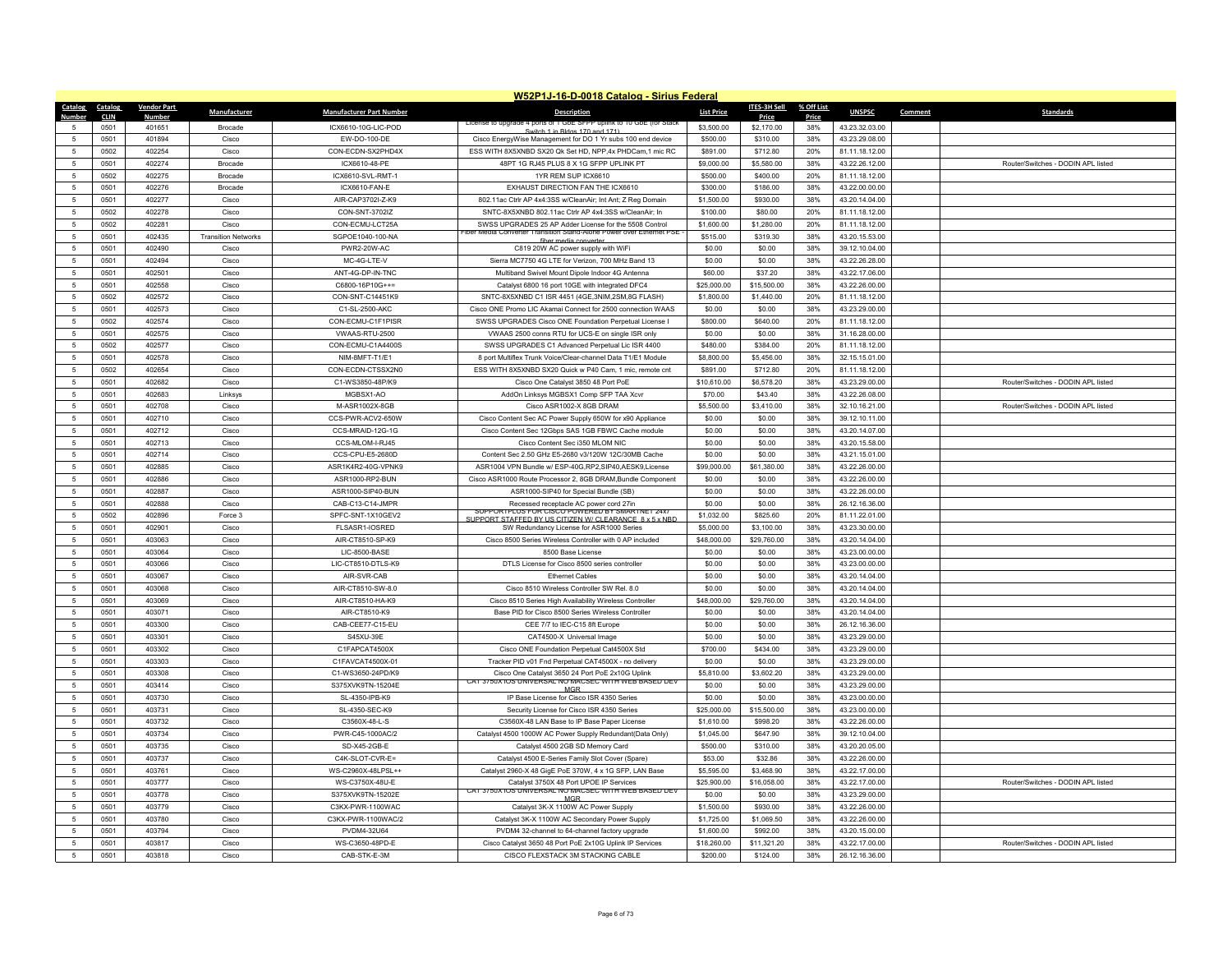|                 | W52P1J-16-D-0018 Catalog - Sirius Federal |                    |                            |                                 |                                                                                      |                   |                     |            |                |         |                                    |
|-----------------|-------------------------------------------|--------------------|----------------------------|---------------------------------|--------------------------------------------------------------------------------------|-------------------|---------------------|------------|----------------|---------|------------------------------------|
| Catalog         | Catalog                                   | <b>Vendor Part</b> | Manufacturer               | <b>Manufacturer Part Number</b> | <b>Description</b>                                                                   | <b>List Price</b> | <b>ITES-3H Sell</b> | % Off List | <b>UNSPSC</b>  | Comment | <b>Standards</b>                   |
| Numbe           | <b>CLIN</b>                               | Number             |                            |                                 |                                                                                      |                   | Price               | Price      |                |         |                                    |
| 5               | 0501                                      | 401651             | Brocade                    | ICX6610-10G-LIC-POD             | Switch 1 in Bldgs 170 and 171)                                                       | \$3,500.00        | \$2,170.00          | 38%        | 43.23.32.03.00 |         |                                    |
| 5               | 0501                                      | 401894             | Cisco                      | EW-DO-100-DE                    | Cisco EnergyWise Management for DO 1 Yr subs 100 end device                          | \$500.00          | \$310.00            | 38%        | 43.23.29.08.00 |         |                                    |
| $\sqrt{5}$      | 0502                                      | 402254             | Cisco                      | CON-ECDN-SX2PHD4X               | ESS WITH 8X5XNBD SX20 Qk Set HD. NPP.4x PHDCam.1 mic RC                              | \$891.00          | \$712.80            | 20%        | 81.11.18.12.00 |         |                                    |
| -5              | 0501                                      | 402274             | <b>Brocade</b>             | ICX6610-48-PF                   | 48PT 1G RJ45 PLUS 8 X 1G SFPP UPLINK PT                                              | \$9,000.00        | \$5,580.00          | 38%        | 43.22.26.12.00 |         | Router/Switches - DODIN API listed |
| $\,$ 5 $\,$     | 0502                                      | 402275             | Brocade                    | ICX6610-SVL-RMT-1               | 1YR REM SUP ICX6610                                                                  | \$500.00          | \$400.00            | 20%        | 81.11.18.12.00 |         |                                    |
| 5               | 0501                                      | 402276             | <b>Brocade</b>             | ICX6610-FAN-E                   | EXHAUST DIRECTION FAN THE ICX6610                                                    | \$300.00          | \$186.00            | 38%        | 43.22.00.00.00 |         |                                    |
| -5              | 0501                                      | 402277             | Cisco                      | AIR-CAP3702I-Z-K9               | 802.11ac Ctrlr AP 4x4:3SS w/CleanAir; Int Ant; Z Reg Domain                          | \$1,500.00        | \$930.00            | 38%        | 43.20.14.04.00 |         |                                    |
| $5\phantom{.0}$ | 0502                                      | 402278             | Cisco                      | CON-SNT-3702IZ                  | SNTC-8X5XNBD 802.11ac Ctrlr AP 4x4:3SS w/CleanAir; In                                | \$100.00          | \$80.00             | 20%        | 81.11.18.12.00 |         |                                    |
| 5               | 0502                                      | 402281             | Cisco                      | CON-ECMU-LCT25A                 | SWSS UPGRADES 25 AP Adder License for the 5508 Control                               | \$1,600.00        | \$1,280.00          | 20%        | 81.11.18.12.00 |         |                                    |
| $5\phantom{.0}$ | 0501                                      | 402435             | <b>Transition Networks</b> | SGPOE1040-100-NA                | Media Converter Transition Stand-Alone Power over Ethernet PSE<br>fiber media conver | \$515.00          | \$319.30            | 38%        | 43.20.15.53.00 |         |                                    |
| 5               | 0501                                      | 402490             | Cisco                      | <b>PWR2-20W-AC</b>              | C819 20W AC power supply with WiFi                                                   | \$0.00            | \$0.00              | 38%        | 39.12.10.04.00 |         |                                    |
| 5               | 0501                                      | 402494             | Cisco                      | MC-4G-LTE-V                     | Sierra MC7750 4G LTE for Verizon, 700 MHz Band 13                                    | \$0.00            | \$0.00              | 38%        | 43.22.26.28.00 |         |                                    |
| $\overline{5}$  | 0501                                      | 402501             | Cisco                      | ANT-4G-DP-IN-TNC                | Multiband Swivel Mount Dipole Indoor 4G Antenna                                      | \$60.00           | \$37.20             | 38%        | 43.22.17.06.00 |         |                                    |
| 5               | 0501                                      | 402558             | Cisco                      | C6800-16P10G++=                 | Catalyst 6800 16 port 10GE with integrated DFC4                                      | \$25,000.00       | \$15,500.00         | 38%        | 43.22.26.00.00 |         |                                    |
| $5\phantom{.0}$ | 0502                                      | 402572             | Cisco                      | CON-SNT-C14451K9                | SNTC-8X5XNBD C1 ISR 4451 (4GE,3NIM,2SM,8G FLASH)                                     | \$1,800.00        | \$1,440.00          | 20%        | 81.11.18.12.00 |         |                                    |
| 5               | 0501                                      | 402573             |                            |                                 |                                                                                      |                   |                     | 38%        |                |         |                                    |
|                 |                                           |                    | Cisco                      | C1-SL-2500-AKC                  | Cisco ONE Promo LIC Akamai Connect for 2500 connection WAAS                          | \$0.00            | \$0.00              |            | 43.23.29.00.00 |         |                                    |
| 5               | 0502                                      | 402574             | Cisco                      | CON-ECMU-C1F1PISR               | SWSS UPGRADES Cisco ONE Foundation Perpetual License I                               | \$800.00          | \$640.00            | 20%        | 81.11.18.12.00 |         |                                    |
| $\sqrt{5}$      | 0501                                      | 402575             | Cisco                      | VWAAS-RTU-2500                  | VWAAS 2500 conns RTU for UCS-E on single ISR only                                    | \$0.00            | \$0.00              | 38%        | 31.16.28.00.00 |         |                                    |
| $\sqrt{5}$      | 0502                                      | 402577             | Cisco                      | CON-ECMU-C1A4400S               | SWSS UPGRADES C1 Advanced Perpetual Lic ISR 4400                                     | \$480.00          | \$384.00            | 20%        | 81.11.18.12.00 |         |                                    |
| $\sqrt{5}$      | 0501                                      | 402578             | Cisco                      | NIM-8MFT-T1/E1                  | 8 port Multiflex Trunk Voice/Clear-channel Data T1/E1 Module                         | \$8,800.00        | \$5,456.00          | 38%        | 32.15.15.01.00 |         |                                    |
| $5\phantom{.0}$ | 0502                                      | 402654             | Cisco                      | CON-ECDN-CTSSX2N0               | ESS WITH 8X5XNBD SX20 Quick w P40 Cam, 1 mic, remote cnt                             | \$891.00          | \$712.80            | 20%        | 81.11.18.12.00 |         |                                    |
| $\overline{5}$  | 0501                                      | 402682             | Cisco                      | C1-WS3850-48P/K9                | Cisco One Catalyst 3850 48 Port PoE                                                  | \$10,610.00       | \$6,578.20          | 38%        | 43.23.29.00.00 |         | Router/Switches - DODIN API listed |
| $\sqrt{5}$      | 0501                                      | 402683             | Linksys                    | MGBSX1-AO                       | AddOn Linksys MGBSX1 Comp SFP TAA Xcvr                                               | \$70.00           | \$43.40             | 38%        | 43.22.26.08.00 |         |                                    |
| 5               | 0501                                      | 402708             | Cisco                      | M-ASR1002X-8GB                  | Cisco ASR1002-X 8GB DRAM                                                             | \$5,500.00        | \$3,410.00          | 38%        | 32.10.16.21.00 |         | Router/Switches - DODIN APL listed |
| $\sqrt{5}$      | 0501                                      | 402710             | Cisco                      | CCS-PWR-ACV2-650W               | Cisco Content Sec AC Power Supply 650W for x90 Appliance                             | \$0.00            | \$0.00              | 38%        | 39.12.10.11.00 |         |                                    |
| 5               | 0501                                      | 402712             | Cisco                      | CCS-MRAID-12G-1G                | Cisco Content Sec 12Gbps SAS 1GB FBWC Cache module                                   | \$0.00            | \$0.00              | 38%        | 43.20.14.07.00 |         |                                    |
| $5\phantom{.0}$ | 0501                                      | 402713             | Cisco                      | CCS-MLOM-I-RJ45                 | Cisco Content Sec i350 MLOM NIC                                                      | \$0.00            | \$0.00              | 38%        | 43.20.15.58.00 |         |                                    |
| $\sqrt{5}$      | 0501                                      | 402714             | Cisco                      | CCS-CPU-E5-2680D                | Content Sec 2.50 GHz E5-2680 v3/120W 12C/30MB Cache                                  | \$0.00            | \$0.00              | 38%        | 43.21.15.01.00 |         |                                    |
| -5              | 0501                                      | 402885             | Cisco                      | ASR1K4R2-40G-VPNK9              | ASR1004 VPN Bundle w/ ESP-40G.RP2.SIP40.AESK9.License                                | \$99,000.00       | \$61,380.00         | 38%        | 43.22.26.00.00 |         |                                    |
| $\sqrt{5}$      | 0501                                      | 402886             | Cisco                      | ASR1000-RP2-BUN                 | Cisco ASR1000 Route Processor 2, 8GB DRAM, Bundle Component                          | \$0.00            | \$0.00              | 38%        | 43.22.26.00.00 |         |                                    |
| $\sqrt{5}$      | 0501                                      | 402887             | Cisco                      | ASR1000-SIP40-BUN               | ASR1000-SIP40 for Special Bundle (SB)                                                | \$0.00            | \$0.00              | 38%        | 43.22.26.00.00 |         |                                    |
| 5               | 0501                                      | 402888             | Cisco                      | CAB-C13-C14-JMPR                | Recessed receptacle AC power cord 27in                                               | \$0.00            | \$0.00              | 38%        | 26.12.16.36.00 |         |                                    |
|                 |                                           |                    |                            |                                 | SUPPORTPLUS FOR CISCO POWERED BY SMARTNET 24X                                        |                   |                     |            |                |         |                                    |
| $5\phantom{.0}$ | 0502                                      | 402896             | Force 3                    | SPFC-SNT-1X10GEV2               | SUPPORT STAFFED BY US CITIZEN W/ CLEARANCE 8 x 5 x NBD                               | \$1,032.00        | \$825.60            | 20%        | 81.11.22.01.00 |         |                                    |
| 5               | 0501                                      | 402901             | Cisco                      | FLSASR1-IOSRED                  | SW Redundancy License for ASR1000 Series                                             | \$5,000.00        | \$3,100.00          | 38%        | 43.23.30.00.00 |         |                                    |
| $\sqrt{5}$      | 0501                                      | 403063             | Cisco                      | AIR-CT8510-SP-K9                | Cisco 8500 Series Wireless Controller with 0 AP included                             | \$48,000.00       | \$29,760.00         | 38%        | 43.20.14.04.00 |         |                                    |
| 5               | 0501                                      | 403064             | Cisco                      | LIC-8500-BASE                   | 8500 Base License                                                                    | \$0.00            | \$0.00              | 38%        | 43.23.00.00.00 |         |                                    |
| $5\phantom{.0}$ | 0501                                      | 403066             | Cisco                      | LIC-CT8510-DTLS-K9              | DTLS License for Cisco 8500 series controller                                        | \$0.00            | \$0.00              | 38%        | 43.23.00.00.00 |         |                                    |
| $5\phantom{.0}$ | 0501                                      | 403067             | Cisco                      | AIR-SVR-CAB                     | <b>Ethernet Cables</b>                                                               | \$0.00            | \$0.00              | 38%        | 43.20.14.04.00 |         |                                    |
| 5               | 0501                                      | 403068             | Cisco                      | AIR-CT8510-SW-8.0               | Cisco 8510 Wireless Controller SW Rel. 8.0                                           | \$0.00            | \$0.00              | 38%        | 43.20.14.04.00 |         |                                    |
| $\sqrt{5}$      | 0501                                      | 403069             | Cisco                      | AIR-CT8510-HA-K9                | Cisco 8510 Series High Availability Wireless Controller                              | \$48,000.00       | \$29,760.00         | 38%        | 43.20.14.04.00 |         |                                    |
| $\sqrt{5}$      | 0501                                      | 403071             | Cisco                      | AIR-CT8510-K9                   | Base PID for Cisco 8500 Series Wireless Controller                                   | \$0.00            | \$0.00              | 38%        | 43.20.14.04.00 |         |                                    |
| -5              | 0501                                      | 403300             | Cisco                      | CAB-CEE77-C15-EU                | CEE 7/7 to IEC-C15 8ft Europe                                                        | \$0.00            | \$0.00              | 38%        | 26.12.16.36.00 |         |                                    |
| 5               | 0501                                      | 403301             | Cisco                      | S45XU-39F                       | CAT4500-X Universal Image                                                            | \$0.00            | \$0.00              | 38%        | 43.23.29.00.00 |         |                                    |
| $5\phantom{.0}$ | 0501                                      | 403302             | Cisco                      | C1FAPCAT4500X                   | Cisco ONE Foundation Perpetual Cat4500X Std                                          | \$700.00          | \$434.00            | 38%        | 43.23.29.00.00 |         |                                    |
| 5               | 0501                                      | 403303             | Cisco                      | C1FAVCAT4500X-01                | Tracker PID v01 Fnd Perpetual CAT4500X - no delivery                                 | \$0.00            | \$0.00              | 38%        | 43.23.29.00.00 |         |                                    |
| $\sqrt{5}$      | 0501                                      | 403308             | Cisco                      | C1-WS3650-24PD/K9               | Cisco One Catalyst 3650 24 Port PoE 2x10G Uplink                                     | \$5,810.00        | \$3,602.20          | 38%        | 43.23.29.00.00 |         |                                    |
| $\sqrt{5}$      | 0501                                      | 403414             | Cisco                      | S375XVK9TN-15204E               | CAT 3750X IOS UNIVERSAL NO MACSEC WITH WEB BASED DEV                                 | \$0.00            | \$0.00              | 38%        | 43.23.29.00.00 |         |                                    |
| $\sqrt{5}$      | 0501                                      | 403730             | Cisco                      | SL-4350-IPB-K9                  | <b>MGR</b><br>IP Base License for Cisco ISR 4350 Series                              | \$0.00            | \$0.00              | 38%        | 43.23.00.00.00 |         |                                    |
| -5              | 0501                                      | 403731             | Cisco                      | SL-4350-SEC-K9                  | Security License for Cisco ISR 4350 Series                                           | \$25,000.00       | \$15,500.00         | 38%        | 43.23.00.00.00 |         |                                    |
|                 |                                           |                    |                            | C3560X-48-L-S                   |                                                                                      |                   |                     | 38%        |                |         |                                    |
| $5\phantom{.0}$ | 0501                                      | 403732             | Cisco                      |                                 | C3560X-48 LAN Base to IP Base Paper License                                          | \$1,610.00        | \$998.20            |            | 43.22.26.00.00 |         |                                    |
| 5               | 0501                                      | 403734             | Cisco                      | PWR-C45-1000AC/2                | Catalyst 4500 1000W AC Power Supply Redundant(Data Only)                             | \$1,045.00        | \$647.90            | 38%        | 39.12.10.04.00 |         |                                    |
| $\sqrt{5}$      | 0501                                      | 403735             | Cisco                      | SD-X45-2GB-E                    | Catalyst 4500 2GB SD Memory Card                                                     | \$500.00          | \$310.00            | 38%        | 43.20.20.05.00 |         |                                    |
| $\sqrt{5}$      | 0501                                      | 403737             | Cisco                      | C4K-SLOT-CVR-E=                 | Catalyst 4500 E-Series Family Slot Cover (Spare)                                     | \$53.00           | \$32.86             | 38%        | 43.22.26.00.00 |         |                                    |
| $\,$ 5 $\,$     | 0501                                      | 403761             | Cisco                      | WS-C2960X-48LPSL++              | Catalyst 2960-X 48 GigE PoE 370W, 4 x 1G SFP, LAN Base                               | \$5,595.00        | \$3,468.90          | 38%        | 43.22.17.00.00 |         |                                    |
| 5               | 0501                                      | 403777             | Cisco                      | WS-C3750X-48U-F                 | Catalyst 3750X 48 Port LIPOE IP Services                                             | \$25,900.00       | \$16,058.00         | 38%        | 43.22.17.00.00 |         | Router/Switches - DODIN API listed |
| $5\phantom{.0}$ | 0501                                      | 403778             | Cisco                      | S375XVK9TN-15202F               | CAT 3/50X IOS UNIVERSAL NO MACSEC WITH WEB BASED DEV<br>MCR                          | \$0.00            | \$0.00              | 38%        | 43.23.29.00.00 |         |                                    |
| $\,$ 5 $\,$     | 0501                                      | 403779             | Cisco                      | C3KX-PWR-1100WAC                | Catalyst 3K-X 1100W AC Power Supply                                                  | \$1,500.00        | \$930.00            | 38%        | 43.22.26.00.00 |         |                                    |
| 5               | 0501                                      | 403780             | Cisco                      | C3KX-PWR-1100WAC/2              | Catalyst 3K-X 1100W AC Secondary Power Supply                                        | \$1,725.00        | \$1,069.50          | 38%        | 43.22.26.00.00 |         |                                    |
| $\overline{5}$  | 0501                                      | 403794             | Cisco                      | PVDM4-32U64                     | PVDM4 32-channel to 64-channel factory upgrade                                       | \$1,600.00        | \$992.00            | 38%        | 43.20.15.00.00 |         |                                    |
| $\overline{5}$  | 0501                                      | 403817             | Cisco                      | WS-C3650-48PD-E                 | Cisco Catalyst 3650 48 Port PoE 2x10G Uplink IP Services                             | \$18,260.00       | \$11,321.20         | 38%        | 43 22 17 00 00 |         | Router/Switches - DODIN API listed |
| $\sqrt{5}$      | 0501                                      | 403818             | Cisco                      | CAB-STK-E-3M                    | CISCO FLEXSTACK 3M STACKING CABLE                                                    | \$200.00          | \$124.00            | 38%        | 26.12.16.36.00 |         |                                    |
|                 |                                           |                    |                            |                                 |                                                                                      |                   |                     |            |                |         |                                    |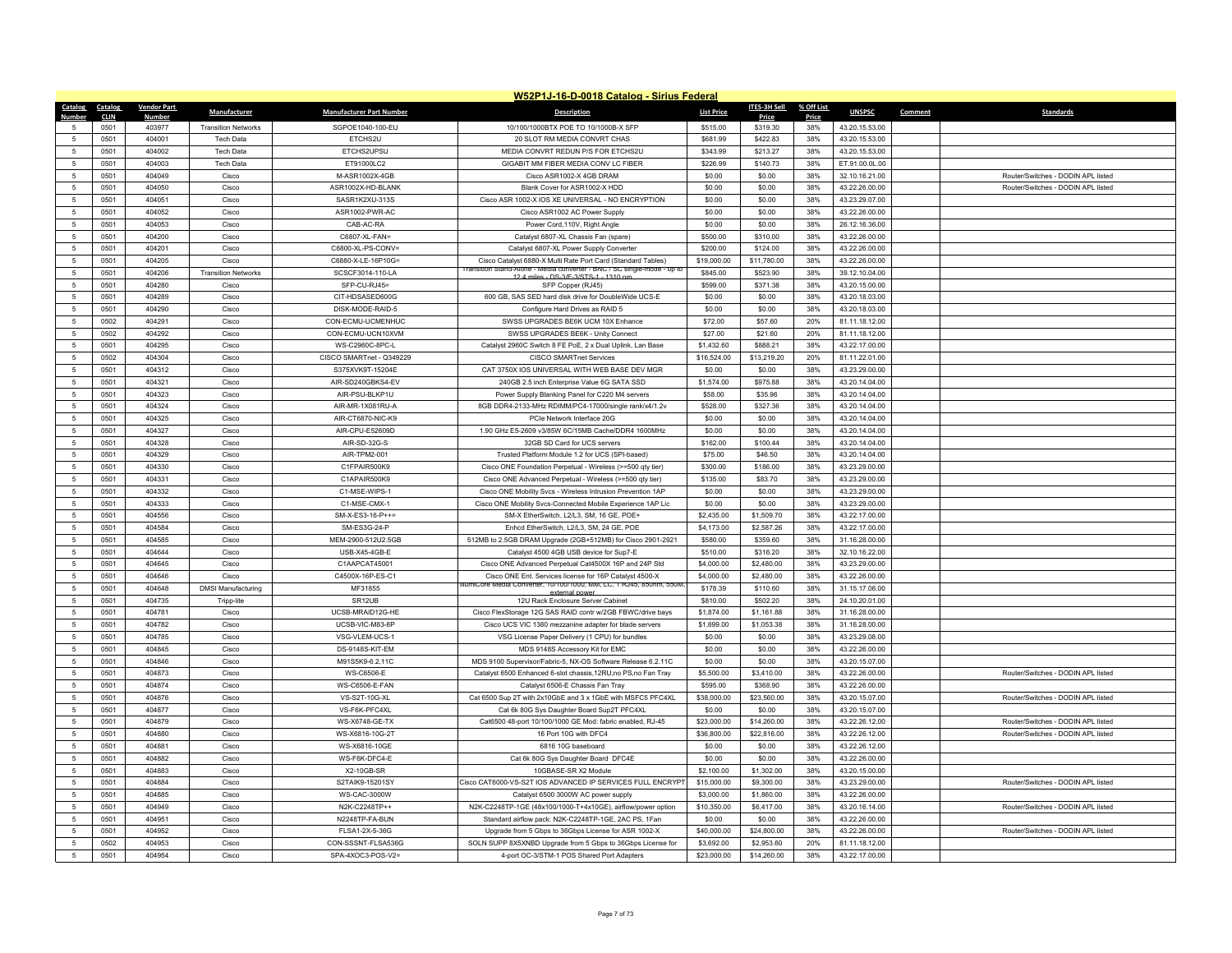|                      | W52P1J-16-D-0018 Catalog - Sirius Federal |                    |                            |                                     |                                                                                                                                  |                        |                      |            |                                  |         |                                    |  |
|----------------------|-------------------------------------------|--------------------|----------------------------|-------------------------------------|----------------------------------------------------------------------------------------------------------------------------------|------------------------|----------------------|------------|----------------------------------|---------|------------------------------------|--|
| Catalog              | Catalog                                   | <b>Vendor Part</b> | Manufacturer               | <b>Manufacturer Part Number</b>     | <b>Description</b>                                                                                                               | <b>List Price</b>      | <b>ITES-3H Sell</b>  | % Off List | <b>UNSPSC</b>                    | Comment | <b>Standards</b>                   |  |
| Numhe                | <b>CLIN</b>                               | Number             |                            |                                     |                                                                                                                                  |                        | Price                | Price      |                                  |         |                                    |  |
| 5                    | 0501                                      | 403977             | <b>Transition Networks</b> | SGPOE1040-100-EU                    | 10/100/1000BTX POE TO 10/1000B-X SFP                                                                                             | \$515.00               | \$319.30             | 38%        | 43.20.15.53.00                   |         |                                    |  |
| 5                    | 0501                                      | 404001             | Tech Data                  | ETCHS2U                             | 20 SLOT RM MEDIA CONVRT CHAS                                                                                                     | \$681.99               | \$422.83             | 38%        | 43.20.15.53.00                   |         |                                    |  |
| $\sqrt{5}$           | 0501                                      | 404002             | <b>Tech Data</b>           | ETCHS2UPSU                          | MEDIA CONVRT REDUN P/S FOR ETCHS2U                                                                                               | \$343.99               | \$213.27             | 38%        | 43.20.15.53.00                   |         |                                    |  |
| -5                   | 0501                                      | 404003             | <b>Tech Data</b>           | ET91000LC2                          | GIGABIT MM FIBER MEDIA CONV LC FIBER                                                                                             | \$226.99               | \$140.73             | 38%        | ET.91.00.0L.00                   |         |                                    |  |
| $\,$ 5 $\,$          | 0501                                      | 404049             | Cisco                      | M-ASR1002X-4GB                      | Cisco ASR1002-X 4GB DRAM                                                                                                         | \$0.00                 | \$0.00               | 38%        | 32.10.16.21.00                   |         | Router/Switches - DODIN API listed |  |
| 5                    | 0501                                      | 404050             | Cisco                      | ASR1002X-HD-BLANK                   | Blank Cover for ASR1002-X HDD                                                                                                    | \$0.00                 | \$0.00               | 38%        | 43.22.26.00.00                   |         | Router/Switches - DODIN APL listed |  |
| -5                   | 0501                                      | 404051             | Cisco                      | SASR1K2XU-313S                      | Cisco ASR 1002-X IOS XE UNIVERSAL - NO ENCRYPTION                                                                                | \$0.00                 | \$0.00               | 38%        | 43.23.29.07.00                   |         |                                    |  |
| $5\phantom{.0}$      | 0501                                      | 404052             | Cisco                      | ASR1002-PWR-AC                      | Cisco ASR1002 AC Power Supply                                                                                                    | \$0.00                 | \$0.00               | 38%        | 43.22.26.00.00                   |         |                                    |  |
| 5                    | 0501                                      | 404053             | Cisco                      | CAB-AC-RA                           | Power Cord, 110V, Right Angle                                                                                                    | \$0.00                 | \$0.00               | 38%        | 26.12.16.36.00                   |         |                                    |  |
| $5\phantom{.0}$      | 0501                                      | 404200             | Cisco                      | C6807-XL-FAN=                       | Catalyst 6807-XL Chassis Fan (spare)                                                                                             | \$500.00               | \$310.00             | 38%        | 43.22.26.00.00                   |         |                                    |  |
| $\sqrt{5}$           | 0501                                      | 404201             | Cisco                      | C6800-XL-PS-CONV=                   | Catalyst 6807-XL Power Supply Converter                                                                                          | \$200.00               | \$124.00             | 38%        | 43.22.26.00.00                   |         |                                    |  |
| 5                    | 0501                                      | 404205             | Cisco                      | C6880-X-LE-16P10G=                  | Cisco Catalyst 6880-X Multi Rate Port Card (Standard Tables)<br>sition Stand-Alone - Media converter - BNC / SC single-mode - up | \$19,000.00            | \$11,780.00          | 38%        | 43.22.26.00.00                   |         |                                    |  |
| $\overline{5}$       | 0501                                      | 404206             | <b>Transition Networks</b> | SCSCF3014-110-LA                    | 12.4 miles - DS-3/F-3/STS-1 - 1310 nm                                                                                            | \$845.00               | \$523.90             | 38%        | 39.12.10.04.00                   |         |                                    |  |
| 5                    | 0501                                      | 404280             | Cisco                      | SFP-CU-RJ45=                        | SFP Copper (RJ45)                                                                                                                | \$599.00               | \$371.38             | 38%        | 43.20.15.00.00                   |         |                                    |  |
| $5\phantom{.0}$      | 0501                                      | 404289             | Cisco                      | CIT-HDSASED600G                     | 600 GB, SAS SED hard disk drive for DoubleWide UCS-E                                                                             | \$0.00                 | \$0.00               | 38%        | 43.20.18.03.00                   |         |                                    |  |
| 5                    | 0501                                      | 404290             | Cisco                      | DISK-MODE-RAID-5                    | Configure Hard Drives as RAID 5                                                                                                  | \$0.00                 | \$0.00               | 38%        | 43.20.18.03.00                   |         |                                    |  |
| 5                    | 0502                                      | 404291             | Cisco                      | CON-ECMU-UCMENHUC                   | SWSS UPGRADES BE6K UCM 10X Enhance                                                                                               | \$72.00                | \$57.60              | 20%        | 81.11.18.12.00                   |         |                                    |  |
| $\sqrt{5}$           | 0502                                      | 404292             | Cisco                      | CON-ECMU-UCN10XVM                   | SWSS UPGRADES BE6K - Unity Connect                                                                                               | \$27.00                | \$21.60              | 20%        | 81.11.18.12.00                   |         |                                    |  |
| $\sqrt{5}$           | 0501                                      | 404295             | Cisco                      | WS-C2960C-8PC-L                     | Catalyst 2960C Switch 8 FE PoE, 2 x Dual Uplink, Lan Base                                                                        | \$1,432.60             | \$888.21             | 38%        | 43.22.17.00.00                   |         |                                    |  |
| $\sqrt{5}$           | 0502                                      | 404304             | Cisco                      | CISCO SMARTnet - Q349229            | <b>CISCO SMARTnet Services</b>                                                                                                   | \$16,524.00            | \$13,219.20          | 20%        | 81.11.22.01.00                   |         |                                    |  |
| $5\phantom{.0}$      | 0501                                      | 404312             | Cisco                      | S375XVK9T-15204E                    | CAT 3750X IOS UNIVERSAL WITH WEB BASE DEV MGR                                                                                    | \$0.00                 | \$0.00               | 38%        | 43.23.29.00.00                   |         |                                    |  |
| 5                    | 0501                                      | 404321             | Cisco                      | AIR-SD240GBKS4-FV                   | 240GB 2.5 inch Enterprise Value 6G SATA SSD                                                                                      | \$1,574.00             | \$975.88             | 38%        | 43.20.14.04.00                   |         |                                    |  |
| $\sqrt{5}$           | 0501                                      | 404323             | Cisco                      | AIR-PSU-BLKP1U                      | Power Supply Blanking Panel for C220 M4 servers                                                                                  | \$58.00                | \$35.96              | 38%        | 43.20.14.04.00                   |         |                                    |  |
| 5                    | 0501                                      | 404324             | Cisco                      | AIR-MR-1X081RU-A                    | 8GB DDR4-2133-MHz RDIMM/PC4-17000/single rank/x4/1.2v                                                                            | \$528.00               | \$327.36             | 38%        | 43.20.14.04.00                   |         |                                    |  |
| $\sqrt{5}$           | 0501                                      | 404325             | Cisco                      | AIR-CT6870-NIC-K9                   | PCIe Network Interface 20G                                                                                                       | \$0.00                 | \$0.00               | 38%        | 43.20.14.04.00                   |         |                                    |  |
| 5                    | 0501                                      | 404327             | Cisco                      | AIR-CPU-E52609D                     | 1.90 GHz E5-2609 v3/85W 6C/15MB Cache/DDR4 1600MHz                                                                               | \$0.00                 | \$0.00               | 38%        | 43.20.14.04.00                   |         |                                    |  |
| $5\phantom{.0}$      | 0501                                      | 404328             | Cisco                      | AIR-SD-32G-S                        | 32GB SD Card for UCS servers                                                                                                     | \$162.00               | \$100.44             | 38%        | 43.20.14.04.00                   |         |                                    |  |
| $\overline{5}$       | 0501                                      | 404329             | Cisco                      | AIR-TPM2-001                        | Trusted Platform Module 1.2 for UCS (SPI-based)                                                                                  | \$75.00                | \$46.50              | 38%        | 43.20.14.04.00                   |         |                                    |  |
| -5                   | 0501                                      | 404330             | Cisco                      | C1FPAIR500K9                        | Cisco ONE Foundation Perpetual - Wireless (>=500 qty tier)                                                                       | \$300.00               | \$186.00             | 38%        | 43.23.29.00.00                   |         |                                    |  |
| $\sqrt{5}$           | 0501                                      | 404331             | Cisco                      | C1APAIR500K9                        | Cisco ONE Advanced Perpetual - Wireless (>=500 qty tier)                                                                         | \$135.00               | \$83.70              | 38%        | 43.23.29.00.00                   |         |                                    |  |
| $\sqrt{5}$           | 0501                                      | 404332<br>404333   | Cisco<br>Cisco             | C1-MSE-WIPS-1<br>C1-MSF-CMX-1       | Cisco ONE Mobility Svcs - Wireless Intrusion Prevention 1AP                                                                      | \$0.00<br>\$0.00       | \$0.00               | 38%<br>38% | 43.23.29.00.00<br>43 23 29 00 00 |         |                                    |  |
| 5                    | 0501                                      |                    |                            |                                     | Cisco ONE Mobility Svcs-Connected Mobile Experience 1AP Lic                                                                      |                        | \$0.00               |            |                                  |         |                                    |  |
| $5\phantom{.0}$<br>5 | 0501                                      | 404556             | Cisco                      | SM-X-ES3-16-P++=                    | SM-X EtherSwitch, L2/L3, SM, 16 GE, POE+                                                                                         | \$2,435.00             | \$1,509.70           | 38%        | 43.22.17.00.00                   |         |                                    |  |
|                      | 0501                                      | 404584             | Cisco                      | SM-ES3G-24-P                        | Enhcd EtherSwitch, L2/L3, SM, 24 GE, POE                                                                                         | \$4,173.00             | \$2,587.26           | 38%        | 43.22.17.00.00                   |         |                                    |  |
| $\sqrt{5}$<br>5      | 0501<br>0501                              | 404585<br>404644   | Cisco<br>Cisco             | MEM-2900-512U2.5GB<br>USB-X45-4GB-E | 512MB to 2.5GB DRAM Upgrade (2GB+512MB) for Cisco 2901-2921<br>Catalyst 4500 4GB USB device for Sup7-E                           | \$580.00               | \$359.60<br>\$316.20 | 38%<br>38% | 31.16.28.00.00<br>32.10.16.22.00 |         |                                    |  |
| $5\phantom{.0}$      | 0501                                      | 404645             | Cisco                      | C1AAPCAT45001                       | Cisco ONE Advanced Perpetual Cat4500X 16P and 24P Std                                                                            | \$510.00<br>\$4,000.00 | \$2,480.00           | 38%        | 43.23.29.00.00                   |         |                                    |  |
|                      | 0501                                      | 404646             | Cisco                      | C4500X-16P-ES-C1                    | Cisco ONE Ent. Services license for 16P Catalyst 4500-X                                                                          | \$4,000.00             | \$2,480.00           | 38%        | 43.22.26.00.00                   |         |                                    |  |
| $5\phantom{.0}$<br>5 | 0501                                      | 404648             | <b>DMSI Manufacturing</b>  | MF31855                             | rter, 10/100/1000, MM, LC, 1 RJ45, 850nm, 55                                                                                     | \$178.39               | \$110.60             | 38%        | 31.15.17.06.00                   |         |                                    |  |
| $\sqrt{5}$           | 0501                                      | 404735             | Tripp-lite                 | SR12UB                              | external powe<br>12U Rack Enclosure Server Cabinet                                                                               | \$810.00               | \$502.20             | 38%        | 24.10.20.01.00                   |         |                                    |  |
| $\sqrt{5}$           | 0501                                      | 404781             | Cisco                      | UCSB-MRAID12G-HE                    | Cisco FlexStorage 12G SAS RAID contr w/2GB FBWC/drive bays                                                                       | \$1,874.00             | \$1,161.88           | 38%        | 31.16.28.00.00                   |         |                                    |  |
| -5                   | 0501                                      | 404782             | Cisco                      | UCSB-VIC-M83-8P                     | Cisco UCS VIC 1380 mezzanine adapter for blade servers                                                                           | \$1,699.00             | \$1,053.38           | 38%        | 31.16.28.00.00                   |         |                                    |  |
| 5                    | 0501                                      | 404785             | Cisco                      | VSG-VLEM-UCS-1                      | VSG License Paper Delivery (1 CPU) for bundles                                                                                   | \$0.00                 | \$0.00               | 38%        | 43.23.29.08.00                   |         |                                    |  |
| $5\phantom{.0}$      | 0501                                      | 404845             | Cisco                      | DS-9148S-KIT-EM                     | MDS 9148S Accessory Kit for EMC                                                                                                  | \$0.00                 | \$0.00               | 38%        | 43.22.26.00.00                   |         |                                    |  |
| 5                    | 0501                                      | 404846             | Cisco                      | M91S5K9-6.2.11C                     | MDS 9100 Supervisor/Fabric-5, NX-OS Software Release 6.2.11C                                                                     | \$0.00                 | \$0.00               | 38%        | 43.20.15.07.00                   |         |                                    |  |
| $\sqrt{5}$           | 0501                                      | 404873             | Cisco                      | WS-C6506-E                          | Catalyst 6500 Enhanced 6-slot chassis, 12RU, no PS, no Fan Tray                                                                  | \$5,500.00             | \$3,410.00           | 38%        | 43.22.26.00.00                   |         | Router/Switches - DODIN APL listed |  |
| $\sqrt{5}$           | 0501                                      | 404874             | Cisco                      | WS-C6506-E-FAN                      | Catalyst 6506-E Chassis Fan Tray                                                                                                 | \$595.00               | \$368.90             | 38%        | 43.22.26.00.00                   |         |                                    |  |
| $5\overline{5}$      | 0501                                      | 404876             | Cisco                      | VS-S2T-10G-XL                       | Cat 6500 Sup 2T with 2x10GbE and 3 x 1GbE with MSFC5 PFC4XL                                                                      | \$38,000.00            | \$23,560.00          | 38%        | 43.20.15.07.00                   |         | Router/Switches - DODIN API listed |  |
| -5                   | 0501                                      | 404877             | Cisco                      | VS-F6K-PFC4XL                       | Cat 6k 80G Sys Daughter Board Sup2T PFC4XL                                                                                       | \$0.00                 | \$0.00               | 38%        | 43.20.15.07.00                   |         |                                    |  |
| $5\phantom{.0}$      | 0501                                      | 404879             | Cisco                      | WS-X6748-GE-TX                      | Cat6500 48-port 10/100/1000 GE Mod: fabric enabled, RJ-45                                                                        | \$23,000.00            | \$14,260.00          | 38%        | 43.22.26.12.00                   |         | Router/Switches - DODIN API listed |  |
| $\,$ 5 $\,$          | 0501                                      | 404880             | Cisco                      | WS-X6816-10G-2T                     | 16 Port 10G with DFC4                                                                                                            | \$36,800.00            | \$22,816.00          | 38%        | 43.22.26.12.00                   |         | Router/Switches - DODIN APL listed |  |
| $\sqrt{5}$           | 0501                                      | 404881             | Cisco                      | WS-X6816-10GE                       | 6816 10G baseboard                                                                                                               | \$0.00                 | \$0.00               | 38%        | 43.22.26.12.00                   |         |                                    |  |
| $\sqrt{5}$           | 0501                                      | 404882             | Cisco                      | WS-F6K-DFC4-E                       | Cat 6k 80G Sys Daughter Board DFC4E                                                                                              | \$0.00                 | \$0.00               | 38%        | 43.22.26.00.00                   |         |                                    |  |
| $\sqrt{5}$           | 0501                                      | 404883             | Cisco                      | X2-10GB-SR                          | 10GBASE-SR X2 Module                                                                                                             | \$2,100.00             | \$1,302.00           | 38%        | 43.20.15.00.00                   |         |                                    |  |
| 5                    | 0501                                      | 404884             | Cisco                      | S2TAIK9-15201SY                     | Cisco CAT6000-VS-S2T IOS ADVANCED IP SERVICES FULL ENCRYPT                                                                       | \$15,000.00            | \$9,300.00           | 38%        | 43.23.29.00.00                   |         | Router/Switches - DODIN API listed |  |
| $5\phantom{.0}$      | 0501                                      | 404885             | Cisco                      | WS-CAC-3000W                        | Catalyst 6500 3000W AC power supply                                                                                              | \$3,000.00             | \$1,860.00           | 38%        | 43.22.26.00.00                   |         |                                    |  |
| $\,$ 5 $\,$          | 0501                                      | 404949             | Cisco                      | N2K-C2248TP++                       | N2K-C2248TP-1GE (48x100/1000-T+4x10GE), airflow/power option                                                                     | \$10,350.00            | \$6,417.00           | 38%        | 43.20.16.14.00                   |         | Router/Switches - DODIN APL listed |  |
| 5                    | 0501                                      | 404951             | Cisco                      | N2248TP-FA-BUN                      | Standard airflow pack: N2K-C2248TP-1GE, 2AC PS, 1Fan                                                                             | \$0.00                 | \$0.00               | 38%        | 43.22.26.00.00                   |         |                                    |  |
| $\overline{5}$       | 0501                                      | 404952             | Cisco                      | FLSA1-2X-5-36G                      | Upgrade from 5 Gbps to 36Gbps License for ASR 1002-X                                                                             | \$40,000.00            | \$24,800.00          | 38%        | 43.22.26.00.00                   |         | Router/Switches - DODIN APL listed |  |
| $\overline{5}$       | 0502                                      | 404953             | Cisco                      | CON-SSSNT-FLSA536G                  | SOLN SUPP 8X5XNBD Upgrade from 5 Gbps to 36Gbps License for                                                                      | \$3,692.00             | \$2,953.60           | 20%        | 81.11.18.12.00                   |         |                                    |  |
| $\sqrt{5}$           | 0501                                      | 404954             | Cisco                      | SPA-4XOC3-POS-V2=                   | 4-port OC-3/STM-1 POS Shared Port Adapters                                                                                       | \$23,000.00            | \$14,260.00          | 38%        | 43.22.17.00.00                   |         |                                    |  |
|                      |                                           |                    |                            |                                     |                                                                                                                                  |                        |                      |            |                                  |         |                                    |  |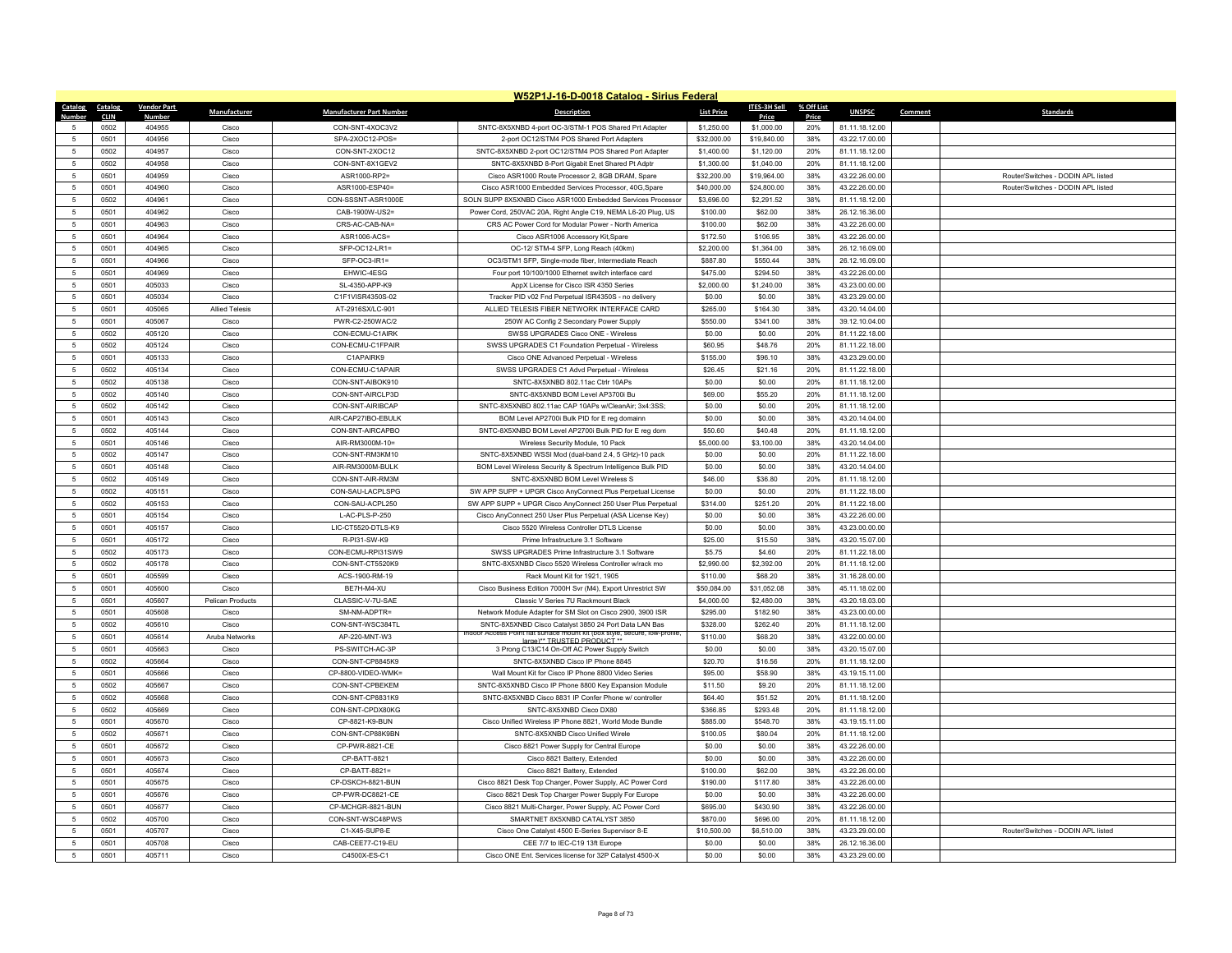|                | W52P1J-16-D-0018 Catalog - Sirius Federal |                    |                       |                                 |                                                                                                                                   |                   |              |            |                |                                    |  |
|----------------|-------------------------------------------|--------------------|-----------------------|---------------------------------|-----------------------------------------------------------------------------------------------------------------------------------|-------------------|--------------|------------|----------------|------------------------------------|--|
|                | Catalog Catalog                           | <b>Vendor Part</b> | Manufacturer          | <b>Manufacturer Part Number</b> | <b>Description</b>                                                                                                                | <b>List Price</b> | ITES-3H Sell | % Off List | <b>UNSPSC</b>  | Comment<br><b>Standards</b>        |  |
| Number         | <b>CLIN</b>                               | Numbe              |                       |                                 |                                                                                                                                   |                   | Price        | Price      |                |                                    |  |
|                | 0502                                      | 404955             | Cisco                 | CON-SNT-4XOC3V2                 | SNTC-8X5XNBD 4-port OC-3/STM-1 POS Shared Prt Adapter                                                                             | \$1,250.00        | \$1,000.00   | 20%        | 81.11.18.12.00 |                                    |  |
| $\overline{5}$ | 0501                                      | 404956             | Cisco                 | SPA-2XOC12-POS=                 | 2-port OC12/STM4 POS Shared Port Adapters                                                                                         | \$32,000.00       | \$19,840.00  | 38%        | 43.22.17.00.00 |                                    |  |
| 5              | 0502                                      | 404957             | Cisco                 | CON-SNT-2XOC12                  | SNTC-8X5XNBD 2-port OC12/STM4 POS Shared Port Adapter                                                                             | \$1,400.00        | \$1,120.00   | 20%        | 81.11.18.12.00 |                                    |  |
| $\overline{5}$ | 0502                                      | 404958             | Cisco                 | CON-SNT-8X1GEV2                 | SNTC-8X5XNBD 8-Port Gigabit Enet Shared Pt Adptr                                                                                  | \$1,300.00        | \$1,040.00   | 20%        | 81.11.18.12.00 |                                    |  |
| $\overline{5}$ | 0501                                      | 404959             | Cisco                 | ASR1000-RP2=                    | Cisco ASR1000 Route Processor 2, 8GB DRAM, Spare                                                                                  | \$32,200.00       | \$19,964.00  | 38%        | 43.22.26.00.00 | Router/Switches - DODIN API listed |  |
| 5              | 0501                                      | 404960             | Cisco                 | ASR1000-ESP40=                  | Cisco ASR1000 Embedded Services Processor, 40G Spare                                                                              | \$40,000.00       | \$24,800.00  | 38%        | 43.22.26.00.00 | Router/Switches - DODIN APL listed |  |
| $\overline{5}$ | 0502                                      | 404961             | Cisco                 | CON-SSSNT-ASR1000E              | SOLN SUPP 8X5XNBD Cisco ASR1000 Embedded Services Processor                                                                       | \$3,696.00        | \$2,291.52   | 38%        | 81.11.18.12.00 |                                    |  |
| $\overline{5}$ | 0501                                      | 404962             | Cisco                 | CAB-1900W-US2=                  | Power Cord, 250VAC 20A, Right Angle C19, NEMA L6-20 Plug, US                                                                      | \$100.00          | \$62.00      | 38%        | 26.12.16.36.00 |                                    |  |
| 5              | 0501                                      | 404963             | Cisco                 | CRS-AC-CAB-NA=                  | CRS AC Power Cord for Modular Power - North America                                                                               | \$100.00          | \$62.00      | 38%        | 43.22.26.00.00 |                                    |  |
| 5              | 0501                                      | 404964             | Cisco                 | ASR1006-ACS=                    | Cisco ASR1006 Accessory Kit, Spare                                                                                                | \$172.50          | \$106.95     | 38%        | 43.22.26.00.00 |                                    |  |
| 5              | 0501                                      | 404965             | Cisco                 | SFP-OC12-LR1=                   | OC-12/ STM-4 SFP, Long Reach (40km)                                                                                               | \$2,200.00        | \$1,364.00   | 38%        | 26.12.16.09.00 |                                    |  |
| 5              | 0501                                      | 404966             | Cisco                 | SFP-OC3-IR1=                    | OC3/STM1 SFP, Single-mode fiber, Intermediate Reach                                                                               | \$887.80          | \$550.44     | 38%        | 26.12.16.09.00 |                                    |  |
| 5              | 0501                                      | 404969             | Cisco                 | EHWIC-4ESG                      | Four port 10/100/1000 Ethernet switch interface card                                                                              | \$475.00          | \$294.50     | 38%        | 43.22.26.00.00 |                                    |  |
| 5              | 0501                                      | 405033             | Cisco                 | SL-4350-APP-K9                  | AppX License for Cisco ISR 4350 Series                                                                                            | \$2,000.00        | \$1,240.00   | 38%        | 43.23.00.00.00 |                                    |  |
| 5              | 0501                                      | 405034             | Cisco                 | C1F1VISR4350S-02                | Tracker PID v02 Fnd Perpetual ISR4350S - no delivery                                                                              | \$0.00            | \$0.00       | 38%        | 43.23.29.00.00 |                                    |  |
| $\overline{5}$ | 0501                                      | 405065             | <b>Allied Telesis</b> | AT-2916SX/LC-901                | ALLIED TELESIS FIBER NETWORK INTERFACE CARD                                                                                       | \$265.00          | \$164.30     | 38%        | 43.20.14.04.00 |                                    |  |
| 5              | 0501                                      | 405067             | Cisco                 | PWR-C2-250WAC/2                 | 250W AC Config 2 Secondary Power Supply                                                                                           | \$550.00          | \$341.00     | 38%        | 39.12.10.04.00 |                                    |  |
| 5              | 0502                                      | 405120             | Cisco                 | CON-ECMU-C1AIRK                 | SWSS UPGRADES Cisco ONE - Wireless                                                                                                | \$0.00            | \$0.00       | 20%        | 81.11.22.18.00 |                                    |  |
| $\overline{5}$ | 0502                                      | 405124             | Cisco                 | CON-ECMU-C1FPAIR                | SWSS UPGRADES C1 Foundation Perpetual - Wireless                                                                                  | \$60.95           | \$48.76      | 20%        | 81.11.22.18.00 |                                    |  |
| 5              | 0501                                      | 405133             | Cisco                 | C1APAIRK9                       | Cisco ONE Advanced Perpetual - Wireless                                                                                           | \$155.00          | \$96.10      | 38%        | 43.23.29.00.00 |                                    |  |
| 5              | 0502                                      | 405134             | Cisco                 | CON-ECMU-C1APAIR                | SWSS UPGRADES C1 Advd Perpetual - Wireless                                                                                        | \$26.45           | \$21.16      | 20%        | 81.11.22.18.00 |                                    |  |
| 5              | 0502                                      | 405138             | Cisco                 | CON-SNT-AIBOK910                | SNTC-8X5XNBD 802.11ac Ctrlr 10APs                                                                                                 | \$0.00            | \$0.00       | 20%        | 81.11.18.12.00 |                                    |  |
| 5              | 0502                                      | 405140             | Cisco                 | CON-SNT-AIRCLP3D                | SNTC-8X5XNBD BOM Level AP3700i Bu                                                                                                 | \$69.00           | \$55.20      | 20%        | 81.11.18.12.00 |                                    |  |
| 5              | 0502                                      | 405142             | Cisco                 | CON-SNT-AIRIBCAP                | SNTC-8X5XNBD 802.11ac CAP 10APs w/CleanAir; 3x4:3SS;                                                                              | \$0.00            | \$0.00       | 20%        | 81.11.18.12.00 |                                    |  |
| 5              | 0501                                      | 405143             | Cisco                 | AIR-CAP27IBO-EBULK              | BOM Level AP2700i Bulk PID for E reg domainn                                                                                      | \$0.00            | \$0.00       | 38%        | 43.20.14.04.00 |                                    |  |
| 5              | 0502                                      | 405144             | Cisco                 | CON-SNT-AIRCAPBO                | SNTC-8X5XNBD BOM Level AP2700i Bulk PID for E reg dom                                                                             | \$50.60           | \$40.48      | 20%        | 81.11.18.12.00 |                                    |  |
| 5              | 0501                                      | 405146             | Cisco                 | AIR-RM3000M-10=                 | Wireless Security Module, 10 Pack                                                                                                 | \$5,000.00        | \$3,100.00   | 38%        | 43.20.14.04.00 |                                    |  |
| 5              | 0502                                      | 405147             | Cisco                 | CON-SNT-RM3KM10                 | SNTC-8X5XNBD WSSI Mod (dual-band 2.4, 5 GHz)-10 pack                                                                              | \$0.00            | \$0.00       | 20%        | 81.11.22.18.00 |                                    |  |
| 5              | 0501                                      | 405148             | Cisco                 | AIR-RM3000M-BULK                | BOM Level Wireless Security & Spectrum Intelligence Bulk PID                                                                      | \$0.00            | \$0.00       | 38%        | 43.20.14.04.00 |                                    |  |
| $\overline{5}$ | 0502                                      | 405149             | Cisco                 | CON-SNT-AIR-RM3M                | SNTC-8X5XNBD BOM Level Wireless S                                                                                                 | \$46.00           | \$36.80      | 20%        | 81.11.18.12.00 |                                    |  |
| 5              | 0502                                      | 405151             | Cisco                 | CON-SAU-LACPLSPG                | SW APP SUPP + UPGR Cisco AnyConnect Plus Perpetual License                                                                        | \$0.00            | \$0.00       | 20%        | 81.11.22.18.00 |                                    |  |
| 5              | 0502                                      | 405153             | Cisco                 | CON-SAU-ACPL250                 | SW APP SUPP + UPGR Cisco AnyConnect 250 User Plus Perpetual                                                                       | \$314.00          | \$251.20     | 20%        | 81.11.22.18.00 |                                    |  |
| 5              | 0501                                      | 405154             | Cisco                 | L-AC-PLS-P-250                  | Cisco AnyConnect 250 User Plus Perpetual (ASA License Key)                                                                        | \$0.00            | \$0.00       | 38%        | 43.22.26.00.00 |                                    |  |
| 5              | 0501                                      | 405157             | Cisco                 | LIC-CT5520-DTLS-K9              | Cisco 5520 Wireless Controller DTLS License                                                                                       | \$0.00            | \$0.00       | 38%        | 43.23.00.00.00 |                                    |  |
| 5              | 0501                                      | 405172             | Cisco                 | R-PI31-SW-K9                    | Prime Infrastructure 3.1 Software                                                                                                 | \$25.00           | \$15.50      | 38%        | 43.20.15.07.00 |                                    |  |
| $\overline{5}$ | 0502                                      | 405173             | Cisco                 | CON-ECMU-RPI31SW9               | SWSS UPGRADES Prime Infrastructure 3.1 Software                                                                                   | \$5.75            | \$4,60       | 20%        | 81.11.22.18.00 |                                    |  |
| 5              | 0502                                      | 405178             | Cisco                 | CON-SNT-CT5520K9                | SNTC-8X5XNBD Cisco 5520 Wireless Controller w/rack mo                                                                             | \$2,990.00        | \$2,392.00   | 20%        | 81.11.18.12.00 |                                    |  |
| 5              | 0501                                      | 405599             | Cisco                 | ACS-1900-RM-19                  | Rack Mount Kit for 1921, 1905                                                                                                     | \$110.00          | \$68.20      | 38%        | 31.16.28.00.00 |                                    |  |
| $\overline{5}$ | 0501                                      | 405600             | Cisco                 | BF7H-M4-XU                      | Cisco Business Edition 7000H Svr (M4), Export Unrestrict SW                                                                       | \$50,084.00       | \$31,052.08  | 38%        | 45.11.18.02.00 |                                    |  |
| 5              | 0501                                      | 405607             | Pelican Products      | CLASSIC-V-7U-SAE                | Classic V Series 7U Rackmount Black                                                                                               | \$4,000.00        | \$2,480.00   | 38%        | 43.20.18.03.00 |                                    |  |
| 5              | 0501                                      | 405608             | Cisco                 | SM-NM-ADPTR=                    | Network Module Adapter for SM Slot on Cisco 2900, 3900 ISR                                                                        | \$295.00          | \$182.90     | 38%        | 43.23.00.00.00 |                                    |  |
| $\overline{5}$ | 0502                                      | 405610             | Cisco                 | CON-SNT-WSC384TL                | SNTC-8X5XNBD Cisco Catalyst 3850 24 Port Data LAN Bas<br>ndoor Access Point flat surface mount kit (box style, secure, low-profil | \$328.00          | \$262.40     | 20%        | 81.11.18.12.00 |                                    |  |
| $\overline{5}$ | 0501                                      | 405614             | Aruba Networks        | AP-220-MNT-W3                   | large)** TRUSTED PRODUCT **                                                                                                       | \$110.00          | \$68.20      | 38%        | 43.22.00.00.00 |                                    |  |
| 5              | 0501                                      | 405663             | Cisco                 | PS-SWITCH-AC-3P                 | 3 Prong C13/C14 On-Off AC Power Supply Switch                                                                                     | \$0.00            | \$0.00       | 38%        | 43.20.15.07.00 |                                    |  |
| $\overline{5}$ | 0502                                      | 405664             | Cisco                 | CON-SNT-CP8845K9                | SNTC-8X5XNBD Cisco IP Phone 8845                                                                                                  | \$20.70           | \$16.56      | 20%        | 81.11.18.12.00 |                                    |  |
| 5              | 0501                                      | 405666             | Cisco                 | CP-8800-VIDEO-WMK=              | Wall Mount Kit for Cisco IP Phone 8800 Video Series                                                                               | \$95.00           | \$58.90      | 38%        | 43.19.15.11.00 |                                    |  |
| 5              | 0502                                      | 405667             | Cisco                 | CON-SNT-CPBEKEM                 | SNTC-8X5XNBD Cisco IP Phone 8800 Key Expansion Module                                                                             | \$11.50           | \$9.20       | 20%        | 81.11.18.12.00 |                                    |  |
| $\overline{5}$ | 0502                                      | 405668             | Cisco                 | CON-SNT-CP8831K9                | SNTC-8X5XNBD Cisco 8831 IP Confer Phone w/ controller                                                                             | \$64.40           | \$51.52      | 20%        | 81.11.18.12.00 |                                    |  |
| 5              | 0502                                      | 405669             | Cisco                 | CON-SNT-CPDX80KG                | SNTC-8X5XNBD Cisco DX80                                                                                                           | \$366.85          | \$293.48     | 20%        | 81.11.18.12.00 |                                    |  |
| $\overline{5}$ | 0501                                      | 405670             | Cisco                 | CP-8821-K9-BUN                  | Cisco Unified Wireless IP Phone 8821, World Mode Bundle                                                                           | \$885.00          | \$548.70     | 38%        | 43.19.15.11.00 |                                    |  |
| 5              | 0502                                      | 405671             | Cisco                 | CON-SNT-CP88K9BN                | SNTC-8X5XNBD Cisco Unified Wirele                                                                                                 | \$100.05          | \$80.04      | 20%        | 81.11.18.12.00 |                                    |  |
| 5              | 0501                                      | 405672             | Cisco                 | CP-PWR-8821-CE                  | Cisco 8821 Power Supply for Central Europe                                                                                        | \$0.00            | \$0.00       | 38%        | 43.22.26.00.00 |                                    |  |
| $\overline{5}$ | 0501                                      | 405673             | Cisco                 | CP-BATT-8821                    | Cisco 8821 Battery, Extended                                                                                                      | \$0.00            | \$0.00       | 38%        | 43.22.26.00.00 |                                    |  |
| $\overline{5}$ | 0501                                      | 405674             | Cisco                 | CP-BATT-8821=                   | Cisco 8821 Battery, Extended                                                                                                      | \$100.00          | \$62.00      | 38%        | 43.22.26.00.00 |                                    |  |
| 5              | 0501                                      | 405675             | Cisco                 | CP-DSKCH-8821-BUN               | Cisco 8821 Desk Top Charger, Power Supply, AC Power Cord                                                                          | \$190.00          | \$117.80     | 38%        | 43.22.26.00.00 |                                    |  |
| $\overline{5}$ | 0501                                      | 405676             | Cisco                 | CP-PWR-DC8821-CE                | Cisco 8821 Desk Top Charger Power Supply For Europe                                                                               | \$0.00            | \$0.00       | 38%        | 43.22.26.00.00 |                                    |  |
| -5             | 0501                                      | 405677             | Cisco                 | CP-MCHGR-8821-BUN               | Cisco 8821 Multi-Charger, Power Supply, AC Power Cord                                                                             | \$695.00          | \$430.90     | 38%        | 43.22.26.00.00 |                                    |  |
| 5              | 0502                                      | 405700             | Cisco                 | CON-SNT-WSC48PWS                | SMARTNET 8X5XNBD CATALYST 3850                                                                                                    | \$870.00          | \$696.00     | 20%        | 81.11.18.12.00 |                                    |  |
| $\overline{5}$ | 0501                                      | 405707             | Cisco                 | C1-X45-SUP8-E                   | Cisco One Catalyst 4500 E-Series Supervisor 8-E                                                                                   | \$10,500.00       | \$6,510.00   | 38%        | 43.23.29.00.00 | Router/Switches - DODIN APL listed |  |
|                | 0501                                      | 405708             | Cisco                 | CAB-CEE77-C19-EU                | CEE 7/7 to IEC-C19 13ft Europe                                                                                                    | \$0.00            | \$0.00       | 38%        | 26.12.16.36.00 |                                    |  |
| 5              | 0501                                      | 405711             | Cisco                 | C4500X-ES-C1                    | Cisco ONE Ent. Services license for 32P Catalyst 4500-X                                                                           | \$0.00            | \$0.00       | 38%        | 43.23.29.00.00 |                                    |  |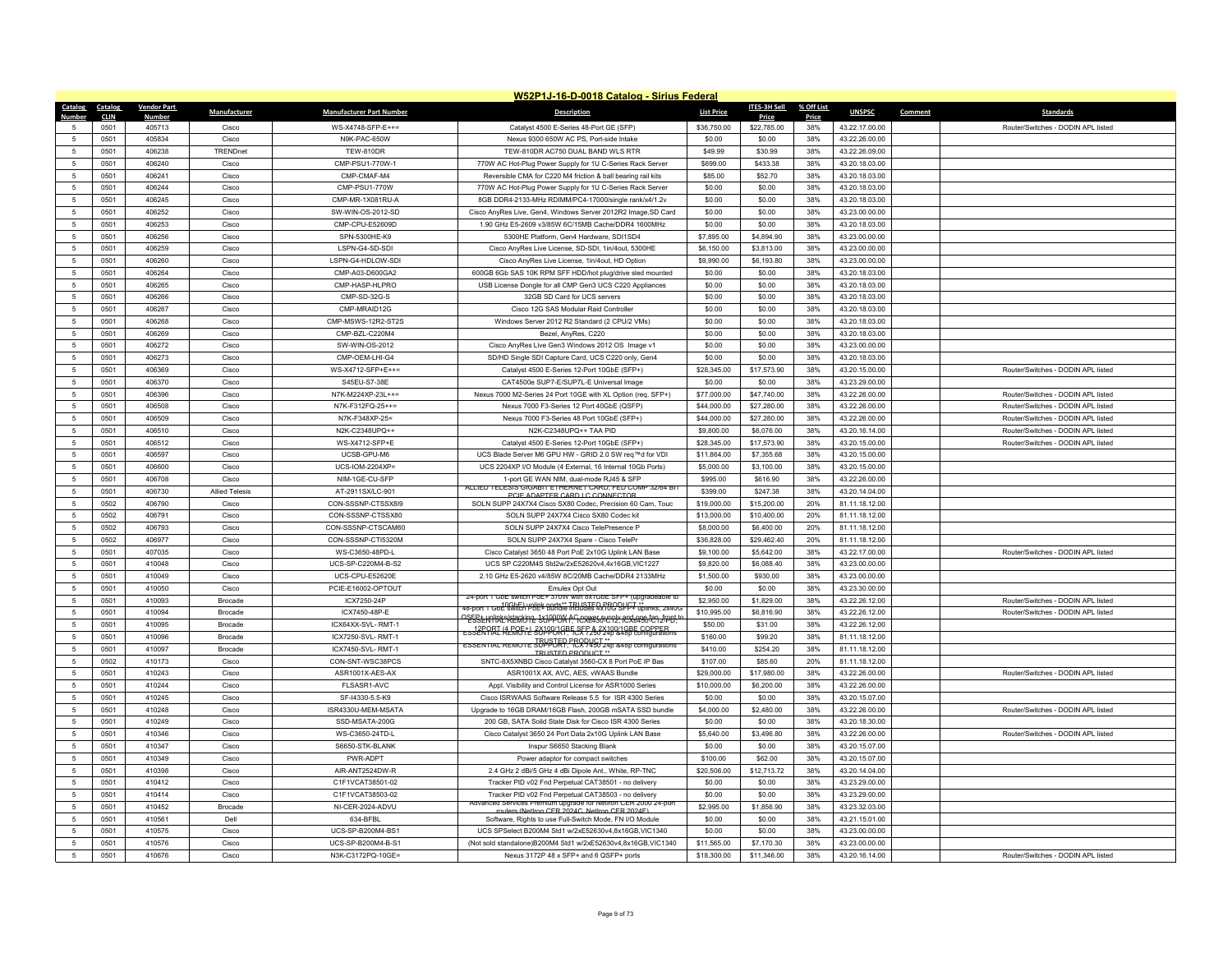|                     | W52P1J-16-D-0018 Catalog - Sirius Federal |                    |                                |                                        |                                                                                                                            |                            |                         |              |                                  |         |                                    |
|---------------------|-------------------------------------------|--------------------|--------------------------------|----------------------------------------|----------------------------------------------------------------------------------------------------------------------------|----------------------------|-------------------------|--------------|----------------------------------|---------|------------------------------------|
| Catalog             | Catalog                                   | <b>Vendor Part</b> | Manufacturer                   | <b>Manufacturer Part Number</b>        | <b>Description</b>                                                                                                         | <b>List Price</b>          | <b>ITES-3H Sell</b>     | % Off List   | <b>UNSPSC</b>                    | Comment | <b>Standards</b>                   |
| 5                   | <b>CLIN</b><br>0501                       | Number<br>405713   | Cisco                          | WS-X4748-SFP-E++=                      | Catalyst 4500 E-Series 48-Port GE (SFP)                                                                                    | \$36,750.00                | Price<br>\$22,785.00    | Price<br>38% | 43.22.17.00.00                   |         | Router/Switches - DODIN APL listed |
| -5                  | 0501                                      | 405834             | Cisco                          | N9K-PAC-650W                           | Nexus 9300 650W AC PS, Port-side Intake                                                                                    | \$0.00                     | \$0.00                  | 38%          | 43.22.26.00.00                   |         |                                    |
| 5                   | 0501                                      | 406238             | TRENDnet                       | <b>TEW-810DR</b>                       | TEW-810DR AC750 DUAL BAND WLS RTR                                                                                          | \$49.99                    | \$30.99                 | 38%          | 43.22.26.09.00                   |         |                                    |
| 5                   | 0501                                      | 406240             | Cisco                          | CMP-PSU1-770W-1                        | 770W AC Hot-Plug Power Supply for 1U C-Series Rack Server                                                                  | \$699.00                   | \$433.38                | 38%          | 43.20.18.03.00                   |         |                                    |
| 5                   | 0501                                      | 406241             | Cisco                          | CMP-CMAF-M4                            | Reversible CMA for C220 M4 friction & ball bearing rail kits                                                               | \$85.00                    | \$52.70                 | 38%          | 43.20.18.03.00                   |         |                                    |
| $\sqrt{5}$          | 0501                                      | 406244             | Cisco                          | CMP-PSU1-770W                          | 770W AC Hot-Plug Power Supply for 1U C-Series Rack Server                                                                  | \$0.00                     | \$0.00                  | 38%          | 43.20.18.03.00                   |         |                                    |
| 5                   | 0501                                      | 406245             | Cisco                          | CMP-MR-1X081RU-A                       | 8GB DDR4-2133-MHz RDIMM/PC4-17000/single rank/x4/1.2v                                                                      | \$0.00                     | \$0.00                  | 38%          | 43.20.18.03.00                   |         |                                    |
| 5                   | 0501                                      | 406252             | Cisco                          | SW-WIN-OS-2012-SD                      | Cisco AnyRes Live, Gen4, Windows Server 2012R2 Image, SD Card                                                              | \$0.00                     | \$0.00                  | 38%          | 43.23.00.00.00                   |         |                                    |
| $\sqrt{5}$          | 0501                                      | 406253             | Cisco                          | CMP-CPU-E52609D                        | 1.90 GHz E5-2609 v3/85W 6C/15MB Cache/DDR4 1600MHz                                                                         | \$0.00                     | \$0.00                  | 38%          | 43.20.18.03.00                   |         |                                    |
| 5                   | 0501                                      | 406256             | Cisco                          | SPN-5300HF-K9                          | 5300HE Platform. Gen4 Hardware, SDI1SD4                                                                                    | \$7,895.00                 | \$4,894.90              | 38%          | 43.23.00.00.00                   |         |                                    |
| 5                   | 0501                                      | 406259             | Cisco                          | LSPN-G4-SD-SDI                         | Cisco AnyRes Live License, SD-SDI, 1in/4out, 5300HE                                                                        | \$6,150.00                 | \$3,813.00              | 38%          | 43.23.00.00.00                   |         |                                    |
| $\sqrt{5}$          | 0501                                      | 406260             | Cisco                          | LSPN-G4-HDLOW-SD                       | Cisco AnyRes Live License, 1in/4out, HD Option                                                                             | \$9,990.00                 | \$6,193.80              | 38%          | 43.23.00.00.00                   |         |                                    |
| 5                   | 0501                                      | 406264             | Cisco                          | CMP-A03-D600GA2                        | 600GB 6Gb SAS 10K RPM SFF HDD/hot plug/drive sled mounted                                                                  | \$0.00                     | \$0.00                  | 38%          | 43.20.18.03.00                   |         |                                    |
| 5                   | 0501                                      | 406265             | Cisco                          | CMP-HASP-HLPRO                         | USB License Dongle for all CMP Gen3 UCS C220 Appliances                                                                    | \$0.00                     | \$0.00                  | 38%          | 43.20.18.03.00                   |         |                                    |
| 5                   | 0501                                      | 406266             | Cisco                          | CMP-SD-32G-S                           | 32GB SD Card for UCS servers                                                                                               | \$0.00                     | \$0.00                  | 38%          | 43.20.18.03.00                   |         |                                    |
| 5                   | 0501                                      | 406267             | Cisco                          | CMP-MRAID12G                           | Cisco 12G SAS Modular Raid Controller                                                                                      | \$0.00                     | \$0.00                  | 38%          | 43.20.18.03.00                   |         |                                    |
| $\sqrt{5}$          | 0501                                      | 406268             | Cisco                          | CMP-MSWS-12R2-ST2S                     | Windows Server 2012 R2 Standard (2 CPU/2 VMs)                                                                              | \$0.00                     | \$0.00                  | 38%          | 43.20.18.03.00                   |         |                                    |
| 5                   | 0501                                      | 406269             | Cisco                          | CMP-BZL-C220M4                         | Bezel, AnyRes, C220                                                                                                        | \$0.00                     | \$0.00                  | 38%          | 43.20.18.03.00                   |         |                                    |
| 5                   | 0501                                      | 406272             | Cisco                          | SW-WIN-OS-2012                         | Cisco AnyRes Live Gen3 Windows 2012 OS Image v1                                                                            | \$0.00                     | \$0.00                  | 38%          | 43.23.00.00.00                   |         |                                    |
| -5                  | 0501                                      | 406273             | Cisco                          | CMP-OFM-I HI-G4                        | SD/HD Single SDI Capture Card, UCS C220 only, Gen4                                                                         | \$0.00                     | \$0.00                  | 38%          | 43.20.18.03.00                   |         |                                    |
| 5                   | 0501                                      | 406369             | Cisco                          | WS-X4712-SFP+E++=                      | Catalyst 4500 E-Series 12-Port 10GbE (SFP+)                                                                                | \$28,345.00                | \$17,573.90             | 38%          | 43.20.15.00.00                   |         | Router/Switches - DODIN APL listed |
| 5                   | 0501                                      | 406370             | Cisco                          | S45EU-S7-38E                           | CAT4500e SUP7-E/SUP7L-E Universal Image                                                                                    | \$0.00                     | \$0.00                  | 38%          | 43.23.29.00.00                   |         |                                    |
| -5                  | 0501                                      | 406396             | Cisco                          | N7K-M224XP-23I ++=                     | Nexus 7000 M2-Series 24 Port 10GE with XL Option (req. SFP+)                                                               | \$77,000.00                | \$47,740.00             | 38%          | 43 22 26 00 00                   |         | Router/Switches - DODIN API listed |
| $\sqrt{5}$          | 0501                                      | 406508             | Cisco                          | N7K-F312FQ-25++=                       | Nexus 7000 F3-Series 12 Port 40GbE (QSFP)                                                                                  | \$44,000.00                | \$27,280.00             | 38%          | 43.22.26.00.00                   |         | Router/Switches - DODIN API listed |
| 5                   | 0501                                      | 406509             | Cisco                          | N7K-F348XP-25=                         | Nexus 7000 F3-Series 48 Port 10GbE (SFP+)                                                                                  | \$44,000.00                | \$27,280.00             | 38%          | 43.22.26.00.00                   |         | Router/Switches - DODIN APL listed |
| 5                   | 0501                                      | 406510             | Cisco                          | N2K-C2348UPQ++                         | N2K-C2348UPO++ TAA PID                                                                                                     | \$9,800.00                 | \$6,076.00              | 38%          | 43.20.16.14.00                   |         | Router/Switches - DODIN API listed |
| $5\phantom{.0}$     | 0501                                      | 406512             | Cisco                          | WS-X4712-SFP+E                         | Catalyst 4500 E-Series 12-Port 10GbE (SFP+)                                                                                | \$28,345.00                | \$17,573.90             | 38%          | 43.20.15.00.00                   |         | Router/Switches - DODIN APL listed |
| $\sqrt{5}$          | 0501                                      | 406597             | Cisco                          | UCSB-GPU-M6                            | UCS Blade Server M6 GPU HW - GRID 2.0 SW req™d for VDI                                                                     | \$11,864.00                | \$7,355.68              | 38%          | 43.20.15.00.00                   |         |                                    |
| 5                   | 0501                                      | 406600             | Cisco                          | $UCS$ -IOM-2204XP=                     | UCS 2204XP I/O Module (4 External, 16 Internal 10Gb Ports)                                                                 | \$5,000.00                 | \$3,100.00              | 38%          | 43.20.15.00.00                   |         |                                    |
| $\sqrt{5}$          | 0501                                      | 406708             | Cisco                          | NIM-1GE-CU-SFP                         | 1-port GE WAN NIM, dual-mode RJ45 & SFP<br>ALLIED TELESIS GIGABIT ETHERNET CARD: FED COMP 32/64 BIT                        | \$995.00                   | \$616.90                | 38%          | 43.22.26.00.00                   |         |                                    |
| 5                   | 0501<br>0502                              | 406730<br>406790   | <b>Allied Telesis</b><br>Cisco | AT-2911SX/LC-901<br>CON-SSSNP-CTSSX8I9 | PCIE ADAPTER CARD LC CONNECTOR                                                                                             | \$399.00                   | \$247.38<br>\$15,200.00 | 38%<br>20%   | 43.20.14.04.00<br>81.11.18.12.00 |         |                                    |
| 5<br>$\overline{5}$ | 0502                                      | 406791             | Cisco                          | CON-SSSNP-CTSSX80                      | SOLN SUPP 24X7X4 Cisco SX80 Codec, Precision 60 Cam, Touc<br>SOLN SUPP 24X7X4 Cisco SX80 Codec kit                         | \$19,000.00<br>\$13,000.00 | \$10,400.00             | 20%          | 81.11.18.12.00                   |         |                                    |
| 5                   | 0502                                      | 406793             | Cisco                          | CON-SSSNP-CTSCAM60                     | SOLN SUPP 24X7X4 Cisco TelePresence P                                                                                      | \$8,000.00                 | \$6,400.00              | 20%          | 81.11.18.12.00                   |         |                                    |
| $\sqrt{5}$          | 0502                                      | 406977             | Cisco                          | CON-SSSNP-CTI5320M                     | SOLN SUPP 24X7X4 Spare - Cisco TelePr                                                                                      | \$36,828.00                | \$29,462.40             | 20%          | 81.11.18.12.00                   |         |                                    |
| 5                   | 0501                                      | 407035             | Cisco                          | WS-C3650-48PD-I                        | Cisco Catalyst 3650 48 Port PoE 2x10G Uplink LAN Base                                                                      | \$9,100.00                 | \$5,642.00              | 38%          | 43.22.17.00.00                   |         | Router/Switches - DODIN APL listed |
| 5                   | 0501                                      | 410048             | Cisco                          | UCS-SP-C220M4-B-S2                     | UCS SP C220M4S Std2w/2xE52620v4.4x16GB,VIC1227                                                                             | \$9,820.00                 | \$6,088.40              | 38%          | 43.23.00.00.00                   |         |                                    |
| $\sqrt{5}$          | 0501                                      | 410049             | Cisco                          | UCS-CPU-E52620E                        | 2.10 GHz E5-2620 v4/85W 8C/20MB Cache/DDR4 2133MHz                                                                         | \$1,500.00                 | \$930.00                | 38%          | 43.23.00.00.00                   |         |                                    |
| -5                  | 0501                                      | 410050             | Cisco                          | PCIE-E16002-OPTOUT                     | Emulex Opt Out                                                                                                             | \$0.00                     | \$0.00                  | 38%          | 43.23.30.00.00                   |         |                                    |
| 5                   | 0501                                      | 410093             | Brocade                        | ICX7250-24P                            | 24-port 1 GbE switch PoE+ 3/0W with 8x1GbE SFP+ (upgradeable to                                                            | \$2,950.00                 | \$1,829.00              | 38%          | 43.22.26.12.00                   |         | Router/Switches - DODIN APL listed |
| 5                   | 0501                                      | 410094             | Brocade                        | ICX7450-48P-E                          | 48-port 1 GbE switch Poet Bundle includes 4x10GSHCT traininks, 2x40G                                                       | \$10,995.00                | \$6,816.90              | 38%          | 43.22.26.12.00                   |         | Router/Switches - DODIN APL listed |
| 5                   | 0501                                      | 410095             | <b>Brocade</b>                 | ICX64XX-SVL-RMT-1                      | <u> PEESt krijaks/stackine skilppook A Geroest-ene, ierderst fen front "</u>                                               | \$50.00                    | \$31.00                 | 38%          | 43.22.26.12.00                   |         |                                    |
| 5                   | 0501                                      | 410096             | Brocade                        | ICX7250-SVL-RMT-1                      | ESSERTRI (CEROFIL SOPPORTE CEP & 2X100/1GBE COPPER                                                                         | \$160.00                   | \$99.20                 | 38%          | 81.11.18.12.00                   |         |                                    |
| 5                   | 0501                                      | 410097             | Brocade                        | ICX7450-SVL-RMT-1                      | ESSENTIAL REMOTE SUPPORT, PRODUCT **<br>ESSENTIAL REMOTE SUPPORT, PCX 7450 240 & 480 configurations*<br>TRUSTED PRODUCT ** | \$410.00                   | \$254.20                | 38%          | 81.11.18.12.00                   |         |                                    |
| 5                   | 0502                                      | 410173             | Cisco                          | CON-SNT-WSC38PCS                       | SNTC-8X5XNBD Cisco Catalyst 3560-CX 8 Port PoE IP Bas                                                                      | \$107.00                   | \$85.60                 | 20%          | 81.11.18.12.00                   |         |                                    |
| $\sqrt{5}$          | 0501                                      | 410243             | Cisco                          | ASR1001X-AES-AX                        | ASR1001X AX, AVC, AES, vWAAS Bundle                                                                                        | \$29,000.00                | \$17,980.00             | 38%          | 43 22 26 00 00                   |         | Router/Switches - DODIN API listed |
| 5                   | 0501                                      | 410244             | Cisco                          | FLSASR1-AVC                            | Appl. Visibility and Control License for ASR1000 Series                                                                    | \$10,000.00                | \$6,200.00              | 38%          | 43.22.26.00.00                   |         |                                    |
| 5                   | 0501                                      | 410245             | Cisco                          | SF-I4330-5.5-K9                        | Cisco ISRWAAS Software Release 5.5 for ISR 4300 Series                                                                     | \$0.00                     | \$0.00                  | 38%          | 43.20.15.07.00                   |         |                                    |
| -5                  | 0501                                      | 410248             | Cisco                          | ISR4330U-MEM-MSATA                     | Upgrade to 16GB DRAM/16GB Flash, 200GB mSATA SSD bundle                                                                    | \$4,000.00                 | \$2,480.00              | 38%          | 43.22.26.00.00                   |         | Router/Switches - DODIN API listed |
| 5                   | 0501                                      | 410249             | Cisco                          | SSD-MSATA-200G                         | 200 GB, SATA Solid State Disk for Cisco ISR 4300 Series                                                                    | \$0.00                     | \$0.00                  | 38%          | 43.20.18.30.00                   |         |                                    |
| 5                   | 0501                                      | 410346             | Cisco                          | WS-C3650-24TD-L                        | Cisco Catalyst 3650 24 Port Data 2x10G Uplink LAN Base                                                                     | \$5,640.00                 | \$3,496.80              | 38%          | 43.22.26.00.00                   |         | Router/Switches - DODIN APL listed |
| -5                  | 0501                                      | 410347             | Cisco                          | S6650-STK-BLANK                        | Inspur S6650 Stacking Blank                                                                                                | \$0.00                     | \$0.00                  | 38%          | 43.20.15.07.00                   |         |                                    |
| $\sqrt{5}$          | 0501                                      | 410349             | Cisco                          | PWR-ADPT                               | Power adaptor for compact switches                                                                                         | \$100.00                   | \$62.00                 | 38%          | 43.20.15.07.00                   |         |                                    |
| 5                   | 0501                                      | 410398             | Cisco                          | AIR-ANT2524DW-R                        | 2.4 GHz 2 dBi/5 GHz 4 dBi Dipole Ant., White, RP-TNC                                                                       | \$20,506.00                | \$12,713.72             | 38%          | 43.20.14.04.00                   |         |                                    |
| 5                   | 0501                                      | 410412             | Cisco                          | C1F1VCAT38501-02                       | Tracker PID v02 Fnd Perpetual CAT38501 - no delivery                                                                       | \$0.00                     | \$0.00                  | 38%          | 43.23.29.00.00                   |         |                                    |
| 5<br>5              | 0501                                      | 410414             | Cisco                          | C1F1VCAT38503-02                       | Tracker PID v02 Fnd Perpetual CAT38503 - no delivery<br>Advanced Services Premium upgrade for Netiron CER 2000 24-port     | \$0.00                     | \$0.00                  | 38%          | 43.23.29.00.00                   |         |                                    |
| 5                   | 0501                                      | 410452<br>410561   | Brocade<br>Dell                | NI-CER-2024-ADVU<br>634-BFBI           | routers (Nettron CER 2024C, Nettron CER 2024F)<br>Software, Rights to use Full-Switch Mode, FN I/O Module                  | \$2,995.00<br>\$0.00       | \$1,856.90<br>\$0.00    | 38%<br>38%   | 43.23.32.03.00                   |         |                                    |
| $\overline{5}$      | 0501<br>0501                              | 410575             | Cisco                          | UCS-SP-B200M4-BS1                      | UCS SPSelect B200M4 Std1 w/2xE52630v4,8x16GB,VIC1340                                                                       | \$0.00                     | \$0.00                  | 38%          | 43.21.15.01.00<br>43.23.00.00.00 |         |                                    |
| 5                   | 0501                                      | 410576             | Cisco                          | UCS-SP-B200M4-B-S1                     | (Not sold standalone)B200M4 Std1 w/2xE52630v4,8x16GB,VIC1340                                                               | \$11,565.00                | \$7,170.30              | 38%          | 43.23.00.00.00                   |         |                                    |
| $\sqrt{5}$          | 0501                                      | 410676             | Cisco                          | N3K-C3172PQ-10GE=                      | Nexus 3172P 48 x SFP+ and 6 QSFP+ ports                                                                                    | \$18,300.00                | \$11,346.00             | 38%          | 43.20.16.14.00                   |         | Router/Switches - DODIN APL listed |
|                     |                                           |                    |                                |                                        |                                                                                                                            |                            |                         |              |                                  |         |                                    |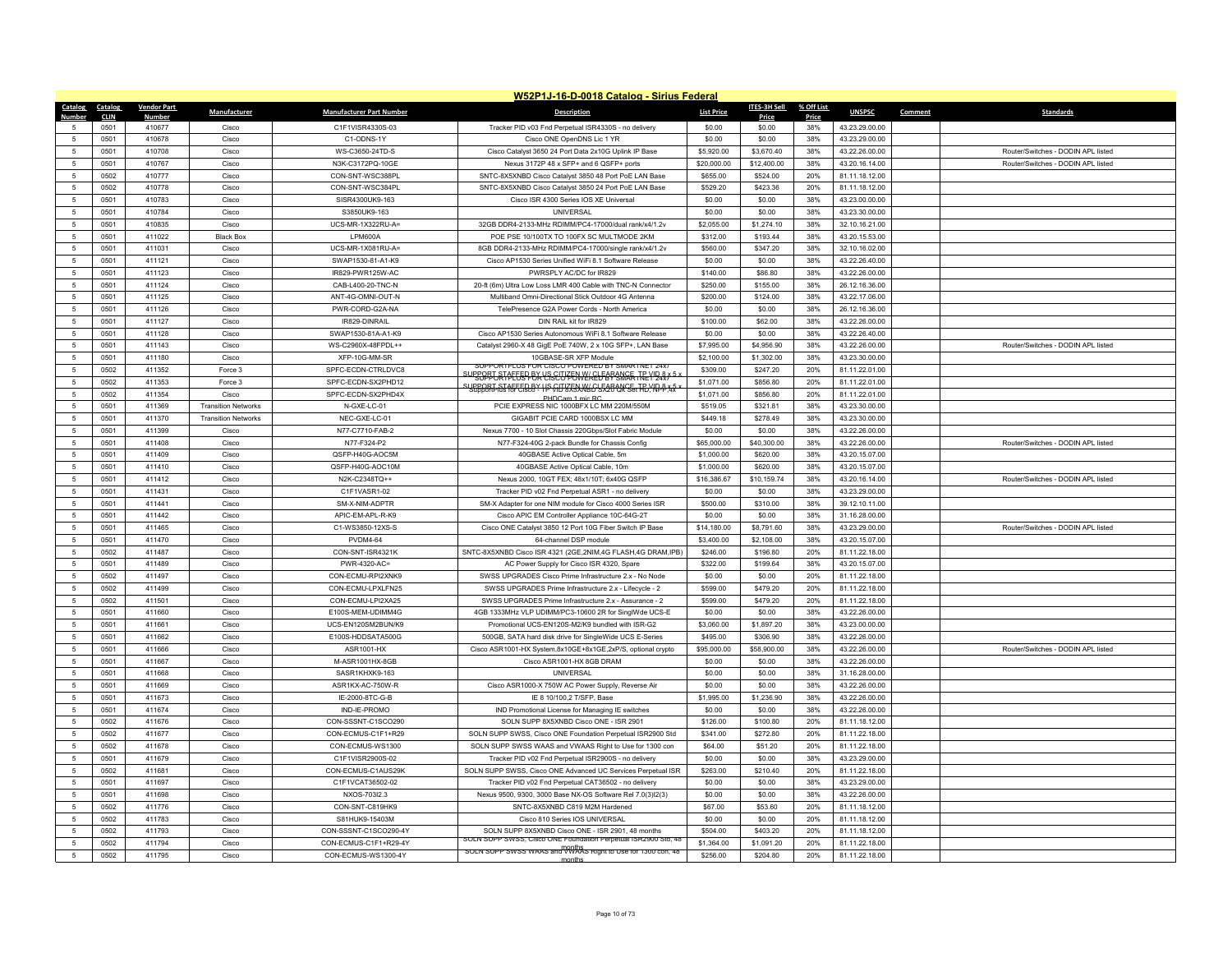|                     | W52P1J-16-D-0018 Catalog - Sirius Federal |                    |                            |                                   |                                                                                                          |                           |                         |            |                                  |         |                                    |  |
|---------------------|-------------------------------------------|--------------------|----------------------------|-----------------------------------|----------------------------------------------------------------------------------------------------------|---------------------------|-------------------------|------------|----------------------------------|---------|------------------------------------|--|
| Catalog             | Catalog                                   | <b>Vendor Part</b> | Manufacturer               | <b>Manufacturer Part Number</b>   | <b>Description</b>                                                                                       | <b>List Price</b>         | <b>ITES-3H Sell</b>     | % Off List | <b>UNSPSC</b>                    | Comment | <b>Standards</b>                   |  |
| Numhei              | <b>CLIN</b>                               | Numbe              |                            |                                   |                                                                                                          |                           | Price                   | Price      |                                  |         |                                    |  |
| $\sqrt{2}$          | 0501                                      | 410677<br>410678   | Cisco                      | C1F1VISR4330S-03<br>C1-ODNS-1Y    | Tracker PID v03 Fnd Perpetual ISR4330S - no delivery                                                     | \$0.00                    | \$0.00                  | 38%        | 43.23.29.00.00                   |         |                                    |  |
| 5                   | 0501<br>0501                              | 410708             | Cisco<br>Cisco             | WS-C3650-24TD-S                   | Cisco ONE OpenDNS Lic 1 YR<br>Cisco Catalyst 3650 24 Port Data 2x10G Uplink IP Base                      | \$0.00<br>\$5,920.00      | \$0.00<br>\$3,670.40    | 38%<br>38% | 43.23.29.00.00<br>43.22.26.00.00 |         | Router/Switches - DODIN APL listed |  |
| $\overline{5}$      | 0501                                      | 410767             | Cisco                      | N3K-C3172PQ-10GE                  | Nexus 3172P 48 x SFP+ and 6 QSFP+ ports                                                                  | \$20,000.00               | \$12,400.00             | 38%        | 43.20.16.14.00                   |         | Router/Switches - DODIN APL listed |  |
| 5                   | 0502                                      | 410777             | Cisco                      | CON-SNT-WSC388PL                  | SNTC-8X5XNBD Cisco Catalyst 3850 48 Port PoE LAN Base                                                    | \$655.00                  | \$524.00                | 20%        | 81.11.18.12.00                   |         |                                    |  |
|                     | 0502                                      | 410778             | Cisco                      | CON-SNT-WSC384PL                  |                                                                                                          |                           | \$423.36                | 20%        |                                  |         |                                    |  |
| 5<br>$\overline{5}$ | 0501                                      | 410783             | Cisco                      | SISR4300UK9-163                   | SNTC-8X5XNBD Cisco Catalyst 3850 24 Port PoE LAN Base<br>Cisco ISR 4300 Series IOS XE Universal          | \$529.20<br>\$0.00        | \$0.00                  | 38%        | 81.11.18.12.00<br>43.23.00.00.00 |         |                                    |  |
| 5                   | 0501                                      | 410784             | Cisco                      | S3850UK9-163                      | <b>UNIVERSAL</b>                                                                                         | \$0.00                    | \$0.00                  | 38%        | 43.23.30.00.00                   |         |                                    |  |
| 5                   | 0501                                      | 410835             | Cisco                      | UCS-MR-1X322RU-A=                 | 32GB DDR4-2133-MHz RDIMM/PC4-17000/dual rank/x4/1.2v                                                     | \$2,055.00                | \$1,274.10              | 38%        | 32.10.16.21.00                   |         |                                    |  |
| $\overline{5}$      | 0501                                      | 411022             | <b>Black Box</b>           | LPM600A                           | POE PSE 10/100TX TO 100FX SC MULTMODE 2KM                                                                | \$312.00                  | \$193,44                | 38%        | 43.20.15.53.00                   |         |                                    |  |
| $\overline{5}$      | 0501                                      | 411031             | Cisco                      | UCS-MR-1X081RU-A=                 | 8GB DDR4-2133-MHz RDIMM/PC4-17000/single rank/x4/1.2v                                                    | \$560.00                  | \$347.20                | 38%        | 32.10.16.02.00                   |         |                                    |  |
| 5                   | 0501                                      | 411121             | Cisco                      | SWAP1530-81-A1-K9                 | Cisco AP1530 Series Unified WiFi 8.1 Software Release                                                    | \$0.00                    | \$0.00                  | 38%        | 43.22.26.40.00                   |         |                                    |  |
| $\overline{5}$      | 0501                                      | 411123             | Cisco                      | IR829-PWR125W-AC                  | PWRSPLY AC/DC for IR829                                                                                  | \$140.00                  | \$86.80                 | 38%        | 43.22.26.00.00                   |         |                                    |  |
| 5                   | 0501                                      | 411124             | Cisco                      | CAB-L400-20-TNC-N                 | 20-ft (6m) Ultra Low Loss LMR 400 Cable with TNC-N Connector                                             | \$250.00                  | \$155.00                | 38%        | 26.12.16.36.00                   |         |                                    |  |
| 5                   | 0501                                      | 411125             | Cisco                      | ANT-4G-OMNI-OUT-N                 | Multiband Omni-Directional Stick Outdoor 4G Antenna                                                      | \$200.00                  | \$124.00                | 38%        | 43.22.17.06.00                   |         |                                    |  |
| $\overline{5}$      | 0501                                      | 411126             | Cisco                      | PWR-CORD-G2A-NA                   | TelePresence G2A Power Cords - North America                                                             | \$0.00                    | \$0.00                  | 38%        | 26.12.16.36.00                   |         |                                    |  |
| 5                   | 0501                                      | 411127             | Cisco                      | IR829-DINRAIL                     | DIN RAIL kit for IR829                                                                                   | \$100.00                  | \$62.00                 | 38%        | 43.22.26.00.00                   |         |                                    |  |
| 5                   | 0501                                      | 411128             | Cisco                      | SWAP1530-81A-A1-K9                | Cisco AP1530 Series Autonomous WiFi 8.1 Software Release                                                 | \$0.00                    | \$0.00                  | 38%        | 43.22.26.40.00                   |         |                                    |  |
| $\overline{5}$      | 0501                                      | 411143             | Cisco                      | WS-C2960X-48FPDL++                | Catalyst 2960-X 48 GigE PoE 740W, 2 x 10G SFP+, LAN Base                                                 | \$7,995.00                | \$4,956.90              | 38%        | 43.22.26.00.00                   |         | Router/Switches - DODIN APL listed |  |
| -5                  | 0501                                      | 411180             | Cisco                      | XFP-10G-MM-SR                     | 10GBASE-SR XFP Module                                                                                    | \$2,100.00                | \$1,302.00              | 38%        | 43.23.30.00.00                   |         |                                    |  |
| 5                   |                                           |                    |                            | SPFC-ECDN-CTRLDVC8                | SUPPORTPLUS FOR CISCO POWERED BY SMARTNET 74X1                                                           |                           |                         |            |                                  |         |                                    |  |
| $\overline{5}$      | 0502<br>0502                              | 411352             | Force 3                    | SPFC-ECDN-SX2PHD12                | <u>SUBBOPFJATPETEFFBKYSSCUFFOWKKELFBPSMAFTREYDAXX5</u>                                                   | \$309.00                  | \$247.20                | 20%<br>20% | 81.11.22.01.00                   |         |                                    |  |
|                     | 0502                                      | 411353<br>411354   | Force 3<br>Cisco           | SPFC-ECDN-SX2PHD4X                | support staffed by HS GU 855XN6G 5526 QK Set HD YN P 35 *                                                | \$1,071.00<br>\$1,071.00  | \$856.80<br>\$856.80    | 20%        | 81.11.22.01.00<br>81.11.22.01.00 |         |                                    |  |
| 5<br>$\overline{5}$ | 0501                                      | 411369             | <b>Transition Networks</b> | N-GXE-LC-01                       | PHDCam 1 mic RC<br>PCIE EXPRESS NIC 1000BFX LC MM 220M/550M                                              | \$519.05                  | \$321.81                | 38%        | 43.23.30.00.00                   |         |                                    |  |
| 5                   | 0501                                      | 411370             | <b>Transition Networks</b> | NEC-GXE-LC-01                     | GIGABIT PCIE CARD 1000BSX LC MM                                                                          | \$449.18                  | \$278.49                | 38%        | 43.23.30.00.00                   |         |                                    |  |
|                     |                                           | 411399             |                            | N77-C7710-FAB-2                   |                                                                                                          |                           |                         |            |                                  |         |                                    |  |
| 5<br>$\overline{5}$ | 0501<br>0501                              | 411408             | Cisco<br>Cisco             | N77-F324-P2                       | Nexus 7700 - 10 Slot Chassis 220Gbps/Slot Fabric Module<br>N77-F324-40G 2-pack Bundle for Chassis Config | \$0.00<br>\$65,000.00     | \$0.00<br>\$40,300.00   | 38%<br>38% | 43.22.26.00.00<br>43.22.26.00.00 |         | Router/Switches - DODIN APL listed |  |
| 5                   | 0501                                      | 411409             | Cisco                      | QSFP-H40G-AOC5M                   | 40GBASE Active Optical Cable, 5m                                                                         | \$1,000.00                | \$620.00                | 38%        | 43.20.15.07.00                   |         |                                    |  |
|                     |                                           |                    |                            |                                   |                                                                                                          |                           |                         |            |                                  |         |                                    |  |
| 5<br>$\overline{5}$ | 0501<br>0501                              | 411410<br>411412   | Cisco<br>Cisco             | QSFP-H40G-AOC10M<br>N2K-C2348TQ++ | 40GBASE Active Optical Cable, 10m<br>Nexus 2000, 10GT FEX; 48x1/10T; 6x40G QSFP                          | \$1,000.00<br>\$16,386.67 | \$620.00<br>\$10,159.74 | 38%<br>38% | 43.20.15.07.00<br>43.20.16.14.00 |         | Router/Switches - DODIN APL listed |  |
| 5                   | 0501                                      | 411431             | Cisco                      | C1F1VASR1-02                      | Tracker PID v02 Fnd Perpetual ASR1 - no delivery                                                         | \$0.00                    | \$0.00                  | 38%        | 43.23.29.00.00                   |         |                                    |  |
| 5                   | 0501                                      | 411441             | Cisco                      | SM-X-NIM-ADPTR                    | SM-X Adapter for one NIM module for Cisco 4000 Series ISR                                                | \$500.00                  | \$310.00                | 38%        | 39.12.10.11.00                   |         |                                    |  |
| $\overline{5}$      | 0501                                      | 411442             | Cisco                      | APIC-FM-API-R-K9                  | Cisco APIC EM Controller Appliance 10C-64G-2T                                                            | \$0.00                    | \$0.00                  | 38%        | 31.16.28.00.00                   |         |                                    |  |
| $\overline{5}$      | 0501                                      | 411465             | Cisco                      | C1-WS3850-12XS-S                  | Cisco ONE Catalyst 3850 12 Port 10G Fiber Switch IP Base                                                 | \$14,180.00               | \$8,791.60              | 38%        | 43.23.29.00.00                   |         | Router/Switches - DODIN APL listed |  |
| 5                   | 0501                                      | 411470             | Cisco                      | <b>PVDM4-64</b>                   | 64-channel DSP module                                                                                    | \$3,400.00                | \$2,108.00              | 38%        | 43.20.15.07.00                   |         |                                    |  |
| $\overline{5}$      | 0502                                      | 411487             | Cisco                      | CON-SNT-ISR4321K                  | SNTC-8X5XNBD Cisco ISR 4321 (2GE,2NIM,4G FLASH,4G DRAM,IPB)                                              | \$246.00                  | \$196.80                | 20%        | 81.11.22.18.00                   |         |                                    |  |
| 5                   | 0501                                      | 411489             | Cisco                      | PWR-4320-AC=                      | AC Power Supply for Cisco ISR 4320, Spare                                                                | \$322.00                  | \$199.64                | 38%        | 43.20.15.07.00                   |         |                                    |  |
| 5                   | 0502                                      | 411497             | Cisco                      | CON-ECMU-RPI2XNK9                 | SWSS UPGRADES Cisco Prime Infrastructure 2.x - No Node                                                   | \$0.00                    | \$0.00                  | 20%        | 81.11.22.18.00                   |         |                                    |  |
| $\overline{5}$      | 0502                                      | 411499             | Cisco                      | CON-ECMU-LPXLFN25                 | SWSS UPGRADES Prime Infrastructure 2.x - Lifecycle - 2                                                   | \$599.00                  | \$479.20                | 20%        | 81.11.22.18.00                   |         |                                    |  |
| -5                  | 0502                                      | 411501             | Cisco                      | CON-ECMU-LPI2XA25                 | SWSS UPGRADES Prime Infrastructure 2.x - Assurance - 2                                                   | \$599.00                  | \$479.20                | 20%        | 81.11.22.18.00                   |         |                                    |  |
| $\overline{5}$      | 0501                                      | 411660             | Cisco                      | E100S-MEM-UDIMM4G                 | 4GB 1333MHz VLP UDIMM/PC3-10600 2R for SinglWde UCS-E                                                    | \$0.00                    | \$0.00                  | 38%        | 43.22.26.00.00                   |         |                                    |  |
| 5                   | 0501                                      | 411661             | Cisco                      | UCS-EN120SM2BUN/K9                | Promotional UCS-EN120S-M2/K9 bundled with ISR-G2                                                         | \$3,060.00                | \$1,897.20              | 38%        | 43.23.00.00.00                   |         |                                    |  |
| 5                   | 0501                                      | 411662             | Cisco                      | E100S-HDDSATA500G                 | 500GB, SATA hard disk drive for SingleWide UCS E-Series                                                  | \$495.00                  | \$306.90                | 38%        | 43.22.26.00.00                   |         |                                    |  |
| 5                   | 0501                                      | 411666             | Cisco                      | ASR1001-HX                        | Cisco ASR1001-HX System,8x10GE+8x1GE,2xP/S, optional crypto                                              | \$95,000.00               | \$58,900.00             | 38%        | 43.22.26.00.00                   |         | Router/Switches - DODIN APL listed |  |
| 5                   | 0501                                      | 411667             | Cisco                      | M-ASR1001HX-8GB                   | Cisco ASR1001-HX 8GB DRAM                                                                                | \$0.00                    | \$0.00                  | 38%        | 43.22.26.00.00                   |         |                                    |  |
| 5                   | 0501                                      | 411668             | Cisco                      | SASR1KHXK9-163                    | <b>UNIVERSAL</b>                                                                                         | \$0.00                    | \$0.00                  | 38%        | 31.16.28.00.00                   |         |                                    |  |
| $\overline{5}$      | 0501                                      | 411669             | Cisco                      | ASR1KX-AC-750W-R                  | Cisco ASR1000-X 750W AC Power Supply, Reverse Air                                                        | \$0.00                    | \$0.00                  | 38%        | 43.22.26.00.00                   |         |                                    |  |
| 5                   | 0501                                      | 411673             | Cisco                      | IE-2000-8TC-G-B                   | IE 8 10/100,2 T/SFP, Base                                                                                | \$1,995.00                | \$1,236.90              | 38%        | 43.22.26.00.00                   |         |                                    |  |
| 5                   | 0501                                      | 411674             | Cisco                      | IND-IE-PROMO                      | IND Promotional License for Managing IE switches                                                         | \$0.00                    | \$0.00                  | 38%        | 43.22.26.00.00                   |         |                                    |  |
| $\overline{5}$      | 0502                                      | 411676             | Cisco                      | CON-SSSNT-C1SCO290                | SOLN SUPP 8X5XNBD Cisco ONE - ISR 2901                                                                   | \$126.00                  | \$100.80                | 20%        | 81.11.18.12.00                   |         |                                    |  |
| 5                   | 0502                                      | 411677             | Cisco                      | CON-ECMUS-C1F1+R29                | SOLN SUPP SWSS, Cisco ONE Foundation Perpetual ISR2900 Std                                               | \$341.00                  | \$272.80                | 20%        | 81.11.22.18.00                   |         |                                    |  |
| 5                   | 0502                                      | 411678             | Cisco                      | CON-ECMUS-WS1300                  | SOLN SUPP SWSS WAAS and VWAAS Right to Use for 1300 con                                                  | \$64.00                   | \$51.20                 | 20%        | 81.11.22.18.00                   |         |                                    |  |
| $\overline{5}$      | 0501                                      | 411679             | Cisco                      | C1F1VISR2900S-02                  | Tracker PID v02 Fnd Perpetual ISR2900S - no delivery                                                     | \$0.00                    | \$0.00                  | 38%        | 43.23.29.00.00                   |         |                                    |  |
| 5                   | 0502                                      | 411681             | Cisco                      | CON-ECMUS-C1AUS29K                | SOLN SUPP SWSS, Cisco ONE Advanced UC Services Perpetual ISR                                             | \$263.00                  | \$210.40                | 20%        | 81.11.22.18.00                   |         |                                    |  |
| 5                   | 0501                                      | 411697             | Cisco                      | C1F1VCAT36502-02                  | Tracker PID v02 Fnd Perpetual CAT36502 - no delivery                                                     | \$0.00                    | \$0.00                  | 38%        | 43.23.29.00.00                   |         |                                    |  |
| 5                   | 0501                                      | 411698             | Cisco                      | NXOS-703I2.3                      | Nexus 9500, 9300, 3000 Base NX-OS Software Rel 7.0(3)l2(3)                                               | \$0.00                    | \$0.00                  | 38%        | 43.22.26.00.00                   |         |                                    |  |
| 5                   | 0502                                      | 411776             | Cisco                      | CON-SNT-C819HK9                   | SNTC-8X5XNBD C819 M2M Hardened                                                                           | \$67.00                   | \$53.60                 | 20%        | 81.11.18.12.00                   |         |                                    |  |
| 5                   | 0502                                      | 411783             | Cisco                      | S81HUK9-15403M                    | Cisco 810 Series IOS UNIVERSAL                                                                           | \$0.00                    | \$0.00                  | 20%        | 81.11.18.12.00                   |         |                                    |  |
| $\overline{5}$      | 0502                                      | 411793             | Cisco                      | CON-SSSNT-C1SCO290-4Y             | SOLN SUPP 8X5XNBD Cisco ONE - ISR 2901, 48 months                                                        | \$504.00                  | \$403.20                | 20%        | 81.11.18.12.00                   |         |                                    |  |
| -5                  | 0502                                      | 411794             | Cisco                      | CON-ECMUS-C1F1+R29-4Y             | SOLN SUPP SWSS, Cisco ONE Foundation Perpetual ISR2900 Std. 48                                           | \$1,364.00                | \$1,091.20              | 20%        | 81.11.22.18.00                   |         |                                    |  |
| $\overline{5}$      | 0502                                      | 411795             | Cisco                      | CON-ECMUS-WS1300-4Y               | SOLN SUPP SWSS WAAS and WWAAS Right to Use for 1300 con, 48                                              | \$256.00                  | \$204.80                | 20%        | 81.11.22.18.00                   |         |                                    |  |
|                     |                                           |                    |                            |                                   | months                                                                                                   |                           |                         |            |                                  |         |                                    |  |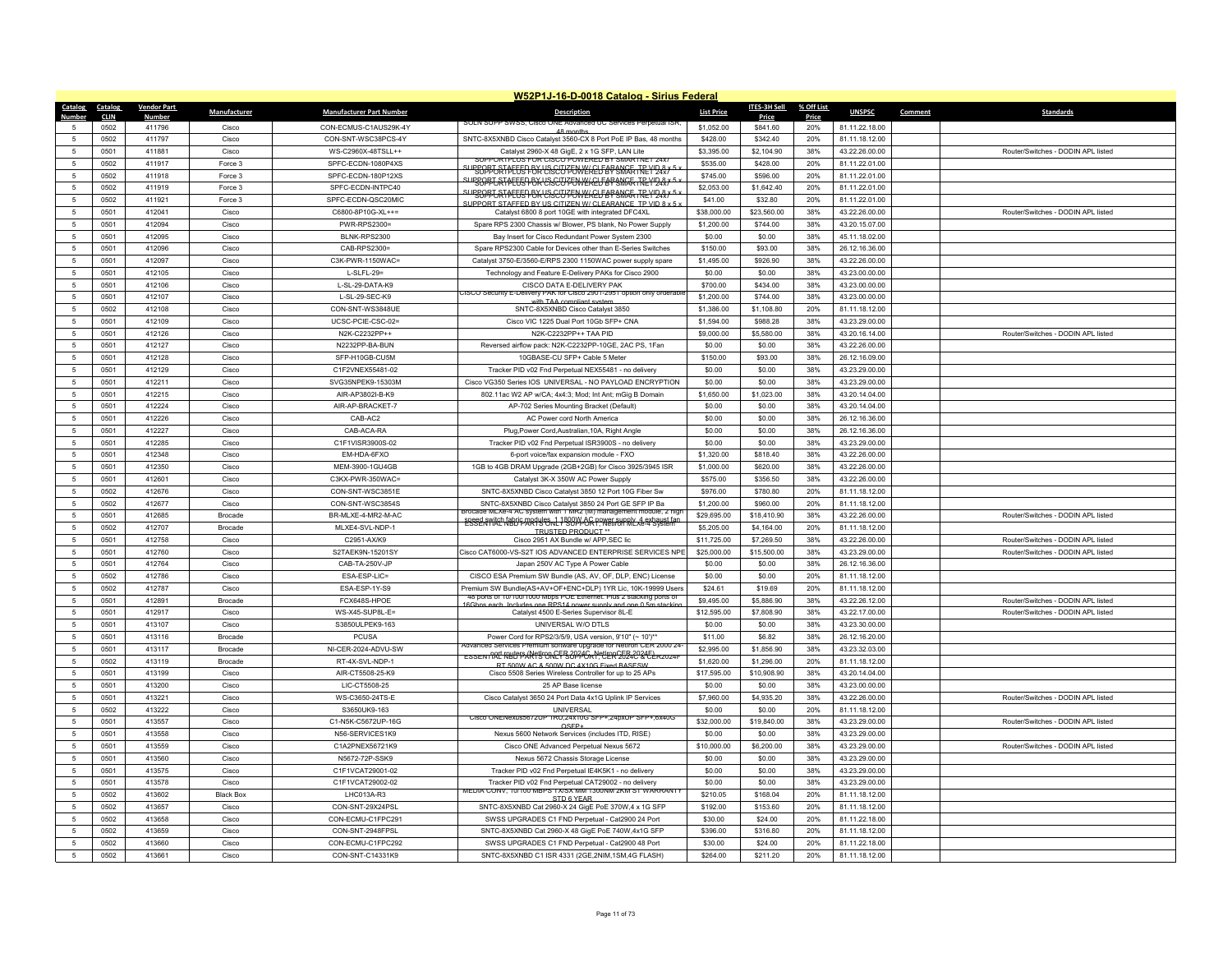|                 | W52P1J-16-D-0018 Catalog - Sirius Federal |                    |                           |                                 |                                                                                                                |                      |                      |            |                                  |         |                                    |  |
|-----------------|-------------------------------------------|--------------------|---------------------------|---------------------------------|----------------------------------------------------------------------------------------------------------------|----------------------|----------------------|------------|----------------------------------|---------|------------------------------------|--|
| Catalog         | Catalog                                   | <b>Vendor Part</b> | Manufacturer              | <b>Manufacturer Part Number</b> | <b>Description</b>                                                                                             | <b>List Price</b>    | ITES-3H Sell         | % Off List | <b>UNSPSC</b>                    | Comment | <b>Standards</b>                   |  |
| <b>Number</b>   | <b>CLIN</b>                               | <b>Number</b>      |                           |                                 | SULN SUPP SWSS. UISCO (<br>ed UC Services Perpetual ISR                                                        |                      | Price                | Price      |                                  |         |                                    |  |
| 5               | 0502                                      | 411796             | Cisco                     | CON-ECMUS-C1AUS29K-4Y           | 48 month                                                                                                       | \$1,052.00           | \$841.60             | 20%        | 81.11.22.18.00                   |         |                                    |  |
| -5              | 0502                                      | 411797             | Cisco                     | CON-SNT-WSC38PCS-4Y             | SNTC-8X5XNBD Cisco Catalyst 3560-CX 8 Port PoE IP Bas, 48 months                                               | \$428.00             | \$342.40             | 20%        | 81.11.18.12.00                   |         |                                    |  |
| 5               | 0501                                      | 411881             | Cisco                     | WS-C2960X-48TSLL++              | Catalyst 2960-X 48 GigE, 2 x 1G SFP, LAN Lite<br>SUPPORTPLUS FOR CISCO POWERED BY SMARTNET 24x7                | \$3,395.00           | \$2,104.90           | 38%        | 43.22.26.00.00                   |         | Router/Switches - DODIN APL listed |  |
| 5               | 0502                                      | 411917             | Force 3                   | SPFC-ECDN-1080P4XS              | SUPGOBJATAETGPBKYGSCUZENWEKELFARANGE TREYDAX                                                                   | \$535.00             | \$428.00             | 20%        | 81.11.22.01.00                   |         |                                    |  |
| 5               | 0502                                      | 411918             | Force 3                   | SPFC-ECDN-180P12XS              | SUPPOPT ATAETSP BK VSSCUTT WIKELFARANCE TRYIDAX 5 x                                                            | \$745.00             | \$596.00             | 20%        | 81.11.22.01.00                   |         |                                    |  |
| -5              | 0502                                      | 411919             | Force 3                   | SPEC-ECDN-INTPC40               | SUBBOPT AT PETER BK USGUTTENNEKELF BP SNAFT TREVIDAY 5 x                                                       | \$2,053.00           | \$1,642.40           | 20%        | 81.11.22.01.00                   |         |                                    |  |
| 5               | 0502                                      | 411921             | Force 3                   | SPFC-ECDN-QSC20MIC              | SUPPORT STAFFED BY US CITIZEN W/ CLEARANCE TP VID 8 x 5                                                        | \$41.00              | \$32.80              | 20%        | 81.11.22.01.00                   |         |                                    |  |
| 5               | 0501                                      | 412041             | Cisco                     | C6800-8P10G-XL++=               | Catalyst 6800 8 port 10GE with integrated DFC4XL                                                               | \$38,000.00          | \$23,560.00          | 38%        | 43.22.26.00.00                   |         | Router/Switches - DODIN APL listed |  |
| -5              | 0501                                      | 412094             | Cisco                     | PWR-RPS2300=                    | Spare RPS 2300 Chassis w/ Blower, PS blank, No Power Supply                                                    | \$1,200.00           | \$744.00             | 38%        | 43.20.15.07.00                   |         |                                    |  |
| 5               | 0501                                      | 412095             | Cisco                     | BLNK-RPS2300                    | Bay Insert for Cisco Redundant Power System 2300                                                               | \$0.00               | \$0.00               | 38%        | 45.11.18.02.00                   |         |                                    |  |
| 5               | 0501                                      | 412096             | Cisco                     | CAB-RPS2300=                    | Spare RPS2300 Cable for Devices other than E-Series Switches                                                   | \$150.00             | \$93.00              | 38%        | 26.12.16.36.00                   |         |                                    |  |
| -5              | 0501                                      | 412097             | Cisco                     | C3K-PWR-1150WAC=                | Catalyst 3750-E/3560-E/RPS 2300 1150WAC power supply spare                                                     | \$1,495.00           | \$926.90             | 38%        | 43.22.26.00.00                   |         |                                    |  |
| 5               | 0501                                      | 412105             | Cisco                     | $L-SLFL-29=$                    | Technology and Feature E-Delivery PAKs for Cisco 2900                                                          | \$0.00               | \$0.00               | 38%        | 43.23.00.00.00                   |         |                                    |  |
| 5               | 0501                                      | 412106             | Cisco                     | L-SL-29-DATA-K9                 | CISCO DATA E-DELIVERY PAK                                                                                      | \$700.00             | \$434.00             | 38%        | 43.23.00.00.00                   |         |                                    |  |
| $\sqrt{5}$      | 0501                                      | 412107             | Cisco                     | L-SL-29-SEC-K9                  | ISCO Security E-Delivery PAK for Cisco 2901-2951 option only orderabl<br>with TAA compliant system             | \$1,200.00           | \$744.00             | 38%        | 43.23.00.00.00                   |         |                                    |  |
| 5               | 0502                                      | 412108             | Cisco                     | CON-SNT-WS3848UE                | SNTC-8X5XNBD Cisco Catalyst 3850                                                                               | \$1,386.00           | \$1,108.80           | 20%        | 81.11.18.12.00                   |         |                                    |  |
| 5               | 0501                                      | 412109             | Cisco                     | UCSC-PCIE-CSC-02=               | Cisco VIC 1225 Dual Port 10Gb SFP+ CNA                                                                         | \$1,594.00           | \$988.28             | 38%        | 43.23.29.00.00                   |         |                                    |  |
| 5               | 0501                                      | 412126             | Cisco                     | N2K-C2232PP++                   | N2K-C2232PP++ TAA PID                                                                                          | \$9,000.00           | \$5,580.00           | 38%        | 43.20.16.14.00                   |         | Router/Switches - DODIN APL listed |  |
| 5               | 0501                                      | 412127             | Cisco                     | N2232PP-BA-BUN                  | Reversed airflow pack: N2K-C2232PP-10GE, 2AC PS, 1Fan                                                          | \$0.00               | \$0.00               | 38%        | 43.22.26.00.00                   |         |                                    |  |
| 5               | 0501                                      | 412128             | Cisco                     | SFP-H10GB-CU5M                  | 10GBASE-CU SFP+ Cable 5 Meter                                                                                  | \$150.00             | \$93.00              | 38%        | 26.12.16.09.00                   |         |                                    |  |
| 5               | 0501                                      | 412129             | Cisco                     | C1F2VNEX55481-02                | Tracker PID v02 Fnd Perpetual NEX55481 - no delivery                                                           | \$0.00               | \$0.00               | 38%        | 43.23.29.00.00                   |         |                                    |  |
| 5               | 0501                                      | 412211             | Cisco                     | SVG35NPEK9-15303M               | Cisco VG350 Series IOS UNIVERSAL - NO PAYLOAD ENCRYPTION                                                       | \$0.00               | \$0.00               | 38%        | 43.23.29.00.00                   |         |                                    |  |
| 5               | 0501                                      | 412215             | Cisco                     | AIR-AP3802I-B-K9                | 802.11ac W2 AP w/CA; 4x4:3; Mod; Int Ant; mGig B Domain                                                        | \$1,650.00           | \$1,023.00           | 38%        | 43.20.14.04.00                   |         |                                    |  |
| 5               | 0501                                      | 412224             | Cisco                     | AIR-AP-BRACKET-7                | AP-702 Series Mounting Bracket (Default)                                                                       | \$0.00               | \$0.00               | 38%        | 43.20.14.04.00                   |         |                                    |  |
| 5               | 0501                                      | 412226             | Cisco                     | CAB-AC2                         | AC Power cord North America                                                                                    | \$0.00               | \$0.00               | 38%        | 26.12.16.36.00                   |         |                                    |  |
| -5              | 0501                                      | 412227             | Cisco                     | CAB-ACA-RA                      | Plug, Power Cord, Australian, 10A, Right Angle                                                                 | \$0.00               | \$0.00               | 38%        | 26.12.16.36.00                   |         |                                    |  |
| $-5$            | 0501                                      | 412285             | Cisco                     | C1F1VISR3900S-02                | Tracker PID v02 Fnd Perpetual ISR3900S - no delivery                                                           | \$0.00               | \$0.00               | 38%        | 43.23.29.00.00                   |         |                                    |  |
| -5              | 0501                                      | 412348             | Cisco                     | EM-HDA-6FXO                     | 6-port voice/fax expansion module - FXO                                                                        | \$1,320.00           | \$818.40             | 38%        | 43.22.26.00.00                   |         |                                    |  |
| 5               | 0501                                      | 412350             | Cisco                     | MFM-3900-1GU4GB                 | 1GB to 4GB DRAM Upgrade (2GB+2GB) for Cisco 3925/3945 ISR                                                      | \$1,000.00           | \$620.00             | 38%        | 43.22.26.00.00                   |         |                                    |  |
| $\sqrt{5}$      | 0501                                      | 412601             | Cisco                     | C3KX-PWR-350WAC=                | Catalyst 3K-X 350W AC Power Supply                                                                             | \$575.00             | \$356.50             | 38%        | 43.22.26.00.00                   |         |                                    |  |
| 5               | 0502                                      | 412676             | Cisco                     | CON-SNT-WSC3851E                | SNTC-8X5XNBD Cisco Catalyst 3850 12 Port 10G Fiber Sw                                                          | \$976.00             | \$780.80             | 20%        | 81.11.18.12.00                   |         |                                    |  |
| 5               | 0502                                      | 412677             | Cisco                     | CON-SNT-WSC3854S                | SNTC-8X5XNBD Cisco Catalyst 3850 24 Port GE SFP IP Ba                                                          | \$1,200.00           | \$960.00             | 20%        | 81.11.18.12.00                   |         |                                    |  |
| 5               | 0501                                      | 412685             | <b>Brocade</b>            | BR-MLXE-4-MR2-M-AC              | ade MLXe-4 AC system with 1 MR2 (M) management module, 21                                                      | \$29,695.00          | \$18,410.90          | 38%        | 43.22.26.00.00                   |         | Router/Switches - DODIN API listed |  |
| 5               | 0502                                      | 412707             | Brocade                   | MLXE4-SVL-NDP-1                 | speed switch fabric modules of 1800 Y 6C nower supply 4 exhaust fan                                            | \$5,205.00           | \$4,164.00           | 20%        | 81.11.18.12.00                   |         |                                    |  |
| $5\phantom{.0}$ | 0501                                      | 412758             | Cisco                     | C2951-AX/K9                     | <b>TRUSTED PRODUCT**</b><br>Cisco 2951 AX Bundle w/ APP, SEC lic                                               | \$11,725.00          | \$7,269.50           | 38%        | 43.22.26.00.00                   |         | Router/Switches - DODIN APL listed |  |
| -5              | 0501                                      | 412760             | Cisco                     | S2TAEK9N-15201SY                | Cisco CAT6000-VS-S2T IOS ADVANCED ENTERPRISE SERVICES NPE                                                      | \$25,000.00          | \$15,500.00          | 38%        | 43.23.29.00.00                   |         | Router/Switches - DODIN APL listed |  |
| 5               | 0501                                      | 412764             | Cisco                     | CAB-TA-250V-JP                  | Japan 250V AC Type A Power Cable                                                                               | \$0.00               | \$0.00               | 38%        | 26.12.16.36.00                   |         |                                    |  |
| 5               | 0502                                      | 412786             | Cisco                     | ESA-ESP-LIC=                    | CISCO ESA Premium SW Bundle (AS, AV, OF, DLP, ENC) License                                                     | \$0.00               | \$0.00               | 20%        | 81.11.18.12.00                   |         |                                    |  |
| $\sqrt{5}$      | 0502                                      | 412787             | Cisco                     | FSA-FSP-1Y-S9                   | Premium SW Bundle(AS+AV+OF+ENC+DLP) 1YR Lic, 10K-19999 Users                                                   | \$24.61              | \$19.69              | 20%        | 81.11.18.12.00                   |         |                                    |  |
| -5              | 0501                                      | 412891             | <b>Brocade</b>            | FCX648S-HPOF                    | 48 ports of 10/100/1000 Mbps POE Ethernet. Plus 2 stacking ports of                                            | \$9,495.00           | \$5,886.90           | 38%        | 43.22.26.12.00                   |         | Router/Switches - DODIN API listed |  |
| $\sqrt{5}$      | 0501                                      | 412917             | Cisco                     | WS-X45-SUP8L-E=                 | one RPS14 nower sunnly and one 0.5m<br>16Chne each<br>Catalyst 4500 E-Series Supervisor 8L-E                   | \$12,595.00          | \$7,808.90           | 38%        | 43.22.17.00.00                   |         | Router/Switches - DODIN APL listed |  |
| 5               | 0501                                      | 413107             | Cisco                     | S3850ULPEK9-163                 | UNIVERSAL W/O DTLS                                                                                             | \$0.00               | \$0.00               | 38%        | 43.23.30.00.00                   |         |                                    |  |
| -5              | 0501                                      | 413116             | <b>Brocade</b>            | PCUSA                           | Power Cord for RPS2/3/5/9, USA version, 9'10" (~ 10')*                                                         | \$11.00              | \$6.82               | 38%        | 26.12.16.20.00                   |         |                                    |  |
| 5               | 0501                                      | 413117             | Brocade                   | NI-CER-2024-ADVU-SW             | Advanced Services Premium software upgrade for NetIron CER 2000 24                                             | \$2,995.00           | \$1,856.90           | 38%        | 43.23.32.03.00                   |         |                                    |  |
| 5               | 0502                                      | 413119             | Brocade                   | RT-4X-SVL-NDP-1                 | ESSENTRE RUPPARTY ONCFS 2024G NettroCEB 2024E)                                                                 | \$1,620.00           | \$1,296.00           | 20%        | 81.11.18.12.00                   |         |                                    |  |
| 5               | 0501                                      | 413199             | Cisco                     | AIR-CT5508-25-K9                | RT 500W AC & 500W DC 4X10G Fixed BASESW<br>Cisco 5508 Series Wireless Controller for up to 25 APs              | \$17,595.00          | \$10,908.90          | 38%        | 43.20.14.04.00                   |         |                                    |  |
| 5               | 0501                                      | 413200             | Cisco                     | LIC-CT5508-25                   | 25 AP Base license                                                                                             | \$0.00               | \$0.00               | 38%        | 43.23.00.00.00                   |         |                                    |  |
| 5               | 0501                                      | 413221             | Cisco                     | WS-C3650-24TS-E                 | Cisco Catalyst 3650 24 Port Data 4x1G Uplink IP Services                                                       | \$7,960.00           | \$4,935.20           | 38%        | 43.22.26.00.00                   |         | Router/Switches - DODIN APL listed |  |
| $\sqrt{5}$      | 0502                                      | 413222             | Cisco                     | S3650UK9-163                    | <b>UNIVERSAL</b>                                                                                               | \$0.00               | \$0.00               | 20%        | 81.11.18.12.00                   |         |                                    |  |
| 5               | 0501                                      | 413557             | Cisco                     | C1-N5K-C5672UP-16G              | Cisco ONENexus56/2UP 1RU.24x10G SFP+.24pxUP SFP+.6x400                                                         | \$32,000.00          | \$19,840.00          | 38%        | 43.23.29.00.00                   |         | Router/Switches - DODIN APL listed |  |
| 5               | 0501                                      | 413558             | Cisco                     | N56-SERVICES1K9                 | OSEP-<br>Nexus 5600 Network Services (includes ITD, RISE)                                                      | \$0.00               | \$0.00               | 38%        | 43.23.29.00.00                   |         |                                    |  |
| $\sqrt{5}$      | 0501                                      | 413559             | Cisco                     | C1A2PNEX56721K9                 | Cisco ONE Advanced Perpetual Nexus 5672                                                                        | \$10,000.00          | \$6,200.00           | 38%        | 43.23.29.00.00                   |         | Router/Switches - DODIN APL listed |  |
| 5               | 0501                                      | 413560             | Cisco                     | N5672-72P-SSK9                  | Nexus 5672 Chassis Storage License                                                                             | \$0.00               | \$0.00               | 38%        | 43.23.29.00.00                   |         |                                    |  |
| 5               | 0501                                      | 413575             | Cisco                     | C1F1VCAT29001-02                | Tracker PID v02 Fnd Perpetual IE4K5K1 - no delivery                                                            | \$0.00               | \$0.00               | 38%        | 43.23.29.00.00                   |         |                                    |  |
|                 |                                           |                    |                           |                                 |                                                                                                                |                      |                      |            |                                  |         |                                    |  |
| 5<br>5          | 0501                                      | 413578             | Cisco                     | C1F1VCAT29002-02                | Tracker PID v02 Fnd Perpetual CAT29002 - no delivery<br>MEDIA CONV, 10/100 MBPS TX/SX MM 1300NM 2KM ST WARRANT | \$0.00               | \$0.00               | 38%        | 43.23.29.00.00                   |         |                                    |  |
| 5               | 0502<br>0502                              | 413602<br>413657   | <b>Black Box</b><br>Cisco | LHC013A-R3<br>CON-SNT-29X24PSL  | STD 6 YEAR<br>SNTC-8X5XNBD Cat 2960-X 24 GigE PoE 370W,4 x 1G SFP                                              | \$210.05<br>\$192.00 | \$168.04<br>\$153.60 | 20%<br>20% | 81.11.18.12.00<br>81.11.18.12.00 |         |                                    |  |
|                 |                                           |                    |                           |                                 |                                                                                                                |                      |                      |            |                                  |         |                                    |  |
| 5               | 0502                                      | 413658             | Cisco                     | CON-ECMU-C1FPC291               | SWSS UPGRADES C1 FND Perpetual - Cat2900 24 Port                                                               | \$30.00              | \$24.00              | 20%        | 81.11.22.18.00                   |         |                                    |  |
| 5               | 0502                                      | 413659             | Cisco                     | CON-SNT-2948FPSI                | SNTC-8X5XNBD Cat 2960-X 48 GigE PoE 740W,4x1G SFF                                                              | \$396.00             | \$316.80             | 20%        | 81.11.18.12.00                   |         |                                    |  |
| -5              | 0502                                      | 413660             | Cisco                     | CON-FCMU-C1FPC292               | SWSS UPGRADES C1 FND Perpetual - Cat2900 48 Port                                                               | \$30.00              | \$24.00              | 20%        | 81.11.22.18.00                   |         |                                    |  |
| $\sqrt{5}$      | 0502                                      | 413661             | Cisco                     | CON-SNT-C14331K9                | SNTC-8X5XNBD C1 ISR 4331 (2GE,2NIM,1SM,4G FLASH)                                                               | \$264.00             | \$211.20             | 20%        | 81.11.18.12.00                   |         |                                    |  |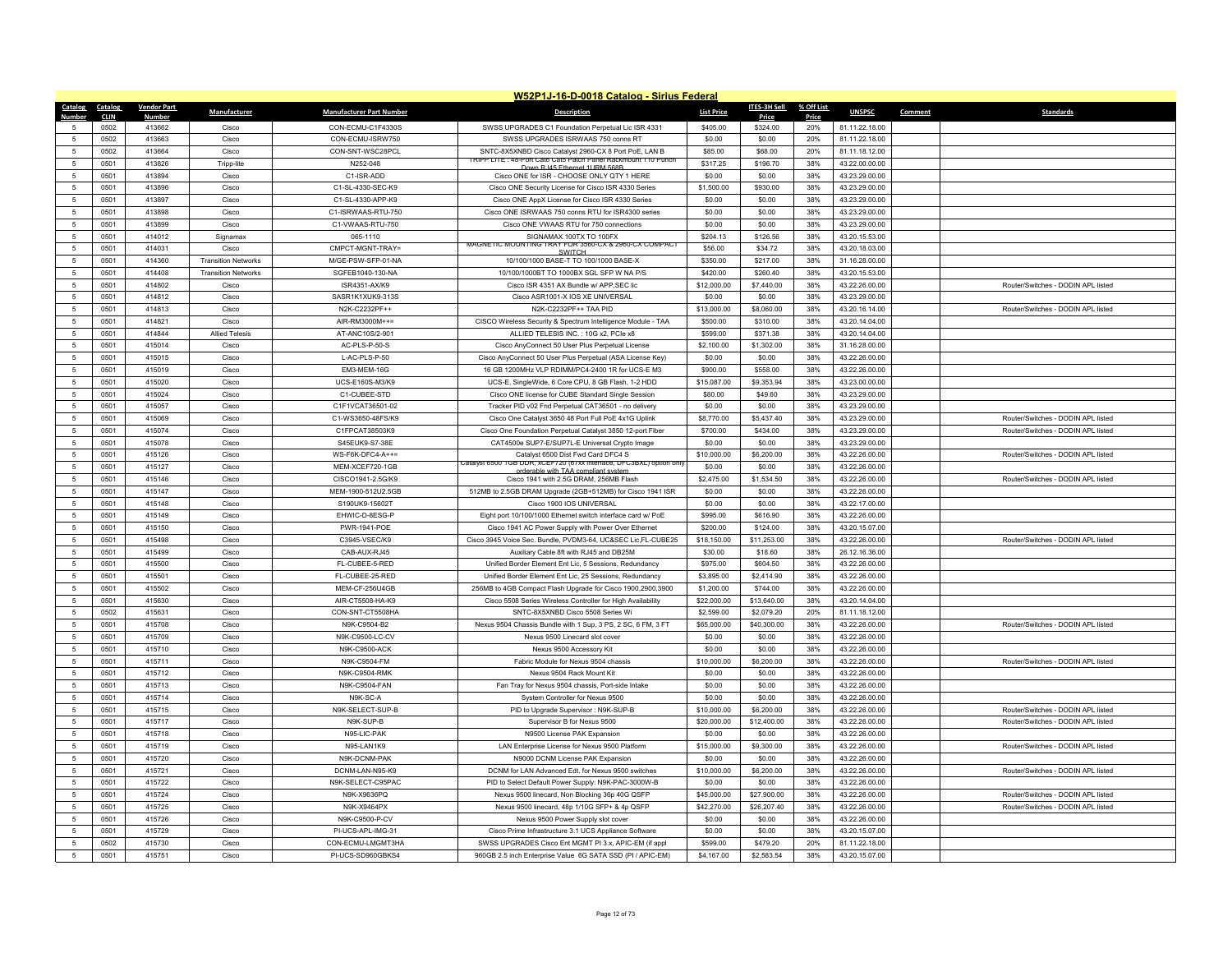| W52P1J-16-D-0018 Catalog - Sirius Federal |             |                    |                            |                                 |                                                                                                                        |                   |              |            |                |         |                                    |
|-------------------------------------------|-------------|--------------------|----------------------------|---------------------------------|------------------------------------------------------------------------------------------------------------------------|-------------------|--------------|------------|----------------|---------|------------------------------------|
| Catalog                                   | Catalog     | <b>Vendor Part</b> | Manufacturer               | <b>Manufacturer Part Number</b> | <b>Description</b>                                                                                                     | <b>List Price</b> | ITES-3H Sell | % Off List | <b>UNSPSC</b>  | Comment | <b>Standards</b>                   |
| Numhei                                    | <b>CLIN</b> | <b>Numbe</b>       |                            |                                 |                                                                                                                        |                   | Price        | Price      |                |         |                                    |
|                                           | 0502        | 413662             | Cisco                      | CON-ECMU-C1F4330S               | SWSS UPGRADES C1 Foundation Perpetual Lic ISR 4331                                                                     | \$405.00          | \$324.00     | 20%        | 81.11.22.18.00 |         |                                    |
| $\sqrt{2}$                                | 0502        | 413663             | Cisco                      | CON-FCMU-ISRW750                | SWSS UPGRADES ISRWAAS 750 conns RT                                                                                     | \$0.00            | \$0.00       | 20%        | 81.11.22.18.00 |         |                                    |
| $\overline{5}$                            | 0502        | 413664             | Cisco                      | CON-SNT-WSC28PCL                | SNTC-8X5XNBD Cisco Catalyst 2960-CX 8 Port PoE. LAN B<br>(IPP LITE : 48-Port Cat6 Cat5 Patch Panel Rackmount 110 Punch | \$85.00           | \$68.00      | 20%        | 81.11.18.12.00 |         |                                    |
| $\overline{5}$                            | 0501        | 413826             | Tripp-lite                 | N252-048                        | Down RJ45 Ethernet 1URM 568F                                                                                           | \$317.25          | \$196.70     | 38%        | 43.22.00.00.00 |         |                                    |
| -5                                        | 0501        | 413894             | Cisco                      | C1-ISR-ADD                      | Cisco ONE for ISR - CHOOSE ONLY QTY 1 HERE                                                                             | \$0.00            | \$0.00       | 38%        | 43.23.29.00.00 |         |                                    |
| 5                                         | 0501        | 413896             | Cisco                      | C1-SL-4330-SEC-K9               | Cisco ONE Security License for Cisco ISR 4330 Series                                                                   | \$1,500.00        | \$930.00     | 38%        | 43 23 29 00 00 |         |                                    |
| $\overline{5}$                            | 0501        | 413897             | Cisco                      | C1-SL-4330-APP-K9               | Cisco ONE AppX License for Cisco ISR 4330 Series                                                                       | \$0.00            | \$0.00       | 38%        | 43.23.29.00.00 |         |                                    |
| $\overline{5}$                            | 0501        | 413898             | Cisco                      | C1-ISRWAAS-RTU-750              | Cisco ONE ISRWAAS 750 conns RTU for ISR4300 series                                                                     | \$0.00            | \$0.00       | 38%        | 43.23.29.00.00 |         |                                    |
| 5                                         | 0501        | 413899             | Cisco                      | C1-VWAAS-RTU-750                | Cisco ONE VWAAS RTU for 750 connections                                                                                | \$0.00            | \$0.00       | 38%        | 43.23.29.00.00 |         |                                    |
| 5                                         | 0501        | 414012             | Signamax                   | 065-1110                        | SIGNAMAX 100TX TO 100FX<br>MAGNETIC MOUNTING TRAY FOR 3560-CX & 2960-CX COMPACT                                        | \$204.13          | \$126.56     | 38%        | 43.20.15.53.00 |         |                                    |
| 5                                         | 0501        | 414031             | Cisco                      | CMPCT-MGNT-TRAY=                | <b>SWITCH</b>                                                                                                          | \$56.00           | \$34.72      | 38%        | 43.20.18.03.00 |         |                                    |
| 5                                         | 0501        | 414360             | <b>Transition Networks</b> | M/GE-PSW-SFP-01-NA              | 10/100/1000 BASE-T TO 100/1000 BASE-X                                                                                  | \$350.00          | \$217.00     | 38%        | 31.16.28.00.00 |         |                                    |
| $\overline{5}$                            | 0501        | 414408             | <b>Transition Networks</b> | SGFEB1040-130-NA                | 10/100/1000BT TO 1000BX SGL SFP W NA P/S                                                                               | \$420.00          | \$260.40     | 38%        | 43.20.15.53.00 |         |                                    |
| 5                                         | 0501        | 414802             | Cisco                      | ISR4351-AX/K9                   | Cisco ISR 4351 AX Bundle w/ APP, SEC lic                                                                               | \$12,000.00       | \$7,440.00   | 38%        | 43.22.26.00.00 |         | Router/Switches - DODIN APL listed |
| 5                                         | 0501        | 414812             | Cisco                      | SASR1K1XUK9-313S                | Cisco ASR1001-X IOS XE UNIVERSAL                                                                                       | \$0.00            | \$0.00       | 38%        | 43.23.29.00.00 |         |                                    |
| $\overline{5}$                            | 0501        | 414813             | Cisco                      | N2K-C2232PF++                   | N2K-C2232PF++ TAA PID                                                                                                  | \$13,000.00       | \$8,060.00   | 38%        | 43.20.16.14.00 |         | Router/Switches - DODIN APL listed |
| 5                                         | 0501        | 414821             | Cisco                      | AIR-RM3000M++=                  | CISCO Wireless Security & Spectrum Intelligence Module - TAA                                                           | \$500.00          | \$310.00     | 38%        | 43.20.14.04.00 |         |                                    |
| 5                                         | 0501        | 414844             | <b>Allied Telesis</b>      | AT-ANC10S/2-901                 | ALLIED TELESIS INC.: 10G x2, PCIe x8                                                                                   | \$599.00          | \$371.38     | 38%        | 43.20.14.04.00 |         |                                    |
| $\overline{5}$                            | 0501        | 415014             | Cisco                      | AC-PLS-P-50-S                   | Cisco AnyConnect 50 User Plus Perpetual License                                                                        | \$2,100.00        | \$1,302.00   | 38%        | 31.16.28.00.00 |         |                                    |
| 5                                         | 0501        | 415015             | Cisco                      | L-AC-PLS-P-50                   | Cisco AnyConnect 50 User Plus Perpetual (ASA License Key)                                                              | \$0.00            | \$0.00       | 38%        | 43.22.26.00.00 |         |                                    |
| 5                                         | 0501        | 415019             | Cisco                      | EM3-MEM-16G                     | 16 GB 1200MHz VLP RDIMM/PC4-2400 1R for UCS-E M3                                                                       | \$900.00          | \$558.00     | 38%        | 43.22.26.00.00 |         |                                    |
| $\overline{5}$                            | 0501        | 415020             | Cisco                      | UCS-E160S-M3/K9                 | UCS-E, SingleWide, 6 Core CPU, 8 GB Flash, 1-2 HDD                                                                     | \$15,087.00       | \$9,353.94   | 38%        | 43.23.00.00.00 |         |                                    |
| 5                                         | 0501        | 415024             | Cisco                      | C1-CUBEE-STD                    | Cisco ONE license for CUBE Standard Single Session                                                                     | \$80.00           | \$49.60      | 38%        | 43.23.29.00.00 |         |                                    |
| 5                                         | 0501        | 415057             | Cisco                      | C1F1VCAT36501-02                | Tracker PID v02 Fnd Perpetual CAT36501 - no delivery                                                                   | \$0.00            | \$0.00       | 38%        | 43.23.29.00.00 |         |                                    |
| $\overline{5}$                            | 0501        | 415069             | Cisco                      | C1-WS3650-48FS/K9               | Cisco One Catalyst 3650 48 Port Full PoE 4x1G Uplink                                                                   | \$8,770.00        | \$5,437.40   | 38%        | 43.23.29.00.00 |         | Router/Switches - DODIN APL listed |
| 5                                         | 0501        | 415074             | Cisco                      | C1FPCAT38503K9                  | Cisco One Foundation Perpetual Catalyst 3850 12-port Fiber                                                             | \$700.00          | \$434.00     | 38%        | 43.23.29.00.00 |         | Router/Switches - DODIN APL listed |
| 5                                         | 0501        | 415078             | Cisco                      | S45EUK9-S7-38E                  | CAT4500e SUP7-E/SUP7L-E Universal Crypto Image                                                                         | \$0.00            | \$0.00       | 38%        | 43.23.29.00.00 |         |                                    |
| $\overline{5}$                            | 0501        | 415126             | Cisco                      | WS-F6K-DFC4-A++=                | Catalyst 6500 Dist Fwd Card DFC4 S<br>atalyst 6500 1GB DDR, XCEF /20 (6/xx interface, DFC3BXL) option onl              | \$10,000.00       | \$6,200.00   | 38%        | 43.22.26.00.00 |         | Router/Switches - DODIN APL listed |
| 5                                         | 0501        | 415127             | Cisco                      | MFM-XCFF720-1GB                 | orderable with TAA compliant syste                                                                                     | \$0.00            | \$0.00       | 38%        | 43.22.26.00.00 |         |                                    |
| $\overline{5}$                            | 0501        | 415146             | Cisco                      | CISCO1941-2.5G/K9               | Cisco 1941 with 2.5G DRAM, 256MB Flash                                                                                 | \$2,475.00        | \$1,534.50   | 38%        | 43.22.26.00.00 |         | Router/Switches - DODIN APL listed |
| 5                                         | 0501        | 415147             | Cisco                      | MEM-1900-512U2.5GB              | 512MB to 2.5GB DRAM Upgrade (2GB+512MB) for Cisco 1941 ISR                                                             | \$0.00            | \$0.00       | 38%        | 43.22.26.00.00 |         |                                    |
| 5                                         | 0501        | 415148             | Cisco                      | S190UK9-15602T                  | Cisco 1900 IOS UNIVERSAL                                                                                               | \$0.00            | \$0.00       | 38%        | 43.22.17.00.00 |         |                                    |
| 5                                         | 0501        | 415149             | Cisco                      | EHWIC-D-8ESG-P                  | Eight port 10/100/1000 Ethernet switch interface card w/ PoE                                                           | \$995.00          | \$616.90     | 38%        | 43.22.26.00.00 |         |                                    |
| 5                                         | 0501        | 415150             | Cisco                      | PWR-1941-POE                    | Cisco 1941 AC Power Supply with Power Over Ethernet                                                                    | \$200.00          | \$124.00     | 38%        | 43.20.15.07.00 |         |                                    |
| 5                                         | 0501        | 415498             | Cisco                      | C3945-VSEC/K9                   | Cisco 3945 Voice Sec. Bundle, PVDM3-64, UC&SEC Lic, FL-CUBE25                                                          | \$18,150.00       | \$11,253.00  | 38%        | 43.22.26.00.00 |         | Router/Switches - DODIN APL listed |
| $\overline{5}$                            | 0501        | 415499             | Cisco                      | CAB-AUX-RJ45                    | Auxiliary Cable 8ft with RJ45 and DB25M                                                                                | \$30.00           | \$18.60      | 38%        | 26.12.16.36.00 |         |                                    |
| 5                                         | 0501        | 415500             | Cisco                      | FL-CUBEE-5-RED                  | Unified Border Element Ent Lic, 5 Sessions, Redundancy                                                                 | \$975.00          | \$604.50     | 38%        | 43.22.26.00.00 |         |                                    |
| 5                                         | 0501        | 415501             | Cisco                      | FL-CUBEE-25-RED                 | Unified Border Element Ent Lic. 25 Sessions, Redundancy                                                                | \$3,895.00        | \$2,414.90   | 38%        | 43.22.26.00.00 |         |                                    |
| $\overline{5}$                            | 0501        | 415502             | Cisco                      | MEM-CF-256U4GB                  | 256MB to 4GB Compact Flash Upgrade for Cisco 1900,2900,3900                                                            | \$1,200.00        | \$744.00     | 38%        | 43.22.26.00.00 |         |                                    |
| 5                                         | 0501        | 415630             | Cisco                      | AIR-CT5508-HA-K9                | Cisco 5508 Series Wireless Controller for High Availability                                                            | \$22,000.00       | \$13,640.00  | 38%        | 43.20.14.04.00 |         |                                    |
| 5                                         | 0502        | 415631             | Cisco                      | CON-SNT-CT5508HA                | SNTC-8X5XNBD Cisco 5508 Series Wi                                                                                      | \$2,599.00        | \$2,079.20   | 20%        | 81.11.18.12.00 |         |                                    |
| $\overline{5}$                            | 0501        | 415708             | Cisco                      | N9K-C9504-B2                    | Nexus 9504 Chassis Bundle with 1 Sup, 3 PS, 2 SC, 6 FM, 3 FT                                                           | \$65,000.00       | \$40,300.00  | 38%        | 43.22.26.00.00 |         | Router/Switches - DODIN API listed |
| 5                                         | 0501        | 415709             | Cisco                      | N9K-C9500-LC-CV                 | Nexus 9500 Linecard slot cover                                                                                         | \$0.00            | \$0.00       | 38%        | 43.22.26.00.00 |         |                                    |
| 5                                         | 0501        | 415710             | Cisco                      | N9K-C9500-ACK                   | Nexus 9500 Accessory Kit                                                                                               | \$0.00            | \$0.00       | 38%        | 43.22.26.00.00 |         |                                    |
| $\overline{5}$                            | 0501        | 415711             | Cisco                      | N9K-C9504-FM                    | Fabric Module for Nexus 9504 chassis                                                                                   | \$10,000.00       | \$6,200.00   | 38%        | 43.22.26.00.00 |         | Router/Switches - DODIN APL listed |
| 5                                         | 0501        | 415712             | Cisco                      | N9K-C9504-RMK                   | Nexus 9504 Rack Mount Kit                                                                                              | \$0.00            | \$0.00       | 38%        | 43.22.26.00.00 |         |                                    |
| 5                                         | 0501        | 415713             | Cisco                      | N9K-C9504-FAN                   | Fan Tray for Nexus 9504 chassis, Port-side Intake                                                                      | \$0.00            | \$0.00       | 38%        | 43.22.26.00.00 |         |                                    |
| $\overline{5}$                            | 0501        | 415714             | Cisco                      | N9K-SC-A                        | System Controller for Nexus 9500                                                                                       | \$0.00            | \$0.00       | 38%        | 43.22.26.00.00 |         |                                    |
| -5                                        | 0501        | 415715             | Cisco                      | N9K-SELECT-SUP-B                | PID to Upgrade Supervisor : N9K-SUP-B                                                                                  | \$10,000.00       | \$6,200.00   | 38%        | 43.22.26.00.00 |         | Router/Switches - DODIN API listed |
| $\overline{5}$                            | 0501        | 415717             | Cisco                      | N9K-SUP-B                       | Supervisor B for Nexus 9500                                                                                            | \$20,000.00       | \$12,400.00  | 38%        | 43.22.26.00.00 |         | Router/Switches - DODIN APL listed |
| $\overline{5}$                            | 0501        | 415718             | Cisco                      | N95-LIC-PAK                     | N9500 License PAK Expansion                                                                                            | \$0.00            | \$0.00       | 38%        | 43.22.26.00.00 |         |                                    |
| -5                                        | 0501        | 415719             | Cisco                      | <b>N95-LAN1K9</b>               | LAN Enterprise License for Nexus 9500 Platform                                                                         | \$15,000.00       | \$9,300.00   | 38%        | 43.22.26.00.00 |         | Router/Switches - DODIN API listed |
| $\overline{5}$                            | 0501        | 415720             | Cisco                      | N9K-DCNM-PAK                    | N9000 DCNM License PAK Expansion                                                                                       | \$0.00            | \$0.00       | 38%        | 43.22.26.00.00 |         |                                    |
| $\overline{5}$                            | 0501        | 415721             | Cisco                      | DCNM-LAN-N95-K9                 | DCNM for LAN Advanced Edt. for Nexus 9500 switches                                                                     | \$10,000.00       | \$6,200.00   | 38%        | 43.22.26.00.00 |         | Router/Switches - DODIN APL listed |
| 5                                         | 0501        | 415722             | Cisco                      | N9K-SELECT-C95PAC               | PID to Select Default Power Supply: N9K-PAC-3000W-B                                                                    | \$0.00            | \$0.00       | 38%        | 43.22.26.00.00 |         |                                    |
| $\overline{5}$                            | 0501        | 415724             | Cisco                      | N9K-X9636PO                     | Nexus 9500 linecard, Non Blocking 36p 40G QSFP                                                                         | \$45,000.00       | \$27,900.00  | 38%        | 43.22.26.00.00 |         | Router/Switches - DODIN APL listed |
| -5                                        | 0501        | 415725             | Cisco                      | N9K-X9464PX                     | Nexus 9500 linecard, 48p 1/10G SFP+ & 4p QSFP                                                                          | \$42,270.00       | \$26,207.40  | 38%        | 43.22.26.00.00 |         | Router/Switches - DODIN APL listed |
| 5                                         | 0501        | 415726             | Cisco                      | N9K-C9500-P-CV                  | Nexus 9500 Power Supply slot cover                                                                                     | \$0.00            | \$0.00       | 38%        | 43.22.26.00.00 |         |                                    |
| $\overline{5}$                            | 0501        | 415729             | Cisco                      | PI-UCS-APL-IMG-31               | Cisco Prime Infrastructure 3.1 UCS Appliance Software                                                                  | \$0.00            | \$0.00       | 38%        | 43.20.15.07.00 |         |                                    |
|                                           | 0502        | 415730             | Cisco                      | CON-ECMU-LMGMT3HA               | SWSS UPGRADES Cisco Ent MGMT PI 3.x, APIC-EM (if appl                                                                  | \$599.00          | \$479.20     | 20%        | 81.11.22.18.00 |         |                                    |
| 5                                         | 0501        | 415751             | Cisco                      | PI-UCS-SD960GBKS4               | 960GB 2.5 inch Enterprise Value 6G SATA SSD (PI / APIC-EM)                                                             | \$4,167.00        | \$2,583.54   | 38%        | 43.20.15.07.00 |         |                                    |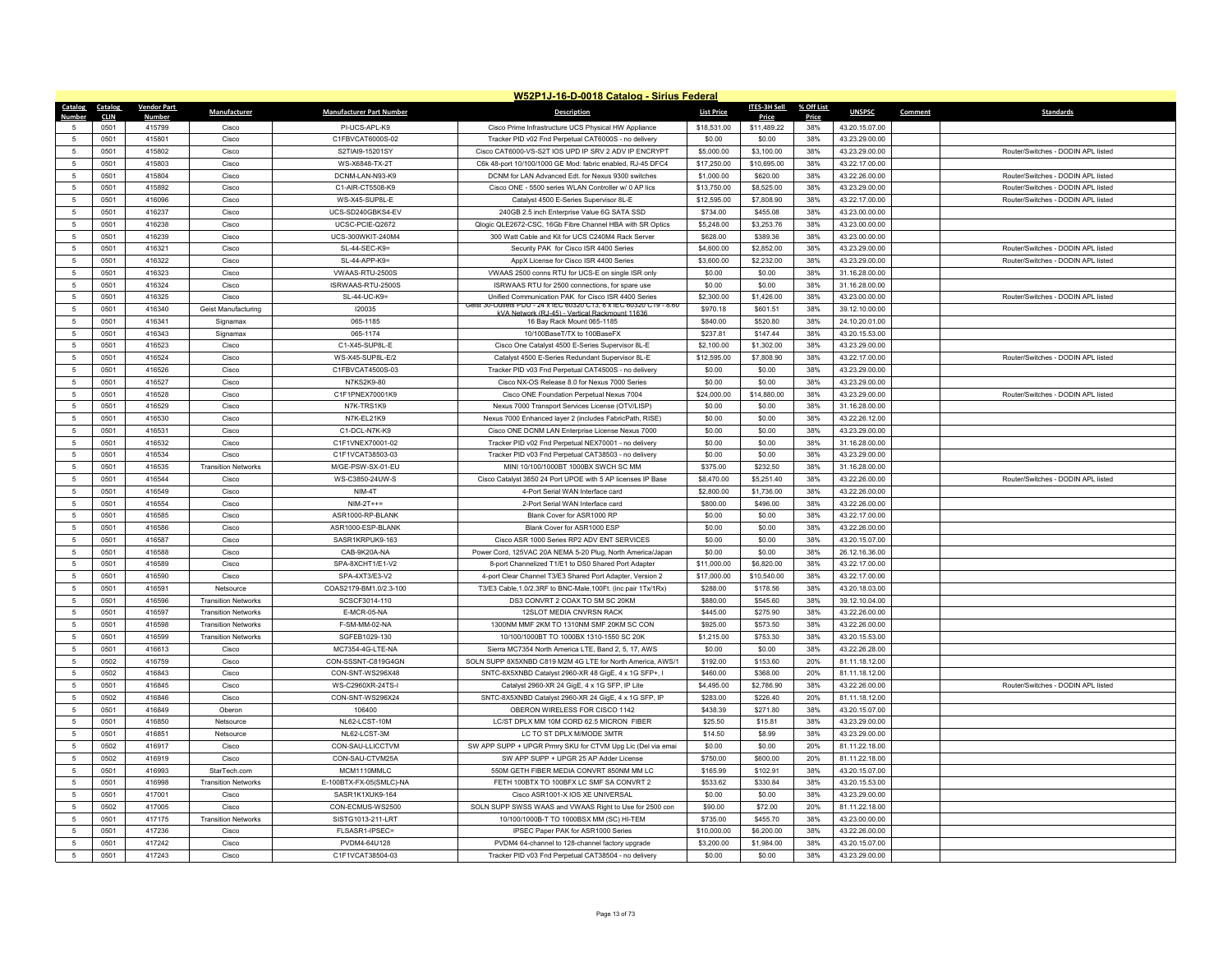|                          | W52P1J-16-D-0018 Catalog - Sirius Federal |                    |                                                          |                                 |                                                                                                                   |                        |                        |            |                                  |         |                                    |  |
|--------------------------|-------------------------------------------|--------------------|----------------------------------------------------------|---------------------------------|-------------------------------------------------------------------------------------------------------------------|------------------------|------------------------|------------|----------------------------------|---------|------------------------------------|--|
| Catalog                  | Catalog                                   | <b>Vendor Part</b> | Manufacturer                                             | <b>Manufacturer Part Number</b> | <b>Description</b>                                                                                                | <b>List Price</b>      | <b>ITES-3H Sell</b>    | % Off List | <b>UNSPSC</b>                    | Comment | <b>Standards</b>                   |  |
| Numhe                    | <b>CLIN</b>                               | <b>Numbe</b>       |                                                          |                                 |                                                                                                                   |                        | Price                  | Price      |                                  |         |                                    |  |
|                          | 0501                                      | 415799             | Cisco                                                    | PI-UCS-APL-K9                   | Cisco Prime Infrastructure UCS Physical HW Appliance                                                              | \$18,531.00            | \$11,489.22            | 38%        | 43.20.15.07.00                   |         |                                    |  |
| 5                        | 0501                                      | 415801             | Cisco                                                    | C1FBVCAT6000S-02                | Tracker PID v02 Fnd Perpetual CAT6000S - no delivery                                                              | \$0.00                 | \$0.00                 | 38%        | 43.23.29.00.00                   |         |                                    |  |
| $\sqrt{5}$               | 0501                                      | 415802             | Cisco                                                    | S2TIAI9-15201SY                 | Cisco CAT6000-VS-S2T IOS UPD IP SRV 2 ADV IP ENCRYPT                                                              | \$5,000.00             | \$3,100.00             | 38%        | 43.23.29.00.00                   |         | Router/Switches - DODIN APL listed |  |
| -5                       | 0501                                      | 415803             | Cisco                                                    | WS-X6848-TX-2T                  | C6k 48-port 10/100/1000 GE Mod: fabric enabled, RJ-45 DFC4                                                        | \$17,250.00            | \$10,695.00            | 38%        | 43.22.17.00.00                   |         |                                    |  |
| $\sqrt{5}$               | 0501                                      | 415804             | Cisco                                                    | DCNM-LAN-N93-K9                 | DCNM for LAN Advanced Edt. for Nexus 9300 switches                                                                | \$1,000.00             | \$620.00               | 38%        | 43.22.26.00.00                   |         | Router/Switches - DODIN APL listed |  |
| 5                        | 0501                                      | 415892             | Cisco                                                    | C1-AIR-CT5508-K9                | Cisco ONE - 5500 series WLAN Controller w/ 0 AP lics                                                              | \$13,750.00            | \$8,525.00             | 38%        | 43 23 29 00 00                   |         | Router/Switches - DODIN API listed |  |
| -5                       | 0501                                      | 416096             | Cisco                                                    | WS-X45-SUP8L-E                  | Catalyst 4500 E-Series Supervisor 8L-E                                                                            | \$12,595.00            | \$7,808.90             | 38%        | 43.22.17.00.00                   |         | Router/Switches - DODIN APL listed |  |
| $\,$ 5 $\,$              | 0501                                      | 416237             | Cisco                                                    | UCS-SD240GBKS4-EV               | 240GB 2.5 inch Enterprise Value 6G SATA SSD                                                                       | \$734.00               | \$455.08               | 38%        | 43.23.00.00.00                   |         |                                    |  |
| 5                        | 0501                                      | 416238             | Cisco                                                    | UCSC-PCIE-Q2672                 | Qlogic QLE2672-CSC, 16Gb Fibre Channel HBA with SR Optics                                                         | \$5,248.00             | \$3,253.76             | 38%        | 43.23.00.00.00                   |         |                                    |  |
| $\overline{5}$           | 0501                                      | 416239             | Cisco                                                    | UCS-300WKIT-240M4               | 300 Watt Cable and Kit for UCS C240M4 Rack Server                                                                 | \$628.00               | \$389.36               | 38%        | 43.23.00.00.00                   |         |                                    |  |
| $\sqrt{5}$               | 0501                                      | 416321             | Cisco                                                    | SL-44-SEC-K9=                   | Security PAK for Cisco ISR 4400 Series                                                                            | \$4,600.00             | \$2,852.00             | 38%        | 43.23.29.00.00                   |         | Router/Switches - DODIN APL listed |  |
| 5                        | 0501                                      | 416322             | Cisco                                                    | SL-44-APP-K9=                   | AppX License for Cisco ISR 4400 Series                                                                            | \$3,600.00             | \$2,232.00             | 38%        | 43.23.29.00.00                   |         | Router/Switches - DODIN APL listed |  |
| $\overline{5}$           | 0501                                      | 416323             | Cisco                                                    | VWAAS-RTU-2500S                 | VWAAS 2500 conns RTU for UCS-E on single ISR only                                                                 | \$0.00                 | \$0.00                 | 38%        | 31.16.28.00.00                   |         |                                    |  |
| 5                        | 0501                                      | 416324             | Cisco                                                    | ISRWAAS-RTU-2500S               | ISRWAAS RTU for 2500 connections, for spare use                                                                   | \$0.00                 | \$0.00                 | 38%        | 31.16.28.00.00                   |         |                                    |  |
| $5\phantom{.0}$          | 0501                                      | 416325             | Cisco                                                    | SL-44-UC-K9=                    | Unified Communication PAK for Cisco ISR 4400 Series<br>UTIBIS PIJU - Z4 X IEU 603Z0 UT3, 6 X IEU 603Z0 UT9 - 8.6  | \$2,300.00             | \$1,426.00             | 38%        | 43.23.00.00.00                   |         | Router/Switches - DODIN APL listed |  |
| $\sqrt{5}$               | 0501                                      | 416340             | Geist Manufacturing                                      | 120035                          | vork (R.L45) - Vertical Rackmou                                                                                   | \$970.18               | \$601.51               | 38%        | 39.12.10.00.00                   |         |                                    |  |
| 5                        | 0501                                      | 416341             | Signamax                                                 | 065-1185                        | 16 Bay Rack Mount 065-1185                                                                                        | \$840.00               | \$520.80               | 38%        | 24.10.20.01.00                   |         |                                    |  |
| $\sqrt{5}$               | 0501                                      | 416343             | Signamax                                                 | 065-1174                        | 10/100BaseT/TX to 100BaseFX                                                                                       | \$237.81               | \$147.44               | 38%        | 43.20.15.53.00                   |         |                                    |  |
| -5                       | 0501                                      | 416523             | Cisco                                                    | C1-X45-SUP8L-E                  | Cisco One Catalyst 4500 E-Series Supervisor 8L-E                                                                  | \$2,100.00             | \$1,302.00             | 38%        | 43.23.29.00.00                   |         |                                    |  |
| 5                        | 0501                                      | 416524             | Cisco                                                    | WS-X45-SUP8L-E/2                | Catalyst 4500 E-Series Redundant Supervisor 8L-E                                                                  | \$12,595.00            | \$7,808.90             | 38%        | 43.22.17.00.00                   |         | Router/Switches - DODIN APL listed |  |
| 5                        | 0501                                      | 416526             | Cisco                                                    | C1FBVCAT4500S-03                | Tracker PID v03 Fnd Perpetual CAT4500S - no delivery                                                              | \$0.00                 | \$0.00                 | 38%        | 43.23.29.00.00                   |         |                                    |  |
| 5                        | 0501                                      | 416527             | Cisco                                                    | N7KS2K9-80                      | Cisco NX-OS Release 8.0 for Nexus 7000 Series                                                                     | \$0.00                 | \$0.00                 | 38%        | 43.23.29.00.00                   |         |                                    |  |
| $\sqrt{5}$               | 0501                                      | 416528             | Cisco                                                    | C1F1PNEX70001K9                 | Cisco ONE Foundation Perpetual Nexus 7004                                                                         | \$24,000.00            | \$14,880.00            | 38%        | 43.23.29.00.00                   |         | Router/Switches - DODIN APL listed |  |
| 5                        | 0501                                      | 416529             | Cisco                                                    | N7K-TRS1K9                      | Nexus 7000 Transport Services License (OTV/LISP)                                                                  | \$0.00                 | \$0.00                 | 38%        | 31.16.28.00.00                   |         |                                    |  |
| 5                        | 0501                                      | 416530             | Cisco                                                    | N7K-EL21K9                      | Nexus 7000 Enhanced layer 2 (includes FabricPath, RISE)                                                           | \$0.00                 | \$0.00                 | 38%        | 43.22.26.12.00                   |         |                                    |  |
| 5                        | 0501                                      | 416531             | Cisco                                                    | C1-DCI-N7K-K9                   | Cisco ONE DCNM LAN Enterprise License Nexus 7000                                                                  | \$0.00                 | \$0.00                 | 38%        | 43.23.29.00.00                   |         |                                    |  |
| $5\phantom{.0}$          | 0501                                      | 416532             | Cisco                                                    | C1F1VNEX70001-02                | Tracker PID v02 Fnd Perpetual NEX70001 - no delivery                                                              | \$0.00                 | \$0.00                 | 38%        | 31.16.28.00.00                   |         |                                    |  |
| $\sqrt{5}$               | 0501                                      | 416534             | Cisco                                                    | C1F1VCAT38503-03                | Tracker PID v03 Fnd Perpetual CAT38503 - no delivery                                                              | \$0.00                 | \$0.00                 | 38%        | 43.23.29.00.00                   |         |                                    |  |
| -5                       | 0501                                      | 416535             | <b>Transition Networks</b>                               | M/GE-PSW-SX-01-EU               | MINI 10/100/1000BT 1000BX SWCH SC MM                                                                              | \$375.00               | \$232.50               | 38%        | 31.16.28.00.00                   |         |                                    |  |
| $\sqrt{5}$               | 0501                                      | 416544             | Cisco                                                    | WS-C3850-24UW-S                 | Cisco Catalyst 3850 24 Port UPOE with 5 AP licenses IP Base                                                       | \$8,470.00             | \$5,251.40             | 38%        | 43.22.26.00.00                   |         | Router/Switches - DODIN APL listed |  |
| 5                        | 0501<br>0501                              | 416549<br>416554   | Cisco                                                    | NIM-4T<br>$NIM-2T++=$           | 4-Port Serial WAN Interface card<br>2-Port Serial WAN Interface card                                              | \$2,800.00<br>\$800.00 | \$1,736.00<br>\$496.00 | 38%<br>38% | 43.22.26.00.00<br>43.22.26.00.00 |         |                                    |  |
| -5                       |                                           |                    | Cisco                                                    |                                 |                                                                                                                   |                        |                        |            |                                  |         |                                    |  |
| $\sqrt{5}$               | 0501                                      | 416585             | Cisco                                                    | ASR1000-RP-BLANK                | Blank Cover for ASR1000 RP                                                                                        | \$0.00                 | \$0.00                 | 38%        | 43.22.17.00.00                   |         |                                    |  |
| $\sqrt{5}$               | 0501                                      | 416586             | Cisco                                                    | ASR1000-ESP-BLANK               | Blank Cover for ASR1000 ESP                                                                                       | \$0.00                 | \$0.00                 | 38%        | 43.22.26.00.00                   |         |                                    |  |
| $\sqrt{5}$<br>5          | 0501<br>0501                              | 416587<br>416588   | Cisco<br>Cisco                                           | SASR1KRPUK9-163<br>CAB-9K20A-NA | Cisco ASR 1000 Series RP2 ADV ENT SERVICES                                                                        | \$0.00                 | \$0.00<br>\$0.00       | 38%<br>38% | 43.20.15.07.00<br>26.12.16.36.00 |         |                                    |  |
| 5                        | 0501                                      | 416589             | Cisco                                                    | SPA-8XCHT1/E1-V2                | Power Cord, 125VAC 20A NEMA 5-20 Plug, North America/Japan<br>8-port Channelized T1/E1 to DS0 Shared Port Adapter | \$0.00<br>\$11,000.00  | \$6,820.00             | 38%        | 43.22.17.00.00                   |         |                                    |  |
|                          | 0501                                      | 416590             |                                                          | SPA-4XT3/E3-V2                  | 4-port Clear Channel T3/E3 Shared Port Adapter, Version 2                                                         | \$17,000.00            | \$10,540.00            | 38%        | 43.22.17.00.00                   |         |                                    |  |
| $\sqrt{5}$<br>$\sqrt{5}$ | 0501                                      | 416591             | Cisco<br>Netsource                                       | COAS2179-BM1.0/2.3-100          | T3/E3 Cable, 1.0/2.3RF to BNC-Male, 100Ft. (inc pair 1Tx/1Rx)                                                     | \$288.00               | \$178.56               | 38%        | 43.20.18.03.00                   |         |                                    |  |
| $\sqrt{5}$               | 0501                                      | 416596             | <b>Transition Networks</b>                               | SCSCF3014-110                   | DS3 CONVRT 2 COAX TO SM SC 20KM                                                                                   | \$880.00               | \$545.60               | 38%        | 39.12.10.04.00                   |         |                                    |  |
|                          |                                           |                    |                                                          |                                 |                                                                                                                   |                        |                        |            |                                  |         |                                    |  |
| 5<br>5                   | 0501<br>0501                              | 416597<br>416598   | <b>Transition Networks</b><br><b>Transition Networks</b> | E-MCR-05-NA<br>F-SM-MM-02-NA    | 12SLOT MEDIA CNVRSN RACK<br>1300NM MMF 2KM TO 1310NM SMF 20KM SC CON                                              | \$445.00<br>\$925.00   | \$275.90<br>\$573.50   | 38%<br>38% | 43.22.26.00.00<br>43.22.26.00.00 |         |                                    |  |
| 5                        | 0501                                      | 416599             | <b>Transition Networks</b>                               | SGFEB1029-130                   | 10/100/1000BT TO 1000BX 1310-1550 SC 20K                                                                          | \$1,215.00             | \$753.30               | 38%        | 43.20.15.53.00                   |         |                                    |  |
| $5\phantom{.0}$          | 0501                                      | 416613             | Cisco                                                    | MC7354-4G-LTE-NA                | Sierra MC7354 North America LTE, Band 2, 5, 17, AWS                                                               | \$0.00                 | \$0.00                 | 38%        | 43.22.26.28.00                   |         |                                    |  |
| $\overline{5}$           | 0502                                      | 416759             | Cisco                                                    | CON-SSSNT-C819G4GN              | SOLN SUPP 8X5XNBD C819 M2M 4G LTE for North America, AWS/1                                                        | \$192.00               | \$153.60               | 20%        | 81.11.18.12.00                   |         |                                    |  |
| $\sqrt{5}$               | 0502                                      | 416843             | Cisco                                                    | CON-SNT-WS296X48                | SNTC-8X5XNBD Catalyst 2960-XR 48 GigE, 4 x 1G SFP+, I                                                             | \$460.00               | \$368.00               | 20%        | 81.11.18.12.00                   |         |                                    |  |
| 5                        | 0501                                      | 416845             | Cisco                                                    | WS-C2960XR-24TS-I               | Catalyst 2960-XR 24 GigE, 4 x 1G SFP, IP Lite                                                                     | \$4,495.00             | \$2,786.90             | 38%        | 43.22.26.00.00                   |         | Router/Switches - DODIN APL listed |  |
| $\sqrt{5}$               | 0502                                      | 416846             | Cisco                                                    | CON-SNT-WS296X24                | SNTC-8X5XNBD Catalyst 2960-XR 24 GigE, 4 x 1G SFP, IP                                                             | \$283.00               | \$226.40               | 20%        | 81.11.18.12.00                   |         |                                    |  |
| -5                       | 0501                                      | 416849             | Oberon                                                   | 106400                          | OBERON WIRELESS FOR CISCO 1142                                                                                    | \$438.39               | \$271.80               | 38%        | 43.20.15.07.00                   |         |                                    |  |
| $5\phantom{.0}$          | 0501                                      | 416850             | Netsource                                                | NL62-LCST-10M                   | LC/ST DPLX MM 10M CORD 62.5 MICRON FIBER                                                                          | \$25.50                | \$15.81                | 38%        | 43.23.29.00.00                   |         |                                    |  |
| $\overline{5}$           | 0501                                      | 416851             | Netsource                                                | NL62-LCST-3M                    | LC TO ST DPLX M/MODE 3MTR                                                                                         | \$14.50                | \$8.99                 | 38%        | 43.23.29.00.00                   |         |                                    |  |
| -5                       | 0502                                      | 416917             | Cisco                                                    | CON-SAU-LLICCTVM                | SW APP SUPP + UPGR Prmry SKU for CTVM Upg Lic (Del via emai                                                       | \$0.00                 | \$0.00                 | 20%        | 81.11.22.18.00                   |         |                                    |  |
| $\sqrt{5}$               | 0502                                      | 416919             | Cisco                                                    | CON-SAU-CTVM25A                 | SW APP SUPP + UPGR 25 AP Adder License                                                                            | \$750.00               | \$600.00               | 20%        | 81.11.22.18.00                   |         |                                    |  |
| $\,$ 5 $\,$              | 0501                                      | 416993             | StarTech.com                                             | MCM1110MMLC                     | 550M GETH FIBER MEDIA CONVRT 850NM MM LC                                                                          | \$165.99               | \$102.91               | 38%        | 43.20.15.07.00                   |         |                                    |  |
| -5                       | 0501                                      | 416998             | <b>Transition Networks</b>                               | E-100BTX-FX-05(SMLC)-NA         | FETH 100BTX TO 100BFX LC SMF SA CONVRT 2                                                                          | \$533.62               | \$330.84               | 38%        | 43.20.15.53.00                   |         |                                    |  |
| $\sqrt{5}$               | 0501                                      |                    | Cisco                                                    | SASR1K1XUK9-164                 | Cisco ASR1001-X IOS XE UNIVERSAL                                                                                  | \$0.00                 | \$0.00                 | 38%        | 43.23.29.00.00                   |         |                                    |  |
| $\,$ 5 $\,$              | 0502                                      | 417001<br>417005   | Cisco                                                    | CON-ECMUS-WS2500                | SOLN SUPP SWSS WAAS and VWAAS Right to Use for 2500 con                                                           | \$90.00                | \$72.00                | 20%        | 81.11.22.18.00                   |         |                                    |  |
| 5                        | 0501                                      | 417175             | <b>Transition Networks</b>                               | SISTG1013-211-LRT               | 10/100/1000B-T TO 1000BSX MM (SC) HI-TEM                                                                          | \$735.00               | \$455.70               | 38%        | 43.23.00.00.00                   |         |                                    |  |
| $\overline{5}$           | 0501                                      | 417236             | Cisco                                                    | FLSASR1-IPSEC=                  | IPSEC Paper PAK for ASR1000 Series                                                                                | \$10,000.00            | \$6,200.00             | 38%        | 43.22.26.00.00                   |         |                                    |  |
| -5                       | 0501                                      | 417242             | Cisco                                                    | PVDM4-64U128                    |                                                                                                                   | \$3,200.00             | \$1,984.00             | 38%        | 43.20.15.07.00                   |         |                                    |  |
|                          |                                           |                    |                                                          |                                 | PVDM4 64-channel to 128-channel factory upgrade                                                                   |                        |                        |            |                                  |         |                                    |  |
| $\sqrt{5}$               | 0501                                      | 417243             | Cisco                                                    | C1F1VCAT38504-03                | Tracker PID v03 Fnd Perpetual CAT38504 - no delivery                                                              | \$0.00                 | \$0.00                 | 38%        | 43.23.29.00.00                   |         |                                    |  |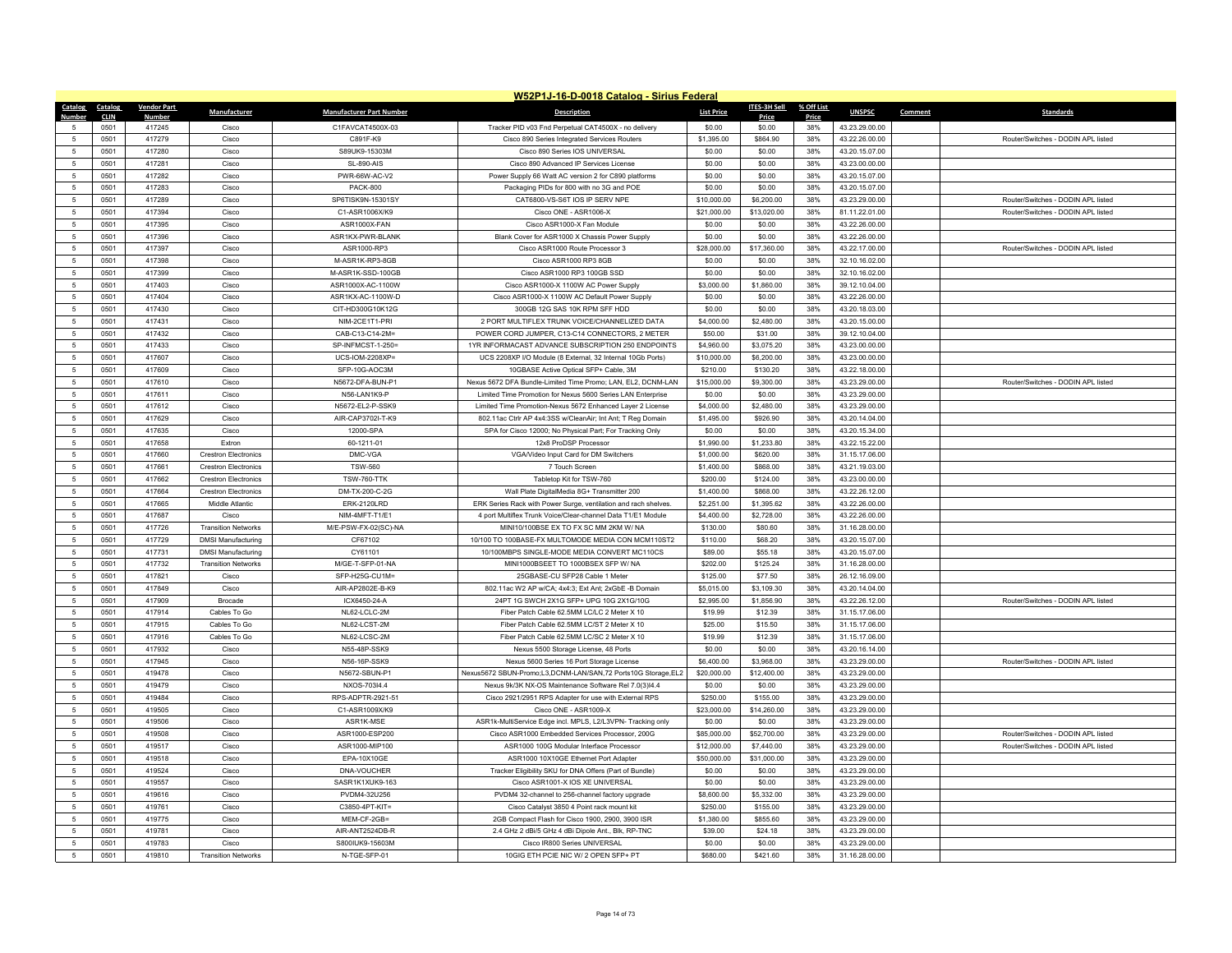|                | W52P1J-16-D-0018 Catalog - Sirius Federal |                    |                             |                                 |                                                                 |                   |                     |              |                |         |                                    |
|----------------|-------------------------------------------|--------------------|-----------------------------|---------------------------------|-----------------------------------------------------------------|-------------------|---------------------|--------------|----------------|---------|------------------------------------|
| <b>Catalog</b> | <b>Catalog</b>                            | <b>Vendor Part</b> | Manufacturer                | <b>Manufacturer Part Number</b> | <b>Description</b>                                              | <b>List Price</b> | <b>ITES-3H Sell</b> | % Off List   | <b>UNSPSC</b>  | Comment | Standards                          |
| $\sqrt{2}$     | <b>CLIN</b><br>0501                       | Number<br>417245   | Cisco                       | C1FAVCAT4500X-03                | Tracker PID v03 Fnd Perpetual CAT4500X - no delivery            | \$0.00            | Price<br>\$0.00     | Price<br>38% | 43.23.29.00.00 |         |                                    |
| -5             | 0501                                      | 417279             | Cisco                       | C891F-K9                        | Cisco 890 Series Integrated Services Routers                    | \$1,395.00        | \$864.90            | 38%          | 43.22.26.00.00 |         | Router/Switches - DODIN APL listed |
| 5              | 0501                                      | 417280             | Cisco                       | S89UK9-15303M                   | Cisco 890 Series IOS UNIVERSAL                                  | \$0.00            | \$0.00              | 38%          | 43.20.15.07.00 |         |                                    |
| 5              | 0501                                      | 417281             | Cisco                       | <b>SL-890-AIS</b>               | Cisco 890 Advanced IP Services License                          | \$0.00            | \$0.00              | 38%          | 43.23.00.00.00 |         |                                    |
| 5              | 0501                                      | 417282             | Cisco                       | PWR-66W-AC-V2                   | Power Supply 66 Watt AC version 2 for C890 platforms            | \$0.00            | \$0.00              | 38%          | 43.20.15.07.00 |         |                                    |
| 5              | 0501                                      | 417283             | Cisco                       | <b>PACK-800</b>                 | Packaging PIDs for 800 with no 3G and POE                       | \$0.00            | \$0.00              | 38%          | 43.20.15.07.00 |         |                                    |
| $\overline{5}$ | 0501                                      | 417289             | Cisco                       | SP6TISK9N-15301SY               | CAT6800-VS-S6T IOS IP SERV NPE                                  | \$10,000.00       | \$6,200.00          | 38%          | 43.23.29.00.00 |         | Router/Switches - DODIN APL listed |
| 5              | 0501                                      | 417394             | Cisco                       | C1-ASR1006X/K9                  | Cisco ONE - ASR1006-X                                           | \$21,000.00       | \$13,020.00         | 38%          | 81.11.22.01.00 |         | Router/Switches - DODIN APL listed |
| 5              | 0501                                      | 417395             | Cisco                       | ASR1000X-FAN                    | Cisco ASR1000-X Fan Module                                      | \$0.00            | \$0.00              | 38%          | 43.22.26.00.00 |         |                                    |
| $\overline{5}$ | 0501                                      | 417396             | Cisco                       | ASR1KX-PWR-BLANK                | Blank Cover for ASR1000 X Chassis Power Supply                  | \$0.00            | \$0.00              | 38%          | 43.22.26.00.00 |         |                                    |
| $\overline{5}$ | 0501                                      | 417397             | Cisco                       | ASR1000-RP3                     | Cisco ASR1000 Route Processor 3                                 | \$28,000.00       | \$17,360.00         | 38%          | 43.22.17.00.00 |         | Router/Switches - DODIN APL listed |
| 5              | 0501                                      | 417398             | Cisco                       | M-ASR1K-RP3-8GB                 | Cisco ASR1000 RP3 8GB                                           | \$0.00            | \$0.00              | 38%          | 32.10.16.02.00 |         |                                    |
| $\overline{5}$ | 0501                                      | 417399             | Cisco                       | M-ASR1K-SSD-100GB               | Cisco ASR1000 RP3 100GB SSD                                     | \$0.00            | \$0.00              | 38%          | 32.10.16.02.00 |         |                                    |
| 5              | 0501                                      | 417403             | Cisco                       | ASR1000X-AC-1100W               | Cisco ASR1000-X 1100W AC Power Supply                           | \$3,000.00        | \$1,860.00          | 38%          | 39.12.10.04.00 |         |                                    |
| 5              | 0501                                      | 417404             | Cisco                       | ASR1KX-AC-1100W-D               | Cisco ASR1000-X 1100W AC Default Power Supply                   | \$0.00            | \$0.00              | 38%          | 43.22.26.00.00 |         |                                    |
| $\overline{5}$ | 0501                                      | 417430             | Cisco                       | CIT-HD300G10K12G                | 300GB 12G SAS 10K RPM SFF HDD                                   | \$0.00            | \$0.00              | 38%          | 43.20.18.03.00 |         |                                    |
| 5              | 0501                                      | 417431             | Cisco                       | NIM-2CE1T1-PRI                  | 2 PORT MULTIFLEX TRUNK VOICE/CHANNELIZED DATA                   | \$4,000.00        | \$2,480.00          | 38%          | 43.20.15.00.00 |         |                                    |
| 5              | 0501                                      | 417432             | Cisco                       | CAB-C13-C14-2M=                 | POWER CORD JUMPER, C13-C14 CONNECTORS, 2 METER                  | \$50.00           | \$31.00             | 38%          | 39.12.10.04.00 |         |                                    |
| $\overline{5}$ | 0501                                      | 417433             | Cisco                       | SP-INFMCST-1-250=               | 1YR INFORMACAST ADVANCE SUBSCRIPTION 250 ENDPOINTS              | \$4,960.00        | \$3,075.20          | 38%          | 43.23.00.00.00 |         |                                    |
| $\overline{5}$ | 0501                                      | 417607             | Cisco                       | UCS-IOM-2208XP=                 | UCS 2208XP I/O Module (8 External, 32 Internal 10Gb Ports)      | \$10,000.00       | \$6,200.00          | 38%          | 43.23.00.00.00 |         |                                    |
| 5              | 0501                                      | 417609             | Cisco                       | SFP-10G-AOC3M                   | 10GBASE Active Optical SFP+ Cable, 3M                           | \$210.00          | \$130.20            | 38%          | 43.22.18.00.00 |         |                                    |
| $\overline{5}$ | 0501                                      | 417610             | Cisco                       | N5672-DFA-BUN-P1                | Nexus 5672 DFA Bundle-Limited Time Promo; LAN, EL2, DCNM-LAN    | \$15,000.00       | \$9,300.00          | 38%          | 43.23.29.00.00 |         | Router/Switches - DODIN APL listed |
| -5             | 0501                                      | 417611             | Cisco                       | N56-LAN1K9-P                    | Limited Time Promotion for Nexus 5600 Series LAN Enterprise     | \$0.00            | \$0.00              | 38%          | 43.23.29.00.00 |         |                                    |
| $\overline{5}$ | 0501                                      | 417612             | Cisco                       | N5672-EL2-P-SSK9                | Limited Time Promotion-Nexus 5672 Enhanced Layer 2 License      | \$4,000.00        | \$2,480.00          | 38%          | 43.23.29.00.00 |         |                                    |
| 5              | 0501                                      | 417629             | Cisco                       | AIR-CAP3702I-T-K9               | 802.11ac Ctrlr AP 4x4:3SS w/CleanAir; Int Ant; T Reg Domain     | \$1,495.00        | \$926.90            | 38%          | 43.20.14.04.00 |         |                                    |
| 5              | 0501                                      | 417635             | Cisco                       | 12000-SPA                       | SPA for Cisco 12000; No Physical Part; For Tracking Only        | \$0.00            | \$0.00              | 38%          | 43.20.15.34.00 |         |                                    |
| $\overline{5}$ | 0501                                      | 417658             | Extron                      | 60-1211-01                      | 12x8 ProDSP Processor                                           | \$1,990.00        | \$1,233.80          | 38%          | 43.22.15.22.00 |         |                                    |
| $\overline{5}$ | 0501                                      | 417660             | <b>Crestron Electronics</b> | DMC-VGA                         | VGA/Video Input Card for DM Switchers                           | \$1,000.00        | \$620.00            | 38%          | 31.15.17.06.00 |         |                                    |
| 5              | 0501                                      | 417661             | <b>Crestron Flectronics</b> | <b>TSW-560</b>                  | 7 Touch Screen                                                  | \$1,400.00        | \$868.00            | 38%          | 43.21.19.03.00 |         |                                    |
| $\overline{5}$ | 0501                                      | 417662             | <b>Crestron Electronics</b> | <b>TSW-760-TTK</b>              | Tabletop Kit for TSW-760                                        | \$200.00          | \$124.00            | 38%          | 43.23.00.00.00 |         |                                    |
| 5              | 0501                                      | 417664             | <b>Crestron Electronics</b> | DM-TX-200-C-2G                  | Wall Plate DigitalMedia 8G+ Transmitter 200                     | \$1,400.00        | \$868.00            | 38%          | 43.22.26.12.00 |         |                                    |
| 5              | 0501                                      | 417665             | Middle Atlantic             | <b>ERK-2120LRD</b>              | ERK Series Rack with Power Surge, ventilation and rach shelves. | \$2,251.00        | \$1,395.62          | 38%          | 43.22.26.00.00 |         |                                    |
| 5              | 0501                                      | 417687             | Cisco                       | NIM-4MFT-T1/E1                  | 4 port Multiflex Trunk Voice/Clear-channel Data T1/E1 Module    | \$4,400.00        | \$2,728.00          | 38%          | 43.22.26.00.00 |         |                                    |
| 5              | 0501                                      | 417726             | <b>Transition Networks</b>  | M/E-PSW-FX-02(SC)-NA            | MINI10/100BSE EX TO FX SC MM 2KM W/ NA                          | \$130.00          | \$80.60             | 38%          | 31.16.28.00.00 |         |                                    |
| 5              | 0501                                      | 417729             | <b>DMSI Manufacturing</b>   | CF67102                         | 10/100 TO 100BASE-FX MULTOMODE MEDIA CON MCM110ST2              | \$110.00          | \$68.20             | 38%          | 43.20.15.07.00 |         |                                    |
| $\overline{5}$ | 0501                                      | 417731             | <b>DMSI Manufacturing</b>   | CY61101                         | 10/100MBPS SINGLE-MODE MEDIA CONVERT MC110CS                    | \$89.00           | \$55.18             | 38%          | 43.20.15.07.00 |         |                                    |
| 5              | 0501                                      | 417732             | <b>Transition Networks</b>  | M/GE-T-SFP-01-NA                | MINI1000BSEET TO 1000BSEX SFP W/ NA                             | \$202.00          | \$125.24            | 38%          | 31.16.28.00.00 |         |                                    |
| 5              | 0501                                      | 417821             | Cisco                       | SFP-H25G-CU1M=                  | 25GBASE-CU SFP28 Cable 1 Meter                                  | \$125.00          | \$77.50             | 38%          | 26.12.16.09.00 |         |                                    |
| $\overline{5}$ | 0501                                      | 417849             | Cisco                       | AIR-AP2802E-B-K9                | 802.11ac W2 AP w/CA; 4x4:3; Ext Ant; 2xGbE -B Domain            | \$5,015.00        | \$3,109.30          | 38%          | 43.20.14.04.00 |         |                                    |
| 5              | 0501                                      | 417909             | Brocade                     | ICX6450-24-A                    | 24PT 1G SWCH 2X1G SFP+ UPG 10G 2X1G/10G                         | \$2,995.00        | \$1,856.90          | 38%          | 43.22.26.12.00 |         | Router/Switches - DODIN APL listed |
| 5              | 0501                                      | 417914             | Cables To Go                | NL62-LCLC-2M                    | Fiber Patch Cable 62.5MM LC/LC 2 Meter X 10                     | \$19.99           | \$12.39             | 38%          | 31.15.17.06.00 |         |                                    |
| $\overline{5}$ | 0501                                      | 417915             | Cables To Go                | NL62-LCST-2M                    | Fiber Patch Cable 62.5MM LC/ST 2 Meter X 10                     | \$25.00           | \$15.50             | 38%          | 31.15.17.06.00 |         |                                    |
| $\overline{5}$ | 0501                                      | 417916             | Cables To Go                | NL62-LCSC-2M                    | Fiber Patch Cable 62.5MM LC/SC 2 Meter X 10                     | \$19.99           | \$12.39             | 38%          | 31.15.17.06.00 |         |                                    |
| 5              | 0501                                      | 417932             | Cisco                       | N55-48P-SSK9                    | Nexus 5500 Storage License, 48 Ports                            | \$0.00            | \$0.00              | 38%          | 43.20.16.14.00 |         |                                    |
| $\overline{5}$ | 0501                                      | 417945             | Cisco                       | N56-16P-SSK9                    | Nexus 5600 Series 16 Port Storage License                       | \$6,400.00        | \$3,968.00          | 38%          | 43.23.29.00.00 |         | Router/Switches - DODIN APL listed |
| 5              | 0501                                      | 419478             | Cisco                       | N5672-SBUN-P1                   | Nexus5672 SBUN-Promo;L3,DCNM-LAN/SAN,72 Ports10G Storage,EL2    | \$20,000.00       | \$12,400.00         | 38%          | 43.23.29.00.00 |         |                                    |
| 5              | 0501                                      | 419479             | Cisco                       | NXOS-703I4.4                    | Nexus 9k/3K NX-OS Maintenance Software Rel 7.0(3)l4.4           | \$0.00            | \$0.00              | 38%          | 43.23.29.00.00 |         |                                    |
| $\overline{5}$ | 0501                                      | 419484             | Cisco                       | RPS-ADPTR-2921-51               | Cisco 2921/2951 RPS Adapter for use with External RPS           | \$250.00          | \$155.00            | 38%          | 43.23.29.00.00 |         |                                    |
| -5             | 0501                                      | 419505             | Cisco                       | C1-ASR1009X/K9                  | Cisco ONE - ASR1009-X                                           | \$23,000.00       | \$14,260.00         | 38%          | 43.23.29.00.00 |         |                                    |
| 5              | 0501                                      | 419506             | Cisco                       | ASR1K-MSE                       | ASR1k-MultiService Edge incl. MPLS, L2/L3VPN- Tracking only     | \$0.00            | \$0.00              | 38%          | 43.23.29.00.00 |         |                                    |
| 5              | 0501                                      | 419508             | Cisco                       | ASR1000-ESP200                  | Cisco ASR1000 Embedded Services Processor, 200G                 | \$85,000.00       | \$52,700.00         | 38%          | 43.23.29.00.00 |         | Router/Switches - DODIN APL listed |
| -5             | 0501                                      | 419517             | Cisco                       | ASR1000-MIP100                  | ASR1000 100G Modular Interface Processor                        | \$12,000.00       | \$7,440.00          | 38%          | 43.23.29.00.00 |         | Router/Switches - DODIN APL listed |
| $\overline{5}$ | 0501                                      | 419518             | Cisco                       | EPA-10X10GE                     | ASR1000 10X10GE Ethernet Port Adapter                           | \$50,000.00       | \$31,000.00         | 38%          | 43.23.29.00.00 |         |                                    |
| 5              | 0501                                      | 419524             | Cisco                       | DNA-VOUCHER                     | Tracker Eligibility SKU for DNA Offers (Part of Bundle)         | \$0.00            | \$0.00              | 38%          | 43.23.29.00.00 |         |                                    |
| 5              | 0501                                      | 419557             | Cisco                       | SASR1K1XUK9-163                 | Cisco ASR1001-X IOS XF UNIVERSAL                                | \$0.00            | \$0.00              | 38%          | 43.23.29.00.00 |         |                                    |
| $\overline{5}$ | 0501                                      | 419616             | Cisco                       | PVDM4-32U256                    | PVDM4 32-channel to 256-channel factory upgrade                 | \$8,600.00        | \$5,332.00          | 38%          | 43.23.29.00.00 |         |                                    |
| $\overline{5}$ | 0501                                      | 419761             | Cisco                       | C3850-4PT-KIT=                  | Cisco Catalyst 3850 4 Point rack mount kit                      | \$250.00          | \$155.00            | 38%          | 43.23.29.00.00 |         |                                    |
| -5             | 0501                                      | 419775             | Cisco                       | MEM-CF-2GB=                     | 2GB Compact Flash for Cisco 1900, 2900, 3900 ISR                | \$1,380.00        | \$855.60            | 38%          | 43.23.29.00.00 |         |                                    |
| $\overline{5}$ | 0501                                      | 419781             | Cisco                       | AIR-ANT2524DB-R                 | 2.4 GHz 2 dBi/5 GHz 4 dBi Dipole Ant., Blk, RP-TNC              | \$39.00           | \$24.18             | 38%          | 43.23.29.00.00 |         |                                    |
|                | 0501                                      | 419783             | Cisco                       | S800IUK9-15603M                 | Cisco IR800 Series UNIVERSAL                                    | \$0.00            | \$0.00              | 38%          | 43.23.29.00.00 |         |                                    |
| 5              | 0501                                      | 419810             | <b>Transition Networks</b>  | N-TGE-SFP-01                    | 10GIG ETH PCIE NIC W/ 2 OPEN SFP+ PT                            | \$680.00          | \$421.60            | 38%          | 31.16.28.00.00 |         |                                    |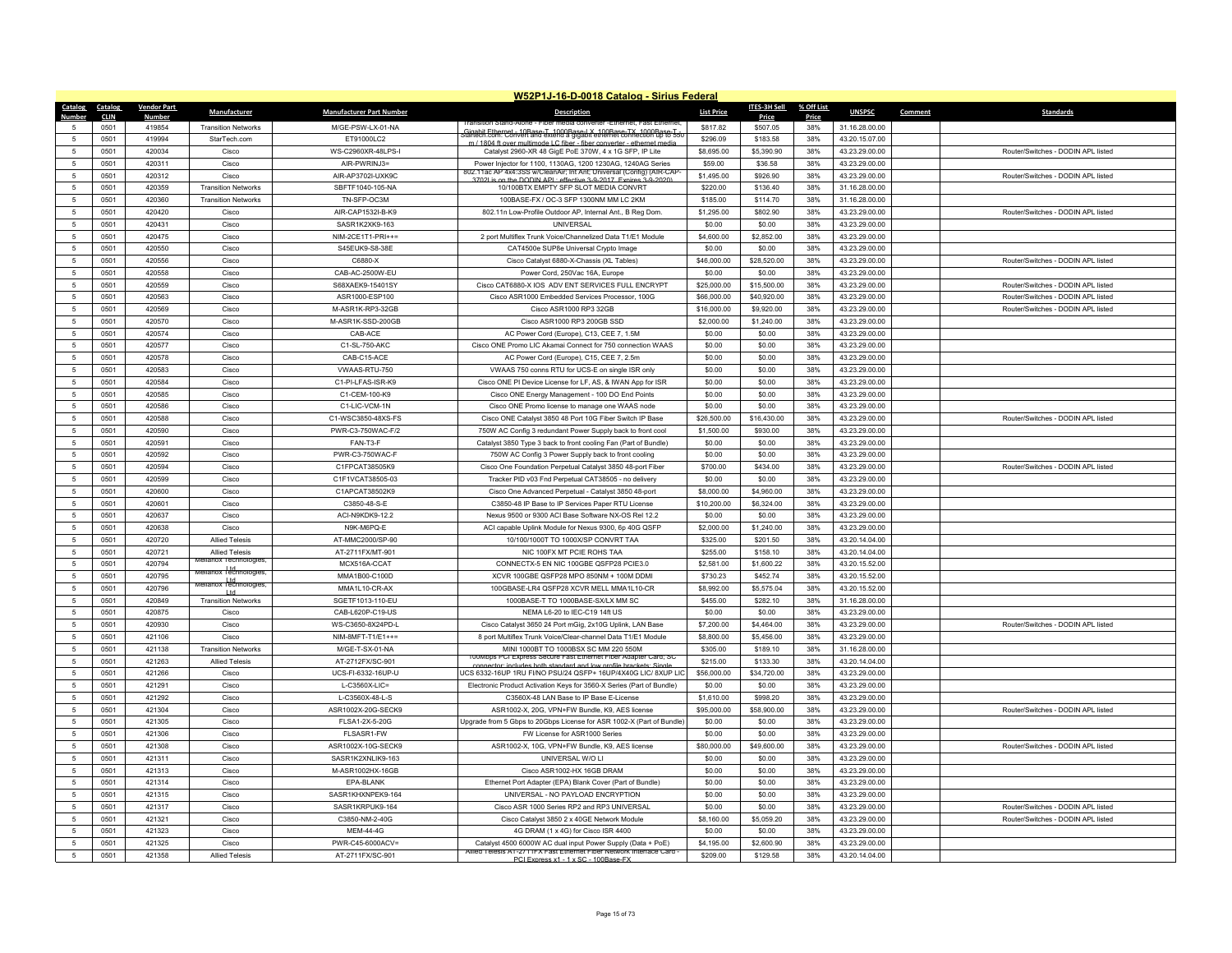|                 | W52P1J-16-D-0018 Catalog - Sirius Federal |                    |                                                                |                                 |                                                                                                                                              |                      |                      |            |                                  |         |                                    |  |
|-----------------|-------------------------------------------|--------------------|----------------------------------------------------------------|---------------------------------|----------------------------------------------------------------------------------------------------------------------------------------------|----------------------|----------------------|------------|----------------------------------|---------|------------------------------------|--|
| Catalog Catalog |                                           | <b>Vendor Part</b> | Manufacturer                                                   | <b>Manufacturer Part Number</b> | <b>Description</b>                                                                                                                           | <b>List Price</b>    | ITES-3H Sell         | % Off List | <b>UNSPSC</b>                    | Comment | <b>Standards</b>                   |  |
| Number          | <b>CLIN</b>                               | <b>Number</b>      |                                                                |                                 |                                                                                                                                              |                      | Price                | Price      |                                  |         |                                    |  |
| $\sqrt{2}$      | 0501<br>0501                              | 419854<br>419994   | <b>Transition Networks</b>                                     | M/GE-PSW-LX-01-NA<br>ET91000LC2 | Gigabit Ethernet - 10Base-T, 1000Base-LX, 100Base-TX, 1000Base-T<br>Startech.com: Convert and extend a gigabit ethernet connection up to 550 | \$817.82<br>\$296.09 | \$507.05<br>\$183.58 | 38%<br>38% | 31.16.28.00.00<br>43.20.15.07.00 |         |                                    |  |
|                 |                                           | 420034             | StarTech.com<br>Cisco                                          |                                 | m / 1804 ft over multimode LC fiber - fiber converter - ethernet medi                                                                        | \$8,695.00           |                      | 38%        |                                  |         | Router/Switches - DODIN API listed |  |
| $\overline{5}$  | 0501                                      |                    |                                                                | WS-C2960XR-48LPS-I              | Catalyst 2960-XR 48 GigE PoE 370W, 4 x 1G SFP, IP Lite                                                                                       |                      | \$5,390.90           |            | 43.23.29.00.00                   |         |                                    |  |
| 5               | 0501                                      | 420311             | Cisco                                                          | AIR-PWRINJ3=                    | Power Injector for 1100, 1130AG, 1200 1230AG, 1240AG Series<br>802.11ac AP 4x4:3SS w/CleanAir; Int Ant; Universal (Config) (AIR-CAP          | \$59.00              | \$36.58              | 38%        | 43.23.29.00.00                   |         |                                    |  |
| $\sqrt{2}$      | 0501                                      | 420312             | Cisco                                                          | AIR-AP3702I-UXK9C               | 3702Lis on the DODIN APL: effective 3-9-2017 Expires 3-9-2020)                                                                               | \$1,495.00           | \$926.90             | 38%        | 43.23.29.00.00                   |         | Router/Switches - DODIN APL listed |  |
| -5              | 0501                                      | 420359             | <b>Transition Networks</b>                                     | SBFTF1040-105-NA                | 10/100BTX EMPTY SEP SLOT MEDIA CONVRT                                                                                                        | \$220.00             | \$136.40             | 38%        | 31.16.28.00.00                   |         |                                    |  |
| 5               | 0501                                      | 420360             | <b>Transition Networks</b>                                     | TN-SFP-OC3M                     | 100BASE-FX / OC-3 SFP 1300NM MM LC 2KM                                                                                                       | \$185.00             | \$114.70             | 38%        | 31.16.28.00.00                   |         |                                    |  |
| $\sqrt{2}$      | 0501                                      | 420420             | Cisco                                                          | AIR-CAP1532I-B-K9               | 802.11n Low-Profile Outdoor AP, Internal Ant., B Reg Dom.                                                                                    | \$1,295.00           | \$802.90             | 38%        | 43.23.29.00.00                   |         | Router/Switches - DODIN API listed |  |
| -5              | 0501                                      | 420431             | Cisco                                                          | SASR1K2XK9-163                  | UNIVERSAL                                                                                                                                    | \$0.00               | \$0.00               | 38%        | 43.23.29.00.00                   |         |                                    |  |
| $\overline{5}$  | 0501                                      | 420475             | Cisco                                                          | NIM-2CE1T1-PRI++=               | 2 port Multiflex Trunk Voice/Channelized Data T1/E1 Module                                                                                   | \$4,600.00           | \$2,852.00           | 38%        | 43.23.29.00.00                   |         |                                    |  |
| $\overline{5}$  | 0501                                      | 420550             | Cisco                                                          | S45EUK9-S8-38E                  | CAT4500e SUP8e Universal Crypto Image                                                                                                        | \$0.00               | \$0.00               | 38%        | 43.23.29.00.00                   |         |                                    |  |
| -5              | 0501                                      | 420556             | Cisco                                                          | C6880-X                         | Cisco Catalyst 6880-X-Chassis (XL Tables)                                                                                                    | \$46,000.00          | \$28,520.00          | 38%        | 43.23.29.00.00                   |         | Router/Switches - DODIN API listed |  |
| $\overline{5}$  | 0501                                      | 420558             | Cisco                                                          | CAB-AC-2500W-EU                 | Power Cord, 250Vac 16A, Europe                                                                                                               | \$0.00               | \$0.00               | 38%        | 43.23.29.00.00                   |         |                                    |  |
| $\overline{5}$  | 0501                                      | 420559             | Cisco                                                          | S68XAEK9-15401SY                | Cisco CAT6880-X IOS ADV ENT SERVICES FULL ENCRYPT                                                                                            | \$25,000.00          | \$15,500.00          | 38%        | 43.23.29.00.00                   |         | Router/Switches - DODIN APL listed |  |
| 5               | 0501                                      | 420563             | Cisco                                                          | ASR1000-FSP100                  | Cisco ASR1000 Embedded Services Processor, 100G                                                                                              | \$66,000.00          | \$40,920.00          | 38%        | 43.23.29.00.00                   |         | Router/Switches - DODIN API listed |  |
| $\overline{5}$  | 0501                                      | 420569             | Cisco                                                          | M-ASR1K-RP3-32GB                | Cisco ASR1000 RP3 32GB                                                                                                                       | \$16,000.00          | \$9,920.00           | 38%        | 43.23.29.00.00                   |         | Router/Switches - DODIN APL listed |  |
| $\overline{5}$  | 0501                                      | 420570             | Cisco                                                          | M-ASR1K-SSD-200GB               | Cisco ASR1000 RP3 200GB SSD                                                                                                                  | \$2,000.00           | \$1,240.00           | 38%        | 43.23.29.00.00                   |         |                                    |  |
| -5              | 0501                                      | 420574             | Cisco                                                          | CAB-ACE                         | AC Power Cord (Europe), C13, CEE 7, 1.5M                                                                                                     | \$0.00               | \$0.00               | 38%        | 43.23.29.00.00                   |         |                                    |  |
| $\overline{5}$  | 0501                                      | 420577             | Cisco                                                          | C1-SL-750-AKC                   | Cisco ONE Promo LIC Akamai Connect for 750 connection WAAS                                                                                   | \$0.00               | \$0.00               | 38%        | 43.23.29.00.00                   |         |                                    |  |
| $\overline{5}$  | 0501                                      | 420578             | Cisco                                                          | CAB-C15-ACE                     | AC Power Cord (Europe), C15, CEE 7, 2.5m                                                                                                     | \$0.00               | \$0.00               | 38%        | 43.23.29.00.00                   |         |                                    |  |
| 5               | 0501                                      | 420583             | Cisco                                                          | VWAAS-RTU-750                   | VWAAS 750 conns RTU for UCS-E on single ISR only                                                                                             | \$0.00               | \$0.00               | 38%        | 43.23.29.00.00                   |         |                                    |  |
| $\overline{5}$  | 0501                                      | 420584             | Cisco                                                          | C1-PI-LFAS-ISR-K9               | Cisco ONE PI Device License for LF, AS, & IWAN App for ISR                                                                                   | \$0.00               | \$0.00               | 38%        | 43.23.29.00.00                   |         |                                    |  |
| $\overline{5}$  | 0501                                      | 420585             | Cisco                                                          | C1-CFM-100-K9                   | Cisco ONE Energy Management - 100 DO End Points                                                                                              | \$0.00               | \$0.00               | 38%        | 43.23.29.00.00                   |         |                                    |  |
| 5               | 0501                                      | 420586             | Cisco                                                          | C1-LIC-VCM-1N                   | Cisco ONE Promo license to manage one WAAS node                                                                                              | \$0.00               | \$0.00               | 38%        | 43.23.29.00.00                   |         |                                    |  |
| $\sqrt{2}$      | 0501                                      | 420588             | Cisco                                                          | C1-WSC3850-48XS-FS              | Cisco ONE Catalyst 3850 48 Port 10G Fiber Switch IP Base                                                                                     | \$26,500.00          | \$16,430.00          | 38%        | 43.23.29.00.00                   |         | Router/Switches - DODIN APL listed |  |
| -5              | 0501                                      | 420590             | Cisco                                                          | PWR-C3-750WAC-F/2               | 750W AC Config 3 redundant Power Supply back to front cool                                                                                   | \$1,500.00           | \$930.00             | 38%        | 43.23.29.00.00                   |         |                                    |  |
| 5               | 0501                                      | 420591             | Cisco                                                          | FAN-T3-F                        | Catalyst 3850 Type 3 back to front cooling Fan (Part of Bundle)                                                                              | \$0.00               | \$0.00               | 38%        | 43.23.29.00.00                   |         |                                    |  |
| $\overline{5}$  | 0501                                      | 420592             | Cisco                                                          | PWR-C3-750WAC-F                 | 750W AC Config 3 Power Supply back to front cooling                                                                                          | \$0.00               | \$0.00               | 38%        | 43.23.29.00.00                   |         |                                    |  |
| -5              | 0501                                      | 420594             | Cisco                                                          | C1FPCAT38505K9                  | Cisco One Foundation Perpetual Catalyst 3850 48-port Fiber                                                                                   | \$700.00             | \$434.00             | 38%        | 43.23.29.00.00                   |         | Router/Switches - DODIN APL listed |  |
| $\overline{5}$  | 0501                                      | 420599             | Cisco                                                          | C1F1VCAT38505-03                | Tracker PID v03 Fnd Perpetual CAT38505 - no delivery                                                                                         | \$0.00               | \$0.00               | 38%        | 43.23.29.00.00                   |         |                                    |  |
| $\overline{5}$  | 0501                                      | 420600             | Cisco                                                          | C1APCAT38502K9                  | Cisco One Advanced Perpetual - Catalyst 3850 48-port                                                                                         | \$8,000.00           | \$4,960.00           | 38%        | 43.23.29.00.00                   |         |                                    |  |
| $\overline{5}$  | 0501                                      | 420601             | Cisco                                                          | C3850-48-S-E                    | C3850-48 IP Base to IP Services Paper RTU License                                                                                            | \$10,200.00          | \$6,324.00           | 38%        | 43.23.29.00.00                   |         |                                    |  |
| $\overline{5}$  | 0501                                      | 420637             | Cisco                                                          | ACI-N9KDK9-12.2                 | Nexus 9500 or 9300 ACI Base Software NX-OS Rel 12.2                                                                                          | \$0.00               | \$0.00               | 38%        | 43.23.29.00.00                   |         |                                    |  |
| $\overline{5}$  | 0501                                      | 420638             | Cisco                                                          | N9K-M6PQ-E                      | ACI capable Uplink Module for Nexus 9300, 6p 40G QSFP                                                                                        | \$2,000.00           | \$1,240.00           | 38%        | 43.23.29.00.00                   |         |                                    |  |
| -5              | 0501                                      | 420720             | <b>Allied Telesis</b>                                          | AT-MMC2000/SP-90                | 10/100/1000T TO 1000X/SP CONVRT TAA                                                                                                          | \$325.00             | \$201.50             | 38%        | 43 20 14 04 00                   |         |                                    |  |
| $\overline{5}$  | 0501                                      | 420721             | <b>Allied Telesis</b>                                          | AT-2711FX/MT-901                | NIC 100FX MT PCIE ROHS TAA                                                                                                                   | \$255.00             | \$158.10             | 38%        | 43.20.14.04.00                   |         |                                    |  |
| $\overline{5}$  | 0501                                      | 420794             | Aellanox Technologies<br>Mellanox Hd<br>Mellanox Technologies, | MCX516A-CCAT                    | CONNECTX-5 EN NIC 100GBE QSFP28 PCIE3.0                                                                                                      | \$2,581.00           | \$1,600.22           | 38%        | 43.20.15.52.00                   |         |                                    |  |
| 5               | 0501                                      | 420795             | vellanox I td.<br>vellanox lechnologie                         | MMA1B00-C100D                   | XCVR 100GBE QSFP28 MPO 850NM + 100M DDMI                                                                                                     | \$730.23             | \$452.74             | 38%        | 43 20 15 52 00                   |         |                                    |  |
| $\overline{5}$  | 0501                                      | 420796             | I td                                                           | MMA1I 10-CR-AX                  | 100GBASE-LR4 QSFP28 XCVR MELL MMA1L10-CR                                                                                                     | \$8,992.00           | \$5,575.04           | 38%        | 43.20.15.52.00                   |         |                                    |  |
| $\overline{5}$  | 0501                                      | 420849             | <b>Transition Networks</b>                                     | SGETF1013-110-EU                | 1000BASE-T TO 1000BASE-SX/LX MM SC                                                                                                           | \$455.00             | \$282.10             | 38%        | 31.16.28.00.00                   |         |                                    |  |
| 5               | 0501                                      | 420875             | Cisco                                                          | CAB-L620P-C19-US                | NEMA L6-20 to IEC-C19 14ft US                                                                                                                | \$0.00               | \$0.00               | 38%        | 43.23.29.00.00                   |         |                                    |  |
| $\overline{5}$  | 0501                                      | 420930             | Cisco                                                          | WS-C3650-8X24PD-                | Cisco Catalyst 3650 24 Port mGig, 2x10G Uplink, LAN Base                                                                                     | \$7,200.00           | \$4,464.00           | 38%        | 43.23.29.00.00                   |         | Router/Switches - DODIN APL listed |  |
| -5              | 0501                                      | 421106             | Cisco                                                          | NIM-8MFT-T1/E1++=               | 8 port Multiflex Trunk Voice/Clear-channel Data T1/E1 Module                                                                                 | \$8,800.00           | \$5,456.00           | 38%        | 43.23.29.00.00                   |         |                                    |  |
| 5               | 0501                                      | 421138             | <b>Transition Networks</b>                                     | M/GE-T-SX-01-NA                 | MINI 1000BT TO 1000BSX SC MM 220 550M                                                                                                        | \$305.00             | \$189.10             | 38%        | 31.16.28.00.00                   |         |                                    |  |
| $\overline{5}$  | 0501                                      | 421263             | <b>Allied Telesis</b>                                          | AT-2712FX/SC-901                | TOOMbos PCI Express Secure Fast Ethernet Fiber Adapter Card: SC<br>ector: includes both standard and low profile brackets: Single            | \$215.00             | \$133.30             | 38%        | 43.20.14.04.00                   |         |                                    |  |
| -5              | 0501                                      | 421266             | Cisco                                                          | UCS-FI-6332-16UP-U              | ICS 6332-16UP 1RU FI/NO PSU/24 OSEP+ 16UP/4X40G LIC/ 8XUP LIC                                                                                | \$56,000.00          | \$34,720.00          | 38%        | 43.23.29.00.00                   |         |                                    |  |
| 5               | 0501                                      | 421291             | Cisco                                                          | L-C3560X-LIC=                   | Electronic Product Activation Keys for 3560-X Series (Part of Bundle)                                                                        | \$0.00               | \$0.00               | 38%        | 43.23.29.00.00                   |         |                                    |  |
| $\overline{5}$  | 0501                                      | 421292             | Cisco                                                          | L-C3560X-48-L-S                 | C3560X-48 LAN Base to IP Base E-License                                                                                                      | \$1,610.00           | \$998.20             | 38%        | 43.23.29.00.00                   |         |                                    |  |
| -5              | 0501                                      | 421304             | Cisco                                                          | ASR1002X-20G-SECK9              | ASR1002-X, 20G, VPN+FW Bundle, K9, AES license                                                                                               | \$95,000.00          | \$58,900.00          | 38%        | 43.23.29.00.00                   |         | Router/Switches - DODIN APL listed |  |
| $\overline{5}$  | 0501                                      | 421305             | Cisco                                                          | FLSA1-2X-5-20G                  | Upgrade from 5 Gbps to 20Gbps License for ASR 1002-X (Part of Bundle)                                                                        | \$0.00               | \$0.00               | 38%        | 43.23.29.00.00                   |         |                                    |  |
| $\overline{5}$  | 0501                                      | 421306             | Cisco                                                          | FLSASR1-FW                      | FW License for ASR1000 Series                                                                                                                | \$0.00               | \$0.00               | 38%        | 43.23.29.00.00                   |         |                                    |  |
| -5              | 0501                                      | 421308             | Cisco                                                          | ASR1002X-10G-SECK9              | ASR1002-X, 10G, VPN+FW Bundle, K9, AES license                                                                                               | \$80,000.00          | \$49,600.00          | 38%        | 43.23.29.00.00                   |         | Router/Switches - DODIN APL listed |  |
| $\overline{5}$  | 0501                                      | 421311             | Cisco                                                          | SASR1K2XNLIK9-163               | UNIVERSAL W/O L                                                                                                                              | \$0.00               | \$0.00               | 38%        | 43.23.29.00.00                   |         |                                    |  |
| $\overline{5}$  | 0501                                      | 421313             | Cisco                                                          | M-ASR1002HX-16GB                | Cisco ASR1002-HX 16GB DRAM                                                                                                                   | \$0.00               | \$0.00               | 38%        | 43.23.29.00.00                   |         |                                    |  |
| -5              | 0501                                      | 421314             | Cisco                                                          | FPA-BI ANK                      | Ethernet Port Adapter (EPA) Blank Cover (Part of Bundle)                                                                                     | \$0.00               | \$0.00               | 38%        | 43.23.29.00.00                   |         |                                    |  |
| 5               | 0501                                      | 421315             | Cisco                                                          | SASR1KHXNPEK9-164               | UNIVERSAL - NO PAYLOAD ENCRYPTION                                                                                                            | \$0.00               | \$0.00               | 38%        | 43.23.29.00.00                   |         |                                    |  |
| -5              | 0501                                      | 421317             | Cisco                                                          | SASR1KRPUK9-164                 | Cisco ASR 1000 Series RP2 and RP3 UNIVERSAL                                                                                                  | \$0.00               | \$0.00               | 38%        | 43.23.29.00.00                   |         | Router/Switches - DODIN APL listed |  |
| -5              | 0501                                      | 421321             | Cisco                                                          | C3850-NM-2-40G                  | Cisco Catalyst 3850 2 x 40GE Network Module                                                                                                  | \$8,160.00           | \$5,059.20           | 38%        | 43.23.29.00.00                   |         | Router/Switches - DODIN API listed |  |
| $\sqrt{2}$      | 0501                                      | 421323             | Cisco                                                          | <b>MEM-44-4G</b>                | 4G DRAM (1 x 4G) for Cisco ISR 4400                                                                                                          | \$0.00               | \$0.00               | 38%        | 43.23.29.00.00                   |         |                                    |  |
|                 | 0501                                      | 421325             | Cisco                                                          | PWR-C45-6000ACV=                | Catalyst 4500 6000W AC dual input Power Supply (Data + PoE)                                                                                  | \$4,195.00           | \$2,600.90           | 38%        | 43.23.29.00.00                   |         |                                    |  |
| 5               | 0501                                      | 421358             | <b>Allied Telesis</b>                                          | AT-2711FX/SC-901                | Niled Telesis AT-2711FX Fast Ethernet Fiber Network Interface Card<br>PCI Express x1 - 1 x SC - 100Base-EX                                   | \$209.00             | \$129.58             | 38%        | 43.20.14.04.00                   |         |                                    |  |
|                 |                                           |                    |                                                                |                                 |                                                                                                                                              |                      |                      |            |                                  |         |                                    |  |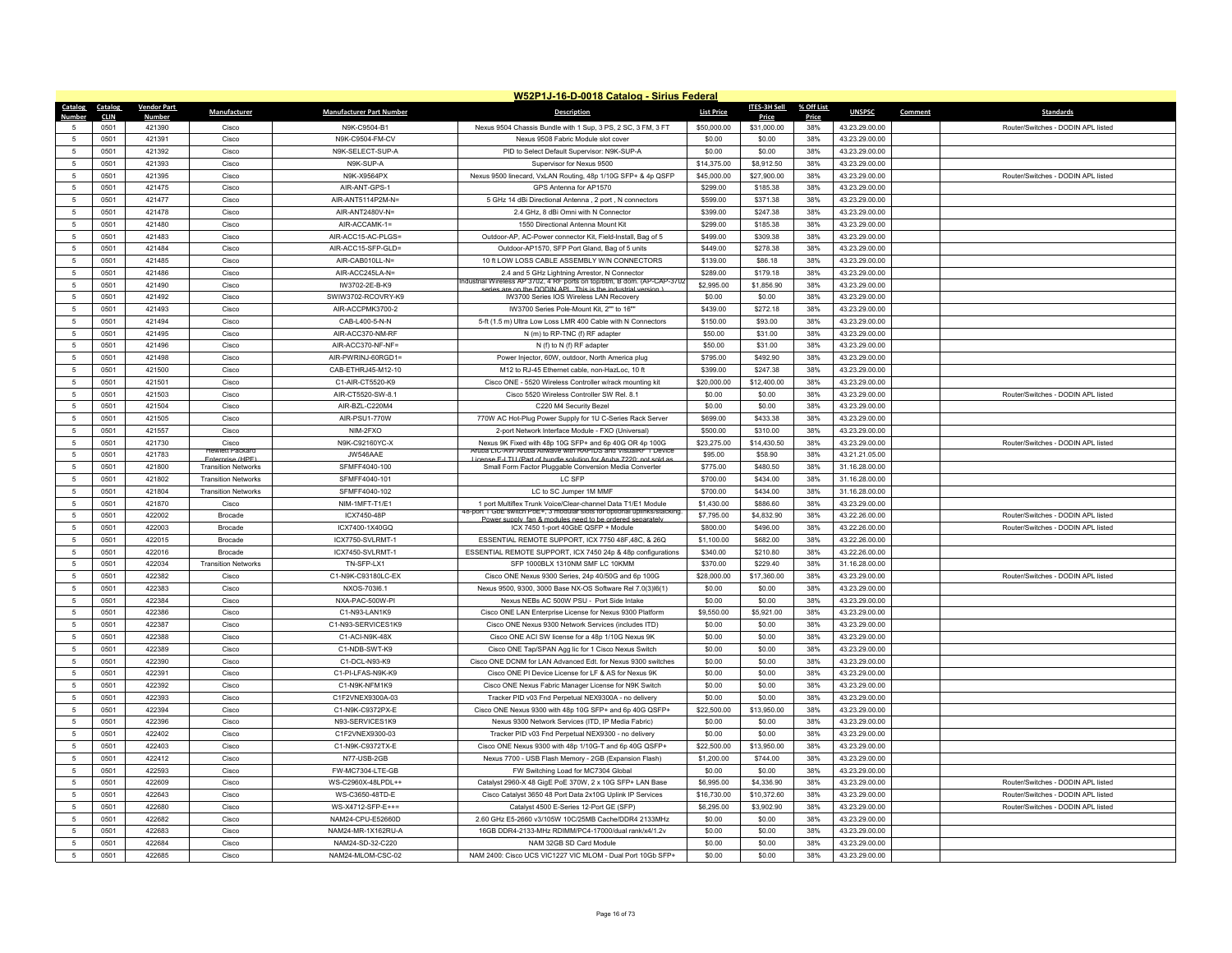|                | W52P1J-16-D-0018 Catalog - Sirius Federal |                    |                            |                                         |                                                                                                                                      |                      |                      |              |                                  |         |                                    |
|----------------|-------------------------------------------|--------------------|----------------------------|-----------------------------------------|--------------------------------------------------------------------------------------------------------------------------------------|----------------------|----------------------|--------------|----------------------------------|---------|------------------------------------|
| <b>Catalog</b> | Catalog                                   | <b>Vendor Part</b> | Manufacturer               | <b>Manufacturer Part Number</b>         | <b>Description</b>                                                                                                                   | <b>List Price</b>    | <b>ITES-3H Sell</b>  | % Off List   | <b>UNSPSC</b>                    | Comment | <b>Standards</b>                   |
| $\sqrt{2}$     | <b>CLIN</b><br>0501                       | Number<br>421390   | Cisco                      | N9K-C9504-B1                            | Nexus 9504 Chassis Bundle with 1 Sup, 3 PS, 2 SC, 3 FM, 3 FT                                                                         | \$50,000.00          | Price<br>\$31,000.00 | Price<br>38% | 43.23.29.00.00                   |         | Router/Switches - DODIN APL listed |
| -5             | 0501                                      | 421391             | Cisco                      | N9K-C9504-FM-CV                         | Nexus 9508 Fabric Module slot cover                                                                                                  | \$0.00               | \$0.00               | 38%          | 43.23.29.00.00                   |         |                                    |
| 5              | 0501                                      | 421392             | Cisco                      | N9K-SELECT-SUP-A                        | PID to Select Default Supervisor: N9K-SUP-A                                                                                          | \$0.00               | \$0.00               | 38%          | 43.23.29.00.00                   |         |                                    |
| 5              | 0501                                      | 421393             | Cisco                      | N9K-SUP-A                               | Supervisor for Nexus 9500                                                                                                            | \$14,375.00          | \$8,912.50           | 38%          | 43.23.29.00.00                   |         |                                    |
|                | 0501                                      | 421395             | Cisco                      | N9K-X9564PX                             | Nexus 9500 linecard, VxLAN Routing, 48p 1/10G SFP+ & 4p QSFP                                                                         | \$45,000.00          | \$27,900.00          | 38%          | 43.23.29.00.00                   |         | Router/Switches - DODIN APL listed |
| 5              | 0501                                      | 421475             | Cisco                      | AIR-ANT-GPS-1                           | GPS Antenna for AP1570                                                                                                               | \$299.00             | \$185.38             | 38%          | 43.23.29.00.00                   |         |                                    |
| $\sqrt{2}$     | 0501                                      | 421477             | Cisco                      | AIR-ANT5114P2M-N=                       | 5 GHz 14 dBi Directional Antenna, 2 port, N connectors                                                                               | \$599.00             | \$371.38             | 38%          | 43.23.29.00.00                   |         |                                    |
| 5              | 0501                                      | 421478             | Cisco                      | AIR-ANT2480V-N=                         | 2.4 GHz, 8 dBi Omni with N Connector                                                                                                 | \$399.00             | \$247.38             | 38%          | 43.23.29.00.00                   |         |                                    |
| 5              | 0501                                      | 421480             | Cisco                      | AIR-ACCAMK-1=                           | 1550 Directional Antenna Mount Kit                                                                                                   | \$299.00             | \$185.38             | 38%          | 43.23.29.00.00                   |         |                                    |
| $\overline{5}$ | 0501                                      | 421483             | Cisco                      | AIR-ACC15-AC-PLGS=                      | Outdoor-AP, AC-Power connector Kit, Field-Install, Bag of 5                                                                          | \$499.00             | \$309.38             | 38%          | 43.23.29.00.00                   |         |                                    |
| 5              | 0501                                      | 421484             | Cisco                      | AIR-ACC15-SFP-GLD=                      | Outdoor-AP1570, SFP Port Gland, Bag of 5 units                                                                                       | \$449.00             | \$278.38             | 38%          | 43.23.29.00.00                   |         |                                    |
| 5              | 0501                                      | 421485             | Cisco                      | AIR-CAB010LL-N=                         | 10 ft LOW LOSS CABLE ASSEMBLY W/N CONNECTORS                                                                                         | \$139.00             | \$86.18              | 38%          | 43.23.29.00.00                   |         |                                    |
| $\overline{5}$ | 0501                                      | 421486             | Cisco                      | AIR-ACC245LA-N=                         | 2.4 and 5 GHz Lightning Arrestor, N Connector                                                                                        | \$289.00             | \$179.18             | 38%          | 43.23.29.00.00                   |         |                                    |
| 5              | 0501                                      | 421490             | Cisco                      | IW3702-2E-B-K9                          | dustrial Wireless AP 3702, 4 RF ports on top/btm, B dom, (AP-CAP-37t                                                                 | \$2,995.00           | \$1,856.90           | 38%          | 43.23.29.00.00                   |         |                                    |
| 5              | 0501                                      | 421492             | Cisco                      | SWIW3702-RCOVRY-K9                      | series are on the DODIN API This is the industrial version 1<br>IW3700 Series IOS Wireless LAN Recovery                              | \$0.00               | \$0.00               | 38%          | 43.23.29.00.00                   |         |                                    |
| $\overline{5}$ |                                           | 421493             |                            | AIR-ACCPMK3700-2                        | IW3700 Series Pole-Mount Kit, 2"" to 16""                                                                                            |                      |                      |              |                                  |         |                                    |
| 5              | 0501<br>0501                              | 421494             | Cisco<br>Cisco             | CAB-L400-5-N-N                          | 5-ft (1.5 m) Ultra Low Loss LMR 400 Cable with N Connectors                                                                          | \$439.00<br>\$150.00 | \$272.18<br>\$93.00  | 38%<br>38%   | 43.23.29.00.00<br>43.23.29.00.00 |         |                                    |
| 5              | 0501                                      | 421495             | Cisco                      | AIR-ACC370-NM-RF                        | N (m) to RP-TNC (f) RF adapter                                                                                                       | \$50.00              | \$31.00              | 38%          | 43.23.29.00.00                   |         |                                    |
|                |                                           |                    |                            |                                         |                                                                                                                                      |                      |                      |              |                                  |         |                                    |
| 5              | 0501<br>0501                              | 421496             | Cisco                      | AIR-ACC370-NF-NF=<br>AIR-PWRINJ-60RGD1= | N (f) to N (f) RF adapter                                                                                                            | \$50.00<br>\$795.00  | \$31.00<br>\$492.90  | 38%          | 43.23.29.00.00<br>43.23.29.00.00 |         |                                    |
| 5              |                                           | 421498             | Cisco                      |                                         | Power Injector, 60W, outdoor, North America plug                                                                                     |                      |                      | 38%          |                                  |         |                                    |
| 5              | 0501                                      | 421500             | Cisco                      | CAB-ETHRJ45-M12-10                      | M12 to RJ-45 Ethernet cable, non-HazLoc, 10 ft                                                                                       | \$399.00             | \$247.38             | 38%          | 43.23.29.00.00                   |         |                                    |
| $\overline{5}$ | 0501                                      | 421501             | Cisco                      | C1-AIR-CT5520-K9                        | Cisco ONE - 5520 Wireless Controller w/rack mounting kit                                                                             | \$20,000.00          | \$12,400.00          | 38%          | 43.23.29.00.00                   |         |                                    |
| 5              | 0501                                      | 421503             | Cisco                      | AIR-CT5520-SW-8.1                       | Cisco 5520 Wireless Controller SW Rel. 8.1                                                                                           | \$0.00               | \$0.00               | 38%          | 43.23.29.00.00                   |         | Router/Switches - DODIN API listed |
| $\overline{5}$ | 0501                                      | 421504             | Cisco                      | AIR-BZL-C220M4                          | C220 M4 Security Bezel                                                                                                               | \$0.00               | \$0.00               | 38%          | 43.23.29.00.00                   |         |                                    |
| 5              | 0501                                      | 421505             | Cisco                      | AIR-PSU1-770W                           | 770W AC Hot-Plug Power Supply for 1U C-Series Rack Server                                                                            | \$699.00             | \$433.38             | 38%          | 43.23.29.00.00                   |         |                                    |
| 5              | 0501                                      | 421557             | Cisco                      | NIM-2FXO                                | 2-port Network Interface Module - FXO (Universal)                                                                                    | \$500.00             | \$310.00             | 38%          | 43.23.29.00.00                   |         |                                    |
| $\overline{5}$ | 0501                                      | 421730             | Cisco<br>lewlett Packar    | N9K-C92160YC-X                          | Nexus 9K Fixed with 48p 10G SFP+ and 6p 40G OR 4p 100G<br>ruba LIC-AW Aruba Airwaye with RAPIDS and VisualRF 1 Devic                 | \$23,275.00          | \$14,430.50          | 38%          | 43.23.29.00.00                   |         | Router/Switches - DODIN APL listed |
| 5              | 0501                                      | 421783             | Fnterprise (HPF)           | JW546AAE                                | License E-LTU (Part of bundle solution for Aruba 7220; not sold a                                                                    | \$95.00              | \$58.90              | 38%          | 43.21.21.05.00                   |         |                                    |
| 5              | 0501                                      | 421800             | <b>Transition Networks</b> | SFMFF4040-100                           | Small Form Factor Pluggable Conversion Media Converter                                                                               | \$775.00             | \$480.50             | 38%          | 31.16.28.00.00                   |         |                                    |
| $\overline{5}$ | 0501                                      | 421802             | <b>Transition Networks</b> | SFMFF4040-101                           | LC SFP                                                                                                                               | \$700.00             | \$434.00             | 38%          | 31.16.28.00.00                   |         |                                    |
| $\overline{5}$ | 0501                                      | 421804             | <b>Transition Networks</b> | SFMFF4040-102                           | LC to SC Jumper 1M MMF                                                                                                               | \$700.00             | \$434.00             | 38%          | 31.16.28.00.00                   |         |                                    |
| 5              | 0501                                      | 421870             | Cisco                      | NIM-1MFT-T1/E1                          | 1 port Multiflex Trunk Voice/Clear-channel Data T1/E1 Module<br>ort 1 GbE switch PoE+, 3 modular slots for optional uplinks/stacking | \$1,430.00           | \$886.60             | 38%          | 43.23.29.00.00                   |         |                                    |
| $\overline{5}$ | 0501                                      | 422002             | <b>Brocade</b>             | ICX7450-48P                             | Power supply fan & modules need to be ordered separatel                                                                              | \$7,795.00           | \$4,832.90           | 38%          | 43.22.26.00.00                   |         | Router/Switches - DODIN API listed |
| 5              | 0501                                      | 422003             | Brocade                    | ICX7400-1X40GQ                          | ICX 7450 1-port 40GbE QSFP + Module                                                                                                  | \$800.00             | \$496.00             | 38%          | 43.22.26.00.00                   |         | Router/Switches - DODIN APL listed |
| 5              | 0501                                      | 422015             | Brocade                    | ICX7750-SVLRMT-1                        | ESSENTIAL REMOTE SUPPORT, ICX 7750 48F,48C, & 26Q                                                                                    | \$1,100.00           | \$682.00             | 38%          | 43.22.26.00.00                   |         |                                    |
| 5              | 0501                                      | 422016             | Brocade                    | ICX7450-SVLRMT-1                        | ESSENTIAL REMOTE SUPPORT, ICX 7450 24p & 48p configurations                                                                          | \$340.00             | \$210.80             | 38%          | 43.22.26.00.00                   |         |                                    |
| 5              | 0501                                      | 422034             | <b>Transition Networks</b> | TN-SFP-I X1                             | SFP 1000BLX 1310NM SMF LC 10KMM                                                                                                      | \$370.00             | \$229.40             | 38%          | 31.16.28.00.00                   |         |                                    |
| 5              | 0501                                      | 422382             | Cisco                      | C1-N9K-C93180LC-EX                      | Cisco ONE Nexus 9300 Series, 24p 40/50G and 6p 100G                                                                                  | \$28,000.00          | \$17,360.00          | 38%          | 43.23.29.00.00                   |         | Router/Switches - DODIN APL listed |
| $\overline{5}$ | 0501                                      | 422383             | Cisco                      | NXOS-703l6.1                            | Nexus 9500, 9300, 3000 Base NX-OS Software Rel 7.0(3)l6(1)                                                                           | \$0.00               | \$0.00               | 38%          | 43.23.29.00.00                   |         |                                    |
| 5              | 0501                                      | 422384             | Cisco                      | NXA-PAC-500W-PI                         | Nexus NEBs AC 500W PSU - Port Side Intake                                                                                            | \$0.00               | \$0.00               | 38%          | 43.23.29.00.00                   |         |                                    |
| $\overline{5}$ | 0501                                      | 422386             | Cisco                      | C1-N93-LAN1K9                           | Cisco ONE LAN Enterprise License for Nexus 9300 Platform                                                                             | \$9,550.00           | \$5,921.00           | 38%          | 43.23.29.00.00                   |         |                                    |
| $\overline{5}$ | 0501                                      | 422387             | Cisco                      | C1-N93-SERVICES1K9                      | Cisco ONE Nexus 9300 Network Services (includes ITD)                                                                                 | \$0.00               | \$0.00               | 38%          | 43.23.29.00.00                   |         |                                    |
| 5              | 0501                                      | 422388             | Cisco                      | C1-ACI-N9K-48X                          | Cisco ONE ACI SW license for a 48p 1/10G Nexus 9K                                                                                    | \$0.00               | \$0.00               | 38%          | 43.23.29.00.00                   |         |                                    |
| $\overline{5}$ | 0501                                      | 422389             | Cisco                      | C1-NDB-SWT-K9                           | Cisco ONE Tap/SPAN Agg lic for 1 Cisco Nexus Switch                                                                                  | \$0.00               | \$0.00               | 38%          | 43.23.29.00.00                   |         |                                    |
| 5              | 0501                                      | 422390             | Cisco                      | C1-DCL-N93-K9                           | Cisco ONE DCNM for LAN Advanced Edt. for Nexus 9300 switches                                                                         | \$0.00               | \$0.00               | 38%          | 43.23.29.00.00                   |         |                                    |
| -5             | 0501                                      | 422391             | Cisco                      | C1-PI-I FAS-N9K-K9                      | Cisco ONE PI Device License for LE & AS for Nexus 9K                                                                                 | \$0.00               | \$0.00               | 38%          | 43.23.29.00.00                   |         |                                    |
| $\overline{5}$ | 0501                                      | 422392             | Cisco                      | C1-N9K-NFM1K9                           | Cisco ONE Nexus Fabric Manager License for N9K Switch                                                                                | \$0.00               | \$0.00               | 38%          | 43.23.29.00.00                   |         |                                    |
| $\overline{5}$ | 0501                                      | 422393             | Cisco                      | C1F2VNEX9300A-03                        | Tracker PID v03 Fnd Perpetual NEX9300A - no delivery                                                                                 | \$0.00               | \$0.00               | 38%          | 43.23.29.00.00                   |         |                                    |
| 5              | 0501                                      | 422394             | Cisco                      | C1-N9K-C9372PX-F                        | Cisco ONE Nexus 9300 with 48p 10G SFP+ and 6p 40G QSFP+                                                                              | \$22,500.00          | \$13,950.00          | 38%          | 43.23.29.00.00                   |         |                                    |
| $\overline{5}$ | 0501                                      | 422396             | Cisco                      | N93-SERVICES1K9                         | Nexus 9300 Network Services (ITD, IP Media Fabric)                                                                                   | \$0.00               | \$0.00               | 38%          | 43.23.29.00.00                   |         |                                    |
| $\overline{5}$ | 0501                                      | 422402             | Cisco                      | C1F2VNEX9300-03                         | Tracker PID v03 Fnd Perpetual NEX9300 - no delivery                                                                                  | \$0.00               | \$0.00               | 38%          | 43.23.29.00.00                   |         |                                    |
| -5             | 0501                                      | 422403             | Cisco                      | C1-N9K-C9372TX-E                        | Cisco ONE Nexus 9300 with 48p 1/10G-T and 6p 40G QSFP+                                                                               | \$22,500.00          | \$13,950.00          | 38%          | 43.23.29.00.00                   |         |                                    |
| $\overline{5}$ | 0501                                      | 422412             | Cisco                      | N77-USB-2GB                             | Nexus 7700 - USB Flash Memory - 2GB (Expansion Flash)                                                                                | \$1,200.00           | \$744.00             | 38%          | 43.23.29.00.00                   |         |                                    |
| $\overline{5}$ | 0501                                      | 422593             | Cisco                      | FW-MC7304-LTE-GB                        | FW Switching Load for MC7304 Global                                                                                                  | \$0.00               | \$0.00               | 38%          | 43.23.29.00.00                   |         |                                    |
| 5              | 0501                                      | 422609             | Cisco                      | WS-C2960X-48LPDL++                      | Catalyst 2960-X 48 GigE PoE 370W, 2 x 10G SFP+ LAN Base                                                                              | \$6,995.00           | \$4,336.90           | 38%          | 43.23.29.00.00                   |         | Router/Switches - DODIN APL listed |
| 5              | 0501                                      | 422643             | Cisco                      | WS-C3650-48TD-E                         | Cisco Catalyst 3650 48 Port Data 2x10G Uplink IP Services                                                                            | \$16,730.00          | \$10,372.60          | 38%          | 43.23.29.00.00                   |         | Router/Switches - DODIN APL listed |
| 5              | 0501                                      | 422680             | Cisco                      | WS-X4712-SFP-F++=                       | Catalyst 4500 E-Series 12-Port GE (SFP)                                                                                              | \$6,295.00           | \$3,902.90           | 38%          | 43.23.29.00.00                   |         | Router/Switches - DODIN APL listed |
| 5              | 0501                                      | 422682             | Cisco                      | NAM24-CPU-E52660D                       | 2.60 GHz E5-2660 v3/105W 10C/25MB Cache/DDR4 2133MHz                                                                                 | \$0.00               | \$0.00               | 38%          | 43.23.29.00.00                   |         |                                    |
| $\sqrt{2}$     | 0501                                      | 422683             | Cisco                      | NAM24-MR-1X162RU-A                      | 16GB DDR4-2133-MHz RDIMM/PC4-17000/dual rank/x4/1.2v                                                                                 | \$0.00               | \$0.00               | 38%          | 43.23.29.00.00                   |         |                                    |
| 5              | 0501                                      | 422684             | Cisco                      | NAM24-SD-32-C220                        | NAM 32GB SD Card Module                                                                                                              | \$0.00               | \$0.00               | 38%          | 43.23.29.00.00                   |         |                                    |
| 5              | 0501                                      | 422685             | Cisco                      | NAM24-MLOM-CSC-02                       | NAM 2400: Cisco UCS VIC1227 VIC MLOM - Dual Port 10Gb SFP+                                                                           | \$0.00               | \$0.00               | 38%          | 43.23.29.00.00                   |         |                                    |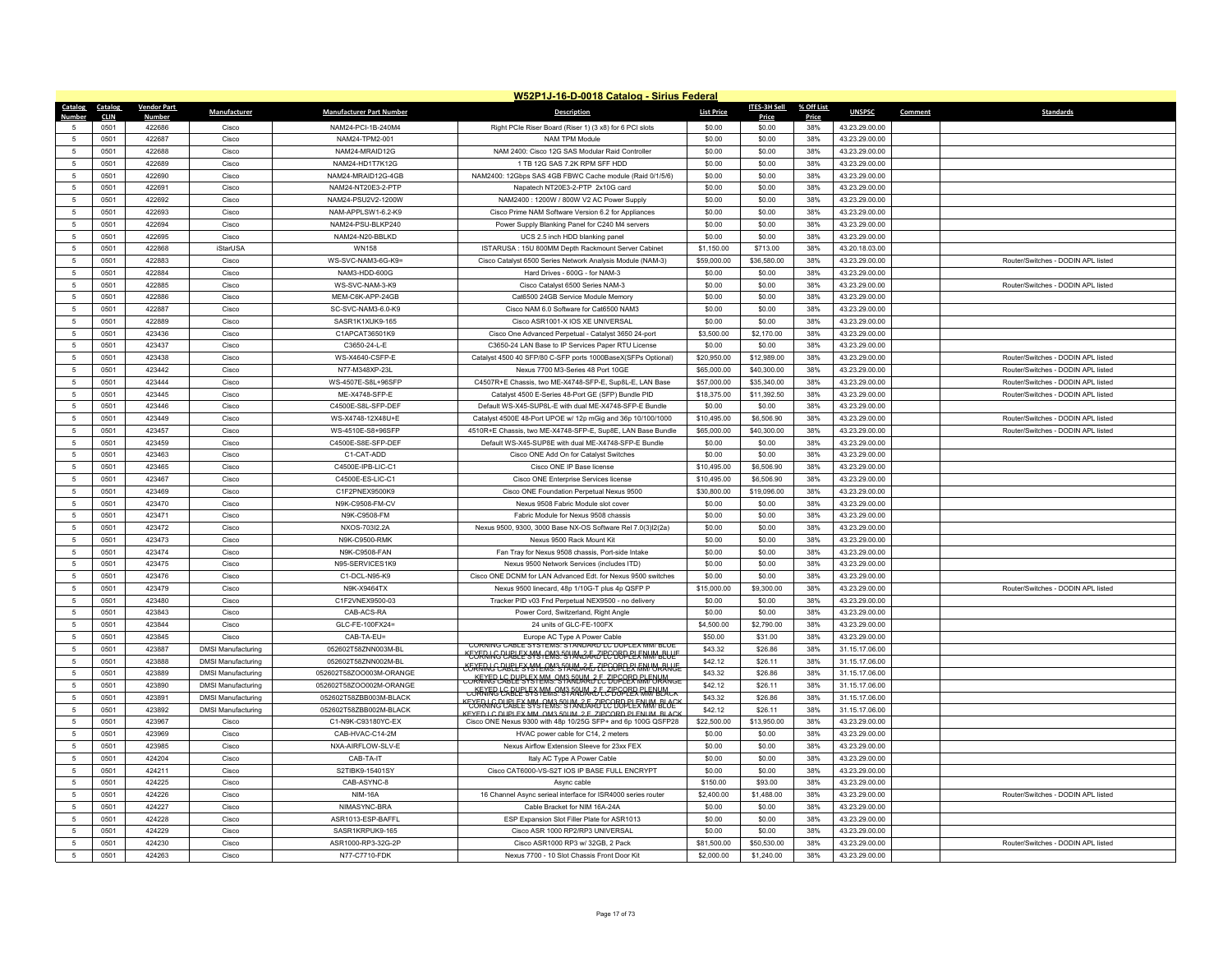|                                  | W52P1J-16-D-0018 Catalog - Sirius Federal |                        |                           |                                 |                                                                                                                       |                       |                       |              |                                  |         |                                    |
|----------------------------------|-------------------------------------------|------------------------|---------------------------|---------------------------------|-----------------------------------------------------------------------------------------------------------------------|-----------------------|-----------------------|--------------|----------------------------------|---------|------------------------------------|
| <b>Catalog</b>                   | <b>Catalog</b>                            | <b>Vendor Part</b>     | Manufacturer              | <b>Manufacturer Part Number</b> | <b>Description</b>                                                                                                    | <b>List Price</b>     | ITES-3H Sell          | % Off List   | <b>UNSPSC</b>                    | Comment | <b>Standards</b>                   |
| $\sqrt{2}$                       | <b>CLIN</b><br>0501                       | <b>Numbe</b><br>422686 | Cisco                     | NAM24-PCI-1B-240M4              | Right PCIe Riser Board (Riser 1) (3 x8) for 6 PCI slots                                                               | \$0.00                | Price<br>\$0.00       | Price<br>38% | 43.23.29.00.00                   |         |                                    |
| -5                               | 0501                                      | 422687                 | Cisco                     | NAM24-TPM2-001                  | NAM TPM Module                                                                                                        | \$0.00                | \$0.00                | 38%          | 43.23.29.00.00                   |         |                                    |
| 5                                | 0501                                      | 422688                 | Cisco                     | NAM24-MRAID12G                  | NAM 2400: Cisco 12G SAS Modular Raid Controller                                                                       | \$0.00                | \$0.00                | 38%          | 43.23.29.00.00                   |         |                                    |
| 5                                | 0501                                      | 422689                 | Cisco                     | NAM24-HD1T7K12G                 | 1 TB 12G SAS 7.2K RPM SFF HDD                                                                                         | \$0.00                | \$0.00                | 38%          | 43.23.29.00.00                   |         |                                    |
|                                  | 0501                                      | 422690                 | Cisco                     | NAM24-MRAID12G-4GB              | NAM2400: 12Gbps SAS 4GB FBWC Cache module (Raid 0/1/5/6)                                                              | \$0.00                | \$0.00                | 38%          | 43.23.29.00.00                   |         |                                    |
| 5                                | 0501                                      | 422691                 | Cisco                     | NAM24-NT20E3-2-PTP              | Napatech NT20E3-2-PTP 2x10G card                                                                                      | \$0.00                | \$0.00                | 38%          | 43.23.29.00.00                   |         |                                    |
| $\overline{5}$                   | 0501                                      | 422692                 | Cisco                     | NAM24-PSU2V2-1200W              | NAM2400: 1200W / 800W V2 AC Power Supply                                                                              | \$0.00                | \$0.00                | 38%          | 43.23.29.00.00                   |         |                                    |
| 5                                | 0501                                      | 422693                 | Cisco                     | NAM-APPLSW1-6.2-K9              | Cisco Prime NAM Software Version 6.2 for Appliances                                                                   | \$0.00                | \$0.00                | 38%          | 43.23.29.00.00                   |         |                                    |
| 5                                | 0501                                      | 422694                 | Cisco                     | NAM24-PSU-BLKP240               | Power Supply Blanking Panel for C240 M4 servers                                                                       | \$0.00                | \$0.00                | 38%          | 43.23.29.00.00                   |         |                                    |
| $\overline{5}$                   | 0501                                      | 422695                 | Cisco                     | NAM24-N20-BBI KD                | UCS 2.5 inch HDD blanking panel                                                                                       | \$0.00                | \$0.00                | 38%          | 43.23.29.00.00                   |         |                                    |
| -5                               | 0501                                      | 422868                 | <b>iStarUSA</b>           | <b>WN158</b>                    | ISTARUSA: 15U 800MM Depth Rackmount Server Cabinet                                                                    | \$1,150.00            | \$713.00              | 38%          | 43.20.18.03.00                   |         |                                    |
| 5                                | 0501                                      | 422883                 | Cisco                     | WS-SVC-NAM3-6G-K9=              | Cisco Catalyst 6500 Series Network Analysis Module (NAM-3)                                                            | \$59,000.00           | \$36,580.00           | 38%          | 43.23.29.00.00                   |         | Router/Switches - DODIN APL listed |
| $\overline{5}$                   | 0501                                      | 422884                 | Cisco                     | NAM3-HDD-600G                   | Hard Drives - 600G - for NAM-3                                                                                        | \$0.00                | \$0.00                | 38%          | 43.23.29.00.00                   |         |                                    |
| $\overline{5}$                   | 0501                                      | 422885                 | Cisco                     | WS-SVC-NAM-3-K9                 | Cisco Catalyst 6500 Series NAM-3                                                                                      | \$0.00                | \$0.00                | 38%          | 43.23.29.00.00                   |         | Router/Switches - DODIN APL listed |
| 5                                | 0501                                      | 422886                 | Cisco                     | MEM-C6K-APP-24GB                | Cat6500 24GB Service Module Memory                                                                                    | \$0.00                | \$0.00                | 38%          | 43.23.29.00.00                   |         |                                    |
| $\overline{5}$                   | 0501                                      | 422887                 | Cisco                     | SC-SVC-NAM3-6.0-K9              | Cisco NAM 6.0 Software for Cat6500 NAM3                                                                               | \$0.00                | \$0.00                | 38%          | 43.23.29.00.00                   |         |                                    |
| $\overline{5}$                   | 0501                                      | 422889                 | Cisco                     | SASR1K1XUK9-165                 | Cisco ASR1001-X IOS XE UNIVERSAL                                                                                      | \$0.00                | \$0.00                | 38%          | 43.23.29.00.00                   |         |                                    |
| 5                                | 0501                                      | 423436                 | Cisco                     | C1APCAT36501K9                  | Cisco One Advanced Perpetual - Catalyst 3650 24-port                                                                  | \$3,500.00            | \$2,170.00            | 38%          | 43.23.29.00.00                   |         |                                    |
| $\overline{5}$                   | 0501                                      | 423437                 | Cisco                     | C3650-24-L-E                    | C3650-24 LAN Base to IP Services Paper RTU License                                                                    | \$0.00                | \$0.00                | 38%          | 43.23.29.00.00                   |         |                                    |
| $\overline{5}$                   | 0501                                      | 423438                 | Cisco                     | WS-X4640-CSFP-E                 | Catalyst 4500 40 SFP/80 C-SFP ports 1000BaseX(SFPs Optional)                                                          | \$20,950.00           | \$12,989.00           | 38%          | 43.23.29.00.00                   |         | Router/Switches - DODIN API listed |
| $\overline{5}$                   | 0501                                      | 423442                 | Cisco                     | N77-M348XP-23L                  | Nexus 7700 M3-Series 48 Port 10GE                                                                                     | \$65,000.00           | \$40,300.00           | 38%          | 43.23.29.00.00                   |         | Router/Switches - DODIN APL listed |
| $\overline{5}$                   | 0501                                      | 423444                 | Cisco                     | WS-4507E-S8L+96SFP              | C4507R+E Chassis, two ME-X4748-SFP-E, Sup8L-E, LAN Base                                                               | \$57,000.00           | \$35,340.00           | 38%          | 43.23.29.00.00                   |         | Router/Switches - DODIN APL listed |
| -5                               | 0501                                      | 423445                 | Cisco                     | MF-X4748-SFP-F                  | Catalyst 4500 E-Series 48-Port GE (SFP) Bundle PID                                                                    | \$18,375.00           | \$11,392.50           | 38%          | 43.23.29.00.00                   |         | Router/Switches - DODIN APL listed |
| $\overline{5}$                   | 0501                                      | 423446                 | Cisco                     | C4500E-S8L-SFP-DEF              | Default WS-X45-SUP8L-E with dual ME-X4748-SFP-E Bundle                                                                | \$0.00                | \$0.00                | 38%          | 43.23.29.00.00                   |         |                                    |
| 5                                | 0501                                      | 423449                 | Cisco                     | WS-X4748-12X48U+E               | Catalyst 4500E 48-Port UPOE w/ 12p mGig and 36p 10/100/1000                                                           | \$10,495.00           | \$6,506.90            | 38%          | 43.23.29.00.00                   |         | Router/Switches - DODIN APL listed |
| 5                                | 0501                                      | 423457                 | Cisco                     | WS-4510F-S8+96SFP               | 4510R+E Chassis, two ME-X4748-SFP-E, Sup8E, LAN Base Bundle                                                           | \$65,000.00           | \$40,300.00           | 38%          | 43.23.29.00.00                   |         | Router/Switches - DODIN APL listed |
| $\overline{5}$                   | 0501                                      | 423459                 | Cisco                     | C4500E-S8E-SFP-DEF              | Default WS-X45-SUP8E with dual ME-X4748-SFP-E Bundle                                                                  | \$0.00                | \$0.00                | 38%          | 43.23.29.00.00                   |         |                                    |
| $\overline{5}$                   | 0501                                      | 423463                 | Cisco                     | C1-CAT-ADD                      | Cisco ONE Add On for Catalyst Switches                                                                                | \$0.00                | \$0.00                | 38%          | 43.23.29.00.00                   |         |                                    |
| 5                                | 0501                                      | 423465                 | Cisco                     | C4500F-IPB-LIC-C1               | Cisco ONE IP Base license                                                                                             | \$10,495.00           | \$6,506.90            | 38%          | 43.23.29.00.00                   |         |                                    |
| $\sqrt{2}$                       | 0501                                      | 423467                 | Cisco                     | C4500E-ES-LIC-C1                | Cisco ONE Enterprise Services license                                                                                 | \$10,495.00           | \$6,506.90            | 38%          | 43.23.29.00.00                   |         |                                    |
| 5                                | 0501                                      | 423469                 | Cisco                     | C1F2PNEX9500K9                  | Cisco ONE Foundation Perpetual Nexus 9500                                                                             | \$30,800.00           | \$19,096.00           | 38%          | 43.23.29.00.00                   |         |                                    |
| 5                                | 0501                                      | 423470                 | Cisco                     | N9K-C9508-FM-CV                 | Nexus 9508 Fabric Module slot cover                                                                                   | \$0.00                | \$0.00                | 38%          | 43.23.29.00.00                   |         |                                    |
| 5                                | 0501                                      | 423471                 | Cisco                     | N9K-C9508-FM                    | Fabric Module for Nexus 9508 chassis                                                                                  | \$0.00                | \$0.00                | 38%          | 43.23.29.00.00                   |         |                                    |
| 5                                | 0501                                      | 423472                 | Cisco                     | NXOS-703I2.2A                   | Nexus 9500, 9300, 3000 Base NX-OS Software Rel 7.0(3)l2(2a)                                                           | \$0.00                | \$0.00                | 38%          | 43.23.29.00.00                   |         |                                    |
| 5                                | 0501                                      | 423473                 | Cisco                     | N9K-C9500-RMK                   | Nexus 9500 Rack Mount Kit                                                                                             | \$0.00                | \$0.00                | 38%          | 43.23.29.00.00                   |         |                                    |
| $\overline{5}$                   | 0501                                      | 423474                 | Cisco                     | N9K-C9508-FAN                   | Fan Tray for Nexus 9508 chassis, Port-side Intake                                                                     | \$0.00                | \$0.00                | 38%          | 43.23.29.00.00                   |         |                                    |
| 5                                | 0501                                      | 423475                 | Cisco                     | N95-SERVICES1K9                 | Nexus 9500 Network Services (includes ITD)                                                                            | \$0.00                | \$0.00                | 38%          | 43.23.29.00.00                   |         |                                    |
| 5                                | 0501                                      | 423476                 | Cisco                     | C1-DCL-N95-K9                   | Cisco ONE DCNM for LAN Advanced Edt. for Nexus 9500 switches                                                          | \$0.00                | \$0.00                | 38%          | 43.23.29.00.00                   |         |                                    |
| $\overline{5}$                   | 0501                                      | 423479                 | Cisco                     | N9K-X9464TX                     | Nexus 9500 linecard, 48p 1/10G-T plus 4p QSFP P                                                                       | \$15,000.00           | \$9,300.00            | 38%          | 43.23.29.00.00                   |         | Router/Switches - DODIN API listed |
| 5                                | 0501                                      | 423480                 | Cisco                     | C1F2VNEX9500-03                 | Tracker PID v03 Fnd Perpetual NEX9500 - no delivery                                                                   | \$0.00                | \$0.00                | 38%          | 43.23.29.00.00                   |         |                                    |
| 5                                | 0501                                      | 423843                 | Cisco                     | CAB-ACS-RA                      | Power Cord, Switzerland, Right Angle                                                                                  | \$0.00                | \$0.00                | 38%          | 43.23.29.00.00                   |         |                                    |
| $\overline{5}$<br>$\overline{5}$ | 0501<br>0501                              | 423844<br>423845       | Cisco<br>Cisco            | GLC-FE-100FX24=<br>CAB-TA-EU=   | 24 units of GLC-FE-100FX<br>Europe AC Type A Power Cable                                                              | \$4,500.00<br>\$50.00 | \$2,790.00<br>\$31.00 | 38%<br>38%   | 43.23.29.00.00<br>43.23.29.00.00 |         |                                    |
| 5                                | 0501                                      | 423887                 | <b>DMSI Manufacturing</b> | 052602T58ZNN003M-BL             | CORNING CABLE SYSTEMS: STANDARD LC DUPLEX MM/ BLUE                                                                    | \$43.32               | \$26.86               | 38%          | 31.15.17.06.00                   |         |                                    |
| $\overline{5}$                   | 0501                                      | 423888                 | <b>DMSI Manufacturing</b> | 052602T58ZNN002M-BL             | <u> KEYERING PURI EY AM 1 EMB 591 MI 3 ER OP PER ER ENIM BELIF</u>                                                    | \$42.12               | \$26.11               | 38%          | 31.15.17.06.00                   |         |                                    |
| -5                               | 0501                                      | 423889                 | <b>DMSI Manufacturing</b> | 052602T58ZOO003M-ORANGE         | <del>CEXTING CABEL SYSIN AS! STANDARD ZU GOBELS! FINN WRANGE</del>                                                    | \$43.32               | \$26.86               | 38%          | 31.15.17.06.00                   |         |                                    |
| 5                                | 0501                                      | 423890                 | <b>DMSI Manufacturing</b> | 052602T58ZOO002M-ORANGE         | <del>coKFiKEPU&amp;PL'SYEXIMS:PMARUMAJECZUPPLEPRAMFUKMnae</del>                                                       | \$42.12               | \$26.11               | 38%          | 31.15.17.06.00                   |         |                                    |
| $\overline{5}$                   | 0501                                      | 423891                 | <b>DMSI Manufacturing</b> | 052602T58ZBB003M-BLACK          | CORRYFRE CABLES FS NEWS 'S ANDARDE CBGPEER RHAMBLACK                                                                  | \$43.32               | \$26.86               | 38%          | 31.15.17.06.00                   |         |                                    |
| -5                               | 0501                                      | 423892                 | <b>DMSI Manufacturing</b> | 052602T58ZBB002M-BLACK          | KEXTRAIG PURIFY AVA PARE SIAN LE ZIPCORD PI FAMM BI ACK                                                               | \$42.12               | \$26.11               | 38%          | 31.15.17.06.00                   |         |                                    |
| $\overline{5}$                   | 0501                                      | 423967                 | Cisco                     | C1-N9K-C93180YC-EX              | KEYED I C DUPLEX MM OM3 50UM 2 E ZIPCORD PLENUM BLACK<br>Cisco ONE Nexus 9300 with 48p 10/25G SFP+ and 6p 100G QSFP28 | \$22,500.00           | \$13,950.00           | 38%          | 43.23.29.00.00                   |         |                                    |
| 5                                | 0501                                      | 423969                 | Cisco                     | CAB-HVAC-C14-2M                 | HVAC power cable for C14, 2 meters                                                                                    | \$0.00                | \$0.00                | 38%          | 43.23.29.00.00                   |         |                                    |
| -5                               | 0501                                      | 423985                 | Cisco                     | NXA-AIRFLOW-SLV-E               | Nexus Airflow Extension Sleeve for 23xx FEX                                                                           | \$0.00                | \$0.00                | 38%          | 43.23.29.00.00                   |         |                                    |
| $\overline{5}$                   | 0501                                      | 424204                 | Cisco                     | CAB-TA-IT                       | Italy AC Type A Power Cable                                                                                           | \$0.00                | \$0.00                | 38%          | 43.23.29.00.00                   |         |                                    |
| $\overline{5}$                   | 0501                                      | 424211                 | Cisco                     | S2TIBK9-15401SY                 | Cisco CAT6000-VS-S2T IOS IP BASE FULL ENCRYPT                                                                         | \$0.00                | \$0.00                | 38%          | 43.23.29.00.00                   |         |                                    |
| 5                                | 0501                                      | 424225                 | Cisco                     | CAB-ASYNC-8                     | Async cable                                                                                                           | \$150.00              | \$93.00               | 38%          | 43.23.29.00.00                   |         |                                    |
| $\overline{5}$                   | 0501                                      | 424226                 | Cisco                     | <b>NIM-16A</b>                  | 16 Channel Async serieal interface for ISR4000 series router                                                          | \$2,400.00            | \$1,488.00            | 38%          | 43.23.29.00.00                   |         | Router/Switches - DODIN APL listed |
| $\overline{5}$                   | 0501                                      | 424227                 | Cisco                     | NIMASYNC-BRA                    | Cable Bracket for NIM 16A-24A                                                                                         | \$0.00                | \$0.00                | 38%          | 43.23.29.00.00                   |         |                                    |
| -5                               | 0501                                      | 424228                 | Cisco                     | ASR1013-ESP-BAFFL               | FSP Expansion Slot Filler Plate for ASR1013                                                                           | \$0.00                | \$0.00                | 38%          | 43 23 29 00 00                   |         |                                    |
| $\overline{5}$                   | 0501                                      | 424229                 | Cisco                     | SASR1KRPUK9-165                 | Cisco ASR 1000 RP2/RP3 UNIVERSAL                                                                                      | \$0.00                | \$0.00                | 38%          | 43.23.29.00.00                   |         |                                    |
|                                  | 0501                                      | 424230                 | Cisco                     | ASR1000-RP3-32G-2P              | Cisco ASR1000 RP3 w/ 32GB, 2 Pack                                                                                     | \$81,500.00           | \$50,530.00           | 38%          | 43.23.29.00.00                   |         | Router/Switches - DODIN API listed |
| 5                                | 0501                                      | 424263                 | Cisco                     | N77-C7710-FDK                   | Nexus 7700 - 10 Slot Chassis Front Door Kit                                                                           | \$2,000.00            | \$1,240.00            | 38%          | 43.23.29.00.00                   |         |                                    |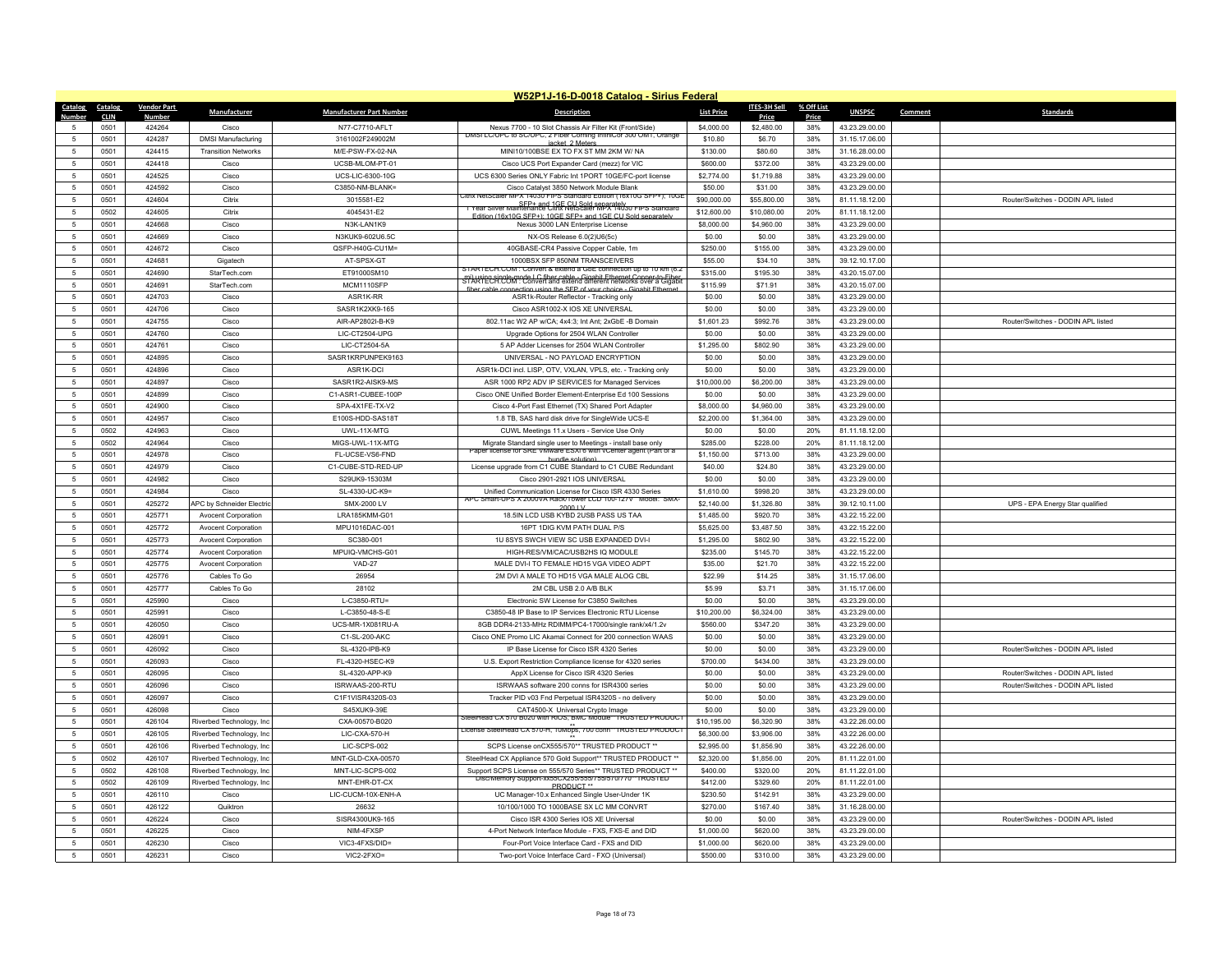|                      | W52P1J-16-D-0018 Catalog - Sirius Federal |                    |                            |                                           |                                                                                                                                                  |                          |                          |            |                                  |         |                                    |  |
|----------------------|-------------------------------------------|--------------------|----------------------------|-------------------------------------------|--------------------------------------------------------------------------------------------------------------------------------------------------|--------------------------|--------------------------|------------|----------------------------------|---------|------------------------------------|--|
| Catalog Catalog      |                                           | <b>Vendor Part</b> | Manufacturer               | <b>Manufacturer Part Number</b>           | <b>Description</b>                                                                                                                               | <b>List Price</b>        | <b>ITES-3H Sell</b>      | % Off List | <b>UNSPSC</b>                    | Comment | <b>Standards</b>                   |  |
| Numhei               | <b>CLIN</b>                               | Numbe              |                            |                                           |                                                                                                                                                  |                          | Price                    | Price      |                                  |         |                                    |  |
|                      | 0501                                      | 424264             | Cisco                      | N77-C7710-AFLT                            | Nexus 7700 - 10 Slot Chassis Air Filter Kit (Front/Side)<br>DMSI LC/UPC to SC/UPC, 2 Fiber Corning InfiniCor 300 OM1, Orange                     | \$4,000.00               | \$2,480.00               | 38%        | 43.23.29.00.00                   |         |                                    |  |
| $\sqrt{2}$           | 0501                                      | 424287             | <b>DMSI Manufacturing</b>  | 3161002F249002M                           | jacket 2 Meter                                                                                                                                   | \$10.80                  | \$6.70                   | 38%        | 31.15.17.06.00                   |         |                                    |  |
| -5                   | 0501                                      | 424415             | <b>Transition Networks</b> | M/E-PSW-FX-02-NA                          | MINI10/100BSE EX TO FX ST MM 2KM W/ NA                                                                                                           | \$130.00                 | \$80.60                  | 38%        | 31.16.28.00.00                   |         |                                    |  |
| $\overline{5}$       | 0501                                      | 424418             | Cisco                      | UCSB-MLOM-PT-01                           | Cisco UCS Port Expander Card (mezz) for VIC                                                                                                      | \$600.00                 | \$372.00                 | 38%        | 43.23.29.00.00                   |         |                                    |  |
| -5                   | 0501                                      | 424525             | Cisco                      | UCS-LIC-6300-10G                          | UCS 6300 Series ONLY Fabric Int 1PORT 10GE/FC-port license                                                                                       | \$2,774.00               | \$1,719.88               | 38%        | 43.23.29.00.00                   |         |                                    |  |
| -5                   | 0501                                      | 424592             | Cisco                      | C3850-NM-BLANK=                           | Cisco Catalyst 3850 Network Module Blank<br>Citrix NetScaler MPX 14030 FIPS Standard Edition (16x10G SFP+); 10GI                                 | \$50.00                  | \$31.00                  | 38%        | 43 23 29 00 00                   |         |                                    |  |
| $\overline{5}$       | 0501                                      | 424604             | Citrix                     | 3015581-F2                                | 1 Year Silver Maintenance Citrix NetScaler MPX 14030 FIPS Standard                                                                               | \$90,000.00              | \$55,800.00              | 38%        | 81.11.18.12.00                   |         | Router/Switches - DODIN APL listed |  |
| $\overline{5}$       | 0502                                      | 424605             | Citrix                     | 4045431-E2                                | Edition (16x10G SEP+): 10GE SEP+ and 1GE CU Sold separately                                                                                      | \$12,600.00              | \$10,080.00              | 20%        | 81.11.18.12.00                   |         |                                    |  |
| 5                    | 0501                                      | 424668             | Cisco                      | N3K-LAN1K9                                | Nexus 3000 LAN Enterprise License                                                                                                                | \$8,000.00               | \$4,960.00               | 38%        | 43.23.29.00.00                   |         |                                    |  |
| $\overline{5}$       | 0501                                      | 424669             | Cisco                      | N3KUK9-602U6.5C                           | NX-OS Release 6.0(2)U6(5c)                                                                                                                       | \$0.00                   | \$0.00                   | 38%        | 43.23.29.00.00                   |         |                                    |  |
| 5                    | 0501                                      | 424672             | Cisco                      | QSFP-H40G-CU1M=                           | 40GBASE-CR4 Passive Copper Cable, 1m                                                                                                             | \$250.00                 | \$155.00                 | 38%        | 43.23.29.00.00                   |         |                                    |  |
| 5                    | 0501                                      | 424681             | Gigatech                   | AT-SPSX-GT                                | 1000BSX SEP 850NM TRANSCEIVERS<br>STARTECH.COM : Convert & extend a GbE connection up                                                            | \$55.00                  | \$34.10                  | 38%        | 39.12.10.17.00                   |         |                                    |  |
| $\sqrt{2}$           | 0501                                      | 424690             | StarTech.com               | ET91000SM10                               | mi) using single-mode L.C. fiber cable - Gigabit Ethernet Conner-to-Eiber.<br>STARTECH.COM : Convert and extend different networks over a Gigabi | \$315.00                 | \$195.30                 | 38%        | 43.20.15.07.00                   |         |                                    |  |
|                      | 0501                                      | 424691             | StarTech.com               | MCM1110SFP                                | fiber cable connection using the SEP of your choice - Gigabit Ethernet                                                                           | \$115.99                 | \$71.91                  | 38%        | 43.20.15.07.00                   |         |                                    |  |
| 5                    | 0501                                      | 424703             | Cisco                      | ASR1K-RR                                  | ASR1k-Router Reflector - Tracking only                                                                                                           | \$0.00                   | \$0.00                   | 38%        | 43.23.29.00.00                   |         |                                    |  |
| $\overline{5}$       | 0501                                      | 424706             | Cisco                      | SASR1K2XK9-165                            | Cisco ASR1002-X IOS XE UNIVERSAL                                                                                                                 | \$0.00                   | \$0.00                   | 38%        | 43.23.29.00.00                   |         |                                    |  |
| 5                    | 0501                                      | 424755             | Cisco                      | AIR-AP2802I-B-K9                          | 802.11ac W2 AP w/CA: 4x4:3: Int Ant: 2xGbE -B Domain                                                                                             | \$1,601.23               | \$992.76                 | 38%        | 43.23.29.00.00                   |         | Router/Switches - DODIN APL listed |  |
| 5                    | 0501                                      | 424760             | Cisco                      | LIC-CT2504-UPG                            | Upgrade Options for 2504 WLAN Controller                                                                                                         | \$0.00                   | \$0.00                   | 38%        | 43.23.29.00.00                   |         |                                    |  |
| $\overline{5}$       | 0501                                      | 424761             | Cisco                      | LIC-CT2504-5A                             | 5 AP Adder Licenses for 2504 WLAN Controller                                                                                                     | \$1,295.00               | \$802.90                 | 38%        | 43.23.29.00.00                   |         |                                    |  |
| -5                   | 0501                                      | 424895             | Cisco                      | SASR1KRPUNPEK9163                         | UNIVERSAL - NO PAYLOAD ENCRYPTION                                                                                                                | \$0.00                   | \$0.00                   | 38%        | 43.23.29.00.00                   |         |                                    |  |
| 5                    | 0501                                      | 424896             | Cisco                      | ASR1K-DCI                                 | ASR1k-DCI incl. LISP, OTV, VXLAN, VPLS, etc. - Tracking only                                                                                     | \$0.00                   | \$0.00                   | 38%        | 43.23.29.00.00                   |         |                                    |  |
| -5                   | 0501                                      | 424897             | Cisco                      | SASR1R2-AISK9-MS                          | ASR 1000 RP2 ADV IP SERVICES for Managed Services                                                                                                | \$10,000.00              | \$6,200.00               | 38%        | 43.23.29.00.00                   |         |                                    |  |
| -5                   | 0501                                      | 424899             | Cisco                      | C1-ASR1-CUBEE-100F                        | Cisco ONE Unified Border Element-Enterprise Ed 100 Sessions                                                                                      | \$0.00                   | \$0.00                   | 38%        | 43.23.29.00.00                   |         |                                    |  |
| 5                    | 0501                                      | 424900             | Cisco                      | SPA-4X1FE-TX-V2                           | Cisco 4-Port Fast Ethernet (TX) Shared Port Adapter                                                                                              | \$8,000.00               | \$4,960.00               | 38%        | 43.23.29.00.00                   |         |                                    |  |
| $\overline{5}$       | 0501                                      | 424957             | Cisco                      | E100S-HDD-SAS18T                          | 1.8 TB, SAS hard disk drive for SingleWide UCS-E                                                                                                 | \$2,200.00               | \$1,364.00               | 38%        | 43.23.29.00.00                   |         |                                    |  |
| -5                   | 0502                                      | 424963             | Cisco                      | <b>UWI-11X-MTG</b>                        | CUWL Meetings 11.x Users - Service Use Only                                                                                                      | \$0.00                   | \$0.00                   | 20%        | 81.11.18.12.00                   |         |                                    |  |
| 5                    | 0502                                      | 424964             | Cisco                      | MIGS-UWL-11X-MTG                          | Migrate Standard single user to Meetings - install base only<br>Paper license for SRE VMware ESXI 6 with vCenter agent (Part of a                | \$285.00                 | \$228.00                 | 20%        | 81.11.18.12.00                   |         |                                    |  |
| $\overline{5}$       | 0501                                      | 424978             | Cisco                      | FL-UCSE-VS6-FND                           | hundle solution                                                                                                                                  | \$1,150.00               | \$713.00                 | 38%        | 43.23.29.00.00                   |         |                                    |  |
| -5                   | 0501                                      | 424979             | Cisco                      | C1-CUBE-STD-RED-UE                        | License upgrade from C1 CUBE Standard to C1 CUBE Redundant                                                                                       | \$40.00                  | \$24.80                  | 38%        | 43.23.29.00.00                   |         |                                    |  |
| $\overline{5}$       | 0501                                      | 424982             | Cisco                      | S29UK9-15303M                             | Cisco 2901-2921 IOS UNIVERSAL                                                                                                                    | \$0.00                   | \$0.00                   | 38%        | 43.23.29.00.00                   |         |                                    |  |
| 5                    | 0501                                      | 424984             | Cisco                      | SL-4330-UC-K9=                            | Unified Communication License for Cisco ISR 4330 Series<br>C Smart-UPS X 2000VA Rack/Tower LCD 100-127V Model: SMX                               | \$1,610.00               | \$998.20                 | 38%        | 43.23.29.00.00                   |         |                                    |  |
| 5                    | 0501                                      | 425272             | APC by Schneider Electric  | SMX-2000 IV                               | $2000 + V$                                                                                                                                       | \$2,140.00               | \$1,326.80               | 38%        | 39.12.10.11.00                   |         | UPS - EPA Energy Star qualified    |  |
| $\overline{5}$       | 0501                                      | 425771             | <b>Avocent Corporation</b> | LRA185KMM-G01                             | 18.5IN LCD USB KYBD 2USB PASS US TAA                                                                                                             | \$1,485.00               | \$920.70                 | 38%        | 43.22.15.22.00                   |         |                                    |  |
|                      | 0501                                      | 425772             | <b>Avocent Corporation</b> | MPU1016DAC-001                            | 16PT 1DIG KVM PATH DUAL P/S                                                                                                                      | \$5,625.00               | \$3,487.50               | 38%        | 43.22.15.22.00                   |         |                                    |  |
| 5                    | 0501                                      | 425773             | Avocent Corporation        | SC380-001                                 | 1U 8SYS SWCH VIEW SC USB EXPANDED DVI-I                                                                                                          | \$1,295.00               | \$802.90                 | 38%        | 43.22.15.22.00                   |         |                                    |  |
| $\overline{5}$       | 0501                                      | 425774             | <b>Avocent Corporation</b> | MPUIQ-VMCHS-G01                           | HIGH-RES/VM/CAC/USB2HS IQ MODULE                                                                                                                 | \$235.00                 | \$145.70                 | 38%        | 43.22.15.22.00                   |         |                                    |  |
| 5                    | 0501                                      | 425775             | <b>Avocent Corporation</b> | <b>VAD-27</b>                             | MALE DVI-I TO FEMALE HD15 VGA VIDEO ADPT                                                                                                         | \$35.00                  | \$21.70                  | 38%        | 43.22.15.22.00                   |         |                                    |  |
| 5                    | 0501                                      | 425776             | Cables To Go               | 26954                                     | 2M DVI A MALE TO HD15 VGA MALE ALOG CBL                                                                                                          | \$22.99                  | \$14.25                  | 38%        | 31.15.17.06.00                   |         |                                    |  |
| $\overline{5}$       | 0501                                      | 425777             | Cables To Go               | 28102                                     | 2M CBL USB 2.0 A/B BLK                                                                                                                           | \$5.99                   | \$3.71                   | 38%        | 31.15.17.06.00                   |         |                                    |  |
| $\overline{5}$       | 0501                                      | 425990             | Cisco                      | L-C3850-RTU=                              | Electronic SW License for C3850 Switches                                                                                                         | \$0.00                   | \$0.00                   | 38%        | 43.23.29.00.00                   |         |                                    |  |
| 5                    | 0501<br>0501                              | 425991<br>426050   | Cisco                      | L-C3850-48-S-E<br><b>UCS-MR-1X081RU-A</b> | C3850-48 IP Base to IP Services Electronic RTU License                                                                                           | \$10,200.00<br>\$560.00  | \$6,324.00<br>\$347.20   | 38%        | 43.23.29.00.00<br>43.23.29.00.00 |         |                                    |  |
| $\overline{5}$       |                                           |                    | Cisco                      |                                           | 8GB DDR4-2133-MHz RDIMM/PC4-17000/single rank/x4/1.2v                                                                                            |                          |                          | 38%        |                                  |         |                                    |  |
| $\overline{5}$       | 0501                                      | 426091             | Cisco                      | C1-SL-200-AKC                             | Cisco ONE Promo LIC Akamai Connect for 200 connection WAAS                                                                                       | \$0.00                   | \$0.00                   | 38%        | 43.23.29.00.00                   |         |                                    |  |
| 5                    | 0501                                      | 426092             | Cisco                      | SL-4320-IPB-K9                            | IP Base License for Cisco ISR 4320 Series                                                                                                        | \$0.00                   | \$0.00                   | 38%        | 43.23.29.00.00                   |         | Router/Switches - DODIN APL listed |  |
| $\sqrt{2}$           | 0501                                      | 426093             | Cisco                      | FL-4320-HSEC-K9                           | U.S. Export Restriction Compliance license for 4320 series                                                                                       | \$700.00                 | \$434.00                 | 38%        | 43.23.29.00.00                   |         |                                    |  |
| -5                   | 0501                                      | 426095             | Cisco                      | SL-4320-APP-K9                            | AnnX License for Cisco ISR 4320 Series                                                                                                           | \$0.00                   | \$0.00                   | 38%        | 43.23.29.00.00                   |         | Router/Switches - DODIN API listed |  |
| 5<br>$\sqrt{2}$      | 0501<br>0501                              | 426096<br>426097   | Cisco                      | ISRWAAS-200-RTU<br>C1F1VISR4320S-03       | ISRWAAS software 200 conns for ISR4300 series                                                                                                    | \$0.00                   | \$0.00<br>\$0.00         | 38%<br>38% | 43.23.29.00.00                   |         | Router/Switches - DODIN APL listed |  |
|                      |                                           |                    | Cisco                      |                                           | Tracker PID v03 Fnd Perpetual ISR4320S - no delivery                                                                                             | \$0.00                   |                          |            | 43.23.29.00.00                   |         |                                    |  |
| -5                   | 0501                                      | 426098             | Cisco                      | S45XUK9-39E                               | CAT4500-X Universal Crvpto Image<br>iteelHead CX 570 B020 with RiOS, BMC Module**TRUSTED PRODUC                                                  | \$0.00                   | \$0.00                   | 38%        | 43.23.29.00.00                   |         |                                    |  |
| $\overline{5}$       | 0501                                      | 426104             | Riverbed Technology, Inc.  | CXA-00570-B020                            | License SteelHead CX 570-H, 10Mbps, 700 conn** IRUSTED PRODUCT                                                                                   | \$10,195.00              | \$6,320.90               | 38%        | 43.22.26.00.00                   |         |                                    |  |
| $\overline{5}$       | 0501<br>0501                              | 426105<br>426106   | Riverbed Technology, Inc   | LIC-CXA-570-H<br>LIC-SCPS-002             | SCPS License onCX555/570** TRUSTED PRODUCT *                                                                                                     | \$6,300.00<br>\$2,995.00 | \$3,906.00<br>\$1,856.90 | 38%<br>38% | 43.22.26.00.00<br>43.22.26.00.00 |         |                                    |  |
| -5                   |                                           |                    | Riverbed Technology, Inc   |                                           |                                                                                                                                                  |                          |                          |            |                                  |         |                                    |  |
| $\overline{5}$       | 0502                                      | 426107             | Riverbed Technology, Inc.  | MNT-GLD-CXA-00570                         | SteelHead CX Appliance 570 Gold Support** TRUSTED PRODUCT **                                                                                     | \$2,320.00               | \$1,856.00               | 20%        | 81.11.22.01.00                   |         |                                    |  |
| $\overline{5}$       | 0502                                      | 426108             | Riverbed Technology, Inc.  | MNT-LIC-SCPS-002                          | Support SCPS License on 555/570 Series** TRUSTED PRODUCT **<br>Disc/Memory Support-xx55CX255/555/755/5/0/7/0** IRUSTED                           | \$400.00                 | \$320.00                 | 20%        | 81.11.22.01.00                   |         |                                    |  |
| -5                   | 0502                                      | 426109             | Riverbed Technology, Inc   | MNT-FHR-DT-CX                             | PRODUCT <sup>**</sup>                                                                                                                            | \$412.00                 | \$329.60                 | 20%        | 81.11.22.01.00                   |         |                                    |  |
| $\overline{5}$       | 0501                                      | 426110             | Cisco                      | LIC-CUCM-10X-ENH-A                        | UC Manager-10.x Enhanced Single User-Under 1K                                                                                                    | \$230.50                 | \$142.91                 | 38%        | 43.23.29.00.00                   |         |                                    |  |
| -5                   | 0501                                      | 426122             | Quiktron                   | 26632                                     | 10/100/1000 TO 1000BASE SX LC MM CONVRT                                                                                                          | \$270.00                 | \$167.40                 | 38%        | 31.16.28.00.00                   |         |                                    |  |
| -5<br>$\overline{5}$ | 0501                                      | 426224             | Cisco                      | SISR4300UK9-165                           | Cisco ISR 4300 Series IOS XF Universal                                                                                                           | \$0.00                   | \$0.00                   | 38%        | 43.23.29.00.00                   |         | Router/Switches - DODIN API listed |  |
|                      | 0501                                      | 426225             | Cisco                      | NIM-4FXSF                                 | 4-Port Network Interface Module - FXS, FXS-F and DID                                                                                             | \$1,000.00               | \$620.00                 | 38%        | 43.23.29.00.00                   |         |                                    |  |
|                      | 0501                                      | 426230             | Cisco                      | VIC3-4FXS/DID=                            | Four-Port Voice Interface Card - FXS and DID                                                                                                     | \$1,000.00               | \$620.00                 | 38%        | 43 23 29 00 00                   |         |                                    |  |
| 5                    | 0501                                      | 426231             | Cisco                      | VIC2-2FXO=                                | Two-port Voice Interface Card - FXO (Universal)                                                                                                  | \$500.00                 | \$310.00                 | 38%        | 43.23.29.00.00                   |         |                                    |  |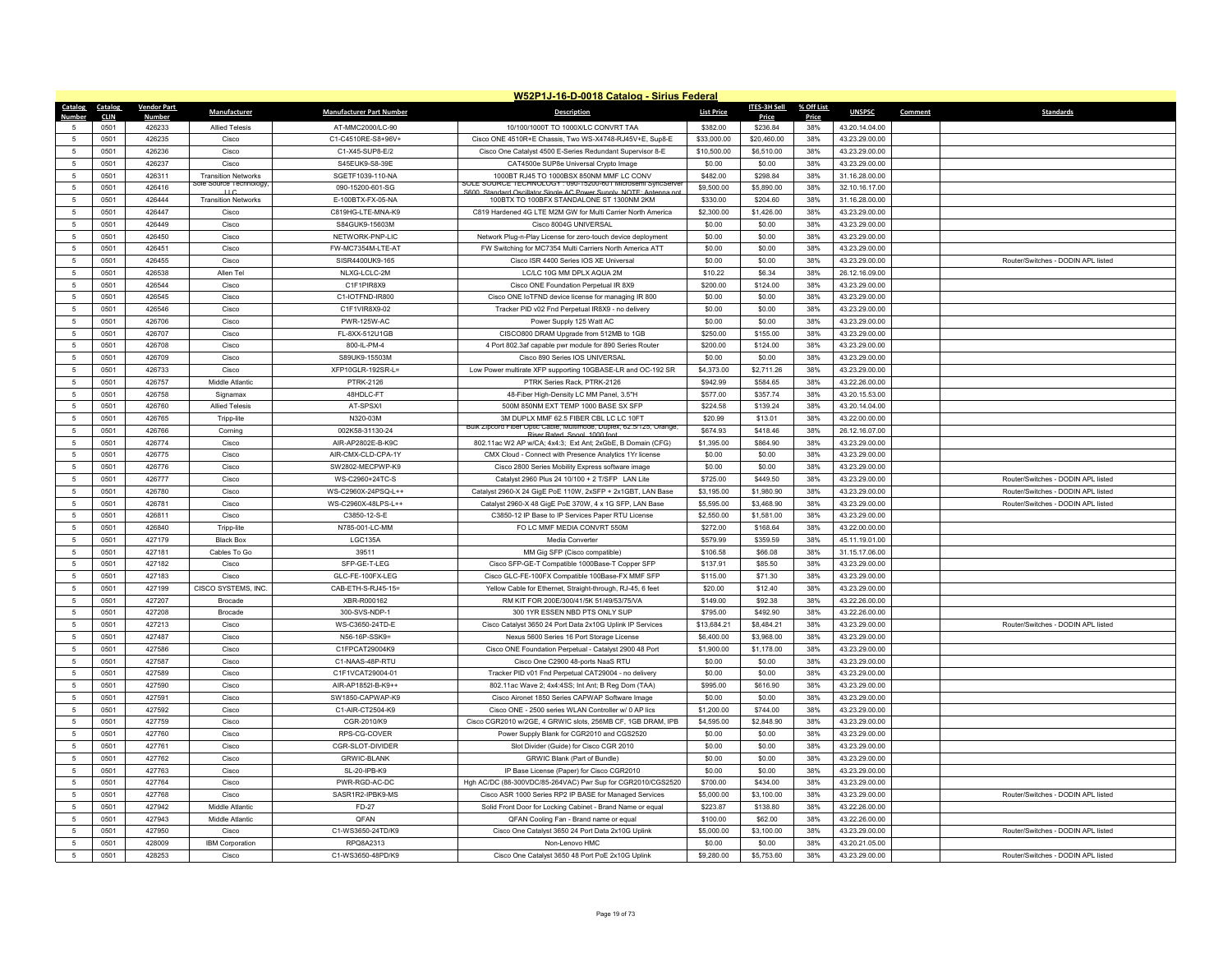|                 | W52P1J-16-D-0018 Catalog - Sirius Federal |                    |                                                     |                                 |                                                                                                                |                   |              |            |                |         |                                    |  |
|-----------------|-------------------------------------------|--------------------|-----------------------------------------------------|---------------------------------|----------------------------------------------------------------------------------------------------------------|-------------------|--------------|------------|----------------|---------|------------------------------------|--|
| Catalog         | Catalog                                   | <b>Vendor Part</b> | Manufacturer                                        | <b>Manufacturer Part Number</b> | <b>Description</b>                                                                                             | <b>List Price</b> | ITES-3H Sell | % Off List | <b>UNSPSC</b>  | Comment | <b>Standards</b>                   |  |
| Numhe           | <b>CLIN</b>                               | Number             |                                                     |                                 |                                                                                                                |                   | Price        | Price      |                |         |                                    |  |
| -5              | 0501                                      | 426233             | <b>Allied Telesis</b>                               | AT-MMC2000/LC-90                | 10/100/1000T TO 1000X/LC CONVRT TAA                                                                            | \$382.00          | \$236.84     | 38%        | 43.20.14.04.00 |         |                                    |  |
| 5               | 0501                                      | 426235             | Cisco                                               | C1-C4510RE-S8+96V+              | Cisco ONE 4510R+E Chassis, Two WS-X4748-RJ45V+E, Sup8-E                                                        | \$33,000.00       | \$20,460.00  | 38%        | 43.23.29.00.00 |         |                                    |  |
| $\sqrt{5}$      | 0501                                      | 426236             | Cisco                                               | C1-X45-SUP8-E/2                 | Cisco One Catalyst 4500 E-Series Redundant Supervisor 8-E                                                      | \$10,500.00       | \$6,510.00   | 38%        | 43.23.29.00.00 |         |                                    |  |
| -5              | 0501                                      | 426237             | Cisco                                               | S45EUK9-S8-39E                  | CAT4500e SUP8e Universal Crypto Image                                                                          | \$0.00            | \$0.00       | 38%        | 43.23.29.00.00 |         |                                    |  |
| $\sqrt{5}$      | 0501                                      | 426311             | <b>Transition Networks</b><br>ole Source Technology | SGETF1039-110-NA                | 1000BT RJ45 TO 1000BSX 850NM MMF LC CONV<br>SULE SUURCE TECHNOLOGY : 090-15200-601 MICK                        | \$482.00          | \$298.84     | 38%        | 31.16.28.00.00 |         |                                    |  |
| 5               | 0501                                      | 426416             |                                                     | 090-15200-601-SG                | S600 Standard Oscillator Single AC Power Supply, NOTE: Ante                                                    | \$9,500.00        | \$5,890.00   | 38%        | 32.10.16.17.00 |         |                                    |  |
| $5\phantom{.0}$ | 0501                                      | 426444             | <b>Transition Networks</b>                          | E-100BTX-FX-05-NA               | 100BTX TO 100BFX STANDALONE ST 1300NM 2KM                                                                      | \$330.00          | \$204.60     | 38%        | 31.16.28.00.00 |         |                                    |  |
| 5               | 0501                                      | 426447             | Cisco                                               | C819HG-LTE-MNA-K9               | C819 Hardened 4G LTE M2M GW for Multi Carrier North America                                                    | \$2,300.00        | \$1,426.00   | 38%        | 43.23.29.00.00 |         |                                    |  |
| $\sqrt{5}$      | 0501                                      | 426449             | Cisco                                               | S84GUK9-15603M                  | Cisco 8004G UNIVERSAL                                                                                          | \$0.00            | \$0.00       | 38%        | 43.23.29.00.00 |         |                                    |  |
| 5               | 0501                                      | 426450             | Cisco                                               | NFTWORK-PNP-LIC                 | Network Plug-n-Play License for zero-touch device deployment                                                   | \$0.00            | \$0.00       | 38%        | 43 23 29 00 00 |         |                                    |  |
| 5               | 0501                                      | 426451             | Cisco                                               | FW-MC7354M-LTE-AT               | FW Switching for MC7354 Multi Carriers North America ATT                                                       | \$0.00            | \$0.00       | 38%        | 43.23.29.00.00 |         |                                    |  |
| $\sqrt{5}$      | 0501                                      | 426455             | Cisco                                               | SISR4400UK9-165                 | Cisco ISR 4400 Series IOS XE Universal                                                                         | \$0.00            | \$0.00       | 38%        | 43.23.29.00.00 |         | Router/Switches - DODIN API listed |  |
| $-5$            | 0501                                      | 426538             | Allen Tel                                           | NLXG-LCLC-2M                    | LC/LC 10G MM DPLX AQUA 2M                                                                                      | \$10.22           | \$6.34       | 38%        | 26.12.16.09.00 |         |                                    |  |
| 5               | 0501                                      | 426544             | Cisco                                               | C1F1PIR8X9                      | Cisco ONE Foundation Perpetual IR 8X9                                                                          | \$200.00          | \$124.00     | 38%        | 43.23.29.00.00 |         |                                    |  |
| $5\phantom{.0}$ | 0501                                      | 426545             | Cisco                                               | C1-IOTFND-IR800                 | Cisco ONE IoTFND device license for managing IR 800                                                            | \$0.00            | \$0.00       | 38%        | 43.23.29.00.00 |         |                                    |  |
| 5               | 0501                                      | 426546             | Cisco                                               | C1F1VIR8X9-02                   | Tracker PID v02 Fnd Perpetual IR8X9 - no delivery                                                              | \$0.00            | \$0.00       | 38%        | 43.23.29.00.00 |         |                                    |  |
| $\sqrt{5}$      | 0501                                      | 426706             | Cisco                                               | <b>PWR-125W-AC</b>              | Power Supply 125 Watt AC                                                                                       | \$0.00            | \$0.00       | 38%        | 43.23.29.00.00 |         |                                    |  |
| 5               | 0501                                      | 426707             | Cisco                                               | FL-8XX-512U1GB                  | CISCO800 DRAM Upgrade from 512MB to 1GB                                                                        | \$250.00          | \$155.00     | 38%        | 43.23.29.00.00 |         |                                    |  |
| $\sqrt{5}$      | 0501                                      | 426708             | Cisco                                               | 800-II -PM-4                    | 4 Port 802.3af capable pwr module for 890 Series Router                                                        | \$200.00          | \$124.00     | 38%        | 43.23.29.00.00 |         |                                    |  |
| -5              | 0501                                      | 426709             | Cisco                                               | S89UK9-15503M                   | Cisco 890 Series IOS UNIVERSAL                                                                                 | \$0.00            | \$0.00       | 38%        | 43.23.29.00.00 |         |                                    |  |
| $5\phantom{.0}$ | 0501                                      | 426733             | Cisco                                               | XFP10GLR-192SR-L=               | Low Power multirate XFP supporting 10GBASE-LR and OC-192 SR                                                    | \$4,373.00        | \$2,711.26   | 38%        | 43.23.29.00.00 |         |                                    |  |
| 5               | 0501                                      | 426757             | Middle Atlantic                                     | <b>PTRK-2126</b>                | PTRK Series Rack, PTRK-2126                                                                                    | \$942.99          | \$584.65     | 38%        | 43.22.26.00.00 |         |                                    |  |
| 5               | 0501                                      | 426758             | Signamax                                            | 48HDLC-FT                       | 48-Fiber High-Density LC MM Panel, 3.5"H                                                                       | \$577.00          | \$357.74     | 38%        | 43.20.15.53.00 |         |                                    |  |
| $\sqrt{5}$      | 0501                                      | 426760             | <b>Allied Telesis</b>                               | AT-SPSX/I                       | 500M 850NM EXT TEMP 1000 BASE SX SFP                                                                           | \$224.58          | \$139.24     | 38%        | 43.20.14.04.00 |         |                                    |  |
| $\sqrt{5}$      | 0501                                      | 426765             | Tripp-lite                                          | N320-03M                        | 3M DUPLX MMF 62.5 FIBER CBL LC LC 10FT<br>Bulk Zipcord Fiber Optic Cable, Multimode, Duplex, 62.5/125, Orange, | \$20.99           | \$13.01      | 38%        | 43.22.00.00.00 |         |                                    |  |
| 5               | 0501                                      | 426766             | Corning                                             | 002K58-31130-24                 | Riser Rated, Spool, 1000 foot                                                                                  | \$674.93          | \$418.46     | 38%        | 26.12.16.07.00 |         |                                    |  |
| $5\phantom{.0}$ | 0501                                      | 426774             | Cisco                                               | AIR-AP2802E-B-K9C               | 802.11ac W2 AP w/CA; 4x4:3; Ext Ant; 2xGbE, B Domain (CFG)                                                     | \$1,395.00        | \$864.90     | 38%        | 43.23.29.00.00 |         |                                    |  |
| 5               | 0501                                      | 426775             | Cisco                                               | AIR-CMX-CLD-CPA-1Y              | CMX Cloud - Connect with Presence Analytics 1Yr license                                                        | \$0.00            | \$0.00       | 38%        | 43.23.29.00.00 |         |                                    |  |
| $\sqrt{5}$      | 0501                                      | 426776             | Cisco                                               | SW2802-MECPWP-K9                | Cisco 2800 Series Mobility Express software image                                                              | \$0.00            | \$0.00       | 38%        | 43.23.29.00.00 |         |                                    |  |
| 5               | 0501                                      | 426777             | Cisco                                               | WS-C2960+24TC-S                 | Catalyst 2960 Plus 24 10/100 + 2 T/SFP LAN Lite                                                                | \$725.00          | \$449.50     | 38%        | 43.23.29.00.00 |         | Router/Switches - DODIN APL listed |  |
| $\sqrt{5}$      | 0501                                      | 426780             | Cisco                                               | WS-C2960X-24PSQ-L++             | Catalyst 2960-X 24 GigE PoE 110W, 2xSFP + 2x1GBT, LAN Base                                                     | \$3,195.00        | \$1,980.90   | 38%        | 43.23.29.00.00 |         | Router/Switches - DODIN APL listed |  |
| $5\phantom{.0}$ | 0501                                      | 426781             | Cisco                                               | WS-C2960X-48LPS-L++             | Catalyst 2960-X 48 GigE PoE 370W, 4 x 1G SFP, LAN Base                                                         | \$5,595.00        | \$3,468.90   | 38%        | 43.23.29.00.00 |         | Router/Switches - DODIN APL listed |  |
| -5              | 0501                                      | 426811             | Cisco                                               | C3850-12-S-F                    | C3850-12 IP Base to IP Services Paper RTU License                                                              | \$2,550.00        | \$1,581.00   | 38%        | 43.23.29.00.00 |         |                                    |  |
| $\sqrt{5}$      | 0501                                      | 426840             | Tripp-lite                                          | N785-001-LC-MM                  | FO LC MMF MEDIA CONVRT 550M                                                                                    | \$272.00          | \$168.64     | 38%        | 43.22.00.00.00 |         |                                    |  |
| 5               | 0501                                      | 427179             | <b>Black Box</b>                                    | LGC135A                         | Media Converter                                                                                                | \$579.99          | \$359.59     | 38%        | 45.11.19.01.00 |         |                                    |  |
| 5               | 0501                                      | 427181             | Cables To Go                                        | 39511                           | MM Gig SFP (Cisco compatible)                                                                                  | \$106.58          | \$66.08      | 38%        | 31.15.17.06.00 |         |                                    |  |
| $\sqrt{5}$      | 0501                                      | 427182             | Cisco                                               | SFP-GE-T-LEG                    | Cisco SFP-GE-T Compatible 1000Base-T Copper SFP                                                                | \$137.91          | \$85.50      | 38%        | 43.23.29.00.00 |         |                                    |  |
| 5               | 0501                                      | 427183             | Cisco                                               | GLC-FE-100FX-LEG                | Cisco GLC-FE-100FX Compatible 100Base-FX MMF SFP                                                               | \$115.00          | \$71.30      | 38%        | 43.23.29.00.00 |         |                                    |  |
| 5               | 0501                                      | 427199             | CISCO SYSTEMS, INC                                  | CAB-ETH-S-RJ45-15=              | Yellow Cable for Ethernet, Straight-through, RJ-45, 6 feet                                                     | \$20.00           | \$12.40      | 38%        | 43.23.29.00.00 |         |                                    |  |
| -5              | 0501                                      | 427207             | <b>Brocade</b>                                      | XBR-R000162                     | RM KIT FOR 200F/300/41/5K 51/49/53/75/VA                                                                       | \$149.00          | \$92.38      | 38%        | 43.22.26.00.00 |         |                                    |  |
| $\sqrt{5}$      | 0501                                      | 427208             | Brocade                                             | 300-SVS-NDP-1                   | 300 1YR ESSEN NBD PTS ONLY SUP                                                                                 | \$795.00          | \$492.90     | 38%        | 43.22.26.00.00 |         |                                    |  |
| 5               | 0501                                      | 427213             | Cisco                                               | WS-C3650-24TD-E                 | Cisco Catalyst 3650 24 Port Data 2x10G Uplink IP Services                                                      | \$13,684.21       | \$8,484.21   | 38%        | 43.23.29.00.00 |         | Router/Switches - DODIN APL listed |  |
| 5               | 0501                                      | 427487             | Cisco                                               | N56-16P-SSK9=                   | Nexus 5600 Series 16 Port Storage License                                                                      | \$6,400.00        | \$3,968.00   | 38%        | 43.23.29.00.00 |         |                                    |  |
| $5\phantom{.0}$ | 0501                                      | 427586             | Cisco                                               | C1FPCAT29004K9                  | Cisco ONE Foundation Perpetual - Catalyst 2900 48 Port                                                         | \$1,900.00        | \$1,178.00   | 38%        | 43.23.29.00.00 |         |                                    |  |
| $\sqrt{5}$      | 0501                                      | 427587             | Cisco                                               | C1-NAAS-48P-RTU                 | Cisco One C2900 48-ports NaaS RTU                                                                              | \$0.00            | \$0.00       | 38%        | 43.23.29.00.00 |         |                                    |  |
| $\sqrt{5}$      | 0501                                      | 427589             | Cisco                                               | C1F1VCAT29004-01                | Tracker PID v01 Fnd Perpetual CAT29004 - no delivery                                                           | \$0.00            | \$0.00       | 38%        | 43.23.29.00.00 |         |                                    |  |
| $\sqrt{5}$      | 0501                                      | 427590             | Cisco                                               | AIR-AP1852I-B-K9++              | 802.11ac Wave 2; 4x4:4SS; Int Ant; B Reg Dom (TAA)                                                             | \$995.00          | \$616.90     | 38%        | 43.23.29.00.00 |         |                                    |  |
| $5\phantom{.0}$ | 0501                                      | 427591             | Cisco                                               | SW1850-CAPWAP-K9                | Cisco Aironet 1850 Series CAPWAP Software Image                                                                | \$0.00            | \$0.00       | 38%        | 43.23.29.00.00 |         |                                    |  |
| $5\phantom{.0}$ | 0501                                      | 427592             | Cisco                                               | C1-AIR-CT2504-K9                | Cisco ONE - 2500 series WLAN Controller w/ 0 AP lics                                                           | \$1,200.00        | \$744.00     | 38%        | 43.23.29.00.00 |         |                                    |  |
| 5               | 0501                                      | 427759             | Cisco                                               | CGR-2010/K9                     | Cisco CGR2010 w/2GE, 4 GRWIC slots, 256MB CF, 1GB DRAM, IPB                                                    | \$4,595.00        | \$2,848.90   | 38%        | 43.23.29.00.00 |         |                                    |  |
| $\sqrt{5}$      | 0501                                      | 427760             | Cisco                                               | RPS-CG-COVER                    | Power Supply Blank for CGR2010 and CGS2520                                                                     | \$0.00            | \$0.00       | 38%        | 43.23.29.00.00 |         |                                    |  |
| $\sqrt{5}$      | 0501                                      | 427761             | Cisco                                               | CGR-SLOT-DIVIDER                | Slot Divider (Guide) for Cisco CGR 2010                                                                        | \$0.00            | \$0.00       | 38%        | 43.23.29.00.00 |         |                                    |  |
| $\sqrt{5}$      | 0501                                      | 427762             | Cisco                                               | <b>GRWIC-BI ANK</b>             | GRWIC Blank (Part of Bundle)                                                                                   | \$0.00            | \$0.00       | 38%        | 43.23.29.00.00 |         |                                    |  |
| 5               | 0501                                      | 427763             | Cisco                                               | SL-20-IPB-K9                    | IP Base License (Paper) for Cisco CGR2010                                                                      | \$0.00            | \$0.00       | 38%        | 43.23.29.00.00 |         |                                    |  |
| $5\phantom{.0}$ | 0501                                      | 427764             | Cisco                                               | PWR-RGD-AC-DC                   | Hgh AC/DC (88-300VDC/85-264VAC) Pwr Sup for CGR2010/CGS2520                                                    | \$700.00          | \$434.00     | 38%        | 43.23.29.00.00 |         |                                    |  |
| 5               | 0501                                      | 427768             | Cisco                                               | SASR1R2-IPBK9-MS                | Cisco ASR 1000 Series RP2 IP BASE for Managed Services                                                         | \$5,000.00        | \$3,100.00   | 38%        | 43.23.29.00.00 |         | Router/Switches - DODIN APL listed |  |
| 5               | 0501                                      | 427942             | Middle Atlantic                                     | FD-27                           | Solid Front Door for Locking Cabinet - Brand Name or equal                                                     | \$223.87          | \$138.80     | 38%        | 43.22.26.00.00 |         |                                    |  |
| 5               | 0501                                      | 427943             | Middle Atlantic                                     | QFAN                            | QFAN Cooling Fan - Brand name or equal                                                                         | \$100.00          | \$62.00      | 38%        | 43.22.26.00.00 |         |                                    |  |
| 5               | 0501                                      | 427950             | Cisco                                               | C1-WS3650-24TD/K9               | Cisco One Catalyst 3650 24 Port Data 2x10G Uplink                                                              | \$5,000.00        | \$3,100.00   | 38%        | 43.23.29.00.00 |         | Router/Switches - DODIN APL listed |  |
| -5              | 0501                                      | 428009             | <b>IBM Corporation</b>                              | RPO8A2313                       | Non-Lenovo HMC                                                                                                 | \$0.00            | \$0.00       | 38%        | 43 20 21 05 00 |         |                                    |  |
| $\sqrt{5}$      | 0501                                      | 428253             | Cisco                                               | C1-WS3650-48PD/K9               | Cisco One Catalyst 3650 48 Port PoE 2x10G Uplink                                                               | \$9,280.00        | \$5,753.60   | 38%        | 43.23.29.00.00 |         | Router/Switches - DODIN APL listed |  |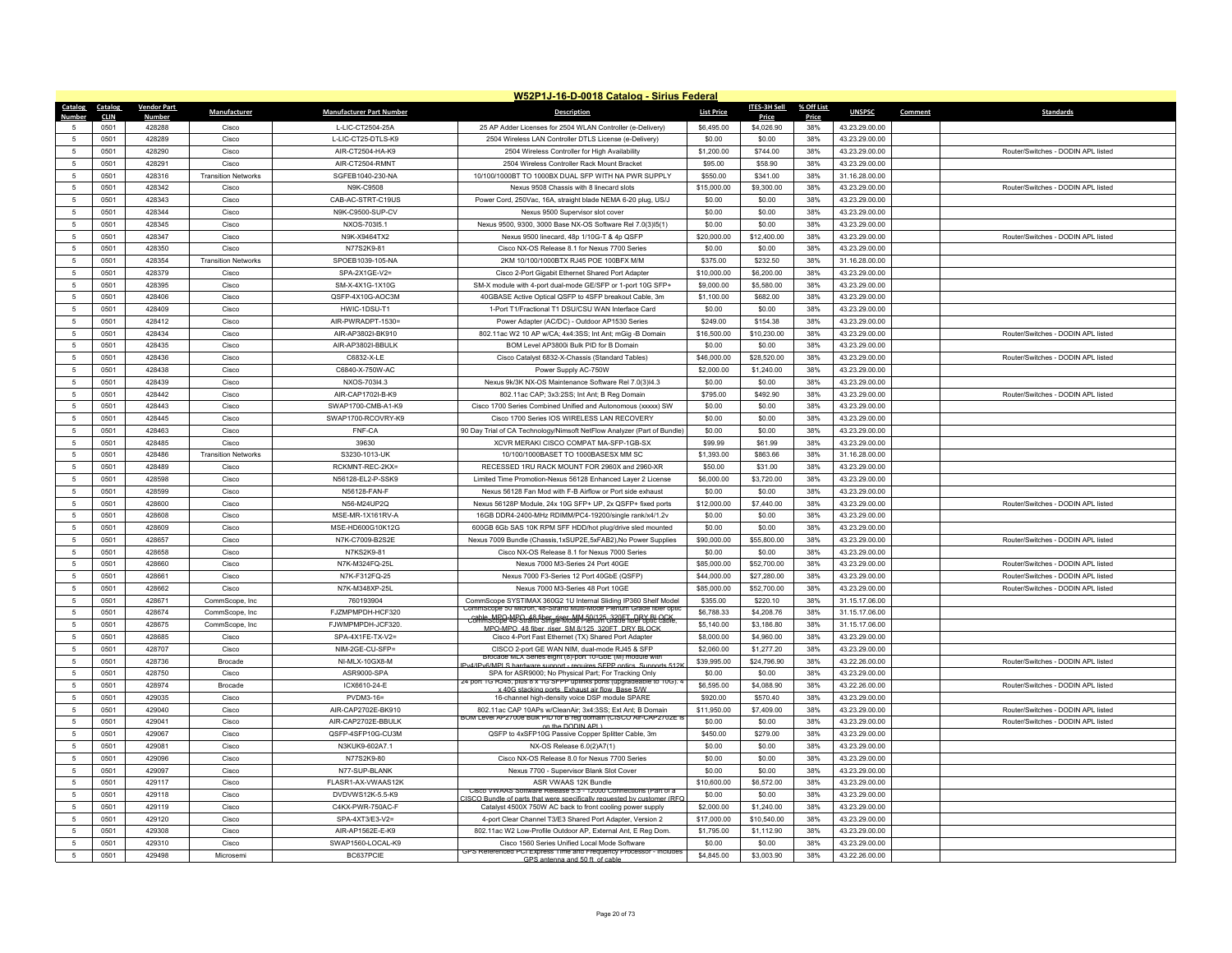|                      | W52P1J-16-D-0018 Catalog - Sirius Federal |                    |                            |                                  |                                                                                                                                      |                       |                     |              |                                  |         |                                    |
|----------------------|-------------------------------------------|--------------------|----------------------------|----------------------------------|--------------------------------------------------------------------------------------------------------------------------------------|-----------------------|---------------------|--------------|----------------------------------|---------|------------------------------------|
| <b>Catalog</b>       | <b>Catalog</b>                            | <b>Vendor Part</b> | Manufacturer               | <b>Manufacturer Part Number</b>  | <b>Description</b>                                                                                                                   | <b>List Price</b>     | <b>ITES-3H Sell</b> | % Off List   | <b>UNSPSC</b>                    | Comment | <b>Standards</b>                   |
| $\sqrt{2}$           | <b>CLIN</b><br>0501                       | Number<br>428288   | Cisco                      | L-LIC-CT2504-25A                 | 25 AP Adder Licenses for 2504 WLAN Controller (e-Delivery)                                                                           | \$6,495.00            | Price<br>\$4,026.90 | Price<br>38% | 43.23.29.00.00                   |         |                                    |
| -5                   | 0501                                      | 428289             | Cisco                      | L-LIC-CT25-DTLS-K9               | 2504 Wireless LAN Controller DTLS License (e-Delivery)                                                                               | \$0.00                | \$0.00              | 38%          | 43.23.29.00.00                   |         |                                    |
| 5                    | 0501                                      | 428290             | Cisco                      | AIR-CT2504-HA-K9                 | 2504 Wireless Controller for High Availability                                                                                       | \$1,200.00            | \$744.00            | 38%          | 43.23.29.00.00                   |         | Router/Switches - DODIN APL listed |
| $\overline{5}$       | 0501                                      | 428291             | Cisco                      | AIR-CT2504-RMNT                  | 2504 Wireless Controller Rack Mount Bracket                                                                                          | \$95.00               | \$58.90             | 38%          | 43.23.29.00.00                   |         |                                    |
|                      | 0501                                      | 428316             | <b>Transition Networks</b> | SGFEB1040-230-NA                 | 10/100/1000BT TO 1000BX DUAL SFP WITH NA PWR SUPPLY                                                                                  | \$550.00              | \$341.00            | 38%          | 31.16.28.00.00                   |         |                                    |
| 5                    | 0501                                      | 428342             | Cisco                      | N9K-C9508                        | Nexus 9508 Chassis with 8 linecard slots                                                                                             | \$15,000.00           | \$9,300.00          | 38%          | 43.23.29.00.00                   |         | Router/Switches - DODIN APL listed |
| 5                    | 0501                                      | 428343             | Cisco                      | CAB-AC-STRT-C19US                | Power Cord, 250Vac, 16A, straight blade NEMA 6-20 plug, US/J                                                                         | \$0.00                | \$0.00              | 38%          | 43.23.29.00.00                   |         |                                    |
| 5                    | 0501                                      | 428344             | Cisco                      | N9K-C9500-SUP-CV                 | Nexus 9500 Supervisor slot cover                                                                                                     | \$0.00                | \$0.00              | 38%          | 43.23.29.00.00                   |         |                                    |
| 5                    | 0501                                      | 428345             | Cisco                      | NXOS-703I5.1                     | Nexus 9500, 9300, 3000 Base NX-OS Software Rel 7.0(3)l5(1)                                                                           | \$0.00                | \$0.00              | 38%          | 43.23.29.00.00                   |         |                                    |
| $\overline{5}$       | 0501                                      | 428347             | Cisco                      | N9K-X9464TX2                     | Nexus 9500 linecard, 48p 1/10G-T & 4p QSFP                                                                                           | \$20,000.00           | \$12,400.00         | 38%          | 43.23.29.00.00                   |         | Router/Switches - DODIN API listed |
| -5                   | 0501                                      | 428350             | Cisco                      | N77S2K9-81                       | Cisco NX-OS Release 8.1 for Nexus 7700 Series                                                                                        | \$0.00                | \$0.00              | 38%          | 43.23.29.00.00                   |         |                                    |
| 5                    | 0501                                      | 428354             | <b>Transition Networks</b> | SPOEB1039-105-NA                 | 2KM 10/100/1000BTX RJ45 POE 100BFX M/M                                                                                               | \$375.00              | \$232.50            | 38%          | 31.16.28.00.00                   |         |                                    |
| 5                    | 0501                                      | 428379             | Cisco                      | SPA-2X1GF-V2=                    | Cisco 2-Port Gigabit Ethernet Shared Port Adapte                                                                                     | \$10,000.00           | \$6,200.00          | 38%          | 43.23.29.00.00                   |         |                                    |
| 5                    | 0501                                      | 428395             | Cisco                      | SM-X-4X1G-1X10G                  | SM-X module with 4-port dual-mode GE/SFP or 1-port 10G SFP+                                                                          | \$9,000.00            | \$5,580.00          | 38%          | 43.23.29.00.00                   |         |                                    |
| 5                    | 0501                                      | 428406             | Cisco                      | QSFP-4X10G-AOC3M                 | 40GBASE Active Optical QSFP to 4SFP breakout Cable, 3m                                                                               | \$1,100.00            | \$682.00            | 38%          | 43.23.29.00.00                   |         |                                    |
| $\sqrt{2}$           | 0501                                      | 428409             | Cisco                      | HWIC-1DSU-T1                     | 1-Port T1/Fractional T1 DSU/CSU WAN Interface Card                                                                                   | \$0.00                | \$0.00              | 38%          | 43.23.29.00.00                   |         |                                    |
| 5                    | 0501                                      | 428412             | Cisco                      | AIR-PWRADPT-1530=                | Power Adapter (AC/DC) - Outdoor AP1530 Series                                                                                        | \$249.00              | \$154.38            | 38%          | 43.23.29.00.00                   |         |                                    |
| 5                    | 0501                                      | 428434             | Cisco                      | AIR-AP3802I-BK910                | 802.11ac W2 10 AP w/CA; 4x4:3SS; Int Ant; mGig -B Domain                                                                             | \$16,500.00           | \$10,230.00         | 38%          | 43.23.29.00.00                   |         | Router/Switches - DODIN APL listed |
| $\sqrt{2}$           | 0501                                      | 428435             | Cisco                      | AIR-AP3802I-BBULK                | BOM Level AP3800i Bulk PID for B Domain                                                                                              | \$0.00                | \$0.00              | 38%          | 43.23.29.00.00                   |         |                                    |
| -5                   | 0501                                      | 428436             | Cisco                      | C6832-X-I F                      | Cisco Catalyst 6832-X-Chassis (Standard Tables)                                                                                      | \$46,000.00           | \$28,520.00         | 38%          | 43.23.29.00.00                   |         | Router/Switches - DODIN API listed |
| $\overline{5}$       | 0501                                      | 428438             | Cisco                      | C6840-X-750W-AC                  | Power Supply AC-750W                                                                                                                 | \$2,000.00            | \$1,240.00          | 38%          | 43.23.29.00.00                   |         |                                    |
| 5                    | 0501                                      | 428439             | Cisco                      | NXOS-703l4.3                     | Nexus 9k/3K NX-OS Maintenance Software Rel 7.0(3)l4.3                                                                                | \$0.00                | \$0.00              | 38%          | 43.23.29.00.00                   |         |                                    |
| -5                   | 0501                                      | 428442             | Cisco                      | AIR-CAP1702I-B-K9                | 802.11ac CAP; 3x3:2SS; Int Ant; B Reg Domain                                                                                         | \$795.00              | \$492.90            | 38%          | 43 23 29 00 00                   |         | Router/Switches - DODIN APL listed |
| $\overline{5}$       | 0501                                      | 428443             | Cisco                      | SWAP1700-CMB-A1-K9               | Cisco 1700 Series Combined Unified and Autonomous (xxxxx) SW                                                                         | \$0.00                | \$0.00              | 38%          | 43.23.29.00.00                   |         |                                    |
| 5                    | 0501                                      | 428445             | Cisco                      | SWAP1700-RCOVRY-K9               | Cisco 1700 Series IOS WIRELESS LAN RECOVERY                                                                                          | \$0.00                | \$0.00              | 38%          | 43.23.29.00.00                   |         |                                    |
| 5                    | 0501                                      | 428463             | Cisco                      | FNF-CA                           | 90 Day Trial of CA Technology/Nimsoft NetFlow Analyzer (Part of Bundle)                                                              | \$0.00                | \$0.00              | 38%          | 43.23.29.00.00                   |         |                                    |
| $\overline{5}$       | 0501                                      | 428485             | Cisco                      | 39630                            | XCVR MERAKI CISCO COMPAT MA-SFP-1GB-SX                                                                                               | \$99.99               | \$61.99             | 38%          | 43.23.29.00.00                   |         |                                    |
| $\overline{5}$       | 0501<br>0501                              | 428486<br>428489   | <b>Transition Networks</b> | S3230-1013-UK<br>RCKMNT-REC-2KX= | 10/100/1000BASET TO 1000BASESX MM SC<br>RECESSED 1RU RACK MOUNT FOR 2960X and 2960-XR                                                | \$1,393.00<br>\$50.00 | \$863.66<br>\$31.00 | 38%<br>38%   | 31.16.28.00.00<br>43.23.29.00.00 |         |                                    |
| -5<br>$\sqrt{2}$     | 0501                                      | 428598             | Cisco<br>Cisco             | N56128-EL2-P-SSK9                | Limited Time Promotion-Nexus 56128 Enhanced Layer 2 License                                                                          | \$6,000.00            | \$3,720.00          | 38%          | 43.23.29.00.00                   |         |                                    |
| 5                    | 0501                                      | 428599             | Cisco                      | N56128-FAN-F                     | Nexus 56128 Fan Mod with F-B Airflow or Port side exhaust                                                                            | \$0.00                | \$0.00              | 38%          | 43.23.29.00.00                   |         |                                    |
| -5                   | 0501                                      | 428600             | Cisco                      | N56-M24UP2O                      | Nexus 56128P Module, 24x 10G SFP+ UP, 2x QSFP+ fixed ports                                                                           | \$12,000.00           | \$7,440.00          | 38%          | 43 23 29 00 00                   |         | Router/Switches - DODIN API listed |
| $\overline{5}$       | 0501                                      | 428608             | Cisco                      | MSE-MR-1X161RV-A                 | 16GB DDR4-2400-MHz RDIMM/PC4-19200/single rank/x4/1.2v                                                                               | \$0.00                | \$0.00              | 38%          | 43.23.29.00.00                   |         |                                    |
| 5                    | 0501                                      | 428609             | Cisco                      | MSE-HD600G10K12G                 | 600GB 6Gb SAS 10K RPM SFF HDD/hot plug/drive sled mounted                                                                            | \$0.00                | \$0.00              | 38%          | 43.23.29.00.00                   |         |                                    |
| 5                    | 0501                                      | 428657             | Cisco                      | N7K-C7009-B2S2E                  | Nexus 7009 Bundle (Chassis,1xSUP2E,5xFAB2),No Power Supplies                                                                         | \$90,000.00           | \$55,800.00         | 38%          | 43.23.29.00.00                   |         | Router/Switches - DODIN APL listed |
| $\overline{5}$       | 0501                                      | 428658             | Cisco                      | N7KS2K9-81                       | Cisco NX-OS Release 8.1 for Nexus 7000 Series                                                                                        | \$0.00                | \$0.00              | 38%          | 43.23.29.00.00                   |         |                                    |
|                      | 0501                                      | 428660             | Cisco                      | N7K-M324FQ-25L                   | Nexus 7000 M3-Series 24 Port 40GE                                                                                                    | \$85,000.00           | \$52,700.00         | 38%          | 43.23.29.00.00                   |         | Router/Switches - DODIN APL listed |
| 5                    | 0501                                      | 428661             | Cisco                      | N7K-F312FQ-25                    | Nexus 7000 F3-Series 12 Port 40GbE (QSFP)                                                                                            | \$44,000.00           | \$27,280.00         | 38%          | 43.23.29.00.00                   |         | Router/Switches - DODIN APL listed |
| $\overline{5}$       | 0501                                      | 428662             | Cisco                      | N7K-M348XP-25L                   | Nexus 7000 M3-Series 48 Port 10GE                                                                                                    | \$85,000.00           | \$52,700.00         | 38%          | 43.23.29.00.00                   |         | Router/Switches - DODIN APL listed |
| $\overline{5}$       | 0501                                      | 428671             | CommScope, Inc             | 760193904                        | CommScope SYSTIMAX 360G2 1U Internal Sliding IP360 Shelf Model                                                                       | \$355.00              | \$220.10            | 38%          | 31.15.17.06.00                   |         |                                    |
| 5                    | 0501                                      | 428674             | CommScope, Inc             | FJZMPMPDH-HCF320                 | CommScope 50 Micron, 48-Strand Multi-Mode Plenum Grade fiber optic                                                                   | \$6,788,33            | \$4,208.76          | 38%          | 31.15.17.06.00                   |         |                                    |
| $\overline{5}$       | 0501                                      | 428675             | CommScope, Inc             | FJWMPMPDH-JCF320                 | cable MPQ-MPQ 48 fiber riser MM 50/125, 320ET, DRY BLOCK<br>MPO-MPO 48 fiber_riser_SM 8/125_320ET_DRY BLOCK                          | \$5,140.00            | \$3,186.80          | 38%          | 31.15.17.06.00                   |         |                                    |
| $\overline{5}$       | 0501                                      | 428685             | Cisco                      | SPA-4X1FE-TX-V2=                 | Cisco 4-Port Fast Ethernet (TX) Shared Port Adapter                                                                                  | \$8,000.00            | \$4,960.00          | 38%          | 43.23.29.00.00                   |         |                                    |
| 5                    | 0501                                      | 428707             | Cisco                      | NIM-2GE-CU-SFP=                  | CISCO 2-port GE WAN NIM, dual-mode RJ45 & SFP                                                                                        | \$2,060.00            | \$1,277.20          | 38%          | 43.23.29.00.00                   |         |                                    |
| $\sqrt{2}$           | 0501                                      | 428736             | Brocade                    | NI-MLX-10GX8-M                   | Brocade MLX Series eight (8)-port 10-GbE (M) module with<br>2v4/IPv6/MPLS hardware sunnort - requires SEPP ontics. Sunnorts 512      | \$39,995.00           | \$24,796.90         | 38%          | 43.22.26.00.00                   |         | Router/Switches - DODIN APL listed |
| -5                   | 0501                                      | 428750             | Cisco                      | ASR9000-SPA                      | SPA for ASR9000; No Physical Part; For Tracking Only<br>24 port 1G RJ45, plus 8 x 1G SFPP uplinks ports (upgradeable to 10G). 4      | \$0.00                | \$0.00              | 38%          | 43.23.29.00.00                   |         |                                    |
| 5                    | 0501                                      | 428974             | Brocade                    | ICX6610-24-E                     | 40G stacking norts Exhaust air flow Base SAV                                                                                         | \$6,595.00            | \$4,088.90          | 38%          | 43.22.26.00.00                   |         | Router/Switches - DODIN APL listed |
| $\overline{5}$       | 0501                                      | 429035             | Cisco                      | PVDM3-16=                        | 16-channel high-density voice DSP module SPARE                                                                                       | \$920.00              | \$570.40            | 38%          | 43.23.29.00.00                   |         |                                    |
| -5                   | 0501                                      | 429040             | Cisco                      | AIR-CAP2702E-BK910               | 802 11ac CAP 10APs w/CleanAir: 3x4:3SS: Ext Ant: B Domain<br>OM Level AP2700e Bulk PID for B reg domain (CISCO Air-CAP2702E i        | \$11,950.00           | \$7,409.00          | 38%          | 43.23.29.00.00                   |         | Router/Switches - DODIN API listed |
| $\overline{5}$       | 0501                                      | 429041             | Cisco                      | AIR-CAP2702E-BBULK               | on the DODIN API                                                                                                                     | \$0.00                | \$0.00              | 38%          | 43.23.29.00.00                   |         | Router/Switches - DODIN APL listed |
| $\overline{5}$       | 0501                                      | 429067             | Cisco                      | QSFP-4SFP10G-CU3M                | QSFP to 4xSFP10G Passive Copper Splitter Cable, 3m                                                                                   | \$450.00              | \$279.00            | 38%          | 43.23.29.00.00                   |         |                                    |
| -5<br>$\overline{5}$ | 0501<br>0501                              | 429081<br>429096   | Cisco<br>Cisco             | N3KUK9-602A7.1<br>N77S2K9-80     | NX-OS Release 6.0(2)A7(1)                                                                                                            | \$0.00<br>\$0.00      | \$0.00<br>\$0.00    | 38%<br>38%   | 43.23.29.00.00                   |         |                                    |
| $\overline{5}$       | 0501                                      | 429097             | Cisco                      | N77-SUP-BLANK                    | Cisco NX-OS Release 8.0 for Nexus 7700 Series<br>Nexus 7700 - Supervisor Blank Slot Cover                                            | \$0.00                | \$0.00              | 38%          | 43.23.29.00.00<br>43.23.29.00.00 |         |                                    |
| 5                    | 0501                                      | 429117             | Cisco                      | FI ASR1-AX-VWAAS12K              | ASR VWAAS 12K Bundle                                                                                                                 | \$10,600.00           | \$6,572.00          | 38%          | 43.23.29.00.00                   |         |                                    |
| $\overline{5}$       | 0501                                      | 429118             | Cisco                      | DVDVWS12K-5.5-K9                 | Cisco VWAAS Software Release 5.5 - 12000 Connections (Part of a                                                                      | \$0.00                | \$0.00              | 38%          | 43.23.29.00.00                   |         |                                    |
| $\overline{5}$       | 0501                                      | 429119             | Cisco                      | C4KX-PWR-750AC-F                 | CISCO Bundle of parts that were specifically requested by customer (REC<br>Catalyst 4500X 750W AC back to front cooling power supply | \$2,000.00            | \$1,240.00          | 38%          | 43.23.29.00.00                   |         |                                    |
| -5                   | 0501                                      | 429120             | Cisco                      | SPA-4XT3/F3-V2=                  | 4-port Clear Channel T3/E3 Shared Port Adapter, Version 2                                                                            | \$17,000.00           | \$10,540.00         | 38%          | 43.23.29.00.00                   |         |                                    |
| $\overline{5}$       | 0501                                      | 429308             | Cisco                      | AIR-AP1562E-E-K9                 | 802.11ac W2 Low-Profile Outdoor AP, External Ant, E Reg Dom.                                                                         | \$1,795.00            | \$1,112.90          | 38%          | 43.23.29.00.00                   |         |                                    |
|                      | 0501                                      | 429310             | Cisco                      | SWAP1560-LOCAL-K9                | Cisco 1560 Series Unified Local Mode Software                                                                                        | \$0.00                | \$0.00              | 38%          | 43.23.29.00.00                   |         |                                    |
| 5                    | 0501                                      | 429498             | Microsemi                  | BC637PCIE                        | GPS Referenced PCI Express 1 ime and Frequency Processor - Includes                                                                  | \$4,845.00            | \$3,003.90          | 38%          | 43.22.26.00.00                   |         |                                    |
|                      |                                           |                    |                            |                                  | GPS antenna and 50 ft of cable                                                                                                       |                       |                     |              |                                  |         |                                    |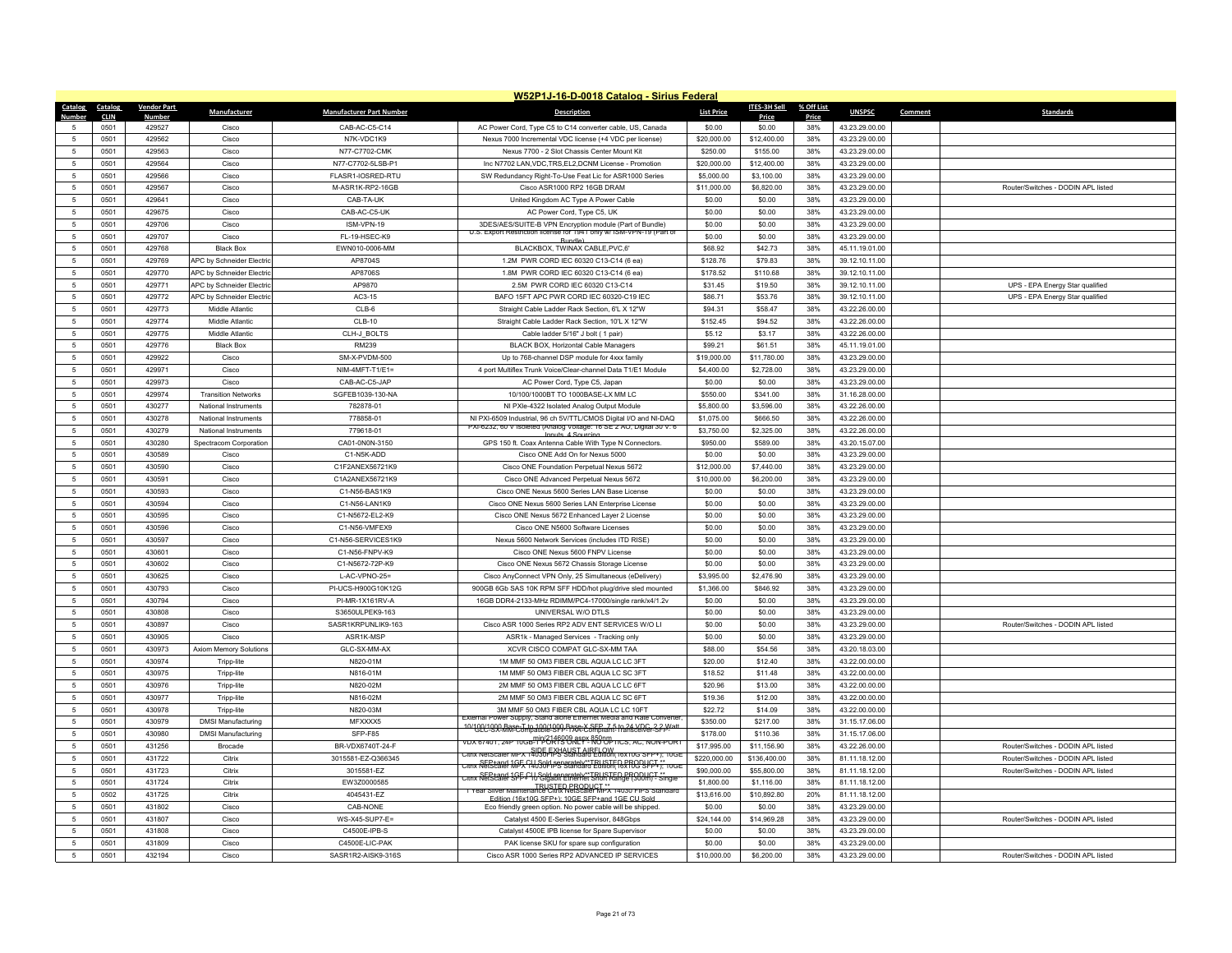|                 | W52P1J-16-D-0018 Catalog - Sirius Federal |                    |                            |                                 |                                                                                                                                                                                                 |                   |              |            |                |         |                                    |  |
|-----------------|-------------------------------------------|--------------------|----------------------------|---------------------------------|-------------------------------------------------------------------------------------------------------------------------------------------------------------------------------------------------|-------------------|--------------|------------|----------------|---------|------------------------------------|--|
| Catalog         | Catalog                                   | <b>Vendor Part</b> | Manufacturer               | <b>Manufacturer Part Number</b> | <b>Description</b>                                                                                                                                                                              | <b>List Price</b> | ITES-3H Sell | % Off List | <b>UNSPSC</b>  | Comment | <b>Standards</b>                   |  |
| Numhe           | <b>CLIN</b>                               | Number             |                            |                                 |                                                                                                                                                                                                 |                   | Price        | Price      |                |         |                                    |  |
| 5               | 0501                                      | 429527             | Cisco                      | CAB-AC-C5-C14                   | AC Power Cord, Type C5 to C14 converter cable, US, Canada                                                                                                                                       | \$0.00            | \$0.00       | 38%        | 43.23.29.00.00 |         |                                    |  |
| 5               | 0501                                      | 429562             | Cisco                      | N7K-VDC1K9                      | Nexus 7000 Incremental VDC license (+4 VDC per license)                                                                                                                                         | \$20,000.00       | \$12,400.00  | 38%        | 43.23.29.00.00 |         |                                    |  |
| $\sqrt{5}$      | 0501                                      | 429563             | Cisco                      | N77-C7702-CMK                   | Nexus 7700 - 2 Slot Chassis Center Mount Kit                                                                                                                                                    | \$250.00          | \$155.00     | 38%        | 43.23.29.00.00 |         |                                    |  |
| $\sqrt{5}$      | 0501                                      | 429564             | Cisco                      | N77-C7702-5LSB-P1               | Inc N7702 LAN, VDC, TRS, EL2, DCNM License - Promotion                                                                                                                                          | \$20,000.00       | \$12,400.00  | 38%        | 43.23.29.00.00 |         |                                    |  |
| $\,$ 5 $\,$     | 0501                                      | 429566             | Cisco                      | FLASR1-IOSRED-RTU               | SW Redundancy Right-To-Use Feat Lic for ASR1000 Series                                                                                                                                          | \$5,000.00        | \$3,100.00   | 38%        | 43.23.29.00.00 |         |                                    |  |
| -5              | 0501                                      | 429567             | Cisco                      | M-ASR1K-RP2-16GB                | Cisco ASR1000 RP2 16GB DRAM                                                                                                                                                                     | \$11,000.00       | \$6,820.00   | 38%        | 43.23.29.00.00 |         | Router/Switches - DODIN API listed |  |
| $\sqrt{5}$      | 0501                                      | 429641             | Cisco                      | CAB-TA-UK                       | United Kingdom AC Type A Power Cable                                                                                                                                                            | \$0.00            | \$0.00       | 38%        | 43.23.29.00.00 |         |                                    |  |
| $\,$ 5 $\,$     | 0501                                      | 429675             | Cisco                      | CAB-AC-C5-UK                    | AC Power Cord, Type C5, UK                                                                                                                                                                      | \$0.00            | \$0.00       | 38%        | 43.23.29.00.00 |         |                                    |  |
| 5               | 0501                                      | 429706             | Cisco                      | ISM-VPN-19                      | 3DES/AES/SUITE-B VPN Encryption module (Part of Bundle)<br>nse for 1941 only w/ ISM-VPN-19 (Part<br>S. Export Restriction                                                                       | \$0.00            | \$0.00       | 38%        | 43.23.29.00.00 |         |                                    |  |
| 5               | 0501                                      | 429707             | Cisco                      | FL-19-HSEC-K9                   | <b>Bundle</b>                                                                                                                                                                                   | \$0.00            | \$0.00       | 38%        | 43.23.29.00.00 |         |                                    |  |
| $\sqrt{5}$      | 0501                                      | 429768             | <b>Black Box</b>           | EWN010-0006-MM                  | BLACKBOX, TWINAX CABLE, PVC, 6                                                                                                                                                                  | \$68.92           | \$42.73      | 38%        | 45.11.19.01.00 |         |                                    |  |
| 5               | 0501                                      | 429769             | APC by Schneider Electric  | AP8704S                         | 1.2M PWR CORD IEC 60320 C13-C14 (6 ea)                                                                                                                                                          | \$128.76          | \$79.83      | 38%        | 39.12.10.11.00 |         |                                    |  |
| 5               | 0501                                      | 429770             | APC by Schneider Electric  | AP8706S                         | 1.8M PWR CORD IEC 60320 C13-C14 (6 ea)                                                                                                                                                          | \$178.52          | \$110.68     | 38%        | 39.12.10.11.00 |         |                                    |  |
| 5               | 0501                                      | 429771             | APC by Schneider Electric  | AP9870                          | 2.5M PWR CORD IEC 60320 C13-C14                                                                                                                                                                 | \$31.45           | \$19.50      | 38%        | 39.12.10.11.00 |         | UPS - EPA Energy Star qualified    |  |
| $5\phantom{.0}$ | 0501                                      | 429772             | APC by Schneider Electric  | AC3-15                          | BAFO 15FT APC PWR CORD IEC 60320-C19 IEC                                                                                                                                                        | \$86.71           | \$53.76      | 38%        | 39.12.10.11.00 |         | UPS - EPA Energy Star qualified    |  |
| $5\phantom{.0}$ | 0501                                      | 429773             | Middle Atlantic            | $CLB-6$                         | Straight Cable Ladder Rack Section, 6'L X 12"W                                                                                                                                                  | \$94.31           | \$58.47      | 38%        | 43.22.26.00.00 |         |                                    |  |
| $\sqrt{5}$      | 0501                                      | 429774             | Middle Atlantic            | CI B-10                         | Straight Cable Ladder Rack Section, 10'L X 12"W                                                                                                                                                 | \$152.45          | \$94.52      | 38%        | 43.22.26.00.00 |         |                                    |  |
| -5              | 0501                                      | 429775             | Middle Atlantic            | CLH-J_BOLTS                     | Cable ladder 5/16" J bolt (1 pair)                                                                                                                                                              | \$5.12            | \$3.17       | 38%        | 43.22.26.00.00 |         |                                    |  |
| $5\overline{5}$ | 0501                                      | 429776             | <b>Black Box</b>           | RM239                           | BLACK BOX, Horizontal Cable Managers                                                                                                                                                            | \$99.21           | \$61.51      | 38%        | 45.11.19.01.00 |         |                                    |  |
| -5              | 0501                                      | 429922             | Cisco                      | SM-X-PVDM-500                   | Up to 768-channel DSP module for 4xxx family                                                                                                                                                    | \$19,000.00       | \$11,780.00  | 38%        | 43.23.29.00.00 |         |                                    |  |
| -5              | 0501                                      | 429971             | Cisco                      | $NIM-4MFT-T1/E1=$               | 4 port Multiflex Trunk Voice/Clear-channel Data T1/E1 Module                                                                                                                                    | \$4,400.00        | \$2,728.00   | 38%        | 43.23.29.00.00 |         |                                    |  |
| $\overline{5}$  | 0501                                      | 429973             | Cisco                      | CAB-AC-C5-JAP                   | AC Power Cord, Type C5, Japan                                                                                                                                                                   | \$0.00            | \$0.00       | 38%        | 43.23.29.00.00 |         |                                    |  |
| $\sqrt{5}$      | 0501                                      | 429974             | <b>Transition Networks</b> | SGFEB1039-130-NA                | 10/100/1000BT TO 1000BASE-LX MM LC                                                                                                                                                              | \$550.00          | \$341.00     | 38%        | 31.16.28.00.00 |         |                                    |  |
| $\sqrt{5}$      | 0501                                      | 430277             | National Instruments       | 782878-01                       | NI PXIe-4322 Isolated Analog Output Module                                                                                                                                                      | \$5,800.00        | \$3,596.00   | 38%        | 43.22.26.00.00 |         |                                    |  |
| 5               | 0501                                      | 430278             | National Instruments       | 778858-01                       | NI PXI-6509 Industrial, 96 ch 5V/TTL/CMOS Digital I/O and NI-DAQ<br>-XI-6232, 60 V Isoleted (Analog Voltage: 16 SE 2 AO, Digital 30 V: 6                                                        | \$1,075.00        | \$666.50     | 38%        | 43.22.26.00.00 |         |                                    |  |
| 5               | 0501                                      | 430279             | National Instruments       | 779618-01                       | Innuts 4 Sourcin                                                                                                                                                                                | \$3,750.00        | \$2,325.00   | 38%        | 43.22.26.00.00 |         |                                    |  |
| $5\phantom{.0}$ | 0501                                      | 430280             | Spectracom Corporation     | CA01-0N0N-3150                  | GPS 150 ft. Coax Antenna Cable With Type N Connectors.                                                                                                                                          | \$950.00          | \$589.00     | 38%        | 43.20.15.07.00 |         |                                    |  |
| $\sqrt{5}$      | 0501                                      | 430589             | Cisco                      | C1-N5K-ADD                      | Cisco ONE Add On for Nexus 5000                                                                                                                                                                 | \$0.00            | \$0.00       | 38%        | 43.23.29.00.00 |         |                                    |  |
| 5               | 0501                                      | 430590             | Cisco                      | C1F2ANFX56721K9                 | Cisco ONE Foundation Perpetual Nexus 5672                                                                                                                                                       | \$12,000.00       | \$7,440.00   | 38%        | 43.23.29.00.00 |         |                                    |  |
| $5\phantom{.0}$ | 0501                                      | 430591             | Cisco                      | C1A2ANEX56721K9                 | Cisco ONE Advanced Perpetual Nexus 5672                                                                                                                                                         | \$10,000.00       | \$6,200.00   | 38%        | 43.23.29.00.00 |         |                                    |  |
| 5               | 0501                                      | 430593             | Cisco                      | C1-N56-BAS1K9                   | Cisco ONE Nexus 5600 Series LAN Base License                                                                                                                                                    | \$0.00            | \$0.00       | 38%        | 43 23 29 00 00 |         |                                    |  |
| 5               | 0501                                      | 430594             | Cisco                      | C1-N56-LAN1K9                   | Cisco ONE Nexus 5600 Series LAN Enterprise License                                                                                                                                              | \$0.00            | \$0.00       | 38%        | 43 23 29 00 00 |         |                                    |  |
| $\sqrt{5}$      | 0501                                      | 430595             | Cisco                      | C1-N5672-EL2-K9                 | Cisco ONE Nexus 5672 Enhanced Layer 2 License                                                                                                                                                   | \$0.00            | \$0.00       | 38%        | 43.23.29.00.00 |         |                                    |  |
| 5               | 0501                                      | 430596             | Cisco                      | C1-N56-VMFFX9                   | Cisco ONE N5600 Software Licenses                                                                                                                                                               | \$0.00            | \$0.00       | 38%        | 43.23.29.00.00 |         |                                    |  |
| $5\phantom{.0}$ | 0501                                      | 430597             | Cisco                      | C1-N56-SERVICES1K9              | Nexus 5600 Network Services (includes ITD RISE)                                                                                                                                                 | \$0.00            | \$0.00       | 38%        | 43.23.29.00.00 |         |                                    |  |
| 5               | 0501                                      | 430601             | Cisco                      | C1-N56-FNPV-K9                  | Cisco ONE Nexus 5600 FNPV License                                                                                                                                                               | \$0.00            | \$0.00       | 38%        | 43.23.29.00.00 |         |                                    |  |
| 5               | 0501                                      | 430602             | Cisco                      | C1-N5672-72P-K9                 | Cisco ONE Nexus 5672 Chassis Storage License                                                                                                                                                    | \$0.00            | \$0.00       | 38%        | 43.23.29.00.00 |         |                                    |  |
| $5\phantom{.0}$ | 0501                                      | 430625             | Cisco                      | L-AC-VPNO-25=                   | Cisco AnyConnect VPN Only, 25 Simultaneous (eDelivery)                                                                                                                                          | \$3,995.00        | \$2,476.90   | 38%        | 43.23.29.00.00 |         |                                    |  |
| $\overline{5}$  | 0501                                      | 430793             | Cisco                      | PI-UCS-H900G10K12G              | 900GB 6Gb SAS 10K RPM SFF HDD/hot plug/drive sled mounted                                                                                                                                       | \$1,366.00        | \$846.92     | 38%        | 43.23.29.00.00 |         |                                    |  |
| 5               | 0501                                      | 430794             | Cisco                      | PI-MR-1X161RV-A                 | 16GB DDR4-2133-MHz RDIMM/PC4-17000/single rank/x4/1.2v                                                                                                                                          | \$0.00            | \$0.00       | 38%        | 43.23.29.00.00 |         |                                    |  |
| 5               | 0501                                      | 430808             | Cisco                      | S3650ULPEK9-163                 | UNIVERSAL W/O DTLS                                                                                                                                                                              | \$0.00            | \$0.00       | 38%        | 43.23.29.00.00 |         |                                    |  |
| 5               | 0501                                      | 430897             | Cisco                      | SASR1KRPUNLIK9-163              | Cisco ASR 1000 Series RP2 ADV ENT SERVICES W/O LI                                                                                                                                               | \$0.00            | \$0.00       | 38%        | 43.23.29.00.00 |         | Router/Switches - DODIN API listed |  |
| -5              | 0501                                      | 430905             | Cisco                      | ASR1K-MSP                       | ASR1k - Managed Services - Tracking only                                                                                                                                                        | \$0.00            | \$0.00       | 38%        | 43.23.29.00.00 |         |                                    |  |
| 5               | 0501                                      | 430973             | Axiom Memory Solutions     | GLC-SX-MM-AX                    | XCVR CISCO COMPAT GLC-SX-MM TAA                                                                                                                                                                 | \$88.00           | \$54.56      | 38%        | 43.20.18.03.00 |         |                                    |  |
| $\sqrt{5}$      | 0501                                      | 430974             | Tripp-lite                 | N820-01M                        | 1M MMF 50 OM3 FIBER CBL AQUA LC LC 3FT                                                                                                                                                          | \$20.00           | \$12.40      | 38%        | 43.22.00.00.00 |         |                                    |  |
| 5               | 0501                                      | 430975             | Tripp-lite                 | N816-01M                        | 1M MMF 50 OM3 FIBER CBL AQUA LC SC 3FT                                                                                                                                                          | \$18.52           | \$11.48      | 38%        | 43.22.00.00.00 |         |                                    |  |
| -5              | 0501                                      | 430976             | Tripp-lite                 | N820-02M                        | 2M MMF 50 OM3 FIBER CBL AQUA LC LC 6FT                                                                                                                                                          | \$20.96           | \$13.00      | 38%        | 43.22.00.00.00 |         |                                    |  |
| 5               | 0501                                      | 430977             | Tripp-lite                 | N816-02M                        | 2M MMF 50 OM3 FIBER CBL AQUA LC SC 6FT                                                                                                                                                          | \$19.36           | \$12.00      | 38%        | 43.22.00.00.00 |         |                                    |  |
| 5               | 0501                                      | 430978             | Tripp-lite                 | <b>N820-03M</b>                 | 3M MME 50 OM3 FIRER CBL AOUA LC LC 10FT                                                                                                                                                         | \$22.72           | \$14.09      | 38%        | 43.22.00.00.00 |         |                                    |  |
| $5\phantom{.0}$ | 0501                                      | 430979             | <b>DMSI Manufacturing</b>  | MFXXXX5                         | ower Supply, Stand alone Ethernet Media and Rate Co<br>10/100/1000 Base-T to 100/1000 Base-X SEP 7.5 to 24 VDC, 2.2 Watt.<br>10/100/1000 Base-T to 100/1000 Base-X SEP 7.5 to 24 VDC, 2.2 Watt. | \$350.00          | \$217.00     | 38%        | 31.15.17.06.00 |         |                                    |  |
| 5               | 0501                                      | 430980             | <b>DMSI Manufacturing</b>  | SFP-F85                         | VDX 67401, 24P 10GB-TPOCREPY-ROOP-TICS, AC, NON-PORT                                                                                                                                            | \$178.00          | \$110.36     | 38%        | 31.15.17.06.00 |         |                                    |  |
| 5               | 0501                                      | 431256             | Brocade                    | BR-VDX6740T-24-F                | Citrix NetScaler MPX 12036-FASHALIST AIRELOW (16x10G SFP+); 20G                                                                                                                                 | \$17,995.00       | \$11,156.90  | 38%        | 43.22.26.00.00 |         | Router/Switches - DODIN APL listed |  |
| 5               | 0501                                      | 431722             | Citrix                     | 3015581-EZ-Q366345              | <u>SER+and 165 GU Sold penarately**TRUSTED PRODUCT **</u>                                                                                                                                       | \$220,000.00      | \$136,400.00 | 38%        | 81.11.18.12.00 |         | Router/Switches - DODIN APL listed |  |
| 5               | 0501                                      | 431723             | Citrix                     | 3015581-EZ                      | Citrix NetScaler 3-E.L.I. Sold separately**TRUSTED PRODUCT **<br>Citrix NetScaler 3-E.F. 10 Gigabit Ethernet Short Range (300m) - Single                                                        | \$90,000.00       | \$55,800.00  | 38%        | 81.11.18.12.00 |         | Router/Switches - DODIN APL listed |  |
| $5\phantom{.0}$ | 0501                                      | 431724             | Citrix                     | EW3Z0000585                     | Pear Silver Maintenance Citrix NetScaler MPX 14030 FIPS Standard                                                                                                                                | \$1,800.00        | \$1,116.00   | 38%        | 81.11.18.12.00 |         |                                    |  |
| 5               | 0502                                      | 431725             | Citrix                     | 4045431-EZ                      | Edition (16x10G SEP+): 10GE SEP+and 1GE CLLSold                                                                                                                                                 | \$13,616.00       | \$10,892.80  | 20%        | 81.11.18.12.00 |         |                                    |  |
| 5               | 0501                                      | 431802             | Cisco                      | CAB-NONE                        | Eco friendly green option. No power cable will be shipped.                                                                                                                                      | \$0.00            | \$0.00       | 38%        | 43.23.29.00.00 |         |                                    |  |
| 5               | 0501                                      | 431807             | Cisco                      | WS-X45-SUP7-E=                  | Catalyst 4500 E-Series Supervisor, 848Gbps                                                                                                                                                      | \$24,144.00       | \$14,969.28  | 38%        | 43.23.29.00.00 |         | Router/Switches - DODIN APL listed |  |
| 5               | 0501                                      | 431808             | Cisco                      | C4500E-IPB-S                    | Catalyst 4500E IPB license for Spare Supervisor                                                                                                                                                 | \$0.00            | \$0.00       | 38%        | 43.23.29.00.00 |         |                                    |  |
| 5               | 0501                                      | 431809             | Cisco                      | C4500E-LIC-PAK                  | PAK license SKU for spare sup configuration                                                                                                                                                     | \$0.00            | \$0.00       | 38%        | 43.23.29.00.00 |         |                                    |  |
| 5               | 0501                                      | 432194             | Cisco                      | SASR1R2-AISK9-316S              | Cisco ASR 1000 Series RP2 ADVANCED IP SERVICES                                                                                                                                                  | \$10,000.00       | \$6,200.00   | 38%        | 43.23.29.00.00 |         | Router/Switches - DODIN APL listed |  |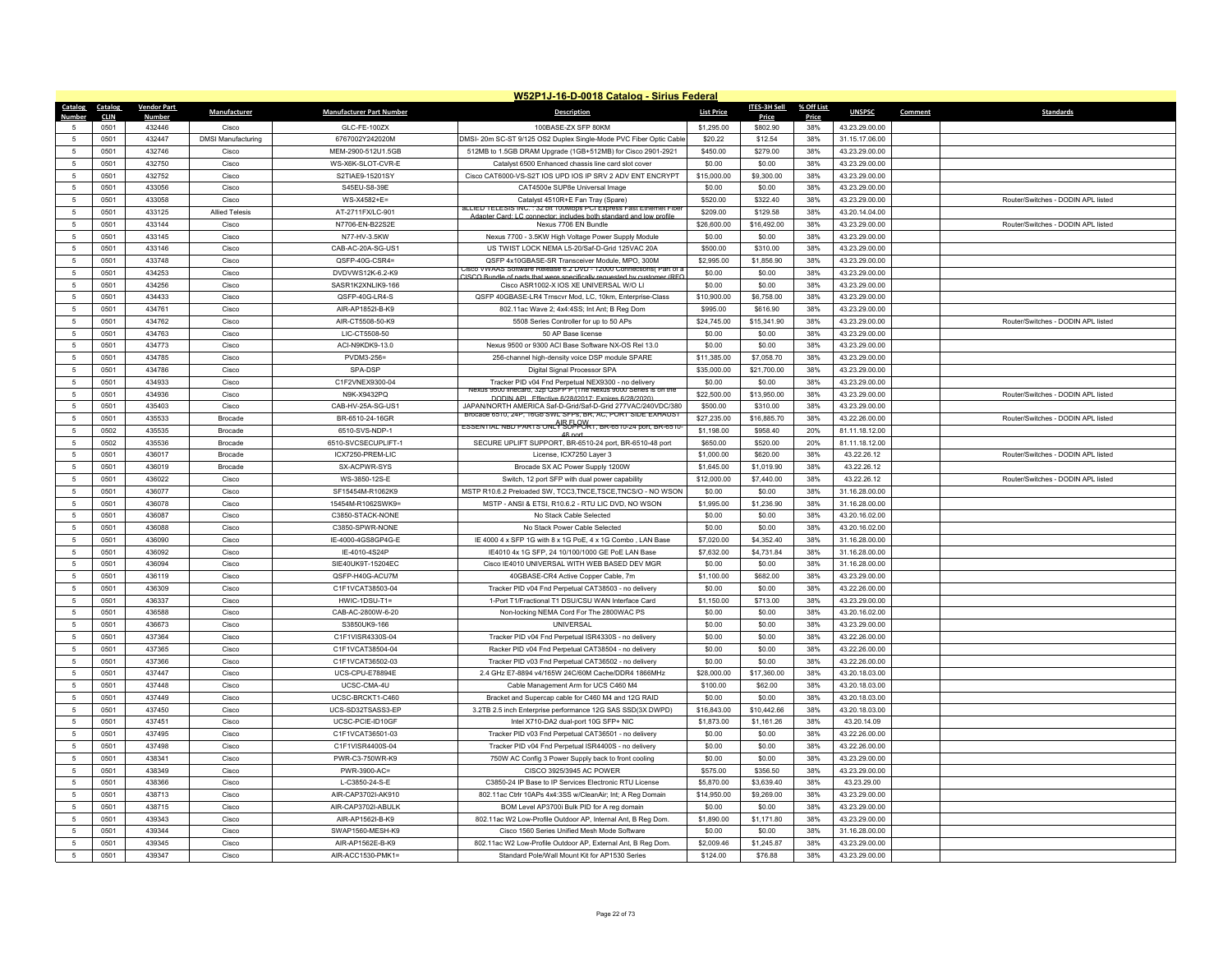|                 | W52P1J-16-D-0018 Catalog - Sirius Federal |                    |                           |                                 |                                                                                                                        |                   |              |            |                |         |                                    |  |
|-----------------|-------------------------------------------|--------------------|---------------------------|---------------------------------|------------------------------------------------------------------------------------------------------------------------|-------------------|--------------|------------|----------------|---------|------------------------------------|--|
| Catalog         | Catalog                                   | <b>Vendor Part</b> | Manufacturer              | <b>Manufacturer Part Number</b> | <b>Description</b>                                                                                                     | <b>List Price</b> | ITES-3H Sell | % Off List | <b>UNSPSC</b>  | Comment | <b>Standards</b>                   |  |
| Numhe           | <b>CLIN</b>                               | <b>Numbe</b>       |                           |                                 |                                                                                                                        |                   | Price        | Price      |                |         |                                    |  |
| 5               | 0501                                      | 432446             | Cisco                     | GLC-FE-100ZX                    | 100BASE-ZX SFP 80KM                                                                                                    | \$1,295.00        | \$802.90     | 38%        | 43.23.29.00.00 |         |                                    |  |
|                 | 0501                                      | 432447             | <b>DMSI Manufacturing</b> | 6767002Y242020M                 | DMSI- 20m SC-ST 9/125 OS2 Duplex Single-Mode PVC Fiber Optic Cable                                                     | \$20.22           | \$12.54      | 38%        | 31.15.17.06.00 |         |                                    |  |
| $\sqrt{5}$      | 0501                                      | 432746             | Cisco                     | MEM-2900-512U1.5GB              | 512MB to 1.5GB DRAM Upgrade (1GB+512MB) for Cisco 2901-2921                                                            | \$450.00          | \$279.00     | 38%        | 43.23.29.00.00 |         |                                    |  |
| -5              | 0501                                      | 432750             | Cisco                     | WS-X6K-SLOT-CVR-E               | Catalyst 6500 Enhanced chassis line card slot cover                                                                    | \$0.00            | \$0.00       | 38%        | 43.23.29.00.00 |         |                                    |  |
| $\,$ 5 $\,$     | 0501                                      | 432752             | Cisco                     | S2TIAE9-15201SY                 | Cisco CAT6000-VS-S2T IOS UPD IOS IP SRV 2 ADV ENT ENCRYPT                                                              | \$15,000.00       | \$9,300.00   | 38%        | 43.23.29.00.00 |         |                                    |  |
| 5               | 0501                                      | 433056             | Cisco                     | S45EU-S8-39E                    | CAT4500e SUP8e Universal Image                                                                                         | \$0.00            | \$0.00       | 38%        | 43.23.29.00.00 |         |                                    |  |
| -5              | 0501                                      | 433058             | Cisco                     | WS-X4582+E=                     | Catalyst 4510R+E Fan Tray (Spare)<br>ALLIED TELESIS INC.: 32 bit 100Mbps PCI Express Fast Ethernet Fiber               | \$520.00          | \$322.40     | 38%        | 43.23.29.00.00 |         | Router/Switches - DODIN API listed |  |
| $\,$ 5 $\,$     | 0501                                      | 433125             | <b>Allied Telesis</b>     | AT-2711FX/LC-901                | Adapter Card: LC connector: includes both standard and low profile                                                     | \$209.00          | \$129.58     | 38%        | 43.20.14.04.00 |         |                                    |  |
| $\sqrt{5}$      | 0501                                      | 433144             | Cisco                     | N7706-EN-B22S2E                 | Nexus 7706 EN Bundle                                                                                                   | \$26,600.00       | \$16,492.00  | 38%        | 43.23.29.00.00 |         | Router/Switches - DODIN APL listed |  |
| $5\phantom{.0}$ | 0501                                      | 433145             | Cisco                     | N77-HV-3.5KW                    | Nexus 7700 - 3.5KW High Voltage Power Supply Module                                                                    | \$0.00            | \$0.00       | 38%        | 43.23.29.00.00 |         |                                    |  |
| $\sqrt{5}$      | 0501                                      | 433146             | Cisco                     | CAB-AC-20A-SG-US1               | US TWIST LOCK NEMA L5-20/Saf-D-Grid 125VAC 20A                                                                         | \$500.00          | \$310.00     | 38%        | 43.23.29.00.00 |         |                                    |  |
| 5               | 0501                                      | 433748             | Cisco                     | QSFP-40G-CSR4=                  | QSFP 4x10GBASE-SR Transceiver Module, MPO, 300M<br>VWAAS Software Release 6.2 DVD - 12000 Connections( Part of         | \$2,995.00        | \$1,856.90   | 38%        | 43.23.29.00.00 |         |                                    |  |
| 5               | 0501                                      | 434253             | Cisco                     | DVDVWS12K-6.2-K9                | CISCO Bundle of parts that were specifically requested by customer (RFO                                                | \$0.00            | \$0.00       | 38%        | 43.23.29.00.00 |         |                                    |  |
| 5               | 0501                                      | 434256             | Cisco                     | SASR1K2XNLIK9-166               | Cisco ASR1002-X IOS XE UNIVERSAL W/O LI                                                                                | \$0.00            | \$0.00       | 38%        | 43.23.29.00.00 |         |                                    |  |
| $5\phantom{.0}$ | 0501                                      | 434433             | Cisco                     | QSFP-40G-LR4-S                  | QSFP 40GBASE-LR4 Trnscvr Mod, LC, 10km, Enterprise-Class                                                               | \$10,900.00       | \$6,758.00   | 38%        | 43.23.29.00.00 |         |                                    |  |
| $-5$            | 0501                                      | 434761             | Cisco                     | AIR-AP1852I-B-K9                | 802.11ac Wave 2; 4x4:4SS; Int Ant; B Reg Dom                                                                           | \$995.00          | \$616.90     | 38%        | 43.23.29.00.00 |         |                                    |  |
| 5               | 0501                                      | 434762             | Cisco                     | AIR-CT5508-50-K9                | 5508 Series Controller for up to 50 APs                                                                                | \$24,745.00       | \$15,341.90  | 38%        | 43.23.29.00.00 |         | Router/Switches - DODIN APL listed |  |
| $\sqrt{5}$      | 0501                                      | 434763             | Cisco                     | LIC-CT5508-50                   | 50 AP Base license                                                                                                     | \$0.00            | \$0.00       | 38%        | 43.23.29.00.00 |         |                                    |  |
| 5               | 0501                                      | 434773             | Cisco                     | ACI-N9KDK9-13.0                 | Nexus 9500 or 9300 ACI Base Software NX-OS Rel 13.0                                                                    | \$0.00            | \$0.00       | 38%        | 43.23.29.00.00 |         |                                    |  |
| 5               | 0501                                      | 434785             | Cisco                     | PVDM3-256=                      | 256-channel high-density voice DSP module SPARE                                                                        | \$11,385.00       | \$7,058.70   | 38%        | 43.23.29.00.00 |         |                                    |  |
| 5               | 0501                                      | 434786             | Cisco                     | SPA-DSP                         | Digital Signal Processor SPA                                                                                           | \$35,000.00       | \$21,700.00  | 38%        | 43.23.29.00.00 |         |                                    |  |
| 5               | 0501                                      | 434933             | Cisco                     | C1F2VNEX9300-04                 | Tracker PID v04 Fnd Perpetual NEX9300 - no delivery                                                                    | \$0.00            | \$0.00       | 38%        | 43.23.29.00.00 |         |                                    |  |
| $\sqrt{5}$      | 0501                                      | 434936             | Cisco                     | N9K-X9432PQ                     | Nexus 9500 linecard, 32p QSFP P (The Nexus 9000 Series is on the<br>DODIN API Fffective 6/28/12017: Expires 6/28/2020) | \$22,500.00       | \$13,950.00  | 38%        | 43.23.29.00.00 |         | Router/Switches - DODIN APL listed |  |
| 5               | 0501                                      | 435403             | Cisco                     | CAB-HV-25A-SG-US1               | JAPAN/NORTH AMERICA Saf-D-Grid/Saf-D-Grid 277VAC/240VDC/380                                                            | \$500.00          | \$310.00     | 38%        | 43.23.29.00.00 |         |                                    |  |
| 5               | 0501                                      | 435533             | Brocade                   | BR-6510-24-16GR                 | Brocade 6510, 24P, 16Gb SWL SFPs, BR, AC, PORT SIDE EXHAUST                                                            | \$27,235.00       | \$16,885.70  | 38%        | 43.22.26.00.00 |         | Router/Switches - DODIN APL listed |  |
| 5               | 0502                                      | 435535             | <b>Brocade</b>            | 6510-SVS-NDP-1                  | ESSENTIAL NBD PARTS ONL <sup>0</sup> SUPPORT, BR-6510-24 port, BR-6510<br>48 nort                                      | \$1,198.00        | \$958.40     | 20%        | 81.11.18.12.00 |         |                                    |  |
| $5\phantom{.0}$ | 0502                                      | 435536             | Brocade                   | 6510-SVCSECUPLIFT-1             | SECURE UPLIFT SUPPORT, BR-6510-24 port, BR-6510-48 port                                                                | \$650.00          | \$520.00     | 20%        | 81.11.18.12.00 |         |                                    |  |
| $\sqrt{5}$      | 0501                                      | 436017             | Brocade                   | ICX7250-PREM-LIC                | License, ICX7250 Layer 3                                                                                               | \$1,000.00        | \$620.00     | 38%        | 43.22.26.12    |         | Router/Switches - DODIN APL listed |  |
| 5               | 0501                                      | 436019             | <b>Brocade</b>            | SX-ACPWR-SYS                    | Brocade SX AC Power Supply 1200W                                                                                       | \$1,645.00        | \$1,019.90   | 38%        | 43.22.26.12    |         |                                    |  |
| $\sqrt{5}$      | 0501                                      | 436022             | Cisco                     | WS-3850-12S-E                   | Switch, 12 port SFP with dual power capability                                                                         | \$12,000.00       | \$7,440.00   | 38%        | 43.22.26.12    |         | Router/Switches - DODIN APL listed |  |
| 5               | 0501                                      | 436077             | Cisco                     | SF15454M-R1062K9                | MSTP R10.6.2 Preloaded SW, TCC3, TNCE, TSCE, TNCS/O - NO WSON                                                          | \$0.00            | \$0.00       | 38%        | 31.16.28.00.00 |         |                                    |  |
| 5               | 0501                                      | 436078             | Cisco                     | 15454M-R1062SWK9=               | MSTP - ANSI & ETSI, R10.6.2 - RTU LIC DVD, NO WSON                                                                     | \$1,995.00        | \$1,236.90   | 38%        | 31.16.28.00.00 |         |                                    |  |
| $\sqrt{5}$      | 0501                                      | 436087             | Cisco                     | C3850-STACK-NONE                | No Stack Cable Selected                                                                                                | \$0.00            | \$0.00       | 38%        | 43.20.16.02.00 |         |                                    |  |
| $\sqrt{5}$      | 0501                                      | 436088             | Cisco                     | C3850-SPWR-NONE                 | No Stack Power Cable Selected                                                                                          | \$0.00            | \$0.00       | 38%        | 43.20.16.02.00 |         |                                    |  |
| $\sqrt{5}$      | 0501                                      | 436090             | Cisco                     | IE-4000-4GS8GP4G-E              | IE 4000 4 x SFP 1G with 8 x 1G PoE, 4 x 1G Combo, LAN Base                                                             | \$7,020.00        | \$4,352.40   | 38%        | 31.16.28.00.00 |         |                                    |  |
| 5               | 0501                                      | 436092             | Cisco                     | IE-4010-4S24P                   | IE4010 4x 1G SFP, 24 10/100/1000 GE PoE LAN Base                                                                       | \$7,632.00        | \$4,731.84   | 38%        | 31.16.28.00.00 |         |                                    |  |
| 5               | 0501                                      | 436094             | Cisco                     | SIE40UK9T-15204EC               | Cisco IE4010 UNIVERSAL WITH WEB BASED DEV MGR                                                                          | \$0.00            | \$0.00       | 38%        | 31.16.28.00.00 |         |                                    |  |
| $\sqrt{5}$      | 0501                                      | 436119             | Cisco                     | OSFP-H40G-ACU7M                 | 40GBASE-CR4 Active Copper Cable, 7m                                                                                    | \$1,100.00        | \$682.00     | 38%        | 43.23.29.00.00 |         |                                    |  |
| $-5$            | 0501                                      | 436309             | Cisco                     | C1F1VCAT38503-04                | Tracker PID v04 Fnd Perpetual CAT38503 - no delivery                                                                   | \$0.00            | \$0.00       | 38%        | 43.22.26.00.00 |         |                                    |  |
| $\sqrt{5}$      | 0501                                      | 436337             | Cisco                     | HWIC-1DSU-T1=                   | 1-Port T1/Fractional T1 DSU/CSU WAN Interface Card                                                                     | \$1,150.00        | \$713.00     | 38%        | 43.23.29.00.00 |         |                                    |  |
| 5               | 0501                                      | 436588             | Cisco                     | CAB-AC-2800W-6-20               | Non-locking NEMA Cord For The 2800WAC PS                                                                               | \$0.00            | \$0.00       | 38%        | 43.20.16.02.00 |         |                                    |  |
| 5               | 0501                                      | 436673             | Cisco                     | S3850UK9-166                    | UNIVERSAL                                                                                                              | \$0.00            | \$0.00       | 38%        | 43.23.29.00.00 |         |                                    |  |
| 5               | 0501                                      | 437364             | Cisco                     | C1F1VISR4330S-04                | Tracker PID v04 Fnd Perpetual ISR4330S - no delivery                                                                   | \$0.00            | \$0.00       | 38%        | 43.22.26.00.00 |         |                                    |  |
| $5\phantom{.0}$ | 0501                                      | 437365             | Cisco                     | C1F1VCAT38504-04                | Racker PID v04 Fnd Perpetual CAT38504 - no delivery                                                                    | \$0.00            | \$0.00       | 38%        | 43.22.26.00.00 |         |                                    |  |
| 5               | 0501                                      | 437366             | Cisco                     | C1F1VCAT36502-03                | Tracker PID v03 Fnd Perpetual CAT36502 - no delivery                                                                   | \$0.00            | \$0.00       | 38%        | 43.22.26.00.00 |         |                                    |  |
| $\sqrt{5}$      | 0501                                      | 437447             | Cisco                     | UCS-CPU-E78894E                 | 2.4 GHz E7-8894 v4/165W 24C/60M Cache/DDR4 1866MHz                                                                     | \$28,000.00       | \$17,360.00  | 38%        | 43.20.18.03.00 |         |                                    |  |
| 5               | 0501                                      | 437448             | Cisco                     | UCSC-CMA-4U                     | Cable Management Arm for UCS C460 M4                                                                                   | \$100.00          | \$62.00      | 38%        | 43.20.18.03.00 |         |                                    |  |
| $\sqrt{5}$      | 0501                                      | 437449             | Cisco                     | UCSC-BRCKT1-C460                | Bracket and Supercap cable for C460 M4 and 12G RAID                                                                    | \$0.00            | \$0.00       | 38%        | 43.20.18.03.00 |         |                                    |  |
| 5               | 0501                                      | 437450             | Cisco                     | UCS-SD32TSASS3-EP               | 3.2TB 2.5 inch Enterprise performance 12G SAS SSD(3X DWPD)                                                             | \$16,843.00       | \$10,442.66  | 38%        | 43.20.18.03.00 |         |                                    |  |
| $5\phantom{.0}$ | 0501                                      | 437451             | Cisco                     | UCSC-PCIE-ID10GF                | Intel X710-DA2 dual-port 10G SFP+ NIC                                                                                  | \$1,873.00        | \$1,161.26   | 38%        | 43.20.14.09    |         |                                    |  |
| 5               | 0501                                      | 437495             | Cisco                     | C1F1VCAT36501-03                | Tracker PID v03 Fnd Perpetual CAT36501 - no delivery                                                                   | \$0.00            | \$0.00       | 38%        | 43.22.26.00.00 |         |                                    |  |
| -5              | 0501                                      | 437498             | Cisco                     | C1F1VISR4400S-04                | Tracker PID v04 Fnd Perpetual ISR4400S - no delivery                                                                   | \$0.00            | \$0.00       | 38%        | 43.22.26.00.00 |         |                                    |  |
| $\sqrt{5}$      | 0501                                      | 438341             | Cisco                     | PWR-C3-750WR-K9                 | 750W AC Config 3 Power Supply back to front cooling                                                                    | \$0.00            | \$0.00       | 38%        | 43.23.29.00.00 |         |                                    |  |
| $\,$ 5 $\,$     | 0501                                      | 438349             | Cisco                     | PWR-3900-AC=                    | CISCO 3925/3945 AC POWER                                                                                               | \$575.00          | \$356.50     | 38%        | 43.23.29.00.00 |         |                                    |  |
| 5               | 0501                                      | 438366             | Cisco                     | L-C3850-24-S-F                  | C3850-24 IP Base to IP Services Electronic RTU License                                                                 | \$5,870.00        | \$3.639.40   | 38%        | 43.23.29.00    |         |                                    |  |
| $5\phantom{.0}$ | 0501                                      | 438713             | Cisco                     | AIR-CAP3702I-AK910              | 802.11ac Ctrlr 10APs 4x4:3SS w/CleanAir; Int; A Reg Domain                                                             | \$14,950.00       | \$9,269.00   | 38%        | 43.23.29.00.00 |         |                                    |  |
| $\,$ 5 $\,$     | 0501                                      | 438715             | Cisco                     | AIR-CAP3702I-ABULK              | BOM Level AP3700i Bulk PID for A reg domain                                                                            | \$0.00            | \$0.00       | 38%        | 43.23.29.00.00 |         |                                    |  |
| 5               | 0501                                      | 439343             | Cisco                     | AIR-AP1562I-B-K9                | 802.11ac W2 Low-Profile Outdoor AP, Internal Ant, B Reg Dom.                                                           | \$1,890.00        | \$1,171.80   | 38%        | 43.23.29.00.00 |         |                                    |  |
| $\overline{5}$  | 0501                                      | 439344             | Cisco                     | SWAP1560-MESH-K9                | Cisco 1560 Series Unified Mesh Mode Software                                                                           | \$0.00            | \$0.00       | 38%        | 31.16.28.00.00 |         |                                    |  |
| 5               | 0501                                      | 439345             | Cisco                     | AIR-AP1562E-B-K9                | 802.11ac W2 Low-Profile Outdoor AP, External Ant, B Reg Dom.                                                           | \$2,009.46        | \$1,245.87   | 38%        | 43.23.29.00.00 |         |                                    |  |
| $\sqrt{5}$      | 0501                                      | 439347             | Cisco                     | AIR-ACC1530-PMK1=               | Standard Pole/Wall Mount Kit for AP1530 Series                                                                         | \$124.00          | \$76.88      | 38%        | 43.23.29.00.00 |         |                                    |  |
|                 |                                           |                    |                           |                                 |                                                                                                                        |                   |              |            |                |         |                                    |  |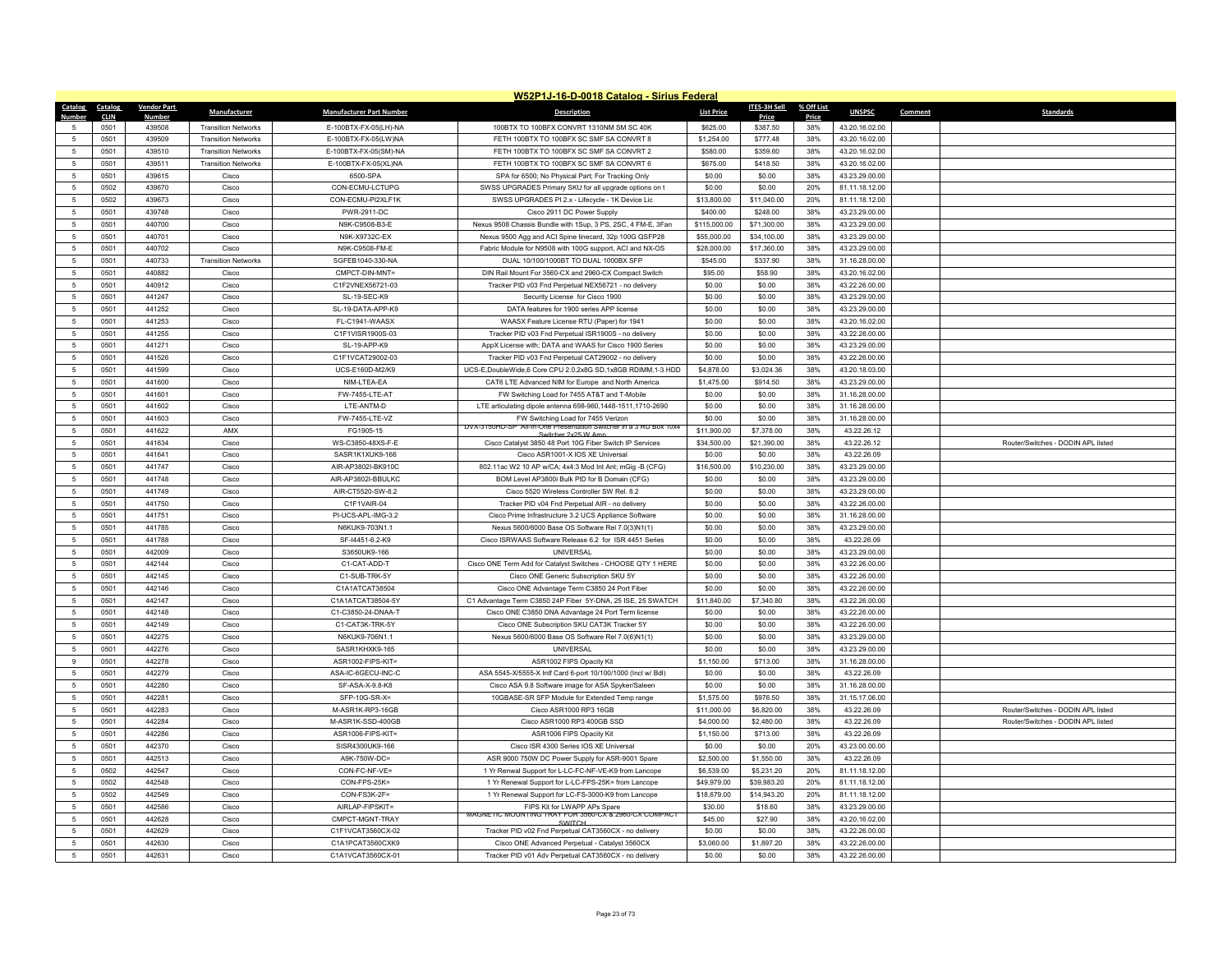|                 | W52P1J-16-D-0018 Catalog - Sirius Federal |                    |                            |                                 |                                                                                                         |                   |                     |            |                |         |                                    |  |
|-----------------|-------------------------------------------|--------------------|----------------------------|---------------------------------|---------------------------------------------------------------------------------------------------------|-------------------|---------------------|------------|----------------|---------|------------------------------------|--|
| Catalog         | Catalog                                   | <b>Vendor Part</b> | Manufacturer               | <b>Manufacturer Part Number</b> | <b>Description</b>                                                                                      | <b>List Price</b> | <b>ITES-3H Sell</b> | % Off List | <b>UNSPSC</b>  | Comment | <b>Standards</b>                   |  |
| Numbe           | <b>CLIN</b>                               | Number             |                            |                                 |                                                                                                         |                   | Price               | Price      |                |         |                                    |  |
| 5               | 0501                                      | 439508             | <b>Transition Networks</b> | E-100BTX-FX-05(LH)-NA           | 100BTX TO 100BFX CONVRT 1310NM SM SC 40K                                                                | \$625.00          | \$387.50            | 38%        | 43.20.16.02.00 |         |                                    |  |
| 5               | 0501                                      | 439509             | <b>Transition Networks</b> | E-100BTX-FX-05(LW)NA            | FETH 100BTX TO 100BFX SC SMF SA CONVRT 8                                                                | \$1,254.00        | \$777.48            | 38%        | 43.20.16.02.00 |         |                                    |  |
| $\sqrt{5}$      | 0501                                      | 439510             | <b>Transition Networks</b> | E-100BTX-FX-05(SM)-NA           | FETH 100BTX TO 100BFX SC SMF SA CONVRT 2                                                                | \$580.00          | \$359.60            | 38%        | 43.20.16.02.00 |         |                                    |  |
| $\sqrt{5}$      | 0501                                      | 439511             | <b>Transition Networks</b> | E-100BTX-FX-05(XL)NA            | FETH 100BTX TO 100BFX SC SMF SA CONVRT 6                                                                | \$675.00          | \$418.50            | 38%        | 43.20.16.02.00 |         |                                    |  |
| $\,$ 5 $\,$     | 0501                                      | 439615             | Cisco                      | 6500-SPA                        | SPA for 6500; No Physical Part; For Tracking Only                                                       | \$0.00            | \$0.00              | 38%        | 43.23.29.00.00 |         |                                    |  |
| 5               | 0502                                      | 439670             | Cisco                      | CON-ECMU-LCTUPG                 | SWSS UPGRADES Primary SKU for all upgrade options on t                                                  | \$0.00            | \$0.00              | 20%        | 81.11.18.12.00 |         |                                    |  |
| -5              | 0502                                      | 439673             | Cisco                      | CON-ECMU-PI2XLF1K               | SWSS UPGRADES PI 2.x - Lifecycle - 1K Device Lic                                                        | \$13,800.00       | \$11,040.00         | 20%        | 81.11.18.12.00 |         |                                    |  |
| $\,$ 5 $\,$     | 0501                                      | 439748             | Cisco                      | PWR-2911-DC                     | Cisco 2911 DC Power Supply                                                                              | \$400.00          | \$248.00            | 38%        | 43.23.29.00.00 |         |                                    |  |
| 5               | 0501                                      | 440700             | Cisco                      | N9K-C9508-B3-E                  | Nexus 9508 Chassis Bundle with 1Sup, 3 PS, 2SC, 4 FM-E, 3Fan                                            | \$115,000.00      | \$71,300.00         | 38%        | 43.23.29.00.00 |         |                                    |  |
| $5\phantom{.0}$ | 0501                                      | 440701             | Cisco                      | N9K-X9732C-EX                   | Nexus 9500 Agg and ACI Spine linecard, 32p 100G QSFP28                                                  | \$55,000.00       | \$34,100.00         | 38%        | 43.23.29.00.00 |         |                                    |  |
| 5               | 0501                                      | 440702             | Cisco                      | N9K-C9508-FM-E                  | Fabric Module for N9508 with 100G support, ACI and NX-OS                                                | \$28,000.00       | \$17,360.00         | 38%        | 43.23.29.00.00 |         |                                    |  |
| 5               | 0501                                      | 440733             | <b>Transition Networks</b> | SGFEB1040-330-NA                | DUAL 10/100/1000BT TO DUAL 1000BX SFP                                                                   | \$545.00          | \$337.90            | 38%        | 31.16.28.00.00 |         |                                    |  |
| $\overline{5}$  | 0501                                      | 440882             | Cisco                      | CMPCT-DIN-MNT=                  | DIN Rail Mount For 3560-CX and 2960-CX Compact Switch                                                   | \$95.00           | \$58.90             | 38%        | 43.20.16.02.00 |         |                                    |  |
| 5               | 0501                                      | 440912             | Cisco                      | C1F2VNEX56721-03                | Tracker PID v03 Fnd Perpetual NEX56721 - no delivery                                                    | \$0.00            | \$0.00              | 38%        | 43.22.26.00.00 |         |                                    |  |
| $5\phantom{.0}$ | 0501                                      | 441247             | Cisco                      | SL-19-SEC-K9                    | Security License for Cisco 1900                                                                         | \$0.00            | \$0.00              | 38%        | 43.23.29.00.00 |         |                                    |  |
| 5               | 0501                                      | 441252             | Cisco                      | SL-19-DATA-APP-K9               | DATA features for 1900 series APP license                                                               | \$0.00            | \$0.00              | 38%        | 43.23.29.00.00 |         |                                    |  |
| 5               | 0501                                      | 441253             | Cisco                      | FL-C1941-WAASX                  | WAASX Feature License RTU (Paper) for 1941                                                              | \$0.00            | \$0.00              | 38%        | 43.20.16.02.00 |         |                                    |  |
| $\sqrt{5}$      | 0501                                      | 441255             | Cisco                      | C1F1VISR1900S-03                | Tracker PID v03 Fnd Perpetual ISR1900S - no delivery                                                    | \$0.00            | \$0.00              | 38%        | 43.22.26.00.00 |         |                                    |  |
| $\sqrt{5}$      | 0501                                      | 441271             | Cisco                      | SL-19-APP-K9                    | AppX License with; DATA and WAAS for Cisco 1900 Series                                                  | \$0.00            | \$0.00              | 38%        | 43.23.29.00.00 |         |                                    |  |
| 5               | 0501                                      | 441526             | Cisco                      | C1F1VCAT29002-03                | Tracker PID v03 Fnd Perpetual CAT29002 - no delivery                                                    | \$0.00            | \$0.00              | 38%        | 43.22.26.00.00 |         |                                    |  |
| 5               | 0501                                      | 441599             | Cisco                      | UCS-E160D-M2/K9                 | UCS-E,DoubleWide,6 Core CPU 2.0,2x8G SD,1x8GB RDIMM,1-3 HDD                                             | \$4,878.00        | \$3,024.36          | 38%        | 43.20.18.03.00 |         |                                    |  |
| 5               | 0501                                      | 441600             | Cisco                      | NIM-LTEA-EA                     | CAT6 LTE Advanced NIM for Europe and North America                                                      | \$1,475.00        | \$914.50            | 38%        | 43.23.29.00.00 |         |                                    |  |
| 5               | 0501                                      | 441601             | Cisco                      | FW-7455-LTE-AT                  | FW Switching Load for 7455 AT&T and T-Mobile                                                            | \$0.00            | \$0.00              | 38%        | 31.16.28.00.00 |         |                                    |  |
| 5               | 0501                                      | 441602             | Cisco                      | LTE-ANTM-D                      | LTE articulating dipole antenna 698-960,1448-1511,1710-2690                                             | \$0.00            | \$0.00              | 38%        | 31.16.28.00.00 |         |                                    |  |
| $\sqrt{5}$      | 0501                                      | 441603             | Cisco                      | FW-7455-LTE-VZ                  | FW Switching Load for 7455 Verizon<br>DVX-3150HD-SP All-In-One Presentation Switcher in a 3 RU Box 10x4 | \$0.00            | \$0.00              | 38%        | 31.16.28.00.00 |         |                                    |  |
| 5               | 0501                                      | 441622             | AMX                        | FG1905-15                       | witcher 2x25 W Ar                                                                                       | \$11,900.00       | \$7,378.00          | 38%        | 43.22.26.12    |         |                                    |  |
| 5               | 0501                                      | 441634             | Cisco                      | WS-C3850-48XS-F-E               | Cisco Catalyst 3850 48 Port 10G Fiber Switch IP Services                                                | \$34,500.00       | \$21,390.00         | 38%        | 43.22.26.12    |         | Router/Switches - DODIN APL listed |  |
| 5               | 0501                                      | 441641             | Cisco                      | SASR1K1XUK9-166                 | Cisco ASR1001-X IOS XE Universal                                                                        | \$0.00            | \$0.00              | 38%        | 43.22.26.09    |         |                                    |  |
| -5              | 0501                                      | 441747             | Cisco                      | AIR-AP3802I-BK910C              | 802.11ac W2 10 AP w/CA; 4x4:3 Mod Int Ant; mGig -B (CFG)                                                | \$16,500.00       | \$10,230.00         | 38%        | 43.23.29.00.00 |         |                                    |  |
| 5               | 0501                                      | 441748             | Cisco                      | AIR-AP3802I-BBULKC              | BOM Level AP3800i Bulk PID for B Domain (CFG)                                                           | \$0.00            | \$0.00              | 38%        | 43.23.29.00.00 |         |                                    |  |
| $\sqrt{5}$      | 0501                                      | 441749             | Cisco                      | AIR-CT5520-SW-8.2               | Cisco 5520 Wireless Controller SW Rel. 8.2                                                              | \$0.00            | \$0.00              | 38%        | 43.23.29.00.00 |         |                                    |  |
| 5               | 0501                                      | 441750             | Cisco                      | C1F1VAIR-04                     | Tracker PID v04 Fnd Perpetual AIR - no delivery                                                         | \$0.00            | \$0.00              | 38%        | 43.22.26.00.00 |         |                                    |  |
| $5\phantom{.0}$ | 0501                                      | 441751             | Cisco                      | PI-UCS-APL-IMG-3.2              | Cisco Prime Infrastructure 3.2 UCS Appliance Software                                                   | \$0.00            | \$0.00              | 38%        | 31.16.28.00.00 |         |                                    |  |
| 5               | 0501                                      | 441785             | Cisco                      | N6KUK9-703N1.1                  | Nexus 5600/6000 Base OS Software Rel 7.0(3)N1(1)                                                        | \$0.00            | \$0.00              | 38%        | 43.23.29.00.00 |         |                                    |  |
| $\sqrt{5}$      | 0501                                      | 441788             | Cisco                      | SF-I4451-6.2-K9                 | Cisco ISRWAAS Software Release 6.2 for ISR 4451 Series                                                  | \$0.00            | \$0.00              | 38%        | 43.22.26.09    |         |                                    |  |
| 5               | 0501                                      | 442009             | Cisco                      | S3650UK9-166                    | <b>UNIVERSAL</b>                                                                                        | \$0.00            | \$0.00              | 38%        | 43.23.29.00.00 |         |                                    |  |
| $\sqrt{5}$      | 0501                                      | 442144             | Cisco                      | C1-CAT-ADD-T                    | Cisco ONE Term Add for Catalyst Switches - CHOOSE QTY 1 HERE                                            | \$0.00            | \$0.00              | 38%        | 43.22.26.00.00 |         |                                    |  |
| $\sqrt{5}$      | 0501                                      | 442145             | Cisco                      | C1-SUB-TRK-5Y                   | Cisco ONE Generic Subscription SKU 5Y                                                                   | \$0.00            | \$0.00              | 38%        | 43.22.26.00.00 |         |                                    |  |
| $-5$            | 0501                                      | 442146             | Cisco                      | C1A1ATCAT38504                  | Cisco ONE Advantage Term C3850 24 Port Fiber                                                            | \$0.00            | \$0.00              | 38%        | 43.22.26.00.00 |         |                                    |  |
| $\sqrt{5}$      | 0501                                      | 442147             | Cisco                      | C1A1ATCAT38504-5Y               | C1 Advantage Term C3850 24P Fiber 5Y-DNA, 25 ISE, 25 SWATCH                                             | \$11,840.00       | \$7,340.80          | 38%        | 43.22.26.00.00 |         |                                    |  |
| 5               | 0501                                      | 442148             | Cisco                      | C1-C3850-24-DNAA-T              | Cisco ONE C3850 DNA Advantage 24 Port Term license                                                      | \$0.00            | \$0.00              | 38%        | 43.22.26.00.00 |         |                                    |  |
| 5               | 0501                                      | 442149             | Cisco                      | C1-CAT3K-TRK-5Y                 | Cisco ONE Subscription SKU CAT3K Tracker 5Y                                                             | \$0.00            | \$0.00              | 38%        | 43.22.26.00.00 |         |                                    |  |
| 5               | 0501                                      | 442275             | Cisco                      | N6KUK9-706N1.1                  | Nexus 5600/6000 Base OS Software Rel 7.0(6)N1(1)                                                        | \$0.00            | \$0.00              | 38%        | 43.23.29.00.00 |         |                                    |  |
| $5\phantom{.0}$ | 0501                                      | 442276             | Cisco                      | SASR1KHXK9-165                  | UNIVERSAL                                                                                               | \$0.00            | \$0.00              | 38%        | 43.23.29.00.00 |         |                                    |  |
| $\mathbf{q}$    | 0501                                      | 442278             | Cisco                      | ASR1002-FIPS-KIT=               | ASR1002 FIPS Opacity Kit                                                                                | \$1,150.00        | \$713.00            | 38%        | 31.16.28.00.00 |         |                                    |  |
| $\sqrt{5}$      | 0501                                      | 442279             | Cisco                      | ASA-IC-6GECU-INC-C              | ASA 5545-X/5555-X Intf Card 6-port 10/100/1000 (Incl w/ Bdl)                                            | \$0.00            | \$0.00              | 38%        | 43.22.26.09    |         |                                    |  |
| 5               | 0501                                      | 442280             | Cisco                      | SF-ASA-X-9.8-K8                 | Cisco ASA 9.8 Software image for ASA Spyker/Saleen                                                      | \$0.00            | \$0.00              | 38%        | 31.16.28.00.00 |         |                                    |  |
| $\sqrt{5}$      | 0501                                      | 442281             | Cisco                      | $SFP-10G-SR-X=$                 | 10GBASE-SR SFP Module for Extended Temp range                                                           | \$1,575.00        | \$976.50            | 38%        | 31.15.17.06.00 |         |                                    |  |
| -5              | 0501                                      | 442283             | Cisco                      | M-ASR1K-RP3-16GB                | Cisco ASR1000 RP3 16GB                                                                                  | \$11,000.00       | \$6,820.00          | 38%        | 43.22.26.09    |         | Router/Switches - DODIN API listed |  |
| $5\phantom{.0}$ | 0501                                      | 442284             | Cisco                      | M-ASR1K-SSD-400GB               | Cisco ASR1000 RP3 400GB SSD                                                                             | \$4,000.00        | \$2,480.00          | 38%        | 43.22.26.09    |         | Router/Switches - DODIN APL listed |  |
| 5               | 0501                                      | 442286             | Cisco                      | ASR1006-FIPS-KIT=               | ASR1006 FIPS Opacity Kit                                                                                | \$1,150.00        | \$713.00            | 38%        | 43.22.26.09    |         |                                    |  |
| $\sqrt{5}$      | 0501                                      | 442370             | Cisco                      | SISR4300UK9-166                 | Cisco ISR 4300 Series IOS XF Universal                                                                  | \$0.00            | \$0.00              | 20%        | 43.23.00.00.00 |         |                                    |  |
| $\sqrt{5}$      | 0501                                      | 442513             | Cisco                      | A9K-750W-DC=                    | ASR 9000 750W DC Power Supply for ASR-9001 Spare                                                        | \$2,500.00        | \$1,550.00          | 38%        | 43.22.26.09    |         |                                    |  |
| $\,$ 5 $\,$     | 0502                                      | 442547             | Cisco                      | CON-FC-NF-VE=                   | 1 Yr Renwal Support for L-LC-FC-NF-VE-K9 from Lancope                                                   | \$6,539.00        | \$5,231.20          | 20%        | 81.11.18.12.00 |         |                                    |  |
| 5               | 0502                                      | 442548             | Cisco                      | CON-FPS-25K=                    | 1 Yr Renewal Support for L-LC-FPS-25K= from Lancope                                                     | \$49,979.00       | \$39,983.20         | 20%        | 81.11.18.12.00 |         |                                    |  |
| $5\phantom{.0}$ | 0502                                      | 442549             | Cisco                      | CON-FS3K-2F=                    | 1 Yr Renewal Support for LC-FS-3000-K9 from Lancope                                                     | \$18,679.00       | \$14,943.20         | 20%        | 81.11.18.12.00 |         |                                    |  |
| $\,$ 5 $\,$     | 0501                                      | 442586             | Cisco                      | AIRLAP-FIPSKIT=                 | FIPS Kit for LWAPP APs Spare<br>MAGNETIC MOUNTING TRAY FOR 3560-CX & 2960-CX COMPACT                    | \$30.00           | \$18.60             | 38%        | 43.23.29.00.00 |         |                                    |  |
| 5               | 0501                                      | 442628             | Cisco                      | CMPCT-MGNT-TRAY                 | <b>SWITCH</b>                                                                                           | \$45.00           | \$27.90             | 38%        | 43.20.16.02.00 |         |                                    |  |
| $\overline{5}$  | 0501                                      | 442629             | Cisco                      | C1F1VCAT3560CX-02               | Tracker PID v02 Fnd Perpetual CAT3560CX - no delivery                                                   | \$0.00            | \$0.00              | 38%        | 43.22.26.00.00 |         |                                    |  |
| 5               | 0501                                      | 442630             | Cisco                      | C1A1PCAT3560CXK9                | Cisco ONE Advanced Perpetual - Catalyst 3560CX                                                          | \$3,060.00        | \$1,897.20          | 38%        | 43.22.26.00.00 |         |                                    |  |
| $\sqrt{5}$      | 0501                                      | 442631             | Cisco                      | C1A1VCAT3560CX-01               | Tracker PID v01 Adv Perpetual CAT3560CX - no delivery                                                   | \$0.00            | \$0.00              | 38%        | 43.22.26.00.00 |         |                                    |  |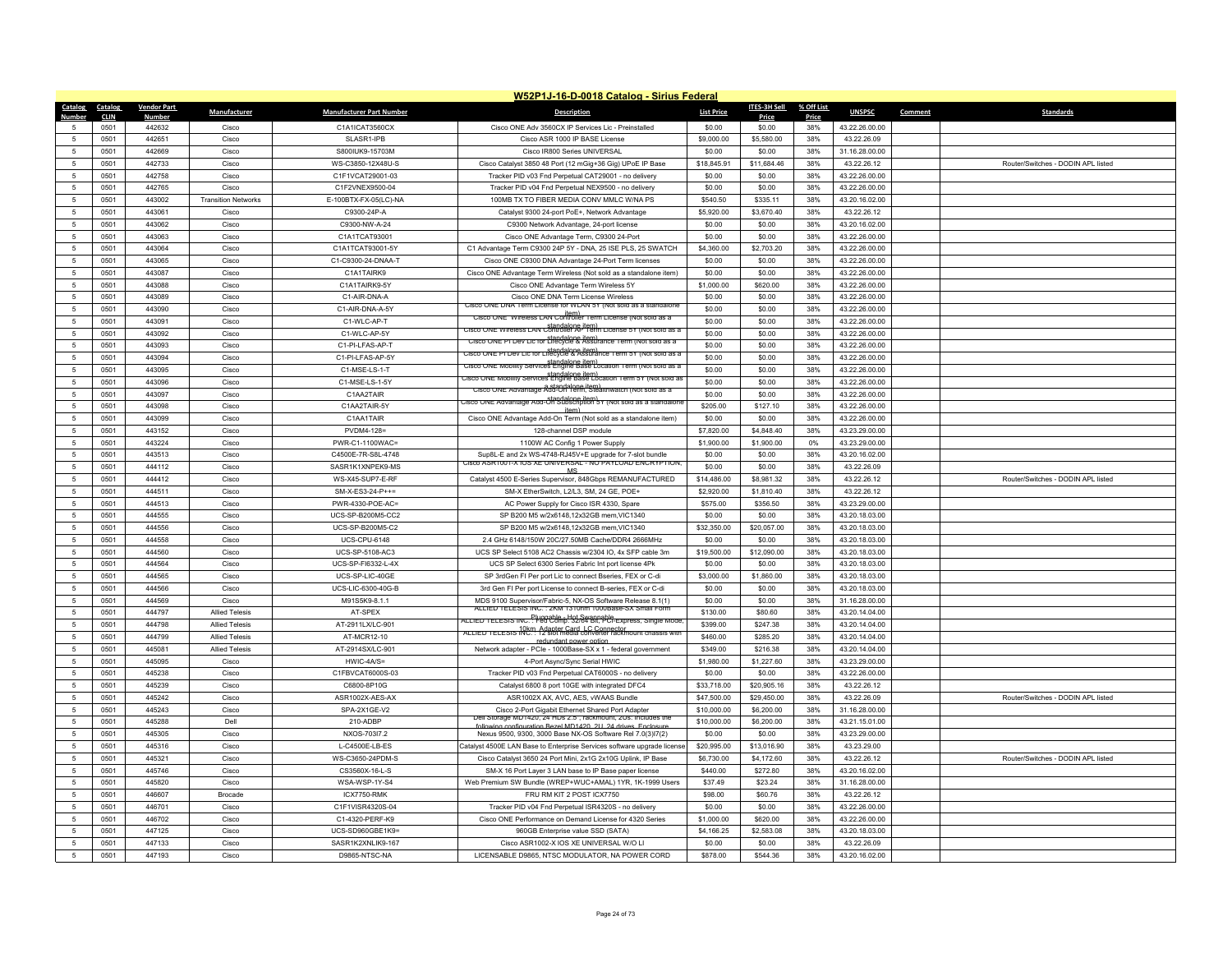|                                   | W52P1J-16-D-0018 Catalog - Sirius Federal |                    |                                     |                                          |                                                                                                                        |                       |                       |            |                                  |         |                                    |
|-----------------------------------|-------------------------------------------|--------------------|-------------------------------------|------------------------------------------|------------------------------------------------------------------------------------------------------------------------|-----------------------|-----------------------|------------|----------------------------------|---------|------------------------------------|
| Catalog                           | <b>Catalog</b>                            | <b>Vendor Part</b> | Manufacturer                        | <b>Manufacturer Part Number</b>          | <b>Description</b>                                                                                                     | <b>List Price</b>     | ITES-3H Sell          | % Off List | <b>UNSPSC</b>                    | Comment | <b>Standards</b>                   |
| <b>Numbe</b><br>5                 | <b>CLIN</b>                               | Number             | Cisco                               |                                          |                                                                                                                        |                       | Price                 | Price      |                                  |         |                                    |
|                                   | 0501                                      | 442632             |                                     | C1A1ICAT3560CX                           | Cisco ONE Adv 3560CX IP Services Lic - Preinstalled                                                                    | \$0.00                | \$0.00                | 38%        | 43.22.26.00.00                   |         |                                    |
| 5                                 | 0501                                      | 442651<br>442669   | Cisco<br>Cisco                      | SLASR1-IPB<br>S800IUK9-15703M            | Cisco ASR 1000 IP BASE License<br>Cisco IR800 Series UNIVERSAL                                                         | \$9,000.00<br>\$0.00  | \$5,580.00            | 38%<br>38% | 43.22.26.09<br>31.16.28.00.00    |         |                                    |
| $\overline{5}$<br>$\overline{5}$  | 0501                                      | 442733             | Cisco                               |                                          |                                                                                                                        |                       | \$0.00                |            |                                  |         | Router/Switches - DODIN API listed |
| 5                                 | 0501                                      | 442758             |                                     | WS-C3850-12X48U-S                        | Cisco Catalyst 3850 48 Port (12 mGig+36 Gig) UPoE IP Base                                                              | \$18,845.91<br>\$0.00 | \$11,684.46<br>\$0.00 | 38%<br>38% | 43.22.26.12<br>43.22.26.00.00    |         |                                    |
|                                   | 0501                                      |                    | Cisco                               | C1F1VCAT29001-03                         | Tracker PID v03 Fnd Perpetual CAT29001 - no delivery                                                                   |                       |                       |            |                                  |         |                                    |
| $\sqrt{5}$<br>5                   | 0501<br>0501                              | 442765<br>443002   | Cisco<br><b>Transition Networks</b> | C1F2VNEX9500-04<br>E-100BTX-FX-05(LC)-NA | Tracker PID v04 Fnd Perpetual NEX9500 - no delivery<br>100MB TX TO FIBER MEDIA CONV MMLC W/NA PS                       | \$0.00<br>\$540.50    | \$0.00<br>\$335.11    | 38%<br>38% | 43.22.26.00.00<br>43.20.16.02.00 |         |                                    |
| 5                                 |                                           | 443061             | Cisco                               | C9300-24P-A                              |                                                                                                                        | \$5,920.00            |                       | 38%        |                                  |         |                                    |
|                                   | 0501                                      |                    |                                     |                                          | Catalyst 9300 24-port PoE+, Network Advantage                                                                          |                       | \$3,670.40            |            | 43.22.26.12                      |         |                                    |
| $5\phantom{.0}$<br>$\overline{5}$ | 0501                                      | 443062             | Cisco                               | C9300-NW-A-24                            | C9300 Network Advantage, 24-port license                                                                               | \$0.00                | \$0.00                | 38%        | 43.20.16.02.00                   |         |                                    |
|                                   | 0501                                      | 443063             | Cisco                               | C1A1TCAT93001                            | Cisco ONE Advantage Term, C9300 24-Port                                                                                | \$0.00                | \$0.00                | 38%        | 43.22.26.00.00                   |         |                                    |
| 5                                 | 0501                                      | 443064             | Cisco                               | C1A1TCAT93001-5Y                         | C1 Advantage Term C9300 24P 5Y - DNA, 25 ISE PLS, 25 SWATCH                                                            | \$4,360.00            | \$2,703.20            | 38%        | 43.22.26.00.00                   |         |                                    |
| 5<br>5                            | 0501<br>0501                              | 443065<br>443087   | Cisco                               | C1-C9300-24-DNAA-T<br>C1A1TAIRK9         | Cisco ONE C9300 DNA Advantage 24-Port Term licenses                                                                    | \$0.00                | \$0.00<br>\$0.00      | 38%<br>38% | 43.22.26.00.00                   |         |                                    |
|                                   |                                           |                    | Cisco                               |                                          | Cisco ONE Advantage Term Wireless (Not sold as a standalone item)                                                      | \$0.00                |                       |            | 43.22.26.00.00                   |         |                                    |
| -5                                | 0501                                      | 443088             | Cisco                               | C1A1TAIRK9-5Y                            | Cisco ONF Advantage Term Wireless 5Y                                                                                   | \$1,000.00            | \$620.00              | 38%        | 43.22.26.00.00                   |         |                                    |
| $-5$                              | 0501                                      | 443089             | Cisco                               | C1-AIR-DNA-A                             | Cisco ONE DNA Term License Wireless<br>JISCO UNE UNA TERM LICENSE FOR WILAIN 5Y (INOT SOID AS A STAI                   | \$0.00                | \$0.00                | 38%        | 43.22.26.00.00                   |         |                                    |
| $\sqrt{5}$                        | 0501                                      | 443090             | Cisco                               | C1-AIR-DNA-A-5Y                          | Cisco UNE Wireless LAN Controller Term License (Not sold as a                                                          | \$0.00                | \$0.00                | 38%        | 43.22.26.00.00                   |         |                                    |
| $\sqrt{5}$                        | 0501                                      | 443091             | Cisco                               | C1-WLC-AP-T                              | standalone item)<br>Cisco ONE Wireless LAN Controller AP Term License 5Y (Not sold as a                                | \$0.00                | \$0.00                | 38%        | 43.22.26.00.00                   |         |                                    |
| -5                                | 0501                                      | 443092             | Cisco                               | C1-WLC-AP-5Y                             | standalone item)<br>Cisco ONE PI Dev Lic for Lifecycle & Assurance Term (Not sold as a                                 | \$0.00                | \$0.00                | 38%        | 43.22.26.00.00                   |         |                                    |
| 5                                 | 0501                                      | 443093             | Cisco                               | C1-PI-LFAS-AP-T                          | standalone item)<br>Cisco ONE PT Dev Lic for Lifecycle & Assurance Term 5Y (Not sold as a                              | \$0.00                | \$0.00                | 38%        | 43.22.26.00.00                   |         |                                    |
| 5                                 | 0501                                      | 443094             | Cisco                               | C1-PLI FAS-AP-5Y                         | USCO UNE MODILITY SERVICES Engine Base Location Term (NOT SOID as a                                                    | \$0.00                | \$0.00                | 38%        | 43.22.26.00.00                   |         |                                    |
| $\sqrt{5}$                        | 0501                                      | 443095             | Cisco                               | C1-MSE-LS-1-T                            | standalone item)<br>Isco ONE Mobility Services Engine Base Location Term 5Y (Not sold as                               | \$0.00                | \$0.00                | 38%        | 43.22.26.00.00                   |         |                                    |
| $\sqrt{5}$                        | 0501                                      | 443096             | Cisco                               | C1-MSE-LS-1-5Y                           | a standalone item)<br>Cisco ONE Advantage Add-On Term, Stealthwatch (Not sold as a                                     | \$0.00                | \$0.00                | 38%        | 43.22.26.00.00                   |         |                                    |
| 5                                 | 0501                                      | 443097             | Cisco                               | C1AA2TAIR                                | isco ONE Advantage Add-On Subscription 5Y (Not sold as a standalo                                                      | \$0.00                | \$0.00                | 38%        | 43 22 26 00 00                   |         |                                    |
| 5                                 | 0501                                      | 443098             | Cisco                               | C1AA2TAIR-5Y                             | item)                                                                                                                  | \$205.00              | \$127.10              | 38%        | 43.22.26.00.00                   |         |                                    |
| 5                                 | 0501                                      | 443099             | Cisco                               | C1AA1TAIR                                | Cisco ONE Advantage Add-On Term (Not sold as a standalone item)                                                        | \$0.00                | \$0.00                | 38%        | 43.22.26.00.00                   |         |                                    |
| $\sqrt{5}$                        | 0501                                      | 443152             | Cisco                               | PVDM4-128=                               | 128-channel DSP module                                                                                                 | \$7,820.00            | \$4,848.40            | 38%        | 43.23.29.00.00                   |         |                                    |
| $\overline{5}$                    | 0501                                      | 443224             | Cisco                               | PWR-C1-1100WAC=                          | 1100W AC Config 1 Power Supply                                                                                         | \$1,900.00            | \$1,900.00            | 0%         | 43.23.29.00.00                   |         |                                    |
| 5                                 | 0501                                      | 443513             | Cisco                               | C4500E-7R-S8L-4748                       | Sup8L-E and 2x WS-4748-RJ45V+E upgrade for 7-slot bundle<br>CISCO ASR1001-X IOS XE UNIVERSAL - NO PAYLOAD ENCRYPTION.  | \$0.00                | \$0.00                | 38%        | 43.20.16.02.00                   |         |                                    |
| $\sqrt{5}$                        | 0501                                      | 444112             | Cisco                               | SASR1K1XNPEK9-MS                         | MS                                                                                                                     | \$0.00                | \$0.00                | 38%        | 43.22.26.09                      |         |                                    |
| 5                                 | 0501                                      | 444412             | Cisco                               | WS-X45-SUP7-E-RF                         | Catalyst 4500 E-Series Supervisor, 848Gbps REMANUFACTURED                                                              | \$14,486.00           | \$8,981.32            | 38%        | 43.22.26.12                      |         | Router/Switches - DODIN APL listed |
| 5                                 | 0501                                      | 444511             | Cisco                               | SM-X-ES3-24-P++=                         | SM-X EtherSwitch, L2/L3, SM, 24 GE, POE+                                                                               | \$2,920.00            | \$1,810.40            | 38%        | 43.22.26.12                      |         |                                    |
| $\sqrt{5}$                        | 0501                                      | 444513             | Cisco                               | PWR-4330-POE-AC=                         | AC Power Supply for Cisco ISR 4330, Spare                                                                              | \$575.00              | \$356.50              | 38%        | 43.23.29.00.00                   |         |                                    |
| $\sqrt{2}$                        | 0501                                      | 444555             | Cisco                               | UCS-SP-B200M5-CC2                        | SP B200 M5 w/2x6148,12x32GB mem, VIC1340                                                                               | \$0.00                | \$0.00                | 38%        | 43.20.18.03.00                   |         |                                    |
| 5                                 | 0501                                      | 444556             | Cisco                               | UCS-SP-B200M5-C2                         | SP B200 M5 w/2x6148,12x32GB mem,VIC1340                                                                                | \$32,350.00           | \$20,057.00           | 38%        | 43.20.18.03.00                   |         |                                    |
| 5                                 | 0501                                      | 444558             | Cisco                               | UCS-CPU-6148                             | 2.4 GHz 6148/150W 20C/27.50MB Cache/DDR4 2666MHz                                                                       | \$0.00                | \$0.00                | 38%        | 43.20.18.03.00                   |         |                                    |
| 5                                 | 0501                                      | 444560             | Cisco                               | UCS-SP-5108-AC3                          | UCS SP Select 5108 AC2 Chassis w/2304 IO, 4x SFP cable 3m                                                              | \$19,500.00           | \$12,090.00           | 38%        | 43.20.18.03.00                   |         |                                    |
| 5                                 | 0501                                      | 444564             | Cisco                               | UCS-SP-FI6332-L-4X                       | UCS SP Select 6300 Series Fabric Int port license 4Pk                                                                  | \$0.00                | \$0.00                | 38%        | 43.20.18.03.00                   |         |                                    |
| 5                                 | 0501                                      | 444565             | Cisco                               | UCS-SP-LIC-40GE                          | SP 3rdGen FI Per port Lic to connect Bseries, FEX or C-di                                                              | \$3,000.00            | \$1,860.00            | 38%        | 43.20.18.03.00                   |         |                                    |
| 5                                 | 0501                                      | 444566             | Cisco                               | UCS-LIC-6300-40G-B                       | 3rd Gen FI Per port License to connect B-series, FEX or C-di                                                           | \$0.00                | \$0.00                | 38%        | 43.20.18.03.00                   |         |                                    |
| 5                                 | 0501                                      | 444569             | Cisco                               | M91S5K9-8.1.1                            | MDS 9100 Supervisor/Fabric-5, NX-OS Software Release 8.1(1)<br>ALLIED TELESIS INC. : 2KM 1310nm 1000Base-SX Small Forr | \$0.00                | \$0.00                | 38%        | 31.16.28.00.00                   |         |                                    |
| $\sqrt{5}$                        | 0501                                      | 444797             | <b>Allied Telesis</b>               | AT-SPEX                                  | ALLIED TELESIS INC. : Fed Comp. 32/64 Bit, PCI-Express, Single Mode                                                    | \$130.00              | \$80.60               | 38%        | 43.20.14.04.00                   |         |                                    |
| $\sqrt{5}$                        | 0501                                      | 444798             | <b>Allied Telesis</b>               | AT-2911LX/LC-901                         | ALLIED TELESIS INC.: 12 slot media converter rackmount chassis with                                                    | \$399.00              | \$247.38              | 38%        | 43.20.14.04.00                   |         |                                    |
| 5                                 | 0501                                      | 444799             | <b>Allied Telesis</b>               | AT-MCR12-10                              | redundant power option                                                                                                 | \$460.00              | \$285.20              | 38%        | 43.20.14.04.00                   |         |                                    |
| 5                                 | 0501                                      | 445081             | <b>Allied Telesis</b>               | AT-2914SX/LC-901                         | Network adapter - PCIe - 1000Base-SX x 1 - federal government                                                          | \$349.00              | \$216.38              | 38%        | 43.20.14.04.00                   |         |                                    |
| $\sqrt{5}$                        | 0501                                      | 445095             | Cisco                               | HWIC-4A/S=                               | 4-Port Async/Sync Serial HWIC                                                                                          | \$1,980.00            | \$1,227.60            | 38%        | 43.23.29.00.00                   |         |                                    |
| $\sqrt{5}$                        | 0501                                      | 445238             | Cisco                               | C1FBVCAT6000S-03                         | Tracker PID v03 Fnd Perpetual CAT6000S - no delivery                                                                   | \$0.00                | \$0.00                | 38%        | 43.22.26.00.00                   |         |                                    |
| $\sqrt{5}$                        | 0501                                      | 445239             | Cisco                               | C6800-8P10G                              | Catalyst 6800 8 port 10GE with integrated DFC4                                                                         | \$33,718.00           | \$20,905.16           | 38%        | 43.22.26.12                      |         |                                    |
| 5                                 | 0501                                      | 445242             | Cisco                               | ASR1002X-AES-AX                          | ASR1002X AX, AVC, AES, vWAAS Bundle                                                                                    | \$47,500.00           | \$29,450.00           | 38%        | 43.22.26.09                      |         | Router/Switches - DODIN APL listed |
| $5\phantom{.0}$                   | 0501                                      | 445243             | Cisco                               | SPA-2X1GE-V2                             | Cisco 2-Port Gigabit Ethernet Shared Port Adapte<br>Dell Storage MD1420, 24 HDs 2.5", rackmount, 2Us: Includes the     | \$10,000.00           | \$6,200.00            | 38%        | 31.16.28.00.00                   |         |                                    |
| 5                                 | 0501                                      | 445288             | Dell                                | 210-ADBP                                 | n Bezel MD1420 2LL 24 drives Enclosur                                                                                  | \$10,000.00           | \$6,200.00            | 38%        | 43.21.15.01.00                   |         |                                    |
| 5                                 | 0501                                      | 445305             | Cisco                               | NXOS-703l7.2                             | Nexus 9500, 9300, 3000 Base NX-OS Software Rel 7.0(3)17(2)                                                             | \$0.00                | \$0.00                | 38%        | 43.23.29.00.00                   |         |                                    |
| $\sqrt{5}$                        | 0501                                      | 445316             | Cisco                               | L-C4500E-LB-ES                           | Catalyst 4500E LAN Base to Enterprise Services software upgrade license                                                | \$20,995.00           | \$13,016.90           | 38%        | 43.23.29.00                      |         |                                    |
| -5                                | 0501                                      | 445321             | Cisco                               | WS-C3650-24PDM-S                         | Cisco Catalyst 3650 24 Port Mini, 2x1G 2x10G Uplink, IP Base                                                           | \$6,730.00            | \$4,172.60            | 38%        | 43.22.26.12                      |         | Router/Switches - DODIN API listed |
| 5                                 | 0501                                      | 445746             | Cisco                               | CS3560X-16-L-S                           | SM-X 16 Port Layer 3 LAN base to IP Base paper license                                                                 | \$440.00              | \$272.80              | 38%        | 43.20.16.02.00                   |         |                                    |
| 5                                 | 0501                                      | 445820             | Cisco                               | WSA-WSP-1Y-S4                            | Web Premium SW Bundle (WREP+WUC+AMAL) 1YR, 1K-1999 Users                                                               | \$37.49               | \$23.24               | 38%        | 31.16.28.00.00                   |         |                                    |
| 5                                 | 0501                                      | 446607             | Brocade                             | ICX7750-RMK                              | FRU RM KIT 2 POST ICX7750                                                                                              | \$98.00               | \$60.76               | 38%        | 43.22.26.12                      |         |                                    |
| 5                                 | 0501                                      | 446701             | Cisco                               | C1F1VISR4320S-04                         | Tracker PID v04 Fnd Perpetual ISR4320S - no delivery                                                                   | \$0.00                | \$0.00                | 38%        | 43.22.26.00.00                   |         |                                    |
| 5                                 | 0501                                      | 446702             | Cisco                               | C1-4320-PERF-K9                          | Cisco ONE Performance on Demand License for 4320 Series                                                                | \$1,000.00            | \$620.00              | 38%        | 43.22.26.00.00                   |         |                                    |
| 5                                 | 0501                                      | 447125             | Cisco                               | UCS-SD960GBE1K9=                         | 960GB Enterprise value SSD (SATA)                                                                                      | \$4,166.25            | \$2,583.08            | 38%        | 43.20.18.03.00                   |         |                                    |
| -5                                | 0501                                      | 447133             | Cisco                               | SASR1K2XNLIK9-167                        | Cisco ASR1002-X IOS XF UNIVERSAL W/O LI                                                                                | \$0.00                | \$0.00                | 38%        | 43.22.26.09                      |         |                                    |
| $\sqrt{5}$                        | 0501                                      | 447193             | Cisco                               | D9865-NTSC-NA                            | LICENSABLE D9865, NTSC MODULATOR, NA POWER CORD                                                                        | \$878.00              | \$544.36              | 38%        | 43.20.16.02.00                   |         |                                    |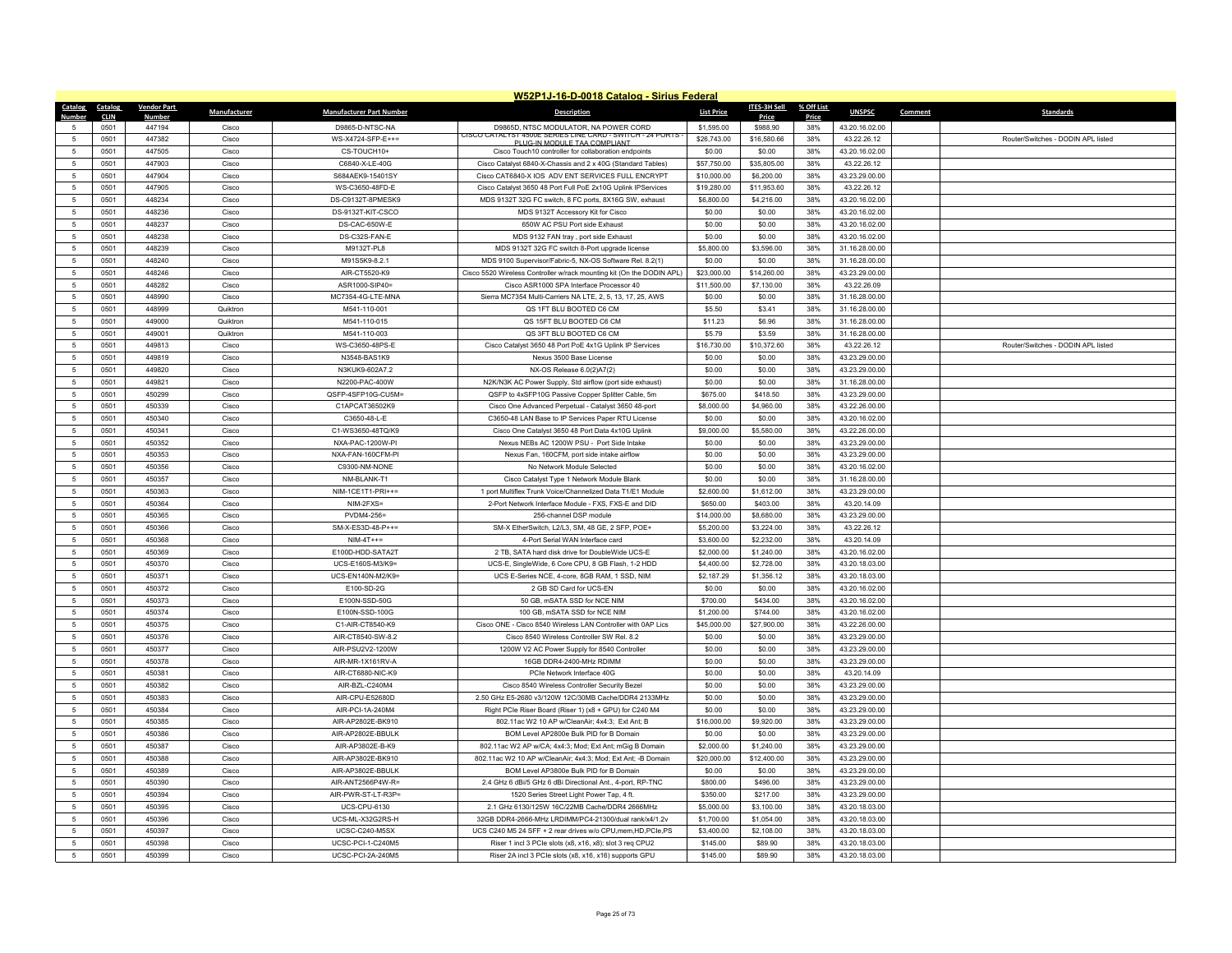|                 | W52P1J-16-D-0018 Catalog - Sirius Federal |                    |                |                                  |                                                                                                    |                       |                       |            |                               |         |                                    |
|-----------------|-------------------------------------------|--------------------|----------------|----------------------------------|----------------------------------------------------------------------------------------------------|-----------------------|-----------------------|------------|-------------------------------|---------|------------------------------------|
| Catalog Catalog |                                           | <b>Vendor Part</b> | Manufacturer   | <b>Manufacturer Part Number</b>  | <b>Description</b>                                                                                 | <b>List Price</b>     | <b>ITES-3H Sell</b>   | % Off List | <b>UNSPSC</b>                 | Comment | <b>Standards</b>                   |
| Number          | <b>CLIN</b>                               | Numbe<br>447194    |                |                                  |                                                                                                    |                       | Price<br>\$988.90     | Price      |                               |         |                                    |
| $\sqrt{2}$      | 0501                                      | 447382             | Cisco          | D9865-D-NTSC-NA                  | D9865D, NTSC MODULATOR, NA POWER CORD<br>CISCO CATALYST 4500E SERIES LINE CARD - SWITCH - 24 PORTS | \$1,595.00            |                       | 38%        | 43.20.16.02.00                |         | Router/Switches - DODIN API listed |
|                 | 0501<br>0501                              | 447505             | Cisco<br>Cisco | WS-X4724-SFP-E++=<br>CS-TOUCH10+ | PLUG-IN MODULE TAA COMPLIANT                                                                       | \$26,743.00<br>\$0.00 | \$16,580.66<br>\$0.00 | 38%<br>38% | 43.22.26.12<br>43.20.16.02.00 |         |                                    |
| $\overline{5}$  |                                           |                    |                |                                  | Cisco Touch10 controller for collaboration endpoints                                               |                       |                       |            |                               |         |                                    |
| $\overline{5}$  | 0501                                      | 447903             | Cisco          | C6840-X-LE-40G                   | Cisco Catalyst 6840-X-Chassis and 2 x 40G (Standard Tables)                                        | \$57,750.00           | \$35,805.00           | 38%        | 43.22.26.12                   |         |                                    |
| -5              | 0501                                      | 447904             | Cisco          | S684AEK9-15401SY                 | Cisco CAT6840-X IOS ADV ENT SERVICES FULL ENCRYPT                                                  | \$10,000.00           | \$6,200.00            | 38%        | 43.23.29.00.00                |         |                                    |
| 5               | 0501                                      | 447905             | Cisco          | WS-C3650-48FD-E                  | Cisco Catalyst 3650 48 Port Full PoE 2x10G Uplink IPServices                                       | \$19,280.00           | \$11,953.60           | 38%        | 43.22.26.12                   |         |                                    |
| $\overline{5}$  | 0501                                      | 448234             | Cisco          | DS-C9132T-8PMESK9                | MDS 9132T 32G FC switch, 8 FC ports, 8X16G SW, exhaust                                             | \$6,800.00            | \$4,216.00            | 38%        | 43.20.16.02.00                |         |                                    |
| $\overline{5}$  | 0501                                      | 448236             | Cisco          | DS-9132T-KIT-CSCO                | MDS 9132T Accessory Kit for Cisco                                                                  | \$0.00                | \$0.00                | 38%        | 43.20.16.02.00                |         |                                    |
| 5               | 0501                                      | 448237             | Cisco          | DS-CAC-650W-E                    | 650W AC PSU Port side Exhaust                                                                      | \$0.00                | \$0.00                | 38%        | 43.20.16.02.00                |         |                                    |
| 5               | 0501                                      | 448238             | Cisco          | DS-C32S-FAN-E                    | MDS 9132 FAN tray, port side Exhaust                                                               | \$0.00                | \$0.00                | 38%        | 43.20.16.02.00                |         |                                    |
| 5               | 0501                                      | 448239             | Cisco          | M9132T-PL8                       | MDS 9132T 32G FC switch 8-Port upgrade license                                                     | \$5,800.00            | \$3,596.00            | 38%        | 31.16.28.00.00                |         |                                    |
| 5               | 0501                                      | 448240             | Cisco          | M91S5K9-8.2.1                    | MDS 9100 Supervisor/Fabric-5, NX-OS Software Rel. 8.2(1)                                           | \$0.00                | \$0.00                | 38%        | 31.16.28.00.00                |         |                                    |
| 5               | 0501                                      | 448246             | Cisco          | AIR-CT5520-K9                    | Cisco 5520 Wireless Controller w/rack mounting kit (On the DODIN APL)                              | \$23,000.00           | \$14,260.00           | 38%        | 43.23.29.00.00                |         |                                    |
| 5               | 0501                                      | 448282             | Cisco          | ASR1000-SIP40=                   | Cisco ASR1000 SPA Interface Processor 40                                                           | \$11,500.00           | \$7,130.00            | 38%        | 43.22.26.09                   |         |                                    |
| 5               | 0501                                      | 448990             | Cisco          | MC7354-4G-LTE-MNA                | Sierra MC7354 Multi-Carriers NA LTE, 2, 5, 13, 17, 25, AWS                                         | \$0.00                | \$0.00                | 38%        | 31.16.28.00.00                |         |                                    |
| $\overline{5}$  | 0501                                      | 448999             | Quiktron       | M541-110-001                     | QS 1FT BLU BOOTED C6 CM                                                                            | \$5.50                | \$3.41                | 38%        | 31.16.28.00.00                |         |                                    |
| 5               | 0501                                      | 449000             | Quiktron       | M541-110-015                     | QS 15FT BLU BOOTED C6 CM                                                                           | \$11.23               | \$6.96                | 38%        | 31.16.28.00.00                |         |                                    |
| 5               | 0501                                      | 449001             | Quiktron       | M541-110-003                     | QS 3FT BLU BOOTED C6 CM                                                                            | \$5.79                | \$3.59                | 38%        | 31.16.28.00.00                |         |                                    |
| $\overline{5}$  | 0501                                      | 449813             | Cisco          | WS-C3650-48PS-E                  | Cisco Catalyst 3650 48 Port PoE 4x1G Uplink IP Services                                            | \$16,730.00           | \$10,372.60           | 38%        | 43.22.26.12                   |         | Router/Switches - DODIN APL listed |
| 5               | 0501                                      | 449819             | Cisco          | N3548-BAS1K9                     | Nexus 3500 Base License                                                                            | \$0.00                | \$0.00                | 38%        | 43.23.29.00.00                |         |                                    |
| 5               | 0501                                      | 449820             | Cisco          | N3KUK9-602A7.2                   | NX-OS Release 6.0(2)A7(2)                                                                          | \$0.00                | \$0.00                | 38%        | 43.23.29.00.00                |         |                                    |
| $\overline{5}$  | 0501                                      | 449821             | Cisco          | N2200-PAC-400W                   | N2K/N3K AC Power Supply, Std airflow (port side exhaust)                                           | \$0.00                | \$0.00                | 38%        | 31.16.28.00.00                |         |                                    |
| 5               | 0501                                      | 450299             | Cisco          | QSFP-4SFP10G-CU5M=               | QSFP to 4xSFP10G Passive Copper Splitter Cable, 5m                                                 | \$675.00              | \$418.50              | 38%        | 43.23.29.00.00                |         |                                    |
| 5               | 0501                                      | 450339             | Cisco          | C1APCAT36502K9                   | Cisco One Advanced Perpetual - Catalyst 3650 48-port                                               | \$8,000.00            | \$4,960.00            | 38%        | 43.22.26.00.00                |         |                                    |
| 5               | 0501                                      | 450340             | Cisco          | C3650-48-L-E                     | C3650-48 LAN Base to IP Services Paper RTU License                                                 | \$0.00                | \$0.00                | 38%        | 43.20.16.02.00                |         |                                    |
| 5               | 0501                                      | 450341             | Cisco          | C1-WS3650-48TO/K9                | Cisco One Catalyst 3650 48 Port Data 4x10G Uplink                                                  | \$9,000.00            | \$5,580.00            | 38%        | 43.22.26.00.00                |         |                                    |
| 5               | 0501                                      | 450352             | Cisco          | NXA-PAC-1200W-PI                 | Nexus NEBs AC 1200W PSU - Port Side Intake                                                         | \$0.00                | \$0.00                | 38%        | 43.23.29.00.00                |         |                                    |
| 5               | 0501                                      | 450353             | Cisco          | NXA-FAN-160CFM-P                 | Nexus Fan, 160CFM, port side intake airflow                                                        | \$0.00                | \$0.00                | 38%        | 43.23.29.00.00                |         |                                    |
| 5               | 0501                                      | 450356             | Cisco          | C9300-NM-NONE                    | No Network Module Selected                                                                         | \$0.00                | \$0.00                | 38%        | 43.20.16.02.00                |         |                                    |
| $\overline{5}$  | 0501                                      | 450357             | Cisco          | NM-BLANK-T1                      | Cisco Catalyst Type 1 Network Module Blank                                                         | \$0.00                | \$0.00                | 38%        | 31.16.28.00.00                |         |                                    |
| 5               | 0501                                      | 450363             | Cisco          | NIM-1CE1T1-PRI++=                | 1 port Multiflex Trunk Voice/Channelized Data T1/E1 Module                                         | \$2,600.00            | \$1,612.00            | 38%        | 43.23.29.00.00                |         |                                    |
| 5               | 0501                                      | 450364             | Cisco          | NIM-2FXS=                        | 2-Port Network Interface Module - FXS, FXS-E and DID                                               | \$650.00              | \$403.00              | 38%        | 43 20 14 09                   |         |                                    |
| 5               | 0501                                      | 450365             | Cisco          | PVDM4-256=                       | 256-channel DSP module                                                                             | \$14,000.00           | \$8,680.00            | 38%        | 43.23.29.00.00                |         |                                    |
| 5               | 0501                                      | 450366             | Cisco          | SM-X-ES3D-48-P++=                | SM-X EtherSwitch, L2/L3, SM, 48 GE, 2 SFP, POE+                                                    | \$5,200.00            | \$3,224.00            | 38%        | 43.22.26.12                   |         |                                    |
| 5               | 0501                                      | 450368             | Cisco          | $NIM-4T++=$                      | 4-Port Serial WAN Interface card                                                                   | \$3,600.00            | \$2,232.00            | 38%        | 43.20.14.09                   |         |                                    |
| $\overline{5}$  | 0501                                      | 450369             | Cisco          | E100D-HDD-SATA2T                 | 2 TB, SATA hard disk drive for DoubleWide UCS-E                                                    | \$2,000.00            | \$1,240.00            | 38%        | 43.20.16.02.00                |         |                                    |
| 5               | 0501                                      | 450370             | Cisco          | UCS-E160S-M3/K9=                 | UCS-E, SingleWide, 6 Core CPU, 8 GB Flash, 1-2 HDD                                                 | \$4,400.00            | \$2,728.00            | 38%        | 43.20.18.03.00                |         |                                    |
| 5               | 0501                                      | 450371             | Cisco          | UCS-EN140N-M2/K9=                | UCS E-Series NCE, 4-core, 8GB RAM, 1 SSD, NIM                                                      | \$2,187.29            | \$1,356.12            | 38%        | 43.20.18.03.00                |         |                                    |
| $\overline{5}$  | 0501                                      | 450372             | Cisco          | E100-SD-2G                       | 2 GB SD Card for UCS-EN                                                                            | \$0.00                | \$0.00                | 38%        | 43.20.16.02.00                |         |                                    |
| 5               | 0501                                      | 450373             | Cisco          | E100N-SSD-50G                    | 50 GB, mSATA SSD for NCE NIM                                                                       | \$700.00              | \$434.00              | 38%        | 43.20.16.02.00                |         |                                    |
| 5               | 0501                                      | 450374             | Cisco          | E100N-SSD-100G                   | 100 GB, mSATA SSD for NCE NIM                                                                      | \$1,200.00            | \$744.00              | 38%        | 43.20.16.02.00                |         |                                    |
| $\overline{5}$  | 0501                                      | 450375             | Cisco          | C1-AIR-CT8540-K9                 | Cisco ONE - Cisco 8540 Wireless LAN Controller with 0AP Lics                                       | \$45,000.00           | \$27,900.00           | 38%        | 43.22.26.00.00                |         |                                    |
| 5               | 0501                                      | 450376             | Cisco          | AIR-CT8540-SW-8.2                | Cisco 8540 Wireless Controller SW Rel. 8.2                                                         | \$0.00                | \$0.00                | 38%        | 43.23.29.00.00                |         |                                    |
| 5               | 0501                                      | 450377             | Cisco          | AIR-PSU2V2-1200W                 | 1200W V2 AC Power Supply for 8540 Controller                                                       | \$0.00                | \$0.00                | 38%        | 43.23.29.00.00                |         |                                    |
| $\overline{5}$  | 0501                                      | 450378             | Cisco          | AIR-MR-1X161RV-A                 | 16GB DDR4-2400-MHz RDIMM                                                                           | \$0.00                | \$0.00                | 38%        | 43.23.29.00.00                |         |                                    |
| 5               | 0501                                      | 450381             | Cisco          | AIR-CT6880-NIC-K9                | PCIe Network Interface 40G                                                                         | \$0.00                | \$0.00                | 38%        | 43.20.14.09                   |         |                                    |
| 5               | 0501                                      | 450382             | Cisco          | AIR-BZL-C240M4                   | Cisco 8540 Wireless Controller Security Bezel                                                      | \$0.00                | \$0.00                | 38%        | 43.23.29.00.00                |         |                                    |
| $\overline{5}$  | 0501                                      | 450383             | Cisco          | AIR-CPU-E52680D                  | 2.50 GHz E5-2680 v3/120W 12C/30MB Cache/DDR4 2133MHz                                               | \$0.00                | \$0.00                | 38%        | 43.23.29.00.00                |         |                                    |
| -5              | 0501                                      | 450384             | Cisco          | AIR-PCI-1A-240M4                 | Right PCIe Riser Board (Riser 1) (x8 + GPU) for C240 M4                                            | \$0.00                | \$0.00                | 38%        | 43.23.29.00.00                |         |                                    |
| $\overline{5}$  | 0501                                      | 450385             | Cisco          | AIR-AP2802E-BK910                | 802.11ac W2 10 AP w/CleanAir; 4x4:3; Ext Ant; B                                                    | \$16,000.00           | \$9,920.00            | 38%        | 43.23.29.00.00                |         |                                    |
| 5               | 0501                                      | 450386             | Cisco          | AIR-AP2802E-BBULK                | BOM Level AP2800e Bulk PID for B Domain                                                            | \$0.00                | \$0.00                | 38%        | 43.23.29.00.00                |         |                                    |
| 5               | 0501                                      | 450387             | Cisco          | AIR-AP3802E-B-K9                 | 802.11ac W2 AP w/CA; 4x4:3; Mod; Ext Ant; mGig B Domain                                            | \$2,000.00            | \$1,240.00            | 38%        | 43.23.29.00.00                |         |                                    |
| $\overline{5}$  | 0501                                      | 450388             | Cisco          | AIR-AP3802E-BK910                | 802.11ac W2 10 AP w/CleanAir; 4x4:3; Mod; Ext Ant; -B Domain                                       | \$20,000.00           | \$12,400.00           | 38%        | 43.23.29.00.00                |         |                                    |
| $\overline{5}$  | 0501                                      | 450389             | Cisco          | AIR-AP3802E-BBULK                | BOM Level AP3800e Bulk PID for B Domain                                                            | \$0.00                | \$0.00                | 38%        | 43.23.29.00.00                |         |                                    |
| 5               | 0501                                      | 450390             | Cisco          | AIR-ANT2566P4W-R=                | 2.4 GHz 6 dBi/5 GHz 6 dBi Directional Ant., 4-port, RP-TNC                                         | \$800.00              | \$496.00              | 38%        | 43.23.29.00.00                |         |                                    |
| $\overline{5}$  | 0501                                      | 450394             | Cisco          | AIR-PWR-ST-LT-R3P=               | 1520 Series Street Light Power Tap, 4 ft.                                                          | \$350.00              | \$217.00              | 38%        | 43.23.29.00.00                |         |                                    |
| -5              | 0501                                      | 450395             | Cisco          | <b>UCS-CPU-6130</b>              | 2.1 GHz 6130/125W 16C/22MB Cache/DDR4 2666MHz                                                      | \$5,000.00            | \$3,100.00            | 38%        | 43.20.18.03.00                |         |                                    |
| 5               | 0501                                      | 450396             | Cisco          | UCS-ML-X32G2RS-H                 | 32GB DDR4-2666-MHz LRDIMM/PC4-21300/dual rank/x4/1.2v                                              | \$1,700.00            | \$1,054.00            | 38%        | 43.20.18.03.00                |         |                                    |
| $\overline{5}$  | 0501                                      | 450397             | Cisco          | UCSC-C240-M5SX                   | UCS C240 M5 24 SFF + 2 rear drives w/o CPU, mem, HD, PCIe, PS                                      | \$3,400.00            | \$2,108.00            | 38%        | 43.20.18.03.00                |         |                                    |
|                 | 0501                                      | 450398             | Cisco          | UCSC-PCI-1-C240M5                | Riser 1 incl 3 PCIe slots (x8, x16, x8); slot 3 req CPU2                                           | \$145.00              | \$89.90               | 38%        | 43 20 18 03 00                |         |                                    |
| 5               | 0501                                      | 450399             | Cisco          | UCSC-PCI-2A-240M5                | Riser 2A incl 3 PCIe slots (x8, x16, x16) supports GPU                                             | \$145.00              | \$89.90               | 38%        | 43.20.18.03.00                |         |                                    |
|                 |                                           |                    |                |                                  |                                                                                                    |                       |                       |            |                               |         |                                    |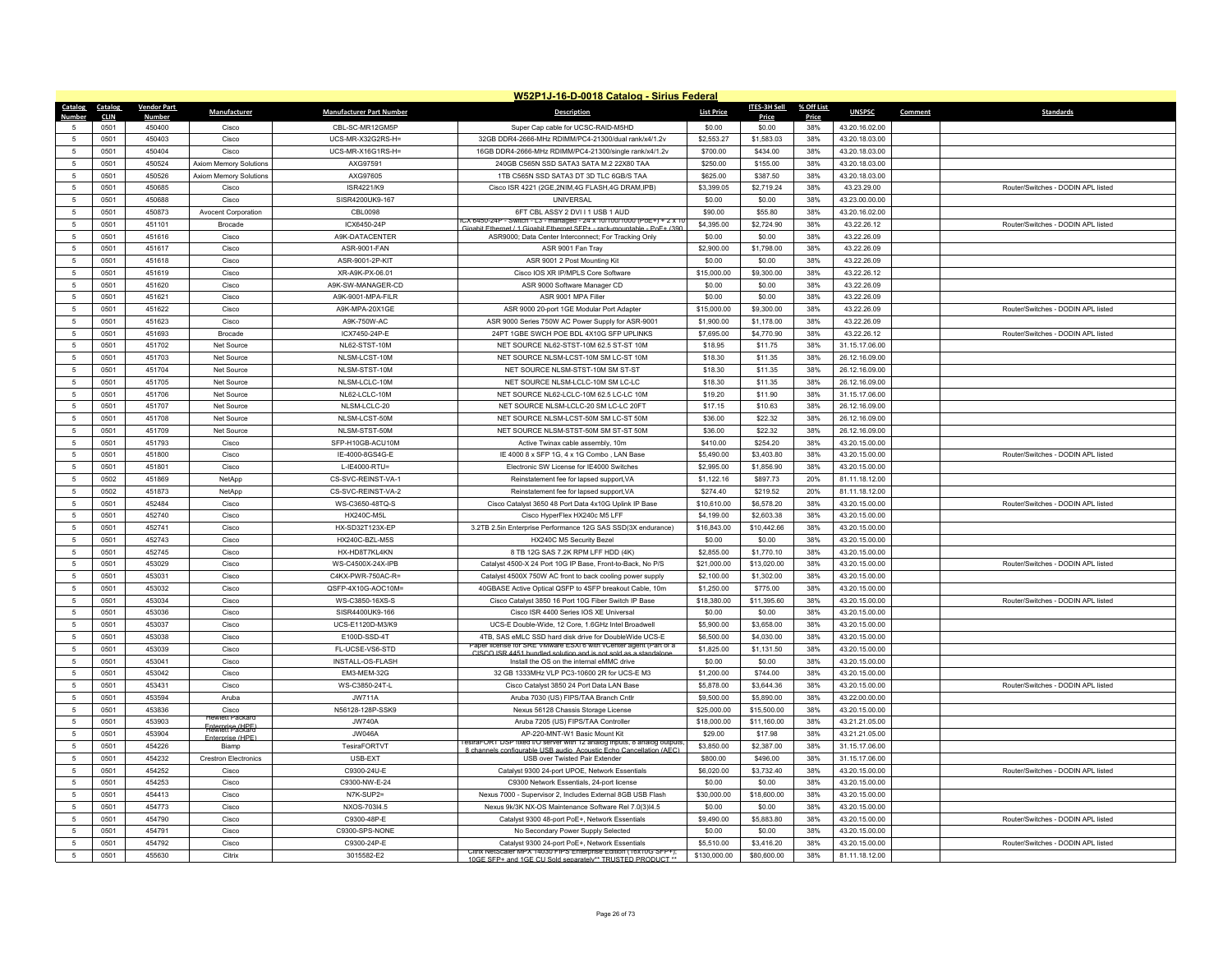|                                   | W52P1J-16-D-0018 Catalog - Sirius Federal |                    |                                |                                 |                                                                                                                            |                      |                          |            |                                  |         |                                    |  |
|-----------------------------------|-------------------------------------------|--------------------|--------------------------------|---------------------------------|----------------------------------------------------------------------------------------------------------------------------|----------------------|--------------------------|------------|----------------------------------|---------|------------------------------------|--|
| Catalog                           | Catalog                                   | <b>Vendor Part</b> | Manufacturer                   | <b>Manufacturer Part Number</b> | <b>Description</b>                                                                                                         | <b>List Price</b>    | ITES-3H Sell             | % Off List | <b>UNSPSC</b>                    | Comment | <b>Standards</b>                   |  |
|                                   | <b>CLIN</b>                               | Number             |                                | CBL-SC-MR12GM5P                 |                                                                                                                            |                      | <b>Price</b>             | Price      |                                  |         |                                    |  |
| -5<br>5                           | 0501<br>0501                              | 450400<br>450403   | Cisco<br>Cisco                 | UCS-MR-X32G2RS-H=               | Super Cap cable for UCSC-RAID-M5HD<br>32GB DDR4-2666-MHz RDIMM/PC4-21300/dual rank/x4/1.2v                                 | \$0.00<br>\$2,553.27 | \$0.00<br>\$1,583.03     | 38%<br>38% | 43.20.16.02.00<br>43.20.18.03.00 |         |                                    |  |
|                                   |                                           |                    |                                |                                 |                                                                                                                            |                      |                          |            |                                  |         |                                    |  |
| 5                                 | 0501                                      | 450404             | Cisco                          | UCS-MR-X16G1RS-H=               | 16GB DDR4-2666-MHz RDIMM/PC4-21300/single rank/x4/1.2v                                                                     | \$700.00             | \$434.00                 | 38%        | 43.20.18.03.00                   |         |                                    |  |
| $\sqrt{5}$<br>$\sqrt{5}$          | 0501<br>0501                              | 450524<br>450526   | Axiom Memory Solutions         | AXG97591<br>AXG97605            | 240GB C565N SSD SATA3 SATA M.2 22X80 TAA                                                                                   | \$250.00<br>\$625.00 | \$155.00<br>\$387.50     | 38%<br>38% | 43.20.18.03.00                   |         |                                    |  |
|                                   |                                           |                    | Axiom Memory Solutions         |                                 | 1TB C565N SSD SATA3 DT 3D TLC 6GB/S TAA                                                                                    |                      |                          |            | 43.20.18.03.00                   |         |                                    |  |
| 5                                 | 0501                                      | 450685             | Cisco                          | ISR4221/K9                      | Cisco ISR 4221 (2GE, 2NIM, 4G FLASH, 4G DRAM, IPB)                                                                         | \$3,399.05           | \$2,719.24               | 38%        | 43.23.29.00                      |         | Router/Switches - DODIN APL listed |  |
| $\sqrt{5}$<br>$\sqrt{5}$          | 0501<br>0501                              | 450688<br>450873   | Cisco                          | SISR4200UK9-167<br>CBI 0098     | UNIVERSAL<br>6FT CBL ASSY 2 DVI I 1 USB 1 AUD                                                                              | \$0.00<br>\$90.00    | \$0.00<br>\$55.80        | 38%<br>38% | 43.23.00.00.00                   |         |                                    |  |
| 5                                 |                                           | 451101             | Avocent Corporation            |                                 | CX 6450-24P - Switch - L3 - managed - 24 x 10/100/1000 (PoE+) + 2 x 1                                                      |                      |                          |            | 43.20.16.02.00                   |         |                                    |  |
|                                   | 0501                                      |                    | Brocade                        | ICX6450-24P                     | Gigabit Ethernet / 1 Gigabit Ethernet SFP+ - rack-mountable - PoF+ (390                                                    | \$4,395.00           | \$2,724.90               | 38%        | 43.22.26.12                      |         | Router/Switches - DODIN APL listed |  |
| $5\phantom{.0}$<br>$\overline{5}$ | 0501                                      | 451616             | Cisco                          | A9K-DATACENTER                  | ASR9000; Data Center Interconnect; For Tracking Only                                                                       | \$0.00               | \$0.00                   | 38%        | 43.22.26.09                      |         |                                    |  |
| $\sqrt{5}$                        | 0501<br>0501                              | 451617<br>451618   | Cisco<br>Cisco                 | ASR-9001-FAN<br>ASR-9001-2P-KIT | ASR 9001 Fan Tray<br>ASR 9001 2 Post Mounting Kit                                                                          | \$2,900.00<br>\$0.00 | \$1,798.00<br>\$0.00     | 38%<br>38% | 43.22.26.09<br>43.22.26.09       |         |                                    |  |
| 5                                 | 0501                                      | 451619             | Cisco                          | XR-A9K-PX-06.01                 | Cisco IOS XR IP/MPLS Core Software                                                                                         | \$15,000.00          | \$9,300.00               | 38%        | 43.22.26.12                      |         |                                    |  |
| 5                                 | 0501                                      | 451620             | Cisco                          | A9K-SW-MANAGER-CD               |                                                                                                                            | \$0.00               | \$0.00                   | 38%        | 43.22.26.09                      |         |                                    |  |
| -5                                | 0501                                      | 451621             | Cisco                          | A9K-9001-MPA-FILR               | ASR 9000 Software Manager CD<br>ASR 9001 MPA Filler                                                                        | \$0.00               | \$0.00                   | 38%        | 43 22 26 09                      |         |                                    |  |
|                                   |                                           |                    |                                |                                 |                                                                                                                            |                      |                          |            |                                  |         |                                    |  |
| $5\phantom{.0}$<br>5              | 0501                                      | 451622             | Cisco                          | A9K-MPA-20X1GE                  | ASR 9000 20-port 1GE Modular Port Adapter                                                                                  | \$15,000.00          | \$9,300.00               | 38%<br>38% | 43.22.26.09                      |         | Router/Switches - DODIN APL listed |  |
|                                   | 0501<br>0501                              | 451623<br>451693   | Cisco                          | A9K-750W-AC<br>ICX7450-24P-F    | ASR 9000 Series 750W AC Power Supply for ASR-9001                                                                          | \$1,900.00           | \$1,178.00<br>\$4,770.90 | 38%        | 43.22.26.09<br>43 22 26 12       |         | Router/Switches - DODIN API listed |  |
| -5<br>5                           |                                           |                    | <b>Brocade</b>                 |                                 | 24PT 1GBE SWCH POE BDL 4X10G SFP UPLINKS                                                                                   | \$7,695.00           |                          |            |                                  |         |                                    |  |
|                                   | 0501                                      | 451702             | Net Source                     | NL62-STST-10M                   | NET SOURCE NL62-STST-10M 62.5 ST-ST 10M                                                                                    | \$18.95              | \$11.75                  | 38%        | 31.15.17.06.00                   |         |                                    |  |
| 5                                 | 0501                                      | 451703             | Net Source                     | NLSM-LCST-10M                   | NET SOURCE NLSM-LCST-10M SM LC-ST 10M                                                                                      | \$18.30              | \$11.35                  | 38%        | 26.12.16.09.00                   |         |                                    |  |
| $\sqrt{5}$<br>5                   | 0501                                      | 451704             | Net Source                     | NI SM-STST-10M                  | NFT SOURCE NLSM-STST-10M SM ST-ST                                                                                          | \$18.30              | \$11.35                  | 38%        | 26.12.16.09.00                   |         |                                    |  |
|                                   | 0501                                      | 451705             | Net Source                     | NLSM-LCLC-10M                   | NET SOURCE NLSM-LCLC-10M SM LC-LC                                                                                          | \$18.30              | \$11.35                  | 38%        | 26.12.16.09.00                   |         |                                    |  |
| 5                                 | 0501                                      | 451706             | Net Source                     | NL62-LCLC-10M                   | NET SOURCE NL62-LCLC-10M 62.5 LC-LC 10M                                                                                    | \$19.20              | \$11.90                  | 38%        | 31.15.17.06.00                   |         |                                    |  |
| $\sqrt{5}$                        | 0501                                      | 451707             | Net Source                     | NLSM-LCLC-20                    | NET SOURCE NLSM-LCLC-20 SM LC-LC 20FT                                                                                      | \$17.15              | \$10.63                  | 38%        | 26.12.16.09.00                   |         |                                    |  |
| 5                                 | 0501                                      | 451708             | Net Source                     | NLSM-LCST-50M                   | NET SOURCE NLSM-LCST-50M SM LC-ST 50M                                                                                      | \$36.00              | \$22.32                  | 38%        | 26.12.16.09.00                   |         |                                    |  |
| 5                                 | 0501                                      | 451709             | Net Source                     | NLSM-STST-50M                   | NET SOURCE NLSM-STST-50M SM ST-ST 50M                                                                                      | \$36.00              | \$22.32                  | 38%        | 26.12.16.09.00                   |         |                                    |  |
| $5\phantom{.0}$<br>-5             | 0501                                      | 451793             | Cisco                          | SFP-H10GB-ACU10M                | Active Twinax cable assembly, 10m                                                                                          | \$410.00             | \$254.20                 | 38%        | 43.20.15.00.00                   |         |                                    |  |
|                                   | 0501                                      | 451800             | Cisco                          | IE-4000-8GS4G-E                 | IE 4000 8 x SFP 1G, 4 x 1G Combo, LAN Base                                                                                 | \$5,490.00           | \$3,403.80               | 38%        | 43.20.15.00.00                   |         | Router/Switches - DODIN API listed |  |
| 5                                 | 0501                                      | 451801             | Cisco                          | L-IE4000-RTU=                   | Electronic SW License for IE4000 Switches                                                                                  | \$2,995.00           | \$1,856.90               | 38%        | 43.20.15.00.00                   |         |                                    |  |
| 5                                 | 0502                                      | 451869             | NetApp                         | CS-SVC-REINST-VA-1              | Reinstatement fee for lapsed support, VA                                                                                   | \$1,122.16           | \$897.73                 | 20%        | 81.11.18.12.00                   |         |                                    |  |
| 5                                 | 0502                                      | 451873             | NetApp                         | CS-SVC-REINST-VA-2              | Reinstatement fee for lapsed support, VA                                                                                   | \$274.40             | \$219.52                 | 20%        | 81.11.18.12.00                   |         |                                    |  |
| 5                                 | 0501                                      | 452484             | Cisco                          | WS-C3650-48TQ-S                 | Cisco Catalyst 3650 48 Port Data 4x10G Uplink IP Base                                                                      | \$10,610.00          | \$6,578.20               | 38%        | 43.20.15.00.00                   |         | Router/Switches - DODIN APL listed |  |
| -5                                | 0501                                      | 452740             | Cisco                          | <b>HX240C-M5L</b>               | Cisco HyperFlex HX240c M5 LFF                                                                                              | \$4,199,00           | \$2,603.38               | 38%        | 43.20.15.00.00                   |         |                                    |  |
| 5                                 | 0501                                      | 452741             | Cisco                          | HX-SD32T123X-EP                 | 3.2TB 2.5in Enterprise Performance 12G SAS SSD(3X endurance)                                                               | \$16,843.00          | \$10,442.66              | 38%        | 43.20.15.00.00                   |         |                                    |  |
| -5                                | 0501                                      | 452743             | Cisco                          | HX240C-BZL-M5S                  | HX240C M5 Security Bezel                                                                                                   | \$0.00               | \$0.00                   | 38%        | 43.20.15.00.00                   |         |                                    |  |
| 5                                 | 0501                                      | 452745             | Cisco                          | HX-HD8T7KL4KN                   | 8 TB 12G SAS 7.2K RPM LFF HDD (4K)                                                                                         | \$2,855.00           | \$1,770.10               | 38%        | 43.20.15.00.00                   |         |                                    |  |
| 5                                 | 0501                                      | 453029             | Cisco                          | WS-C4500X-24X-IPB               | Catalyst 4500-X 24 Port 10G IP Base, Front-to-Back, No P/S                                                                 | \$21,000.00          | \$13,020.00              | 38%        | 43.20.15.00.00                   |         | Router/Switches - DODIN APL listed |  |
| -5                                | 0501                                      | 453031             | Cisco                          | C4KX-PWR-750AC-R=               | Catalyst 4500X 750W AC front to back cooling power supply                                                                  | \$2,100.00           | \$1,302.00               | 38%        | 43.20.15.00.00                   |         |                                    |  |
| 5                                 | 0501                                      | 453032             | Cisco                          | QSFP-4X10G-AOC10M=              | 40GBASE Active Optical QSFP to 4SFP breakout Cable, 10m                                                                    | \$1,250.00           | \$775.00                 | 38%        | 43.20.15.00.00                   |         |                                    |  |
| $\sqrt{5}$                        | 0501                                      | 453034             | Cisco                          | WS-C3850-16XS-S                 | Cisco Catalyst 3850 16 Port 10G Fiber Switch IP Base                                                                       | \$18,380.00          | \$11,395.60              | 38%        | 43.20.15.00.00                   |         | Router/Switches - DODIN APL listed |  |
| $\sqrt{5}$                        | 0501                                      | 453036             | Cisco                          | SISR4400UK9-166                 | Cisco ISR 4400 Series IOS XE Universal                                                                                     | \$0.00               | \$0.00                   | 38%        | 43.20.15.00.00                   |         |                                    |  |
| $\sqrt{5}$                        | 0501                                      | 453037             | Cisco                          | UCS-E1120D-M3/K9                | UCS-E Double-Wide, 12 Core, 1.6GHz Intel Broadwell                                                                         | \$5,900.00           | \$3,658.00               | 38%        | 43.20.15.00.00                   |         |                                    |  |
| 5                                 | 0501                                      | 453038             | Cisco                          | E100D-SSD-4T                    | 4TB, SAS eMLC SSD hard disk drive for DoubleWide UCS-E<br>aper license for SRE VMware ESXI 6 with vCenter agent (Part of a | \$6,500.00           | \$4,030.00               | 38%        | 43.20.15.00.00                   |         |                                    |  |
| $5\phantom{.0}$                   | 0501                                      | 453039             | Cisco                          | FL-UCSE-VS6-STD                 | CISCO ISR 4451 bundled solution and is not sold as a standalone                                                            | \$1,825.00           | \$1,131.50               | 38%        | 43.20.15.00.00                   |         |                                    |  |
| 5                                 | 0501                                      | 453041             | Cisco                          | INSTALL-OS-FLASH                | Install the OS on the internal eMMC drive                                                                                  | \$0.00               | \$0.00                   | 38%        | 43.20.15.00.00                   |         |                                    |  |
| 5                                 | 0501                                      | 453042             | Cisco                          | EM3-MEM-32G                     | 32 GB 1333MHz VLP PC3-10600 2R for UCS-E M3                                                                                | \$1,200.00           | \$744.00                 | 38%        | 43.20.15.00.00                   |         |                                    |  |
| 5                                 | 0501                                      | 453431             | Cisco                          | WS-C3850-24T-L                  | Cisco Catalyst 3850 24 Port Data LAN Base                                                                                  | \$5,878.00           | \$3,644.36               | 38%        | 43.20.15.00.00                   |         | Router/Switches - DODIN APL listed |  |
| 5                                 | 0501                                      | 453594             | Aruba                          | <b>JW711A</b>                   | Aruba 7030 (US) FIPS/TAA Branch Cntlr                                                                                      | \$9,500.00           | \$5,890.00               | 38%        | 43.22.00.00.00                   |         |                                    |  |
| 5                                 | 0501                                      | 453836             | Cisco<br>wieff Packard         | N56128-128P-SSK9                | Nexus 56128 Chassis Storage License                                                                                        | \$25,000.00          | \$15,500.00              | 38%        | 43.20.15.00.00                   |         |                                    |  |
| 5                                 | 0501                                      | 453903             | <del>Fiatorialista (URE)</del> | <b>JW740A</b>                   | Aruba 7205 (US) FIPS/TAA Controller                                                                                        | \$18,000.00          | \$11,160.00              | 38%        | 43.21.21.05.00                   |         |                                    |  |
| 5                                 | 0501                                      | 453904             | mrise (HPF                     | <b>JW046A</b>                   | AP-220-MNT-W1 Basic Mount Kit<br>esiral ORT DSP fixed I/O server with 12 analog inputs, 8 analog outputs                   | \$29.00              | \$17.98                  | 38%        | 43.21.21.05.00                   |         |                                    |  |
| 5                                 | 0501                                      | 454226             | Biamp                          | TesiraFORTVT                    | ble LISB audio. Acoustic Echo Ca                                                                                           | \$3,850.00           | \$2,387.00               | 38%        | 31.15.17.06.00                   |         |                                    |  |
| 5                                 | 0501                                      | 454232             | <b>Crestron Electronics</b>    | USB-EXT                         | USB over Twisted Pair Extender                                                                                             | \$800.00             | \$496.00                 | 38%        | 31.15.17.06.00                   |         |                                    |  |
| 5                                 | 0501                                      | 454252             | Cisco                          | C9300-24U-E                     | Catalyst 9300 24-port UPOE, Network Essentials                                                                             | \$6,020.00           | \$3,732.40               | 38%        | 43.20.15.00.00                   |         | Router/Switches - DODIN APL listed |  |
| -5                                | 0501                                      | 454253             | Cisco                          | C9300-NW-E-24                   | C9300 Network Essentials, 24-port license                                                                                  | \$0.00               | \$0.00                   | 38%        | 43.20.15.00.00                   |         |                                    |  |
| $5\phantom{.0}$                   | 0501                                      | 454413             | Cisco                          | N7K-SUP2=                       | Nexus 7000 - Supervisor 2, Includes External 8GB USB Flash                                                                 | \$30,000.00          | \$18,600.00              | 38%        | 43.20.15.00.00                   |         |                                    |  |
| 5                                 | 0501                                      | 454773             | Cisco                          | NXOS-703I4.5                    | Nexus 9k/3K NX-OS Maintenance Software Rel 7.0(3)l4.5                                                                      | \$0.00               | \$0.00                   | 38%        | 43.20.15.00.00                   |         |                                    |  |
| -5<br>$\overline{5}$              | 0501                                      | 454790             | Cisco                          | C9300-48P-E                     | Catalyst 9300 48-port PoE+, Network Essentials                                                                             | \$9,490.00           | \$5,883.80               | 38%        | 43.20.15.00.00                   |         | Router/Switches - DODIN APL listed |  |
|                                   | 0501                                      | 454791             | Cisco                          | C9300-SPS-NONE                  | No Secondary Power Supply Selected                                                                                         | \$0.00               | \$0.00                   | 38%        | 43.20.15.00.00                   |         |                                    |  |
| 5                                 | 0501                                      | 454792             | Cisco                          | C9300-24P-E                     | Catalyst 9300 24-port PoE+, Network Essentials<br>Citrix NetScaler MPX 14030 FIPS Enterprise Edition (16x10G SFP+);        | \$5,510.00           | \$3,416.20               | 38%        | 43.20.15.00.00                   |         | Router/Switches - DODIN APL listed |  |
| $\sqrt{5}$                        | 0501                                      | 455630             | Citrix                         | 3015582-E2                      | 10GE SEP+ and 1GE CLLSold senarately** TRUSTED PRODUCT **                                                                  | \$130,000.00         | \$80,600.00              | 38%        | 81.11.18.12.00                   |         |                                    |  |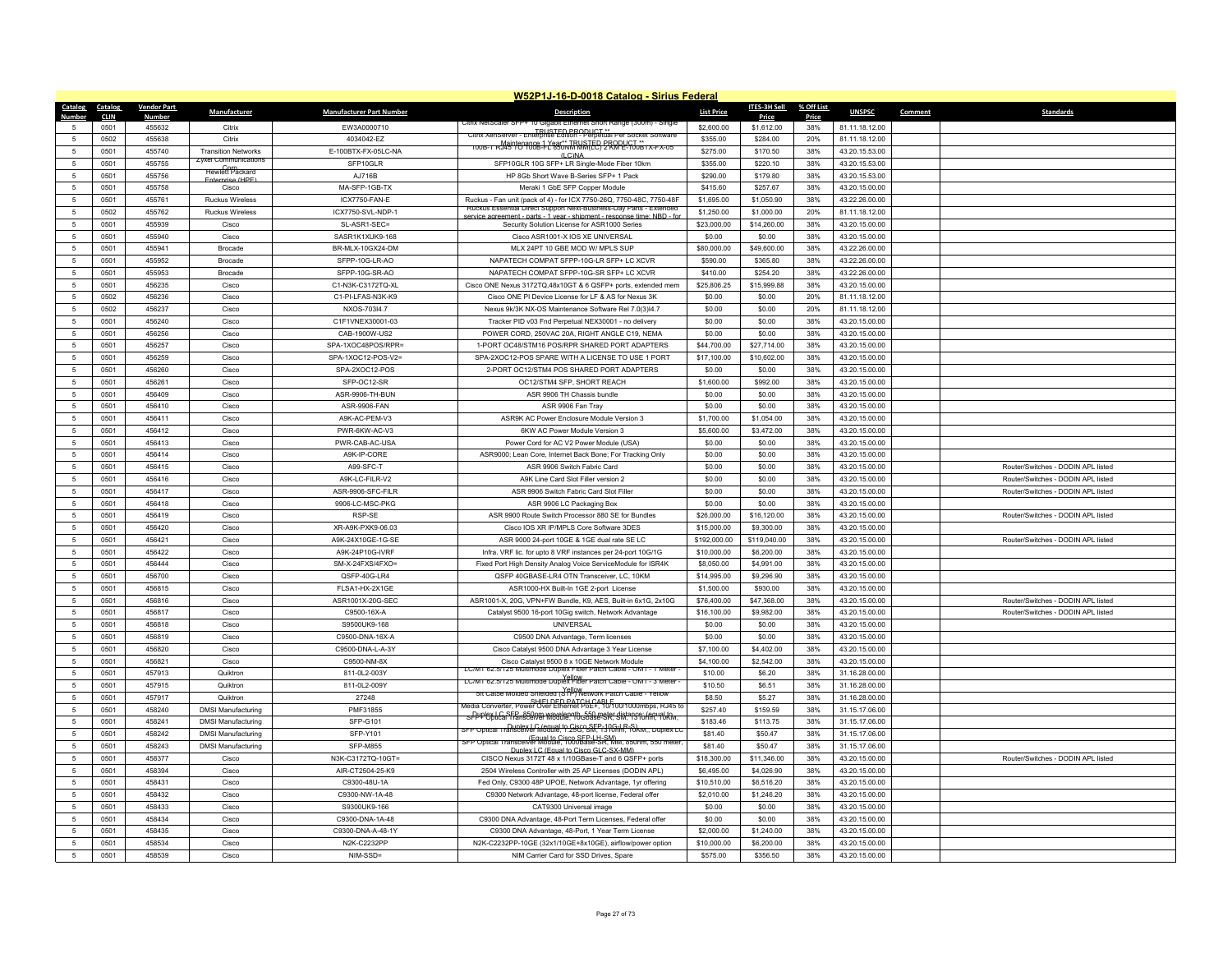|                 | W52P1J-16-D-0018 Catalog - Sirius Federal |                    |                                                    |                                 |                                                                                                                                            |                   |              |            |                |         |                                    |  |
|-----------------|-------------------------------------------|--------------------|----------------------------------------------------|---------------------------------|--------------------------------------------------------------------------------------------------------------------------------------------|-------------------|--------------|------------|----------------|---------|------------------------------------|--|
| Catalog         | Catalog                                   | <b>Vendor Part</b> | Manufacturer                                       | <b>Manufacturer Part Number</b> | <b>Description</b>                                                                                                                         | <b>List Price</b> | ITES-3H Sell | % Off List | <b>UNSPSC</b>  | Comment | <b>Standards</b>                   |  |
| Number          | <b>CLIN</b>                               | <b>Number</b>      |                                                    |                                 | JITIX NEISCAIEF SHP+ 10 GIOADII                                                                                                            |                   | Price        | Price      |                |         |                                    |  |
| 5               | 0501                                      | 455632             | Citrix                                             | EW3A0000710                     | TRUSTED PRODUCT **<br>Citrix XenServer - Enterprise Edition - Perpetual Per Socket Software                                                | \$2,600.00        | \$1,612.00   | 38%        | 81.11.18.12.00 |         |                                    |  |
| 5               | 0502                                      | 455638             | Citrix                                             | 4034042-EZ                      | 100B-1 RJ4510100B-1-Y 850NR MATEC BRANL-ST0B1x-Fx-05                                                                                       | \$355.00          | \$284.00     | 20%        | 81.11.18.12.00 |         |                                    |  |
| $\sqrt{5}$      | 0501                                      | 455740             | <b>Transition Networks</b><br>Zyxel Communication: | E-100BTX-FX-05LC-NA             | $(1)$ C $NA$                                                                                                                               | \$275.00          | \$170.50     | 38%        | 43.20.15.53.00 |         |                                    |  |
| $5\phantom{.0}$ | 0501                                      | 455755             | <b>Hewlett</b> Packard                             | SFP10GLR                        | SFP10GLR 10G SFP+ LR Single-Mode Fiber 10km                                                                                                | \$355.00          | \$220.10     | 38%        | 43.20.15.53.00 |         |                                    |  |
| $\overline{5}$  | 0501                                      | 455756             | <b>Enterprise (HPF)</b>                            | AJ716B                          | HP 8Gb Short Wave B-Series SFP+ 1 Pack                                                                                                     | \$290.00          | \$179.80     | 38%        | 43.20.15.53.00 |         |                                    |  |
| $\sqrt{5}$      | 0501                                      | 455758             | Cisco                                              | MA-SFP-1GB-TX                   | Meraki 1 GbE SFP Copper Module                                                                                                             | \$415.60          | \$257.67     | 38%        | 43.20.15.00.00 |         |                                    |  |
| 5               | 0501                                      | 455761             | <b>Ruckus Wireless</b>                             | ICX7750-FAN-E                   | Ruckus - Fan unit (pack of 4) - for ICX 7750-26Q, 7750-48C, 7750-48F<br>Ruckus Essential Direct Support Next-Business-Day Parts - Extended | \$1,695.00        | \$1,050.90   | 38%        | 43.22.26.00.00 |         |                                    |  |
| $\sqrt{5}$      | 0502                                      | 455762             | <b>Ruckus Wireless</b>                             | ICX7750-SVL-NDP-1               | ervice agreement - parts - 1 year - shipment - response time: NBD - fo                                                                     | \$1,250.00        | \$1,000.00   | 20%        | 81.11.18.12.00 |         |                                    |  |
| -5              | 0501                                      | 455939             | Cisco                                              | SL-ASR1-SEC=                    | Security Solution License for ASR1000 Series                                                                                               | \$23,000.00       | \$14,260.00  | 38%        | 43.20.15.00.00 |         |                                    |  |
| -5              | 0501                                      | 455940             | Cisco                                              | SASR1K1XUK9-168                 | Cisco ASR1001-X IOS XE UNIVERSAL                                                                                                           | \$0.00            | \$0.00       | 38%        | 43.20.15.00.00 |         |                                    |  |
| $\sqrt{5}$      | 0501                                      | 455941             | Brocade                                            | BR-MLX-10GX24-DM                | MLX 24PT 10 GBE MOD W/ MPLS SUP                                                                                                            | \$80,000.00       | \$49,600.00  | 38%        | 43.22.26.00.00 |         |                                    |  |
| $\sqrt{5}$      | 0501                                      | 455952             | <b>Brocade</b>                                     | SFPP-10G-LR-AO                  | NAPATECH COMPAT SFPP-10G-LR SFP+ LC XCVR                                                                                                   | \$590.00          | \$365.80     | 38%        | 43.22.26.00.00 |         |                                    |  |
| $\sqrt{5}$      | 0501                                      | 455953             | <b>Brocade</b>                                     | SFPP-10G-SR-AO                  | NAPATECH COMPAT SFPP-10G-SR SFP+ LC XCVR                                                                                                   | \$410.00          | \$254.20     | 38%        | 43.22.26.00.00 |         |                                    |  |
| 5               | 0501                                      | 456235             | Cisco                                              | C1-N3K-C3172TQ-XL               | Cisco ONE Nexus 3172TQ,48x10GT & 6 QSFP+ ports, extended mem                                                                               | \$25,806.25       | \$15,999.88  | 38%        | 43.20.15.00.00 |         |                                    |  |
| 5               | 0502                                      | 456236             | Cisco                                              | C1-PLI FAS-N3K-K9               | Cisco ONE PI Device License for LF & AS for Nexus 3K                                                                                       | \$0.00            | \$0.00       | 20%        | 81.11.18.12.00 |         |                                    |  |
| 5               | 0502                                      | 456237             | Cisco                                              | NXOS-703l4.7                    | Nexus 9k/3K NX-OS Maintenance Software Rel 7.0(3)l4.7                                                                                      | \$0.00            | \$0.00       | 20%        | 81.11.18.12.00 |         |                                    |  |
| 5               | 0501                                      | 456240             | Cisco                                              | C1F1VNEX30001-03                | Tracker PID v03 Fnd Perpetual NEX30001 - no delivery                                                                                       | \$0.00            | \$0.00       | 38%        | 43.20.15.00.00 |         |                                    |  |
| 5               | 0501                                      | 456256             | Cisco                                              | CAB-1900W-US2                   | POWER CORD, 250VAC 20A, RIGHT ANGLE C19, NEMA                                                                                              | \$0.00            | \$0.00       | 38%        | 43.20.15.00.00 |         |                                    |  |
| 5               | 0501                                      | 456257             | Cisco                                              | SPA-1XOC48POS/RPR=              | 1-PORT OC48/STM16 POS/RPR SHARED PORT ADAPTERS                                                                                             | \$44,700.00       | \$27,714.00  | 38%        | 43.20.15.00.00 |         |                                    |  |
| 5               | 0501                                      | 456259             | Cisco                                              | SPA-1XOC12-POS-V2=              | SPA-2XOC12-POS SPARE WITH A LICENSE TO USE 1 PORT                                                                                          | \$17,100.00       | \$10,602.00  | 38%        | 43.20.15.00.00 |         |                                    |  |
| $\sqrt{5}$      | 0501                                      | 456260             | Cisco                                              | SPA-2XOC12-POS                  | 2-PORT OC12/STM4 POS SHARED PORT ADAPTERS                                                                                                  | \$0.00            | \$0.00       | 38%        | 43.20.15.00.00 |         |                                    |  |
| $5\phantom{.0}$ | 0501                                      | 456261             | Cisco                                              | SFP-OC12-SR                     | OC12/STM4 SFP, SHORT REACH                                                                                                                 | \$1,600.00        | \$992.00     | 38%        | 43.20.15.00.00 |         |                                    |  |
| 5               | 0501                                      | 456409             | Cisco                                              | ASR-9906-TH-BUN                 | ASR 9906 TH Chassis bundle                                                                                                                 | \$0.00            | \$0.00       | 38%        | 43.20.15.00.00 |         |                                    |  |
| $\sqrt{5}$      | 0501                                      | 456410             | Cisco                                              | ASR-9906-FAN                    | ASR 9906 Fan Tray                                                                                                                          | \$0.00            | \$0.00       | 38%        | 43.20.15.00.00 |         |                                    |  |
| 5               | 0501                                      | 456411             | Cisco                                              | A9K-AC-PEM-V3                   | ASR9K AC Power Enclosure Module Version 3                                                                                                  | \$1,700.00        | \$1,054.00   | 38%        | 43.20.15.00.00 |         |                                    |  |
| $\sqrt{5}$      | 0501                                      | 456412             | Cisco                                              | PWR-6KW-AC-V3                   | 6KW AC Power Module Version 3                                                                                                              | \$5,600.00        | \$3,472.00   | 38%        | 43.20.15.00.00 |         |                                    |  |
| $5\phantom{.0}$ | 0501                                      | 456413             | Cisco                                              | PWR-CAB-AC-USA                  | Power Cord for AC V2 Power Module (USA)                                                                                                    | \$0.00            | \$0.00       | 38%        | 43.20.15.00.00 |         |                                    |  |
| -5              | 0501                                      | 456414             | Cisco                                              | A9K-IP-CORE                     | ASR9000; Lean Core, Internet Back Bone; For Tracking Only                                                                                  | \$0.00            | \$0.00       | 38%        | 43.20.15.00.00 |         |                                    |  |
| $\sqrt{5}$      | 0501                                      | 456415             | Cisco                                              | A99-SFC-T                       | ASR 9906 Switch Fabric Card                                                                                                                | \$0.00            | \$0.00       | 38%        | 43.20.15.00.00 |         | Router/Switches - DODIN APL listed |  |
| 5               | 0501                                      | 456416             | Cisco                                              | A9K-LC-FILR-V2                  | A9K Line Card Slot Filler version 2                                                                                                        | \$0.00            | \$0.00       | 38%        | 43.20.15.00.00 |         | Router/Switches - DODIN APL listed |  |
| 5               | 0501                                      | 456417             | Cisco                                              | ASR-9906-SFC-FILF               | ASR 9906 Switch Fabric Card Slot Filler                                                                                                    | \$0.00            | \$0.00       | 38%        | 43.20.15.00.00 |         | Router/Switches - DODIN APL listed |  |
| 5               | 0501                                      | 456418             | Cisco                                              | 9906-LC-MSC-PKG                 | ASR 9906 LC Packaging Box                                                                                                                  | \$0.00            | \$0.00       | 38%        | 43.20.15.00.00 |         |                                    |  |
| 5               | 0501                                      | 456419             | Cisco                                              | RSP-SE                          | ASR 9900 Route Switch Processor 880 SE for Bundles                                                                                         | \$26,000.00       | \$16,120.00  | 38%        | 43.20.15.00.00 |         | Router/Switches - DODIN APL listed |  |
| $\sqrt{5}$      | 0501                                      | 456420             | Cisco                                              | XR-A9K-PXK9-06.03               | Cisco IOS XR IP/MPLS Core Software 3DES                                                                                                    | \$15,000.00       | \$9,300.00   | 38%        | 43.20.15.00.00 |         |                                    |  |
| 5               | 0501                                      | 456421             | Cisco                                              | A9K-24X10GE-1G-SE               | ASR 9000 24-port 10GE & 1GE dual rate SE LC                                                                                                | \$192,000.00      | \$119,040.00 | 38%        | 43.20.15.00.00 |         | Router/Switches - DODIN API listed |  |
| $\sqrt{5}$      | 0501                                      | 456422             | Cisco                                              | A9K-24P10G-IVRF                 | Infra. VRF lic. for upto 8 VRF instances per 24-port 10G/1G                                                                                | \$10,000.00       | \$6,200.00   | 38%        | 43.20.15.00.00 |         |                                    |  |
| 5               | 0501                                      | 456444             | Cisco                                              | SM-X-24FXS/4FXO=                | Fixed Port High Density Analog Voice ServiceModule for ISR4K                                                                               | \$8,050.00        | \$4,991.00   | 38%        | 43.20.15.00.00 |         |                                    |  |
| 5               | 0501                                      | 456700             | Cisco                                              | QSFP-40G-LR4                    | QSFP 40GBASE-LR4 OTN Transceiver, LC, 10KM                                                                                                 | \$14,995.00       | \$9,296.90   | 38%        | 43.20.15.00.00 |         |                                    |  |
| 5               | 0501                                      | 456815             | Cisco                                              | FLSA1-HX-2X1GE                  | ASR1000-HX Built-In 1GE 2-port License                                                                                                     | \$1,500.00        | \$930.00     | 38%        | 43.20.15.00.00 |         |                                    |  |
| $\sqrt{5}$      | 0501                                      | 456816             | Cisco                                              | ASR1001X-20G-SEC                | ASR1001-X, 20G, VPN+FW Bundle, K9, AES, Built-in 6x1G, 2x10G                                                                               | \$76,400.00       | \$47,368.00  | 38%        | 43.20.15.00.00 |         | Router/Switches - DODIN APL listed |  |
| 5               | 0501                                      | 456817             | Cisco                                              | C9500-16X-A                     | Catalyst 9500 16-port 10Gig switch, Network Advantage                                                                                      | \$16,100.00       | \$9,982.00   | 38%        | 43.20.15.00.00 |         | Router/Switches - DODIN APL listed |  |
| $\sqrt{5}$      | 0501                                      | 456818             | Cisco                                              | S9500UK9-168                    | UNIVERSAL                                                                                                                                  | \$0.00            | \$0.00       | 38%        | 43.20.15.00.00 |         |                                    |  |
| 5               | 0501                                      | 456819             | Cisco                                              | C9500-DNA-16X-A                 | C9500 DNA Advantage, Term licenses                                                                                                         | \$0.00            | \$0.00       | 38%        | 43.20.15.00.00 |         |                                    |  |
| $\sqrt{5}$      | 0501                                      | 456820             | Cisco                                              | C9500-DNA-L-A-3Y                | Cisco Catalyst 9500 DNA Advantage 3 Year License                                                                                           | \$7,100.00        | \$4,402.00   | 38%        | 43.20.15.00.00 |         |                                    |  |
| 5               | 0501                                      | 456821             | Cisco                                              | C9500-NM-8X                     | Cisco Catalyst 9500 8 x 10GE Network Module<br>LC/MT 62.5/125 Multimode Duplex Fiber Patch Cable - OM1 - 1 Meter                           | \$4,100.00        | \$2,542.00   | 38%        | 43.20.15.00.00 |         |                                    |  |
| $\sqrt{5}$      | 0501                                      | 457913             | Quiktron                                           | 811-0L2-003Y                    | LC/MT 62.5/125 Multimode Duplex Fiber Patch Cable - OM1 - 3 Meter -                                                                        | \$10.00           | \$6.20       | 38%        | 31.16.28.00.00 |         |                                    |  |
| $\sqrt{5}$      | 0501                                      | 457915             | Quiktron                                           | 811-0L2-009Y                    |                                                                                                                                            | \$10.50           | \$6.51       | 38%        | 31.16.28.00.00 |         |                                    |  |
| 5               | 0501                                      | 457917             | Quiktron                                           | 27248                           | 5ft Catse Molded Shielded (STP) Network Patch Cable<br>Media Converter. Power Uver Ethernet PoE+, 10/100/1000mbps, RJ45 to                 | \$8.50            | \$5.27       | 38%        | 31.16.28.00.00 |         |                                    |  |
| 5               | 0501                                      | 458240             | <b>DMSI Manufacturing</b>                          | PMF31855                        | SPP+ Optical Transceiver Module, 10Gbase-SR, SM, 1310nm, 10KM,                                                                             | \$257.40          | \$159.59     | 38%        | 31.15.17.06.00 |         |                                    |  |
| $5\phantom{.0}$ | 0501                                      | 458241             | <b>DMSI Manufacturing</b>                          | SFP-G101                        | SFP Optical Transceiver Module, 1.25G, SM, 1390nm, 10km,, Duplex Lt                                                                        | \$183.46          | \$113.75     | 38%        | 31.15.17.06.00 |         |                                    |  |
| 5               | 0501                                      | 458242             | <b>DMSI Manufacturing</b>                          | SFP-Y101                        | SFP Optical Transceiver Module. 1000Base-SR. MM. 850nm. 550 meter                                                                          | \$81.40           | \$50.47      | 38%        | 31.15.17.06.00 |         |                                    |  |
| $\sqrt{5}$      | 0501                                      | 458243             | <b>DMSI Manufacturing</b>                          | <b>SFP-M855</b>                 | Dunlex LC (Equal to Cisco GLC-SX-MM)                                                                                                       | \$81.40           | \$50.47      | 38%        | 31.15.17.06.00 |         |                                    |  |
| 5               | 0501                                      | 458377             | Cisco                                              | N3K-C3172TQ-10GT=               | CISCO Nexus 3172T 48 x 1/10GBase-T and 6 QSFP+ ports                                                                                       | \$18,300.00       | \$11,346.00  | 38%        | 43.20.15.00.00 |         | Router/Switches - DODIN APL listed |  |
| $\sqrt{5}$      | 0501                                      | 458394             | Cisco                                              | AIR-CT2504-25-K9                | 2504 Wireless Controller with 25 AP Licenses (DODIN APL)                                                                                   | \$6,495.00        | \$4,026.90   | 38%        | 43.20.15.00.00 |         |                                    |  |
| 5               | 0501                                      | 458431             | Cisco                                              | C9300-48U-1A                    | Fed Only, C9300 48P UPOE, Network Advantage, 1yr offering                                                                                  | \$10,510.00       | \$6,516.20   | 38%        | 43.20.15.00.00 |         |                                    |  |
| $\sqrt{5}$      | 0501                                      | 458432             | Cisco                                              | C9300-NW-1A-48                  | C9300 Network Advantage, 48-port license, Federal offer                                                                                    | \$2,010.00        | \$1,246.20   | 38%        | 43.20.15.00.00 |         |                                    |  |
| 5               | 0501                                      | 458433             | Cisco                                              | S9300UK9-166                    | CAT9300 Universal image                                                                                                                    | \$0.00            | \$0.00       | 38%        | 43.20.15.00.00 |         |                                    |  |
| -5              | 0501                                      | 458434             | Cisco                                              | C9300-DNA-1A-48                 | C9300 DNA Advantage, 48-Port Term Licenses, Federal offer                                                                                  | \$0.00            | \$0.00       | 38%        | 43.20.15.00.00 |         |                                    |  |
| $\sqrt{5}$      | 0501                                      | 458435             | Cisco                                              | C9300-DNA-A-48-1Y               | C9300 DNA Advantage, 48-Port, 1 Year Term License                                                                                          | \$2,000.00        | \$1,240.00   | 38%        | 43.20.15.00.00 |         |                                    |  |
| 5               | 0501                                      | 458534             | Cisco                                              | N2K-C2232PP                     | N2K-C2232PP-10GE (32x1/10GE+8x10GE), airflow/power option                                                                                  | \$10,000.00       | \$6,200.00   | 38%        | 43.20.15.00.00 |         |                                    |  |
| 5               | 0501                                      | 458539             | Cisco                                              | NIM-SSD=                        | NIM Carrier Card for SSD Drives, Spare                                                                                                     | \$575.00          | \$356.50     | 38%        | 43.20.15.00.00 |         |                                    |  |
|                 |                                           |                    |                                                    |                                 |                                                                                                                                            |                   |              |            |                |         |                                    |  |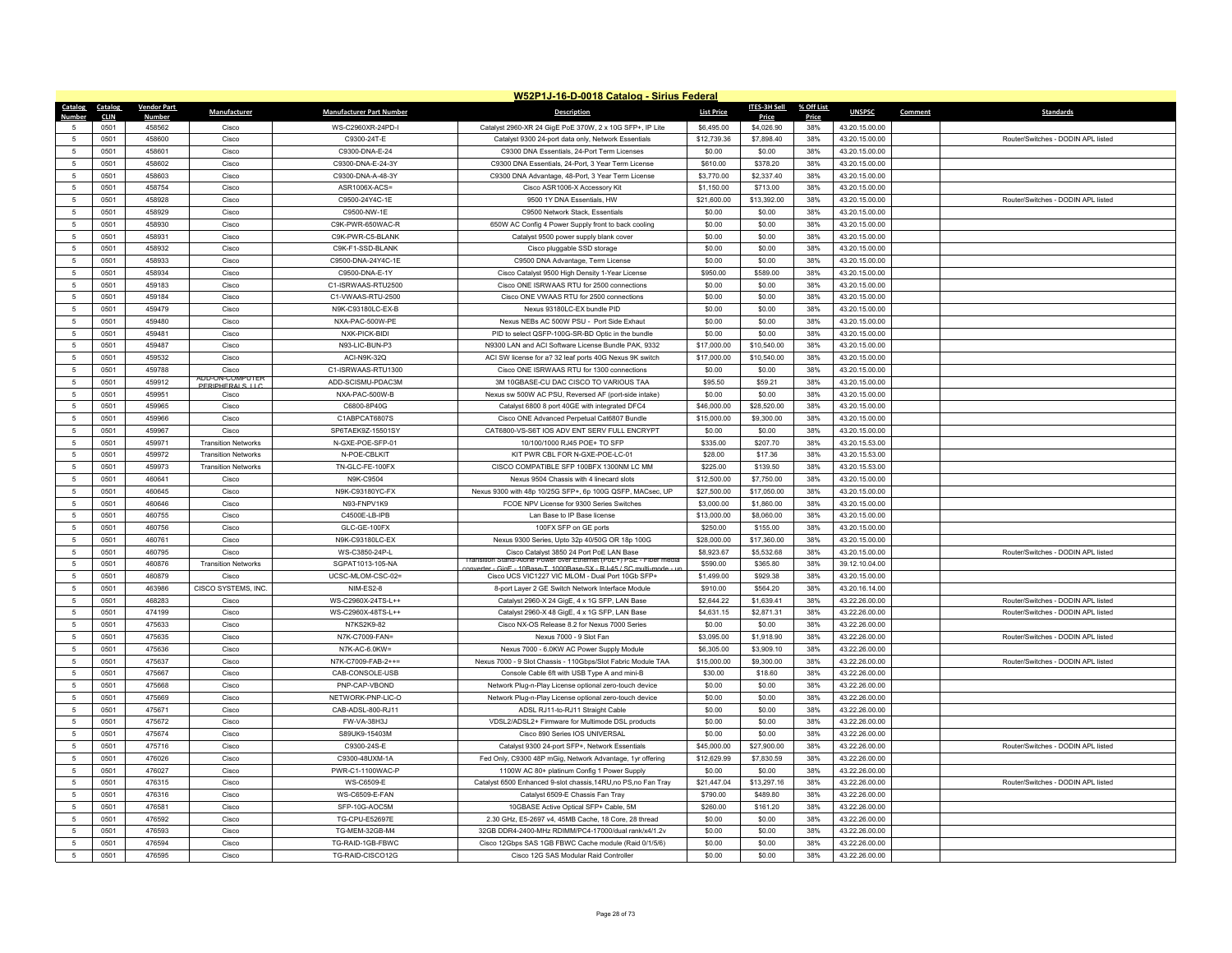|                     | W52P1J-16-D-0018 Catalog - Sirius Federal |                    |                            |                                         |                                                                                                             |                           |                           |            |                                  |         |                                    |  |
|---------------------|-------------------------------------------|--------------------|----------------------------|-----------------------------------------|-------------------------------------------------------------------------------------------------------------|---------------------------|---------------------------|------------|----------------------------------|---------|------------------------------------|--|
| Catalog             | Catalog                                   | <b>Vendor Part</b> | Manufacturer               | <b>Manufacturer Part Number</b>         | <b>Description</b>                                                                                          | <b>List Price</b>         | <b>ITES-3H Sell</b>       | % Off List | <b>UNSPSC</b>                    | Comment | <b>Standards</b>                   |  |
| Numhei              | <b>CLIN</b>                               | Numbe              |                            |                                         |                                                                                                             |                           | Price                     | Price      |                                  |         |                                    |  |
| $\overline{5}$      | 0501                                      | 458562<br>458600   | Cisco<br>Cisco             | WS-C2960XR-24PD-I<br>C9300-24T-E        | Catalyst 2960-XR 24 GigE PoE 370W, 2 x 10G SFP+, IP Lite                                                    | \$6,495.00                | \$4,026.90<br>\$7,898.40  | 38%        | 43.20.15.00.00                   |         | Router/Switches - DODIN API listed |  |
|                     | 0501                                      |                    | Cisco                      |                                         | Catalyst 9300 24-port data only, Network Essentials                                                         | \$12,739.36               |                           | 38%        | 43.20.15.00.00                   |         |                                    |  |
| -5                  | 0501                                      | 458601             |                            | C9300-DNA-E-24                          | C9300 DNA Essentials, 24-Port Term Licenses                                                                 | \$0.00                    | \$0.00                    | 38%        | 43.20.15.00.00                   |         |                                    |  |
| 5                   | 0501                                      | 458602             | Cisco                      | C9300-DNA-E-24-3Y                       | C9300 DNA Essentials, 24-Port, 3 Year Term License                                                          | \$610.00                  | \$378.20                  | 38%        | 43.20.15.00.00                   |         |                                    |  |
| 5                   | 0501                                      | 458603             | Cisco                      | C9300-DNA-A-48-3Y                       | C9300 DNA Advantage, 48-Port, 3 Year Term License                                                           | \$3,770.00                | \$2,337.40                | 38%        | 43.20.15.00.00                   |         |                                    |  |
| 5                   | 0501                                      | 458754             | Cisco                      | ASR1006X-ACS=                           | Cisco ASR1006-X Accessory Kit                                                                               | \$1,150.00                | \$713.00                  | 38%        | 43.20.15.00.00                   |         |                                    |  |
| 5                   | 0501                                      | 458928             | Cisco                      | C9500-24Y4C-1E                          | 9500 1Y DNA Essentials, HW                                                                                  | \$21,600.00               | \$13,392.00               | 38%        | 43.20.15.00.00                   |         | Router/Switches - DODIN APL listed |  |
| 5                   | 0501                                      | 458929             | Cisco                      | C9500-NW-1E                             | C9500 Network Stack, Essentials                                                                             | \$0.00                    | \$0.00                    | 38%        | 43.20.15.00.00                   |         |                                    |  |
| 5                   | 0501                                      | 458930             | Cisco                      | C9K-PWR-650WAC-R                        | 650W AC Config 4 Power Supply front to back cooling                                                         | \$0.00                    | \$0.00                    | 38%        | 43.20.15.00.00                   |         |                                    |  |
| 5                   | 0501                                      | 458931             | Cisco                      | C9K-PWR-C5-BLANK                        | Catalyst 9500 power supply blank cover                                                                      | \$0.00                    | \$0.00                    | 38%        | 43.20.15.00.00                   |         |                                    |  |
| 5                   | 0501                                      | 458932             | Cisco                      | C9K-F1-SSD-BLANK                        | Cisco pluggable SSD storage                                                                                 | \$0.00<br>\$0.00          | \$0.00<br>\$0.00          | 38%        | 43.20.15.00.00                   |         |                                    |  |
| 5<br>$\overline{5}$ | 0501                                      | 458933             | Cisco                      | C9500-DNA-24Y4C-1E                      | C9500 DNA Advantage, Term License                                                                           |                           |                           | 38%        | 43.20.15.00.00                   |         |                                    |  |
|                     | 0501                                      | 458934             | Cisco                      | C9500-DNA-E-1Y                          | Cisco Catalyst 9500 High Density 1-Year License                                                             | \$950.00                  | \$589.00                  | 38%        | 43.20.15.00.00                   |         |                                    |  |
| 5                   | 0501                                      | 459183             | Cisco                      | C1-ISRWAAS-RTU2500                      | Cisco ONE ISRWAAS RTU for 2500 connections                                                                  | \$0.00                    | \$0.00                    | 38%        | 43.20.15.00.00                   |         |                                    |  |
| 5                   | 0501                                      | 459184             | Cisco                      | C1-VWAAS-RTU-2500                       | Cisco ONE VWAAS RTU for 2500 connections                                                                    | \$0.00                    | \$0.00                    | 38%        | 43.20.15.00.00                   |         |                                    |  |
| $\overline{5}$      | 0501                                      | 459479             | Cisco                      | N9K-C93180LC-EX-B                       | Nexus 93180LC-EX bundle PID                                                                                 | \$0.00                    | \$0.00                    | 38%        | 43.20.15.00.00                   |         |                                    |  |
| 5                   | 0501                                      | 459480             | Cisco                      | NXA-PAC-500W-PE                         | Nexus NEBs AC 500W PSU - Port Side Exhaut                                                                   | \$0.00                    | \$0.00                    | 38%        | 43.20.15.00.00                   |         |                                    |  |
| 5                   | 0501                                      | 459481             | Cisco                      | NXK-PICK-BIDI                           | PID to select QSFP-100G-SR-BD Optic in the bundle                                                           | \$0.00                    | \$0.00                    | 38%        | 43.20.15.00.00                   |         |                                    |  |
| $\overline{5}$      | 0501                                      | 459487             | Cisco                      | N93-LIC-BUN-P3                          | N9300 LAN and ACI Software License Bundle PAK, 9332                                                         | \$17,000.00               | \$10,540.00               | 38%        | 43.20.15.00.00                   |         |                                    |  |
| $\overline{5}$      | 0501                                      | 459532             | Cisco                      | ACI-N9K-32Q                             | ACI SW license for a? 32 leaf ports 40G Nexus 9K switch                                                     | \$17,000.00               | \$10,540.00               | 38%        | 43.20.15.00.00                   |         |                                    |  |
| 5<br>$\overline{5}$ | 0501<br>0501                              | 459788<br>459912   | Cisco<br>ON-COMPU          | C1-ISRWAAS-RTU1300<br>ADD-SCISMU-PDAC3M | Cisco ONE ISRWAAS RTU for 1300 connections                                                                  | \$0.00<br>\$95.50         | \$0.00                    | 38%        | 43.20.15.00.00                   |         |                                    |  |
| $\overline{5}$      |                                           | 459951             | PERIPHERALS LI             |                                         | 3M 10GBASE-CU DAC CISCO TO VARIOUS TAA                                                                      |                           | \$59.21<br>\$0.00         | 38%        | 43.20.15.00.00                   |         |                                    |  |
|                     | 0501                                      |                    | Cisco                      | NXA-PAC-500W-B                          | Nexus sw 500W AC PSU, Reversed AF (port-side intake)                                                        | \$0.00                    |                           | 38%        | 43.20.15.00.00                   |         |                                    |  |
| 5<br>$\overline{5}$ | 0501                                      | 459965<br>459966   | Cisco                      | C6800-8P40G                             | Catalyst 6800 8 port 40GE with integrated DFC4                                                              | \$46,000.00               | \$28,520.00               | 38%        | 43.20.15.00.00                   |         |                                    |  |
|                     | 0501                                      |                    | Cisco                      | C1ABPCAT6807S                           | Cisco ONE Advanced Perpetual Cat6807 Bundle                                                                 | \$15,000.00               | \$9,300.00                | 38%        | 43.20.15.00.00                   |         |                                    |  |
| $\overline{5}$      | 0501                                      | 459967             | Cisco                      | SP6TAEK9Z-15501SY                       | CAT6800-VS-S6T IOS ADV ENT SERV FULL ENCRYPT                                                                | \$0.00                    | \$0.00                    | 38%        | 43.20.15.00.00                   |         |                                    |  |
| 5                   | 0501                                      | 459971             | <b>Transition Networks</b> | N-GXE-POE-SFP-01                        | 10/100/1000 RJ45 POE+ TO SFP                                                                                | \$335.00                  | \$207.70                  | 38%        | 43.20.15.53.00                   |         |                                    |  |
| $\overline{5}$      | 0501                                      | 459972             | <b>Transition Networks</b> | N-POE-CBLKIT                            | KIT PWR CBL FOR N-GXE-POE-LC-01                                                                             | \$28.00                   | \$17.36                   | 38%        | 43.20.15.53.00                   |         |                                    |  |
| $\overline{5}$      | 0501                                      | 459973             | <b>Transition Networks</b> | TN-GLC-FE-100FX                         | CISCO COMPATIBLE SFP 100BFX 1300NM LC MM                                                                    | \$225.00                  | \$139.50                  | 38%        | 43.20.15.53.00                   |         |                                    |  |
| $\overline{5}$      | 0501                                      | 460641<br>460645   | Cisco                      | N9K-C9504                               | Nexus 9504 Chassis with 4 linecard slots                                                                    | \$12,500.00               | \$7,750.00                | 38%        | 43.20.15.00.00                   |         |                                    |  |
| $\,$ 5<br>-5        | 0501<br>0501                              | 460646             | Cisco<br>Cisco             | N9K-C93180YC-FX<br>N93-FNPV1K9          | Nexus 9300 with 48p 10/25G SFP+, 6p 100G QSFP, MACsec, UP<br>FCOE NPV License for 9300 Series Switches      | \$27,500.00<br>\$3,000.00 | \$17,050.00<br>\$1,860.00 | 38%<br>38% | 43.20.15.00.00<br>43.20.15.00.00 |         |                                    |  |
| $\overline{5}$      |                                           |                    | Cisco                      | C4500E-LB-IPB                           |                                                                                                             |                           |                           |            |                                  |         |                                    |  |
| $\overline{5}$      | 0501                                      | 460755             |                            |                                         | Lan Base to IP Base license                                                                                 | \$13,000.00               | \$8,060.00                | 38%        | 43.20.15.00.00                   |         |                                    |  |
| 5                   | 0501<br>0501                              | 460756<br>460761   | Cisco<br>Cisco             | GLC-GE-100FX<br>N9K-C93180LC-EX         | 100FX SFP on GE ports                                                                                       | \$250.00                  | \$155.00<br>\$17,360.00   | 38%<br>38% | 43.20.15.00.00<br>43.20.15.00.00 |         |                                    |  |
| 5                   | 0501                                      | 460795             | Cisco                      | WS-C3850-24P-L                          | Nexus 9300 Series, Upto 32p 40/50G OR 18p 100G<br>Cisco Catalyst 3850 24 Port PoE LAN Base                  | \$28,000.00<br>\$8,923.67 | \$5,532.68                | 38%        | 43.20.15.00.00                   |         | Router/Switches - DODIN APL listed |  |
| 5                   | 0501                                      | 460876             | <b>Transition Networks</b> | SGPAT1013-105-NA                        | Transition Stand-Alone Power over Ethernet (PoE+) PSE - Fiber media                                         | \$590.00                  | \$365.80                  | 38%        | 39.12.10.04.00                   |         |                                    |  |
| 5                   | 0501                                      | 460879             | Cisco                      | UCSC-MLOM-CSC-02=                       | er - GigE - 10Base-T -1000Base-SX - R.I-45 / SC multi-n<br>Cisco UCS VIC1227 VIC MLOM - Dual Port 10Gb SFP+ | \$1,499.00                | \$929.38                  | 38%        | 43.20.15.00.00                   |         |                                    |  |
| 5                   | 0501                                      | 463986             | CISCO SYSTEMS, INC         | NIM-ES2-8                               | 8-port Layer 2 GE Switch Network Interface Module                                                           | \$910.00                  | \$564.20                  | 38%        | 43.20.16.14.00                   |         |                                    |  |
| 5                   | 0501                                      | 468283             | Cisco                      | WS-C2960X-24TS-L++                      | Catalyst 2960-X 24 GigE, 4 x 1G SFP, LAN Base                                                               | \$2,644.22                | \$1,639.41                | 38%        | 43.22.26.00.00                   |         | Router/Switches - DODIN APL listed |  |
| 5                   | 0501                                      | 474199             | Cisco                      | WS-C2960X-48TS-L++                      | Catalyst 2960-X 48 GigE, 4 x 1G SFP, LAN Base                                                               | \$4,631.15                | \$2,871.31                | 38%        | 43.22.26.00.00                   |         | Router/Switches - DODIN APL listed |  |
| $\overline{5}$      | 0501                                      | 475633             | Cisco                      | N7KS2K9-82                              | Cisco NX-OS Release 8.2 for Nexus 7000 Series                                                               | \$0.00                    | \$0.00                    | 38%        | 43.22.26.00.00                   |         |                                    |  |
| 5                   | 0501                                      | 475635             | Cisco                      | N7K-C7009-FAN=                          | Nexus 7000 - 9 Slot Fan                                                                                     | \$3,095.00                | \$1,918.90                | 38%        | 43.22.26.00.00                   |         | Router/Switches - DODIN APL listed |  |
| 5                   | 0501                                      | 475636             | Cisco                      | N7K-AC-6.0KW=                           | Nexus 7000 - 6.0KW AC Power Supply Module                                                                   | \$6,305.00                | \$3,909.10                | 38%        | 43.22.26.00.00                   |         |                                    |  |
| $\overline{5}$      | 0501                                      | 475637             | Cisco                      | N7K-C7009-FAB-2++=                      | Nexus 7000 - 9 Slot Chassis - 110Gbps/Slot Fabric Module TAA                                                | \$15,000.00               | \$9,300.00                | 38%        | 43.22.26.00.00                   |         | Router/Switches - DODIN APL listed |  |
| $\overline{5}$      | 0501                                      | 475667             | Cisco                      | CAB-CONSOLE-USB                         | Console Cable 6ft with USB Type A and mini-B                                                                | \$30.00                   | \$18.60                   | 38%        | 43.22.26.00.00                   |         |                                    |  |
| 5                   | 0501                                      | 475668             | Cisco                      | PNP-CAP-VBOND                           | Network Plug-n-Play License optional zero-touch device                                                      | \$0.00                    | \$0.00                    | 38%        | 43.22.26.00.00                   |         |                                    |  |
| $\overline{5}$      | 0501                                      | 475669             | Cisco                      | NETWORK-PNP-LIC-O                       | Network Plug-n-Play License optional zero-touch device                                                      | \$0.00                    | \$0.00                    | 38%        | 43.22.26.00.00                   |         |                                    |  |
| 5                   | 0501                                      | 475671             | Cisco                      | CAB-ADSL-800-RJ11                       | ADSL RJ11-to-RJ11 Straight Cable                                                                            | \$0.00                    | \$0.00                    | 38%        | 43.22.26.00.00                   |         |                                    |  |
| 5                   | 0501                                      | 475672             | Cisco                      | FW-VA-38H3J                             | VDSL2/ADSL2+ Firmware for Multimode DSL products                                                            | \$0.00                    | \$0.00                    | 38%        | 43.22.26.00.00                   |         |                                    |  |
| $\overline{5}$      | 0501                                      | 475674             | Cisco                      | S89UK9-15403M                           | Cisco 890 Series IOS UNIVERSAL                                                                              | \$0.00                    | \$0.00                    | 38%        | 43.22.26.00.00                   |         |                                    |  |
| $\overline{5}$      | 0501                                      | 475716             | Cisco                      | C9300-24S-E                             | Catalyst 9300 24-port SFP+, Network Essentials                                                              | \$45,000.00               | \$27,900.00               | 38%        | 43.22.26.00.00                   |         | Router/Switches - DODIN APL listed |  |
| 5                   | 0501                                      | 476026             | Cisco                      | C9300-48UXM-1A                          | Fed Only, C9300 48P mGig, Network Advantage, 1yr offering                                                   | \$12,629.99               | \$7,830.59                | 38%        | 43.22.26.00.00                   |         |                                    |  |
| $\overline{5}$      | 0501                                      | 476027             | Cisco                      | PWR-C1-1100WAC-P                        | 1100W AC 80+ platinum Config 1 Power Supply                                                                 | \$0.00                    | \$0.00                    | 38%        | 43.22.26.00.00                   |         |                                    |  |
| 5                   | 0501                                      | 476315             | Cisco                      | WS-C6509-E                              | Catalyst 6500 Enhanced 9-slot chassis, 14RU, no PS, no Fan Tray                                             | \$21,447.04               | \$13,297.16               | 38%        | 43.22.26.00.00                   |         | Router/Switches - DODIN APL listed |  |
| $\overline{5}$      | 0501                                      | 476316             | Cisco                      | WS-C6509-E-FAN                          | Catalyst 6509-E Chassis Fan Tray                                                                            | \$790.00                  | \$489.80                  | 38%        | 43.22.26.00.00                   |         |                                    |  |
| $\sqrt{2}$          | 0501                                      | 476581             | Cisco                      | SFP-10G-AOC5M                           | 10GBASE Active Optical SFP+ Cable, 5M                                                                       | \$260.00                  | \$161.20                  | 38%        | 43.22.26.00.00                   |         |                                    |  |
| -5                  | 0501                                      | 476592             | Cisco                      | <b>TG-CPU-E52697E</b>                   | 2.30 GHz, E5-2697 v4, 45MB Cache, 18 Core, 28 thread                                                        | \$0.00                    | \$0.00                    | 38%        | 43.22.26.00.00                   |         |                                    |  |
| $\overline{5}$      | 0501                                      | 476593             | Cisco                      | TG-MEM-32GB-M4                          | 32GB DDR4-2400-MHz RDIMM/PC4-17000/dual rank/x4/1.2v                                                        | \$0.00                    | \$0.00                    | 38%        | 43.22.26.00.00                   |         |                                    |  |
| $\overline{5}$      | 0501                                      | 476594             | Cisco                      | TG-RAID-1GB-FBWC                        | Cisco 12Gbps SAS 1GB FBWC Cache module (Raid 0/1/5/6)                                                       | \$0.00                    | \$0.00                    | 38%        | 43.22.26.00.00                   |         |                                    |  |
| 5                   | 0501                                      | 476595             | Cisco                      | TG-RAID-CISCO12G                        | Cisco 12G SAS Modular Raid Controller                                                                       | \$0.00                    | \$0.00                    | 38%        | 43.22.26.00.00                   |         |                                    |  |
|                     |                                           |                    |                            |                                         |                                                                                                             |                           |                           |            |                                  |         |                                    |  |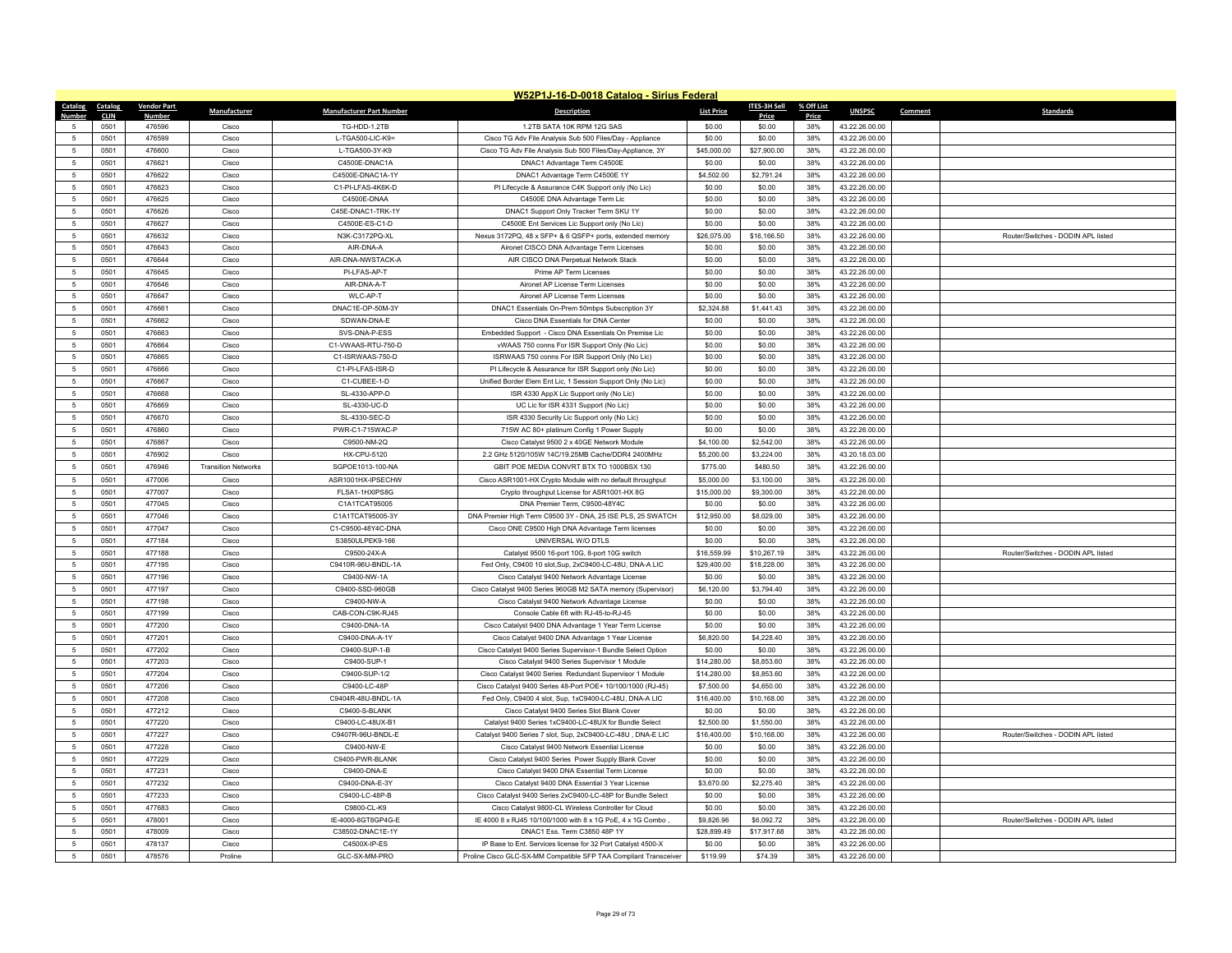|                      | W52P1J-16-D-0018 Catalog - Sirius Federal |                    |                            |                                 |                                                                                                                    |                      |                      |            |                |         |                                    |  |
|----------------------|-------------------------------------------|--------------------|----------------------------|---------------------------------|--------------------------------------------------------------------------------------------------------------------|----------------------|----------------------|------------|----------------|---------|------------------------------------|--|
| Catalog              | Catalog                                   | <b>Vendor Part</b> | Manufacturer               | <b>Manufacturer Part Number</b> | <b>Description</b>                                                                                                 | <b>List Price</b>    | <b>ITES-3H Sell</b>  | % Off List | <b>UNSPSC</b>  | Comment | <b>Standards</b>                   |  |
| Numb                 | <b>CLIN</b>                               | <b>Numbe</b>       |                            |                                 |                                                                                                                    |                      | Price                | Price      |                |         |                                    |  |
| -5<br>$\overline{5}$ | 0501                                      | 476596             | Cisco                      | TG-HDD-1.2TB                    | 1.2TB SATA 10K RPM 12G SAS                                                                                         | \$0.00               | \$0.00               | 38%        | 43.22.26.00.00 |         |                                    |  |
|                      | 0501                                      | 476599             | Cisco                      | L-TGA500-LIC-K9=                | Cisco TG Adv File Analysis Sub 500 Files/Day - Appliance                                                           | \$0.00               | \$0.00               | 38%        | 43.22.26.00.00 |         |                                    |  |
| 5                    | 0501                                      | 476600             | Cisco                      | L-TGA500-3Y-K9                  | Cisco TG Adv File Analysis Sub 500 Files/Day-Appliance, 3Y                                                         | \$45,000.00          | \$27,900.00          | 38%        | 43.22.26.00.00 |         |                                    |  |
| 5                    | 0501                                      | 476621             | Cisco                      | C4500E-DNAC1A                   | DNAC1 Advantage Term C4500E                                                                                        | \$0.00               | \$0.00               | 38%        | 43.22.26.00.00 |         |                                    |  |
| $\overline{5}$       | 0501                                      | 476622             | Cisco                      | C4500E-DNAC1A-1Y                | DNAC1 Advantage Term C4500E 1Y                                                                                     | \$4,502.00           | \$2,791.24           | 38%        | 43.22.26.00.00 |         |                                    |  |
| 5                    | 0501                                      | 476623             | Cisco                      | C1-PI-LFAS-4K6K-D               | PI Lifecycle & Assurance C4K Support only (No Lic)                                                                 | \$0.00               | \$0.00               | 38%        | 43.22.26.00.00 |         |                                    |  |
| $5\phantom{.0}$      | 0501                                      | 476625             | Cisco                      | C4500E-DNAA                     | C4500E DNA Advantage Term Lic                                                                                      | \$0.00               | \$0.00               | 38%        | 43.22.26.00.00 |         |                                    |  |
| $\,$ 5 $\,$          | 0501                                      | 476626             | Cisco                      | C45E-DNAC1-TRK-1Y               | DNAC1 Support Only Tracker Term SKU 1Y                                                                             | \$0.00               | \$0.00               | 38%        | 43.22.26.00.00 |         |                                    |  |
| 5                    | 0501                                      | 476627             | Cisco                      | C4500E-ES-C1-D                  | C4500E Ent Services Lic Support only (No Lic)                                                                      | \$0.00               | \$0.00               | 38%        | 43.22.26.00.00 |         |                                    |  |
| 5                    | 0501                                      | 476632             | Cisco                      | N3K-C3172PQ-XL                  | Nexus 3172PQ, 48 x SFP+ & 6 QSFP+ ports, extended memory                                                           | \$26,075.00          | \$16,166.50          | 38%        | 43.22.26.00.00 |         | Router/Switches - DODIN APL listed |  |
| $\sqrt{5}$           | 0501                                      | 476643             | Cisco                      | AIR-DNA-A                       | Aironet CISCO DNA Advantage Term Licenses                                                                          | \$0.00               | \$0.00               | 38%        | 43.22.26.00.00 |         |                                    |  |
| 5                    | 0501                                      | 476644             | Cisco                      | AIR-DNA-NWSTACK-A               | AIR CISCO DNA Perpetual Network Stack                                                                              | \$0.00               | \$0.00               | 38%        | 43.22.26.00.00 |         |                                    |  |
| $\sqrt{5}$           | 0501                                      | 476645             | Cisco                      | PI-LFAS-AP-T                    | Prime AP Term Licenses                                                                                             | \$0.00               | \$0.00               | 38%        | 43.22.26.00.00 |         |                                    |  |
| $\sqrt{5}$           | 0501                                      | 476646             | Cisco                      | AIR-DNA-A-T                     | Aironet AP License Term Licenses                                                                                   | \$0.00               | \$0.00               | 38%        | 43.22.26.00.00 |         |                                    |  |
| 5                    | 0501                                      | 476647             | Cisco                      | WI C-AP-T                       | Aironet AP License Term Licenses                                                                                   | \$0.00               | \$0.00               | 38%        | 43.22.26.00.00 |         |                                    |  |
| $5\phantom{.0}$      | 0501                                      | 476661             | Cisco                      | DNAC1E-OP-50M-3Y                | DNAC1 Essentials On-Prem 50mbps Subscription 3Y                                                                    | \$2,324.88           | \$1,441.43           | 38%        | 43.22.26.00.00 |         |                                    |  |
| $\sqrt{5}$           | 0501                                      | 476662             | Cisco                      | SDWAN-DNA-E                     | Cisco DNA Essentials for DNA Center                                                                                | \$0.00               | \$0.00               | 38%        | 43.22.26.00.00 |         |                                    |  |
| 5                    | 0501                                      | 476663             | Cisco                      | SVS-DNA-P-FSS                   | Embedded Support - Cisco DNA Essentials On Premise Lic                                                             | \$0.00               | \$0.00               | 38%        | 43.22.26.00.00 |         |                                    |  |
| 5                    | 0501                                      | 476664             | Cisco                      | C1-VWAAS-RTU-750-D              | vWAAS 750 conns For ISR Support Only (No Lic)                                                                      | \$0.00               | \$0.00               | 38%        | 43.22.26.00.00 |         |                                    |  |
| 5                    | 0501                                      | 476665             | Cisco                      | C1-ISRWAAS-750-D                | ISRWAAS 750 conns For ISR Support Only (No Lic)                                                                    | \$0.00               | \$0.00               | 38%        | 43.22.26.00.00 |         |                                    |  |
| $\,$ 5 $\,$          | 0501                                      | 476666             | Cisco                      | C1-PI-LFAS-ISR-D                | PI Lifecycle & Assurance for ISR Support only (No Lic)                                                             | \$0.00               | \$0.00               | 38%        | 43.22.26.00.00 |         |                                    |  |
| 5                    | 0501                                      | 476667             | Cisco                      | C1-CUBEE-1-D                    | Unified Border Elem Ent Lic, 1 Session Support Only (No Lic)                                                       | \$0.00               | \$0.00               | 38%        | 43.22.26.00.00 |         |                                    |  |
| 5                    | 0501                                      | 476668             | Cisco                      | SL-4330-APP-D                   | ISR 4330 AppX Lic Support only (No Lic)                                                                            | \$0.00               | \$0.00               | 38%        | 43.22.26.00.00 |         |                                    |  |
| $\sqrt{5}$           | 0501                                      | 476669             | Cisco                      | SL-4330-UC-D                    | UC Lic for ISR 4331 Support (No Lic)                                                                               | \$0.00               | \$0.00               | 38%        | 43.22.26.00.00 |         |                                    |  |
| 5                    | 0501                                      | 476670             | Cisco                      | SL-4330-SEC-D                   | ISR 4330 Security Lic Support only (No Lic)                                                                        | \$0.00               | \$0.00               | 38%        | 43.22.26.00.00 |         |                                    |  |
| 5                    | 0501                                      | 476860             | Cisco                      | PWR-C1-715WAC-P                 | 715W AC 80+ platinum Config 1 Power Supply                                                                         | \$0.00               | \$0.00               | 38%        | 43.22.26.00.00 |         |                                    |  |
| $5\phantom{.0}$      | 0501                                      | 476867             | Cisco                      | C9500-NM-2Q                     | Cisco Catalyst 9500 2 x 40GE Network Module                                                                        | \$4,100.00           | \$2,542.00           | 38%        | 43.22.26.00.00 |         |                                    |  |
| -5                   | 0501                                      | 476902             | Cisco                      | <b>HX-CPU-5120</b>              | 2.2 GHz 5120/105W 14C/19.25MB Cache/DDR4 2400MHz                                                                   | \$5,200.00           | \$3,224.00           | 38%        | 43.20.18.03.00 |         |                                    |  |
| $\sqrt{5}$           | 0501                                      | 476946             | <b>Transition Networks</b> | SGPOF1013-100-NA                | GBIT POE MEDIA CONVRT BTX TO 1000BSX 130                                                                           | \$775.00             | \$480.50             | 38%        | 43.22.26.00.00 |         |                                    |  |
| 5                    | 0501                                      | 477006             | Cisco                      | ASR1001HX-IPSECHW               | Cisco ASR1001-HX Crypto Module with no default throughput                                                          | \$5,000.00           | \$3,100.00           | 38%        | 43.22.26.00.00 |         |                                    |  |
| 5                    | 0501                                      | 477007             | Cisco                      | FLSA1-1HXIPS8G                  | Crypto throughput License for ASR1001-HX 8G                                                                        | \$15,000.00          | \$9,300.00           | 38%        | 43.22.26.00.00 |         |                                    |  |
| $5\phantom{.0}$      | 0501                                      | 477045             | Cisco                      | C1A1TCAT95005                   | DNA Premier Term, C9500-48Y4C                                                                                      | \$0.00               | \$0.00               | 38%        | 43.22.26.00.00 |         |                                    |  |
| -5                   | 0501                                      | 477046             | Cisco                      | C1A1TCAT95005-3Y                | DNA Premier High Term C9500 3Y - DNA, 25 ISE PLS, 25 SWATCH                                                        | \$12,950.00          | \$8,029.00           | 38%        | 43.22.26.00.00 |         |                                    |  |
| $\sqrt{5}$           | 0501                                      | 477047             | Cisco                      | C1-C9500-48Y4C-DNA              | Cisco ONE C9500 High DNA Advantage Term licenses                                                                   | \$0.00               | \$0.00               | 38%        | 43.22.26.00.00 |         |                                    |  |
| $5\phantom{.0}$      | 0501                                      | 477184             | Cisco                      | S3850ULPEK9-166                 | UNIVERSAL W/O DTLS                                                                                                 | \$0.00               | \$0.00               | 38%        | 43.22.26.00.00 |         |                                    |  |
| 5                    | 0501                                      | 477188             | Cisco                      | C9500-24X-A                     | Catalyst 9500 16-port 10G, 8-port 10G switch                                                                       | \$16,559.99          | \$10,267.19          | 38%        | 43.22.26.00.00 |         | Router/Switches - DODIN API listed |  |
| 5                    | 0501                                      | 477195             | Cisco                      | C9410R-96U-BNDL-1A              | Fed Only, C9400 10 slot, Sup, 2xC9400-LC-48U, DNA-A LIC                                                            | \$29,400.00          | \$18,228.00          | 38%        | 43.22.26.00.00 |         |                                    |  |
| $5\phantom{.0}$      | 0501                                      | 477196             | Cisco                      | C9400-NW-1A                     | Cisco Catalyst 9400 Network Advantage License                                                                      | \$0.00               | \$0.00               | 38%        | 43.22.26.00.00 |         |                                    |  |
| $\overline{5}$       | 0501                                      | 477197             | Cisco                      | C9400-SSD-960GB                 | Cisco Catalyst 9400 Series 960GB M2 SATA memory (Supervisor)                                                       | \$6,120.00           | \$3,794.40           | 38%        | 43.22.26.00.00 |         |                                    |  |
| 5                    | 0501                                      | 477198             | Cisco                      | C9400-NW-A                      | Cisco Catalyst 9400 Network Advantage License                                                                      | \$0.00               | \$0.00               | 38%        | 43.22.26.00.00 |         |                                    |  |
| 5                    | 0501                                      | 477199             | Cisco                      | CAB-CON-C9K-RJ45                | Console Cable 6ft with RJ-45-to-RJ-45                                                                              | \$0.00               | \$0.00               | 38%        | 43.22.26.00.00 |         |                                    |  |
| $\sqrt{5}$           | 0501                                      | 477200             | Cisco                      | C9400-DNA-1A                    | Cisco Catalyst 9400 DNA Advantage 1 Year Term License                                                              | \$0.00               | \$0.00               | 38%        | 43.22.26.00.00 |         |                                    |  |
| 5                    | 0501                                      | 477201             | Cisco                      | C9400-DNA-A-1Y                  | Cisco Catalyst 9400 DNA Advantage 1 Year License                                                                   | \$6,820.00           | \$4,228.40           | 38%        | 43.22.26.00.00 |         |                                    |  |
| $5\phantom{.0}$      | 0501                                      | 477202             | Cisco                      | C9400-SUP-1-B                   | Cisco Catalyst 9400 Series Supervisor-1 Bundle Select Option                                                       | \$0.00               | \$0.00               | 38%        | 43.22.26.00.00 |         |                                    |  |
| $\overline{5}$       | 0501                                      | 477203             | Cisco                      | C9400-SUP-1                     | Cisco Catalyst 9400 Series Supervisor 1 Module                                                                     | \$14,280.00          | \$8,853.60           | 38%        | 43.22.26.00.00 |         |                                    |  |
| 5                    | 0501                                      | 477204             | Cisco                      | C9400-SUP-1/2                   | Cisco Catalyst 9400 Series Redundant Supervisor 1 Module                                                           | \$14,280.00          | \$8,853.60           | 38%        | 43.22.26.00.00 |         |                                    |  |
| $5\phantom{.0}$      | 0501                                      | 477206             | Cisco                      | C9400-LC-48P                    | Cisco Catalyst 9400 Series 48-Port POE+ 10/100/1000 (RJ-45)                                                        | \$7,500.00           | \$4,650.00           | 38%        | 43.22.26.00.00 |         |                                    |  |
| $\sqrt{5}$           | 0501                                      | 477208             | Cisco                      | C9404R-48U-BNDL-1A              | Fed Only, C9400 4 slot, Sup, 1xC9400-LC-48U, DNA-A LIC                                                             | \$16,400.00          | \$10,168.00          | 38%        | 43.22.26.00.00 |         |                                    |  |
| 5                    | 0501                                      | 477212             | Cisco                      | C9400-S-BLANK                   | Cisco Catalyst 9400 Series Slot Blank Cover                                                                        | \$0.00               | \$0.00               | 38%        | 43.22.26.00.00 |         |                                    |  |
| $5\phantom{.0}$      | 0501                                      | 477220             | Cisco                      | C9400-LC-48UX-B1                | Catalyst 9400 Series 1xC9400-LC-48UX for Bundle Select                                                             | \$2,500.00           | \$1,550.00           | 38%        | 43.22.26.00.00 |         |                                    |  |
| 5                    | 0501                                      | 477227             | Cisco                      | C9407R-96U-BNDL-E               | Catalyst 9400 Series 7 slot, Sup, 2xC9400-LC-48U, DNA-E LIC                                                        | \$16,400.00          | \$10,168.00          | 38%        | 43.22.26.00.00 |         | Router/Switches - DODIN APL listed |  |
| $\sqrt{5}$           | 0501                                      | 477228             | Cisco                      | C9400-NW-E                      | Cisco Catalyst 9400 Network Essential License                                                                      | \$0.00               | \$0.00               | 38%        | 43.22.26.00.00 |         |                                    |  |
| $\sqrt{5}$           | 0501                                      | 477229             | Cisco                      | C9400-PWR-BLANK                 | Cisco Catalyst 9400 Series Power Supply Blank Cover                                                                | \$0.00               | \$0.00               | 38%        | 43.22.26.00.00 |         |                                    |  |
| $\sqrt{5}$           | 0501                                      | 477231             | Cisco                      | C9400-DNA-E                     | Cisco Catalyst 9400 DNA Essential Term License                                                                     | \$0.00               | \$0.00               | 38%        | 43.22.26.00.00 |         |                                    |  |
| 5                    | 0501                                      | 477232             | Cisco                      | C9400-DNA-F-3Y                  | Cisco Catalyst 9400 DNA Essential 3 Year License                                                                   | \$3,670.00           | \$2,275.40           | 38%        | 43.22.26.00.00 |         |                                    |  |
| 5                    | 0501                                      | 477233             | Cisco                      | C9400-LC-48P-B                  | Cisco Catalyst 9400 Series 2xC9400-LC-48P for Bundle Select                                                        | \$0.00               | \$0.00               | 38%        | 43.22.26.00.00 |         |                                    |  |
| 5                    |                                           |                    |                            | C9800-CL-K9                     |                                                                                                                    |                      |                      |            | 43.22.26.00.00 |         |                                    |  |
| 5                    | 0501<br>0501                              | 477683<br>478001   | Cisco<br>Cisco             | IE-4000-8GT8GP4G-E              | Cisco Catalyst 9800-CL Wireless Controller for Cloud<br>IE 4000 8 x RJ45 10/100/1000 with 8 x 1G PoE, 4 x 1G Combo | \$0.00<br>\$9,826.96 | \$0.00<br>\$6,092.72 | 38%<br>38% | 43.22.26.00.00 |         | Router/Switches - DODIN API listed |  |
| $\overline{5}$       | 0501                                      | 478009             | Cisco                      | C38502-DNAC1E-1Y                | DNAC1 Ess. Term C3850 48P 1Y                                                                                       | \$28,899.49          | \$17,917.68          | 38%        | 43.22.26.00.00 |         |                                    |  |
| 5                    | 0501                                      | 478137             | Cisco                      | C4500X-IP-ES                    |                                                                                                                    | \$0.00               | \$0.00               | 38%        | 43.22.26.00.00 |         |                                    |  |
|                      |                                           |                    |                            |                                 | IP Base to Ent. Services license for 32 Port Catalyst 4500-X                                                       |                      |                      |            |                |         |                                    |  |
| $\sqrt{5}$           | 0501                                      | 478576             | Proline                    | GLC-SX-MM-PRO                   | Proline Cisco GLC-SX-MM Compatible SFP TAA Compliant Transceiver                                                   | \$119.99             | \$74.39              | 38%        | 43.22.26.00.00 |         |                                    |  |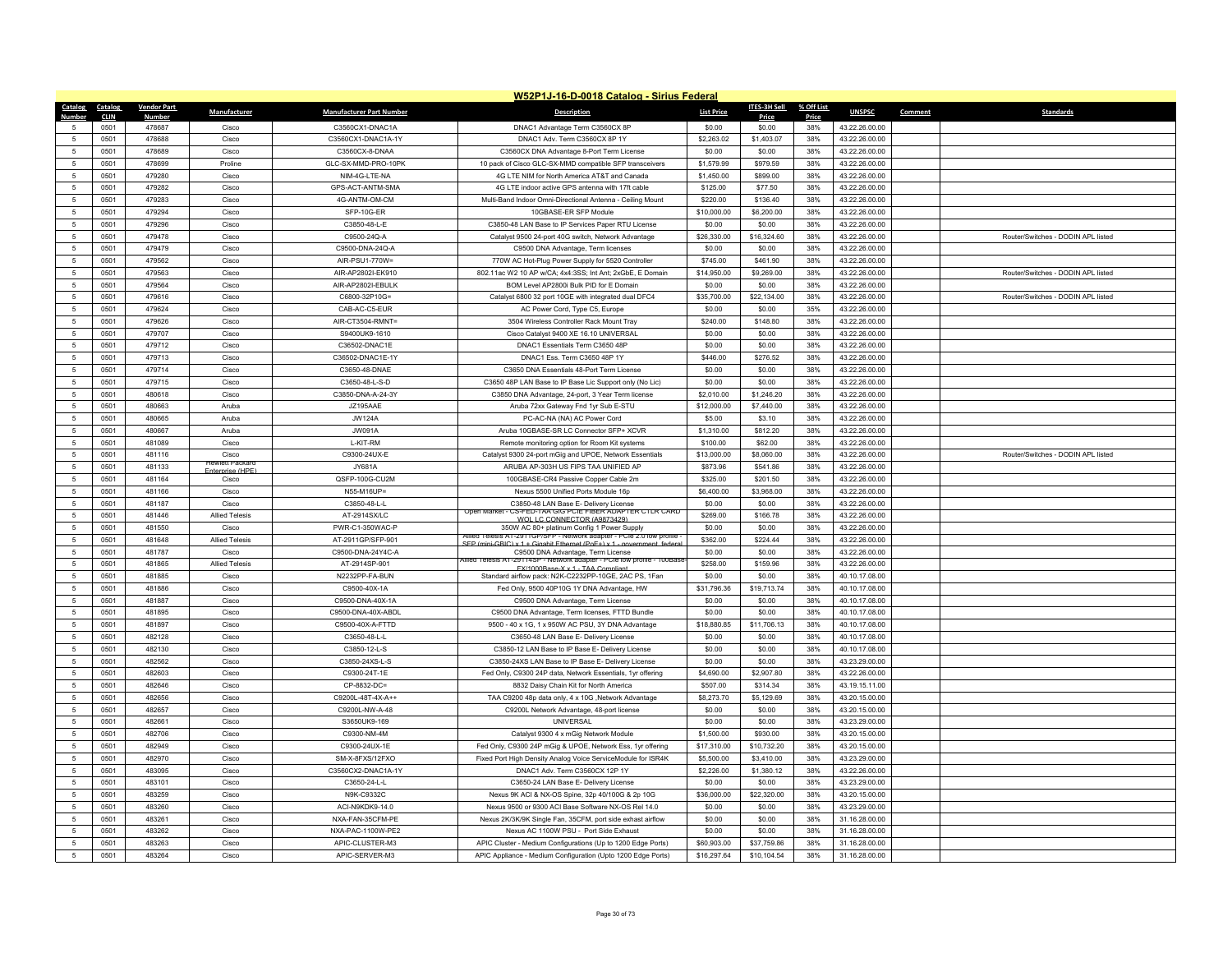|                | W52P1J-16-D-0018 Catalog - Sirius Federal |                    |                                         |                                      |                                                                                                                                         |                   |              |            |                |         |                                    |  |
|----------------|-------------------------------------------|--------------------|-----------------------------------------|--------------------------------------|-----------------------------------------------------------------------------------------------------------------------------------------|-------------------|--------------|------------|----------------|---------|------------------------------------|--|
| Catalog        | Catalog                                   | <b>Vendor Part</b> | Manufacturer                            | <b>Manufacturer Part Number</b>      | <b>Description</b>                                                                                                                      | <b>List Price</b> | ITES-3H Sell | % Off List | <b>UNSPSC</b>  | Comment | <b>Standards</b>                   |  |
| Number         | <b>CLIN</b>                               | <b>Number</b>      |                                         |                                      |                                                                                                                                         |                   | Price        | Price      |                |         |                                    |  |
| 5              | 0501                                      | 478687             | Cisco                                   | C3560CX1-DNAC1A                      | DNAC1 Advantage Term C3560CX 8P                                                                                                         | \$0.00            | \$0.00       | 38%        | 43.22.26.00.00 |         |                                    |  |
| $\sqrt{2}$     | 0501                                      | 478688<br>478689   | Cisco<br>Cisco                          | C3560CX1-DNAC1A-1Y<br>C3560CX-8-DNAA | DNAC1 Adv. Term C3560CX 8P 1Y                                                                                                           | \$2,263.02        | \$1,403.07   | 38%<br>38% | 43.22.26.00.00 |         |                                    |  |
| $\overline{5}$ | 0501                                      |                    |                                         |                                      | C3560CX DNA Advantage 8-Port Term License                                                                                               | \$0.00            | \$0.00       |            | 43.22.26.00.00 |         |                                    |  |
| 5              | 0501                                      | 478699             | Proline                                 | GLC-SX-MMD-PRO-10PK                  | 10 pack of Cisco GLC-SX-MMD compatible SFP transceivers                                                                                 | \$1,579.99        | \$979.59     | 38%        | 43.22.26.00.00 |         |                                    |  |
| $\overline{5}$ | 0501                                      | 479280             | Cisco                                   | NIM-4G-LTE-NA                        | 4G LTE NIM for North America AT&T and Canada                                                                                            | \$1,450.00        | \$899.00     | 38%        | 43.22.26.00.00 |         |                                    |  |
| -5             | 0501                                      | 479282             | Cisco                                   | GPS-ACT-ANTM-SMA                     | 4G LTE indoor active GPS antenna with 17ft cable                                                                                        | \$125.00          | \$77.50      | 38%        | 43.22.26.00.00 |         |                                    |  |
| 5              | 0501                                      | 479283             | Cisco                                   | 4G-ANTM-OM-CM                        | Multi-Band Indoor Omni-Directional Antenna - Ceiling Mount                                                                              | \$220.00          | \$136.40     | 38%        | 43.22.26.00.00 |         |                                    |  |
| $\sqrt{2}$     | 0501                                      | 479294             | Cisco                                   | SFP-10G-ER                           | 10GBASE-ER SFP Module                                                                                                                   | \$10,000.00       | \$6,200.00   | 38%        | 43.22.26.00.00 |         |                                    |  |
| -5             | 0501                                      | 479296             | Cisco                                   | C3850-48-L-E                         | C3850-48 LAN Base to IP Services Paper RTU License                                                                                      | \$0.00            | \$0.00       | 38%        | 43.22.26.00.00 |         |                                    |  |
| $\overline{5}$ | 0501                                      | 479478             | Cisco                                   | C9500-24Q-A                          | Catalyst 9500 24-port 40G switch, Network Advantage                                                                                     | \$26,330.00       | \$16,324.60  | 38%        | 43.22.26.00.00 |         | Router/Switches - DODIN API listed |  |
| 5              | 0501                                      | 479479             | Cisco                                   | C9500-DNA-24Q-A                      | C9500 DNA Advantage, Term licenses                                                                                                      | \$0.00            | \$0.00       | 38%        | 43.22.26.00.00 |         |                                    |  |
| -5             | 0501                                      | 479562             | Cisco                                   | AIR-PSU1-770W=                       | 770W AC Hot-Plug Power Supply for 5520 Controller                                                                                       | \$745.00          | \$461.90     | 38%        | 43.22.26.00.00 |         |                                    |  |
| $\overline{5}$ | 0501                                      | 479563             | Cisco                                   | AIR-AP2802I-EK910                    | 802.11ac W2 10 AP w/CA; 4x4:3SS; Int Ant; 2xGbE, E Domain                                                                               | \$14,950.00       | \$9,269.00   | 38%        | 43.22.26.00.00 |         | Router/Switches - DODIN APL listed |  |
| $\overline{5}$ | 0501                                      | 479564             | Cisco                                   | AIR-AP2802I-EBULK                    | BOM Level AP2800i Bulk PID for E Domain                                                                                                 | \$0.00            | \$0.00       | 38%        | 43.22.26.00.00 |         |                                    |  |
| 5              | 0501                                      | 479616             | Cisco                                   | C6800-32P10G=                        | Catalyst 6800 32 port 10GE with integrated dual DFC4                                                                                    | \$35,700.00       | \$22,134.00  | 38%        | 43.22.26.00.00 |         | Router/Switches - DODIN API listed |  |
| $\overline{5}$ | 0501                                      | 479624             | Cisco                                   | CAB-AC-C5-FUR                        | AC Power Cord, Type C5, Europe                                                                                                          | \$0.00            | \$0.00       | 35%        | 43.22.26.00.00 |         |                                    |  |
| 5              | 0501                                      | 479626             | Cisco                                   | AIR-CT3504-RMNT=                     | 3504 Wireless Controller Rack Mount Tray                                                                                                | \$240.00          | \$148.80     | 38%        | 43.22.26.00.00 |         |                                    |  |
| -5             | 0501                                      | 479707             | Cisco                                   | S9400UK9-1610                        | Cisco Catalyst 9400 XE 16.10 UNIVERSAL                                                                                                  | \$0.00            | \$0.00       | 38%        | 43.22.26.00.00 |         |                                    |  |
| $\overline{5}$ | 0501                                      | 479712             | Cisco                                   | C36502-DNAC1E                        | DNAC1 Essentials Term C3650 48P                                                                                                         | \$0.00            | \$0.00       | 38%        | 43.22.26.00.00 |         |                                    |  |
| $\overline{5}$ | 0501                                      | 479713             | Cisco                                   | C36502-DNAC1E-1Y                     | DNAC1 Ess. Term C3650 48P 1Y                                                                                                            | \$446.00          | \$276.52     | 38%        | 43.22.26.00.00 |         |                                    |  |
| 5              | 0501                                      | 479714             | Cisco                                   | C3650-48-DNAE                        | C3650 DNA Essentials 48-Port Term License                                                                                               | \$0.00            | \$0.00       | 38%        | 43.22.26.00.00 |         |                                    |  |
| $\overline{5}$ | 0501                                      | 479715             | Cisco                                   | C3650-48-L-S-D                       | C3650 48P LAN Base to IP Base Lic Support only (No Lic)                                                                                 | \$0.00            | \$0.00       | 38%        | 43.22.26.00.00 |         |                                    |  |
| $\overline{5}$ | 0501                                      | 480618             | Cisco                                   | C3850-DNA-A-24-3Y                    | C3850 DNA Advantage, 24-port, 3 Year Term license                                                                                       | \$2,010.00        | \$1,246.20   | 38%        | 43.22.26.00.00 |         |                                    |  |
| 5              | 0501                                      | 480663             | Aruba                                   | JZ195AAE                             | Aruba 72xx Gateway Fnd 1yr Sub E-STU                                                                                                    | \$12,000.00       | \$7,440.00   | 38%        | 43.22.26.00.00 |         |                                    |  |
| $\overline{5}$ | 0501                                      | 480665             | Aruba                                   | <b>JW124A</b>                        | PC-AC-NA (NA) AC Power Cord                                                                                                             | \$5.00            | \$3.10       | 38%        | 43.22.26.00.00 |         |                                    |  |
| -5             | 0501                                      | 480667             | Aruba                                   | <b>JW091A</b>                        | Aruba 10GBASE-SR LC Connector SFP+ XCVR                                                                                                 | \$1,310.00        | \$812.20     | 38%        | 43.22.26.00.00 |         |                                    |  |
| 5              | 0501                                      | 481089             | Cisco                                   | L-KIT-RM                             | Remote monitoring option for Room Kit systems                                                                                           | \$100.00          | \$62.00      | 38%        | 43.22.26.00.00 |         |                                    |  |
| $\overline{5}$ | 0501                                      | 481116             | Cisco                                   | C9300-24UX-E                         | Catalyst 9300 24-port mGig and UPOE, Network Essentials                                                                                 | \$13,000.00       | \$8,060.00   | 38%        | 43.22.26.00.00 |         | Router/Switches - DODIN API listed |  |
| -5             | 0501                                      | 481133             | lewlett Packa<br><b>Enterprise (HPF</b> | JY681A                               | ARUBA AP-303H US FIPS TAA UNIFIED AP                                                                                                    | \$873.96          | \$541.86     | 38%        | 43.22.26.00.00 |         |                                    |  |
| $\overline{5}$ | 0501                                      | 481164             | Cisco                                   | QSFP-100G-CU2M                       | 100GBASE-CR4 Passive Copper Cable 2m                                                                                                    | \$325.00          | \$201.50     | 38%        | 43.22.26.00.00 |         |                                    |  |
| $\overline{5}$ | 0501                                      | 481166             | Cisco                                   | N55-M16UP=                           | Nexus 5500 Unified Ports Module 16p                                                                                                     | \$6,400.00        | \$3,968.00   | 38%        | 43.22.26.00.00 |         |                                    |  |
| $\overline{5}$ | 0501                                      | 481187             | Cisco                                   | C3850-48-L-L                         | C3850-48 LAN Base E- Delivery License                                                                                                   | \$0.00            | \$0.00       | 38%        | 43.22.26.00.00 |         |                                    |  |
| $\overline{5}$ | 0501                                      | 481446             | <b>Allied Telesis</b>                   | AT-2914SX/LC                         | - CS-FED-TAA GIG PCIE FIBER ADAPTER CTER CARD<br>Open Market<br>WOLLC CONNECTOR (A9873429                                               | \$269.00          | \$166.78     | 38%        | 43.22.26.00.00 |         |                                    |  |
| $\overline{5}$ | 0501                                      | 481550             | Cisco                                   | PWR-C1-350WAC-F                      | 350W AC 80+ platinum Config 1 Power Supply                                                                                              | \$0.00            | \$0.00       | 38%        | 43.22.26.00.00 |         |                                    |  |
| 5              | 0501                                      | 481648             | <b>Allied Telesis</b>                   | AT-2911GP/SFP-901                    | Allied Telesis AT-2911GP/SFP - Network adapter - PCIe 2.0 low profile<br>SEP (mini-GRIC) x 1 + Gigabit Ethernet (PoE+) x 1 - government | \$362.00          | \$224.44     | 38%        | 43.22.26.00.00 |         |                                    |  |
| $\overline{5}$ | 0501                                      | 481787             | Cisco                                   | C9500-DNA-24Y4C-A                    | C9500 DNA Advantage, Term License                                                                                                       | \$0.00            | \$0.00       | 38%        | 43.22.26.00.00 |         |                                    |  |
| $\overline{5}$ | 0501                                      | 481865             | <b>Allied Telesis</b>                   | AT-2914SP-901                        | Allied Telesis AT-29114SP - Network adapter - PCIe low profile - 100Bas<br>FX/1000Base-X x 1 - TAA Compliant                            | \$258.00          | \$159.96     | 38%        | 43.22.26.00.00 |         |                                    |  |
| 5              | 0501                                      | 481885             | Cisco                                   | N2232PP-FA-BUN                       | Standard airflow pack: N2K-C2232PP-10GE, 2AC PS, 1Fan                                                                                   | \$0.00            | \$0.00       | 38%        | 40.10.17.08.00 |         |                                    |  |
| $\overline{5}$ | 0501                                      | 481886             | Cisco                                   | C9500-40X-1A                         | Fed Only, 9500 40P10G 1Y DNA Advantage, HW                                                                                              | \$31,796.36       | \$19,713.74  | 38%        | 40.10.17.08.00 |         |                                    |  |
| $\overline{5}$ | 0501                                      | 481887             | Cisco                                   | C9500-DNA-40X-1A                     | C9500 DNA Advantage, Term License                                                                                                       | \$0.00            | \$0.00       | 38%        | 40.10.17.08.00 |         |                                    |  |
| 5              | 0501                                      | 481895             | Cisco                                   | C9500-DNA-40X-ABDL                   | C9500 DNA Advantage, Term licenses, FTTD Bundle                                                                                         | \$0.00            | \$0.00       | 38%        | 40.10.17.08.00 |         |                                    |  |
| $\overline{5}$ | 0501                                      | 481897             | Cisco                                   | C9500-40X-A-FTTD                     | 9500 - 40 x 1G, 1 x 950W AC PSU, 3Y DNA Advantage                                                                                       | \$18,880.85       | \$11,706.13  | 38%        | 40.10.17.08.00 |         |                                    |  |
| $\overline{5}$ | 0501                                      | 482128             | Cisco                                   | C3650-48-L-L                         | C3650-48 LAN Base E- Delivery License                                                                                                   | \$0.00            | \$0.00       | 38%        | 40.10.17.08.00 |         |                                    |  |
| $\,$ 5         | 0501                                      | 482130             | Cisco                                   | C3850-12-L-S                         | C3850-12 LAN Base to IP Base E- Delivery License                                                                                        | \$0.00            | \$0.00       | 38%        | 40.10.17.08.00 |         |                                    |  |
| $\overline{5}$ | 0501                                      | 482562             | Cisco                                   | C3850-24XS-L-S                       | C3850-24XS LAN Base to IP Base E- Delivery License                                                                                      | \$0.00            | \$0.00       | 38%        | 43.23.29.00.00 |         |                                    |  |
| $\overline{5}$ | 0501                                      | 482603             | Cisco                                   | C9300-24T-1E                         | Fed Only, C9300 24P data, Network Essentials, 1yr offering                                                                              | \$4,690.00        | \$2,907.80   | 38%        | 43.22.26.00.00 |         |                                    |  |
| 5              | 0501                                      | 482646             | Cisco                                   | CP-8832-DC=                          | 8832 Daisy Chain Kit for North America                                                                                                  | \$507.00          | \$314.34     | 38%        | 43.19.15.11.00 |         |                                    |  |
| $\overline{5}$ | 0501                                      | 482656             | Cisco                                   | C9200L-48T-4X-A++                    | TAA C9200 48p data only, 4 x 10G ,Network Advantage                                                                                     | \$8,273.70        | \$5,129.69   | 38%        | 43.20.15.00.00 |         |                                    |  |
| -5             | 0501                                      | 482657             | Cisco                                   | C9200L-NW-A-48                       | C9200L Network Advantage, 48-port license                                                                                               | \$0.00            | \$0.00       | 38%        | 43.20.15.00.00 |         |                                    |  |
| $\overline{5}$ | 0501                                      | 482661             | Cisco                                   | S3650UK9-169                         | <b>UNIVERSAL</b>                                                                                                                        | \$0.00            | \$0.00       | 38%        | 43.23.29.00.00 |         |                                    |  |
| $\overline{5}$ | 0501                                      | 482706             | Cisco                                   | C9300-NM-4M                          | Catalyst 9300 4 x mGig Network Module                                                                                                   | \$1,500.00        | \$930.00     | 38%        | 43.20.15.00.00 |         |                                    |  |
| -5             | 0501                                      | 482949             | Cisco                                   | C9300-24UX-1E                        | Fed Only, C9300 24P mGig & UPOE, Network Ess, 1yr offering                                                                              | \$17,310.00       | \$10,732.20  | 38%        | 43.20.15.00.00 |         |                                    |  |
| $\overline{5}$ | 0501                                      | 482970             | Cisco                                   | SM-X-8FXS/12FXO                      | Fixed Port High Density Analog Voice ServiceModule for ISR4K                                                                            | \$5,500.00        | \$3,410.00   | 38%        | 43.23.29.00.00 |         |                                    |  |
| $\overline{5}$ | 0501                                      | 483095             | Cisco                                   | C3560CX2-DNAC1A-1Y                   | DNAC1 Adv. Term C3560CX 12P 1Y                                                                                                          | \$2,226.00        | \$1,380.12   | 38%        | 43.22.26.00.00 |         |                                    |  |
| 5              | 0501                                      | 483101             | Cisco                                   | $C.3650 - 24 - 1 - 1$                | C3650-24 LAN Base E- Delivery License                                                                                                   | \$0.00            | \$0.00       | 38%        | 43.23.29.00.00 |         |                                    |  |
| 5              | 0501                                      | 483259             | Cisco                                   | N9K-C9332C                           | Nexus 9K ACI & NX-OS Spine, 32p 40/100G & 2p 10G                                                                                        | \$36,000.00       | \$22,320.00  | 38%        | 43.20.15.00.00 |         |                                    |  |
| $\overline{5}$ | 0501                                      | 483260             | Cisco                                   | ACI-N9KDK9-14.0                      | Nexus 9500 or 9300 ACI Base Software NX-OS Rel 14.0                                                                                     | \$0.00            | \$0.00       | 38%        | 43.23.29.00.00 |         |                                    |  |
| -5             | 0501                                      | 483261             | Cisco                                   | NXA-FAN-35CFM-PF                     | Nexus 2K/3K/9K Single Fan, 35CFM, port side exhast airflow                                                                              | \$0.00            | \$0.00       | 38%        | 31.16.28.00.00 |         |                                    |  |
| $\sqrt{2}$     | 0501                                      | 483262             | Cisco                                   | NXA-PAC-1100W-PE2                    | Nexus AC 1100W PSU - Port Side Exhaust                                                                                                  | \$0.00            | \$0.00       | 38%        | 31.16.28.00.00 |         |                                    |  |
|                | 0501                                      | 483263             | Cisco                                   | APIC-CLUSTER-M3                      | APIC Cluster - Medium Configurations (Up to 1200 Edge Ports)                                                                            | \$60,903.00       | \$37,759.86  | 38%        | 31.16.28.00.00 |         |                                    |  |
| 5              | 0501                                      | 483264             | Cisco                                   | APIC-SERVER-M3                       | APIC Appliance - Medium Configuration (Upto 1200 Edge Ports)                                                                            | \$16,297.64       | \$10,104.54  | 38%        | 31.16.28.00.00 |         |                                    |  |
|                |                                           |                    |                                         |                                      |                                                                                                                                         |                   |              |            |                |         |                                    |  |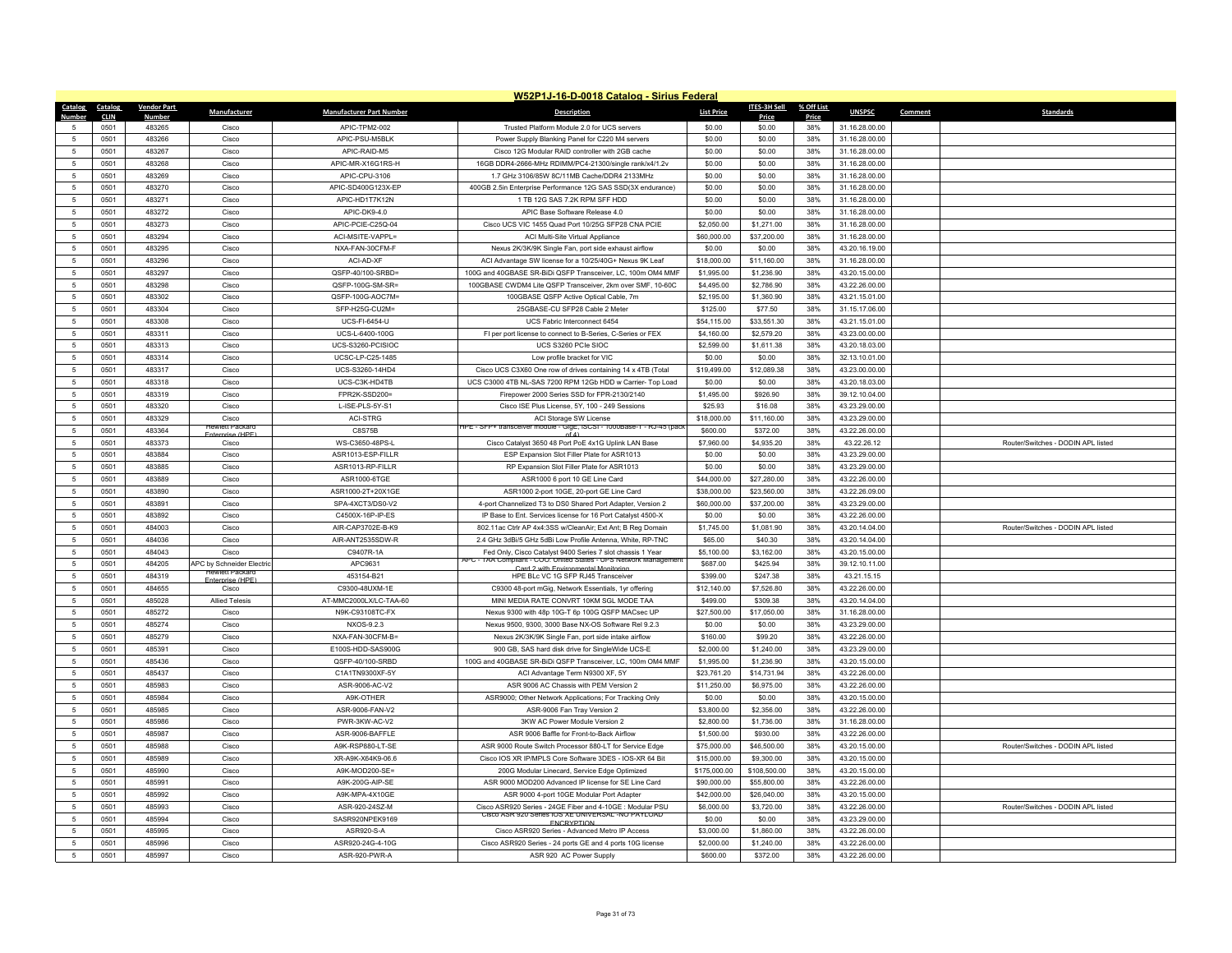|                 |             |                    |                                |                                 | W52P1J-16-D-0018 Catalog - Sirius Federal                                                                      |                   |                        |            |                |         |                                    |
|-----------------|-------------|--------------------|--------------------------------|---------------------------------|----------------------------------------------------------------------------------------------------------------|-------------------|------------------------|------------|----------------|---------|------------------------------------|
| Catalog         | Catalog     | <b>Vendor Part</b> | Manufacturer                   | <b>Manufacturer Part Number</b> | <b>Description</b>                                                                                             | <b>List Price</b> | <b>ITES-3H Sell</b>    | % Off List | <b>UNSPSC</b>  | Comment | <b>Standards</b>                   |
| Number          | <b>CLIN</b> | <b>Number</b>      |                                |                                 |                                                                                                                |                   | Price                  | Price      |                |         |                                    |
| 5               | 0501        | 483265             | Cisco                          | APIC-TPM2-002                   | Trusted Platform Module 2.0 for UCS servers                                                                    | \$0.00            | \$0.00                 | 38%        | 31.16.28.00.00 |         |                                    |
| 5               | 0501        | 483266             | Cisco                          | APIC-PSU-M5BLK                  | Power Supply Blanking Panel for C220 M4 servers                                                                | \$0.00            | \$0.00                 | 38%        | 31.16.28.00.00 |         |                                    |
| $\sqrt{5}$      | 0501        | 483267             | Cisco                          | APIC-RAID-M5                    | Cisco 12G Modular RAID controller with 2GB cache                                                               | \$0.00            | \$0.00                 | 38%        | 31.16.28.00.00 |         |                                    |
| $5\phantom{.0}$ | 0501        | 483268             | Cisco                          | APIC-MR-X16G1RS-H               | 16GB DDR4-2666-MHz RDIMM/PC4-21300/single rank/x4/1.2v                                                         | \$0.00            | \$0.00                 | 38%        | 31.16.28.00.00 |         |                                    |
| 5               | 0501        | 483269             | Cisco                          | APIC-CPU-3106                   | 1.7 GHz 3106/85W 8C/11MB Cache/DDR4 2133MHz                                                                    | \$0.00            | \$0.00                 | 38%        | 31.16.28.00.00 |         |                                    |
| 5               | 0501        | 483270             | Cisco                          | APIC-SD400G123X-FF              | 400GB 2.5in Enterprise Performance 12G SAS SSD(3X endurance)                                                   | \$0.00            | \$0.00                 | 38%        | 31.16.28.00.00 |         |                                    |
| 5               | 0501        | 483271             | Cisco                          | APIC-HD1T7K12N                  | 1 TB 12G SAS 7.2K RPM SFF HDD                                                                                  | \$0.00            | \$0.00                 | 38%        | 31.16.28.00.00 |         |                                    |
| 5               | 0501        | 483272             | Cisco                          | APIC-DK9-4.0                    | APIC Base Software Release 4.0                                                                                 | \$0.00            | \$0.00                 | 38%        | 31.16.28.00.00 |         |                                    |
| -5              | 0501        | 483273             | Cisco                          | APIC-PCIE-C25Q-04               | Cisco UCS VIC 1455 Quad Port 10/25G SFP28 CNA PCIE                                                             | \$2,050.00        | \$1,271.00             | 38%        | 31.16.28.00.00 |         |                                    |
| -5              | 0501        | 483294             | Cisco                          | ACI-MSITE-VAPPL=                | ACI Multi-Site Virtual Appliance                                                                               | \$60,000.00       | \$37,200.00            | 38%        | 31.16.28.00.00 |         |                                    |
| $\sqrt{5}$      | 0501        | 483295             | Cisco                          | NXA-FAN-30CFM-F                 | Nexus 2K/3K/9K Single Fan, port side exhaust airflow                                                           | \$0.00            | \$0.00                 | 38%        | 43.20.16.19.00 |         |                                    |
| -5              | 0501        | 483296             | Cisco                          | ACI-AD-XF                       | ACI Advantage SW license for a 10/25/40G+ Nexus 9K Leaf                                                        | \$18,000.00       | \$11,160.00            | 38%        | 31.16.28.00.00 |         |                                    |
| $\sqrt{5}$      | 0501        | 483297             | Cisco                          | QSFP-40/100-SRBD=               | 100G and 40GBASE SR-BiDi QSFP Transceiver, LC, 100m OM4 MMF                                                    | \$1,995.00        | \$1,236.90             | 38%        | 43.20.15.00.00 |         |                                    |
| $\sqrt{5}$      | 0501        | 483298             | Cisco                          | QSFP-100G-SM-SR=                | 100GBASE CWDM4 Lite QSFP Transceiver, 2km over SMF, 10-60C                                                     | \$4,495.00        | \$2,786.90             | 38%        | 43.22.26.00.00 |         |                                    |
| 5               | 0501        | 483302             | Cisco                          | OSFP-100G-AOC7M=                | 100GBASE QSFP Active Optical Cable, 7m                                                                         | \$2,195.00        | \$1,360.90             | 38%        | 43.21.15.01.00 |         |                                    |
| $-5$            | 0501        | 483304             | Cisco                          | SFP-H25G-CU2M=                  | 25GBASE-CU SFP28 Cable 2 Meter                                                                                 | \$125.00          | \$77.50                | 38%        | 31.15.17.06.00 |         |                                    |
| 5               | 0501        | 483308             | Cisco                          | UCS-FI-6454-U                   | UCS Fabric Interconnect 6454                                                                                   | \$54,115.00       | \$33,551.30            | 38%        | 43.21.15.01.00 |         |                                    |
| $\overline{5}$  | 0501        | 483311             | Cisco                          | UCS-L-6400-100G                 | FI per port license to connect to B-Series, C-Series or FEX                                                    | \$4,160.00        | \$2,579.20             | 38%        | 43.23.00.00.00 |         |                                    |
| $\overline{5}$  | 0501        | 483313             | Cisco                          | <b>UCS-S3260-PCISIOC</b>        | UCS S3260 PCle SIOC                                                                                            | \$2,599.00        | \$1,611.38             | 38%        | 43.20.18.03.00 |         |                                    |
| 5               | 0501        | 483314             | Cisco                          | UCSC-LP-C25-1485                | Low profile bracket for VIC                                                                                    | \$0.00            | \$0.00                 | 38%        | 32.13.10.01.00 |         |                                    |
| $5\phantom{.0}$ | 0501        | 483317             | Cisco                          | UCS-S3260-14HD4                 | Cisco UCS C3X60 One row of drives containing 14 x 4TB (Total                                                   | \$19,499.00       | \$12,089.38            | 38%        | 43.23.00.00.00 |         |                                    |
| $-5$            | 0501        | 483318             | Cisco                          | UCS-C3K-HD4TB                   | UCS C3000 4TB NL-SAS 7200 RPM 12Gb HDD w Carrier- Top Load                                                     | \$0.00            | \$0.00                 | 38%        | 43.20.18.03.00 |         |                                    |
| $\sqrt{5}$      | 0501        | 483319             | Cisco                          | FPR2K-SSD200=                   | Firepower 2000 Series SSD for FPR-2130/2140                                                                    | \$1,495.00        | \$926.90               | 38%        | 39.12.10.04.00 |         |                                    |
| $\sqrt{5}$      | 0501        | 483320             | Cisco                          | L-ISE-PLS-5Y-S1                 | Cisco ISE Plus License, 5Y, 100 - 249 Sessions                                                                 | \$25.93           | \$16.08                | 38%        | 43.23.29.00.00 |         |                                    |
| $\overline{5}$  | 0501        | 483329             | Cisco                          | ACI-STRG                        | ACI Storage SW License                                                                                         | \$18,000.00       | \$11,160.00            | 38%        | 43.23.29.00.00 |         |                                    |
| 5               | 0501        | 483364             | lewlett Packar                 | C8S75B                          | HPE - SFP+ transceiver module - GigE, ISCSI - 1000Base-1 - RJ-45 (pac<br>n f A                                 | \$600.00          | \$372.00               | 38%        | 43.22.26.00.00 |         |                                    |
| $5\phantom{.0}$ | 0501        | 483373             | <b>Enternrise (HP</b><br>Cisco | WS-C3650-48PS-L                 | Cisco Catalyst 3650 48 Port PoE 4x1G Uplink LAN Base                                                           | \$7,960.00        | \$4,935.20             | 38%        | 43.22.26.12    |         | Router/Switches - DODIN APL listed |
| $5\overline{5}$ | 0501        | 483884             | Cisco                          | ASR1013-ESP-FILLR               | ESP Expansion Slot Filler Plate for ASR1013                                                                    | \$0.00            | \$0.00                 | 38%        | 43.23.29.00.00 |         |                                    |
| -5              | 0501        | 483885             | Cisco                          | ASR1013-RP-FILLR                | RP Expansion Slot Filler Plate for ASR1013                                                                     | \$0.00            | \$0.00                 | 38%        | 43.23.29.00.00 |         |                                    |
| -5              | 0501        | 483889             | Cisco                          | ASR1000-6TGE                    | ASR1000 6 port 10 GE Line Card                                                                                 | \$44,000.00       | \$27,280.00            | 38%        | 43.22.26.00.00 |         |                                    |
| 5               | 0501        | 483890             | Cisco                          | ASR1000-2T+20X1GE               | ASR1000 2-port 10GE, 20-port GE Line Card                                                                      | \$38,000.00       | \$23,560.00            | 38%        | 43.22.26.09.00 |         |                                    |
| $\sqrt{5}$      | 0501        | 483891             | Cisco                          | SPA-4XCT3/DS0-V2                | 4-port Channelized T3 to DS0 Shared Port Adapter, Version 2                                                    | \$60,000.00       | \$37,200.00            | 38%        | 43.23.29.00.00 |         |                                    |
| -5              | 0501        | 483892             | Cisco                          | C4500X-16P-IP-FS                | IP Base to Ent. Services license for 16 Port Catalyst 4500-X                                                   | \$0.00            | \$0.00                 | 38%        | 43.22.26.00.00 |         |                                    |
| $\sqrt{5}$      | 0501        | 484003             | Cisco                          | AIR-CAP3702E-B-K9               | 802.11ac Ctrlr AP 4x4:3SS w/CleanAir; Ext Ant; B Reg Domain                                                    | \$1,745.00        | \$1,081.90             | 38%        | 43.20.14.04.00 |         | Router/Switches - DODIN APL listed |
| -5              | 0501        | 484036             | Cisco                          | AIR-ANT2535SDW-R                | 2.4 GHz 3dBi/5 GHz 5dBi Low Profile Antenna, White, RP-TNC                                                     | \$65.00           | \$40.30                | 38%        | 43.20.14.04.00 |         |                                    |
| $5\phantom{.0}$ | 0501        | 484043             | Cisco                          | C9407R-1A                       | Fed Only, Cisco Catalyst 9400 Series 7 slot chassis 1 Year                                                     | \$5,100.00        | \$3,162.00             | 38%        | 43.20.15.00.00 |         |                                    |
| 5               | 0501        | 484205             | APC by Schneider Electric      | APC9631                         | PC - TAA Compliant - COO: United States - UPS Network Managemer                                                | \$687.00          | \$425.94               | 38%        | 39.12.10.11.00 |         |                                    |
| $\overline{5}$  | 0501        | 484319             | <b>Hewlett Packard</b>         | 453154-B21                      | Card 2 with Environmental Monitoring<br>HPE BLc VC 1G SFP RJ45 Transceiver                                     | \$399.00          | \$247.38               | 38%        | 43.21.15.15    |         |                                    |
| 5               | 0501        | 484655             | ernrise (HPF<br>Cisco          | C9300-48UXM-1E                  | C9300 48-port mGig, Network Essentials, 1yr offering                                                           | \$12,140.00       | \$7,526.80             | 38%        | 43.22.26.00.00 |         |                                    |
| $\sqrt{5}$      | 0501        | 485028             | <b>Allied Telesis</b>          | AT-MMC2000LX/LC-TAA-60          | MINI MEDIA RATE CONVRT 10KM SGL MODE TAA                                                                       | \$499.00          | \$309.38               | 38%        | 43.20.14.04.00 |         |                                    |
| $\sqrt{5}$      | 0501        | 485272             | Cisco                          | N9K-C93108TC-FX                 | Nexus 9300 with 48p 10G-T 6p 100G QSFP MACsec UP                                                               | \$27,500.00       | \$17,050.00            | 38%        | 31.16.28.00.00 |         |                                    |
| 5               | 0501        | 485274             | Cisco                          | NXOS-9.2.3                      | Nexus 9500, 9300, 3000 Base NX-OS Software Rel 9.2.3                                                           | \$0.00            | \$0.00                 | 38%        | 43.23.29.00.00 |         |                                    |
| 5               | 0501        | 485279             | Cisco                          | NXA-FAN-30CFM-B=                | Nexus 2K/3K/9K Single Fan, port side intake airflow                                                            | \$160.00          | \$99.20                | 38%        | 43.22.26.00.00 |         |                                    |
| $5\phantom{.0}$ | 0501        | 485391             | Cisco                          | E100S-HDD-SAS900G               | 900 GB, SAS hard disk drive for SingleWide UCS-E                                                               | \$2,000.00        | \$1,240.00             | 38%        | 43.23.29.00.00 |         |                                    |
| $\overline{5}$  | 0501        | 485436             | Cisco                          | QSFP-40/100-SRBD                | 100G and 40GBASE SR-BiDi QSFP Transceiver, LC, 100m OM4 MMF                                                    | \$1,995.00        | \$1,236.90             | 38%        | 43.20.15.00.00 |         |                                    |
| -5              | 0501        | 485437             | Cisco                          | C1A1TN9300XF-5Y                 | ACI Advantage Term N9300 XF, 5Y                                                                                | \$23,761.20       | \$14,731.94            | 38%        | 43.22.26.00.00 |         |                                    |
| -5              | 0501        | 485983             | Cisco                          | ASR-9006-AC-V2                  | ASR 9006 AC Chassis with PEM Version 2                                                                         | \$11,250.00       | \$6,975.00             | 38%        | 43.22.26.00.00 |         |                                    |
| $\sqrt{5}$      | 0501        | 485984             | Cisco                          | A9K-OTHER                       | ASR9000; Other Network Applications; For Tracking Only                                                         | \$0.00            | \$0.00                 | 38%        | 43.20.15.00.00 |         |                                    |
| $\sqrt{5}$      | 0501        | 485985             | Cisco                          | ASR-9006-FAN-V2                 | ASR-9006 Fan Tray Version 2                                                                                    | \$3,800.00        | \$2,356.00             | 38%        | 43.22.26.00.00 |         |                                    |
| $-5$            | 0501        |                    | Cisco                          | PWR-3KW-AC-V2                   |                                                                                                                | \$2,800.00        |                        | 38%        | 31.16.28.00.00 |         |                                    |
| $\overline{5}$  | 0501        | 485986<br>485987   | Cisco                          | ASR-9006-BAFFLE                 | 3KW AC Power Module Version 2<br>ASR 9006 Baffle for Front-to-Back Airflow                                     | \$1,500.00        | \$1,736.00<br>\$930.00 | 38%        | 43.22.26.00.00 |         |                                    |
| $\sqrt{5}$      | 0501        | 485988             | Cisco                          | A9K-RSP880-LT-SE                | ASR 9000 Route Switch Processor 880-LT for Service Edge                                                        | \$75,000.00       | \$46,500.00            | 38%        | 43.20.15.00.00 |         | Router/Switches - DODIN APL listed |
| $\sqrt{5}$      | 0501        | 485989             | Cisco                          | XR-A9K-X64K9-06 6               | Cisco IOS XR IP/MPLS Core Software 3DES - IOS-XR 64 Bit                                                        | \$15,000.00       | \$9,300.00             | 38%        | 43.20.15.00.00 |         |                                    |
|                 |             | 485990             |                                |                                 |                                                                                                                |                   |                        |            |                |         |                                    |
| $\sqrt{5}$      | 0501        |                    | Cisco                          | A9K-MOD200-SE=                  | 200G Modular Linecard, Service Edge Optimized                                                                  | \$175,000.00      | \$108,500.00           | 38%        | 43.20.15.00.00 |         |                                    |
| 5               | 0501        | 485991             | Cisco                          | A9K-200G-AIP-SE                 | ASR 9000 MOD200 Advanced IP license for SE Line Card                                                           | \$90,000.00       | \$55,800.00            | 38%        | 43.22.26.00.00 |         |                                    |
| $5\phantom{.0}$ | 0501        | 485992             | Cisco                          | A9K-MPA-4X10GE                  | ASR 9000 4-port 10GE Modular Port Adapter                                                                      | \$42,000.00       | \$26,040.00            | 38%        | 43.20.15.00.00 |         |                                    |
| $\sqrt{5}$      | 0501        | 485993             | Cisco                          | ASR-920-24SZ-M                  | Cisco ASR920 Series - 24GE Fiber and 4-10GE : Modular PSU<br>Cisco ASR 920 Series IOS XE UNIVERSAL -NO PAYLOAD | \$6,000.00        | \$3,720.00             | 38%        | 43.22.26.00.00 |         | Router/Switches - DODIN APL listed |
| 5               | 0501        | 485994             | Cisco                          | SASR920NPFK9169                 | <b>FNCRYPTION</b>                                                                                              | \$0.00            | \$0.00                 | 38%        | 43.23.29.00.00 |         |                                    |
| $\overline{5}$  | 0501        | 485995             | Cisco                          | ASR920-S-A                      | Cisco ASR920 Series - Advanced Metro IP Access                                                                 | \$3,000.00        | \$1,860.00             | 38%        | 43.22.26.00.00 |         |                                    |
| 5               | 0501        | 485996             | Cisco                          | ASR920-24G-4-10G                | Cisco ASR920 Series - 24 ports GE and 4 ports 10G license                                                      | \$2,000.00        | \$1,240.00             | 38%        | 43.22.26.00.00 |         |                                    |
| $\sqrt{5}$      | 0501        | 485997             | Cisco                          | ASR-920-PWR-A                   | ASR 920 AC Power Supply                                                                                        | \$600.00          | \$372.00               | 38%        | 43.22.26.00.00 |         |                                    |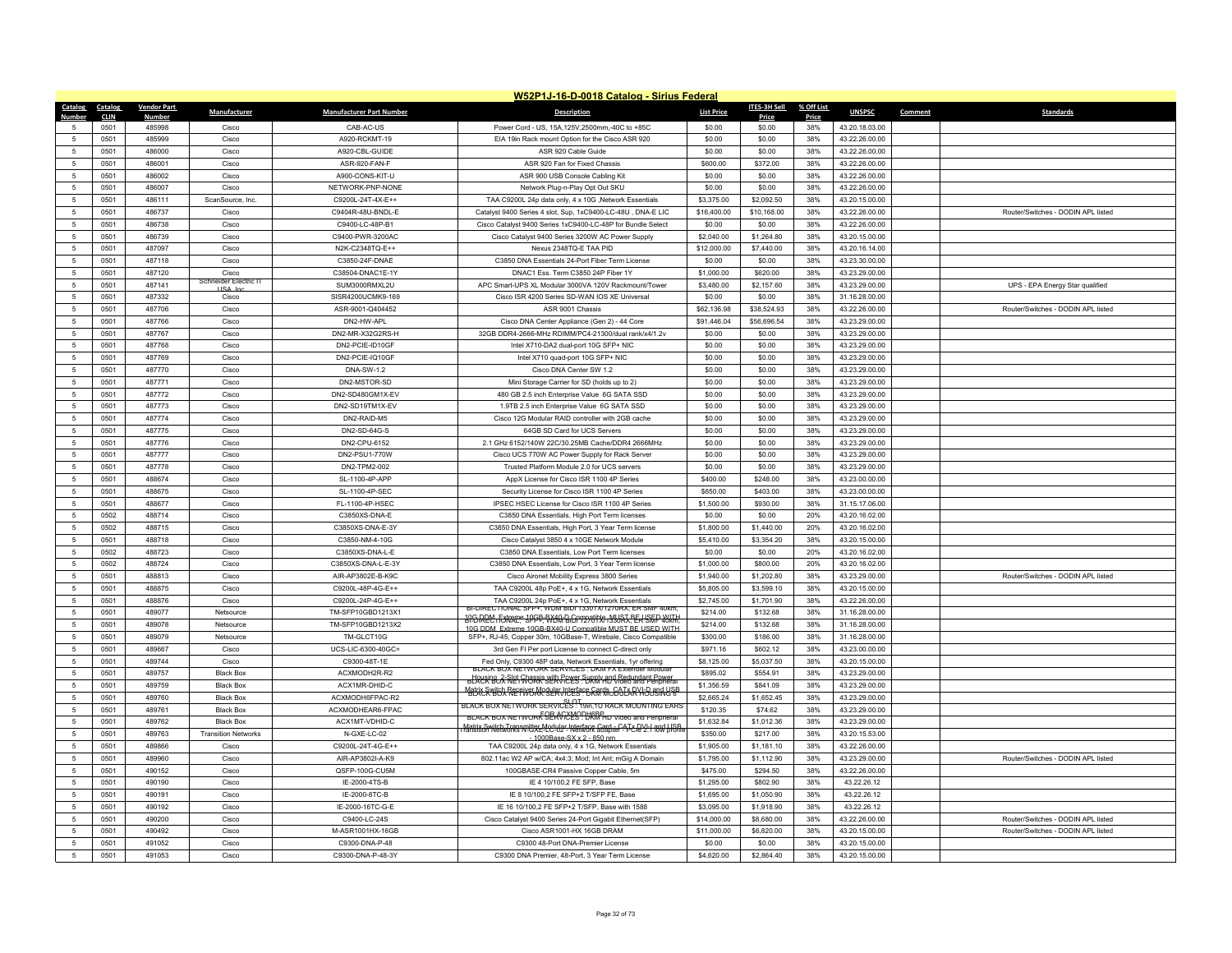| W52P1J-16-D-0018 Catalog - Sirius Federal |                     |                    |                            |                                 |                                                                                                                                                                            |                   |                 |              |                |         |                                    |
|-------------------------------------------|---------------------|--------------------|----------------------------|---------------------------------|----------------------------------------------------------------------------------------------------------------------------------------------------------------------------|-------------------|-----------------|--------------|----------------|---------|------------------------------------|
| Catalog                                   | Catalog             | <b>Vendor Part</b> | Manufacturer               | <b>Manufacturer Part Number</b> | <b>Description</b>                                                                                                                                                         | <b>List Price</b> | ITES-3H Sell    | % Off List   | <b>UNSPSC</b>  | Comment | <b>Standards</b>                   |
| $\overline{5}$                            | <b>CLIN</b><br>0501 | Number<br>485998   | Cisco                      | CAB-AC-US                       | Power Cord - US, 15A, 125V, 2500mm, -40C to +85C                                                                                                                           | \$0.00            | Price<br>\$0.00 | Price<br>38% | 43.20.18.03.00 |         |                                    |
| -5                                        | 0501                | 485999             | Cisco                      | A920-RCKMT-19                   | EIA 19in Rack mount Option for the Cisco ASR 920                                                                                                                           | \$0.00            | \$0.00          | 38%          | 43.22.26.00.00 |         |                                    |
| -5                                        | 0501                | 486000             | Cisco                      | A920-CBL-GUIDE                  | ASR 920 Cable Guide                                                                                                                                                        | \$0.00            | \$0.00          | 38%          | 43 22 26 00 00 |         |                                    |
| $\overline{5}$                            | 0501                | 486001             | Cisco                      | ASR-920-FAN-F                   | ASR 920 Fan for Fixed Chassis                                                                                                                                              | \$600.00          | \$372.00        | 38%          | 43.22.26.00.00 |         |                                    |
|                                           | 0501                | 486002             | Cisco                      | A900-CONS-KIT-U                 | ASR 900 USB Console Cabling Kit                                                                                                                                            | \$0.00            | \$0.00          | 38%          | 43.22.26.00.00 |         |                                    |
| 5                                         | 0501                | 486007             | Cisco                      | NETWORK-PNP-NONE                | Network Plug-n-Play Opt Out SKU                                                                                                                                            | \$0.00            | \$0.00          | 38%          | 43.22.26.00.00 |         |                                    |
| $\overline{5}$                            | 0501                | 486111             | ScanSource, Inc.           | C9200L-24T-4X-E++               | TAA C9200L 24p data only, 4 x 10G ,Network Essentials                                                                                                                      | \$3,375.00        | \$2,092.50      | 38%          | 43.20.15.00.00 |         |                                    |
| $\overline{5}$                            | 0501                | 486737             | Cisco                      | C9404R-48U-BNDL-E               | Catalyst 9400 Series 4 slot, Sup, 1xC9400-LC-48U, DNA-E LIC                                                                                                                | \$16,400.00       | \$10,168.00     | 38%          | 43.22.26.00.00 |         | Router/Switches - DODIN API listed |
| 5                                         | 0501                | 486738             | Cisco                      | C9400-LC-48P-B1                 | Cisco Catalyst 9400 Series 1xC9400-LC-48P for Bundle Select                                                                                                                | \$0.00            | \$0.00          | 38%          | 43.22.26.00.00 |         |                                    |
| $\sqrt{2}$                                | 0501                | 486739             | Cisco                      | C9400-PWR-3200AC                | Cisco Catalyst 9400 Series 3200W AC Power Supply                                                                                                                           | \$2,040.00        | \$1,264.80      | 38%          | 43.20.15.00.00 |         |                                    |
| -5                                        | 0501                | 487097             | Cisco                      | N2K-C2348TQ-E++                 | Nexus 2348TO-F TAA PID                                                                                                                                                     | \$12,000.00       | \$7,440.00      | 38%          | 43.20.16.14.00 |         |                                    |
| 5                                         | 0501                | 487118             | Cisco                      | C3850-24F-DNAE                  | C3850 DNA Essentials 24-Port Fiber Term License                                                                                                                            | \$0.00            | \$0.00          | 38%          | 43.23.30.00.00 |         |                                    |
| 5                                         | 0501                | 487120             | Cisco                      | C38504-DNAC1F-1\                | DNAC1 Ess. Term C3850 24P Fiber 1Y                                                                                                                                         | \$1,000.00        | \$620.00        | 38%          | 43.23.29.00.00 |         |                                    |
| -5                                        | 0501                | 487141             | neider Electric            | SUM3000RMXL2U                   | APC Smart-UPS XL Modular 3000VA 120V Rackmount/Tower                                                                                                                       | \$3,480.00        | \$2,157.60      | 38%          | 43.23.29.00.00 |         | UPS - EPA Energy Star qualified    |
| $\overline{5}$                            | 0501                | 487332             | USA In<br>Cisco            | SISR4200UCMK9-169               | Cisco ISR 4200 Series SD-WAN IOS XE Universal                                                                                                                              | \$0.00            | \$0.00          | 38%          | 31.16.28.00.00 |         |                                    |
| 5                                         | 0501                | 487706             | Cisco                      | ASR-9001-Q404452                | ASR 9001 Chassis                                                                                                                                                           | \$62,136.98       | \$38,524.93     | 38%          | 43.22.26.00.00 |         | Router/Switches - DODIN APL listed |
| -5                                        | 0501                | 487766             | Cisco                      | DN2-HW-APL                      | Cisco DNA Center Appliance (Gen 2) - 44 Core                                                                                                                               | \$91,446.04       | \$56,696.54     | 38%          | 43.23.29.00.00 |         |                                    |
| $\overline{5}$                            | 0501                | 487767             | Cisco                      | DN2-MR-X32G2RS-H                | 32GB DDR4-2666-MHz RDIMM/PC4-21300/dual rank/x4/1.2v                                                                                                                       | \$0.00            | \$0.00          | 38%          | 43.23.29.00.00 |         |                                    |
| $\overline{5}$                            | 0501                | 487768             | Cisco                      | DN2-PCIE-ID10GF                 | Intel X710-DA2 dual-port 10G SFP+ NIC                                                                                                                                      | \$0.00            | \$0.00          | 38%          | 43.23.29.00.00 |         |                                    |
| 5                                         | 0501                | 487769             | Cisco                      | DN2-PCIE-IQ10GF                 | Intel X710 quad-port 10G SFP+ NIC                                                                                                                                          | \$0.00            | \$0.00          | 38%          | 43.23.29.00.00 |         |                                    |
| 5                                         | 0501                | 487770             | Cisco                      | <b>DNA-SW-1.2</b>               | Cisco DNA Center SW 1.2                                                                                                                                                    | \$0.00            | \$0.00          | 38%          | 43.23.29.00.00 |         |                                    |
| -5                                        | 0501                | 487771             | Cisco                      | DN2-MSTOR-SD                    | Mini Storage Carrier for SD (holds up to 2)                                                                                                                                | \$0.00            | \$0.00          | 38%          | 43.23.29.00.00 |         |                                    |
| 5                                         | 0501                | 487772             | Cisco                      | DN2-SD480GM1X-EV                | 480 GB 2.5 inch Enterprise Value 6G SATA SSD                                                                                                                               | \$0.00            | \$0.00          | 38%          | 43 23 29 00 00 |         |                                    |
| $\overline{5}$                            | 0501                | 487773             | Cisco                      | DN2-SD19TM1X-EV                 | 1.9TB 2.5 inch Enterprise Value 6G SATA SSD                                                                                                                                | \$0.00            | \$0.00          | 38%          | 43.23.29.00.00 |         |                                    |
| 5                                         | 0501                | 487774             | Cisco                      | DN2-RAID-M5                     | Cisco 12G Modular RAID controller with 2GB cache                                                                                                                           | \$0.00            | \$0.00          | 38%          | 43.23.29.00.00 |         |                                    |
| 5                                         | 0501                | 487775             | Cisco                      | DN2-SD-64G-S                    | 64GB SD Card for UCS Servers                                                                                                                                               | \$0.00            | \$0.00          | 38%          | 43.23.29.00.00 |         |                                    |
| 5                                         | 0501                | 487776             | Cisco                      | DN2-CPU-6152                    | 2.1 GHz 6152/140W 22C/30.25MB Cache/DDR4 2666MHz                                                                                                                           | \$0.00            | \$0.00          | 38%          | 43.23.29.00.00 |         |                                    |
| 5                                         | 0501                | 487777             | Cisco                      | DN2-PSU1-770W                   | Cisco UCS 770W AC Power Supply for Rack Server                                                                                                                             | \$0.00            | \$0.00          | 38%          | 43.23.29.00.00 |         |                                    |
| 5                                         | 0501                | 487778             | Cisco                      | DN2-TPM2-002                    | Trusted Platform Module 2.0 for UCS servers                                                                                                                                | \$0.00            | \$0.00          | 38%          | 43.23.29.00.00 |         |                                    |
| $\sqrt{2}$                                | 0501                | 488674             | Cisco                      | SL-1100-4P-APP                  | AppX License for Cisco ISR 1100 4P Series                                                                                                                                  | \$400.00          | \$248.00        | 38%          | 43.23.00.00.00 |         |                                    |
| 5                                         | 0501                | 488675             | Cisco                      | SL-1100-4P-SEC                  | Security License for Cisco ISR 1100 4P Series                                                                                                                              | \$650.00          | \$403.00        | 38%          | 43.23.00.00.00 |         |                                    |
| 5                                         | 0501                | 488677             | Cisco                      | FL-1100-4P-HSEC                 | IPSEC HSEC License for Cisco ISR 1100 4P Series                                                                                                                            | \$1,500.00        | \$930.00        | 38%          | 31.15.17.06.00 |         |                                    |
| $\sqrt{2}$                                | 0502                | 488714             | Cisco                      | C3850XS-DNA-E                   | C3850 DNA Essentials, High Port Term licenses                                                                                                                              | \$0.00            | \$0.00          | 20%          | 43.20.16.02.00 |         |                                    |
| 5                                         | 0502                | 488715             | Cisco                      | C3850XS-DNA-E-3Y                | C3850 DNA Essentials, High Port, 3 Year Term license                                                                                                                       | \$1,800.00        | \$1,440.00      | 20%          | 43.20.16.02.00 |         |                                    |
| 5                                         | 0501                | 488718             | Cisco                      | C3850-NM-4-10G                  | Cisco Catalyst 3850 4 x 10GE Network Module                                                                                                                                | \$5,410.00        | \$3,354.20      | 38%          | 43.20.15.00.00 |         |                                    |
| 5                                         | 0502                | 488723             | Cisco                      | C3850XS-DNA-L-E                 | C3850 DNA Essentials, Low Port Term licenses                                                                                                                               | \$0.00            | \$0.00          | 20%          | 43.20.16.02.00 |         |                                    |
| 5                                         | 0502                | 488724             | Cisco                      | C3850XS-DNA-L-E-3Y              | C3850 DNA Essentials, Low Port, 3 Year Term license                                                                                                                        | \$1,000.00        | \$800.00        | 20%          | 43.20.16.02.00 |         |                                    |
| 5                                         | 0501                | 488813             | Cisco                      | AIR-AP3802E-B-K9C               | Cisco Aironet Mobility Express 3800 Series                                                                                                                                 | \$1,940.00        | \$1,202.80      | 38%          | 43.23.29.00.00 |         | Router/Switches - DODIN APL listed |
| 5                                         | 0501                | 488875             | Cisco                      | C9200L-48P-4G-E++               | TAA C9200L 48p PoE+, 4 x 1G, Network Essentials                                                                                                                            | \$5,805.00        | \$3,599.10      | 38%          | 43.20.15.00.00 |         |                                    |
| 5                                         | 0501                | 488876             | Cisco                      | C9200L-24P-4G-E++               | TAA C9200L 24p PoF+ 4 x 1G. Network Essentials                                                                                                                             | \$2,745.00        | \$1,701.90      | 38%          | 43.22.26.00.00 |         |                                    |
| $\overline{5}$                            | 0501                | 489077             | Netsource                  | TM-SFP10GBD1213X1               | BI-DIRECTIONAL SFP+, WDM BIDL13301X1270RX, ER SMF 40km                                                                                                                     | \$214.00          | \$132.68        | 38%          | 31.16.28.00.00 |         |                                    |
| 5                                         | 0501                | 489078             | Netsource                  | TM-SFP10GBD1213X2               | HAGIREM FOKKAL SPGF BYOG BIGOTZATIYA MUSE ELISKE YUTH                                                                                                                      | \$214.00          | \$132.68        | 38%          | 31.16.28.00.00 |         |                                    |
| 5                                         | 0501                | 489079             | Netsource                  | TM-GLCT10G                      | 10G DDM, Extreme 10GB-BX40-LLCompatible MUST BE USED WITH<br>SFP+, RJ-45, Copper 30m, 10GBase-T, Wirebale, Cisco Compatible                                                | \$300.00          | \$186.00        | 38%          | 31.16.28.00.00 |         |                                    |
| $\overline{5}$                            | 0501                | 489667             | Cisco                      | UCS-LIC-6300-40GC=              | 3rd Gen FI Per port License to connect C-direct only                                                                                                                       | \$971.16          | \$602.12        | 38%          | 43.23.00.00.00 |         |                                    |
| 5                                         | 0501                | 489744             | Cisco                      | C9300-48T-1E                    | Fed Only, C9300 48P data, Network Essentials, 1yr offering                                                                                                                 | \$8,125.00        | \$5,037.50      | 38%          | 43.20.15.00.00 |         |                                    |
| 5                                         | 0501                | 489757             | <b>Black Box</b>           | ACXMODH2R-R2                    | BLACK BOX NETWORK SERVICES : DKM FX Extender Modula                                                                                                                        | \$895.02          | \$554.91        | 38%          | 43.23.29.00.00 |         |                                    |
| $\sqrt{2}$                                | 0501                | 489759             | <b>Black Box</b>           | ACX1MR-DHID-C                   | BLAURIBOX REI Chassis with GOVES SURRIY ADD Video and Peripheral                                                                                                           | \$1,356.59        | \$841.09        | 38%          | 43.23.29.00.00 |         |                                    |
| 5                                         | 0501                | 489760             | <b>Black Box</b>           | ACXMODH6FPAC-R2                 | Matrix & witch Recrives Modular Interface Gards GoTARY House RISB                                                                                                          | \$2,665.24        | \$1,652.45      | 38%          | 43.23.29.00.00 |         |                                    |
| 5                                         | 0501                | 489761             | <b>Black Box</b>           | ACXMODHEAR6-FPAC                | BLACK BOX NETWORK SERVICES . T9in,1U RACK MOUNTING EARS                                                                                                                    | \$120.35          | \$74.62         | 38%          | 43.23.29.00.00 |         |                                    |
| $\overline{5}$                            | 0501                | 489762             | <b>Black Box</b>           | ACX1MT-VDHID-C                  | BLACK BOX NETWORK SERVICES: UKM HD Video and Peripheral                                                                                                                    | \$1,632.84        | \$1,012.36      | 38%          | 43.23.29.00.00 |         |                                    |
| 5                                         | 0501                | 489763             | <b>Transition Networks</b> | N-GXE-LC-02                     | Matrix Switch Transmitter Mcdular Interface Card. CATY DVI-Land USB.<br>ransition Networks N-GXL-LC-U2 - Network adapter - PCIe 2.1 low brofile<br>1000Base-SX x 2 - 850 n | \$350.00          | \$217.00        | 38%          | 43.20.15.53.00 |         |                                    |
| 5                                         | 0501                | 489866             | Cisco                      | C9200L-24T-4G-E++               | TAA C9200L 24p data only, 4 x 1G, Network Essentials                                                                                                                       | \$1,905.00        | \$1,181.10      | 38%          | 43.22.26.00.00 |         |                                    |
| $\overline{5}$                            | 0501                | 489960             | Cisco                      | AIR-AP3802I-A-K9                | 802.11ac W2 AP w/CA; 4x4:3; Mod; Int Ant; mGig A Domain                                                                                                                    | \$1,795.00        | \$1,112.90      | 38%          | 43.23.29.00.00 |         | Router/Switches - DODIN API listed |
| 5                                         | 0501                | 490152             | Cisco                      | QSFP-100G-CU5M                  | 100GBASE-CR4 Passive Copper Cable, 5m                                                                                                                                      | \$475.00          | \$294.50        | 38%          | 43.22.26.00.00 |         |                                    |
| 5                                         | 0501                | 490190             | Cisco                      | IE-2000-4TS-B                   | IE 4 10/100,2 FE SFP, Base                                                                                                                                                 | \$1,295.00        | \$802.90        | 38%          | 43.22.26.12    |         |                                    |
| $\overline{5}$                            | 0501                | 490191             | Cisco                      | IE-2000-8TC-B                   | IE 8 10/100,2 FE SFP+2 T/SFP FE, Base                                                                                                                                      | \$1,695.00        | \$1,050.90      | 38%          | 43.22.26.12    |         |                                    |
| -5                                        | 0501                | 490192             | Cisco                      | IE-2000-16TC-G-E                | IE 16 10/100,2 FE SFP+2 T/SFP, Base with 1588                                                                                                                              | \$3,095.00        | \$1,918.90      | 38%          | 43.22.26.12    |         |                                    |
| 5                                         | 0501                | 490200             | Cisco                      | C9400-LC-24S                    | Cisco Catalyst 9400 Series 24-Port Gigabit Ethernet(SFP)                                                                                                                   | \$14,000.00       | \$8,680.00      | 38%          | 43.22.26.00.00 |         | Router/Switches - DODIN APL listed |
| $\overline{5}$                            | 0501                | 490492             | Cisco                      | M-ASR1001HX-16GE                | Cisco ASR1001-HX 16GB DRAM                                                                                                                                                 | \$11,000.00       | \$6,820.00      | 38%          | 43.20.15.00.00 |         | Router/Switches - DODIN APL listed |
| -5                                        | 0501                | 491052             | Cisco                      | C9300-DNA-P-48                  | C9300 48-Port DNA-Premier License                                                                                                                                          | \$0.00            | \$0.00          | 38%          | 43.20.15.00.00 |         |                                    |
| $\overline{5}$                            | 0501                | 491053             | Cisco                      | C9300-DNA-P-48-3Y               | C9300 DNA Premier, 48-Port, 3 Year Term License                                                                                                                            | \$4,620.00        | \$2,864.40      | 38%          | 43.20.15.00.00 |         |                                    |
|                                           |                     |                    |                            |                                 |                                                                                                                                                                            |                   |                 |              |                |         |                                    |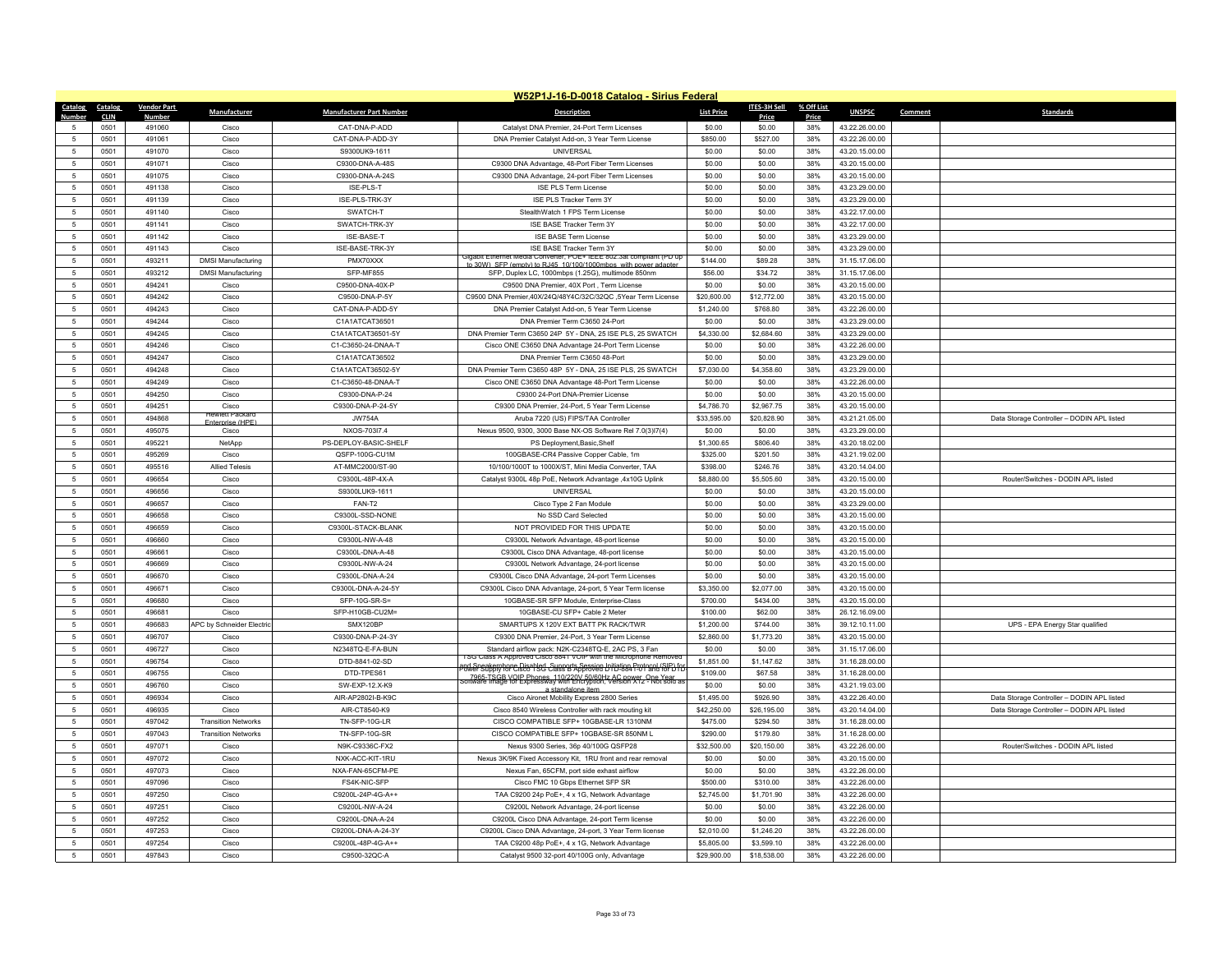|                     | W52P1J-16-D-0018 Catalog - Sirius Federal |                    |                                         |                                    |                                                                                                                                                  |                    |                      |            |                                  |                                            |  |
|---------------------|-------------------------------------------|--------------------|-----------------------------------------|------------------------------------|--------------------------------------------------------------------------------------------------------------------------------------------------|--------------------|----------------------|------------|----------------------------------|--------------------------------------------|--|
| Catalog             | Catalog                                   | <b>Vendor Part</b> | Manufacturer                            | <b>Manufacturer Part Number</b>    | <b>Description</b>                                                                                                                               | <b>List Price</b>  | ITES-3H Sell         | % Off List | <b>UNSPSC</b>                    | <b>Standards</b><br>Comment                |  |
| Number              | <b>CLIN</b>                               | Number             |                                         |                                    |                                                                                                                                                  |                    | Price                | Price      |                                  |                                            |  |
| 5                   | 0501                                      | 491060             | Cisco                                   | CAT-DNA-P-ADD                      | Catalyst DNA Premier, 24-Port Term Licenses                                                                                                      | \$0.00             | \$0.00               | 38%        | 43.22.26.00.00                   |                                            |  |
| $\sqrt{2}$          | 0501                                      | 491061<br>491070   | Cisco<br>Cisco                          | CAT-DNA-P-ADD-3Y                   | DNA Premier Catalyst Add-on, 3 Year Term License<br><b>UNIVERSAL</b>                                                                             | \$850.00<br>\$0.00 | \$527.00             | 38%<br>38% | 43.22.26.00.00                   |                                            |  |
| $\overline{5}$      | 0501                                      |                    |                                         | S9300UK9-1611                      |                                                                                                                                                  |                    | \$0.00               |            | 43.20.15.00.00                   |                                            |  |
| 5<br>$\overline{5}$ | 0501<br>0501                              | 491071<br>491075   | Cisco<br>Cisco                          | C9300-DNA-A-48S<br>C9300-DNA-A-24S | C9300 DNA Advantage, 48-Port Fiber Term Licenses                                                                                                 | \$0.00<br>\$0.00   | \$0.00<br>\$0.00     | 38%<br>38% | 43.20.15.00.00<br>43.20.15.00.00 |                                            |  |
|                     | 0501                                      | 491138             | Cisco                                   | ISE-PLS-T                          | C9300 DNA Advantage, 24-port Fiber Term Licenses<br>ISF PLS Term License                                                                         | \$0.00             | \$0.00               | 38%        | 43.23.29.00.00                   |                                            |  |
| -5<br>5             | 0501                                      | 491139             | Cisco                                   | ISE-PLS-TRK-3Y                     | ISE PLS Tracker Term 3Y                                                                                                                          | \$0.00             | \$0.00               | 38%        | 43.23.29.00.00                   |                                            |  |
| $\sqrt{2}$          | 0501                                      | 491140             | Cisco                                   | SWATCH-T                           | StealthWatch 1 FPS Term License                                                                                                                  | \$0.00             | \$0.00               | 38%        | 43.22.17.00.00                   |                                            |  |
| -5                  | 0501                                      | 491141             | Cisco                                   | SWATCH-TRK-3Y                      | <b>ISE BASE Tracker Term 3Y</b>                                                                                                                  | \$0.00             | \$0.00               | 38%        | 43.22.17.00.00                   |                                            |  |
| $\overline{5}$      | 0501                                      | 491142             | Cisco                                   | ISF-BASF-T                         | <b>ISE BASE Term License</b>                                                                                                                     | \$0.00             | \$0.00               | 38%        | 43.23.29.00.00                   |                                            |  |
| 5                   | 0501                                      | 491143             | Cisco                                   | ISE-BASE-TRK-3Y                    | ISE BASE Tracker Term 3Y                                                                                                                         | \$0.00             | \$0.00               | 38%        | 43.23.29.00.00                   |                                            |  |
| -5                  | 0501                                      | 493211             | <b>DMSI Manufacturing</b>               | PMX70XXX                           | Jigabit Ethernet Media Conve<br>rter, POE+ IEEE 802.3at compliant (PD up                                                                         | \$144.00           | \$89.28              | 38%        | 31.15.17.06.00                   |                                            |  |
| $\overline{5}$      | 0501                                      | 493212             | <b>DMSI Manufacturing</b>               | SFP-MF855                          | to 30W) SEP (empty) to R.I45 10/100/1000mbps with power and<br>SFP, Duplex LC, 1000mbps (1.25G), multimode 850nm                                 | \$56.00            | \$34.72              | 38%        | 31.15.17.06.00                   |                                            |  |
| $\overline{5}$      | 0501                                      | 494241             | Cisco                                   | C9500-DNA-40X-P                    | C9500 DNA Premier, 40X Port, Term License                                                                                                        | \$0.00             | \$0.00               | 38%        | 43.20.15.00.00                   |                                            |  |
| 5                   | 0501                                      | 494242             | Cisco                                   | C9500-DNA-P-5Y                     | C9500 DNA Premier,40X/24Q/48Y4C/32C/32QC ,5Year Term License                                                                                     | \$20,600.00        | \$12,772.00          | 38%        | 43 20 15 00 00                   |                                            |  |
| $\overline{5}$      | 0501                                      | 494243             | Cisco                                   | CAT-DNA-P-ADD-5Y                   | DNA Premier Catalyst Add-on, 5 Year Term License                                                                                                 | \$1,240.00         | \$768.80             | 38%        | 43.22.26.00.00                   |                                            |  |
| $\overline{5}$      | 0501                                      | 494244             | Cisco                                   | C1A1ATCAT36501                     | DNA Premier Term C3650 24-Port                                                                                                                   | \$0.00             | \$0.00               | 38%        | 43.23.29.00.00                   |                                            |  |
| -5                  | 0501                                      | 494245             | Cisco                                   | C1A1ATCAT36501-5Y                  | DNA Premier Term C3650 24P 5Y - DNA, 25 ISE PLS, 25 SWATCH                                                                                       | \$4,330.00         | \$2,684.60           | 38%        | 43.23.29.00.00                   |                                            |  |
| $\overline{5}$      | 0501                                      | 494246             | Cisco                                   | C1-C3650-24-DNAA-T                 | Cisco ONE C3650 DNA Advantage 24-Port Term License                                                                                               | \$0.00             | \$0.00               | 38%        | 43.22.26.00.00                   |                                            |  |
| $\overline{5}$      | 0501                                      | 494247             | Cisco                                   | C1A1ATCAT36502                     | DNA Premier Term C3650 48-Port                                                                                                                   | \$0.00             | \$0.00               | 38%        | 43.23.29.00.00                   |                                            |  |
| 5                   | 0501                                      | 494248             | Cisco                                   | C1A1ATCAT36502-5Y                  | DNA Premier Term C3650 48P 5Y - DNA, 25 ISE PLS, 25 SWATCH                                                                                       | \$7,030.00         | \$4,358.60           | 38%        | 43.23.29.00.00                   |                                            |  |
| $\overline{5}$      | 0501                                      | 494249             | Cisco                                   | C1-C3650-48-DNAA-T                 | Cisco ONE C3650 DNA Advantage 48-Port Term License                                                                                               | \$0.00             | \$0.00               | 38%        | 43.22.26.00.00                   |                                            |  |
| $\overline{5}$      | 0501                                      | 494250             | Cisco                                   | C9300-DNA-P-24                     | C9300 24-Port DNA-Premier License                                                                                                                | \$0.00             | \$0.00               | 38%        | 43.20.15.00.00                   |                                            |  |
| 5                   | 0501                                      | 494251             | Cisco                                   | C9300-DNA-P-24-5Y                  | C9300 DNA Premier, 24-Port, 5 Year Term License                                                                                                  | \$4,786.70         | \$2,967.75           | 38%        | 43.20.15.00.00                   |                                            |  |
| $\overline{5}$      | 0501                                      | 494868             | <b>Hewlett Packa</b><br>Enternrise (HPF | <b>JW754A</b>                      | Aruba 7220 (US) FIPS/TAA Controller                                                                                                              | \$33,595.00        | \$20,828.90          | 38%        | 43.21.21.05.00                   | Data Storage Controller - DODIN APL listed |  |
| -5                  | 0501                                      | 495075             | Cisco                                   | NXOS-703I7.4                       | Nexus 9500, 9300, 3000 Base NX-OS Software Rel 7.0(3)I7(4)                                                                                       | \$0.00             | \$0.00               | 38%        | 43.23.29.00.00                   |                                            |  |
| 5                   | 0501                                      | 495221             | NetApp                                  | PS-DEPLOY-BASIC-SHELF              | PS Deployment, Basic, Shelf                                                                                                                      | \$1,300.65         | \$806.40             | 38%        | 43.20.18.02.00                   |                                            |  |
| $\overline{5}$      | 0501                                      | 495269             | Cisco                                   | QSFP-100G-CU1M                     | 100GBASE-CR4 Passive Copper Cable, 1m                                                                                                            | \$325.00           | \$201.50             | 38%        | 43.21.19.02.00                   |                                            |  |
| -5                  | 0501                                      | 495516             | <b>Allied Telesis</b>                   | AT-MMC2000/ST-90                   | 10/100/1000T to 1000X/ST. Mini Media Converter. TAA                                                                                              | \$398.00           | \$246.76             | 38%        | 43.20.14.04.00                   |                                            |  |
| $\overline{5}$      | 0501                                      | 496654             | Cisco                                   | C9300L-48P-4X-A                    | Catalyst 9300L 48p PoE, Network Advantage ,4x10G Uplink                                                                                          | \$8,880.00         | \$5,505.60           | 38%        | 43.20.15.00.00                   | Router/Switches - DODIN APL listed         |  |
| $\overline{5}$      | 0501                                      | 496656             | Cisco                                   | S9300LUK9-1611                     | <b>UNIVERSAL</b>                                                                                                                                 | \$0.00             | \$0.00               | 38%        | 43.20.15.00.00                   |                                            |  |
| $\overline{5}$      | 0501                                      | 496657             | Cisco                                   | FAN-T2                             | Cisco Type 2 Fan Module                                                                                                                          | \$0.00             | \$0.00               | 38%        | 43.23.29.00.00                   |                                            |  |
| $\overline{5}$      | 0501                                      | 496658             | Cisco                                   | C9300L-SSD-NONE                    | No SSD Card Selected                                                                                                                             | \$0.00             | \$0.00               | 38%        | 43.20.15.00.00                   |                                            |  |
| $\overline{5}$      | 0501                                      | 496659             | Cisco                                   | C9300L-STACK-BLANK                 | NOT PROVIDED FOR THIS UPDATE                                                                                                                     | \$0.00             | \$0.00               | 38%        | 43.20.15.00.00                   |                                            |  |
| 5                   | 0501                                      | 496660             | Cisco                                   | C9300L-NW-A-48                     | C9300L Network Advantage, 48-port license                                                                                                        | \$0.00             | \$0.00               | 38%        | 43.20.15.00.00                   |                                            |  |
| $\overline{5}$      | 0501                                      | 496661             | Cisco                                   | C9300L-DNA-A-48                    | C9300L Cisco DNA Advantage, 48-port license                                                                                                      | \$0.00             | \$0.00               | 38%        | 43.20.15.00.00                   |                                            |  |
| $\overline{5}$      | 0501                                      | 496669             | Cisco                                   | C9300L-NW-A-24                     | C9300L Network Advantage, 24-port license                                                                                                        | \$0.00             | \$0.00               | 38%        | 43.20.15.00.00                   |                                            |  |
| 5                   | 0501                                      | 496670             | Cisco                                   | C9300L-DNA-A-24                    | C9300L Cisco DNA Advantage, 24-port Term Licenses                                                                                                | \$0.00             | \$0.00               | 38%        | 43.20.15.00.00                   |                                            |  |
| $\overline{5}$      | 0501                                      | 496671             | Cisco                                   | C9300L-DNA-A-24-5Y                 | C9300L Cisco DNA Advantage, 24-port, 5 Year Term license                                                                                         | \$3,350.00         | \$2,077.00           | 38%        | 43.20.15.00.00                   |                                            |  |
| $\overline{5}$      | 0501                                      | 496680             | Cisco                                   | SFP-10G-SR-S:                      | 10GBASE-SR SFP Module, Enterprise-Class                                                                                                          | \$700.00           | \$434.00             | 38%        | 43.20.15.00.00                   |                                            |  |
| 5                   | 0501                                      | 496681             | Cisco                                   | SFP-H10GB-CU2M=                    | 10GBASE-CU SFP+ Cable 2 Meter                                                                                                                    | \$100.00           | \$62.00              | 38%        | 26.12.16.09.00                   |                                            |  |
| $\overline{5}$      | 0501                                      | 496683             | APC by Schneider Electric               | SMX120BP                           | SMARTUPS X 120V EXT BATT PK RACK/TWR                                                                                                             | \$1,200.00         | \$744.00             | 38%        | 39.12.10.11.00                   | UPS - EPA Energy Star qualified            |  |
| $\overline{5}$      | 0501                                      | 496707             | Cisco                                   | C9300-DNA-P-24-3Y                  | C9300 DNA Premier, 24-Port, 3 Year Term License                                                                                                  | \$2,860.00         | \$1,773.20           | 38%        | 43.20.15.00.00                   |                                            |  |
| $\,$ 5              | 0501                                      | 496727             | Cisco                                   | N2348TQ-E-FA-BUN                   | Standard airflow pack: N2K-C2348TQ-E, 2AC PS, 3 Fan<br>ISG Class A Approved Cisco 8841 VOIP with the Microphone Remove                           | \$0.00             | \$0.00               | 38%        | 31.15.17.06.00                   |                                            |  |
| $\overline{5}$      | 0501                                      | 496754             | Cisco                                   | DTD-8841-02-SD                     | and Speakerphone Disabled, Supports Session Initiation Protocol (SIP) for<br>Power Supply for Cisco TSG Class B Approved DTD-8841-01 and for DTC | \$1,851.00         | \$1,147.62           | 38%        | 31.16.28.00.00                   |                                            |  |
| $\overline{5}$      | 0501                                      | 496755             | Cisco                                   | DTD-TPES61                         | 7965-TSGB VOIP Phones 110/220V 50/60Hz AC nower, One Year<br>Software Image for Expressway with Encryption, Version X12 - Not sold as            | \$109.00           | \$67.58              | 38%        | 31.16.28.00.00                   |                                            |  |
| 5                   | 0501                                      | 496760             | Cisco                                   | SW-EXP-12.X-K9                     | a standalone it                                                                                                                                  | \$0.00             | \$0.00               | 38%        | 43.21.19.03.00                   |                                            |  |
| $\overline{5}$      | 0501                                      | 496934             | Cisco                                   | AIR-AP2802I-B-K9C                  | Cisco Aironet Mobility Express 2800 Series                                                                                                       | \$1,495.00         | \$926.90             | 38%        | 43.22.26.40.00                   | Data Storage Controller - DODIN APL listed |  |
| -5                  | 0501                                      | 496935             | Cisco                                   | AIR-CT8540-K9                      | Cisco 8540 Wireless Controller with rack mouting kit                                                                                             | \$42,250.00        | \$26,195.00          | 38%        | 43.20.14.04.00                   | Data Storage Controller - DODIN APL listed |  |
| $\overline{5}$      | 0501                                      | 497042             | <b>Transition Networks</b>              | TN-SFP-10G-LR                      | CISCO COMPATIBLE SFP+ 10GBASE-LR 1310NM                                                                                                          | \$475.00           | \$294.50             | 38%        | 31.16.28.00.00                   |                                            |  |
| $\overline{5}$      | 0501                                      | 497043             | <b>Transition Networks</b>              | TN-SFP-10G-SR                      | CISCO COMPATIBLE SFP+ 10GBASE-SR 850NM I                                                                                                         | \$290.00           | \$179.80             | 38%        | 31.16.28.00.00                   |                                            |  |
| -5                  | 0501                                      | 497071             | Cisco                                   | N9K-C9336C-FX2                     | Nexus 9300 Series, 36p 40/100G QSFP28                                                                                                            | \$32,500.00        | \$20,150.00          | 38%        | 43.22.26.00.00                   | Router/Switches - DODIN APL listed         |  |
| $\overline{5}$      | 0501                                      | 497072             | Cisco                                   | NXK-ACC-KIT-1RU                    | Nexus 3K/9K Fixed Accessory Kit, 1RU front and rear removal                                                                                      | \$0.00             | \$0.00               | 38%        | 43.20.15.00.00                   |                                            |  |
| $\overline{5}$      | 0501                                      | 497073             | Cisco                                   | NXA-FAN-65CFM-PE                   | Nexus Fan, 65CFM, port side exhast airflow                                                                                                       | \$0.00             | \$0.00               | 38%        | 43.22.26.00.00                   |                                            |  |
| -5                  | 0501                                      | 497096             | Cisco                                   | FS4K-NIC-SFP                       | Cisco FMC 10 Gbps Ethernet SEP SR                                                                                                                | \$500.00           | \$310.00             | 38%        | 43.22.26.00.00                   |                                            |  |
| 5                   | 0501                                      | 497250             | Cisco                                   | C9200L-24P-4G-A++                  | TAA C9200 24p PoE+, 4 x 1G, Network Advantage                                                                                                    | \$2,745.00         | \$1,701.90           | 38%        | 43.22.26.00.00                   |                                            |  |
| -5                  | 0501                                      | 497251             | Cisco                                   | C9200L-NW-A-24<br>C9200L-DNA-A-24  | C9200L Network Advantage, 24-port license                                                                                                        | \$0.00<br>\$0.00   | \$0.00               | 38%<br>38% | 43.22.26.00.00                   |                                            |  |
| -5<br>$\sqrt{2}$    | 0501<br>0501                              | 497252<br>497253   | Cisco<br>Cisco                          | C9200L-DNA-A-24-3Y                 | C9200L Cisco DNA Advantage, 24-port Term license                                                                                                 | \$2,010.00         | \$0.00<br>\$1,246.20 | 38%        | 43.22.26.00.00<br>43.22.26.00.00 |                                            |  |
|                     |                                           | 497254             | Cisco                                   | C9200L-48P-4G-A++                  | C9200L Cisco DNA Advantage, 24-port, 3 Year Term license                                                                                         | \$5,805.00         | \$3,599.10           | 38%        | 43.22.26.00.00                   |                                            |  |
|                     | 0501<br>0501                              | 497843             |                                         |                                    | TAA C9200 48p PoE+, 4 x 1G, Network Advantage<br>Catalyst 9500 32-port 40/100G only, Advantage                                                   | \$29,900.00        | \$18,538.00          | 38%        | 43.22.26.00.00                   |                                            |  |
| 5                   |                                           |                    | Cisco                                   | C9500-32QC-A                       |                                                                                                                                                  |                    |                      |            |                                  |                                            |  |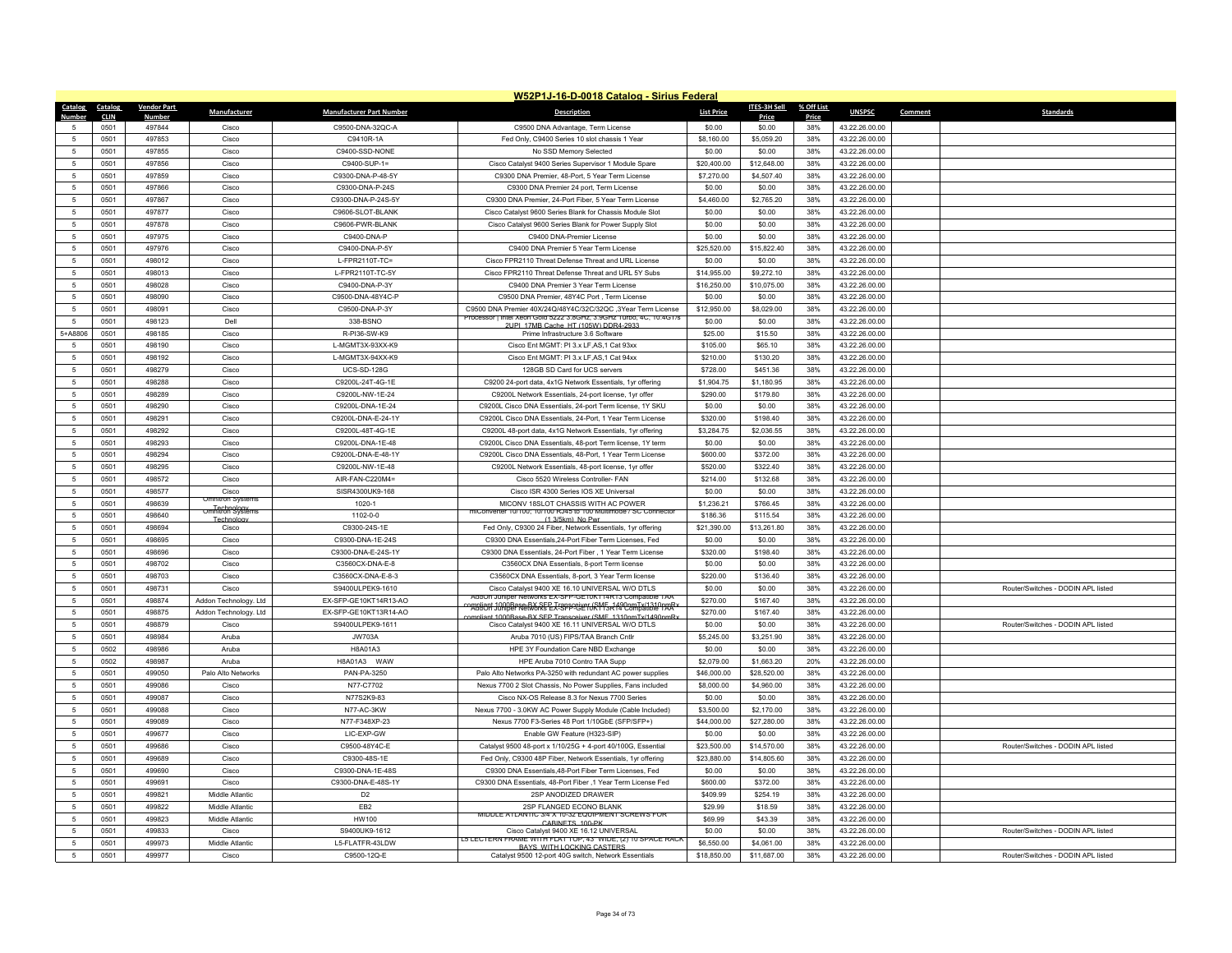|                     | W52P1J-16-D-0018 Catalog - Sirius Federal |                    |                                 |                                       |                                                                                                                          |                        |                      |            |                                  |                                    |  |
|---------------------|-------------------------------------------|--------------------|---------------------------------|---------------------------------------|--------------------------------------------------------------------------------------------------------------------------|------------------------|----------------------|------------|----------------------------------|------------------------------------|--|
| <b>Catalog</b>      | Catalog                                   | <b>Vendor Part</b> | Manufacturer                    | <b>Manufacturer Part Number</b>       | <b>Description</b>                                                                                                       | <b>List Price</b>      | ITES-3H Sell         | % Off List | <b>UNSPSC</b>                    | Comment<br><b>Standards</b>        |  |
| Numbe               | <b>CLIN</b>                               | Number             |                                 |                                       |                                                                                                                          |                        | Price                | Price      |                                  |                                    |  |
| $\sqrt{2}$          | 0501                                      | 497844             | Cisco                           | C9500-DNA-32QC-A                      | C9500 DNA Advantage, Term License                                                                                        | \$0.00                 | \$0.00               | 38%        | 43.22.26.00.00                   |                                    |  |
| -5                  | 0501                                      | 497853             | Cisco                           | C9410R-1A                             | Fed Only, C9400 Series 10 slot chassis 1 Year                                                                            | \$8,160.00             | \$5,059.20           | 38%<br>38% | 43.22.26.00.00                   |                                    |  |
| 5                   | 0501                                      | 497855             | Cisco                           | C9400-SSD-NONE                        | No SSD Memory Selected                                                                                                   | \$0.00                 | \$0.00               |            | 43.22.26.00.00                   |                                    |  |
| 5                   | 0501                                      | 497856             | Cisco                           | C9400-SUP-1=                          | Cisco Catalyst 9400 Series Supervisor 1 Module Spare                                                                     | \$20,400.00            | \$12,648.00          | 38%        | 43.22.26.00.00                   |                                    |  |
|                     | 0501                                      | 497859             | Cisco                           | C9300-DNA-P-48-5Y                     | C9300 DNA Premier, 48-Port, 5 Year Term License                                                                          | \$7,270.00             | \$4,507.40           | 38%        | 43.22.26.00.00                   |                                    |  |
| 5                   | 0501                                      | 497866             | Cisco                           | C9300-DNA-P-24S                       | C9300 DNA Premier 24 port, Term License                                                                                  | \$0.00                 | \$0.00               | 38%        | 43.22.26.00.00                   |                                    |  |
| $\sqrt{2}$          | 0501                                      | 497867             | Cisco                           | C9300-DNA-P-24S-5Y                    | C9300 DNA Premier, 24-Port Fiber, 5 Year Term License                                                                    | \$4,460.00             | \$2,765.20           | 38%        | 43.22.26.00.00                   |                                    |  |
| 5                   | 0501                                      | 497877             | Cisco                           | C9606-SLOT-BLANK                      | Cisco Catalyst 9600 Series Blank for Chassis Module Slot                                                                 | \$0.00                 | \$0.00               | 38%        | 43.22.26.00.00                   |                                    |  |
| 5                   | 0501                                      | 497878             | Cisco                           | C9606-PWR-BLANK                       | Cisco Catalyst 9600 Series Blank for Power Supply Slot                                                                   | \$0.00                 | \$0.00               | 38%        | 43.22.26.00.00                   |                                    |  |
| $\overline{5}$      | 0501                                      | 497975             | Cisco                           | C9400-DNA-P                           | C9400 DNA-Premier License                                                                                                | \$0.00                 | \$0.00               | 38%        | 43.22.26.00.00                   |                                    |  |
| 5                   | 0501                                      | 497976             | Cisco                           | C9400-DNA-P-5Y                        | C9400 DNA Premier 5 Year Term License                                                                                    | \$25,520.00            | \$15,822.40          | 38%        | 43.22.26.00.00                   |                                    |  |
| 5                   | 0501                                      | 498012             | Cisco                           | L-FPR2110T-TC=                        | Cisco FPR2110 Threat Defense Threat and URL License                                                                      | \$0.00                 | \$0.00               | 38%        | 43.22.26.00.00                   |                                    |  |
| $\overline{5}$      | 0501                                      | 498013             | Cisco                           | L-FPR2110T-TC-5Y                      | Cisco FPR2110 Threat Defense Threat and URL 5Y Subs                                                                      | \$14,955.00            | \$9,272.10           | 38%        | 43.22.26.00.00                   |                                    |  |
| 5                   | 0501                                      | 498028             | Cisco                           | C9400-DNA-P-3Y                        | C9400 DNA Premier 3 Year Term License                                                                                    | \$16,250.00            | \$10,075.00          | 38%        | 43.22.26.00.00                   |                                    |  |
| 5                   | 0501                                      | 498090             | Cisco                           | C9500-DNA-48Y4C-P                     | C9500 DNA Premier, 48Y4C Port, Term License                                                                              | \$0.00                 | \$0.00               | 38%        | 43.22.26.00.00                   |                                    |  |
| $\overline{5}$      | 0501                                      | 498091             | Cisco                           | C9500-DNA-P-3Y                        | C9500 DNA Premier 40X/24Q/48Y4C/32C/32QC ,3Year Term License<br>Intel Xeon Gold 5222 3.8GHz, 3.9GHz Turbo, 4C, 10.4GT/s  | \$12,950.00            | \$8,029.00           | 38%        | 43.22.26.00.00                   |                                    |  |
| $\overline{5}$      | 0501                                      | 498123             | Dell                            | 338-BSNO                              | 2LIPL 17MR Cache, HT (105W) DDR4-2933                                                                                    | \$0.00                 | \$0.00               | 38%        | 43.22.26.00.00                   |                                    |  |
| 5+A8806             | 0501                                      | 498185             | Cisco                           | R-PI36-SW-K9                          | Prime Infrastructure 3.6 Software                                                                                        | \$25.00                | \$15.50              | 38%        | 43.22.26.00.00                   |                                    |  |
|                     | 0501                                      | 498190             | Cisco                           | L-MGMT3X-93XX-K9                      | Cisco Ent MGMT: PI 3.x LF, AS, 1 Cat 93xx                                                                                | \$105.00               | \$65.10              | 38%        | 43.22.26.00.00                   |                                    |  |
| 5                   | 0501                                      | 498192             | Cisco                           | L-MGMT3X-94XX-K9                      | Cisco Ent MGMT: PL3 x LE AS 1 Cat 94xx                                                                                   | \$210.00               | \$130.20             | 38%        | 43 22 26 00 00                   |                                    |  |
| $\overline{5}$      | 0501                                      | 498279             | Cisco                           | <b>UCS-SD-128G</b>                    | 128GB SD Card for UCS servers                                                                                            | \$728.00               | \$451.36             | 38%        | 43.22.26.00.00                   |                                    |  |
| $\overline{5}$      | 0501                                      | 498288             | Cisco                           | C9200L-24T-4G-1E                      | C9200 24-port data, 4x1G Network Essentials, 1yr offering                                                                | \$1,904.75             | \$1,180.95           | 38%        | 43.22.26.00.00                   |                                    |  |
| 5                   | 0501                                      | 498289             | Cisco                           | C9200L-NW-1E-24                       | C9200L Network Essentials, 24-port license, 1vr offer                                                                    | \$290.00               | \$179.80             | 38%        | 43.22.26.00.00                   |                                    |  |
| $\overline{5}$      | 0501                                      | 498290             | Cisco                           | C9200L-DNA-1E-24                      | C9200L Cisco DNA Essentials, 24-port Term license, 1Y SKU                                                                | \$0.00                 | \$0.00               | 38%        | 43.22.26.00.00                   |                                    |  |
| 5                   | 0501                                      | 498291             | Cisco                           | C9200L-DNA-E-24-1Y                    | C9200L Cisco DNA Essentials, 24-Port, 1 Year Term License                                                                | \$320.00               | \$198.40             | 38%        | 43.22.26.00.00                   |                                    |  |
| 5                   | 0501                                      | 498292             | Cisco                           | C9200L-48T-4G-1E                      | C9200L 48-port data, 4x1G Network Essentials, 1vr offering                                                               | \$3,284.75             | \$2,036.55           | 38%        | 43.22.26.00.00                   |                                    |  |
| $\overline{5}$      | 0501                                      | 498293             | Cisco                           | C9200L-DNA-1E-48                      | C9200L Cisco DNA Essentials, 48-port Term license, 1Y term                                                               | \$0.00                 | \$0.00               | 38%        | 43.22.26.00.00                   |                                    |  |
| 5                   | 0501                                      | 498294             | Cisco                           | C9200L-DNA-E-48-1Y                    | C9200L Cisco DNA Essentials, 48-Port, 1 Year Term License                                                                | \$600.00               | \$372.00             | 38%        | 43.22.26.00.00                   |                                    |  |
| 5                   | 0501                                      | 498295             | Cisco                           | C9200L-NW-1E-48                       | C9200L Network Essentials, 48-port license, 1yr offer                                                                    | \$520.00               | \$322.40             | 38%        | 43.22.26.00.00                   |                                    |  |
| $\overline{5}$      | 0501                                      | 498572             | Cisco                           | AIR-FAN-C220M4=                       | Cisco 5520 Wireless Controller- FAN                                                                                      | \$214.00               | \$132.68             | 38%        | 43.22.26.00.00                   |                                    |  |
| $\overline{5}$      | 0501                                      | 498577             | Cisco<br><b>Omnitron Syster</b> | SISR4300UK9-168                       | Cisco ISR 4300 Series IOS XE Universal                                                                                   | \$0.00                 | \$0.00               | 38%        | 43.22.26.00.00                   |                                    |  |
| 5<br>$\overline{5}$ | 0501<br>0501                              | 498639<br>498640   | <b>Umhitron Systems</b>         | 1020-1<br>$1102 - 0 - 0$              | MICONV 18SLOT CHASSIS WITH AC POWER<br>verter 10/100; 10/100 RJ45 to 100 Multimode / SC Con                              | \$1,236.21<br>\$186.36 | \$766.45<br>\$115.54 | 38%<br>38% | 43.22.26.00.00                   |                                    |  |
| $\overline{5}$      |                                           | 498694             | Technolog<br>Cisco              |                                       | (1.3/5km) No Pw                                                                                                          |                        |                      |            | 43.22.26.00.00                   |                                    |  |
|                     | 0501                                      |                    |                                 | C9300-24S-1E                          | Fed Only, C9300 24 Fiber, Network Essentials, 1yr offering                                                               | \$21,390.00            | \$13,261.80          | 38%        | 43.22.26.00.00                   |                                    |  |
| 5<br>$\overline{5}$ | 0501                                      | 498695<br>498696   | Cisco                           | C9300-DNA-1E-24S                      | C9300 DNA Essentials, 24-Port Fiber Term Licenses, Fed                                                                   | \$0.00                 | \$0.00               | 38%        | 43.22.26.00.00                   |                                    |  |
| $\overline{5}$      | 0501<br>0501                              | 498702             | Cisco<br>Cisco                  | C9300-DNA-E-24S-1Y<br>C3560CX-DNA-E-8 | C9300 DNA Essentials, 24-Port Fiber, 1 Year Term License<br>C3560CX DNA Essentials, 8-port Term license                  | \$320.00<br>\$0.00     | \$198.40<br>\$0.00   | 38%<br>38% | 43.22.26.00.00<br>43.22.26.00.00 |                                    |  |
| 5                   | 0501                                      | 498703             | Cisco                           | C3560CX-DNA-E-8-3                     | C3560CX DNA Essentials, 8-port, 3 Year Term license                                                                      | \$220.00               | \$136.40             | 38%        | 43.22.26.00.00                   |                                    |  |
| $\overline{5}$      | 0501                                      | 498731             | Cisco                           | S9400ULPFK9-1610                      | Cisco Catalyst 9400 XE 16.10 UNIVERSAL W/O DTLS                                                                          | \$0.00                 | \$0.00               | 38%        | 43.22.26.00.00                   | Router/Switches - DODIN API listed |  |
| -5                  | 0501                                      | 498874             | Addon Technology. Ltd           | EX-SFP-GE10KT14R13-AO                 | AddOn Juniper Networks EX-SFP-GE10K114R13 Compatible TAA                                                                 | \$270.00               | \$167.40             | 38%        | 43.22.26.00.00                   |                                    |  |
| $\overline{5}$      | 0501                                      | 498875             | Addon Technology. Ltd           | EX-SFP-GE10KT13R14-AO                 | ompliant 1000Base-BX SEP Transceiver (SMF, 1490pmTv/1310pmB)<br>AddOn Juniper Networks EX-SFP-GE10R113R14 Compatible TAA | \$270.00               | \$167.40             | 38%        | 43.22.26.00.00                   |                                    |  |
| $\overline{5}$      | 0501                                      | 498879             | Cisco                           | S9400ULPEK9-1611                      | nliant 1000Base-BX SEP Transceiver (SME 1310nmTx/1490nmR<br>Cisco Catalyst 9400 XE 16.11 UNIVERSAL W/O DTLS              | \$0.00                 | \$0.00               | 38%        | 43.22.26.00.00                   | Router/Switches - DODIN API listed |  |
| 5                   | 0501                                      | 498984             | Aruba                           | <b>JW703A</b>                         | Aruba 7010 (US) FIPS/TAA Branch Cntlr                                                                                    | \$5,245.00             | \$3.251.90           | 38%        | 43.22.26.00.00                   |                                    |  |
| $\overline{5}$      | 0502                                      | 498986             | Aruba                           | <b>H8A01A3</b>                        | HPE 3Y Foundation Care NBD Exchange                                                                                      | \$0.00                 | \$0.00               | 38%        | 43.22.26.00.00                   |                                    |  |
| 5                   | 0502                                      | 498987             | Aruba                           | H8A01A3 WAW                           | HPE Aruba 7010 Contro TAA Supp                                                                                           | \$2,079.00             | \$1,663.20           | 20%        | 43.22.26.00.00                   |                                    |  |
| -5                  | 0501                                      | 499050             | Palo Alto Networks              | PAN-PA-3250                           | Palo Alto Networks PA-3250 with redundant AC power supplies                                                              | \$46,000.00            | \$28,520.00          | 38%        | 43 22 26 00 00                   |                                    |  |
| $\overline{5}$      | 0501                                      | 499086             | Cisco                           | N77-C7702                             | Nexus 7700 2 Slot Chassis, No Power Supplies, Fans included                                                              | \$8,000.00             | \$4,960.00           | 38%        | 43.22.26.00.00                   |                                    |  |
| $\overline{5}$      | 0501                                      | 499087             | Cisco                           | N77S2K9-83                            | Cisco NX-OS Release 8.3 for Nexus 7700 Series                                                                            | \$0.00                 | \$0.00               | 38%        | 43.22.26.00.00                   |                                    |  |
| 5                   | 0501                                      | 499088             | Cisco                           | N77-AC-3KW                            | Nexus 7700 - 3.0KW AC Power Supply Module (Cable Included)                                                               | \$3,500.00             | \$2,170.00           | 38%        | 43.22.26.00.00                   |                                    |  |
| $\overline{5}$      | 0501                                      | 499089             | Cisco                           | N77-F348XP-23                         | Nexus 7700 F3-Series 48 Port 1/10GbE (SFP/SFP+)                                                                          | \$44,000.00            | \$27,280.00          | 38%        | 43.22.26.00.00                   |                                    |  |
| $\overline{5}$      | 0501                                      | 499677             | Cisco                           | LIC-EXP-GW                            | Enable GW Feature (H323-SIP)                                                                                             | \$0.00                 | \$0.00               | 38%        | 43.22.26.00.00                   |                                    |  |
| -5                  | 0501                                      | 499686             | Cisco                           | C9500-48Y4C-E                         | Catalyst 9500 48-port x 1/10/25G + 4-port 40/100G, Essential                                                             | \$23,500.00            | \$14,570.00          | 38%        | 43.22.26.00.00                   | Router/Switches - DODIN API listed |  |
| $\overline{5}$      | 0501                                      | 499689             | Cisco                           | C9300-48S-1E                          | Fed Only, C9300 48P Fiber, Network Essentials, 1yr offering                                                              | \$23,880.00            | \$14,805.60          | 38%        | 43.22.26.00.00                   |                                    |  |
| $\overline{5}$      | 0501                                      | 499690             | Cisco                           | C9300-DNA-1E-48S                      | C9300 DNA Essentials, 48-Port Fiber Term Licenses, Fed                                                                   | \$0.00                 | \$0.00               | 38%        | 43.22.26.00.00                   |                                    |  |
| 5                   | 0501                                      | 499691             | Cisco                           | C9300-DNA-E-48S-1Y                    | C9300 DNA Essentials, 48-Port Fiber ,1 Year Term License Fed                                                             | \$600.00               | \$372.00             | 38%        | 43.22.26.00.00                   |                                    |  |
| 5                   | 0501                                      | 499821             | Middle Atlantic                 | D <sub>2</sub>                        | 2SP ANODIZED DRAWER                                                                                                      | \$409.99               | \$254.19             | 38%        | 43.22.26.00.00                   |                                    |  |
| 5                   | 0501                                      | 499822             | Middle Atlantic                 | FB <sub>2</sub>                       | 2SP FLANGED ECONO BLANK                                                                                                  | \$29.99                | \$18.59              | 38%        | 43.22.26.00.00                   |                                    |  |
| 5                   | 0501                                      | 499823             | Middle Atlantic                 | HW100                                 | MIDDLE ATLANTIC 3/4 X 10-32 EQUIPMENT SCREWS FOR<br>CABINETS 100-PK                                                      | \$69.99                | \$43.39              | 38%        | 43.22.26.00.00                   |                                    |  |
| $\sqrt{2}$          | 0501                                      | 499833             | Cisco                           | S9400UK9-1612                         | Cisco Catalyst 9400 XE 16.12 UNIVERSAL                                                                                   | \$0.00                 | \$0.00               | 38%        | 43.22.26.00.00                   | Router/Switches - DODIN API listed |  |
| 5                   | 0501                                      | 499973             | Middle Atlantic                 | L5-FLATFR-43LDW                       | C5 LECTERN FRAME WITH FLAT TOP, 43" WIDE, (2) 10 SPACE RACI<br><b>BAYS WITH LOCKING CASTERS</b>                          | \$6,550.00             | \$4,061.00           | 38%        | 43.22.26.00.00                   |                                    |  |
| 5                   | 0501                                      | 499977             | Cisco                           | C9500-12Q-E                           | Catalyst 9500 12-port 40G switch, Network Essentials                                                                     | \$18,850.00            | \$11,687.00          | 38%        | 43.22.26.00.00                   | Router/Switches - DODIN APL listed |  |
|                     |                                           |                    |                                 |                                       |                                                                                                                          |                        |                      |            |                                  |                                    |  |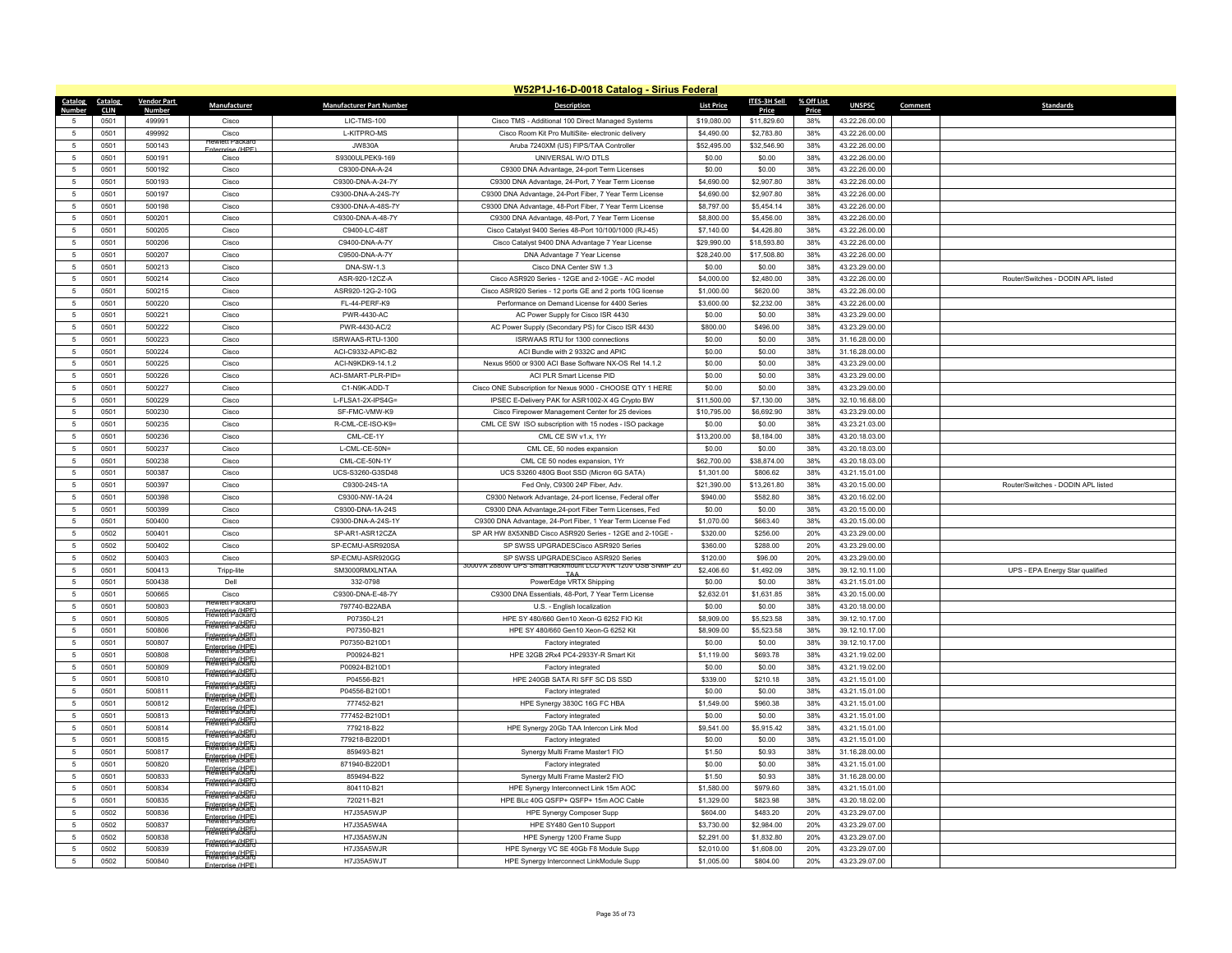|                          | W52P1J-16-D-0018 Catalog - Sirius Federal |                         |                                            |                                  |                                                                                                     |                          |                          |              |                                  |         |                                    |  |
|--------------------------|-------------------------------------------|-------------------------|--------------------------------------------|----------------------------------|-----------------------------------------------------------------------------------------------------|--------------------------|--------------------------|--------------|----------------------------------|---------|------------------------------------|--|
| Catalog Catalog          |                                           | <b>Vendor Part</b>      | Manufacturer                               | <b>Manufacturer Part Number</b>  | <b>Description</b>                                                                                  | <b>List Price</b>        | ITES-3H Sell             | % Off List   | <b>UNSPSC</b>                    | Comment | Standards                          |  |
| Number                   | <b>CLIN</b><br>0501                       | <b>Number</b><br>499991 | Cisco                                      | LIC-TMS-100                      |                                                                                                     | \$19,080.00              | Price<br>\$11,829.60     | Price<br>38% | 43.22.26.00.00                   |         |                                    |  |
| -5                       |                                           |                         |                                            |                                  | Cisco TMS - Additional 100 Direct Managed Systems                                                   |                          |                          |              |                                  |         |                                    |  |
| 5                        | 0501                                      | 499992                  | Cisco<br><b>Hewlett Packa</b>              | L-KITPRO-MS                      | Cisco Room Kit Pro MultiSite- electronic delivery                                                   | \$4,490.00               | \$2,783.80               | 38%          | 43.22.26.00.00                   |         |                                    |  |
| 5                        | 0501                                      | 500143<br>500191        | <b>Enterprise (HPF)</b>                    | <b>JW830A</b><br>S9300ULPEK9-169 | Aruba 7240XM (US) FIPS/TAA Controller<br>UNIVERSAL W/O DTLS                                         | \$52,495.00              | \$32,546.90              | 38%<br>38%   | 43.22.26.00.00                   |         |                                    |  |
| 5                        | 0501                                      |                         | Cisco                                      |                                  |                                                                                                     | \$0.00                   | \$0.00                   |              | 43.22.26.00.00                   |         |                                    |  |
| 5<br>$\overline{5}$      | 0501                                      | 500192                  | Cisco                                      | C9300-DNA-A-24                   | C9300 DNA Advantage, 24-port Term Licenses                                                          | \$0.00                   | \$0.00                   | 38%          | 43.22.26.00.00                   |         |                                    |  |
|                          | 0501                                      | 500193                  | Cisco                                      | C9300-DNA-A-24-7Y                | C9300 DNA Advantage, 24-Port, 7 Year Term License                                                   | \$4,690.00               | \$2,907.80               | 38%          | 43.22.26.00.00                   |         |                                    |  |
| 5                        | 0501                                      | 500197                  | Cisco                                      | C9300-DNA-A-24S-7Y               | C9300 DNA Advantage, 24-Port Fiber, 7 Year Term License                                             | \$4,690.00               | \$2,907.80               | 38%          | 43.22.26.00.00                   |         |                                    |  |
| 5                        | 0501                                      | 500198                  | Cisco                                      | C9300-DNA-A-48S-7Y               | C9300 DNA Advantage, 48-Port Fiber, 7 Year Term License                                             | \$8,797.00               | \$5,454.14               | 38%          | 43.22.26.00.00                   |         |                                    |  |
| 5                        | 0501                                      | 500201                  | Cisco                                      | C9300-DNA-A-48-7Y                | C9300 DNA Advantage, 48-Port, 7 Year Term License                                                   | \$8,800.00               | \$5,456.00               | 38%          | 43.22.26.00.00                   |         |                                    |  |
| $\overline{5}$           | 0501                                      | 500205                  | Cisco                                      | C9400-LC-48T                     | Cisco Catalyst 9400 Series 48-Port 10/100/1000 (RJ-45)                                              | \$7,140.00               | \$4,426.80               | 38%          | 43.22.26.00.00                   |         |                                    |  |
| $\,$ 5                   | 0501                                      | 500206                  | Cisco                                      | C9400-DNA-A-7Y                   | Cisco Catalyst 9400 DNA Advantage 7 Year License                                                    | \$29,990.00              | \$18,593.80              | 38%          | 43.22.26.00.00                   |         |                                    |  |
| 5                        | 0501                                      | 500207                  | Cisco                                      | C9500-DNA-A-7Y                   | DNA Advantage 7 Year License                                                                        | \$28,240.00              | \$17,508.80              | 38%          | 43.22.26.00.00                   |         |                                    |  |
| 5                        | 0501                                      | 500213                  | Cisco                                      | DNA-SW-1.3                       | Cisco DNA Center SW 1.3                                                                             | \$0.00                   | \$0.00                   | 38%          | 43.23.29.00.00                   |         |                                    |  |
| 5                        | 0501                                      | 500214                  | Cisco                                      | ASR-920-12CZ-A                   | Cisco ASR920 Series - 12GE and 2-10GE - AC model                                                    | \$4,000.00               | \$2,480.00               | 38%          | 43.22.26.00.00                   |         | Router/Switches - DODIN APL listed |  |
| 5                        | 0501                                      | 500215                  | Cisco                                      | ASR920-12G-2-10G                 | Cisco ASR920 Series - 12 ports GE and 2 ports 10G license                                           | \$1,000.00               | \$620.00                 | 38%          | 43.22.26.00.00                   |         |                                    |  |
| 5                        | 0501                                      | 500220                  | Cisco                                      | FL-44-PERF-K9                    | Performance on Demand License for 4400 Series                                                       | \$3,600.00               | \$2,232.00               | 38%          | 43.22.26.00.00                   |         |                                    |  |
| 5                        | 0501                                      | 500221                  | Cisco                                      | <b>PWR-4430-AC</b>               | AC Power Supply for Cisco ISR 4430                                                                  | \$0.00                   | \$0.00                   | 38%          | 43.23.29.00.00                   |         |                                    |  |
| $\,$ 5                   | 0501                                      | 500222                  | Cisco                                      | PWR-4430-AC/2                    | AC Power Supply (Secondary PS) for Cisco ISR 4430                                                   | \$800.00                 | \$496.00                 | 38%          | 43.23.29.00.00                   |         |                                    |  |
| $\overline{5}$           | 0501                                      | 500223                  | Cisco                                      | ISRWAAS-RTU-1300                 | ISRWAAS RTU for 1300 connections                                                                    | \$0.00                   | \$0.00                   | 38%          | 31.16.28.00.00                   |         |                                    |  |
| 5                        | 0501                                      | 500224                  | Cisco                                      | ACI-C9332-APIC-B2                | ACI Bundle with 2 9332C and APIC                                                                    | \$0.00                   | \$0.00                   | 38%          | 31.16.28.00.00                   |         |                                    |  |
| 5                        | 0501                                      | 500225                  | Cisco                                      | ACI-N9KDK9-14.1.2                | Nexus 9500 or 9300 ACI Base Software NX-OS Rel 14.1.2                                               | \$0.00                   | \$0.00                   | 38%          | 43.23.29.00.00                   |         |                                    |  |
| 5                        | 0501                                      | 500226                  | Cisco                                      | ACI-SMART-PLR-PID=               | ACI PLR Smart License PID                                                                           | \$0.00                   | \$0.00                   | 38%          | 43.23.29.00.00                   |         |                                    |  |
| 5                        | 0501                                      | 500227                  | Cisco                                      | C1-N9K-ADD-T                     | Cisco ONE Subscription for Nexus 9000 - CHOOSE QTY 1 HERE                                           | \$0.00                   | \$0.00                   | 38%          | 43.23.29.00.00                   |         |                                    |  |
| $\,$ 5                   | 0501                                      | 500229                  | Cisco                                      | L-FLSA1-2X-IPS4G=                | IPSEC E-Delivery PAK for ASR1002-X 4G Crypto BW                                                     | \$11,500.00              | \$7,130.00               | 38%          | 32.10.16.68.00                   |         |                                    |  |
| 5                        | 0501                                      | 500230                  | Cisco                                      | SF-FMC-VMW-K9                    | Cisco Firepower Management Center for 25 devices                                                    | \$10,795.00              | \$6,692.90               | 38%          | 43.23.29.00.00                   |         |                                    |  |
| 5                        | 0501                                      | 500235                  | Cisco                                      | R-CML-CE-ISO-K9=                 | CML CE SW ISO subscription with 15 nodes - ISO package                                              | \$0.00                   | \$0.00                   | 38%          | 43.23.21.03.00                   |         |                                    |  |
| 5                        | 0501                                      | 500236                  | Cisco                                      | CML-CE-1Y                        | CML CE SW v1.x, 1Yr                                                                                 | \$13,200.00              | \$8,184.00               | 38%          | 43.20.18.03.00                   |         |                                    |  |
| 5                        | 0501                                      | 500237                  | Cisco                                      | L-CML-CE-50N=                    | CML CE, 50 nodes expansion                                                                          | \$0.00                   | \$0.00                   | 38%          | 43.20.18.03.00                   |         |                                    |  |
| 5                        | 0501                                      | 500238                  | Cisco                                      | CML-CE-50N-1Y                    | CML CE 50 nodes expansion, 1Yr                                                                      | \$62,700.00              | \$38,874.00              | 38%          | 43.20.18.03.00                   |         |                                    |  |
| 5                        | 0501                                      | 500387                  | Cisco                                      | UCS-S3260-G3SD48                 | UCS S3260 480G Boot SSD (Micron 6G SATA)                                                            | \$1,301.00               | \$806.62                 | 38%          | 43.21.15.01.00                   |         |                                    |  |
| 5                        | 0501                                      | 500397                  | Cisco                                      | C9300-24S-1A                     | Fed Only, C9300 24P Fiber, Adv                                                                      | \$21,390.00              | \$13,261.80              | 38%          | 43.20.15.00.00                   |         | Router/Switches - DODIN APL listed |  |
| 5                        | 0501                                      | 500398                  | Cisco                                      | C9300-NW-1A-24                   | C9300 Network Advantage, 24-port license, Federal offer                                             | \$940.00                 | \$582.80                 | 38%          | 43.20.16.02.00                   |         |                                    |  |
| 5                        | 0501                                      | 500399                  | Cisco                                      | C9300-DNA-1A-24S                 | C9300 DNA Advantage, 24-port Fiber Term Licenses, Fed                                               | \$0.00                   | \$0.00                   | 38%          | 43.20.15.00.00                   |         |                                    |  |
| 5                        | 0501                                      | 500400                  | Cisco                                      | C9300-DNA-A-24S-1Y               | C9300 DNA Advantage, 24-Port Fiber, 1 Year Term License Fed                                         | \$1,070.00               | \$663.40                 | 38%          | 43.20.15.00.00                   |         |                                    |  |
| $\overline{5}$           | 0502                                      | 500401                  | Cisco                                      | SP-AR1-ASR12CZA                  | SP AR HW 8X5XNBD Cisco ASR920 Series - 12GE and 2-10GE -                                            | \$320.00                 | \$256.00                 | 20%          | 43.23.29.00.00                   |         |                                    |  |
| 5                        | 0502                                      | 500402                  | Cisco                                      | SP-ECMU-ASR920SA                 | SP SWSS UPGRADESCisco ASR920 Series                                                                 | \$360.00                 | \$288.00                 | 20%          | 43.23.29.00.00                   |         |                                    |  |
| 5<br>5                   | 0502                                      | 500403                  | Cisco                                      | SP-ECMU-ASR920GG                 | SP SWSS UPGRADESCisco ASR920 Series<br>3000VA 2880W<br>UPS Smart Rackmount LCD AVR 120V USB SNMP 2U | \$120.00                 | \$96.00                  | 20%          | 43.23.29.00.00                   |         |                                    |  |
|                          | 0501                                      | 500413                  | Tripp-lite                                 | SM3000RMXLNTAA                   |                                                                                                     | \$2,406.60               | \$1,492.09               | 38%          | 39.12.10.11.00                   |         | UPS - EPA Energy Star qualified    |  |
| 5                        | 0501                                      | 500438<br>500665        | Dell                                       | 332-0798                         | PowerEdge VRTX Shipping                                                                             | \$0.00                   | \$0.00                   | 38%          | 43.21.15.01.00                   |         |                                    |  |
| $\,$ 5<br>$\overline{5}$ | 0501                                      |                         | Cisco<br>ewlett Packar                     | C9300-DNA-E-48-7Y                | C9300 DNA Essentials, 48-Port, 7 Year Term License                                                  | \$2,632.01               | \$1,631.85               | 38%          | 43.20.15.00.00                   |         |                                    |  |
|                          | 0501                                      | 500803                  | Fre <del>torerise (URF)</del>              | 797740-B22ABA                    | U.S. - English localization                                                                         | \$0.00                   | \$0.00                   | 38%          | 43.20.18.00.00                   |         |                                    |  |
| 5<br>5                   | 0501<br>0501                              | 500805<br>500806        | <b>Freterett Packard</b>                   | P07350-L21<br>P07350-B21         | HPE SY 480/660 Gen10 Xeon-G 6252 FIO Kit<br>HPE SY 480/660 Gen10 Xeon-G 6252 Kit                    | \$8,909.00<br>\$8,909.00 | \$5,523.58<br>\$5,523,58 | 38%<br>38%   | 39.12.10.17.00<br>39.12.10.17.00 |         |                                    |  |
| 5                        |                                           |                         | <b>Figteriet Packard</b>                   |                                  |                                                                                                     | \$0.00                   |                          |              |                                  |         |                                    |  |
| 5                        | 0501                                      | 500807<br>500808        | <b>Faterari se (HPF)</b>                   | P07350-B210D1                    | Factory integrated                                                                                  |                          | \$0.00                   | 38%          | 39.12.10.17.00                   |         |                                    |  |
|                          | 0501<br>0501                              | 500809                  | Faterarise (HPF)                           | P00924-B21<br>P00924-B210D1      | HPE 32GB 2Rx4 PC4-2933Y-R Smart Kit                                                                 | \$1,119.00<br>\$0.00     | \$693.78<br>\$0.00       | 38%<br>38%   | 43.21.19.02.00<br>43.21.19.02.00 |         |                                    |  |
| -5<br>5                  |                                           | 500810                  | <b>Fretoreti seatslate</b>                 | P04556-B21                       | Factory integrated                                                                                  |                          | \$210.18                 | 38%          |                                  |         |                                    |  |
| 5                        | 0501<br>0501                              | 500811                  | <b>Frewrett Packard</b>                    | P04556-B210D1                    | HPE 240GB SATA RI SFF SC DS SSD<br>Factory integrated                                               | \$339.00<br>\$0.00       | \$0.00                   | 38%          | 43.21.15.01.00<br>43.21.15.01.00 |         |                                    |  |
| 5                        | 0501                                      | 500812                  | <b>Faterprise (HPF)</b>                    | 777452-B21                       | HPE Synergy 3830C 16G FC HBA                                                                        | \$1,549.00               | \$960.38                 | 38%          | 43.21.15.01.00                   |         |                                    |  |
| 5                        | 0501                                      | 500813                  | Enterprise (HPE)<br>Flewlett Packard       | 777452-B210D1                    | Factory integrated                                                                                  | \$0.00                   | \$0.00                   | 38%          | 43.21.15.01.00                   |         |                                    |  |
| $\overline{5}$           | 0501                                      | 500814                  | <b>Faterprise (HPF)</b>                    | 779218-B22                       | HPE Synergy 20Gb TAA Intercon Link Mod                                                              | \$9,541.00               | \$5,915.42               | 38%          | 43.21.15.01.00                   |         |                                    |  |
| 5                        | 0501                                      | 500815                  | <b>Fretoretise (HBF)</b>                   | 779218-B220D1                    | Factory integrated                                                                                  | \$0.00                   | \$0.00                   | 38%          | 43.21.15.01.00                   |         |                                    |  |
| 5                        | 0501                                      | 500817                  | <b>Frewrett Packard</b>                    | 859493-B21                       | Synergy Multi Frame Master1 FIO                                                                     | \$1.50                   | \$0.93                   | 38%          | 31.16.28.00.00                   |         |                                    |  |
| $\overline{5}$           | 0501                                      | 500820                  | Frewreti Packard                           | 871940-B220D1                    | Factory integrated                                                                                  | \$0.00                   | \$0.00                   | 38%          | 43.21.15.01.00                   |         |                                    |  |
| 5                        | 0501                                      | 500833                  | <b>Faterprise (HPF)</b>                    | 859494-B22                       | Synergy Multi Frame Master2 FIO                                                                     | \$1.50                   | \$0.93                   | 38%          | 31.16.28.00.00                   |         |                                    |  |
| 5                        | 0501                                      | 500834                  | <b>Fnterprise (HPF</b><br>Flewlett Packard | 804110-B21                       | HPE Synergy Interconnect Link 15m AOC                                                               | \$1,580.00               | \$979.60                 | 38%          | 43.21.15.01.00                   |         |                                    |  |
| 5                        | 0501                                      | 500835                  | <del>Fatoracise (USF)</del>                | 720211-B21                       | HPE BLc 40G QSFP+ QSFP+ 15m AOC Cable                                                               | \$1,329.00               | \$823.98                 | 38%          | 43.20.18.02.00                   |         |                                    |  |
| 5                        | 0502                                      | 500836                  | <b>Fretorett PackaFd</b>                   | H7J35A5WJP                       | <b>HPE Synergy Composer Supp</b>                                                                    | \$604.00                 | \$483.20                 | 20%          | 43.23.29.07.00                   |         |                                    |  |
| -5                       | 0502                                      | 500837                  | <b>Faterprise (HPF)</b>                    | H7J35A5W4A                       | HPE SY480 Gen10 Support                                                                             | \$3,730.00               | \$2.984.00               | 20%          | 43.23.29.07.00                   |         |                                    |  |
| 5                        | 0502                                      | 500838                  | <b>Faterative (HPF</b>                     | H7J35A5WJN                       | HPE Synergy 1200 Frame Supp                                                                         | \$2,291.00               | \$1,832.80               | 20%          | 43.23.29.07.00                   |         |                                    |  |
| 5                        | 0502                                      | 500839                  | <b>Faterative (HPF</b>                     | H7J35A5WJR                       | HPE Synergy VC SE 40Gb F8 Module Supp                                                               | \$2,010.00               | \$1,608.00               | 20%          | 43.23.29.07.00                   |         |                                    |  |
| 5                        | 0502                                      | 500840                  | Faterarise (HRF)                           | H7J35A5WJT                       | HPE Synergy Interconnect LinkModule Supp                                                            | \$1,005.00               | \$804.00                 | 20%          | 43.23.29.07.00                   |         |                                    |  |
|                          |                                           |                         | Enternrise (HPE)                           |                                  |                                                                                                     |                          |                          |              |                                  |         |                                    |  |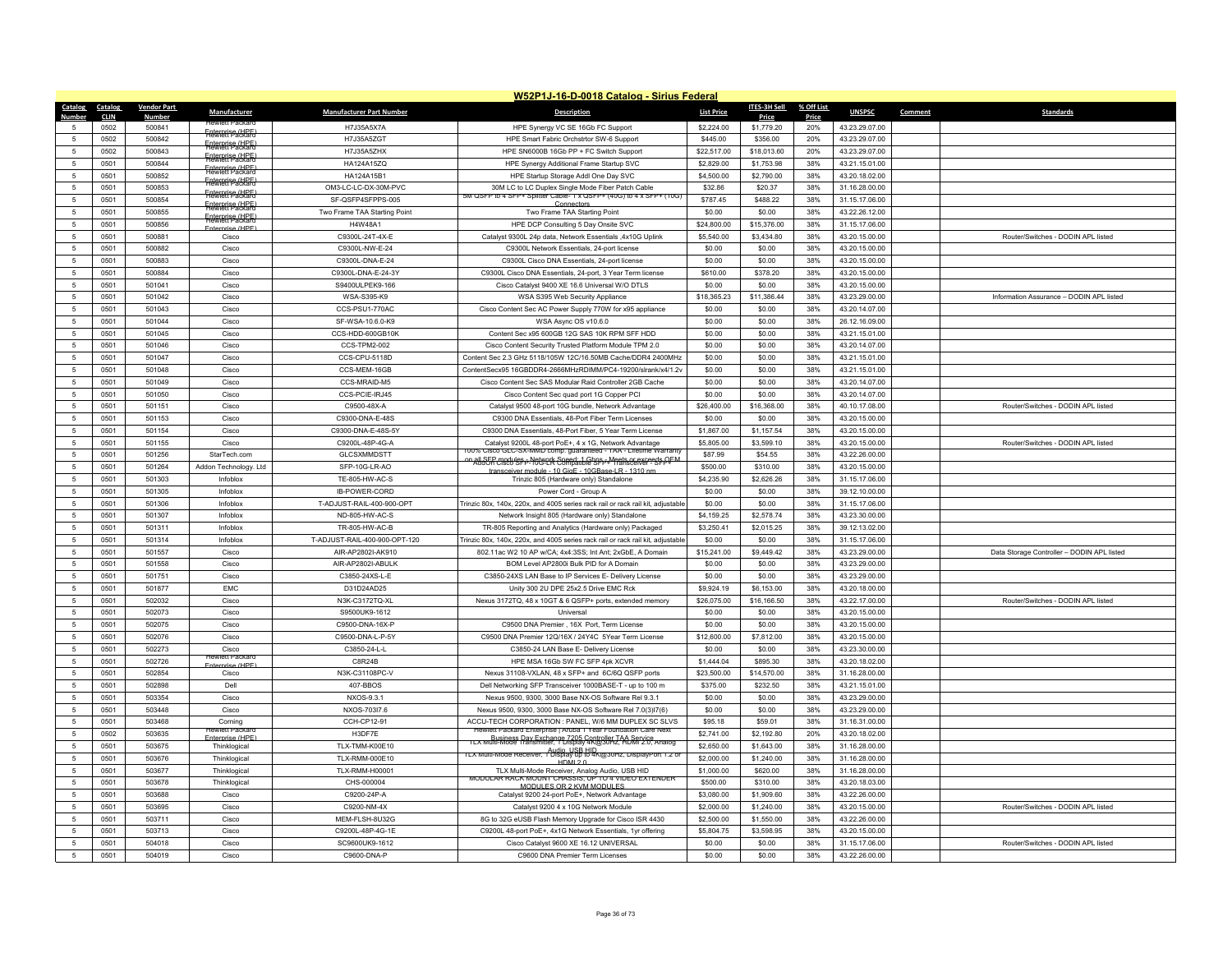| W52P1J-16-D-0018 Catalog - Sirius Federal |                     |                         |                                 |                                 |                                                                                                                                      |                           |                     |              |                                  |         |                                            |
|-------------------------------------------|---------------------|-------------------------|---------------------------------|---------------------------------|--------------------------------------------------------------------------------------------------------------------------------------|---------------------------|---------------------|--------------|----------------------------------|---------|--------------------------------------------|
| Catalog                                   | Catalog             | <b>Vendor Part</b>      | Manufacturer                    | <b>Manufacturer Part Number</b> | <b>Description</b>                                                                                                                   | <b>List Price</b>         | <b>ITES-3H Sell</b> | % Off List   | <b>UNSPSC</b>                    | Comment | Standards                                  |
| 5                                         | <b>CLIN</b><br>0502 | <b>Number</b><br>500841 |                                 | H7J35A5X7A                      | HPE Synergy VC SE 16Gb FC Support                                                                                                    | \$2,224.00                | Price<br>\$1,779.20 | Price<br>20% | 43.23.29.07.00                   |         |                                            |
| -5                                        | 0502                | 500842                  | Frewrett Packard                | H7J35A5ZGT                      | HPE Smart Fabric Orchstrtor SW-6 Support                                                                                             | \$445.00                  | \$356.00            | 20%          | 43.23.29.07.00                   |         |                                            |
| 5                                         | 0502                | 500843                  | <b>Faterprise (HPF)</b>         | H7J35A5ZHX                      | HPE SN6000B 16Gb PP + FC Switch Support                                                                                              | \$22,517.00               | \$18,013.60         | 20%          | 43.23.29.07.00                   |         |                                            |
| 5                                         | 0501                | 500844                  | Enterprise (HPF                 | HA124A15ZQ                      | HPE Synergy Additional Frame Startup SVC                                                                                             | \$2,829.00                | \$1,753.98          | 38%          | 43.21.15.01.00                   |         |                                            |
| 5                                         | 0501                | 500852                  | Enterprise (HPF)                | HA124A15B1                      | HPE Startup Storage Addl One Day SVC                                                                                                 | \$4,500.00                | \$2,790.00          | 38%          | 43.20.18.02.00                   |         |                                            |
| $\sqrt{5}$                                | 0501                | 500853                  | <del>Fretorietise (URF)</del>   | OM3-LC-LC-DX-30M-PVC            | 30M LC to LC Duplex Single Mode Fiber Patch Cable                                                                                    | \$32.86                   | \$20.37             | 38%          | 31.16.28.00.00                   |         |                                            |
| 5                                         | 0501                | 500854                  | <b>Figteriate CHPF</b>          | SF-QSFP4SFPPS-005               | 5M QSFP to 4 SFP+ Splitter Cable- 1 x QSFP+ (40G) to 4 x SFP+ (10G)                                                                  | \$787.45                  | \$488.22            | 38%          | 31.15.17.06.00                   |         |                                            |
| 5                                         | 0501                | 500855                  | <b>Figterieti Packard</b>       | Two Frame TAA Starting Point    | Two Frame TAA Starting Point                                                                                                         | \$0.00                    | \$0.00              | 38%          | 43.22.26.12.00                   |         |                                            |
| $5\phantom{.0}$                           | 0501                | 500856                  | <b>Faterprise (HPF)</b>         | H4W48A1                         | HPE DCP Consulting 5 Day Onsite SVC                                                                                                  | \$24,800.00               | \$15,376.00         | 38%          | 31.15.17.06.00                   |         |                                            |
| 5                                         | 0501                | 500881                  | Fnterprise (HPF)<br>Cisco       | C9300L-24T-4X-E                 | Catalyst 9300L 24p data, Network Essentials .4x10G Uplink                                                                            | \$5,540.00                | \$3,434,80          | 38%          | 43.20.15.00.00                   |         | Router/Switches - DODIN API listed         |
| 5                                         | 0501                | 500882                  | Cisco                           | C9300L-NW-E-24                  | C9300L Network Essentials, 24-port license                                                                                           | \$0.00                    | \$0.00              | 38%          | 43.20.15.00.00                   |         |                                            |
| $\sqrt{5}$                                | 0501                | 500883                  | Cisco                           | C9300L-DNA-E-24                 | C9300L Cisco DNA Essentials, 24-port license                                                                                         | \$0.00                    | \$0.00              | 38%          | 43.20.15.00.00                   |         |                                            |
| 5                                         | 0501                | 500884                  | Cisco                           | C9300L-DNA-E-24-3Y              | C9300L Cisco DNA Essentials, 24-port, 3 Year Term license                                                                            | \$610.00                  | \$378.20            | 38%          | 43.20.15.00.00                   |         |                                            |
| 5                                         | 0501                | 501041                  | Cisco                           | S9400ULPEK9-166                 | Cisco Catalyst 9400 XE 16.6 Universal W/O DTLS                                                                                       | \$0.00                    | \$0.00              | 38%          | 43.20.15.00.00                   |         |                                            |
| $5\phantom{.0}$                           | 0501                | 501042                  | Cisco                           | WSA-S395-K9                     | WSA S395 Web Security Appliance                                                                                                      | \$18,365.23               | \$11,386.44         | 38%          | 43.23.29.00.00                   |         | Information Assurance - DODIN APL listed   |
| 5                                         | 0501                | 501043                  | Cisco                           | CCS-PSU1-770AC                  | Cisco Content Sec AC Power Supply 770W for x95 appliance                                                                             | \$0.00                    | \$0.00              | 38%          | 43.20.14.07.00                   |         |                                            |
| $\sqrt{5}$                                | 0501                | 501044                  | Cisco                           | SF-WSA-10.6.0-K9                | WSA Async OS v10.6.0                                                                                                                 | \$0.00                    | \$0.00              | 38%          | 26.12.16.09.00                   |         |                                            |
| 5                                         | 0501                | 501045                  | Cisco                           | CCS-HDD-600GB10K                | Content Sec x95 600GB 12G SAS 10K RPM SFF HDD                                                                                        | \$0.00                    | \$0.00              | 38%          | 43.21.15.01.00                   |         |                                            |
| 5                                         | 0501                | 501046                  | Cisco                           | <b>CCS-TPM2-002</b>             | Cisco Content Security Trusted Platform Module TPM 2.0                                                                               | \$0.00                    | \$0.00              | 38%          | 43.20.14.07.00                   |         |                                            |
| -5                                        | 0501                | 501047                  | Cisco                           | CCS-CPU-5118D                   | Content Sec 2.3 GHz 5118/105W 12C/16.50MB Cache/DDR4 2400MHz                                                                         | \$0.00                    | \$0.00              | 38%          | 43 21 15 01 00                   |         |                                            |
| 5                                         | 0501                | 501048                  | Cisco                           | CCS-MEM-16GB                    | ContentSecx95 16GBDDR4-2666MHzRDIMM/PC4-19200/slrank/x4/1.2v                                                                         | \$0.00                    | \$0.00              | 38%          | 43.21.15.01.00                   |         |                                            |
| 5                                         | 0501                | 501049                  | Cisco                           | CCS-MRAID-M5                    | Cisco Content Sec SAS Modular Raid Controller 2GB Cache                                                                              | \$0.00                    | \$0.00              | 38%          | 43.20.14.07.00                   |         |                                            |
| -5                                        | 0501                | 501050                  | Cisco                           | CCS-PCIE-IRJ45                  | Cisco Content Sec quad port 1G Copper PCI                                                                                            | \$0.00                    | \$0.00              | 38%          | 43.20.14.07.00                   |         |                                            |
| $\sqrt{5}$                                | 0501                | 501151                  | Cisco                           | C9500-48X-A                     | Catalyst 9500 48-port 10G bundle, Network Advantage                                                                                  | \$26,400.00               | \$16,368.00         | 38%          | 40.10.17.08.00                   |         | Router/Switches - DODIN API listed         |
| $\,$ 5 $\,$                               | 0501                | 501153                  | Cisco                           | C9300-DNA-E-48S                 | C9300 DNA Essentials, 48-Port Fiber Term Licenses                                                                                    | \$0.00                    | \$0.00              | 38%          | 43.20.15.00.00                   |         |                                            |
| 5                                         | 0501                | 501154                  | Cisco                           | C9300-DNA-F-48S-5)              | C9300 DNA Essentials, 48-Port Fiber, 5 Year Term License                                                                             | \$1,867.00                | \$1,157.54          | 38%          | 43.20.15.00.00                   |         |                                            |
| $5\phantom{.0}$                           | 0501                | 501155                  | Cisco                           | C9200L-48P-4G-A                 | Catalyst 9200L 48-port PoE+, 4 x 1G, Network Advantage                                                                               | \$5,805.00                | \$3,599.10          | 38%          | 43.20.15.00.00                   |         | Router/Switches - DODIN APL listed         |
| $\sqrt{5}$                                | 0501                | 501256                  | StarTech.com                    | <b>GLCSXMMDSTT</b>              | 100% Cisco GLC-SX-MMD comp. guaranteed - TAA - Lifetime Warrant<br>on all SEP modules = Network Speed: 1 Gbps = Meets or exceeds OFM | \$87.99                   | \$54.55             | 38%          | 43.22.26.00.00                   |         |                                            |
| 5                                         | 0501                | 501264                  | Addon Technology. Ltd           | SFP-10G-LR-AO                   | ver module - 10 GigF - 10GBase-LR - 1310 nr                                                                                          | \$500.00                  | \$310.00            | 38%          | 43.20.15.00.00                   |         |                                            |
| $\sqrt{5}$                                | 0501                | 501303                  | Infoblox                        | TE-805-HW-AC-S                  | Trinzic 805 (Hardware only) Standalone                                                                                               | \$4,235.90                | \$2,626.26          | 38%          | 31.15.17.06.00                   |         |                                            |
| 5                                         | 0501                | 501305                  | Infoblox                        | <b>IB-POWER-CORD</b>            | Power Cord - Group A                                                                                                                 | \$0.00                    | \$0.00              | 38%          | 39.12.10.00.00                   |         |                                            |
| 5                                         | 0501                | 501306                  | Infoblox                        | T-ADJUST-RAIL-400-900-OPT       | Trinzic 80x, 140x, 220x, and 4005 series rack rail or rack rail kit, adjustable                                                      | \$0.00                    | \$0.00              | 38%          | 31.15.17.06.00                   |         |                                            |
| $\sqrt{5}$                                | 0501                | 501307                  | Infoblox                        | ND-805-HW-AC-S                  | Network Insight 805 (Hardware only) Standalone                                                                                       | \$4,159.25                | \$2,578.74          | 38%          | 43.23.30.00.00                   |         |                                            |
| 5                                         | 0501                | 501311                  | Infoblox                        | TR-805-HW-AC-B                  | TR-805 Reporting and Analytics (Hardware only) Packaged                                                                              | \$3,250.41                | \$2.015.25          | 38%          | 39.12.13.02.00                   |         |                                            |
| $\sqrt{5}$                                | 0501                | 501314                  | Infoblox                        | T-ADJUST-RAIL-400-900-OPT-120   | Trinzic 80x, 140x, 220x, and 4005 series rack rail or rack rail kit, adjustable                                                      | \$0.00                    | \$0.00              | 38%          | 31.15.17.06.00                   |         |                                            |
| 5                                         | 0501                | 501557                  | Cisco                           | AIR-AP2802I-AK910               | 802.11ac W2 10 AP w/CA; 4x4:3SS; Int Ant; 2xGbE, A Domain                                                                            | \$15,241.00               | \$9,449.42          | 38%          | 43.23.29.00.00                   |         | Data Storage Controller - DODIN APL listed |
| 5                                         | 0501                | 501558                  | Cisco                           | AIR-AP2802I-ABULK               | BOM Level AP2800i Bulk PID for A Domain                                                                                              | \$0.00                    | \$0.00              | 38%          | 43.23.29.00.00                   |         |                                            |
| $\sqrt{5}$                                | 0501                | 501751                  | Cisco                           | C3850-24XS-L-E                  | C3850-24XS LAN Base to IP Services E- Delivery License                                                                               | \$0.00                    | \$0.00              | 38%          | 43.23.29.00.00                   |         |                                            |
| -5                                        | 0501                | 501877                  | <b>FMC</b>                      | D31D24AD25                      | Unity 300 2U DPE 25x2.5 Drive EMC Rck                                                                                                | \$9,924.19                | \$6,153.00          | 38%          | 43.20.18.00.00                   |         |                                            |
| 5                                         | 0501                | 502032                  | Cisco                           | N3K-C3172TQ-XL                  | Nexus 3172TQ, 48 x 10GT & 6 QSFP+ ports, extended memory                                                                             | \$26,075.00               | \$16,166.50         | 38%          | 43.22.17.00.00                   |         | Router/Switches - DODIN APL listed         |
| 5                                         | 0501                | 502073                  | Cisco                           | S9500UK9-1612                   | Universa                                                                                                                             | \$0.00                    | \$0.00              | 38%          | 43.20.15.00.00                   |         |                                            |
| 5                                         | 0501                | 502075                  | Cisco                           | C9500-DNA-16X-P                 | C9500 DNA Premier, 16X Port, Term License                                                                                            | \$0.00                    | \$0.00              | 38%          | 43.20.15.00.00                   |         |                                            |
| 5                                         | 0501                | 502076                  | Cisco                           | C9500-DNA-L-P-5Y                | C9500 DNA Premier 12Q/16X / 24Y4C 5Year Term License                                                                                 | \$12,600.00               | \$7,812.00          | 38%          | 43.20.15.00.00                   |         |                                            |
| $5\phantom{.0}$<br>5                      | 0501<br>0501        | 502273<br>502726        | Cisco<br>Hewlett Packa          | C3850-24-L-L<br>C8R24B          | C3850-24 LAN Base E- Delivery License<br>HPE MSA 16Gb SW FC SFP 4pk XCVR                                                             | \$0.00                    | \$0.00<br>\$895.30  | 38%<br>38%   | 43.23.30.00.00                   |         |                                            |
| $\sqrt{5}$                                | 0501                | 502854                  | IP Asimetr<br>Cisco             | N3K-C31108PC-V                  | Nexus 31108-VXLAN, 48 x SFP+ and 6C/6Q QSFP ports                                                                                    | \$1,444.04<br>\$23,500.00 | \$14,570.00         | 38%          | 43.20.18.02.00<br>31.16.28.00.00 |         |                                            |
| 5                                         | 0501                | 502898                  | Dell                            | 407-BBOS                        | Dell Networking SFP Transceiver 1000BASE-T - up to 100 m                                                                             | \$375.00                  | \$232.50            | 38%          | 43.21.15.01.00                   |         |                                            |
| 5                                         | 0501                | 503354                  | Cisco                           | NXOS-9.3.1                      | Nexus 9500, 9300, 3000 Base NX-OS Software Rel 9.3.1                                                                                 | \$0.00                    | \$0.00              | 38%          | 43.23.29.00.00                   |         |                                            |
| -5                                        | 0501                | 503448                  | Cisco                           | NXOS-703l7.6                    | Nexus 9500, 9300, 3000 Base NX-OS Software Rel 7.0(3)I7(6)                                                                           | \$0.00                    | \$0.00              | 38%          | 43.23.29.00.00                   |         |                                            |
| $5\phantom{.0}$                           | 0501                | 503468                  | Coming                          | CCH-CP12-91                     | ACCU-TECH CORPORATION : PANEL, W/6 MM DUPLEX SC SLVS                                                                                 | \$95.18                   | \$59.01             | 38%          | 31.16.31.00.00                   |         |                                            |
| 5                                         | 0502                | 503635                  | lewieff Packa                   | H3DF7E                          | Hewlett Packard Enterprise   Aruba 1 Year Foundation Care Next                                                                       | \$2,741.00                | \$2,192.80          | 20%          | 43.20.18.02.00                   |         |                                            |
| -5                                        | 0501                | 503675                  | Internrise (HPF<br>Thinklogical | TLX-TMM-K00E10                  | TLX Multi-Mode Transmitter, 1 Display 4R@30Hz, ADMP2.0, Analog                                                                       | \$2,650.00                | \$1,643.00          | 38%          | 31.16.28.00.00                   |         |                                            |
| $\sqrt{5}$                                | 0501                | 503676                  | Thinklogical                    | TLX-RMM-000E10                  | TLX Multi-Mode Receiver, 1 Display up to 4K@30Hz, DisplayPort 1.2 or                                                                 | \$2,000.00                | \$1,240.00          | 38%          | 31.16.28.00.00                   |         |                                            |
| $\sqrt{5}$                                | 0501                | 503677                  | Thinklogical                    | <b>TLX-RMM-H00001</b>           | HDM120<br>TLX Multi-Mode Receiver, Analog Audio, USB HID                                                                             | \$1,000.00                | \$620.00            | 38%          | 31.16.28.00.00                   |         |                                            |
| 5                                         | 0501                | 503678                  | Thinklogical                    | CHS-000004                      | MODULAR RACK MOUNT CHASSIS, UP TO 4 VIDEO EXTENDER                                                                                   | \$500.00                  | \$310.00            | 38%          | 43.20.18.03.00                   |         |                                            |
| 5                                         | 0501                | 503688                  | Cisco                           | C9200-24P-A                     | MODULES OR 2 KVM MODULES<br>Catalyst 9200 24-port PoE+. Network Advantage                                                            | \$3,080.00                | \$1,909.60          | 38%          | 43.22.26.00.00                   |         |                                            |
| 5                                         | 0501                | 503695                  | Cisco                           | C9200-NM-4X                     | Catalyst 9200 4 x 10G Network Module                                                                                                 | \$2,000.00                | \$1,240.00          | 38%          | 43.20.15.00.00                   |         | Router/Switches - DODIN APL listed         |
| 5                                         | 0501                | 503711                  | Cisco                           | MEM-FLSH-8U32G                  | 8G to 32G eUSB Flash Memory Upgrade for Cisco ISR 4430                                                                               | \$2,500.00                | \$1,550.00          | 38%          | 43.22.26.00.00                   |         |                                            |
| $\overline{5}$                            | 0501                | 503713                  | Cisco                           | C9200L-48P-4G-1E                | C9200L 48-port PoE+, 4x1G Network Essentials, 1yr offering                                                                           | \$5,804.75                | \$3,598.95          | 38%          | 43.20.15.00.00                   |         |                                            |
| 5                                         | 0501                | 504018                  | Cisco                           | SC9600UK9-1612                  | Cisco Catalyst 9600 XF 16 12 UNIVERSAL                                                                                               | \$0.00                    | \$0.00              | 38%          | 31.15.17.06.00                   |         | Router/Switches - DODIN API listed         |
| $\sqrt{5}$                                | 0501                | 504019                  | Cisco                           | C9600-DNA-P                     | C9600 DNA Premier Term Licenses                                                                                                      | \$0.00                    | \$0.00              | 38%          | 43.22.26.00.00                   |         |                                            |
|                                           |                     |                         |                                 |                                 |                                                                                                                                      |                           |                     |              |                                  |         |                                            |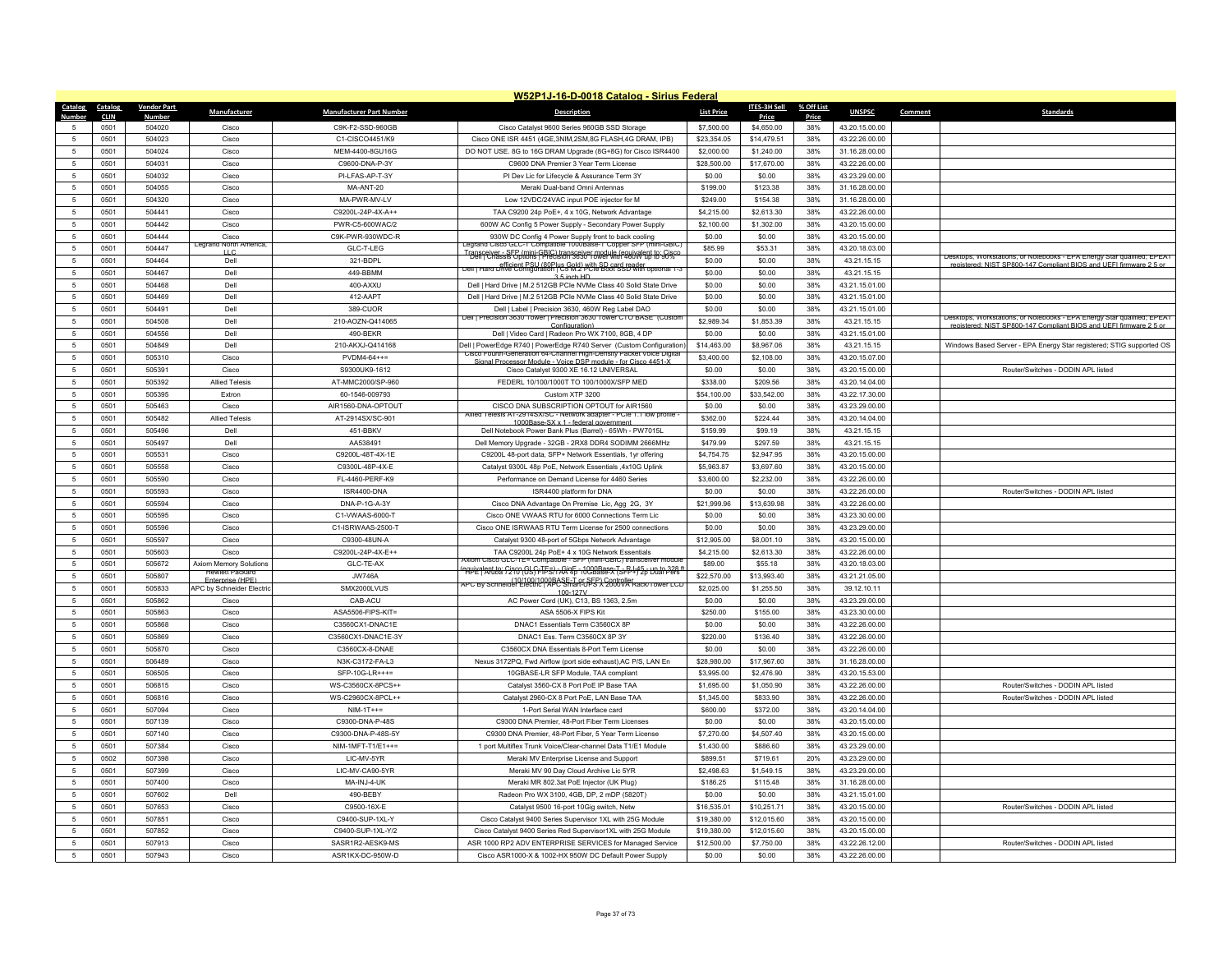|                |             |                    |                                            |                                 | W52P1J-16-D-0018 Catalog - Sirius Federal                                                                                                   |                   |              |            |                |         |                                                                         |
|----------------|-------------|--------------------|--------------------------------------------|---------------------------------|---------------------------------------------------------------------------------------------------------------------------------------------|-------------------|--------------|------------|----------------|---------|-------------------------------------------------------------------------|
| Catalog        | Catalog     | <b>Vendor Part</b> | Manufacturer                               | <b>Manufacturer Part Number</b> | <b>Description</b>                                                                                                                          | <b>List Price</b> | ITES-3H Sell | % Off List | <b>UNSPSC</b>  | Comment | <b>Standards</b>                                                        |
| Numhei         | <b>CLIN</b> | Numbe              |                                            |                                 |                                                                                                                                             |                   | Price        | Price      |                |         |                                                                         |
|                | 0501        | 504020             | Cisco                                      | C9K-F2-SSD-960GB                | Cisco Catalyst 9600 Series 960GB SSD Storage                                                                                                | \$7,500.00        | \$4,650.00   | 38%        | 43.20.15.00.00 |         |                                                                         |
| $\sqrt{2}$     | 0501        | 504023             | Cisco                                      | C1-CISCO4451/K9                 | Cisco ONE ISR 4451 (4GE, 3NIM, 2SM, 8G FLASH, 4G DRAM, IPB)                                                                                 | \$23,354.05       | \$14,479.51  | 38%        | 43.22.26.00.00 |         |                                                                         |
| $\overline{5}$ | 0501        | 504024             | Cisco                                      | MEM-4400-8GU16G                 | DO NOT USE, 8G to 16G DRAM Upgrade (8G+8G) for Cisco ISR4400                                                                                | \$2,000.00        | \$1,240.00   | 38%        | 31.16.28.00.00 |         |                                                                         |
| $\overline{5}$ | 0501        | 504031             | Cisco                                      | C9600-DNA-P-3Y                  | C9600 DNA Premier 3 Year Term License                                                                                                       | \$28,500.00       | \$17,670.00  | 38%        | 43.22.26.00.00 |         |                                                                         |
| -5             | 0501        | 504032             | Cisco                                      | PI-LFAS-AP-T-3Y                 | PI Dev Lic for Lifecycle & Assurance Term 3Y                                                                                                | \$0.00            | \$0.00       | 38%        | 43.23.29.00.00 |         |                                                                         |
| -5             | 0501        | 504055             | Cisco                                      | MA-ANT-20                       | Meraki Dual-band Omni Antennas                                                                                                              | \$199.00          | \$123.38     | 38%        | 31.16.28.00.00 |         |                                                                         |
| $\overline{5}$ | 0501        | 504320             | Cisco                                      | MA-PWR-MV-LV                    | Low 12VDC/24VAC input POE injector for M                                                                                                    | \$249.00          | \$154.38     | 38%        | 31.16.28.00.00 |         |                                                                         |
| $\overline{5}$ | 0501        | 504441             | Cisco                                      | C9200L-24P-4X-A++               | TAA C9200 24p PoE+, 4 x 10G, Network Advantage                                                                                              | \$4,215.00        | \$2,613.30   | 38%        | 43.22.26.00.00 |         |                                                                         |
| 5              | 0501        | 504442             | Cisco                                      | PWR-C5-600WAC/2                 | 600W AC Config 5 Power Supply - Secondary Power Supply                                                                                      | \$2,100.00        | \$1,302.00   | 38%        | 43.20.15.00.00 |         |                                                                         |
| $\overline{5}$ | 0501        | 504444             | Cisco<br>eorano ivortn <i>i</i>            | C9K-PWR-930WDC-R                | 930W DC Config 4 Power Supply front to back cooling<br>Legrang Cisco GLC-1 Compatible T000Base-1 Copper SFP (mini-GBIC                      | \$0.00            | \$0.00       | 38%        | 43.20.15.00.00 |         |                                                                         |
| 5              | 0501        | 504447             | $\cup$ C                                   | GLC-T-LEG                       | Transceiver - SEP (mini-GBIC) transceiver module (equivalent to Guyc                                                                        | \$85.99           | \$53.31      | 38%        | 43.20.18.03.00 |         | Desktops, Workstations, or Notebooks - EPA Energy Star qualified; EPEAT |
| 5              | 0501        | 504464             | Dell                                       | 321-BDPL                        | Dell   Hard Drive Configuration   C5M2 PCIe Boot S5D with optional 1-3                                                                      | \$0.00            | \$0.00       | 38%        | 43.21.15.15    |         | registered: NIST SP800-147 Compliant BIOS and HEEL firmware 2.5 or      |
| $\overline{5}$ | 0501        | 504467             | Dell                                       | 449-BBMM                        | $3.5$ inch HD                                                                                                                               | \$0.00            | \$0.00       | 38%        | 43.21.15.15    |         |                                                                         |
| 5              | 0501        | 504468             | Del                                        | 400-AXXU                        | Dell   Hard Drive   M.2 512GB PCIe NVMe Class 40 Solid State Drive                                                                          | \$0.00            | \$0.00       | 38%        | 43.21.15.01.00 |         |                                                                         |
| 5              | 0501        | 504469             | Dell                                       | 412-AAPT                        | Dell   Hard Drive   M.2 512GB PCIe NVMe Class 40 Solid State Drive                                                                          | \$0.00            | \$0.00       | 38%        | 43.21.15.01.00 |         |                                                                         |
| $\overline{5}$ | 0501        | 504491             | Dell                                       | 389-CUOR                        | Dell   Label   Precision 3630, 460W Reg Label DAO<br>Dell   Precision 3630 Tower   Precision 3630 Tower CTO BASE (Custon                    | \$0.00            | \$0.00       | 38%        | 43.21.15.01.00 |         | Desktops, Workstations, or Notebooks - EPA Energy Star qualified: EPEAT |
| 5              | 0501        | 504508             | Dell                                       | 210-AOZN-Q414065                | Configuration)                                                                                                                              | \$2,989.34        | \$1,853.39   | 38%        | 43.21.15.15    |         | gistered: NIST SP800-147 Compliant BIOS and LIFFL fire                  |
| 5              | 0501        | 504556             | Dell                                       | 490-BEKR                        | Dell   Video Card   Radeon Pro WX 7100, 8GB, 4 DP                                                                                           | \$0.00            | \$0.00       | 38%        | 43.21.15.01.00 |         |                                                                         |
| $\overline{5}$ | 0501        | 504849             | Dell                                       | 210-AKXJ-Q414168                | Dell   PowerEdge R740   PowerEdge R740 Server (Custom Configuration)<br>Cisco Fourth-Generation 64-Channel High-Density Packet Voice Digita | \$14,463.00       | \$8,967.06   | 38%        | 43.21.15.15    |         | Windows Based Server - EPA Energy Star registered; STIG supported OS    |
| $\overline{5}$ | 0501        | 505310             | Cisco                                      | $PVDM4-64++=$                   | Signal Processor Module - Voice DSP module - for Cisco 4451-X                                                                               | \$3,400.00        | \$2,108.00   | 38%        | 43.20.15.07.00 |         |                                                                         |
| 5              | 0501        | 505391             | Cisco                                      | S9300UK9-1612                   | Cisco Catalyst 9300 XE 16.12 UNIVERSAL                                                                                                      | \$0.00            | \$0.00       | 38%        | 43.20.15.00.00 |         | Router/Switches - DODIN APL listed                                      |
| $\overline{5}$ | 0501        | 505392             | <b>Allied Telesis</b>                      | AT-MMC2000/SP-960               | FEDERL 10/100/1000T TO 100/1000X/SFP MED                                                                                                    | \$338.00          | \$209.56     | 38%        | 43.20.14.04.00 |         |                                                                         |
| -5             | 0501        | 505395             | Extron                                     | 60-1546-009793                  | Custom XTP 3200                                                                                                                             | \$54,100.00       | \$33,542.00  | 38%        | 43.22.17.30.00 |         |                                                                         |
| 5              | 0501        | 505463             | Cisco                                      | AIR1560-DNA-OPTOUT              | CISCO DNA SUBSCRIPTION OPTOUT for AIR1560                                                                                                   | \$0.00            | \$0.00       | 38%        | 43.23.29.00.00 |         |                                                                         |
| $\overline{5}$ | 0501        | 505482             | <b>Allied Telesis</b>                      | AT-2914SX/SC-901                | Allied Telesis AT-2914SX/SC - Network adapter - PCIe 1.1 low profile -<br>1000Base-SX x 1 - federal government                              | \$362.00          | \$224.44     | 38%        | 43.20.14.04.00 |         |                                                                         |
| -5             | 0501        | 505496             | Dell                                       | 451-BBKV                        | Dell Notebook Power Bank Plus (Barrel) - 65Wh - PW7015L                                                                                     | \$159.99          | \$99.19      | 38%        | 43 21 15 15    |         |                                                                         |
| 5              | 0501        | 505497             | Dell                                       | AA538491                        | Dell Memory Upgrade - 32GB - 2RX8 DDR4 SODIMM 2666MHz                                                                                       | \$479.99          | \$297.59     | 38%        | 43.21.15.15    |         |                                                                         |
| $\overline{5}$ | 0501        | 505531             | Cisco                                      | C9200L-48T-4X-1E                | C9200L 48-port data, SFP+ Network Essentials, 1yr offering                                                                                  | \$4,754.75        | \$2,947.95   | 38%        | 43.20.15.00.00 |         |                                                                         |
| -5             | 0501        | 505558             | Cisco                                      | C9300L-48P-4X-F                 | Catalyst 9300L 48p PoE, Network Essentials ,4x10G Uplink                                                                                    | \$5,963.87        | \$3,697.60   | 38%        | 43.20.15.00.00 |         |                                                                         |
| $\overline{5}$ | 0501        | 505590             | Cisco                                      | FL-4460-PERF-K9                 | Performance on Demand License for 4460 Series                                                                                               | \$3,600.00        | \$2,232.00   | 38%        | 43.22.26.00.00 |         |                                                                         |
| 5              | 0501        | 505593             | Cisco                                      | ISR4400-DNA                     | ISR4400 platform for DNA                                                                                                                    | \$0.00            | \$0.00       | 38%        | 43.22.26.00.00 |         | Router/Switches - DODIN APL listed                                      |
| 5              | 0501        | 505594             | Cisco                                      | DNA-P-1G-A-3Y                   | Cisco DNA Advantage On Premise Lic, Agg 2G, 3Y                                                                                              | \$21,999.96       | \$13,639.98  | 38%        | 43 22 26 00 00 |         |                                                                         |
| $\overline{5}$ | 0501        | 505595             | Cisco                                      | C1-VWAAS-6000-T                 | Cisco ONE VWAAS RTU for 6000 Connections Term Lic                                                                                           | \$0.00            | \$0.00       | 38%        | 43.23.30.00.00 |         |                                                                         |
| 5              | 0501        | 505596             | Cisco                                      | C1-ISRWAAS-2500-T               | Cisco ONE ISRWAAS RTU Term License for 2500 connections                                                                                     | \$0.00            | \$0.00       | 38%        | 43.23.29.00.00 |         |                                                                         |
| 5              | 0501        | 505597             | Cisco                                      | C9300-48UN-A                    | Catalyst 9300 48-port of 5Gbps Network Advantage                                                                                            | \$12,905.00       | \$8,001.10   | 38%        | 43.20.15.00.00 |         |                                                                         |
| $\overline{5}$ | 0501        | 505603             | Cisco                                      | C9200L-24P-4X-E++               | TAA C9200L 24p PoE+ 4 x 10G Network Essentials                                                                                              | \$4,215.00        | \$2,613.30   | 38%        | 43.22.26.00.00 |         |                                                                         |
| 5              | 0501        | 505672             | <b>Axiom Memory Solutions</b>              | GLC-TE-AX                       | Axiom Cisco GLC-TE= Compatible - SEP (mini-GBIC) transceiver module                                                                         | \$89.00           | \$55.18      | 38%        | 43.20.18.03.00 |         |                                                                         |
| 5              | 0501        | 505807             | <b>Hewlett Packard</b><br>Fnterprise (HPF) | <b>JW746A</b>                   |                                                                                                                                             | \$22,570.00       | \$13,993.40  | 38%        | 43.21.21.05.00 |         |                                                                         |
| $\overline{5}$ | 0501        | 505833             | APC by Schneider Flectric                  | SMX2000LVUS                     | 100-127V                                                                                                                                    | \$2,025.00        | \$1,255.50   | 38%        | 39.12.10.11    |         |                                                                         |
| 5              | 0501        | 505862             | Cisco                                      | CAB-ACU                         | AC Power Cord (UK), C13, BS 1363, 2.5m                                                                                                      | \$0.00            | \$0.00       | 38%        | 43.23.29.00.00 |         |                                                                         |
| 5              | 0501        | 505863             | Cisco                                      | ASA5506-FIPS-KIT=               | ASA 5506-X FIPS Kit                                                                                                                         | \$250.00          | \$155.00     | 38%        | 43.23.30.00.00 |         |                                                                         |
| $\overline{5}$ | 0501        | 505868             | Cisco                                      | C3560CX1-DNAC1E                 | DNAC1 Essentials Term C3560CX 8P                                                                                                            | \$0.00            | \$0.00       | 38%        | 43.22.26.00.00 |         |                                                                         |
| 5              | 0501        | 505869             | Cisco                                      | C3560CX1-DNAC1E-3Y              | DNAC1 Ess. Term C3560CX 8P 3Y                                                                                                               | \$220.00          | \$136.40     | 38%        | 43.22.26.00.00 |         |                                                                         |
| 5              | 0501        | 505870             | Cisco                                      | C3560CX-8-DNAE                  | C3560CX DNA Essentials 8-Port Term License                                                                                                  | \$0.00            | \$0.00       | 38%        | 43.22.26.00.00 |         |                                                                         |
| $\overline{5}$ | 0501        | 506489             | Cisco                                      | N3K-C3172-FA-L3                 | Nexus 3172PQ, Fwd Airflow (port side exhaust), AC P/S, LAN En                                                                               | \$28,980.00       | \$17,967.60  | 38%        | 31.16.28.00.00 |         |                                                                         |
| 5              | 0501        | 506505             | Cisco                                      | SFP-10G-LR+++=                  | 10GBASE-LR SFP Module, TAA compliant                                                                                                        | \$3,995.00        | \$2,476.90   | 38%        | 43.20.15.53.00 |         |                                                                         |
| 5              | 0501        | 506815             | Cisco                                      | WS-C3560CX-8PCS++               | Catalyst 3560-CX 8 Port PoE IP Base TAA                                                                                                     | \$1,695.00        | \$1,050.90   | 38%        | 43.22.26.00.00 |         | Router/Switches - DODIN APL listed                                      |
| $\overline{5}$ | 0501        | 506816             | Cisco                                      | WS-C2960CX-8PCI++               | Catalyst 2960-CX 8 Port PoE, LAN Base TAA                                                                                                   | \$1,345.00        | \$833.90     | 38%        | 43.22.26.00.00 |         | Router/Switches - DODIN API listed                                      |
| -5             | 0501        | 507094             | Cisco                                      | $NIM-1T++=$                     | 1-Port Serial WAN Interface card                                                                                                            | \$600.00          | \$372.00     | 38%        | 43.20.14.04.00 |         |                                                                         |
| $\overline{5}$ | 0501        | 507139             | Cisco                                      | C9300-DNA-P-48S                 | C9300 DNA Premier, 48-Port Fiber Term Licenses                                                                                              | \$0.00            | \$0.00       | 38%        | 43.20.15.00.00 |         |                                                                         |
| $\overline{5}$ | 0501        | 507140             | Cisco                                      | C9300-DNA-P-48S-5Y              | C9300 DNA Premier, 48-Port Fiber, 5 Year Term License                                                                                       | \$7,270.00        | \$4,507.40   | 38%        | 43.20.15.00.00 |         |                                                                         |
| -5             | 0501        | 507384             | Cisco                                      | NIM-1MFT-T1/E1++=               | 1 port Multiflex Trunk Voice/Clear-channel Data T1/F1 Module                                                                                | \$1,430.00        | \$886.60     | 38%        | 43.23.29.00.00 |         |                                                                         |
| $\overline{5}$ | 0502        | 507398             | Cisco                                      | <b>I IC-MV-5YR</b>              | Meraki MV Enterprise License and Support                                                                                                    | \$899.51          | \$719.61     | 20%        | 43.23.29.00.00 |         |                                                                         |
| $\overline{5}$ | 0501        | 507399             | Cisco                                      | LIC-MV-CA90-5YR                 | Meraki MV 90 Day Cloud Archive Lic 5YR                                                                                                      | \$2,498.63        | \$1,549.15   | 38%        | 43.23.29.00.00 |         |                                                                         |
| -5             | 0501        | 507400             | Cisco                                      | <b>MA-INJ-4-UK</b>              | Meraki MR 802.3at PoE Injector (UK Plug)                                                                                                    | \$186.25          | \$115.48     | 38%        | 31.16.28.00.00 |         |                                                                         |
| $\overline{5}$ | 0501        | 507602             | Dell                                       | 490-BEBY                        | Radeon Pro WX 3100, 4GB, DP, 2 mDP (5820T)                                                                                                  | \$0.00            | \$0.00       | 38%        | 43.21.15.01.00 |         |                                                                         |
| -5             | 0501        | 507653             | Cisco                                      | C9500-16X-E                     | Catalyst 9500 16-port 10Gig switch, Netw                                                                                                    | \$16,535.01       | \$10,251.71  | 38%        | 43.20.15.00.00 |         | Router/Switches - DODIN APL listed                                      |
| -5             | 0501        | 507851             | Cisco                                      | C9400-SUP-1XL-Y                 | Cisco Catalyst 9400 Series Supervisor 1XL with 25G Module                                                                                   | \$19,380.00       | \$12,015.60  | 38%        | 43.20.15.00.00 |         |                                                                         |
| $\overline{5}$ | 0501        | 507852             | Cisco                                      | C9400-SUP-1XL-Y/2               | Cisco Catalyst 9400 Series Red Supervisor1XL with 25G Module                                                                                | \$19,380.00       | \$12,015.60  | 38%        | 43.20.15.00.00 |         |                                                                         |
|                | 0501        | 507913             | Cisco                                      | SASR1R2-AESK9-MS                | ASR 1000 RP2 ADV ENTERPRISE SERVICES for Managed Service                                                                                    | \$12,500.00       | \$7,750.00   | 38%        | 43 22 26 12 00 |         | Router/Switches - DODIN API listed                                      |
| 5              | 0501        | 507943             | Cisco                                      | ASR1KX-DC-950W-D                | Cisco ASR1000-X & 1002-HX 950W DC Default Power Supply                                                                                      | \$0.00            | \$0.00       | 38%        | 43.22.26.00.00 |         |                                                                         |
|                |             |                    |                                            |                                 |                                                                                                                                             |                   |              |            |                |         |                                                                         |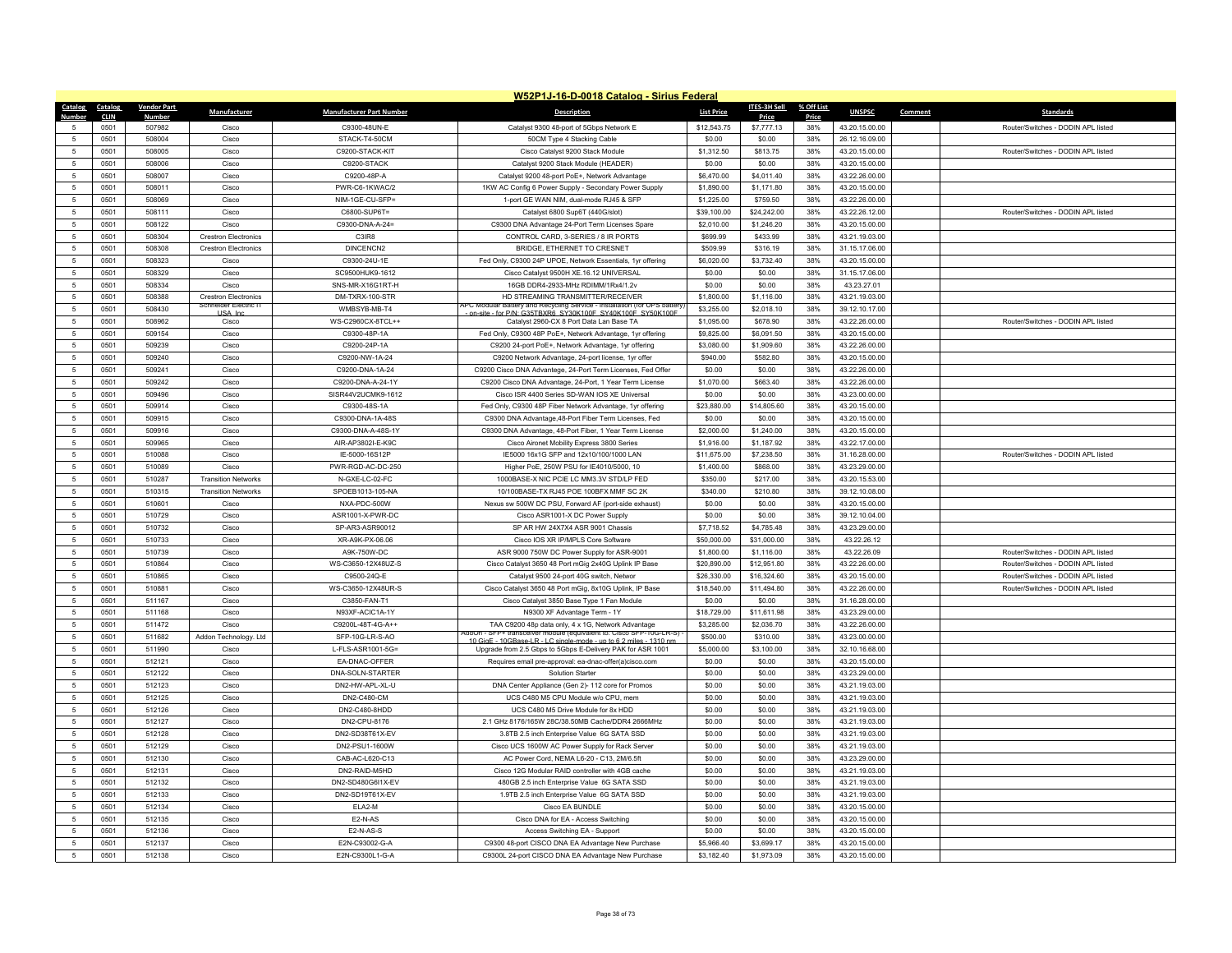|                                  |                     |                    |                                     |                                  | W52P1J-16-D-0018 Catalog - Sirius Federal                                                                                                |                    |                     |              |                                  |         |                                    |
|----------------------------------|---------------------|--------------------|-------------------------------------|----------------------------------|------------------------------------------------------------------------------------------------------------------------------------------|--------------------|---------------------|--------------|----------------------------------|---------|------------------------------------|
| <b>Catalog</b>                   | <b>Catalog</b>      | <b>Vendor Part</b> | Manufacturer                        | <b>Manufacturer Part Number</b>  | <b>Description</b>                                                                                                                       | <b>List Price</b>  | <b>ITES-3H Sell</b> | % Off List   | <b>UNSPSC</b>                    | Comment | <b>Standards</b>                   |
| $\sqrt{2}$                       | <b>CLIN</b><br>0501 | Number<br>507982   | Cisco                               | C9300-48UN-E                     | Catalyst 9300 48-port of 5Gbps Network E                                                                                                 | \$12,543.75        | Price<br>\$7,777.13 | Price<br>38% | 43.20.15.00.00                   |         | Router/Switches - DODIN APL listed |
| -5                               | 0501                | 508004             | Cisco                               | STACK-T4-50CM                    | 50CM Type 4 Stacking Cable                                                                                                               | \$0.00             | \$0.00              | 38%          | 26.12.16.09.00                   |         |                                    |
| 5                                | 0501                | 508005             | Cisco                               | C9200-STACK-KIT                  | Cisco Catalyst 9200 Stack Module                                                                                                         | \$1,312.50         | \$813.75            | 38%          | 43.20.15.00.00                   |         | Router/Switches - DODIN APL listed |
| $\overline{5}$                   | 0501                | 508006             | Cisco                               | C9200-STACK                      | Catalyst 9200 Stack Module (HEADER)                                                                                                      | \$0.00             | \$0.00              | 38%          | 43.20.15.00.00                   |         |                                    |
|                                  | 0501                | 508007             | Cisco                               | C9200-48P-A                      | Catalyst 9200 48-port PoE+, Network Advantage                                                                                            | \$6,470.00         | \$4.011.40          | 38%          | 43.22.26.00.00                   |         |                                    |
| 5                                | 0501                | 508011             | Cisco                               | PWR-C6-1KWAC/2                   | 1KW AC Config 6 Power Supply - Secondary Power Supply                                                                                    | \$1,890.00         | \$1,171.80          | 38%          | 43.20.15.00.00                   |         |                                    |
| $\overline{5}$                   | 0501                | 508069             | Cisco                               | NIM-1GE-CU-SFP=                  | 1-port GE WAN NIM, dual-mode RJ45 & SFP                                                                                                  | \$1,225.00         | \$759.50            | 38%          | 43.22.26.00.00                   |         |                                    |
| 5                                | 0501                | 508111             | Cisco                               | C6800-SUP6T=                     | Catalyst 6800 Sup6T (440G/slot)                                                                                                          | \$39,100.00        | \$24,242.00         | 38%          | 43.22.26.12.00                   |         | Router/Switches - DODIN APL listed |
| 5                                | 0501                | 508122             | Cisco                               | C9300-DNA-A-24=                  | C9300 DNA Advantage 24-Port Term Licenses Spare                                                                                          | \$2,010.00         | \$1,246.20          | 38%          | 43.20.15.00.00                   |         |                                    |
| $\overline{5}$                   | 0501                | 508304             | <b>Crestron Electronics</b>         | C3IR8                            | CONTROL CARD, 3-SERIES / 8 IR PORTS                                                                                                      | \$699.99           | \$433.99            | 38%          | 43.21.19.03.00                   |         |                                    |
| -5                               | 0501                | 508308             | <b>Crestron Electronics</b>         | DINCENCN2                        | BRIDGE, ETHERNET TO CRESNET                                                                                                              | \$509.99           | \$316.19            | 38%          | 31.15.17.06.00                   |         |                                    |
| 5                                | 0501                | 508323             | Cisco                               | C9300-24U-1E                     | Fed Only, C9300 24P UPOE, Network Essentials, 1yr offering                                                                               | \$6,020.00         | \$3,732.40          | 38%          | 43.20.15.00.00                   |         |                                    |
| $\overline{5}$                   | 0501                | 508329             | Cisco                               | SC9500HUK9-1612                  | Cisco Catalyst 9500H XE.16.12 UNIVERSAL                                                                                                  | \$0.00             | \$0.00              | 38%          | 31.15.17.06.00                   |         |                                    |
| $\overline{5}$                   | 0501                | 508334             | Cisco                               | SNS-MR-X16G1RT-H                 | 16GB DDR4-2933-MHz RDIMM/1Rx4/1.2v                                                                                                       | \$0.00             | \$0.00              | 38%          | 43.23.27.01                      |         |                                    |
| 5                                | 0501                | 508388             | <b>Crestron Electronics</b>         | DM-TXRX-100-STR                  | HD STREAMING TRANSMITTER/RECEIVER                                                                                                        | \$1,800.00         | \$1,116.00          | 38%          | 43.21.19.03.00                   |         |                                    |
| $\sqrt{2}$                       | 0501                | 508430             | eiger Electric<br><b>LISA</b> In    | WMBSYB-MB-T4                     | Battery and Recycling Service - Installation from UPS<br>on-site - for P/N: G35TRXR6 SY30K100E SY40K100E SY50K100E                       | \$3,255.00         | \$2,018.10          | 38%          | 39.12.10.17.00                   |         |                                    |
| $\overline{5}$                   | 0501                | 508962             | Cisco                               | WS-C2960CX-8TCL++                | Catalyst 2960-CX 8 Port Data Lan Base TA                                                                                                 | \$1,095.00         | \$678.90            | 38%          | 43.22.26.00.00                   |         | Router/Switches - DODIN APL listed |
| 5                                | 0501                | 509154             | Cisco                               | C9300-48P-1A                     | Fed Only, C9300 48P PoE+, Network Advantage, 1yr offering                                                                                | \$9,825.00         | \$6,091.50          | 38%          | 43.20.15.00.00                   |         |                                    |
| $\overline{5}$                   | 0501                | 509239             | Cisco                               | C9200-24P-1A                     | C9200 24-port PoE+, Network Advantage, 1yr offering                                                                                      | \$3,080.00         | \$1,909.60          | 38%          | 43.22.26.00.00                   |         |                                    |
| -5                               | 0501                | 509240             | Cisco                               | C9200-NW-1A-24                   | C9200 Network Advantage, 24-port license, 1yr offer                                                                                      | \$940.00           | \$582.80            | 38%          | 43.20.15.00.00                   |         |                                    |
| $\overline{5}$                   | 0501                | 509241             | Cisco                               | C9200-DNA-1A-24                  | C9200 Cisco DNA Advantege, 24-Port Term Licenses, Fed Offer                                                                              | \$0.00             | \$0.00              | 38%          | 43.22.26.00.00                   |         |                                    |
| $\overline{5}$                   | 0501                | 509242             | Cisco                               | C9200-DNA-A-24-1Y                | C9200 Cisco DNA Advantage, 24-Port, 1 Year Term License                                                                                  | \$1,070.00         | \$663.40            | 38%          | 43.22.26.00.00                   |         |                                    |
| -5                               | 0501                | 509496             | Cisco                               | SISR44V2UCMK9-1612               | Cisco ISR 4400 Series SD-WAN IOS XE Universal                                                                                            | \$0.00             | \$0.00              | 38%          | 43.23.00.00.00                   |         |                                    |
| $\overline{5}$                   | 0501                | 509914             | Cisco                               | C9300-48S-1A                     | Fed Only, C9300 48P Fiber Network Advantage, 1yr offering                                                                                | \$23,880.00        | \$14,805.60         | 38%          | 43.20.15.00.00                   |         |                                    |
| 5                                | 0501                | 509915             | Cisco                               | C9300-DNA-1A-48S                 | C9300 DNA Advantage, 48-Port Fiber Term Licenses, Fed                                                                                    | \$0.00             | \$0.00              | 38%          | 43.20.15.00.00                   |         |                                    |
| 5                                | 0501                | 509916             | Cisco                               | C9300-DNA-A-48S-1Y               | C9300 DNA Advantage, 48-Port Fiber, 1 Year Term License                                                                                  | \$2,000.00         | \$1,240.00          | 38%          | 43 20 15 00 00                   |         |                                    |
| $\overline{5}$                   | 0501                | 509965             | Cisco                               | AIR-AP3802I-E-K9C                | Cisco Aironet Mobility Express 3800 Series                                                                                               | \$1,916.00         | \$1,187.92          | 38%          | 43.22.17.00.00                   |         |                                    |
| $\overline{5}$                   | 0501                | 510088             | Cisco                               | IE-5000-16S12P                   | IE5000 16x1G SFP and 12x10/100/1000 LAN                                                                                                  | \$11,675.00        | \$7,238.50          | 38%          | 31.16.28.00.00                   |         | Router/Switches - DODIN APL listed |
| 5                                | 0501                | 510089             | Cisco                               | PWR-RGD-AC-DC-250                | Higher PoF, 250W PSU for IF4010/5000, 10                                                                                                 | \$1,400.00         | \$868.00            | 38%          | 43.23.29.00.00                   |         |                                    |
| $\sqrt{2}$                       | 0501                | 510287             | <b>Transition Networks</b>          | N-GXE-LC-02-FC                   | 1000BASE-X NIC PCIE LC MM3.3V STD/LP FED                                                                                                 | \$350.00           | \$217.00            | 38%          | 43.20.15.53.00                   |         |                                    |
| 5                                | 0501<br>0501        | 510315<br>510601   | <b>Transition Networks</b><br>Cisco | SPOEB1013-105-NA<br>NXA-PDC-500W | 10/100BASE-TX RJ45 POE 100BFX MMF SC 2K                                                                                                  | \$340.00<br>\$0.00 | \$210.80<br>\$0.00  | 38%<br>38%   | 39.12.10.08.00<br>43 20 15 00 00 |         |                                    |
| 5<br>5                           | 0501                | 510729             | Cisco                               | ASR1001-X-PWR-DC                 | Nexus sw 500W DC PSU, Forward AF (port-side exhaust)<br>Cisco ASR1001-X DC Power Supply                                                  | \$0.00             | \$0.00              | 38%          | 39.12.10.04.00                   |         |                                    |
| 5                                | 0501                | 510732             | Cisco                               | SP-AR3-ASR90012                  | SP AR HW 24X7X4 ASR 9001 Chassis                                                                                                         | \$7,718.52         | \$4,785.48          | 38%          | 43.23.29.00.00                   |         |                                    |
| 5                                | 0501                | 510733             | Cisco                               | XR-A9K-PX-06.06                  | Cisco IOS XR IP/MPLS Core Software                                                                                                       | \$50,000.00        | \$31,000.00         | 38%          | 43.22.26.12                      |         |                                    |
| $\overline{5}$                   | 0501                | 510739             | Cisco                               | A9K-750W-DC                      | ASR 9000 750W DC Power Supply for ASR-9001                                                                                               | \$1,800.00         | \$1,116.00          | 38%          | 43.22.26.09                      |         | Router/Switches - DODIN APL listed |
| 5                                | 0501                | 510864             | Cisco                               | WS-C3650-12X48UZ-S               | Cisco Catalyst 3650 48 Port mGig 2x40G Uplink IP Base                                                                                    | \$20,890.00        | \$12,951.80         | 38%          | 43.22.26.00.00                   |         | Router/Switches - DODIN APL listed |
| 5                                | 0501                | 510865             | Cisco                               | C9500-24Q-E                      | Catalyst 9500 24-port 40G switch, Networ                                                                                                 | \$26,330.00        | \$16,324.60         | 38%          | 43.20.15.00.00                   |         | Router/Switches - DODIN APL listed |
| $\overline{5}$                   | 0501                | 510881             | Cisco                               | WS-C3650-12X48UR-S               | Cisco Catalyst 3650 48 Port mGig, 8x10G Uplink, IP Base                                                                                  | \$18,540.00        | \$11,494.80         | 38%          | 43.22.26.00.00                   |         | Router/Switches - DODIN APL listed |
| $\overline{5}$                   | 0501                | 511167             | Cisco                               | C3850-FAN-T1                     | Cisco Catalyst 3850 Base Type 1 Fan Module                                                                                               | \$0.00             | \$0.00              | 38%          | 31.16.28.00.00                   |         |                                    |
| 5                                | 0501                | 511168             | Cisco                               | N93XF-ACIC1A-1Y                  | N9300 XF Advantage Term - 1Y                                                                                                             | \$18,729.00        | \$11,611.98         | 38%          | 43.23.29.00.00                   |         |                                    |
| $\overline{5}$                   | 0501                | 511472             | Cisco                               | C9200L-48T-4G-A++                | TAA C9200 48p data only, 4 x 1G, Network Advantage                                                                                       | \$3,285.00         | \$2,036.70          | 38%          | 43.22.26.00.00                   |         |                                    |
| $\overline{5}$                   | 0501                | 511682             | Addon Technology. Ltd               | SFP-10G-LR-S-AO                  | AddOn - SFP+ transceiver module (equivalent to: Cisco SFP-10G-LR-S)<br>10 GiaE - 10GBase-LR - LC single-mode - up to 6.2 miles - 1310 nm | \$500.00           | \$310.00            | 38%          | 43.23.00.00.00                   |         |                                    |
| 5                                | 0501                | 511990             | Cisco                               | L-FLS-ASR1001-5G=                | Upgrade from 2.5 Gbps to 5Gbps E-Delivery PAK for ASR 1001                                                                               | \$5,000.00         | \$3,100.00          | 38%          | 32.10.16.68.00                   |         |                                    |
| $\overline{5}$                   | 0501                | 512121             | Cisco                               | EA-DNAC-OFFER                    | Requires email pre-approval: ea-dnac-offer(a)cisco.com                                                                                   | \$0.00             | \$0.00              | 38%          | 43.20.15.00.00                   |         |                                    |
| -5                               | 0501                | 512122             | Cisco                               | DNA-SOLN-STARTER                 | Solution Starter                                                                                                                         | \$0.00             | \$0.00              | 38%          | 43.23.29.00.00                   |         |                                    |
| 5                                | 0501                | 512123             | Cisco                               | DN2-HW-APL-XL-U                  | DNA Center Appliance (Gen 2)- 112 core for Promos                                                                                        | \$0.00             | \$0.00              | 38%          | 43.21.19.03.00                   |         |                                    |
| $\overline{5}$                   | 0501                | 512125             | Cisco                               | DN2-C480-CM                      | UCS C480 M5 CPU Module w/o CPU, mem                                                                                                      | \$0.00             | \$0.00              | 38%          | 43.21.19.03.00                   |         |                                    |
| -5                               | 0501                | 512126             | Cisco                               | DN2-C480-8HDD                    | UCS C480 M5 Drive Module for 8x HDD                                                                                                      | \$0.00             | \$0.00              | 38%          | 43.21.19.03.00                   |         |                                    |
| $\overline{5}$                   | 0501                | 512127             | Cisco                               | DN2-CPU-8176                     | 2.1 GHz 8176/165W 28C/38.50MB Cache/DDR4 2666MHz                                                                                         | \$0.00             | \$0.00              | 38%          | 43.21.19.03.00                   |         |                                    |
| 5                                | 0501                | 512128             | Cisco                               | DN2-SD38T61X-EV                  | 3.8TB 2.5 inch Enterprise Value 6G SATA SSD                                                                                              | \$0.00             | \$0.00              | 38%          | 43.21.19.03.00                   |         |                                    |
| -5                               | 0501                | 512129             | Cisco                               | DN2-PSU1-1600W                   | Cisco UCS 1600W AC Power Supply for Rack Server                                                                                          | \$0.00             | \$0.00              | 38%          | 43.21.19.03.00                   |         |                                    |
| $\overline{5}$                   | 0501                | 512130             | Cisco                               | CAB-AC-L620-C13                  | AC Power Cord, NEMA L6-20 - C13, 2M/6.5ft                                                                                                | \$0.00             | \$0.00              | 38%          | 43.23.29.00.00                   |         |                                    |
| $\overline{5}$                   | 0501                | 512131             | Cisco                               | DN2-RAID-M5HD                    | Cisco 12G Modular RAID controller with 4GB cache                                                                                         | \$0.00             | \$0.00              | 38%          | 43.21.19.03.00                   |         |                                    |
| 5                                | 0501                | 512132             | Cisco                               | DN2-SD480G6I1X-FV                | 480GB 2.5 inch Enterprise Value 6G SATA SSD                                                                                              | \$0.00             | \$0.00              | 38%          | 43.21.19.03.00                   |         |                                    |
| $\overline{5}$<br>$\overline{5}$ | 0501                | 512133             | Cisco                               | DN2-SD19T61X-EV                  | 1.9TB 2.5 inch Enterprise Value 6G SATA SSD                                                                                              | \$0.00             | \$0.00              | 38%          | 43.21.19.03.00                   |         |                                    |
|                                  | 0501                | 512134             | Cisco<br>Cisco                      | ELA2-M<br>$F2-N-AS$              | Cisco EA BUNDLE                                                                                                                          | \$0.00<br>\$0.00   | \$0.00<br>\$0.00    | 38%          | 43.20.15.00.00                   |         |                                    |
| -5<br>$\overline{5}$             | 0501<br>0501        | 512135<br>512136   | Cisco                               | E2-N-AS-S                        | Cisco DNA for EA - Access Switching<br>Access Switching EA - Support                                                                     | \$0.00             | \$0.00              | 38%<br>38%   | 43.20.15.00.00<br>43.20.15.00.00 |         |                                    |
|                                  | 0501                | 512137             | Cisco                               | E2N-C93002-G-A                   | C9300 48-port CISCO DNA EA Advantage New Purchase                                                                                        | \$5,966.40         | \$3,699.17          | 38%          | 43.20.15.00.00                   |         |                                    |
| 5                                | 0501                | 512138             | Cisco                               | E2N-C9300L1-G-A                  | C9300L 24-port CISCO DNA EA Advantage New Purchase                                                                                       | \$3,182.40         | \$1,973.09          | 38%          | 43.20.15.00.00                   |         |                                    |
|                                  |                     |                    |                                     |                                  |                                                                                                                                          |                    |                     |              |                                  |         |                                    |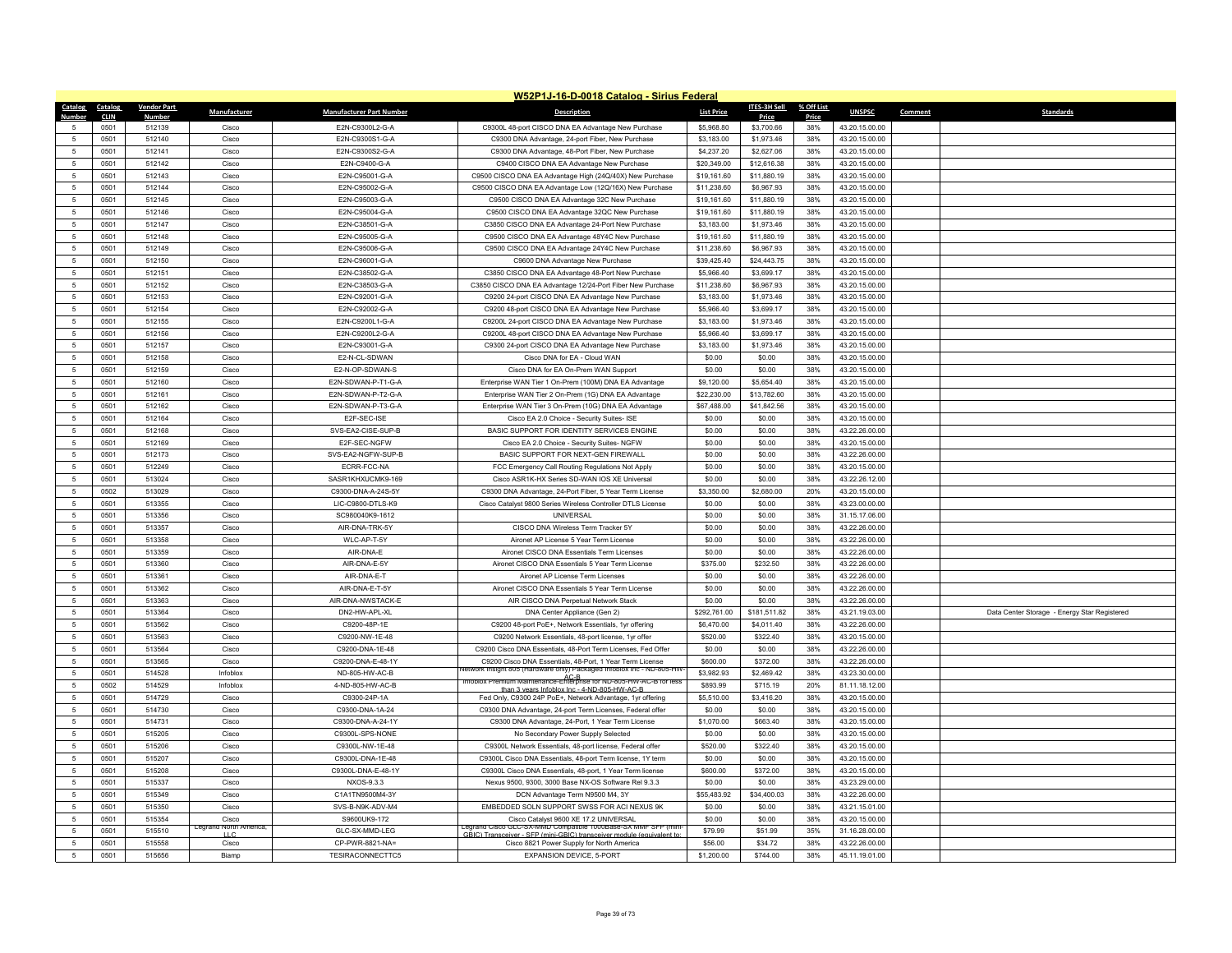|                     |              |                    |                        |                                     | W52P1J-16-D-0018 Catalog - Sirius Federal                                                                                   |                        |                       |            |                                  |                                              |
|---------------------|--------------|--------------------|------------------------|-------------------------------------|-----------------------------------------------------------------------------------------------------------------------------|------------------------|-----------------------|------------|----------------------------------|----------------------------------------------|
| Catalog             | Catalog      | <b>Vendor Part</b> | Manufacturer           | <b>Manufacturer Part Number</b>     | <b>Description</b>                                                                                                          | <b>List Price</b>      | <b>ITES-3H Sell</b>   | % Off List | <b>UNSPSC</b>                    | Comment<br><b>Standards</b>                  |
| Number              | <b>CLIN</b>  | Numbe              |                        |                                     |                                                                                                                             |                        | Price                 | Price      |                                  |                                              |
|                     | 0501         | 512139             | Cisco                  | E2N-C9300L2-G-A                     | C9300L 48-port CISCO DNA EA Advantage New Purchase                                                                          | \$5,968.80             | \$3,700.66            | 38%        | 43.20.15.00.00                   |                                              |
| $\overline{5}$      | 0501         | 512140             | Cisco                  | E2N-C9300S1-G-A                     | C9300 DNA Advantage, 24-port Fiber, New Purchase                                                                            | \$3,183.00             | \$1,973.46            | 38%        | 43.20.15.00.00                   |                                              |
| $\overline{5}$      | 0501         | 512141             | Cisco                  | E2N-C9300S2-G-A                     | C9300 DNA Advantage, 48-Port Fiber, New Purchase                                                                            | \$4,237.20             | \$2,627.06            | 38%        | 43.20.15.00.00                   |                                              |
| $\overline{5}$      | 0501         | 512142             | Cisco                  | E2N-C9400-G-A                       | C9400 CISCO DNA EA Advantage New Purchase                                                                                   | \$20,349.00            | \$12,616.38           | 38%        | 43.20.15.00.00                   |                                              |
| 5                   | 0501         | 512143             | Cisco                  | E2N-C95001-G-A                      | C9500 CISCO DNA EA Advantage High (24Q/40X) New Purchase                                                                    | \$19,161.60            | \$11,880.19           | 38%        | 43.20.15.00.00                   |                                              |
| 5                   | 0501         | 512144             | Cisco                  | F2N-C95002-G-A                      | C9500 CISCO DNA EA Advantage Low (12Q/16X) New Purchase                                                                     | \$11,238.60            | \$6,967.93            | 38%        | 43.20.15.00.00                   |                                              |
| 5                   | 0501         | 512145             | Cisco                  | E2N-C95003-G-A                      | C9500 CISCO DNA EA Advantage 32C New Purchase                                                                               | \$19,161.60            | \$11,880.19           | 38%        | 43.20.15.00.00                   |                                              |
| 5                   | 0501         | 512146             | Cisco                  | E2N-C95004-G-A                      | C9500 CISCO DNA EA Advantage 32QC New Purchase                                                                              | \$19,161.60            | \$11,880.19           | 38%        | 43.20.15.00.00                   |                                              |
| 5                   | 0501         | 512147             | Cisco                  | F2N-C38501-G-A                      | C3850 CISCO DNA EA Advantage 24-Port New Purchase                                                                           | \$3,183.00             | \$1,973.46            | 38%        | 43 20 15 00 00                   |                                              |
| $\overline{5}$      | 0501         | 512148             | Cisco                  | E2N-C95005-G-A                      | C9500 CISCO DNA EA Advantage 48Y4C New Purchase                                                                             | \$19,161.60            | \$11,880.19           | 38%        | 43.20.15.00.00                   |                                              |
| $\overline{5}$      | 0501         | 512149             | Cisco                  | E2N-C95006-G-A                      | C9500 CISCO DNA EA Advantage 24Y4C New Purchase                                                                             | \$11,238.60            | \$6,967.93            | 38%        | 43.20.15.00.00                   |                                              |
| $\,$ 5              | 0501         | 512150             | Cisco                  | E2N-C96001-G-A                      | C9600 DNA Advantage New Purchase                                                                                            | \$39,425.40            | \$24,443.75           | 38%        | 43.20.15.00.00                   |                                              |
| $\overline{5}$      | 0501         | 512151             | Cisco                  | E2N-C38502-G-A                      | C3850 CISCO DNA EA Advantage 48-Port New Purchase                                                                           | \$5,966.40             | \$3,699.17            | 38%        | 43.20.15.00.00                   |                                              |
| 5                   | 0501         | 512152             | Cisco                  | E2N-C38503-G-A                      | C3850 CISCO DNA EA Advantage 12/24-Port Fiber New Purchase                                                                  | \$11,238.60            | \$6,967.93            | 38%        | 43.20.15.00.00                   |                                              |
| 5                   | 0501         | 512153             | Cisco                  | E2N-C92001-G-A                      | C9200 24-port CISCO DNA EA Advantage New Purchase                                                                           | \$3,183.00             | \$1,973.46            | 38%        | 43.20.15.00.00                   |                                              |
| $\overline{5}$      | 0501         | 512154             | Cisco                  | E2N-C92002-G-A                      | C9200 48-port CISCO DNA EA Advantage New Purchase                                                                           | \$5,966.40             | \$3,699.17            | 38%        | 43.20.15.00.00                   |                                              |
| $\overline{5}$      | 0501         | 512155             | Cisco                  | F2N-C9200L1-G-A                     | C9200L 24-port CISCO DNA EA Advantage New Purchase                                                                          | \$3,183.00             | \$1,973.46            | 38%        | 43.20.15.00.00                   |                                              |
| 5                   | 0501         | 512156             | Cisco                  | E2N-C9200L2-G-A                     | C9200L 48-port CISCO DNA EA Advantage New Purchase                                                                          | \$5,966.40             | \$3,699.17            | 38%        | 43.20.15.00.00                   |                                              |
| $\overline{5}$      | 0501         | 512157             | Cisco                  | E2N-C93001-G-A                      | C9300 24-port CISCO DNA EA Advantage New Purchase                                                                           | \$3,183.00             | \$1,973.46            | 38%        | 43.20.15.00.00                   |                                              |
| -5                  | 0501         | 512158             | Cisco                  | E2-N-CL-SDWAN                       | Cisco DNA for EA - Cloud WAN                                                                                                | \$0.00                 | \$0.00                | 38%        | 43.20.15.00.00                   |                                              |
| $\overline{5}$      | 0501         | 512159             | Cisco                  | E2-N-OP-SDWAN-S                     | Cisco DNA for EA On-Prem WAN Support                                                                                        | \$0.00                 | \$0.00                | 38%        | 43.20.15.00.00                   |                                              |
| $\overline{5}$      | 0501         | 512160             | Cisco                  | E2N-SDWAN-P-T1-G-A                  | Enterprise WAN Tier 1 On-Prem (100M) DNA EA Advantage                                                                       | \$9,120.00             | \$5,654.40            | 38%        | 43.20.15.00.00                   |                                              |
| -5                  | 0501         | 512161             | Cisco                  | E2N-SDWAN-P-T2-G-A                  | Enterprise WAN Tier 2 On-Prem (1G) DNA EA Advantage                                                                         | \$22,230.00            | \$13,782.60           | 38%        | 43.20.15.00.00                   |                                              |
| $\overline{5}$      | 0501         | 512162             | Cisco                  | E2N-SDWAN-P-T3-G-A                  | Enterprise WAN Tier 3 On-Prem (10G) DNA EA Advantage                                                                        | \$67,488.00            | \$41,842.56           | 38%        | 43.20.15.00.00                   |                                              |
| $\,$ 5              | 0501         | 512164             | Cisco                  | E2F-SEC-ISE                         | Cisco EA 2.0 Choice - Security Suites- ISE                                                                                  | \$0.00                 | \$0.00                | 38%        | 43.20.15.00.00                   |                                              |
| 5                   | 0501         | 512168             | Cisco                  | SVS-FA2-CISF-SUP-B                  | BASIC SUPPORT FOR IDENTITY SERVICES ENGINE                                                                                  | \$0.00                 | \$0.00                | 38%        | 43.22.26.00.00                   |                                              |
| 5                   | 0501         | 512169             | Cisco                  | E2F-SEC-NGFW                        | Cisco EA 2.0 Choice - Security Suites- NGFW                                                                                 | \$0.00                 | \$0.00                | 38%        | 43.20.15.00.00                   |                                              |
| $\overline{5}$      | 0501         | 512173             | Cisco                  | SVS-EA2-NGFW-SUP-B                  | BASIC SUPPORT FOR NEXT-GEN FIREWALL                                                                                         | \$0.00                 | \$0.00                | 38%        | 43.22.26.00.00                   |                                              |
| 5                   | 0501         | 512249             | Cisco                  | FCRR-FCC-NA                         | FCC Emergency Call Routing Regulations Not Apply                                                                            | \$0.00                 | \$0.00                | 38%        | 43.20.15.00.00                   |                                              |
| $\overline{5}$      | 0501         | 513024             | Cisco                  | SASR1KHXUCMK9-169                   | Cisco ASR1K-HX Series SD-WAN IOS XE Universal                                                                               | \$0.00                 | \$0.00                | 38%        | 43.22.26.12.00                   |                                              |
| $\overline{5}$      | 0502         | 513029             | Cisco                  | C9300-DNA-A-24S-5Y                  | C9300 DNA Advantage, 24-Port Fiber, 5 Year Term License                                                                     | \$3,350.00             | \$2,680.00            | 20%        | 43.20.15.00.00                   |                                              |
| 5                   | 0501         | 513355             | Cisco                  | LIC-C9800-DTLS-K9                   | Cisco Catalyst 9800 Series Wireless Controller DTLS License                                                                 | \$0.00                 | \$0.00                | 38%        | 43.23.00.00.00                   |                                              |
| $\overline{5}$      | 0501         | 513356             | Cisco                  | SC980040K9-1612                     | <b>UNIVERSAL</b>                                                                                                            | \$0.00                 | \$0.00                | 38%        | 31.15.17.06.00                   |                                              |
| $\overline{5}$      | 0501         | 513357             | Cisco                  | AIR-DNA-TRK-5Y                      | CISCO DNA Wireless Term Tracker 5Y                                                                                          | \$0.00                 | \$0.00                | 38%        | 43.22.26.00.00                   |                                              |
| 5                   | 0501         | 513358             | Cisco                  | WLC-AP-T-5Y                         | Aironet AP License 5 Year Term License                                                                                      | \$0.00                 | \$0.00                | 38%        | 43.22.26.00.00                   |                                              |
| 5                   | 0501         | 513359             | Cisco                  | AIR-DNA-E                           | Aironet CISCO DNA Essentials Term Licenses                                                                                  | \$0.00                 | \$0.00                | 38%        | 43.22.26.00.00                   |                                              |
| $\overline{5}$      | 0501         | 513360             | Cisco                  | AIR-DNA-E-5Y                        | Aironet CISCO DNA Essentials 5 Year Term License                                                                            | \$375.00               | \$232.50              | 38%        | 43.22.26.00.00                   |                                              |
| 5                   | 0501         | 513361             | Cisco                  | AIR-DNA-E-T                         | Aironet AP License Term Licenses                                                                                            | \$0.00                 | \$0.00                | 38%        | 43.22.26.00.00                   |                                              |
| $\overline{5}$      | 0501         | 513362             | Cisco                  | AIR-DNA-F-T-5Y                      | Aironet CISCO DNA Essentials 5 Year Term License                                                                            | \$0.00                 | \$0.00                | 38%        | 43.22.26.00.00                   |                                              |
| 5                   | 0501         | 513363             | Cisco                  | AIR-DNA-NWSTACK-E                   | AIR CISCO DNA Perpetual Network Stack                                                                                       | \$0.00                 | \$0.00                | 38%        | 43.22.26.00.00                   |                                              |
| 5                   | 0501         | 513364             | Cisco                  | DN2-HW-APL-XL                       | DNA Center Appliance (Gen 2)                                                                                                | \$292,761.00           | \$181,511.82          | 38%        | 43.21.19.03.00                   | Data Center Storage - Energy Star Registered |
| $\sqrt{2}$          | 0501         | 513562             | Cisco                  | C9200-48P-1F                        | C9200 48-port PoE+, Network Essentials, 1yr offering                                                                        | \$6,470.00             | \$4,011.40            | 38%        | 43.22.26.00.00                   |                                              |
| $\overline{5}$      | 0501         | 513563             | Cisco                  | C9200-NW-1E-48                      | C9200 Network Essentials, 48-port license, 1yr offer                                                                        | \$520.00               | \$322.40              | 38%        | 43.20.15.00.00                   |                                              |
| 5                   | 0501         | 513564             | Cisco                  | C9200-DNA-1E-48                     | C9200 Cisco DNA Essentials, 48-Port Term Licenses, Fed Offer                                                                | \$0.00                 | \$0.00                | 38%        | 43.22.26.00.00                   |                                              |
| 5                   | 0501         | 513565             | Cisco                  | C9200-DNA-E-48-1Y                   | C9200 Cisco DNA Essentials, 48-Port, 1 Year Term License<br>ork Insight 805 (Hardware only) Packaged Infoblox Inc - ND-805- | \$600.00               | \$372.00              | 38%        | 43.22.26.00.00                   |                                              |
| 5<br>$\overline{5}$ | 0501         | 514528             | Infoblox<br>Infoblox   | ND-805-HW-AC-B<br>4-ND-805-HW-AC-B  | AC.R<br>htoblox Premium Maintenance-Enterprise for ND-805-HW-AC-B for less                                                  | \$3,982.93<br>\$893.99 | \$2,469.42            | 38%<br>20% | 43.23.30.00.00                   |                                              |
|                     | 0502         | 514529             |                        |                                     | than 3 years Infoblox Inc., 4-ND-805-HW-AC-                                                                                 |                        | \$715.19              |            | 81.11.18.12.00                   |                                              |
| 5                   | 0501         | 514729<br>514730   | Cisco                  | C9300-24P-1A                        | Fed Only, C9300 24P PoE+, Network Advantage, 1yr offering                                                                   | \$5,510.00             | \$3,416.20            | 38%        | 43.20.15.00.00                   |                                              |
| 5                   | 0501         |                    | Cisco                  | C9300-DNA-1A-24                     | C9300 DNA Advantage, 24-port Term Licenses, Federal offer                                                                   | \$0.00                 | \$0.00                | 38%        | 43.20.15.00.00                   |                                              |
| 5                   | 0501         | 514731             | Cisco                  | C9300-DNA-A-24-1Y                   | C9300 DNA Advantage, 24-Port, 1 Year Term License                                                                           | \$1,070.00             | \$663.40              | 38%        | 43.20.15.00.00                   |                                              |
| 5                   | 0501         | 515205             | Cisco<br>Cisco         | C9300L-SPS-NONE<br>C9300L-NW-1E-48  | No Secondary Power Supply Selected                                                                                          | \$0.00                 | \$0.00<br>\$322.40    | 38%<br>38% | 43.20.15.00.00<br>43.20.15.00.00 |                                              |
| 5<br>5              | 0501<br>0501 | 515206<br>515207   | Cisco                  | C9300L-DNA-1E-48                    | C9300L Network Essentials, 48-port license, Federal offer<br>C9300L Cisco DNA Essentials, 48-port Term license, 1Y term     | \$520.00<br>\$0.00     | \$0.00                | 38%        | 43.20.15.00.00                   |                                              |
| 5                   |              | 515208             | Cisco                  |                                     |                                                                                                                             | \$600.00               |                       | 38%        | 43.20.15.00.00                   |                                              |
|                     | 0501         |                    |                        | C9300L-DNA-E-48-1Y<br>NXOS-9.3.3    | C9300L Cisco DNA Essentials, 48-port, 1 Year Term license                                                                   |                        | \$372.00              |            |                                  |                                              |
| 5<br>5              | 0501         | 515337             | Cisco                  |                                     | Nexus 9500, 9300, 3000 Base NX-OS Software Rel 9.3.3                                                                        | \$0.00                 | \$0.00                | 38%        | 43.23.29.00.00                   |                                              |
| 5                   | 0501<br>0501 | 515349<br>515350   | Cisco<br>Cisco         | C1A1TN9500M4-3Y<br>SVS-B-N9K-ADV-M4 | DCN Advantage Term N9500 M4, 3Y<br>EMBEDDED SOLN SUPPORT SWSS FOR ACI NEXUS 9K                                              | \$55,483.92<br>\$0.00  | \$34,400.03<br>\$0.00 | 38%<br>38% | 43.22.26.00.00<br>43.21.15.01.00 |                                              |
|                     |              |                    |                        |                                     |                                                                                                                             |                        |                       |            |                                  |                                              |
| 5<br>$\sqrt{2}$     | 0501<br>0501 | 515354<br>515510   | Cisco<br>Legrand North | S9600UK9-172<br>GLC-SX-MMD-LEG      | Cisco Catalyst 9600 XE 17.2 UNIVERSAL<br>Legrand Cisco GLC-SX-MMD Compatible 1000Base-SX MMF SFP (min                       | \$0.00<br>\$79.99      | \$0.00<br>\$51.99     | 38%<br>35% | 43.20.15.00.00<br>31.16.28.00.00 |                                              |
| 5                   | 0501         | 515558             | ШC<br>Cisco            | CP-PWR-8821-NA=                     | GBIC) Transceiver - SFP (mini-GBIC) transceiver module (equivalent to<br>Cisco 8821 Power Supply for North America          | \$56.00                | \$34.72               | 38%        | 43.22.26.00.00                   |                                              |
| 5                   | 0501         | 515656             | Biamp                  | TESIRACONNECTTC5                    | EXPANSION DEVICE, 5-PORT                                                                                                    | \$1,200.00             | \$744.00              | 38%        | 45.11.19.01.00                   |                                              |
|                     |              |                    |                        |                                     |                                                                                                                             |                        |                       |            |                                  |                                              |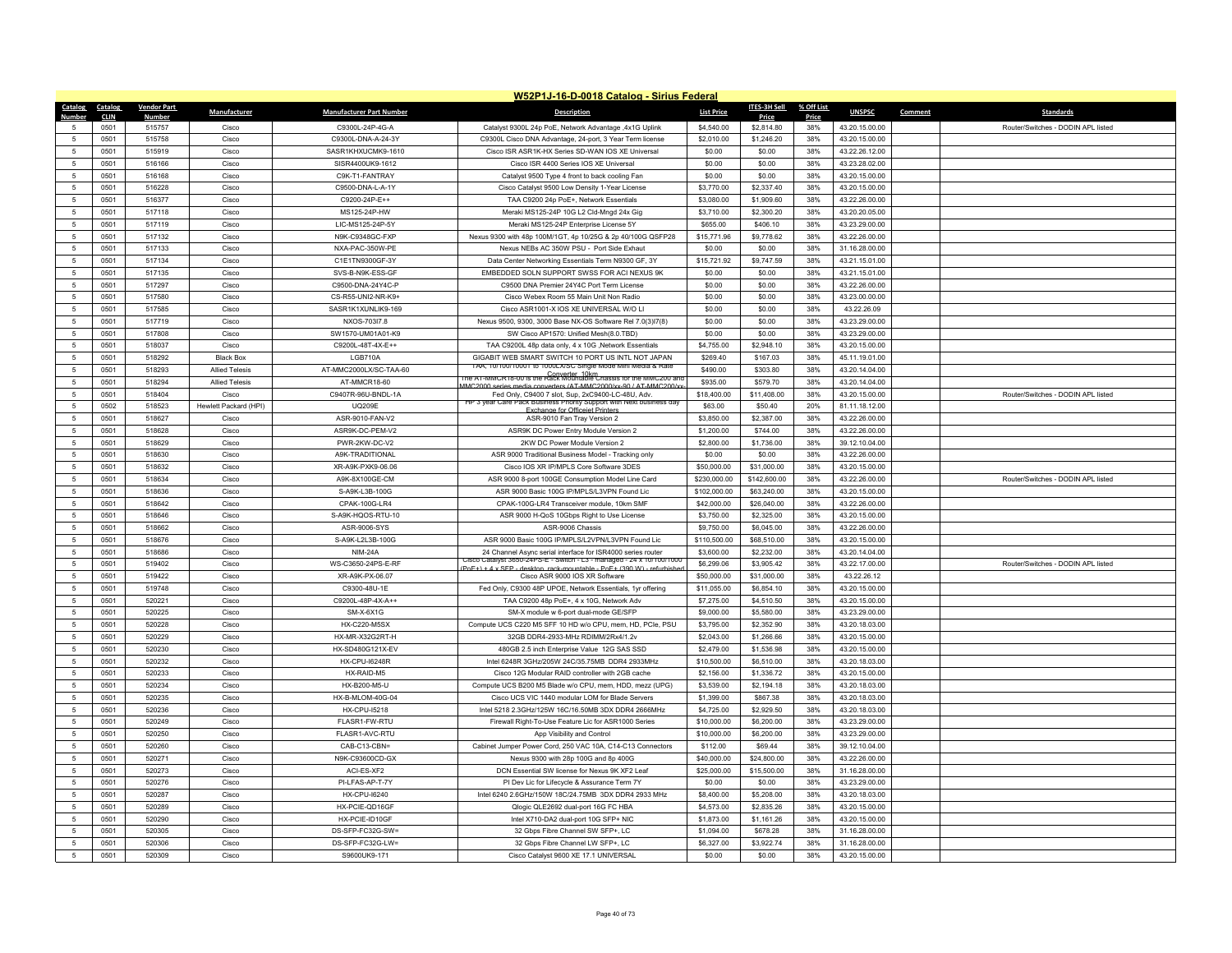|                |                     |                    |                       |                                 | W52P1J-16-D-0018 Catalog - Sirius Federal                                                                                                      |                   |                     |              |                |         |                                    |
|----------------|---------------------|--------------------|-----------------------|---------------------------------|------------------------------------------------------------------------------------------------------------------------------------------------|-------------------|---------------------|--------------|----------------|---------|------------------------------------|
| <b>Catalog</b> | <b>Catalog</b>      | <b>Vendor Part</b> | Manufacturer          | <b>Manufacturer Part Number</b> | <b>Description</b>                                                                                                                             | <b>List Price</b> | ITES-3H Sell        | % Off List   | <b>UNSPSC</b>  | Comment | <b>Standards</b>                   |
| $\sqrt{2}$     | <b>CLIN</b><br>0501 | Number<br>515757   | Cisco                 | C9300L-24P-4G-A                 | Catalyst 9300L 24p PoE, Network Advantage ,4x1G Uplink                                                                                         | \$4,540.00        | Price<br>\$2,814.80 | Price<br>38% | 43.20.15.00.00 |         | Router/Switches - DODIN APL listed |
| -5             | 0501                | 515758             | Cisco                 | C9300L-DNA-A-24-3Y              | C9300L Cisco DNA Advantage, 24-port, 3 Year Term license                                                                                       | \$2,010.00        | \$1,246.20          | 38%          | 43.20.15.00.00 |         |                                    |
| 5              | 0501                | 515919             | Cisco                 | SASR1KHXUCMK9-1610              | Cisco ISR ASR1K-HX Series SD-WAN IOS XE Universal                                                                                              | \$0.00            | \$0.00              | 38%          | 43.22.26.12.00 |         |                                    |
| $\overline{5}$ | 0501                | 516166             | Cisco                 | SISR4400UK9-1612                | Cisco ISR 4400 Series IOS XE Universal                                                                                                         | \$0.00            | \$0.00              | 38%          | 43.23.28.02.00 |         |                                    |
|                | 0501                | 516168             | Cisco                 | C9K-T1-FANTRAY                  | Catalyst 9500 Type 4 front to back cooling Fan                                                                                                 | \$0.00            | \$0.00              | 38%          | 43.20.15.00.00 |         |                                    |
| 5              | 0501                | 516228             | Cisco                 | C9500-DNA-L-A-1Y                | Cisco Catalyst 9500 Low Density 1-Year License                                                                                                 | \$3,770.00        | \$2,337.40          | 38%          | 43.20.15.00.00 |         |                                    |
| $\overline{5}$ | 0501                | 516377             | Cisco                 | C9200-24P-E++                   | TAA C9200 24p PoE+, Network Essentials                                                                                                         | \$3,080.00        | \$1,909.60          | 38%          | 43.22.26.00.00 |         |                                    |
| 5              | 0501                | 517118             | Cisco                 | MS125-24P-HW                    | Meraki MS125-24P 10G L2 Cld-Mngd 24x Gig                                                                                                       | \$3,710.00        | \$2,300.20          | 38%          | 43.20.20.05.00 |         |                                    |
| 5              | 0501                | 517119             | Cisco                 | LIC-MS125-24P-5Y                | Meraki MS125-24P Enterprise License 5Y                                                                                                         | \$655.00          | \$406.10            | 38%          | 43.23.29.00.00 |         |                                    |
| $\overline{5}$ | 0501                | 517132             | Cisco                 | N9K-C9348GC-FXP                 | Nexus 9300 with 48p 100M/1GT, 4p 10/25G & 2p 40/100G QSFP28                                                                                    | \$15,771.96       | \$9,778.62          | 38%          | 43.22.26.00.00 |         |                                    |
| -5             | 0501                | 517133             | Cisco                 | NXA-PAC-350W-PE                 | Nexus NEBs AC 350W PSU - Port Side Exhaut                                                                                                      | \$0.00            | \$0.00              | 38%          | 31.16.28.00.00 |         |                                    |
| 5              | 0501                | 517134             | Cisco                 | C1E1TN9300GF-3Y                 | Data Center Networking Essentials Term N9300 GF, 3Y                                                                                            | \$15,721.92       | \$9,747.59          | 38%          | 43.21.15.01.00 |         |                                    |
| 5              | 0501                | 517135             | Cisco                 | SVS-B-N9K-FSS-GF                | EMBEDDED SOLN SUPPORT SWSS FOR ACI NEXUS 9K                                                                                                    | \$0.00            | \$0.00              | 38%          | 43.21.15.01.00 |         |                                    |
| 5              | 0501                | 517297             | Cisco                 | C9500-DNA-24Y4C-P               | C9500 DNA Premier 24Y4C Port Term License                                                                                                      | \$0.00            | \$0.00              | 38%          | 43.22.26.00.00 |         |                                    |
| 5              | 0501                | 517580             | Cisco                 | CS-R55-UNI2-NR-K9+              | Cisco Webex Room 55 Main Unit Non Radio                                                                                                        | \$0.00            | \$0.00              | 38%          | 43.23.00.00.00 |         |                                    |
| $\overline{5}$ | 0501                | 517585             | Cisco                 | SASR1K1XUNLIK9-169              | Cisco ASR1001-X IOS XE UNIVERSAL W/O LI                                                                                                        | \$0.00            | \$0.00              | 38%          | 43.22.26.09    |         |                                    |
| 5              | 0501                | 517719             | Cisco                 | NXOS-703l7.8                    | Nexus 9500, 9300, 3000 Base NX-OS Software Rel 7.0(3)l7(8)                                                                                     | \$0.00            | \$0.00              | 38%          | 43.23.29.00.00 |         |                                    |
| 5              | 0501                | 517808             | Cisco                 | SW1570-UM01A01-K9               | SW Cisco AP1570: Unified Mesh(8.0.TBD)                                                                                                         | \$0.00            | \$0.00              | 38%          | 43.23.29.00.00 |         |                                    |
| $\overline{5}$ | 0501                | 518037             | Cisco                 | C9200L-48T-4X-E++               | TAA C9200L 48p data only, 4 x 10G ,Network Essentials                                                                                          | \$4,755.00        | \$2,948.10          | 38%          | 43.20.15.00.00 |         |                                    |
| 5              | 0501                | 518292             | <b>Black Box</b>      | I GB710A                        | GIGABIT WEB SMART SWITCH 10 PORT US INTL NOT JAPAN                                                                                             | \$269.40          | \$167.03            | 38%          | 45.11.19.01.00 |         |                                    |
| $\overline{5}$ | 0501                | 518293             | <b>Allied Telesis</b> | AT-MMC2000LX/SC-TAA-60          | <b>IAA TU/TUU/TUUI TO TUUU X/SU SINOLE MOOL MINI MEOLA &amp; RAIE</b>                                                                          | \$490.00          | \$303.80            | 38%          | 43.20.14.04.00 |         |                                    |
| $\overline{5}$ | 0501                | 518294             | <b>Allied Telesis</b> | AT-MMCR18-60                    | he A1-MMCR18-00 is the Rack Mountable Chassis for the MMC200 and                                                                               | \$935.00          | \$579.70            | 38%          | 43.20.14.04.00 |         |                                    |
| -5             | 0501                | 518404             | Cisco                 | C9407R-96U-BNDL-1A              | MC2000 series media converters (AT-MMC2000/xx-90 / AT-MMC200/y<br>Fed Only, C9400 7 slot, Sup. 2xC9400-LC-48U, Adv                             | \$18,400.00       | \$11,408.00         | 38%          | 43 20 15 00 00 |         | Router/Switches - DODIN APL listed |
| $\overline{5}$ | 0502                | 518523             | Hewlett Packard (HPI) | <b>UQ209E</b>                   | HP 3 year Care Pack Business Priority Support with Next business day                                                                           | \$63.00           | \$50.40             | 20%          | 81.11.18.12.00 |         |                                    |
| 5              | 0501                | 518627             | Cisco                 | ASR-9010-FAN-V2                 | <b>Exchange for Officeiet Printer</b><br>ASR-9010 Fan Tray Version 2                                                                           | \$3,850.00        | \$2,387.00          | 38%          | 43.22.26.00.00 |         |                                    |
| 5              | 0501                | 518628             | Cisco                 | ASR9K-DC-PFM-V2                 | ASR9K DC Power Entry Module Version 2                                                                                                          | \$1,200.00        | \$744.00            | 38%          | 43.22.26.00.00 |         |                                    |
| $\overline{5}$ | 0501                | 518629             | Cisco                 | PWR-2KW-DC-V2                   | 2KW DC Power Module Version 2                                                                                                                  | \$2,800.00        | \$1,736.00          | 38%          | 39.12.10.04.00 |         |                                    |
| 5              | 0501                | 518630             | Cisco                 | A9K-TRADITIONAL                 | ASR 9000 Traditional Business Model - Tracking only                                                                                            | \$0.00            | \$0.00              | 38%          | 43.22.26.00.00 |         |                                    |
| 5              | 0501                | 518632             | Cisco                 | XR-A9K-PXK9-06.06               | Cisco IOS XR IP/MPLS Core Software 3DES                                                                                                        | \$50,000.00       | \$31,000.00         | 38%          | 43 20 15 00 00 |         |                                    |
| $\sqrt{2}$     | 0501                | 518634             | Cisco                 | A9K-8X100GE-CM                  | ASR 9000 8-port 100GE Consumption Model Line Card                                                                                              | \$230,000.00      | \$142,600.00        | 38%          | 43.22.26.00.00 |         | Router/Switches - DODIN APL listed |
| 5              | 0501                | 518636             | Cisco                 | S-A9K-L3B-100G                  | ASR 9000 Basic 100G IP/MPLS/L3VPN Found Lic                                                                                                    | \$102,000.00      | \$63,240.00         | 38%          | 43.20.15.00.00 |         |                                    |
| 5              | 0501                | 518642             | Cisco                 | CPAK-100G-LR4                   | CPAK-100G-LR4 Transceiver module, 10km SMF                                                                                                     | \$42,000.00       | \$26,040.00         | 38%          | 43.22.26.00.00 |         |                                    |
| 5              | 0501                | 518646             | Cisco                 | S-A9K-HQOS-RTU-10               | ASR 9000 H-QoS 10Gbps Right to Use License                                                                                                     | \$3,750.00        | \$2,325.00          | 38%          | 43.20.15.00.00 |         |                                    |
| 5              | 0501                | 518662             | Cisco                 | ASR-9006-SYS                    | ASR-9006 Chassis                                                                                                                               | \$9,750.00        | \$6,045.00          | 38%          | 43.22.26.00.00 |         |                                    |
| 5              | 0501                | 518676             | Cisco                 | S-A9K-L2L3B-100G                | ASR 9000 Basic 100G IP/MPLS/L2VPN/L3VPN Found Lic                                                                                              | \$110,500.00      | \$68,510.00         | 38%          | 43.20.15.00.00 |         |                                    |
| 5              | 0501                | 518686             | Cisco                 | <b>NIM-24A</b>                  | 24 Channel Async serial interface for ISR4000 series router                                                                                    | \$3,600.00        | \$2,232.00          | 38%          | 43.20.14.04.00 |         |                                    |
| 5              | 0501                | 519402             | Cisco                 | WS-C3650-24PS-E-RF              | Cisco Catalyst 3650-24PS-F - Switch - L3 - managed - 24 x 10/100/1000<br>PoE+) + 4 x SEP - desktop, rack-mountable - PoE+ (390 W) - refurbishe | \$6,299.06        | \$3,905.42          | 38%          | 43.22.17.00.00 |         | Router/Switches - DODIN APL listed |
| 5              | 0501                | 519422             | Cisco                 | XR-A9K-PX-06.07                 | Cisco ASR 9000 IOS XR Software                                                                                                                 | \$50,000.00       | \$31,000.00         | 38%          | 43.22.26.12    |         |                                    |
| 5              | 0501                | 519748             | Cisco                 | C9300-48U-1E                    | Fed Only, C9300 48P UPOE, Network Essentials, 1yr offering                                                                                     | \$11,055.00       | \$6,854.10          | 38%          | 43.20.15.00.00 |         |                                    |
| 5              | 0501                | 520221             | Cisco                 | C9200L-48P-4X-A++               | TAA C9200 48p PoE+, 4 x 10G, Network Adv                                                                                                       | \$7,275.00        | \$4,510.50          | 38%          | 43.20.15.00.00 |         |                                    |
| 5              | 0501                | 520225             | Cisco                 | SM-X-6X1G                       | SM-X module w 6-port dual-mode GE/SFP                                                                                                          | \$9,000.00        | \$5,580.00          | 38%          | 43.23.29.00.00 |         |                                    |
| $\overline{5}$ | 0501                | 520228             | Cisco                 | <b>HX-C220-M5SX</b>             | Compute UCS C220 M5 SFF 10 HD w/o CPU, mem, HD, PCIe, PSU                                                                                      | \$3,795.00        | \$2,352.90          | 38%          | 43.20.18.03.00 |         |                                    |
| 5              | 0501                | 520229             | Cisco                 | HX-MR-X32G2RT-H                 | 32GB DDR4-2933-MHz RDIMM/2Rx4/1.2v                                                                                                             | \$2,043.00        | \$1,266.66          | 38%          | 43.20.15.00.00 |         |                                    |
| 5              | 0501                | 520230             | Cisco                 | HX-SD480G121X-EV                | 480GB 2.5 inch Enterprise Value 12G SAS SSD                                                                                                    | \$2,479.00        | \$1,536.98          | 38%          | 43.20.15.00.00 |         |                                    |
| $\overline{5}$ | 0501                | 520232             | Cisco                 | <b>HX-CPU-I6248R</b>            | Intel 6248R 3GHz/205W 24C/35.75MB DDR4 2933MHz                                                                                                 | \$10,500.00       | \$6,510.00          | 38%          | 43.20.18.03.00 |         |                                    |
| -5             | 0501                | 520233             | Cisco                 | HX-RAID-M5                      | Cisco 12G Modular RAID controller with 2GB cache                                                                                               | \$2,156.00        | \$1,336.72          | 38%          | 43.20.15.00.00 |         |                                    |
| 5              | 0501                | 520234             | Cisco                 | HX-B200-M5-U                    | Compute UCS B200 M5 Blade w/o CPU, mem, HDD, mezz (UPG)                                                                                        | \$3,539.00        | \$2,194.18          | 38%          | 43.20.18.03.00 |         |                                    |
| 5              | 0501                | 520235             | Cisco                 | HX-B-MLOM-40G-04                | Cisco UCS VIC 1440 modular LOM for Blade Servers                                                                                               | \$1,399.00        | \$867.38            | 38%          | 43.20.18.03.00 |         |                                    |
| -5             | 0501                | 520236             | Cisco                 | <b>HX-CPU-I5218</b>             | Intel 5218 2.3GHz/125W 16C/16.50MB 3DX DDR4 2666MHz                                                                                            | \$4,725.00        | \$2,929.50          | 38%          | 43.20.18.03.00 |         |                                    |
| $\overline{5}$ | 0501                | 520249             | Cisco                 | FLASR1-FW-RTU                   | Firewall Right-To-Use Feature Lic for ASR1000 Series                                                                                           | \$10,000.00       | \$6,200.00          | 38%          | 43.23.29.00.00 |         |                                    |
| 5              | 0501                | 520250             | Cisco                 | FLASR1-AVC-RTU                  | App Visibility and Control                                                                                                                     | \$10,000.00       | \$6,200.00          | 38%          | 43.23.29.00.00 |         |                                    |
| -5             | 0501                | 520260             | Cisco                 | CAB-C13-CBN=                    | Cabinet Jumper Power Cord, 250 VAC 10A, C14-C13 Connectors                                                                                     | \$112.00          | \$69.44             | 38%          | 39.12.10.04.00 |         |                                    |
| $\overline{5}$ | 0501                | 520271             | Cisco                 | N9K-C93600CD-GX                 | Nexus 9300 with 28p 100G and 8p 400G                                                                                                           | \$40,000.00       | \$24,800.00         | 38%          | 43.22.26.00.00 |         |                                    |
| 5              | 0501                | 520273             | Cisco                 | ACI-ES-XF2                      | DCN Essential SW license for Nexus 9K XF2 Leaf                                                                                                 | \$25,000.00       | \$15,500.00         | 38%          | 31.16.28.00.00 |         |                                    |
| 5              | 0501                | 520276             | Cisco                 | PI-LFAS-AP-T-7Y                 | PI Dev Lic for Lifecycle & Assurance Term 7Y                                                                                                   | \$0.00            | \$0.00              | 38%          | 43.23.29.00.00 |         |                                    |
| $\overline{5}$ | 0501                | 520287             | Cisco                 | <b>HX-CPU-I6240</b>             | Intel 6240 2.6GHz/150W 18C/24.75MB 3DX DDR4 2933 MHz                                                                                           | \$8,400.00        | \$5,208.00          | 38%          | 43.20.18.03.00 |         |                                    |
| 5              | 0501                | 520289             | Cisco                 | HX-PCIE-QD16GF                  | Qlogic QLE2692 dual-port 16G FC HBA                                                                                                            | \$4,573.00        | \$2,835.26          | 38%          | 43.20.15.00.00 |         |                                    |
| -5             | 0501                | 520290             | Cisco                 | HX-PCIF-ID10GF                  | Intel X710-DA2 dual-port 10G SFP+ NIC                                                                                                          | \$1,873.00        | \$1,161.26          | 38%          | 43.20.15.00.00 |         |                                    |
| $\overline{5}$ | 0501                | 520305             | Cisco                 | DS-SFP-FC32G-SW=                | 32 Gbps Fibre Channel SW SFP+, LC                                                                                                              | \$1,094.00        | \$678.28            | 38%          | 31.16.28.00.00 |         |                                    |
|                | 0501                | 520306             | Cisco                 | DS-SFP-FC32G-LW=                | 32 Gbps Fibre Channel J W SEP+ LC                                                                                                              | \$6,327.00        | \$3,922.74          | 38%          | 31.16.28.00.00 |         |                                    |
| 5              | 0501                | 520309             | Cisco                 | S9600UK9-171                    | Cisco Catalyst 9600 XE 17.1 UNIVERSAL                                                                                                          | \$0.00            | \$0.00              | 38%          | 43.20.15.00.00 |         |                                    |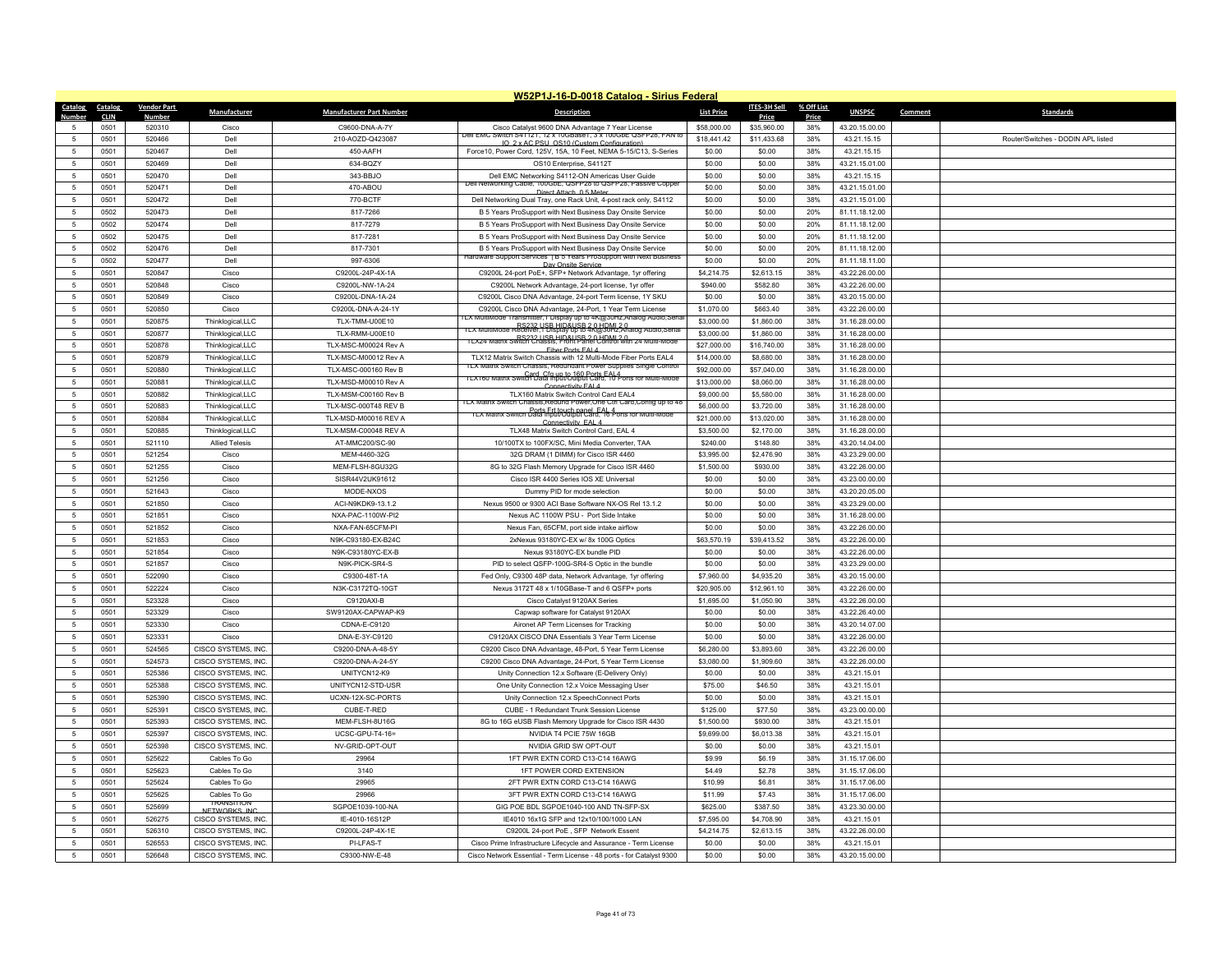|                 |              |                    |                                      |                                 | W52P1J-16-D-0018 Catalog - Sirius Federal                                                                                                       |                   |              |            |                |         |                                    |
|-----------------|--------------|--------------------|--------------------------------------|---------------------------------|-------------------------------------------------------------------------------------------------------------------------------------------------|-------------------|--------------|------------|----------------|---------|------------------------------------|
| Catalog         | Catalog      | <b>Vendor Part</b> | Manufacturer                         | <b>Manufacturer Part Number</b> | <b>Description</b>                                                                                                                              | <b>List Price</b> | ITES-3H Sell | % Off List | <b>UNSPSC</b>  | Comment | <b>Standards</b>                   |
| Numbe           | <b>CLIN</b>  | Number             |                                      |                                 |                                                                                                                                                 |                   | Price        | Price      |                |         |                                    |
| $\overline{5}$  | 0501         | 520310             | Cisco                                | C9600-DNA-A-7Y                  | Cisco Catalyst 9600 DNA Advantage 7 Year License<br>Dell EMC Switch S41121, 12 x 10GBase1, 3 x 100GbE QSFP28, FAN to                            | \$58,000.00       | \$35,960.00  | 38%        | 43.20.15.00.00 |         |                                    |
| 5               | 0501         | 520466             | Dell                                 | 210-AOZD-Q423087                | IO 2 v AC PSU OS10 (Custom Configuration                                                                                                        | \$18,441.42       | \$11,433.68  | 38%        | 43.21.15.15    |         | Router/Switches - DODIN API listed |
| -5              | 0501         | 520467             | Dell                                 | 450-AAFH                        | Force10, Power Cord, 125V, 15A, 10 Feet, NEMA 5-15/C13, S-Series                                                                                | \$0.00            | \$0.00       | 38%        | 43.21.15.15    |         |                                    |
| $\sqrt{5}$      | 0501         | 520469             | Dell                                 | 634-BQZY                        | OS10 Enterprise, S4112T                                                                                                                         | \$0.00            | \$0.00       | 38%        | 43.21.15.01.00 |         |                                    |
| $\sqrt{5}$      | 0501         | 520470             | Dell                                 | 343-BBJO                        | Dell EMC Networking S4112-ON Americas User Guide                                                                                                | \$0.00            | \$0.00       | 38%        | 43.21.15.15    |         |                                    |
| 5               | 0501         | 520471             | Dell                                 | 470-ABOU                        | глеп<br>vetworking Cable, T00GDE, QSFP28 to QSFP28, Passive Coppe<br>Direct Attach 0.5 Met                                                      | \$0.00            | \$0.00       | 38%        | 43.21.15.01.00 |         |                                    |
| $\sqrt{5}$      | 0501         | 520472             | Dell                                 | 770-BCTF                        | Dell Networking Dual Tray, one Rack Unit, 4-post rack only, S4112                                                                               | \$0.00            | \$0.00       | 38%        | 43.21.15.01.00 |         |                                    |
| 5               | 0502         | 520473             | Dell                                 | 817-7266                        | B 5 Years ProSupport with Next Business Day Onsite Service                                                                                      | \$0.00            | \$0.00       | 20%        | 81.11.18.12.00 |         |                                    |
| $\sqrt{5}$      | 0502         | 520474             | Dell                                 | 817-7279                        | B 5 Years ProSupport with Next Business Day Onsite Service                                                                                      | \$0.00            | \$0.00       | 20%        | 81.11.18.12.00 |         |                                    |
| 5               | 0502         | 520475             | Del                                  | 817-7281                        | B 5 Years ProSupport with Next Business Day Onsite Service                                                                                      | \$0.00            | \$0.00       | 20%        | 81.11.18.12.00 |         |                                    |
| 5               | 0502         | 520476             | Dell                                 | 817-7301                        | B 5 Years ProSupport with Next Business Day Onsite Service                                                                                      | \$0.00            | \$0.00       | 20%        | 81.11.18.12.00 |         |                                    |
| $\sqrt{5}$      | 0502         | 520477             | Dell                                 | 997-6306                        | Hardware Support Services   B 5 Years ProSupport with Next Business                                                                             | \$0.00            | \$0.00       | 20%        | 81.11.18.11.00 |         |                                    |
| 5               | 0501         | 520847             | Cisco                                | C9200L-24P-4X-1A                | Day Onsite Service<br>C9200L 24-port PoE+, SFP+ Network Advantage, 1yr offering                                                                 | \$4,214.75        | \$2,613.15   | 38%        | 43.22.26.00.00 |         |                                    |
| 5               | 0501         | 520848             | Cisco                                | C9200L-NW-1A-24                 | C9200L Network Advantage, 24-port license, 1yr offer                                                                                            | \$940.00          | \$582.80     | 38%        | 43.22.26.00.00 |         |                                    |
| $5\phantom{.0}$ | 0501         | 520849             | Cisco                                | C9200L-DNA-1A-24                |                                                                                                                                                 | \$0.00            | \$0.00       | 38%        | 43.20.15.00.00 |         |                                    |
|                 |              |                    |                                      |                                 | C9200L Cisco DNA Advantage, 24-port Term license, 1Y SKU                                                                                        |                   |              |            |                |         |                                    |
| 5               | 0501         | 520850             | Cisco                                | C9200L-DNA-A-24-1Y              | C9200L Cisco DNA Advantage, 24-Port, 1 Year Term License<br>LX MultiMode Transmitter, 1 Display up to 4K@30Hz, Analog Audio, Sen                | \$1,070.00        | \$663.40     | 38%        | 43.22.26.00.00 |         |                                    |
| $\sqrt{5}$      | 0501         | 520875             | Thinklogical, LLC                    | TLX-TMM-U00E10                  | RS232 LISR HID&LISR 20 HOML2.0<br>TLX MultiMode Receiver,1 Display up to 4K@30Hz,Analog Audio,Senal                                             | \$3,000.00        | \$1,860.00   | 38%        | 31.16.28.00.00 |         |                                    |
| 5               | 0501         | 520877             | Thinklogical, LLC                    | TLX-RMM-U00E10                  | RS232 USB HID&USB 2 0 HDML 2 0<br>TLX24 Matrix Switch Chassis, Front Panel Control with 24 Multi-Mode                                           | \$3,000.00        | \$1,860.00   | 38%        | 31.16.28.00.00 |         |                                    |
| 5               | 0501         | 520878             | Thinklogical,LLC                     | TLX-MSC-M00024 Rev A            | Fiber Ports FAI 4                                                                                                                               | \$27,000.00       | \$16,740.00  | 38%        | 31.16.28.00.00 |         |                                    |
| -5              | 0501         | 520879             | Thinklogical,LLC                     | TI X-MSC-M00012 Rev A           | TI X12 Matrix Switch Chassis with 12 Multi-Mode Fiber Ports FAI 4                                                                               | \$14,000.00       | \$8,680.00   | 38%        | 31.16.28.00.00 |         |                                    |
| $5\phantom{.0}$ | 0501         | 520880             | Thinklogical, LLC                    | TLX-MSC-000160 Rev B            | <b>11 X Matrix Switch Chassis, Requireant Power Supplies Single Contr</b><br>TLX160 Matrix Switch Data InbutOJB0 Ports FAL4 orts for Multi-Mode | \$92,000.00       | \$57,040.00  | 38%        | 31.16.28.00.00 |         |                                    |
| 5               | 0501         | 520881             | Thinklogical,LLC                     | TLX-MSD-M00010 Rev A            | Connectivity FAL4                                                                                                                               | \$13,000.00       | \$8,060.00   | 38%        | 31.16.28.00.00 |         |                                    |
| 5               | 0501         | 520882             | Thinklogical.LLC                     | TI X-MSM-C00160 Rev B           | TI X160 Matrix Switch Control Card FAI 4                                                                                                        | \$9,000.00        | \$5,580.00   | 38%        | 31.16.28.00.00 |         |                                    |
| 5               | 0501         | 520883             | Thinklogical, LLC                    | TLX-MSC-000T48 REV B            | ILX Matrix Switch Chassis. Redund Power One Ctrl Card. Config up to 48                                                                          | \$6,000.00        | \$3,720.00   | 38%        | 31.16.28.00.00 |         |                                    |
| 5               | 0501         | 520884             | Thinklogical, LLC                    | TLX-MSD-M00016 REV A            | <b>ILX Matrix Switch Data Input/UGB02Card, 46 forts for Multi-Mode</b>                                                                          | \$21,000.00       | \$13,020.00  | 38%        | 31.16.28.00.00 |         |                                    |
| 5               | 0501         | 520885             | Thinklogical, LLC                    | TI X-MSM-C00048 RFV A           | Connectivity FAL 4<br>TLX48 Matrix Switch Control Card, EAL 4                                                                                   | \$3,500.00        | \$2,170.00   | 38%        | 31.16.28.00.00 |         |                                    |
| $5\phantom{.0}$ | 0501         | 521110             | <b>Allied Telesis</b>                | AT-MMC200/SC-90                 | 10/100TX to 100FX/SC, Mini Media Converter, TAA                                                                                                 | \$240.00          | \$148.80     | 38%        | 43.20.14.04.00 |         |                                    |
| 5               | 0501         | 521254             | Cisco                                | MEM-4460-32G                    | 32G DRAM (1 DIMM) for Cisco ISR 4460                                                                                                            | \$3,995.00        | \$2,476.90   | 38%        | 43.23.29.00.00 |         |                                    |
|                 |              |                    |                                      | MEM-FLSH-8GU32G                 |                                                                                                                                                 |                   | \$930.00     | 38%        | 43.22.26.00.00 |         |                                    |
| $\sqrt{5}$<br>5 | 0501<br>0501 | 521255             | Cisco<br>Cisco                       |                                 | 8G to 32G Flash Memory Upgrade for Cisco ISR 4460                                                                                               | \$1,500.00        | \$0.00       | 38%        |                |         |                                    |
|                 |              | 521256             |                                      | SISR44V2UK91612                 | Cisco ISR 4400 Series IOS XE Universal                                                                                                          | \$0.00            |              |            | 43.23.00.00.00 |         |                                    |
| $\sqrt{5}$      | 0501         | 521643             | Cisco                                | MODE-NXOS                       | Dummy PID for mode selection                                                                                                                    | \$0.00            | \$0.00       | 38%        | 43.20.20.05.00 |         |                                    |
| $5\phantom{.0}$ | 0501         | 521850             | Cisco                                | ACI-N9KDK9-13.1.2               | Nexus 9500 or 9300 ACI Base Software NX-OS Rel 13.1.2                                                                                           | \$0.00            | \$0.00       | 38%        | 43.23.29.00.00 |         |                                    |
| -5              | 0501         | 521851             | Cisco                                | NXA-PAC-1100W-PI2               | Nexus AC 1100W PSU - Port Side Intake                                                                                                           | \$0.00            | \$0.00       | 38%        | 31.16.28.00.00 |         |                                    |
| $\sqrt{5}$      | 0501         | 521852             | Cisco                                | NXA-FAN-65CFM-PI                | Nexus Fan, 65CFM, port side intake airflow                                                                                                      | \$0.00            | \$0.00       | 38%        | 43.22.26.00.00 |         |                                    |
| 5               | 0501         | 521853             | Cisco                                | N9K-C93180-EX-B24C              | 2xNexus 93180YC-EX w/8x 100G Optics                                                                                                             | \$63,570.19       | \$39,413.52  | 38%        | 43.22.26.00.00 |         |                                    |
| 5               | 0501         | 521854             | Cisco                                | N9K-C93180YC-EX-B               | Nexus 93180YC-EX bundle PID                                                                                                                     | \$0.00            | \$0.00       | 38%        | 43.22.26.00.00 |         |                                    |
| 5               | 0501         | 521857             | Cisco                                | N9K-PICK-SR4-S                  | PID to select QSFP-100G-SR4-S Optic in the bundle                                                                                               | \$0.00            | \$0.00       | 38%        | 43.23.29.00.00 |         |                                    |
| - 5             | 0501         | 522090             | Cisco                                | C9300-48T-1A                    | Fed Only, C9300 48P data, Network Advantage, 1yr offering                                                                                       | \$7,960.00        | \$4,935.20   | 38%        | 43.20.15.00.00 |         |                                    |
| 5               | 0501         | 522224             | Cisco                                | N3K-C3172TQ-10GT                | Nexus 3172T 48 x 1/10GBase-T and 6 QSFP+ ports                                                                                                  | \$20,905.00       | \$12,961.10  | 38%        | 43.22.26.00.00 |         |                                    |
| -5              | 0501         | 523328             | Cisco                                | C9120AXI-B                      | Cisco Catalyst 9120AX Series                                                                                                                    | \$1,695.00        | \$1,050.90   | 38%        | 43.22.26.00.00 |         |                                    |
| $\sqrt{5}$      | 0501         | 523329             | Cisco                                | SW9120AX-CAPWAP-K9              | Capwap software for Catalyst 9120AX                                                                                                             | \$0.00            | \$0.00       | 38%        | 43.22.26.40.00 |         |                                    |
| 5               | 0501         | 523330             | Cisco                                | CDNA-E-C9120                    | Aironet AP Term Licenses for Tracking                                                                                                           | \$0.00            | \$0.00       | 38%        | 43.20.14.07.00 |         |                                    |
| 5               | 0501         | 523331             | Cisco                                | DNA-F-3Y-C9120                  | C9120AX CISCO DNA Essentials 3 Year Term License                                                                                                | \$0.00            | \$0.00       | 38%        | 43.22.26.00.00 |         |                                    |
| $5\phantom{.0}$ | 0501         | 524565             | CISCO SYSTEMS, INC.                  | C9200-DNA-A-48-5Y               | C9200 Cisco DNA Advantage, 48-Port, 5 Year Term License                                                                                         | \$6,280.00        | \$3,893.60   | 38%        | 43.22.26.00.00 |         |                                    |
| $\sqrt{5}$      | 0501         | 524573             | CISCO SYSTEMS, INC.                  | C9200-DNA-A-24-5Y               | C9200 Cisco DNA Advantage, 24-Port, 5 Year Term License                                                                                         | \$3,080.00        | \$1,909.60   | 38%        | 43.22.26.00.00 |         |                                    |
|                 | 0501         | 525386             | <b>CISCO SYSTEMS, INC</b>            | UNITYCN12-K9                    |                                                                                                                                                 | \$0.00            | \$0.00       | 38%        | 43.21.15.01    |         |                                    |
| $\sqrt{5}$      |              |                    |                                      |                                 | Unity Connection 12.x Software (E-Delivery Only)                                                                                                |                   |              |            |                |         |                                    |
| $\sqrt{5}$      | 0501         | 525388             | CISCO SYSTEMS, INC.                  | UNITYCN12-STD-USR               | One Unity Connection 12.x Voice Messaging User                                                                                                  | \$75.00           | \$46.50      | 38%        | 43.21.15.01    |         |                                    |
| 5               | 0501         | 525390             | CISCO SYSTEMS, INC.                  | UCXN-12X-SC-PORTS               | Unity Connection 12.x SpeechConnect Ports                                                                                                       | \$0.00            | \$0.00       | 38%        | 43.21.15.01    |         |                                    |
| $5\phantom{.0}$ | 0501         | 525391             | <b>CISCO SYSTEMS, INC</b>            | CUBE-T-RED                      | CUBE - 1 Redundant Trunk Session License                                                                                                        | \$125.00          | \$77.50      | 38%        | 43.23.00.00.00 |         |                                    |
| 5               | 0501         | 525393             | CISCO SYSTEMS, INC.                  | MEM-FLSH-8U16G                  | 8G to 16G eUSB Flash Memory Upgrade for Cisco ISR 4430                                                                                          | \$1,500.00        | \$930.00     | 38%        | 43.21.15.01    |         |                                    |
| 5               | 0501         | 525397             | CISCO SYSTEMS, INC.                  | UCSC-GPU-T4-16=                 | NVIDIA T4 PCIE 75W 16GB                                                                                                                         | \$9,699.00        | \$6,013.38   | 38%        | 43.21.15.01    |         |                                    |
| $\sqrt{5}$      | 0501         | 525398             | CISCO SYSTEMS. INC                   | NV-GRID-OPT-OUT                 | NVIDIA GRID SW OPT-OUT                                                                                                                          | \$0.00            | \$0.00       | 38%        | 43.21.15.01    |         |                                    |
| $\sqrt{5}$      | 0501         | 525622             | Cables To Go                         | 29964                           | 1FT PWR EXTN CORD C13-C14 16AWG                                                                                                                 | \$9.99            | \$6.19       | 38%        | 31.15.17.06.00 |         |                                    |
| 5               | 0501         | 525623             | Cables To Go                         | 3140                            | 1FT POWER CORD EXTENSION                                                                                                                        | \$4.49            | \$2.78       | 38%        | 31.15.17.06.00 |         |                                    |
| 5               | 0501         | 525624             | Cables To Go                         | 29965                           | 2FT PWR EXTN CORD C13-C14 16AWG                                                                                                                 | \$10.99           | \$6.81       | 38%        | 31.15.17.06.00 |         |                                    |
| 5               | 0501         | 525625             | Cables To Go                         | 29966                           | 3FT PWR EXTN CORD C13-C14 16AWG                                                                                                                 | \$11.99           | \$7.43       | 38%        | 31.15.17.06.00 |         |                                    |
| 5               | 0501         | 525699             | <b>TRANSITION</b>                    | SGPOE1039-100-NA                | GIG POE BDL SGPOE1040-100 AND TN-SFP-SX                                                                                                         | \$625.00          | \$387.50     | 38%        | 43.23.30.00.00 |         |                                    |
| 5               | 0501         | 526275             | NETWORKS INC.<br>CISCO SYSTEMS, INC. | IE-4010-16S12P                  | IE4010 16x1G SFP and 12x10/100/1000 LAN                                                                                                         | \$7,595.00        | \$4,708.90   | 38%        | 43.21.15.01    |         |                                    |
| 5               | 0501         | 526310             | <b>CISCO SYSTEMS, INC</b>            | C9200L-24P-4X-1E                | C9200L 24-port PoE, SFP Network Essent                                                                                                          | \$4,214.75        | \$2,613.15   | 38%        | 43.22.26.00.00 |         |                                    |
| -5              | 0501         | 526553             | CISCO SYSTEMS, INC.                  | PI-I FAS-T                      | Cisco Prime Infrastructure Lifecycle and Assurance - Term License                                                                               | \$0.00            | \$0.00       | 38%        | 43 21 15 01    |         |                                    |
| $\sqrt{5}$      |              |                    |                                      |                                 |                                                                                                                                                 |                   |              | 38%        |                |         |                                    |
|                 | 0501         | 526648             | CISCO SYSTEMS, INC.                  | C9300-NW-E-48                   | Cisco Network Essential - Term License - 48 ports - for Catalyst 9300                                                                           | \$0.00            | \$0.00       |            | 43.20.15.00.00 |         |                                    |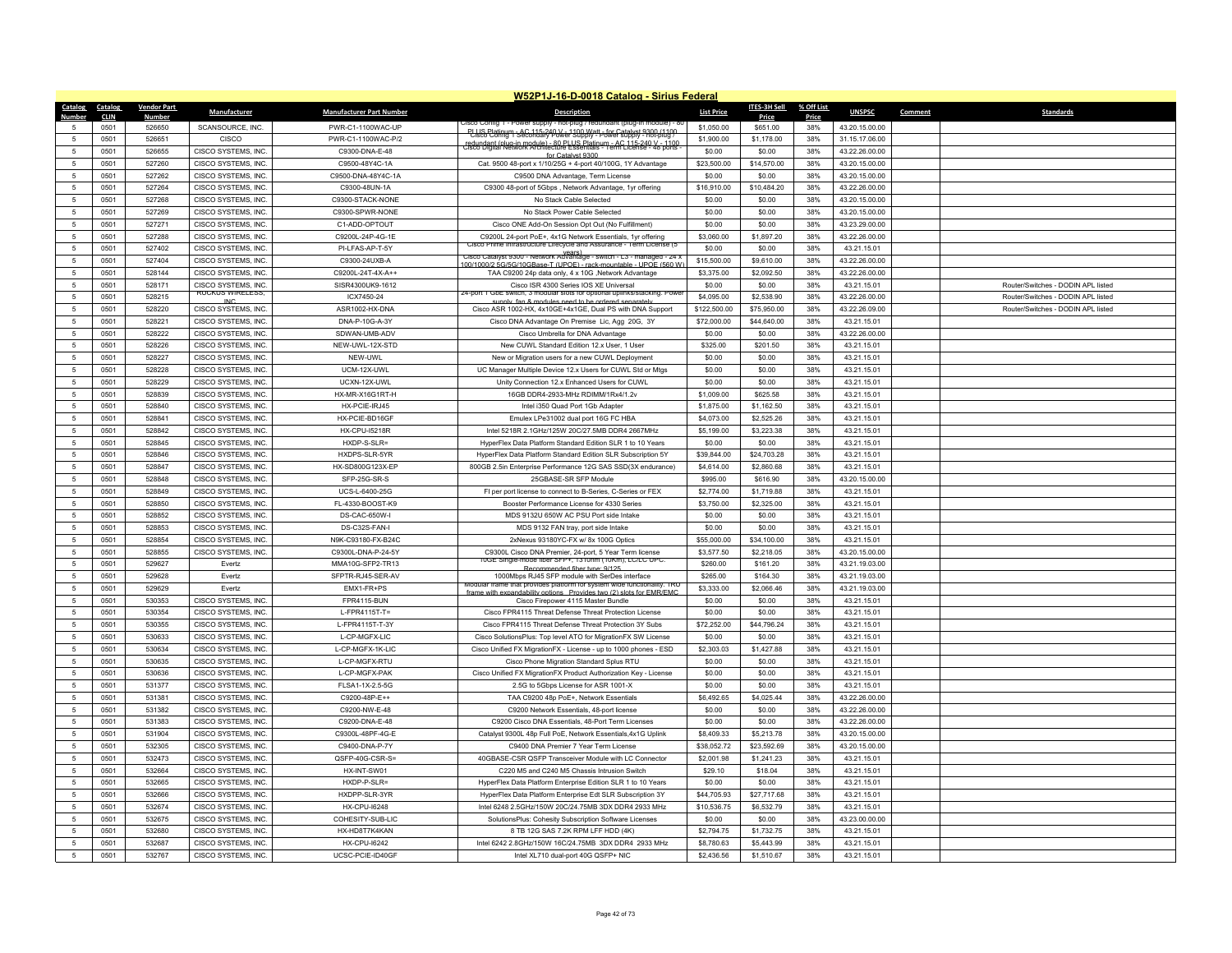|                                              |                    |                                            |                                         | W52P1J-16-D-0018 Catalog - Sirius Federal                                                                                                       |                          |                        |            |                                  |                                    |
|----------------------------------------------|--------------------|--------------------------------------------|-----------------------------------------|-------------------------------------------------------------------------------------------------------------------------------------------------|--------------------------|------------------------|------------|----------------------------------|------------------------------------|
| Catalog<br>Catalog                           | <b>Vendor Part</b> | Manufacturer                               | <b>Manufacturer Part Number</b>         | <b>Description</b>                                                                                                                              | <b>List Price</b>        | <b>ITES-3H Sell</b>    | % Off List | <b>UNSPSC</b>                    | <b>Standards</b><br>Comment        |
| <b>Number</b><br><b>CLIN</b>                 | <b>Number</b>      |                                            |                                         | JISCO CONTIG 1 - POWER SUDDIV                                                                                                                   |                          | Price                  | Price      |                                  |                                    |
| 0501<br>5<br>0501<br>5                       | 526650<br>526651   | SCANSOURCE, INC.<br>CISCO                  | PWR-C1-1100WAC-UP<br>PWR-C1-1100WAC-P/2 | PLUS Platinum - AC 115-240 V - 1100 Watt - for Catalyst 9300 (1100)<br>Cisco Config 1 Secondary Power Supply - Power supply - hot-plug P        | \$1,050.00<br>\$1,900.00 | \$651.00<br>\$1,178.00 | 38%<br>38% | 43.20.15.00.00<br>31.15.17.06.00 |                                    |
|                                              |                    |                                            |                                         | redundant (nug in module) - 80 PLUS Platinum - AC 115-240 V - 1100<br>Cisco Digital Network Architecture Essentials - Term License - 48 ports - |                          |                        | 38%        |                                  |                                    |
| 0501<br>5                                    | 526655             | CISCO SYSTEMS, INC.                        | C9300-DNA-E-48                          | for Catalyst 9300                                                                                                                               | \$0.00                   | \$0.00                 |            | 43.22.26.00.00                   |                                    |
| 0501<br>5                                    | 527260             | CISCO SYSTEMS, INC.                        | C9500-48Y4C-1A                          | Cat. 9500 48-port x 1/10/25G + 4-port 40/100G, 1Y Advantage                                                                                     | \$23,500.00              | \$14,570.00            | 38%        | 43.20.15.00.00                   |                                    |
| $\sqrt{5}$<br>0501                           | 527262             | CISCO SYSTEMS, INC.                        | C9500-DNA-48Y4C-1A                      | C9500 DNA Advantage, Term License                                                                                                               | \$0.00                   | \$0.00                 | 38%        | 43.20.15.00.00                   |                                    |
| 0501<br>5                                    | 527264             | CISCO SYSTEMS, INC.                        | C9300-48UN-1A                           | C9300 48-port of 5Gbps, Network Advantage, 1yr offering                                                                                         | \$16,910.00              | \$10,484.20            | 38%        | 43.22.26.00.00                   |                                    |
| 0501<br>5                                    | 527268             | CISCO SYSTEMS, INC.                        | C9300-STACK-NONE                        | No Stack Cable Selected                                                                                                                         | \$0.00                   | \$0.00                 | 38%        | 43.20.15.00.00                   |                                    |
| 0501<br>5                                    | 527269             | CISCO SYSTEMS, INC.                        | C9300-SPWR-NONE                         | No Stack Power Cable Selected                                                                                                                   | \$0.00                   | \$0.00                 | 38%        | 43.20.15.00.00                   |                                    |
| 0501<br>-5                                   | 527271             | CISCO SYSTEMS, INC.                        | C1-ADD-OPTOUT                           | Cisco ONE Add-On Session Opt Out (No Fulfillment)                                                                                               | \$0.00                   | \$0.00                 | 38%        | 43.23.29.00.00                   |                                    |
| $\sqrt{5}$<br>0501                           | 527288             | CISCO SYSTEMS, INC.                        | C9200L-24P-4G-1E                        | C9200L 24-port PoE+, 4x1G Network Essentials, 1yr offering<br>ne infrastructure i itecvcie ano Assurance - Term L                               | \$3,060.00               | \$1,897.20             | 38%        | 43.22.26.00.00                   |                                    |
| $\sqrt{5}$<br>0501<br>0501                   | 527402<br>527404   | CISCO SYSTEMS, INC.<br>CISCO SYSTEMS, INC  | PI-LFAS-AP-T-5Y<br>C9300-24UXB-A        | Cisco Catalyst 9300 - Network Advantage - switch - L3 - managed - 24 >                                                                          | \$0.00<br>\$15,500.00    | \$0.00<br>\$9,610.00   | 38%<br>38% | 43.21.15.01<br>43.22.26.00.00    |                                    |
| -5<br>$\sqrt{5}$<br>0501                     | 528144             | CISCO SYSTEMS, INC.                        | C9200L-24T-4X-A++                       | 00/1000/2 5G/5G/10GBase-T (UPOE) - rack-mountable - UPOE (560 W<br>TAA C9200 24p data only, 4 x 10G ,Network Advantage                          | \$3,375.00               | \$2,092.50             | 38%        | 43.22.26.00.00                   |                                    |
| 0501<br>5                                    | 528171             | CISCO SYSTEMS, INC.                        | SISR4300UK9-1612                        | Cisco ISR 4300 Series IOS XE Universal                                                                                                          | \$0.00                   | \$0.00                 | 38%        | 43.21.15.01                      | Router/Switches - DODIN APL listed |
|                                              |                    | <b>RUCKUS WIRELESS,</b>                    |                                         | 4-port 1 GbE switch, 3 modular slots for optional uplinks/stacking. Powe                                                                        |                          |                        |            |                                  |                                    |
| $\sqrt{5}$<br>0501<br>$\sqrt{5}$             | 528215             | INC.                                       | ICX7450-24                              | supply fan & modules need to be ordered separately                                                                                              | \$4,095.00               | \$2,538.90             | 38%        | 43.22.26.00.00                   | Router/Switches - DODIN APL listed |
| 0501                                         | 528220             | CISCO SYSTEMS, INC.                        | ASR1002-HX-DNA                          | Cisco ASR 1002-HX, 4x10GE+4x1GE, Dual PS with DNA Support                                                                                       | \$122,500.00             | \$75,950.00            | 38%        | 43.22.26.09.00                   | Router/Switches - DODIN APL listed |
| 5<br>0501                                    | 528221             | <b>CISCO SYSTEMS, INC</b>                  | DNA-P-10G-A-3Y                          | Cisco DNA Advantage On Premise Lic, Agg 20G, 3Y                                                                                                 | \$72,000.00              | \$44,640.00            | 38%        | 43.21.15.01                      |                                    |
| $\sqrt{5}$<br>0501<br>0501                   | 528222             | <b>CISCO SYSTEMS, INC</b>                  | SDWAN-UMB-ADV                           | Cisco Umbrella for DNA Advantage                                                                                                                | \$0.00                   | \$0.00                 | 38%        | 43.22.26.00.00                   |                                    |
| -5                                           | 528226             | CISCO SYSTEMS, INC                         | NEW-UWL-12X-STD                         | New CUWL Standard Edition 12.x User, 1 User                                                                                                     | \$325.00                 | \$201.50               | 38%        | 43.21.15.01                      |                                    |
| 0501<br>5                                    | 528227             | CISCO SYSTEMS, INC.                        | NEW-UWL                                 | New or Migration users for a new CUWL Deployment                                                                                                | \$0.00                   | \$0.00                 | 38%        | 43.21.15.01                      |                                    |
| 0501<br>5<br>$\overline{5}$                  | 528228             | CISCO SYSTEMS, INC.                        | UCM-12X-UWL                             | UC Manager Multiple Device 12.x Users for CUWL Std or Mtgs                                                                                      | \$0.00                   | \$0.00                 | 38%        | 43.21.15.01                      |                                    |
| 0501                                         | 528229             | CISCO SYSTEMS, INC.                        | UCXN-12X-UWL                            | Unity Connection 12.x Enhanced Users for CUWL                                                                                                   | \$0.00                   | \$0.00                 | 38%        | 43.21.15.01                      |                                    |
| 0501<br>5                                    | 528839             | CISCO SYSTEMS, INC.                        | HX-MR-X16G1RT-H                         | 16GB DDR4-2933-MHz RDIMM/1Rx4/1.2v                                                                                                              | \$1,009.00               | \$625.58               | 38%        | 43.21.15.01                      |                                    |
| 0501<br>5                                    | 528840             | CISCO SYSTEMS. INC                         | HX-PCIE-IRJ45                           | Intel i350 Quad Port 1Gb Adapte                                                                                                                 | \$1,875.00               | \$1,162.50             | 38%        | 43.21.15.01                      |                                    |
| $\sqrt{5}$<br>0501                           | 528841<br>528842   | CISCO SYSTEMS, INC.                        | HX-PCIE-BD16GF                          | Emulex LPe31002 dual port 16G FC HBA                                                                                                            | \$4,073.00               | \$2,525.26             | 38%        | 43.21.15.01                      |                                    |
| 0501<br>5                                    | 528845             | CISCO SYSTEMS, INC.                        | <b>HX-CPU-I5218R</b>                    | Intel 5218R 2.1GHz/125W 20C/27.5MB DDR4 2667MHz                                                                                                 | \$5,199.00               | \$3,223.38             | 38%<br>38% | 43.21.15.01                      |                                    |
| $\sqrt{5}$<br>0501                           |                    | CISCO SYSTEMS, INC.                        | HXDP-S-SLR=                             | HyperFlex Data Platform Standard Edition SLR 1 to 10 Years                                                                                      | \$0.00                   | \$0.00                 |            | 43.21.15.01                      |                                    |
| $\sqrt{5}$<br>0501                           | 528846             | CISCO SYSTEMS, INC.                        | HXDPS-SLR-5YR                           | HyperFlex Data Platform Standard Edition SLR Subscription 5Y                                                                                    | \$39,844.00              | \$24,703.28            | 38%        | 43.21.15.01                      |                                    |
| 0501<br>5                                    | 528847             | CISCO SYSTEMS, INC.                        | HX-SD800G123X-FF                        | 800GB 2.5in Enterprise Performance 12G SAS SSD(3X endurance)                                                                                    | \$4,614.00               | \$2,860.68             | 38%        | 43.21.15.01                      |                                    |
| $\overline{5}$<br>0501<br>$\sqrt{5}$<br>0501 | 528848<br>528849   | CISCO SYSTEMS, INC.                        | SFP-25G-SR-S                            | 25GBASE-SR SFP Module                                                                                                                           | \$995.00                 | \$616.90               | 38%<br>38% | 43.20.15.00.00                   |                                    |
| 5                                            | 528850             | CISCO SYSTEMS, INC.<br>CISCO SYSTEMS, INC. | UCS-L-6400-25G<br>FL-4330-BOOST-KS      | FI per port license to connect to B-Series, C-Series or FEX                                                                                     | \$2,774.00               | \$1,719.88             |            | 43.21.15.01                      |                                    |
| 0501<br>$5\overline{5}$<br>0501              | 528852             |                                            | DS-CAC-650W-I                           | Booster Performance License for 4330 Series<br>MDS 9132U 650W AC PSU Port side Intake                                                           | \$3,750.00<br>\$0.00     | \$2,325.00<br>\$0.00   | 38%<br>38% | 43.21.15.01                      |                                    |
| 5                                            |                    | CISCO SYSTEMS, INC.                        | DS-C32S-FAN-                            |                                                                                                                                                 |                          |                        | 38%        | 43.21.15.01                      |                                    |
| 0501                                         | 528853             | CISCO SYSTEMS, INC.                        |                                         | MDS 9132 FAN tray, port side Intake                                                                                                             | \$0.00                   | \$0.00                 |            | 43.21.15.01                      |                                    |
| $\sqrt{5}$<br>0501<br>5                      | 528854<br>528855   | CISCO SYSTEMS, INC.                        | N9K-C93180-FX-B24C                      | 2xNexus 93180YC-FX w/8x 100G Optics                                                                                                             | \$55,000.00              | \$34,100.00            | 38%        | 43.21.15.01                      |                                    |
| 0501<br>5<br>0501                            | 529627             | CISCO SYSTEMS, INC.<br>Evertz              | C9300L-DNA-P-24-5Y<br>MMA10G-SFP2-TR13  | C9300L Cisco DNA Premier, 24-port, 5 Year Term license<br>UGE Single-mode fiber SFP+, 1310nm (10Km), LC/LC UPC                                  | \$3,577.50<br>\$260.00   | \$2,218.05<br>\$161.20 | 38%<br>38% | 43.20.15.00.00<br>43.21.19.03.00 |                                    |
| $\sqrt{5}$<br>0501                           | 529628             | Evertz                                     | SFPTR-RJ45-SER-AV                       | Recommended fiber type: 9/125<br>1000Mbps RJ45 SFP module with SerDes interface                                                                 | \$265.00                 | \$164.30               | 38%        | 43.21.19.03.00                   |                                    |
| $5\overline{5}$<br>0501                      | 529629             |                                            | EMX1-FR+PS                              | Modular frame that provides platform for system wide functionality. 1RU                                                                         |                          | \$2,066.46             | 38%        | 43.21.19.03.00                   |                                    |
| 0501<br>5                                    | 530353             | Evertz<br>CISCO SYSTEMS, INC.              | FPR4115-BUN                             | frame with expandability options Provides two (2) slots for FMR/FMC<br>Cisco Firepower 4115 Master Bundle                                       | \$3,333.00<br>\$0.00     | \$0.00                 | 38%        | 43.21.15.01                      |                                    |
| $\sqrt{5}$<br>0501                           | 530354             | CISCO SYSTEMS, INC.                        | $L$ -FPR4115T-T=                        | Cisco FPR4115 Threat Defense Threat Protection License                                                                                          | \$0.00                   | \$0.00                 | 38%        | 43.21.15.01                      |                                    |
| $\sqrt{5}$<br>0501                           | 530355             | CISCO SYSTEMS, INC.                        | L-FPR4115T-T-3Y                         | Cisco FPR4115 Threat Defense Threat Protection 3Y Subs                                                                                          | \$72,252.00              | \$44,796.24            | 38%        | 43.21.15.01                      |                                    |
| 0501<br>-5                                   | 530633             | CISCO SYSTEMS. INC.                        | L-CP-MGFX-LIC                           | Cisco SolutionsPlus: Top level ATO for MigrationFX SW License                                                                                   | \$0.00                   | \$0.00                 | 38%        | 43 21 15 01                      |                                    |
| $\sqrt{5}$<br>0501                           | 530634             | CISCO SYSTEMS, INC.                        | L-CP-MGFX-1K-LIC                        | Cisco Unified FX MigrationFX - License - up to 1000 phones - ESD                                                                                | \$2,303.03               | \$1,427.88             | 38%        | 43.21.15.01                      |                                    |
| $\sqrt{5}$<br>0501                           | 530635             | CISCO SYSTEMS, INC.                        | L-CP-MGFX-RTU                           | Cisco Phone Migration Standard Splus RTU                                                                                                        | \$0.00                   | \$0.00                 | 38%        | 43.21.15.01                      |                                    |
| 0501<br>5                                    | 530636             | <b>CISCO SYSTEMS, INC</b>                  | L-CP-MGFX-PAK                           | Cisco Unified FX MigrationFX Product Authorization Key - License                                                                                | \$0.00                   | \$0.00                 | 38%        | 43.21.15.01                      |                                    |
| $\sqrt{5}$<br>0501                           | 531377             | CISCO SYSTEMS, INC.                        | FLSA1-1X-2.5-5G                         | 2.5G to 5Gbps License for ASR 1001-X                                                                                                            | \$0.00                   | \$0.00                 | 38%        | 43.21.15.01                      |                                    |
| 0501<br>5                                    | 531381             | CISCO SYSTEMS, INC.                        | C9200-48P-E++                           | TAA C9200 48p PoE+, Network Essentials                                                                                                          | \$6,492.65               | \$4,025.44             | 38%        | 43.22.26.00.00                   |                                    |
| 0501<br>$\sqrt{5}$                           | 531382             | CISCO SYSTEMS, INC.                        | C9200-NW-E-48                           | C9200 Network Essentials, 48-port license                                                                                                       | \$0.00                   | \$0.00                 | 38%        | 43.22.26.00.00                   |                                    |
| $\sqrt{5}$<br>0501                           | 531383             | CISCO SYSTEMS, INC.                        | C9200-DNA-E-48                          | C9200 Cisco DNA Essentials, 48-Port Term Licenses                                                                                               | \$0.00                   | \$0.00                 | 38%        | 43.22.26.00.00                   |                                    |
| $\sqrt{5}$<br>0501                           | 531904             | CISCO SYSTEMS, INC.                        | C9300L-48PF-4G-E                        | Catalyst 9300L 48p Full PoE, Network Essentials, 4x1G Uplink                                                                                    | \$8,409.33               | \$5,213.78             | 38%        | 43.20.15.00.00                   |                                    |
| 0501<br>5                                    | 532305             | <b>CISCO SYSTEMS, INC</b>                  | C9400-DNA-P-7Y                          | C9400 DNA Premier 7 Year Term License                                                                                                           | \$38,052.72              | \$23,592.69            | 38%        | 43.20.15.00.00                   |                                    |
| 0501<br>-5                                   | 532473             | CISCO SYSTEMS, INC.                        | QSFP-40G-CSR-S=                         | 40GBASE-CSR OSEP Transceiver Module with LC Connector                                                                                           | \$2,001.98               | \$1,241.23             | 38%        | 43.21.15.01                      |                                    |
| 0501<br>5                                    | 532664             | CISCO SYSTEMS, INC.                        | HX-INT-SW01                             | C220 M5 and C240 M5 Chassis Intrusion Switch                                                                                                    | \$29.10                  | \$18.04                | 38%        | 43.21.15.01                      |                                    |
| 0501<br>5                                    | 532665             | CISCO SYSTEMS, INC.                        | HXDP-P-SLR=                             | HyperFlex Data Platform Enterprise Edition SLR 1 to 10 Years                                                                                    | \$0.00                   | \$0.00                 | 38%        | 43.21.15.01                      |                                    |
| 5<br>0501                                    | 532666             | CISCO SYSTEMS, INC.                        | HXDPP-SLR-3YR                           | HyperFlex Data Platform Enterprise Edt SLR Subscription 3Y                                                                                      | \$44,705.93              | \$27,717.68            | 38%        | 43.21.15.01                      |                                    |
| 0501<br>5                                    | 532674             | CISCO SYSTEMS, INC.                        | <b>HX-CPU-I6248</b>                     | Intel 6248 2.5GHz/150W 20C/24.75MB 3DX DDR4 2933 MHz                                                                                            | \$10,536.75              | \$6,532.79             | 38%        | 43.21.15.01                      |                                    |
| 0501<br>5                                    | 532675             | CISCO SYSTEMS, INC.                        | COHESITY-SUB-LIC                        | SolutionsPlus: Cohesity Subscription Software Licenses                                                                                          | \$0.00                   | \$0.00                 | 38%        | 43.23.00.00.00                   |                                    |
| 5<br>0501                                    | 532680             | CISCO SYSTEMS, INC                         | HX-HD8T7K4KAN                           | 8 TB 12G SAS 7.2K RPM LFF HDD (4K)                                                                                                              | \$2,794.75               | \$1,732.75             | 38%        | 43.21.15.01                      |                                    |
| 0501<br>5                                    | 532687             | CISCO SYSTEMS. INC.                        | HX-CPU-16242                            | Intel 6242 2.8GHz/150W 16C/24.75MB 3DX DDR4 2933 MHz                                                                                            | \$8,780.63               | \$5,443.99             | 38%        | 43 21 15 01                      |                                    |
| $\sqrt{5}$<br>0501                           | 532767             | CISCO SYSTEMS, INC.                        | UCSC-PCIE-ID40GF                        | Intel XL710 dual-port 40G QSFP+ NIC                                                                                                             | \$2,436.56               | \$1,510.67             | 38%        | 43.21.15.01                      |                                    |
|                                              |                    |                                            |                                         |                                                                                                                                                 |                          |                        |            |                                  |                                    |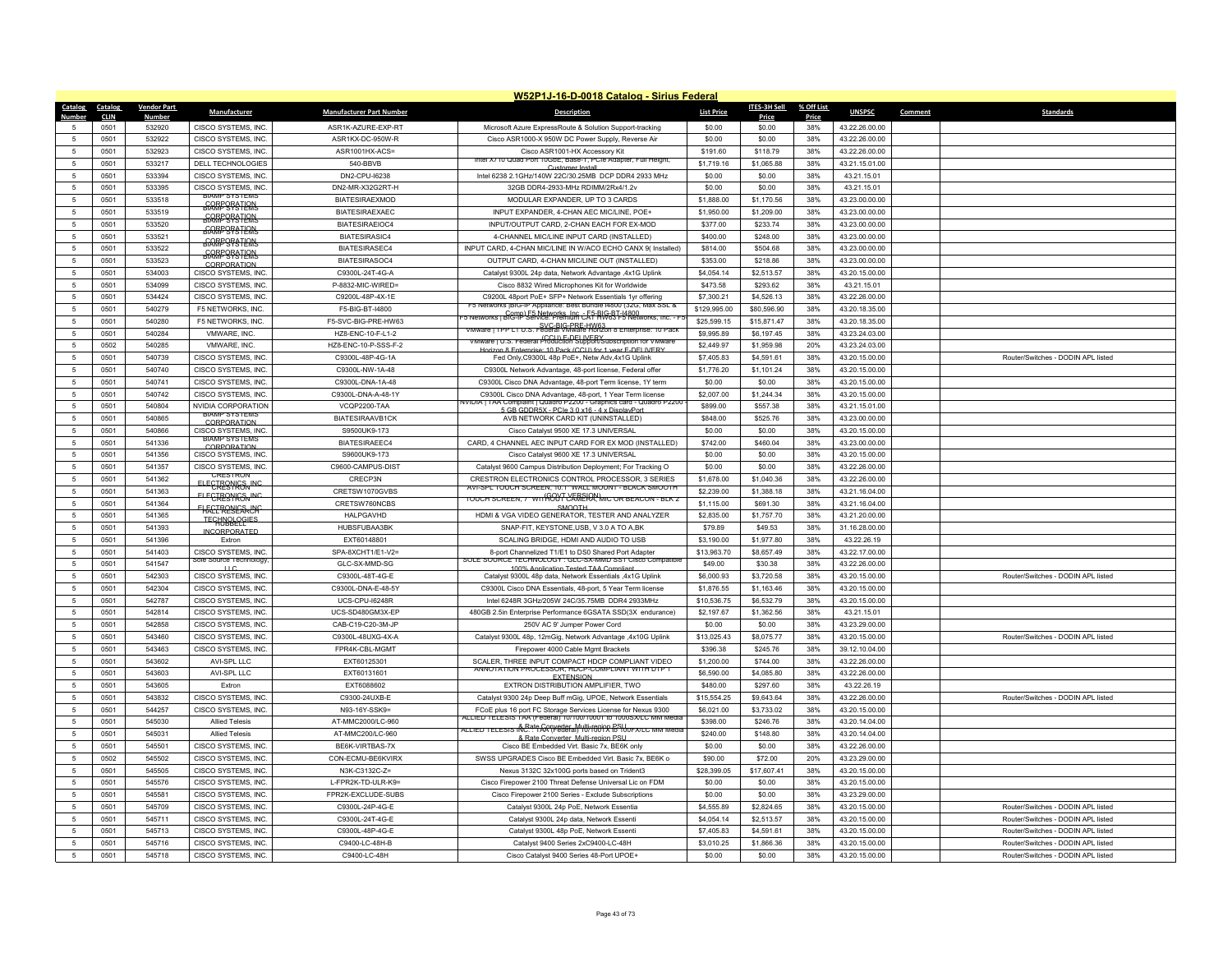|                 |             |                    |                                              |                                 | W52P1J-16-D-0018 Catalog - Sirius Federal                                                                                        |                   |                     |            |                |                                    |
|-----------------|-------------|--------------------|----------------------------------------------|---------------------------------|----------------------------------------------------------------------------------------------------------------------------------|-------------------|---------------------|------------|----------------|------------------------------------|
| Catalog         | Catalog     | <b>Vendor Part</b> | Manufacturer                                 | <b>Manufacturer Part Number</b> | <b>Description</b>                                                                                                               | <b>List Price</b> | <b>ITES-3H Sell</b> | % Off List | <b>UNSPSC</b>  | Comment<br><b>Standards</b>        |
| <b>Number</b>   | <b>CLIN</b> | Number             |                                              |                                 |                                                                                                                                  |                   | Price               | Price      |                |                                    |
| 5               | 0501        | 532920             | CISCO SYSTEMS, INC.                          | ASR1K-AZURE-EXP-RT              | Microsoft Azure ExpressRoute & Solution Support-tracking                                                                         | \$0.00            | \$0.00              | 38%        | 43.22.26.00.00 |                                    |
| 5               | 0501        | 532922             | CISCO SYSTEMS, INC.                          | ASR1KX-DC-950W-R                | Cisco ASR1000-X 950W DC Power Supply, Reverse Air                                                                                | \$0.00            | \$0.00              | 38%        | 43.22.26.00.00 |                                    |
| -5              | 0501        | 532923             | CISCO SYSTEMS, INC.                          | ASR1001HX-ACS=                  | Cisco ASR1001-HX Accessory Kit<br>itel X/10 Quad Port 10GbE, Base-T, PCIe Adapter, Full Heigh                                    | \$191.60          | \$118.79            | 38%        | 43.22.26.00.00 |                                    |
| $\sqrt{5}$      | 0501        | 533217             | DELL TECHNOLOGIES                            | 540-BBVB                        | Customer Instal                                                                                                                  | \$1,719.16        | \$1,065.88          | 38%        | 43.21.15.01.00 |                                    |
| 5               | 0501        | 533394             | CISCO SYSTEMS, INC                           | DN2-CPU-I6238                   | Intel 6238 2.1GHz/140W 22C/30.25MB DCP DDR4 2933 MHz                                                                             | \$0.00            | \$0.00              | 38%        | 43.21.15.01    |                                    |
| 5               | 0501        | 533395             | CISCO SYSTEMS INC.<br><b>BIAMP SYSTEMS</b>   | DN2-MR-X32G2RT-H                | 32GB DDR4-2933-MHz RDIMM/2Rx4/1.2v                                                                                               | \$0.00            | \$0.00              | 38%        | 43.21.15.01    |                                    |
| $\sqrt{5}$      | 0501        | 533518             | <b>BRARE SPATEMS</b>                         | <b>BIATESIRAEXMOD</b>           | MODULAR EXPANDER, UP TO 3 CARDS                                                                                                  | \$1,888.00        | \$1,170.56          | 38%        | 43.23.00.00.00 |                                    |
| 5               | 0501        | 533519             | <b>BRARE SPATERAS</b>                        | <b>BIATESIRAEXAEC</b>           | INPUT EXPANDER, 4-CHAN AEC MIC/LINE, POE+                                                                                        | \$1,950.00        | \$1,209.00          | 38%        | 43.23.00.00.00 |                                    |
| $\sqrt{5}$      | 0501        | 533520             | <b>BRARE SPATERNS</b>                        | BIATESIRAEIOC4                  | INPUT/OUTPUT CARD, 2-CHAN FACH FOR EX-MOD                                                                                        | \$377.00          | \$233.74            | 38%        | 43.23.00.00.00 |                                    |
| $\sqrt{5}$      | 0501        | 533521             | <b>GORE SPATION</b>                          | <b>BIATESIRASIC4</b>            | 4-CHANNEL MIC/LINE INPUT CARD (INSTALLED)                                                                                        | \$400.00          | \$248.00            | 38%        | 43.23.00.00.00 |                                    |
| $\overline{5}$  | 0501        | 533522             | <b>BRARE SPATERAS</b>                        | BIATESIRASEC4                   | INPUT CARD, 4-CHAN MIC/LINE IN W/ACO ECHO CANX 9( Installed)                                                                     | \$814.00          | \$504.68            | 38%        | 43.23.00.00.00 |                                    |
| 5               | 0501        | 533523             | CORPORATION                                  | BIATESIRASOC4                   | OUTPUT CARD, 4-CHAN MIC/LINE OUT (INSTALLED)                                                                                     | \$353.00          | \$218.86            | 38%        | 43.23.00.00.00 |                                    |
| 5               | 0501        | 534003             | CISCO SYSTEMS INC                            | C9300L-24T-4G-A                 | Catalyst 9300L 24p data, Network Advantage ,4x1G Uplink                                                                          | \$4,054.14        | \$2.513.57          | 38%        | 43.20.15.00.00 |                                    |
| 5               | 0501        | 534099             | CISCO SYSTEMS, INC                           | P-8832-MIC-WIRED=               | Cisco 8832 Wired Microphones Kit for Worldwide                                                                                   | \$473.58          | \$293.62            | 38%        | 43.21.15.01    |                                    |
| $\sqrt{5}$      | 0501        | 534424             | CISCO SYSTEMS, INC                           | C9200L-48P-4X-1E                | C9200L 48port PoE+ SFP+ Network Essentials 1yr offering<br>orks  bio-ii- Appiiance: צודו וואס ו סיסון (או סיסון (או סיסון אוסי   | \$7,300.21        | \$4,526.13          | 38%        | 43.22.26.00.00 |                                    |
| 5               | 0501        | 540279             | F5 NETWORKS, INC.                            | F5-BIG-BT-I4800                 | 5 Networks   BIC-IP Service: Premium CAT-BIG-BT-14800                                                                            | \$129,995.00      | \$80,596.90         | 38%        | 43.20.18.35.00 |                                    |
| 5               | 0501        | 540280             | F5 NETWORKS, INC.                            | F5-SVC-BIG-PRE-HW63             | SVC-BIG-PRE-HW63<br>VMware   TPP L1 U.S. Federal VMware Horizon 8 Enterprise: 10 Pack                                            | \$25,599.15       | \$15,871.47         | 38%        | 43.20.18.35.00 |                                    |
| $\sqrt{5}$      | 0501        | 540284             | VMWARE, INC.                                 | HZ8-ENC-10-F-L1-2               | VMware   U.S. Federal Production Support/Subscription for VMware                                                                 | \$9,995.89        | \$6,197.45          | 38%        | 43.23.24.03.00 |                                    |
| 5               | 0502        | 540285             | VMWARE, INC.                                 | HZ8-ENC-10-P-SSS-F-2            | Horizon 8 Enterprise: 10 Pack (CCU) for 1 year E-DELIVERY                                                                        | \$2,449.97        | \$1,959.98          | 20%        | 43.23.24.03.00 |                                    |
| $\sqrt{5}$      | 0501        | 540739             | CISCO SYSTEMS, INC.                          | C9300L-48P-4G-1A                | Fed Only, C9300L 48p PoE+, Netw Adv, 4x1G Uplink                                                                                 | \$7,405.83        | \$4,591.61          | 38%        | 43.20.15.00.00 | Router/Switches - DODIN API listed |
| 5               | 0501        | 540740             | CISCO SYSTEMS, INC                           | C9300L-NW-1A-48                 | C9300L Network Advantage, 48-port license, Federal offer                                                                         | \$1,776.20        | \$1,101.24          | 38%        | 43.20.15.00.00 |                                    |
| 5               | 0501        | 540741             | CISCO SYSTEMS, INC.                          | C9300L-DNA-1A-48                | C9300L Cisco DNA Advantage, 48-port Term license, 1Y term                                                                        | \$0.00            | \$0.00              | 38%        | 43.20.15.00.00 |                                    |
| -5              | 0501        | 540742             | CISCO SYSTEMS, INC.                          | C9300L-DNA-A-48-1Y              | C9300L Cisco DNA Advantage, 48-port, 1 Year Term license<br>(VIDIA I TAA Complaint   Quadro P2200 - Graphics card - Quadro P220  | \$2,007.00        | \$1,244.34          | 38%        | 43.20.15.00.00 |                                    |
| $\sqrt{5}$      | 0501        | 540804             | NVIDIA CORPORATION<br><b>BIAMP SYSTEMS</b>   | VCQP2200-TAA                    | 5 GB GDDR5X - PCle 3 0 x16 - 4 x DisplayPort                                                                                     | \$899.00          | \$557.38            | 38%        | 43.21.15.01.00 |                                    |
| 5               | 0501        | 540865             | CORPORATION                                  | <b>BIATESIRAAVB1CK</b>          | AVB NETWORK CARD KIT (UNINSTALLED)                                                                                               | \$848.00          | \$525.76            | 38%        | 43.23.00.00.00 |                                    |
| 5               | 0501        | 540866             | CISCO SYSTEMS, INC.<br><b>BIAMP SYSTEMS</b>  | S9500UK9-173                    | Cisco Catalyst 9500 XE 17.3 UNIVERSAL                                                                                            | \$0.00            | \$0.00              | 38%        | 43.20.15.00.00 |                                    |
| 5               | 0501        | 541336             | CORPORATION                                  | <b>BIATESIRAEEC4</b>            | CARD, 4 CHANNEL AEC INPUT CARD FOR EX MOD (INSTALLED)                                                                            | \$742.00          | \$460.04            | 38%        | 43.23.00.00.00 |                                    |
| 5               | 0501        | 541356             | CISCO SYSTEMS. INC                           | S9600UK9-173                    | Cisco Catalyst 9600 XE 17.3 UNIVERSAL                                                                                            | \$0.00            | \$0.00              | 38%        | 43.20.15.00.00 |                                    |
| $\sqrt{5}$      | 0501        | 541357             | CISCO SYSTEMS. INC<br><b>CRESTRON</b>        | C9600-CAMPUS-DIST               | Catalyst 9600 Campus Distribution Deployment; For Tracking O                                                                     | \$0.00            | \$0.00              | 38%        | 43.22.26.00.00 |                                    |
| 5               | 0501        | 541362             | ELECTRESHICSNING                             | CRECP3N                         | CRESTRON ELECTRONICS CONTROL PROCESSOR, 3 SERIES<br>AVI-SPL TOUCH SCREEN, 10.1" WALL MOUNT - BLACK SMOOTH                        | \$1,678.00        | \$1,040.36          | 38%        | 43.22.26.00.00 |                                    |
| $\sqrt{5}$      | 0501        | 541363             | <b>ELECTRONICS INC</b>                       | CRETSW1070GVBS                  | TOUCH SCREEN. /" WITHOUT CAMERA MIC OR BEACON - BLK 2                                                                            | \$2,239.00        | \$1,388.18          | 38%        | 43.21.16.04.00 |                                    |
| $5\phantom{.0}$ | 0501        | 541364             | <b>FHACTRENEARCH</b>                         | CRETSW760NCBS                   | SMOOTH                                                                                                                           | \$1,115.00        | \$691.30            | 38%        | 43.21.16.04.00 |                                    |
| -5              | 0501        | 541365             | <b>TECHNOLOGIES</b>                          | <b>HAI PGAVHD</b>               | HDMI & VGA VIDEO GENERATOR, TESTER AND ANALYZER                                                                                  | \$2,835.00        | \$1,757.70          | 38%        | 43.21.20.00.00 |                                    |
| 5               | 0501        | 541393             | <b>INCORPORATED</b>                          | HUBSFUBAA3BK                    | SNAP-FIT, KEYSTONE, USB, V 3.0 A TO A, BK                                                                                        | \$79.89           | \$49.53             | 38%        | 31.16.28.00.00 |                                    |
| 5               | 0501        | 541396             | Extron                                       | EXT60148801                     | SCALING BRIDGE, HDMI AND AUDIO TO USB                                                                                            | \$3,190.00        | \$1,977.80          | 38%        | 43.22.26.19    |                                    |
| 5               | 0501        | 541403             | CISCO SYSTEMS, INC<br>sole Source Technology | SPA-8XCHT1/E1-V2=               | 8-port Channelized T1/E1 to DS0 Shared Port Adapter                                                                              | \$13,963.70       | \$8,657.49          | 38%        | 43.22.17.00.00 |                                    |
| 5               | 0501        | 541547             | $\sqcup$ C                                   | GLC-SX-MMD-SG                   | SOLE SOURCE TECHNOLOGY : GLC-SX-MMD SST Cisco Compatible<br>100% Annlication Tested TAA Compliant                                | \$49.00           | \$30.38             | 38%        | 43.22.26.00.00 |                                    |
| $5\phantom{.0}$ | 0501        | 542303             | CISCO SYSTEMS, INC.                          | C9300L-48T-4G-E                 | Catalyst 9300L 48p data, Network Essentials ,4x1G Uplink                                                                         | \$6,000.93        | \$3,720.58          | 38%        | 43.20.15.00.00 | Router/Switches - DODIN APL listed |
| 5               | 0501        | 542304             | CISCO SYSTEMS, INC                           | C9300L-DNA-E-48-5Y              | C9300L Cisco DNA Essentials, 48-port, 5 Year Term license                                                                        | \$1,876.55        | \$1,163.46          | 38%        | 43.20.15.00.00 |                                    |
| 5               | 0501        | 542787             | CISCO SYSTEMS. INC                           | UCS-CPU-I6248R                  | Intel 6248R 3GHz/205W 24C/35.75MB DDR4 2933MHz                                                                                   | \$10,536.75       | \$6,532.79          | 38%        | 43.20.15.00.00 |                                    |
| $\sqrt{5}$      | 0501        | 542814             | CISCO SYSTEMS, INC.                          | UCS-SD480GM3X-EF                | 480GB 2.5in Enterprise Performance 6GSATA SSD(3X endurance)                                                                      | \$2,197.67        | \$1,362.56          | 38%        | 43.21.15.01    |                                    |
| 5               | 0501        | 542858             | CISCO SYSTEMS, INC                           | CAB-C19-C20-3M-JP               | 250V AC 9' Jumper Power Cord                                                                                                     | \$0.00            | \$0.00              | 38%        | 43.23.29.00.00 |                                    |
| 5               | 0501        | 543460             | CISCO SYSTEMS, INC.                          | C9300L-48UXG-4X-A               | Catalyst 9300L 48p, 12mGig, Network Advantage ,4x10G Uplink                                                                      | \$13,025.43       | \$8,075.77          | 38%        | 43 20 15 00 00 | Router/Switches - DODIN API listed |
| 5               | 0501        | 543463             | CISCO SYSTEMS, INC                           | FPR4K-CBL-MGMT                  | Firepower 4000 Cable Mgmt Brackets                                                                                               | \$396.38          | \$245.76            | 38%        | 39.12.10.04.00 |                                    |
| $\sqrt{5}$      | 0501        | 543602             | AVI-SPL LLC                                  | EXT60125301                     | SCALER, THREE INPUT COMPACT HDCP COMPLIANT VIDEO<br>ANNOTATION PROCESSOR, HDCP-COMPLIANT WITH DTP                                | \$1,200.00        | \$744.00            | 38%        | 43.22.26.00.00 |                                    |
| 5               | 0501        | 543603             | AVI-SPL LLC                                  | EXT60131601                     | <b>EXTENSION</b>                                                                                                                 | \$6,590.00        | \$4.085.80          | 38%        | 43.22.26.00.00 |                                    |
| $\sqrt{5}$      | 0501        | 543605             | Extron                                       | EXT6088602                      | EXTRON DISTRIBUTION AMPLIFIER, TWO                                                                                               | \$480.00          | \$297.60            | 38%        | 43.22.26.19    |                                    |
| $\sqrt{5}$      | 0501        | 543832             | CISCO SYSTEMS, INC                           | C9300-24UXB-E                   | Catalyst 9300 24p Deep Buff mGig, UPOE, Network Essentials                                                                       | \$15,554.25       | \$9,643.64          | 38%        | 43.22.26.00.00 | Router/Switches - DODIN APL listed |
| $5\phantom{.0}$ | 0501        | 544257             | CISCO SYSTEMS, INC.                          | N93-16Y-SSK9=                   | FCoE plus 16 port FC Storage Services License for Nexus 9300                                                                     | \$6,021.00        | \$3,733.02          | 38%        | 43.20.15.00.00 |                                    |
| 5               | 0501        | 545030             | <b>Allied Telesis</b>                        | AT-MMC2000/LC-960               | LLIED TELESIS TAA (Federal) 10/100/10001 to 1000SXLC MM Medi<br>ALLIED TELESIS INC.: TAA (Federal TU) TOOPR & TUUF XILC MM Media | \$398.00          | \$246.76            | 38%        | 43.20.14.04.00 |                                    |
| 5               | 0501        | 545031             | <b>Allied Telesis</b>                        | AT-MMC200/LC-960                | & Rete Converter, Multi-region PSU                                                                                               | \$240.00          | \$148.80            | 38%        | 43.20.14.04.00 |                                    |
| $\sqrt{5}$      | 0501        | 545501             | CISCO SYSTEMS, INC                           | BE6K-VIRTBAS-7X                 | Cisco BE Embedded Virt. Basic 7x, BE6K only                                                                                      | \$0.00            | \$0.00              | 38%        | 43.22.26.00.00 |                                    |
| 5               | 0502        | 545502             | CISCO SYSTEMS, INC                           | CON-ECMU-BE6KVIRX               | SWSS UPGRADES Cisco BE Embedded Virt. Basic 7x, BE6K o                                                                           | \$90.00           | \$72.00             | 20%        | 43.23.29.00.00 |                                    |
| 5               | 0501        | 545505             | CISCO SYSTEMS, INC.                          | N3K-C3132C-Z=                   | Nexus 3132C 32x100G ports based on Trident3                                                                                      | \$28,399.05       | \$17,607.41         | 38%        | 43.20.15.00.00 |                                    |
| 5               | 0501        | 545576             | CISCO SYSTEMS, INC                           | L-FPR2K-TD-ULR-K9=              | Cisco Firepower 2100 Threat Defense Universal Lic on FDM                                                                         | \$0.00            | \$0.00              | 38%        | 43.20.15.00.00 |                                    |
| 5               | 0501        | 545581             | CISCO SYSTEMS, INC                           | FPR2K-EXCLUDE-SUBS              | Cisco Firepower 2100 Series - Exclude Subscriptions                                                                              | \$0.00            | \$0.00              | 38%        | 43.23.29.00.00 |                                    |
| 5               | 0501        | 545709             | CISCO SYSTEMS, INC.                          | C9300L-24P-4G-E                 | Catalyst 9300L 24p PoE, Network Essentia                                                                                         | \$4,555.89        | \$2,824.65          | 38%        | 43.20.15.00.00 | Router/Switches - DODIN APL listed |
| 5               | 0501        | 545711             | CISCO SYSTEMS, INC                           | C9300L-24T-4G-E                 | Catalyst 9300L 24p data, Network Essenti                                                                                         | \$4,054.14        | \$2,513.57          | 38%        | 43.20.15.00.00 | Router/Switches - DODIN APL listed |
| 5               | 0501        | 545713             | CISCO SYSTEMS, INC                           | C9300L-48P-4G-E                 | Catalyst 9300L 48p PoE, Network Essenti                                                                                          | \$7,405.83        | \$4.591.61          | 38%        | 43.20.15.00.00 | Router/Switches - DODIN APL listed |
| -5              | 0501        | 545716             | CISCO SYSTEMS, INC.                          | C9400-LC-48H-B                  | Catalyst 9400 Series 2xC9400-LC-48H                                                                                              | \$3,010.25        | \$1,866.36          | 38%        | 43.20.15.00.00 | Router/Switches - DODIN API listed |
| $\overline{5}$  | 0501        | 545718             | CISCO SYSTEMS, INC.                          | C9400-LC-48H                    | Cisco Catalyst 9400 Series 48-Port UPOE+                                                                                         | \$0.00            | \$0.00              | 38%        | 43.20.15.00.00 | Router/Switches - DODIN APL listed |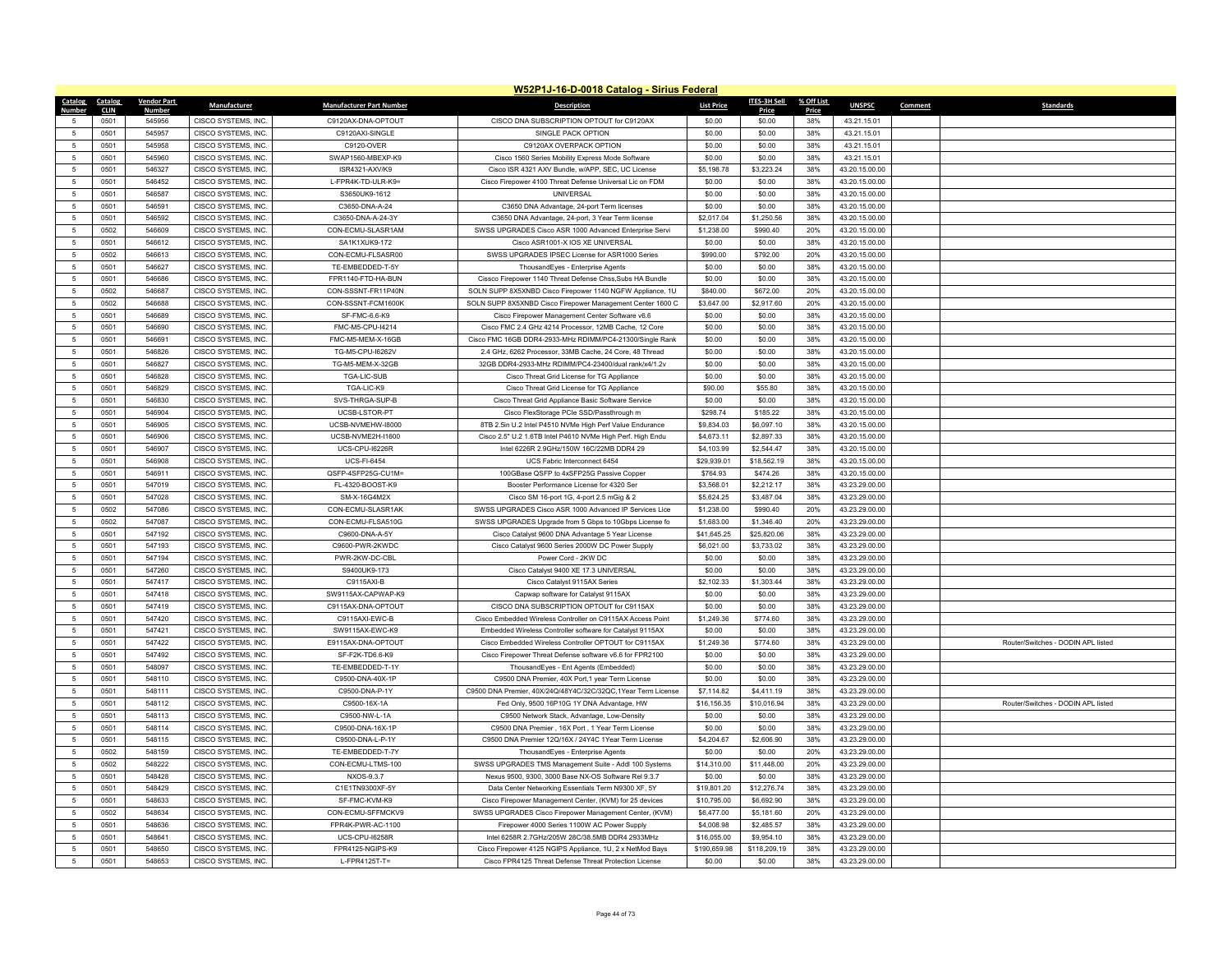|                               |                    |                     |                                 | W52P1J-16-D-0018 Catalog - Sirius Federal                     |                   |                 |              |                |         |                                    |
|-------------------------------|--------------------|---------------------|---------------------------------|---------------------------------------------------------------|-------------------|-----------------|--------------|----------------|---------|------------------------------------|
| <b>Catalog</b><br>Catalog     | <b>Vendor Part</b> | Manufacturer        | <b>Manufacturer Part Number</b> | <b>Description</b>                                            | <b>List Price</b> | ITES-3H Sell    | % Off List   | <b>UNSPSC</b>  | Comment | <b>Standards</b>                   |
| <b>CLIN</b><br>Number<br>0501 | Numbe<br>545956    | CISCO SYSTEMS. INC. | C9120AX-DNA-OPTOUT              | CISCO DNA SUBSCRIPTION OPTOUT for C9120AX                     | \$0.00            | Price<br>\$0.00 | Price<br>38% | 43 21 15 01    |         |                                    |
| 5<br>5                        | 545957             | CISCO SYSTEMS. INC. |                                 | SINGLE PACK OPTION                                            |                   |                 | 38%          |                |         |                                    |
| 0501                          |                    |                     | C9120AXI-SINGLE                 |                                                               | \$0.00            | \$0.00          |              | 43.21.15.01    |         |                                    |
| 5<br>0501                     | 545958             | CISCO SYSTEMS, INC. | C9120-OVER                      | C9120AX OVERPACK OPTION                                       | \$0.00            | \$0.00          | 38%          | 43.21.15.01    |         |                                    |
| 0501<br>5                     | 545960             | CISCO SYSTEMS, INC. | SWAP1560-MBEXP-K9               | Cisco 1560 Series Mobility Express Mode Software              | \$0.00            | \$0.00          | 38%          | 43.21.15.01    |         |                                    |
| $\sqrt{5}$<br>0501            | 546327             | CISCO SYSTEMS, INC. | ISR4321-AXV/K9                  | Cisco ISR 4321 AXV Bundle, w/APP, SEC, UC License             | \$5,198.78        | \$3,223.24      | 38%          | 43.20.15.00.00 |         |                                    |
| $5\overline{5}$<br>0501       | 546452             | CISCO SYSTEMS, INC. | L-FPR4K-TD-ULR-K9=              | Cisco Firepower 4100 Threat Defense Universal Lic on FDM      | \$0.00            | \$0.00          | 38%          | 43.20.15.00.00 |         |                                    |
| 0501<br>5                     | 546587             | CISCO SYSTEMS, INC. | S3650UK9-1612                   | <b>UNIVERSAL</b>                                              | \$0.00            | \$0.00          | 38%          | 43.20.15.00.00 |         |                                    |
| 0501<br>5                     | 546591             | CISCO SYSTEMS, INC. | C3650-DNA-A-24                  | C3650 DNA Advantage, 24-port Term licenses                    | \$0.00            | \$0.00          | 38%          | 43.20.15.00.00 |         |                                    |
| $\sqrt{5}$<br>0501            | 546592             | CISCO SYSTEMS, INC. | C3650-DNA-A-24-3Y               | C3650 DNA Advantage, 24-port, 3 Year Term license             | \$2,017.04        | \$1,250.56      | 38%          | 43.20.15.00.00 |         |                                    |
| $\overline{5}$<br>0502        | 546609             | CISCO SYSTEMS, INC. | CON-ECMU-SLASR1AM               | SWSS UPGRADES Cisco ASR 1000 Advanced Enterprise Servi        | \$1,238.00        | \$990.40        | 20%          | 43.20.15.00.00 |         |                                    |
| $\sqrt{5}$<br>0501            | 546612             | CISCO SYSTEMS. INC  | SA1K1XUK9-172                   | Cisco ASR1001-X IOS XE UNIVERSAL                              | \$0.00            | \$0.00          | 38%          | 43.20.15.00.00 |         |                                    |
| $\sqrt{5}$<br>0502            | 546613             | CISCO SYSTEMS, INC. | CON-ECMU-FLSASR00               | SWSS UPGRADES IPSEC License for ASR1000 Series                | \$990.00          | \$792.00        | 20%          | 43.20.15.00.00 |         |                                    |
| 5<br>0501                     | 546627             | CISCO SYSTEMS, INC. | TE-EMBEDDED-T-5Y                | ThousandEyes - Enterprise Agents                              | \$0.00            | \$0.00          | 38%          | 43.20.15.00.00 |         |                                    |
| $\sqrt{5}$<br>0501            | 546686             | CISCO SYSTEMS, INC. | FPR1140-FTD-HA-BUN              | Cissco Firepower 1140 Threat Defense Chss, Subs HA Bundle     | \$0.00            | \$0.00          | 38%          | 43.20.15.00.00 |         |                                    |
| $\sqrt{5}$<br>0502            | 546687             | CISCO SYSTEMS, INC. | CON-SSSNT-FR11P40N              | SOLN SUPP 8X5XNBD Cisco Firepower 1140 NGFW Appliance, 1U     | \$840.00          | \$672.00        | 20%          | 43.20.15.00.00 |         |                                    |
| $\sqrt{5}$<br>0502            | 546688             | CISCO SYSTEMS, INC. | CON-SSSNT-FCM1600K              | SOLN SUPP 8X5XNBD Cisco Firepower Management Center 1600 C    | \$3,647.00        | \$2,917.60      | 20%          | 43.20.15.00.00 |         |                                    |
| 0501<br>$\overline{5}$        | 546689             | CISCO SYSTEMS. INC. | SF-FMC-6.6-K9                   | Cisco Firepower Management Center Software v6.6               | \$0.00            | \$0.00          | 38%          | 43.20.15.00.00 |         |                                    |
| $\overline{5}$<br>0501        | 546690             | CISCO SYSTEMS, INC. | FMC-M5-CPU-I4214                | Cisco FMC 2.4 GHz 4214 Processor, 12MB Cache, 12 Core         | \$0.00            | \$0.00          | 38%          | 43.20.15.00.00 |         |                                    |
| $\sqrt{5}$<br>0501            | 546691             | CISCO SYSTEMS, INC. | FMC-M5-MEM-X-16GB               | Cisco FMC 16GB DDR4-2933-MHz RDIMM/PC4-21300/Single Rank      | \$0.00            | \$0.00          | 38%          | 43.20.15.00.00 |         |                                    |
| 0501<br>5                     | 546826             | CISCO SYSTEMS, INC  | TG-M5-CPU-I6262V                | 2.4 GHz, 6262 Processor, 33MB Cache, 24 Core, 48 Thread       | \$0.00            | \$0.00          | 38%          | 43.20.15.00.00 |         |                                    |
| $\sqrt{5}$<br>0501            | 546827             | CISCO SYSTEMS, INC. | TG-M5-MEM-X-32GB                | 32GB DDR4-2933-MHz RDIMM/PC4-23400/dual rank/x4/1.2v          | \$0.00            | \$0.00          | 38%          | 43.20.15.00.00 |         |                                    |
| $\sqrt{5}$<br>0501            | 546828             | CISCO SYSTEMS, INC. | <b>TGA-LIC-SUB</b>              | Cisco Threat Grid License for TG Appliance                    | \$0.00            | \$0.00          | 38%          | 43.20.15.00.00 |         |                                    |
| 0501<br>5                     | 546829             | CISCO SYSTEMS. INC. | TGA-LIC-K9                      | Cisco Threat Grid License for TG Appliance                    | \$90.00           | \$55.80         | 38%          | 43.20.15.00.00 |         |                                    |
| $\sqrt{5}$<br>0501            | 546830             | CISCO SYSTEMS, INC. | SVS-THRGA-SUP-B                 | Cisco Threat Grid Appliance Basic Software Service            | \$0.00            | \$0.00          | 38%          | 43.20.15.00.00 |         |                                    |
| $\,$ 5 $\,$<br>0501           | 546904             | CISCO SYSTEMS, INC. | UCSB-LSTOR-PT                   | Cisco FlexStorage PCIe SSD/Passthrough m                      | \$298.74          | \$185.22        | 38%          | 43.20.15.00.00 |         |                                    |
| 0501<br>5                     | 546905             | CISCO SYSTEMS, INC. | UCSB-NVMEHW-I8000               | 8TB 2.5in U.2 Intel P4510 NVMe High Perf Value Endurance      | \$9,834.03        | \$6,097.10      | 38%          | 43.20.15.00.00 |         |                                    |
| 0501<br>5                     | 546906             | CISCO SYSTEMS, INC. | UCSB-NVME2H-I1600               | Cisco 2.5" U.2 1.6TB Intel P4610 NVMe High Perf. High Endu    | \$4,673.11        | \$2,897.33      | 38%          | 43.20.15.00.00 |         |                                    |
| $\sqrt{5}$<br>0501            | 546907             | CISCO SYSTEMS, INC. | UCS-CPU-I6226R                  | Intel 6226R 2.9GHz/150W 16C/22MB DDR4 29                      | \$4,103.99        | \$2,544.47      | 38%          | 43.20.15.00.00 |         |                                    |
| 0501<br>5                     | 546908             | CISCO SYSTEMS, INC. | <b>UCS-FI-6454</b>              | UCS Fabric Interconnect 6454                                  | \$29,939.01       | \$18,562.19     | 38%          | 43.20.15.00.00 |         |                                    |
| 0501<br>5                     | 546911             | CISCO SYSTEMS, INC. | QSFP-4SFP25G-CU1M=              | 100GBase QSFP to 4xSFP25G Passive Copper                      | \$764.93          | \$474.26        | 38%          | 43.20.15.00.00 |         |                                    |
| $\sqrt{5}$<br>0501            | 547019             | CISCO SYSTEMS, INC. | FL-4320-BOOST-K9                | Booster Performance License for 4320 Ser                      | \$3,568.01        | \$2,212.17      | 38%          | 43.23.29.00.00 |         |                                    |
| $\sqrt{5}$<br>0501            | 547028             | CISCO SYSTEMS, INC. | SM-X-16G4M2X                    | Cisco SM 16-port 1G, 4-port 2.5 mGig & 2                      | \$5,624.25        | \$3,487.04      | 38%          | 43.23.29.00.00 |         |                                    |
| $\sqrt{5}$<br>0502            | 547086             | CISCO SYSTEMS, INC. | CON-ECMU-SLASR1AK               | SWSS UPGRADES Cisco ASR 1000 Advanced IP Services Lice        | \$1,238.00        | \$990.40        | 20%          | 43.23.29.00.00 |         |                                    |
| $\sqrt{5}$<br>0502            | 547087             | CISCO SYSTEMS, INC. | CON-ECMU-FLSA510G               | SWSS UPGRADES Upgrade from 5 Gbps to 10Gbps License fo        | \$1,683.00        | \$1,346.40      | 20%          | 43.23.29.00.00 |         |                                    |
| $\sqrt{5}$<br>0501            | 547192             | CISCO SYSTEMS, INC. | C9600-DNA-A-5Y                  | Cisco Catalyst 9600 DNA Advantage 5 Year License              | \$41,645.25       | \$25,820.06     | 38%          | 43.23.29.00.00 |         |                                    |
| 0501<br>$\sqrt{5}$            | 547193             | CISCO SYSTEMS, INC. | C9600-PWR-2KWDC                 | Cisco Catalyst 9600 Series 2000W DC Power Supply              | \$6,021.00        | \$3,733.02      | 38%          | 43.23.29.00.00 |         |                                    |
| $\sqrt{5}$<br>0501            | 547194             | CISCO SYSTEMS, INC. | PWR-2KW-DC-CBL                  | Power Cord - 2KW DC                                           | \$0.00            | \$0.00          | 38%          | 43.23.29.00.00 |         |                                    |
| $\sqrt{5}$<br>0501            | 547260             | CISCO SYSTEMS, INC. | S9400UK9-173                    | Cisco Catalyst 9400 XE 17.3 UNIVERSAL                         | \$0.00            | \$0.00          | 38%          | 43.23.29.00.00 |         |                                    |
| 0501<br>5                     | 547417             | CISCO SYSTEMS. INC. | C9115AXI-B                      | Cisco Catalyst 9115AX Series                                  | \$2,102.33        | \$1,303.44      | 38%          | 43.23.29.00.00 |         |                                    |
| 0501<br>5                     | 547418             | CISCO SYSTEMS. INC  | SW9115AX-CAPWAP-K9              | Capwap software for Catalyst 9115AX                           | \$0.00            | \$0.00          | 38%          | 43.23.29.00.00 |         |                                    |
| 5<br>0501                     | 547419             | CISCO SYSTEMS, INC. | C9115AX-DNA-OPTOUT              | CISCO DNA SUBSCRIPTION OPTOUT for C9115AX                     | \$0.00            | \$0.00          | 38%          | 43.23.29.00.00 |         |                                    |
| 0501<br>5                     | 547420             | CISCO SYSTEMS. INC. | C9115AXI-EWC-B                  | Cisco Embedded Wireless Controller on C9115AX Access Point    | \$1,249.36        | \$774.60        | 38%          | 43.23.29.00.00 |         |                                    |
| $\sqrt{5}$<br>0501            | 547421             | CISCO SYSTEMS, INC. | SW9115AX-EWC-K9                 | Embedded Wireless Controller software for Catalyst 9115AX     | \$0.00            | \$0.00          | 38%          | 43.23.29.00.00 |         |                                    |
| $\overline{5}$<br>0501        | 547422             | CISCO SYSTEMS, INC. | E9115AX-DNA-OPTOUT              | Cisco Embedded Wireless Controller OPTOUT for C9115AX         | \$1,249.36        | \$774.60        | 38%          | 43.23.29.00.00 |         | Router/Switches - DODIN APL listed |
| 0501<br>5                     | 547492             | CISCO SYSTEMS, INC. | SF-F2K-TD6.6-K9                 | Cisco Firepower Threat Defense software v6.6 for FPR2100      | \$0.00            | \$0.00          | 38%          | 43.23.29.00.00 |         |                                    |
| 0501<br>5                     | 548097             | CISCO SYSTEMS, INC. | TE-EMBEDDED-T-1Y                | ThousandEyes - Ent Agents (Embedded)                          | \$0.00            | \$0.00          | 38%          | 43.23.29.00.00 |         |                                    |
| 0501<br>$\sqrt{5}$            | 548110             | CISCO SYSTEMS, INC. | C9500-DNA-40X-1P                | C9500 DNA Premier, 40X Port,1 year Term License               | \$0.00            | \$0.00          | 38%          | 43.23.29.00.00 |         |                                    |
| 0501<br>5                     | 548111             | CISCO SYSTEMS, INC. | C9500-DNA-P-1Y                  | C9500 DNA Premier, 40X/24Q/48Y4C/32C/32QC, 1Year Term License | \$7,114.82        | \$4,411.19      | 38%          | 43.23.29.00.00 |         |                                    |
| 0501<br>$\sqrt{5}$            | 548112             | CISCO SYSTEMS, INC. | C9500-16X-1A                    | Fed Only, 9500 16P10G 1Y DNA Advantage, HW                    | \$16,156.35       | \$10,016.94     | 38%          | 43.23.29.00.00 |         | Router/Switches - DODIN APL listed |
| $\sqrt{5}$<br>0501            | 548113             | CISCO SYSTEMS, INC. | C9500-NW-L-1A                   | C9500 Network Stack, Advantage, Low-Density                   | \$0.00            | \$0.00          | 38%          | 43.23.29.00.00 |         |                                    |
| 5<br>0501                     | 548114             | CISCO SYSTEMS, INC. | C9500-DNA-16X-1P                | C9500 DNA Premier, 16X Port, 1 Year Term License              | \$0.00            | \$0.00          | 38%          | 43.23.29.00.00 |         |                                    |
| $\sqrt{5}$<br>0501            | 548115             | CISCO SYSTEMS, INC  | C9500-DNA-L-P-1Y                | C9500 DNA Premier 12Q/16X / 24Y4C 1Year Term License          | \$4,204.67        | \$2,606.90      | 38%          | 43.23.29.00.00 |         |                                    |
| $\sqrt{5}$<br>0502            | 548159             | CISCO SYSTEMS, INC. | TE-EMBEDDED-T-7Y                | ThousandEyes - Enterprise Agents                              | \$0.00            | \$0.00          | 20%          | 43.23.29.00.00 |         |                                    |
| $\sqrt{5}$<br>0502            | 548222             | CISCO SYSTEMS, INC. | CON-ECMU-LTMS-100               | SWSS UPGRADES TMS Management Suite - Addl 100 Systems         | \$14,310.00       | \$11,448.00     | 20%          | 43.23.29.00.00 |         |                                    |
| 0501<br>$\sqrt{5}$            | 548428             | CISCO SYSTEMS, INC. | NXOS-9.3.7                      | Nexus 9500, 9300, 3000 Base NX-OS Software Rel 9.3.7          | \$0.00            | \$0.00          | 38%          | 43.23.29.00.00 |         |                                    |
| $\sqrt{5}$<br>0501            | 548429             | CISCO SYSTEMS, INC. | C1E1TN9300XF-5Y                 | Data Center Networking Essentials Term N9300 XF, 5Y           | \$19,801.20       | \$12,276.74     | 38%          | 43.23.29.00.00 |         |                                    |
| $\sqrt{5}$<br>0501            | 548633             | CISCO SYSTEMS, INC. | SF-FMC-KVM-K9                   | Cisco Firepower Management Center, (KVM) for 25 devices       | \$10,795.00       | \$6,692.90      | 38%          | 43.23.29.00.00 |         |                                    |
| 0502<br>5                     | 548634             | CISCO SYSTEMS, INC. | CON-ECMU-SFFMCKV9               | SWSS UPGRADES Cisco Firepower Management Center, (KVM)        | \$6,477.00        | \$5,181.60      | 20%          | 43.23.29.00.00 |         |                                    |
| 0501<br>5                     | 548636             | CISCO SYSTEMS, INC. | FPR4K-PWR-AC-1100               | Firepower 4000 Series 1100W AC Power Supply                   | \$4,008.98        | \$2,485.57      | 38%          | 43.23.29.00.00 |         |                                    |
| $\sqrt{5}$<br>0501            | 548641             | CISCO SYSTEMS, INC. | UCS-CPU-I6258R                  | Intel 6258R 2.7GHz/205W 28C/38.5MB DDR4 2933MHz               | \$16,055.00       | \$9,954.10      | 38%          | 43.23.29.00.00 |         |                                    |
| 0501<br>5                     | 548650             | CISCO SYSTEMS. INC. | FPR4125-NGIPS-K9                | Cisco Firepower 4125 NGIPS Appliance, 1U, 2 x NetMod Bays     | \$190,659.98      | \$118,209.19    | 38%          | 43.23.29.00.00 |         |                                    |
| 0501<br>5                     | 548653             | CISCO SYSTEMS, INC. | L-FPR4125T-T=                   | Cisco FPR4125 Threat Defense Threat Protection License        | \$0.00            | \$0.00          | 38%          | 43.23.29.00.00 |         |                                    |
|                               |                    |                     |                                 |                                                               |                   |                 |              |                |         |                                    |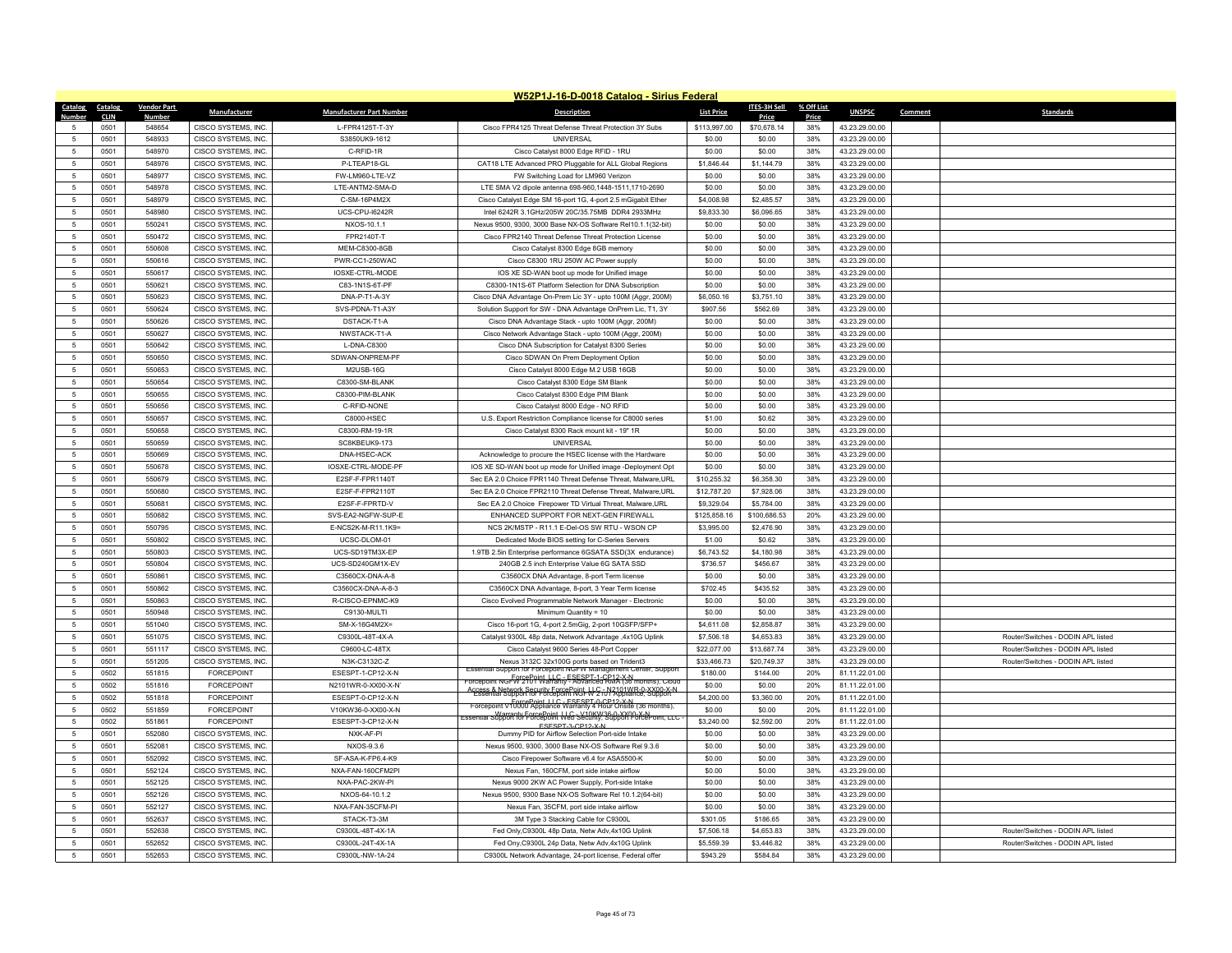|                                  |                    |                                            |                                   | W52P1J-16-D-0018 Catalog - Sirius Federal                                                                                        |                        |                       |            |                                  |                                    |
|----------------------------------|--------------------|--------------------------------------------|-----------------------------------|----------------------------------------------------------------------------------------------------------------------------------|------------------------|-----------------------|------------|----------------------------------|------------------------------------|
| Catalog<br>Catalog               | <b>Vendor Part</b> | <b>Manufacturer</b>                        | <b>Manufacturer Part Number</b>   | <b>Description</b>                                                                                                               | <b>List Price</b>      | ITES-3H Sell          | % Off List | <b>UNSPSC</b>                    | <b>Standards</b><br>Comment        |
| <b>Number</b><br><b>CLIN</b>     | <b>Number</b>      |                                            |                                   |                                                                                                                                  |                        | Price                 | Price      |                                  |                                    |
| 0501<br>5<br>0501<br>5           | 548654<br>548933   | CISCO SYSTEMS, INC.<br>CISCO SYSTEMS. INC. | L-FPR4125T-T-3Y<br>S3850UK9-1612  | Cisco FPR4125 Threat Defense Threat Protection 3Y Subs<br><b>UNIVERSAL</b>                                                       | \$113,997.00<br>\$0.00 | \$70,678.14<br>\$0.00 | 38%<br>38% | 43.23.29.00.00<br>43.23.29.00.00 |                                    |
| 0501<br>5                        | 548970             | CISCO SYSTEMS, INC.                        | C-RFID-1R                         | Cisco Catalyst 8000 Edge RFID - 1RU                                                                                              | \$0.00                 | \$0.00                | 38%        | 43.23.29.00.00                   |                                    |
| $\sqrt{5}$<br>0501               | 548976             | CISCO SYSTEMS, INC.                        | P-LTEAP18-GL                      | CAT18 LTE Advanced PRO Pluggable for ALL Global Regions                                                                          | \$1,846.44             | \$1,144.79            | 38%        | 43.23.29.00.00                   |                                    |
| $\sqrt{5}$<br>0501               | 548977             | CISCO SYSTEMS, INC.                        | FW-LM960-LTE-VZ                   | FW Switching Load for LM960 Verizon                                                                                              | \$0.00                 | \$0.00                | 38%        | 43.23.29.00.00                   |                                    |
| 0501<br>5                        | 548978             | CISCO SYSTEMS, INC.                        | LTE-ANTM2-SMA-D                   | LTE SMA V2 dipole antenna 698-960,1448-1511,1710-2690                                                                            | \$0.00                 | \$0.00                | 38%        | 43.23.29.00.00                   |                                    |
| 0501<br>5                        | 548979             | CISCO SYSTEMS, INC.                        | C-SM-16P4M2X                      | Cisco Catalyst Edge SM 16-port 1G, 4-port 2.5 mGigabit Ether                                                                     | \$4,008.98             | \$2,485.57            | 38%        | 43.23.29.00.00                   |                                    |
| $\sqrt{5}$<br>0501               | 548980             | CISCO SYSTEMS, INC.                        | UCS-CPU-I6242R                    | Intel 6242R 3.1GHz/205W 20C/35.75MB DDR4 2933MHz                                                                                 | \$9,833.30             | \$6,096.65            | 38%        | 43.23.29.00.00                   |                                    |
| 0501<br>5                        | 550241             | CISCO SYSTEMS. INC.                        | NXOS-10.1.1                       | Nexus 9500, 9300, 3000 Base NX-OS Software Rel10.1.1(32-bit)                                                                     | \$0.00                 | \$0.00                | 38%        | 43.23.29.00.00                   |                                    |
| $\sqrt{5}$<br>0501               | 550472             | CISCO SYSTEMS, INC.                        | FPR2140T-T                        | Cisco FPR2140 Threat Defense Threat Protection License                                                                           | \$0.00                 | \$0.00                | 38%        | 43.23.29.00.00                   |                                    |
| $\sqrt{5}$<br>0501               | 550608             | CISCO SYSTEMS, INC.                        | MEM-C8300-8GB                     |                                                                                                                                  | \$0.00                 | \$0.00                | 38%        | 43.23.29.00.00                   |                                    |
| 0501<br>-5                       | 550616             | CISCO SYSTEMS, INC.                        | PWR-CC1-250WAC                    | Cisco Catalyst 8300 Edge 8GB memory<br>Cisco C8300 1RU 250W AC Power supply                                                      | \$0.00                 | \$0.00                | 38%        | 43.23.29.00.00                   |                                    |
| $\sqrt{5}$<br>0501               | 550617             | CISCO SYSTEMS, INC.                        | IOSXE-CTRL-MODE                   | IOS XE SD-WAN boot up mode for Unified image                                                                                     | \$0.00                 | \$0.00                | 38%        | 43.23.29.00.00                   |                                    |
| 0501<br>5                        | 550621             | CISCO SYSTEMS, INC.                        | C83-1N1S-6T-PF                    | C8300-1N1S-6T Platform Selection for DNA Subscription                                                                            | \$0.00                 | \$0.00                | 38%        | 43.23.29.00.00                   |                                    |
|                                  |                    |                                            |                                   |                                                                                                                                  |                        |                       |            |                                  |                                    |
| 0501<br>$\sqrt{5}$<br>$\sqrt{5}$ | 550623             | <b>CISCO SYSTEMS, INC</b>                  | DNA-P-T1-A-3Y                     | Cisco DNA Advantage On-Prem Lic 3Y - upto 100M (Aggr, 200M)                                                                      | \$6,050.16             | \$3,751.10            | 38%        | 43.23.29.00.00                   |                                    |
| 0501                             | 550624             | CISCO SYSTEMS, INC.                        | SVS-PDNA-T1-A3Y                   | Solution Support for SW - DNA Advantage OnPrem Lic, T1, 3Y                                                                       | \$907.56               | \$562.69              | 38%        | 43.23.29.00.00                   |                                    |
| $\sqrt{5}$<br>0501               | 550626             | CISCO SYSTEMS, INC.                        | DSTACK-T1-A                       | Cisco DNA Advantage Stack - upto 100M (Aggr, 200M)                                                                               | \$0.00                 | \$0.00                | 38%        | 43.23.29.00.00                   |                                    |
| $\sqrt{5}$<br>0501               | 550627             | CISCO SYSTEMS, INC.                        | NWSTACK-T1-A                      | Cisco Network Advantage Stack - upto 100M (Aggr, 200M)                                                                           | \$0.00                 | \$0.00                | 38%        | 43.23.29.00.00                   |                                    |
| 0501<br>5                        | 550642             | CISCO SYSTEMS, INC.                        | L-DNA-C8300                       | Cisco DNA Subscription for Catalyst 8300 Series                                                                                  | \$0.00                 | \$0.00                | 38%        | 43.23.29.00.00                   |                                    |
| 0501<br>5                        | 550650             | CISCO SYSTEMS, INC.                        | SDWAN-ONPREM-PF                   | Cisco SDWAN On Prem Deployment Option                                                                                            | \$0.00                 | \$0.00                | 38%        | 43.23.29.00.00                   |                                    |
| 0501<br>5                        | 550653             | CISCO SYSTEMS, INC.                        | M2USB-16G                         | Cisco Catalyst 8000 Edge M.2 USB 16GB                                                                                            | \$0.00                 | \$0.00                | 38%        | 43.23.29.00.00                   |                                    |
| $\sqrt{5}$<br>0501               | 550654             | CISCO SYSTEMS, INC.                        | C8300-SM-BLANK                    | Cisco Catalyst 8300 Edge SM Blank                                                                                                | \$0.00                 | \$0.00                | 38%        | 43.23.29.00.00                   |                                    |
| 0501<br>5                        | 550655             | CISCO SYSTEMS, INC.                        | C8300-PIM-BLANK                   | Cisco Catalyst 8300 Edge PIM Blank                                                                                               | \$0.00                 | \$0.00                | 38%        | 43.23.29.00.00                   |                                    |
| 0501<br>5                        | 550656             | CISCO SYSTEMS, INC.                        | C-RFID-NONE                       | Cisco Catalyst 8000 Edge - NO RFID                                                                                               | \$0.00                 | \$0.00                | 38%        | 43.23.29.00.00                   |                                    |
| $\sqrt{5}$<br>0501               | 550657             | CISCO SYSTEMS, INC.                        | C8000-HSEC                        | U.S. Export Restriction Compliance license for C8000 series                                                                      | \$1.00                 | \$0.62                | 38%        | 43.23.29.00.00                   |                                    |
| 0501<br>5                        | 550658             | CISCO SYSTEMS, INC.                        | C8300-RM-19-1R<br>SC8KBEUK9-173   | Cisco Catalyst 8300 Rack mount kit - 19" 1R<br><b>UNIVERSAL</b>                                                                  | \$0.00<br>\$0.00       | \$0.00                | 38%<br>38% | 43.23.29.00.00                   |                                    |
| 0501<br>$5\phantom{.0}$          | 550659             | CISCO SYSTEMS, INC.                        |                                   |                                                                                                                                  |                        | \$0.00                |            | 43.23.29.00.00                   |                                    |
| $\sqrt{5}$<br>0501               | 550669             | CISCO SYSTEMS, INC.                        | DNA-HSEC-ACK                      | Acknowledge to procure the HSEC license with the Hardware                                                                        | \$0.00                 | \$0.00                | 38%        | 43.23.29.00.00                   |                                    |
| 0501<br>5                        | 550678             | CISCO SYSTEMS, INC.                        | IOSXE-CTRL-MODE-PF                | IOS XE SD-WAN boot up mode for Unified image -Deployment Opt                                                                     | \$0.00                 | \$0.00                | 38%        | 43.23.29.00.00                   |                                    |
| $\overline{5}$<br>0501           | 550679             | CISCO SYSTEMS, INC.                        | E2SF-F-FPR1140T                   | Sec EA 2.0 Choice FPR1140 Threat Defense Threat, Malware, URL                                                                    | \$10,255.32            | \$6,358.30            | 38%        | 43.23.29.00.00                   |                                    |
| 0501<br>$\sqrt{5}$               | 550680<br>550681   | CISCO SYSTEMS, INC.<br>CISCO SYSTEMS, INC. | E2SF-F-FPR2110T<br>E2SF-F-FPRTD-V | Sec EA 2.0 Choice FPR2110 Threat Defense Threat, Malware, URL                                                                    | \$12,787.20            | \$7,928.06            | 38%<br>38% | 43.23.29.00.00<br>43.23.29.00.00 |                                    |
| 0501<br>5                        |                    |                                            |                                   | Sec EA 2.0 Choice Firepower TD Virtual Threat, Malware, URL                                                                      | \$9,329.04             | \$5,784.00            |            |                                  |                                    |
| $5\overline{5}$<br>0501          | 550682             | CISCO SYSTEMS, INC.                        | SVS-EA2-NGFW-SUP-E                | ENHANCED SUPPORT FOR NEXT-GEN FIREWALL                                                                                           | \$125,858.16           | \$100,686.53          | 20%        | 43.23.29.00.00                   |                                    |
| 5<br>0501                        | 550795             | CISCO SYSTEMS, INC.                        | E-NCS2K-M-R11.1K9=                | NCS 2K/MSTP - R11.1 E-Del-OS SW RTU - WSON CP                                                                                    | \$3,995.00             | \$2,476.90            | 38%        | 43.23.29.00.00                   |                                    |
| $\sqrt{5}$<br>0501               | 550802             | CISCO SYSTEMS, INC.                        | UCSC-DLOM-01                      | Dedicated Mode BIOS setting for C-Series Servers                                                                                 | \$1.00                 | \$0.62                | 38%        | 43.23.29.00.00                   |                                    |
| $\sqrt{5}$<br>0501               | 550803             | CISCO SYSTEMS, INC.                        | UCS-SD19TM3X-EP                   | 1.9TB 2.5in Enterprise performance 6GSATA SSD(3X endurance)                                                                      | \$6,743.52             | \$4,180.98            | 38%        | 43.23.29.00.00                   |                                    |
| $\sqrt{5}$<br>0501               | 550804             | CISCO SYSTEMS, INC.                        | UCS-SD240GM1X-EV                  | 240GB 2.5 inch Enterprise Value 6G SATA SSD                                                                                      | \$736.57               | \$456.67              | 38%        | 43.23.29.00.00                   |                                    |
| $\sqrt{5}$<br>0501               | 550861             | CISCO SYSTEMS, INC.                        | C3560CX-DNA-A-8                   | C3560CX DNA Advantage, 8-port Term license                                                                                       | \$0.00                 | \$0.00                | 38%        | 43.23.29.00.00                   |                                    |
| $\overline{5}$<br>0501           | 550862             | CISCO SYSTEMS, INC.                        | C3560CX-DNA-A-8-3                 | C3560CX DNA Advantage, 8-port, 3 Year Term license                                                                               | \$702.45               | \$435.52              | 38%        | 43.23.29.00.00                   |                                    |
| 0501<br>5                        | 550863             | CISCO SYSTEMS, INC.                        | R-CISCO-EPNMC-K9                  | Cisco Evolved Programmable Network Manager - Electronic                                                                          | \$0.00                 | \$0.00                | 38%        | 43.23.29.00.00                   |                                    |
| $\sqrt{5}$<br>0501               | 550948             | CISCO SYSTEMS, INC.                        | C9130-MULTI                       | Minimum Quantity = 10                                                                                                            | \$0.00                 | \$0.00                | 38%        | 43.23.29.00.00                   |                                    |
| $\sqrt{5}$<br>0501               | 551040             | CISCO SYSTEMS, INC.                        | SM-X-16G4M2X=                     | Cisco 16-port 1G, 4-port 2.5mGig, 2-port 10GSFP/SFP+                                                                             | \$4,611.08             | \$2,858.87            | 38%        | 43.23.29.00.00                   |                                    |
| 0501<br>5                        | 551075             | CISCO SYSTEMS. INC.                        | C9300L-48T-4X-A                   | Catalyst 9300L 48p data, Network Advantage ,4x10G Uplink                                                                         | \$7,506.18             | \$4,653.83            | 38%        | 43.23.29.00.00                   | Router/Switches - DODIN APL listed |
| $\sqrt{5}$<br>0501               | 551117             | CISCO SYSTEMS, INC.                        | C9600-LC-48TX                     | Cisco Catalyst 9600 Series 48-Port Copper                                                                                        | \$22,077.00            | \$13,687.74           | 38%        | 43.23.29.00.00                   | Router/Switches - DODIN APL listed |
| $\sqrt{5}$<br>0501               | 551205             | CISCO SYSTEMS, INC.                        | N3K-C3132C-Z                      | Nexus 3132C 32x100G ports based on Trident3<br>Essential Support for Forcepoint NGFW Management Center, Support                  | \$33,466.73            | \$20,749.37           | 38%        | 43.23.29.00.00                   | Router/Switches - DODIN APL listed |
| 5<br>0502                        | 551815             | <b>FORCEPOINT</b>                          | ESESPT-1-CP12-X-N                 | Forcepoint NGFW29Boint LLC_ESESPT-1-CP12-X-N<br>Forcepoint NGFW2901 Warranty - Advanced RMA (36 months), Cloud                   | \$180.00               | \$144.00              | 20%        | 81.11.22.01.00                   |                                    |
| $\sqrt{5}$<br>0502               | 551816             | <b>FORCEPOINT</b>                          | N2101WR-0-XX00-X-N                | Access & Network Security EnroePoint W 2101 2101 WR 0-XX00-X-N<br>Essential Support for Forcepoint NGI W 2101 Appliance, Support | \$0.00                 | \$0.00                | 20%        | 81.11.22.01.00                   |                                    |
| $\sqrt{5}$<br>0502               | 551818             | <b>FORCEPOINT</b>                          | ESESPT-0-CP12-X-N                 | Forcepoint VT0000 Appliance Warranty 4 Hour Onsite (36 months).                                                                  | \$4,200.00             | \$3,360.00            | 20%        | 81.11.22.01.00                   |                                    |
| 0502<br>$\sqrt{5}$               | 551859             | <b>FORCEPOINT</b>                          | V10KW36-0-XX00-X-N                | Warranty ForcePoint U.C. - V10KW36-0-XX00-X-N<br>Essential Support for Forcepoint Web Security, Support ForcePoint, LLC          | \$0.00                 | \$0.00                | 20%        | 81.11.22.01.00                   |                                    |
| $\sqrt{5}$<br>0502               | 551861             | <b>FORCEPOINT</b>                          | ESESPT-3-CP12-X-N                 | ESESPT-3-CP12-X-                                                                                                                 | \$3,240.00             | \$2,592.00            | 20%        | 81.11.22.01.00                   |                                    |
| $\sqrt{5}$<br>0501               | 552080             | CISCO SYSTEMS, INC.                        | NXK-AF-PI                         | Dummy PID for Airflow Selection Port-side Intake                                                                                 | \$0.00                 | \$0.00                | 38%        | 43.23.29.00.00                   |                                    |
| 0501<br>$\sqrt{5}$               | 552081             | <b>CISCO SYSTEMS, INC</b>                  | NXOS-9.3.6                        | Nexus 9500, 9300, 3000 Base NX-OS Software Rel 9.3.6                                                                             | \$0.00                 | \$0.00                | 38%        | 43.23.29.00.00                   |                                    |
| $\sqrt{5}$<br>0501               | 552092             | CISCO SYSTEMS, INC.                        | SF-ASA-K-FP6.4-K9                 | Cisco Firepower Software v6.4 for ASA5500-K                                                                                      | \$0.00                 | \$0.00                | 38%        | 43.23.29.00.00                   |                                    |
| $\sqrt{5}$<br>0501               | 552124             | CISCO SYSTEMS, INC.                        | NXA-FAN-160CFM2PI                 | Nexus Fan, 160CFM, port side intake airflow                                                                                      | \$0.00                 | \$0.00                | 38%        | 43.23.29.00.00                   |                                    |
| 0501<br>5                        | 552125             | CISCO SYSTEMS, INC.                        | NXA-PAC-2KW-PI                    | Nexus 9000 2KW AC Power Supply, Port-side Intake                                                                                 | \$0.00                 | \$0.00                | 38%        | 43.23.29.00.00                   |                                    |
| $\sqrt{5}$<br>0501               | 552126             | CISCO SYSTEMS, INC.                        | NXOS-64-10.1.2                    | Nexus 9500, 9300 Base NX-OS Software Rel 10.1.2(64-bit)                                                                          | \$0.00                 | \$0.00                | 38%        | 43.23.29.00.00                   |                                    |
| 0501<br>5                        | 552127             | CISCO SYSTEMS, INC.                        | NXA-FAN-35CFM-PI                  | Nexus Fan, 35CFM, port side intake airflow                                                                                       | \$0.00                 | \$0.00                | 38%        | 43.23.29.00.00                   |                                    |
| 0501<br>5                        | 552637             | CISCO SYSTEMS, INC.                        | STACK-T3-3M                       | 3M Type 3 Stacking Cable for C9300L                                                                                              | \$301.05               | \$186.65              | 38%        | 43.23.29.00.00                   |                                    |
| 5<br>0501                        | 552638             | <b>CISCO SYSTEMS, INC</b>                  | C9300L-48T-4X-1A                  | Fed Only, C9300L 48p Data, Netw Adv, 4x10G Uplink                                                                                | \$7,506.18             | \$4,653.83            | 38%        | 43.23.29.00.00                   | Router/Switches - DODIN APL listed |
| 0501<br>5                        | 552652             | CISCO SYSTEMS, INC.                        | C9300L-24T-4X-1A                  | Fed Ony, C9300L 24p Data, Netw Adv, 4x10G Uplink                                                                                 | \$5,559.39             | \$3,446.82            | 38%        | 43 23 29 00 00                   | Router/Switches - DODIN APL listed |
| $\sqrt{5}$<br>0501               | 552653             | CISCO SYSTEMS, INC.                        | C9300L-NW-1A-24                   | C9300L Network Advantage, 24-port license, Federal offer                                                                         | \$943.29               | \$584.84              | 38%        | 43.23.29.00.00                   |                                    |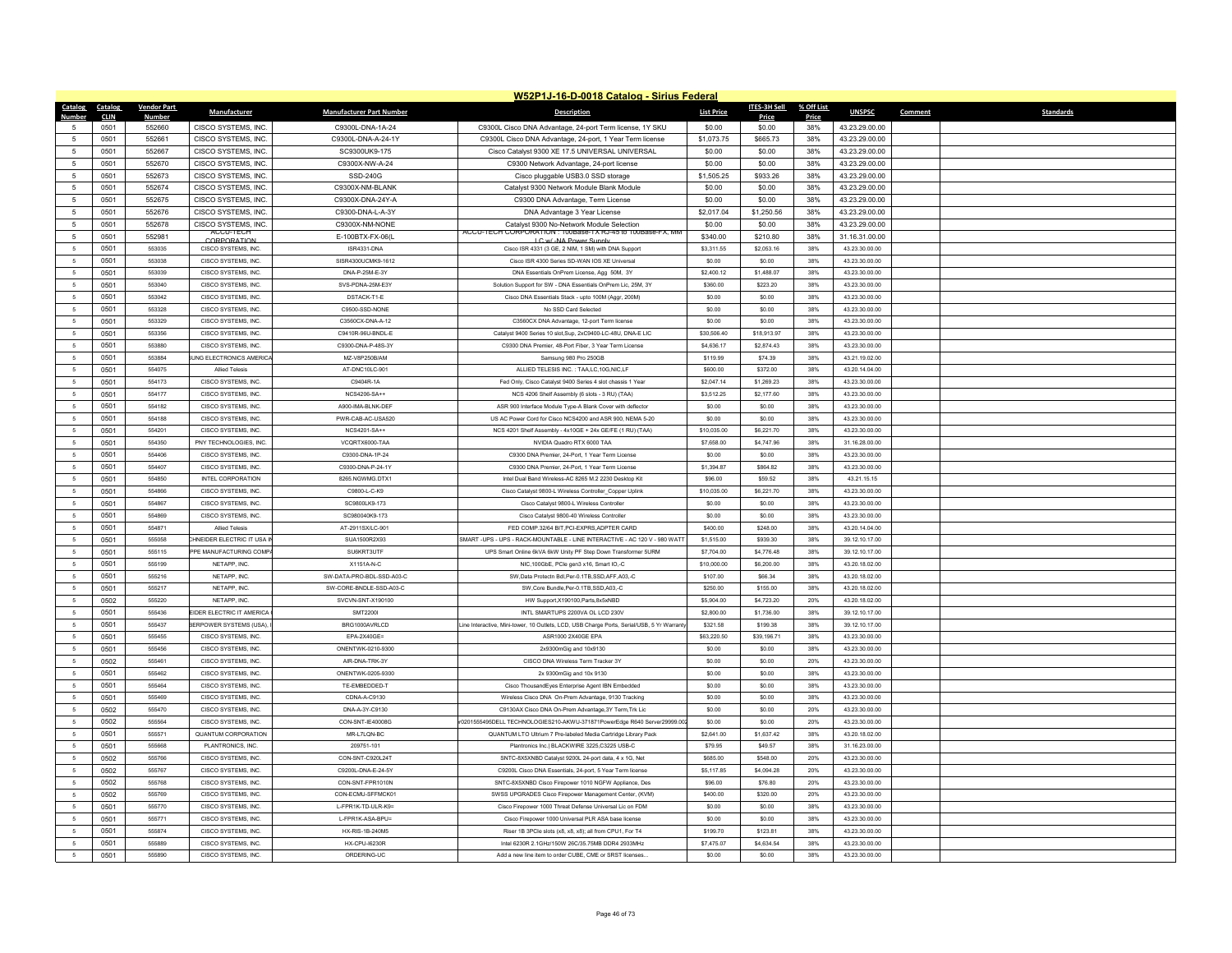|                              |                    |                                  |                                 | W52P1J-16-D-0018 Catalog - Sirius Federal                                                               |                   |              |            |                |                             |
|------------------------------|--------------------|----------------------------------|---------------------------------|---------------------------------------------------------------------------------------------------------|-------------------|--------------|------------|----------------|-----------------------------|
| Catalog<br>Catalog           | <b>Vendor Part</b> | Manufacturer                     | <b>Manufacturer Part Number</b> | <b>Description</b>                                                                                      | <b>List Price</b> | ITES-3H Sell | % Off List | <b>UNSPSC</b>  | Comment<br><b>Standards</b> |
| <b>Number</b><br><b>CLIN</b> | Numbe              |                                  |                                 |                                                                                                         |                   | Price        | Price      |                |                             |
| 0501                         | 552660             | CISCO SYSTEMS, INC.              | C9300L-DNA-1A-24                | C9300L Cisco DNA Advantage, 24-port Term license, 1Y SKU                                                | \$0.00            | \$0.00       | 38%        | 43.23.29.00.00 |                             |
| $\overline{5}$<br>0501       | 552661             | CISCO SYSTEMS, INC.              | C9300L-DNA-A-24-1Y              | C9300L Cisco DNA Advantage, 24-port, 1 Year Term license                                                | \$1,073.75        | \$665.73     | 38%        | 43.23.29.00.00 |                             |
| 0501<br>-5                   | 552667             | CISCO SYSTEMS, INC.              | SC9300UK9-175                   | Cisco Catalyst 9300 XE 17.5 UNIVERSAL UNIVERSAL                                                         | \$0.00            | \$0.00       | 38%        | 43.23.29.00.00 |                             |
| $\sqrt{5}$<br>0501           | 552670             | CISCO SYSTEMS, INC.              | C9300X-NW-A-24                  | C9300 Network Advantage, 24-port license                                                                | \$0.00            | \$0.00       | 38%        | 43.23.29.00.00 |                             |
| $\,$ 5 $\,$<br>0501          | 552673             | CISCO SYSTEMS, INC.              | SSD-240G                        | Cisco pluggable USB3.0 SSD storage                                                                      | \$1,505.25        | \$933.26     | 38%        | 43.23.29.00.00 |                             |
| 0501<br>5                    | 552674             | CISCO SYSTEMS. INC.              | C9300X-NM-BI ANK                | Catalyst 9300 Network Module Blank Module                                                               | \$0.00            | \$0.00       | 38%        | 43.23.29.00.00 |                             |
| $\sqrt{5}$<br>0501           | 552675             | CISCO SYSTEMS, INC.              | C9300X-DNA-24Y-A                | C9300 DNA Advantage, Term License                                                                       | \$0.00            | \$0.00       | 38%        | 43.23.29.00.00 |                             |
| $\,$ 5 $\,$<br>0501          | 552676             | CISCO SYSTEMS, INC.              | C9300-DNA-L-A-3Y                | DNA Advantage 3 Year License                                                                            | \$2,017.04        | \$1,250.56   | 38%        | 43.23.29.00.00 |                             |
| 0501<br>-5                   | 552678             | CISCO SYSTEMS, INC.<br>ACCU-TECH | C9300X-NM-NONE                  | Catalyst 9300 No-Network Module Selection<br>ACCU-TECH CORPORATION : 100Base-TX RJ-45 to 100Base-FX, MM | \$0.00            | \$0.00       | 38%        | 43.23.29.00.00 |                             |
| $\overline{5}$<br>0501       | 552981             | CORPORATION                      | E-100BTX-FX-06(L                | I C w/-NA Power Supply                                                                                  | \$340.00          | \$210.80     | 38%        | 31.16.31.00.00 |                             |
| 5<br>0501                    | 553035             | CISCO SYSTEMS, INC.              | ISR4331-DNA                     | Cisco ISR 4331 (3 GE, 2 NIM, 1 SM) with DNA Support                                                     | \$3,311.55        | \$2,053.16   | 38%        | 43.23.30.00.00 |                             |
| 0501<br>-5                   | 553038             | CISCO SYSTEMS, INC.              | SISR4300UCMK9-1612              | Cisco ISR 4300 Series SD-WAN IOS XE Universal                                                           | \$0.00            | \$0.00       | 38%        | 43.23.30.00.00 |                             |
| $\overline{5}$<br>0501       | 553039             | CISCO SYSTEMS, INC.              | DNA-P-25M-E-3Y                  | DNA Essentials OnPrem License, Agg 50M, 3Y                                                              | \$2,400.12        | \$1,488.07   | 38%        | 43.23.30.00.00 |                             |
| $\sqrt{5}$<br>0501           | 553040             | CISCO SYSTEMS, INC.              | SVS-PDNA-25M-E3Y                | Solution Support for SW - DNA Essentials OnPrem Lic, 25M, 3Y                                            | \$360.00          | \$223.20     | 38%        | 43.23.30.00.00 |                             |
| $\sqrt{5}$<br>0501           | 553042             | CISCO SYSTEMS, INC.              | DSTACK-T1-E                     | Cisco DNA Essentials Stack - upto 100M (Aggr, 200M                                                      | \$0.00            | \$0.00       | 38%        | 43.23.30.00.00 |                             |
| 5<br>0501                    | 553328             | CISCO SYSTEMS, INC.              | C9500-SSD-NONE                  | No SSD Card Selected                                                                                    | \$0.00            | \$0.00       | 38%        | 43.23.30.00.00 |                             |
| 5<br>0501                    | 553329             | CISCO SYSTEMS, INC.              | C3560CX-DNA-A-12                | C3560CX DNA Advantage, 12-port Term license                                                             | \$0.00            | \$0.00       | 38%        | 43.23.30.00.00 |                             |
| 0501<br>-5                   | 553356             | CISCO SYSTEMS, INC.              | C9410R-96U-BNDL-E               | Catalyst 9400 Series 10 slot, Sup, 2xC9400-LC-48U, DNA-E LIC                                            | \$30,506.40       | \$18,913.97  | 38%        | 43.23.30.00.00 |                             |
| 5<br>0501                    | 553880             | CISCO SYSTEMS, INC.              | C9300-DNA-P-48S-3Y              | C9300 DNA Premier, 48-Port Fiber, 3 Year Term License                                                   | \$4,636.17        | \$2,874.43   | 38%        | 43.23.30.00.00 |                             |
| 0501<br>5                    | 553884             | JNG ELECTRONICS AMERICA          | MZ-V8P250B/AM                   | Samsung 980 Pro 250GB                                                                                   | \$119.99          | \$74.39      | 38%        | 43.21.19.02.00 |                             |
| 0501<br>$\sqrt{5}$           | 554075             | <b>Allied Telesis</b>            | AT-DNC10LC-901                  | ALLIED TELESIS INC. : TAA,LC,10G,NIC,LF                                                                 | \$600.00          | \$372.00     | 38%        | 43.20.14.04.00 |                             |
| 0501<br>$\sqrt{5}$           | 554173             | CISCO SYSTEMS, INC.              | C9404R-1A                       | Fed Only, Cisco Catalyst 9400 Series 4 slot chassis 1 Year                                              | \$2,047.14        | \$1,269.23   | 38%        | 43.23.30.00.00 |                             |
| 0501<br>5                    | 554177             | CISCO SYSTEMS, INC.              | NCS4206-SA++                    | NCS 4206 Shelf Assembly (6 slots - 3 RU) (TAA)                                                          | \$3,512.25        | \$2,177.60   | 38%        | 43.23.30.00.00 |                             |
| 0501<br>5                    | 554182             | CISCO SYSTEMS, INC.              | A900-IMA-BLNK-DEF               | ASR 900 Interface Module Type-A Blank Cover with deflector                                              | \$0.00            | \$0.00       | 38%        | 43.23.30.00.00 |                             |
| $\sqrt{5}$<br>0501           | 554188             | CISCO SYSTEMS, INC.              | PWR-CAB-AC-USA520               | US AC Power Cord for Cisco NCS4200 and ASR 900. NEMA 5-20                                               | \$0.00            | \$0.00       | 38%        | 43.23.30.00.00 |                             |
| 0501<br>-5                   | 554201             | CISCO SYSTEMS, INC.              | NCS4201-SA++                    | NCS 4201 Shelf Assembly - 4x10GE + 24x GE/FE (1 RU) (TAA)                                               | \$10,035.00       | \$6,221.70   | 38%        | 43.23.30.00.00 |                             |
| 0501<br>$\sqrt{5}$           | 554350             | PNY TECHNOLOGIES. INC            | VCQRTX6000-TAA                  | NVIDIA Quadro RTX 6000 TAA                                                                              | \$7,658.00        | \$4,747.96   | 38%        | 31.16.28.00.00 |                             |
| $\sqrt{5}$<br>0501           | 554406             | CISCO SYSTEMS. INC.              | C9300-DNA-1P-24                 | C9300 DNA Premier, 24-Port, 1 Year Term License                                                         | \$0.00            | \$000        | 38%        | 43.23.30.00.00 |                             |
| 0501<br>-5                   | 554407             | CISCO SYSTEMS, INC.              | C9300-DNA-P-24-1Y               | C9300 DNA Premier, 24-Port, 1 Year Term License                                                         | \$1,394.87        | \$864.82     | 38%        | 43.23.30.00.00 |                             |
| 5<br>0501                    | 554850             | <b>INTEL CORPORATION</b>         | 8265.NGWMG.DTX1                 | Intel Dual Band Wireless-AC 8265 M.2 2230 Desktop Kit                                                   | \$96.00           | \$59.52      | 38%        | 43.21.15.15    |                             |
| $\sqrt{5}$<br>0501           | 554866             | CISCO SYSTEMS, INC.              | C9800-L-C-K9                    | Cisco Catalyst 9800-L Wireless Controller_Copper Uplink                                                 | \$10,035.00       | \$6,221.70   | 38%        | 43.23.30.00.00 |                             |
| 0501<br>5                    | 554867             | CISCO SYSTEMS, INC.              | SC9800LK9-173                   | Cisco Catalyst 9800-L Wireless Controller                                                               | \$0.00            | \$0.00       | 38%        | 43.23.30.00.00 |                             |
| 5<br>0501                    | 554869             | CISCO SYSTEMS. INC               | SC980040K9-173                  | Cisco Catalyst 9800-40 Wireless Controlle                                                               | \$0.00            | \$0.00       | 38%        | 43.23.30.00.00 |                             |
| $\sqrt{5}$<br>0501           | 554871             | <b>Allied Telesis</b>            | AT-2911SX/LC-901                | FED COMP.32/64 BIT, PCI-EXPRS, ADPTER CARD                                                              | \$400.00          | \$248.00     | 38%        | 43.20.14.04.00 |                             |
| 0501<br>-5                   | 555058             | HNEIDER ELECTRIC IT USA I        | SUA1500R2X93                    | SMART -UPS - UPS - RACK-MOUNTABLE - LINE INTERACTIVE - AC 120 V - 980 WATT                              | \$1,515.00        | \$939.30     | 38%        | 39.12.10.17.00 |                             |
| $\overline{5}$<br>0501       | 555115             | PPE MANUFACTURING COMP.          | SU6KRT3UTF                      | UPS Smart Online 6kVA 6kW Unity PF Step Down Transformer 5URM                                           | \$7,704.00        | \$4,776.48   | 38%        | 39.12.10.17.00 |                             |
| 0501<br>5                    | 555199             | NETAPP. INC                      | X1151A-N-C                      | NIC, 100GbE, PCle gen3 x16, Smart IO,-C                                                                 | \$10,000.00       | \$6,200.00   | 38%        | 43.20.18.02.00 |                             |
| 0501<br>5                    | 555216             | NETAPP INC                       | SW-DATA-PRO-BDL-SSD-A03-C       | SW.Data Protectn Bdl.Per-0.1TB.SSD.AFF.A03.-C                                                           | \$107.00          | \$66.34      | 38%        | 43.20.18.02.00 |                             |
| $\overline{5}$<br>0501       | 555217             | NETAPP. INC                      | SW-CORE-BNDLE-SSD-A03-C         | SW.Core Bundle.Per-0.1TB.SSD.A03.-C                                                                     | \$250.00          | \$155.00     | 38%        | 43.20.18.02.00 |                             |
| 5<br>0502                    | 555220             | NETAPP. INC                      | SVCVN-SNT-X190100               | HW Support.X190100.Parts.8x5xNBD                                                                        | \$5,904.00        | \$4,723.20   | 20%        | 43.20.18.02.00 |                             |
| 0501<br>5                    | 555436             | EIDER ELECTRIC IT AMERICA        | <b>SMT22001</b>                 | INTL SMARTUPS 2200VA OL LCD 230V                                                                        | \$2,800.00        | \$1,736.00   | 38%        | 39.12.10.17.00 |                             |
| 0501<br>$\sqrt{5}$           | 555437             | <b>BERPOWER SYSTEMS (USA)</b>    | BRG1000AVRLCD                   | ine Interactive, Mini-tower, 10 Outlets, LCD, USB Charge Ports, Serial/USB, 5 Yr Warrant                | \$321.58          | \$199.38     | 38%        | 39 12 10 17 00 |                             |
| 5<br>0501                    | 555455             | CISCO SYSTEMS. INC.              | EPA-2X40GE=                     | ASR1000 2X40GE EPA                                                                                      | \$63,220.50       | \$39,196.71  | 38%        | 43.23.30.00.00 |                             |
| $5\phantom{.0}$<br>0501      | 555456             | CISCO SYSTEMS, INC.              | ONENTWK-0210-9300               | 2x9300mGig and 10x9130                                                                                  | \$0.00            | \$0.00       | 38%        | 43.23.30.00.00 |                             |
| $\overline{5}$<br>0502       | 555461             | CISCO SYSTEMS. INC.              | AIR-DNA-TRK-3Y                  | CISCO DNA Wireless Term Tracker 3Y                                                                      | \$0.00            | \$0.00       | 20%        | 43 23 30 00 00 |                             |
| 5<br>0501                    | 555462             | CISCO SYSTEMS, INC.              | ONENTWK-0205-9300               | 2x 9300mGig and 10x 9130                                                                                | \$0.00            | \$0.00       | 38%        | 43.23.30.00.00 |                             |
| 0501<br>5                    | 555464             | CISCO SYSTEMS. INC               | TE-EMBEDDED-T                   | Cisco ThousandEyes Enterprise Agent IBN Embedded                                                        | \$0.00            | \$0.00       | 38%        | 43.23.30.00.00 |                             |
| $\sqrt{5}$<br>0501           | 555469             | CISCO SYSTEMS INC.               | CDNA-A-C9130                    | Wireless Cisco DNA On-Prem Advantage, 9130 Tracking                                                     | \$0.00            | \$0.00       | 38%        | 43 23 30 00 00 |                             |
| 0502<br>-5                   | 555470             | CISCO SYSTEMS, INC.              | DNA-A-3Y-C9130                  | C9130AX Cisco DNA On-Prem Advantage.3Y Term.Trk Lic                                                     | \$0.00            | \$0.00       | 20%        | 43.23.30.00.00 |                             |
| 5<br>0502                    | 555564             | CISCO SYSTEMS. INC.              | CON-SNT-IE40008G                | 0201555495DELL TECHNOLOGIES210-AKWU-371871PowerEdge R640 Server29999.002                                | \$0.00            | \$0.00       | 20%        | 43.23.30.00.00 |                             |
| 5<br>0501                    | 555571             | QUANTUM CORPORATION              | MR-L7LON-BC                     | QUANTUM LTO Ultrium 7 Pre-labeled Media Cartridge Library Pack                                          | \$2,641.00        | \$1,637.42   | 38%        | 43.20.18.02.00 |                             |
| 0501<br>-5                   | 555668             | PLANTRONICS INC.                 | 209751-101                      | Plantronics Inc   BLACKWIRE 3225 C3225 USB-C                                                            | \$79.95           | S49 57       | 38%        | 31 16 23 00 00 |                             |
| 5<br>0502                    | 555766             | CISCO SYSTEMS. INC               | CON-SNT-C920L24T                | SNTC-8X5XNBD Catalyst 9200L 24-port data, 4 x 1G. Net                                                   | \$685.00          | \$548.00     | 20%        | 43.23.30.00.00 |                             |
| 5<br>0502                    | 555767             | CISCO SYSTEMS. INC.              | C9200L-DNA-E-24-5Y              | C9200L Cisco DNA Essentials, 24-port, 5 Year Term licens                                                | \$5,117.85        | \$4,094.28   | 20%        | 43.23.30.00.00 |                             |
| 0502<br>-5                   | 555768             | CISCO SYSTEMS INC.               | CON-SNT-FPR1010N                | SNTC-8X5XNBD Cisco Firepower 1010 NGFW Appliance. Des                                                   | \$96.00           | \$76.80      | 20%        | 43 23 30 00 00 |                             |
| $\sqrt{5}$<br>0502           | 555769             | CISCO SYSTEMS, INC.              | CON-ECMU-SFFMCK01               | SWSS UPGRADES Cisco Firepower Management Center, (KVM)                                                  | \$400.00          | \$320.00     | 20%        | 43.23.30.00.00 |                             |
| 0501<br>5                    | 555770             | CISCO SYSTEMS, INC.              | L-FPR1K-TD-ULR-K9=              | Cisco Firepower 1000 Threat Defense Universal Lic on FDM                                                | \$0.00            | \$0.00       | 38%        | 43.23.30.00.00 |                             |
| 0501<br>-5                   | 555771             | CISCO SYSTEMS INC.               | I-FPR1K-ASA-RPU=                | Cisco Firenower 1000 Universal PLR ASA base license                                                     | \$0.00            | \$0.00       | 38%        | 43 23 30 00 00 |                             |
| $\overline{5}$<br>0501       | 555874             | CISCO SYSTEMS, INC.              | HX-RIS-1B-240M5                 | Riser 1B 3PCle slots (x8, x8, x8); all from CPU1, For T4                                                | \$199.70          | \$123.81     | 38%        | 43.23.30.00.00 |                             |
| -5<br>0501                   | 555889             | CISCO SYSTEMS, INC.              | <b>HX-CPU-16230R</b>            | Intel 6230R 2.1GHz/150W 26C/35.75MB DDR4 2933MHz                                                        | \$7,475.07        | \$4,634.54   | 38%        | 43.23.30.00.00 |                             |
| 0501<br>5                    | 555890             | CISCO SYSTEMS, INC.              | ORDERING-UC                     | Add a new line item to order CUBE, CME or SRST licenses                                                 | \$0.00            | \$0.00       | 38%        | 43.23.30.00.00 |                             |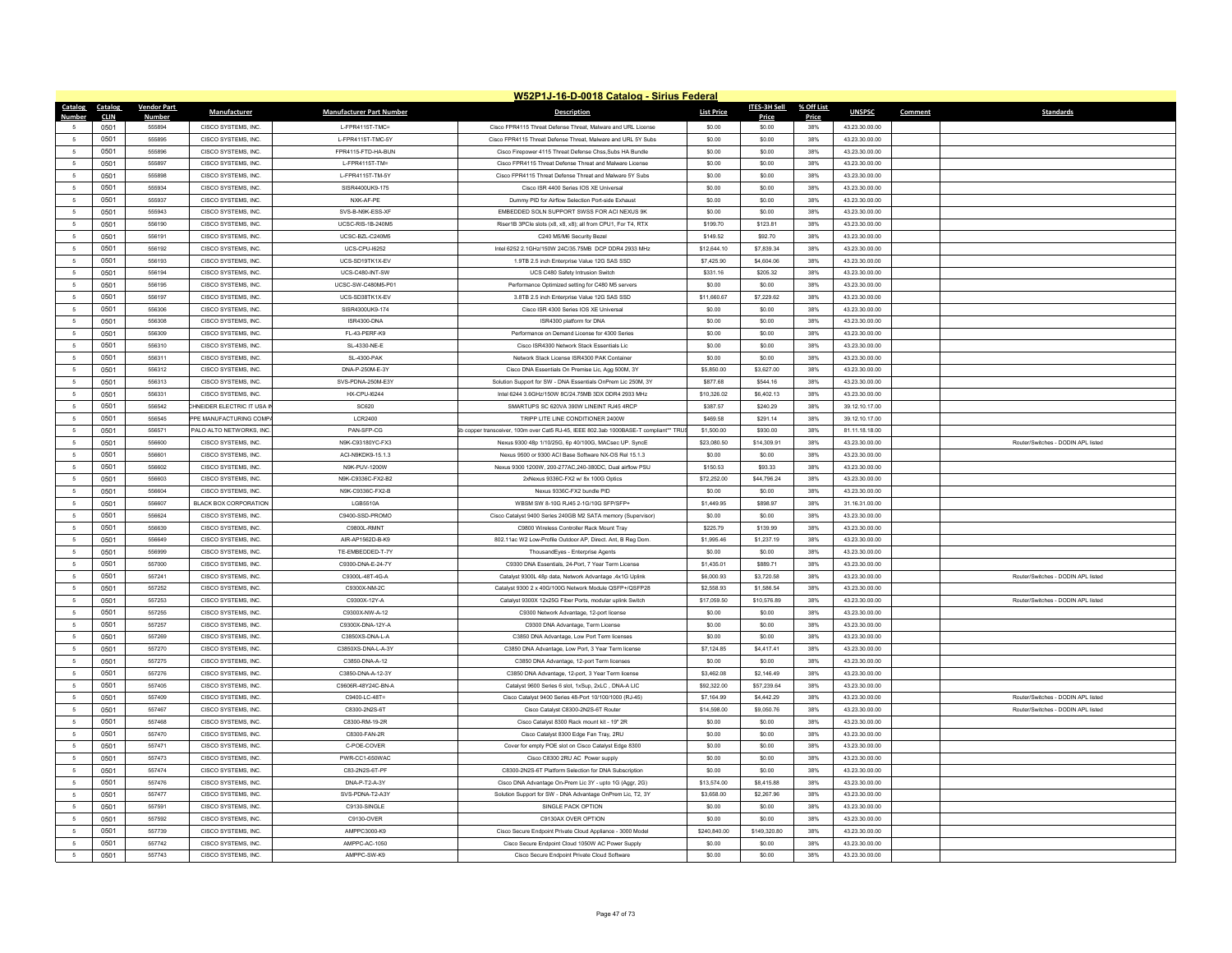|                              |                    |                              |                                    | W52P1J-16-D-0018 Catalog - Sirius Federal                                                       |                   |              |            |                |         |                                    |
|------------------------------|--------------------|------------------------------|------------------------------------|-------------------------------------------------------------------------------------------------|-------------------|--------------|------------|----------------|---------|------------------------------------|
| Catalog<br>Catalog           | <b>Vendor Part</b> | <b>Manufacturer</b>          | <b>Manufacturer Part Number</b>    | <b>Description</b>                                                                              | <b>List Price</b> | ITES-3H Sell | % Off List | <b>UNSPSC</b>  | Comment | <b>Standards</b>                   |
| <b>Number</b><br><b>CLIN</b> | <b>Number</b>      |                              |                                    |                                                                                                 |                   | Price        | Price      |                |         |                                    |
| 0501<br>$5 -$                | 555894             | CISCO SYSTEMS. INC.          | I-FPR4115T-TMC=                    | Cisco FPR4115 Threat Defense Threat. Malware and URL License                                    | \$0.00            | \$0.00       | 38%        | 43.23.30.00.00 |         |                                    |
| 0501<br>$\sim$               | 555895             | CISCO SYSTEMS INC.           | L-FPR4115T-TMC-5Y                  | Cisco EPR4115 Threat Defense Threat Malware and URL 5Y Subs                                     | \$0.00            | \$0.00       | 38%        | 43 23 30 00 00 |         |                                    |
| $\overline{5}$<br>0501       | 555896             | CISCO SYSTEMS. INC.          | FPR4115-FTD-HA-BUN                 | Cisco Firepower 4115 Threat Defense Chss.Subs HA Bundle                                         | \$0.00            | \$0.00       | 38%        | 43.23.30.00.00 |         |                                    |
| $\sqrt{5}$<br>0501           | 555897             | CISCO SYSTEMS. INC.          | L-FPR4115T-TM=<br>L-FPR4115T-TM-5Y | Cisco FPR4115 Threat Defense Threat and Malware License                                         | \$0.00            | \$0.00       | 38%        | 43.23.30.00.00 |         |                                    |
| $\sqrt{5}$<br>0501           | 555898             | CISCO SYSTEMS INC.           |                                    | Cisco EPR4115 Threat Defense Threat and Malware 5Y Subs                                         | \$0.00            | \$0.00       | 38%        | 43 23 30 00 00 |         |                                    |
| 0501<br>5                    | 555934             | CISCO SYSTEMS, INC.          | SISR4400UK9-175                    | Cisco ISR 4400 Series IOS XE Universal                                                          | \$0.00            | \$0.00       | 38%        | 43.23.30.00.00 |         |                                    |
| 0501<br>5                    | 555937             | CISCO SYSTEMS. INC           | NXK-AF-PE                          | Dummy PID for Airflow Selection Port-side Exhaust<br>EMBEDDED SOLN SUPPORT SWSS FOR ACLNEXUS 9K | \$0.00            | \$0.00       | 38%        | 43.23.30.00.00 |         |                                    |
| 0501<br>$\sqrt{5}$           | 555943             | CISCO SYSTEMS INC.           | SVS-R-N9K-ESS-XE                   |                                                                                                 | \$0.00            | \$0.00       | 38%        | 43 23 30 00 00 |         |                                    |
| 0501<br>-5                   | 556190             | CISCO SYSTEMS, INC.          | UCSC-RIS-1B-240M5                  | Riser1B 3PCle slots (x8, x8, x8); all from CPU1, For T4, RTX                                    | \$199.70          | \$123.81     | 38%        | 43.23.30.00.00 |         |                                    |
| 5<br>0501                    | 556191             | CISCO SYSTEMS, INC.          | UCSC-BZL-C240M5                    | C240 M5/M6 Security Bezel                                                                       | \$149.52          | \$92.70      | 38%        | 43.23.30.00.00 |         |                                    |
| $\sqrt{5}$<br>0501           | 556192             | CISCO SYSTEMS, INC.          | LICS-CPU-16252                     | Intel 6252 2.1GHz/150W 24C/35.75MB DCP DDR4 2933 MHz                                            | \$12,644.10       | \$7,839.34   | 38%        | 43.23.30.00.00 |         |                                    |
| 0501<br>$5 -$                | 556193             | CISCO SYSTEMS INC.           | LICS-SD19TK1X-FV                   | 1 9TB 2.5 inch Enterprise Value 12G SAS SSD                                                     | \$7,425,90        | \$4,604.06   | 38%        | 43 23 30 00 00 |         |                                    |
| 5<br>0501                    | 556194             | CISCO SYSTEMS, INC.          | UCS-C480-INT-SW                    | UCS C480 Safety Intrusion Switch                                                                | \$331.16          | \$205.32     | 38%        | 43.23.30.00.00 |         |                                    |
| $\sqrt{5}$<br>0501           | 556195             | CISCO SYSTEMS, INC.          | LICSC-SW-C480M5-P01                | Performance Optimized setting for C480 M5 servers                                               | \$0.00            | \$0.00       | 38%        | 43.23.30.00.00 |         |                                    |
| 0501<br>-5                   | 556197             | CISCO SYSTEMS INC.           | LICS-SD38TK1X-FV                   | 3 8TB 2.5 inch Enterprise Value 12G SAS SSD                                                     | \$11,660.67       | \$7 229 62   | 38%        | 43 23 30 00 00 |         |                                    |
| 0501<br>5                    | 556306             | CISCO SYSTEMS, INC.          | SISR4300UK9-174                    | Cisco ISR 4300 Series IOS XE Universal                                                          | \$0.00            | \$0.00       | 38%        | 43.23.30.00.00 |         |                                    |
| 0501<br>5                    | 556308             | CISCO SYSTEMS, INC.          | ISR4300-DNA                        | ISR4300 platform for DNA                                                                        | \$0.00            | \$0.00       | 38%        | 43.23.30.00.00 |         |                                    |
| 0501<br>-5                   | 556309             | CISCO SYSTEMS INC.           | FL-43-PERF-K9                      | Performance on Demand License for 4300 Series                                                   | \$0.00            | \$0.00       | 38%        | 43 23 30 00 00 |         |                                    |
| 5<br>0501                    | 556310             | CISCO SYSTEMS, INC.          | SL-4330-NE-B                       | Cisco ISR4300 Network Stack Essentials Lic                                                      | \$0.00            | \$0.00       | 38%        | 43.23.30.00.00 |         |                                    |
| 5<br>0501                    | 556311             | CISCO SYSTEMS, INC.          | <b>SL-4300-PAK</b>                 | Network Stack License ISR4300 PAK Containe                                                      | \$0.00            | \$0.00       | 38%        | 43.23.30.00.00 |         |                                    |
| 5<br>0501                    | 556312             | CISCO SYSTEMS, INC.          | DNA-P-250M-E-3Y                    | Cisco DNA Essentials On Premise Lic, Agg 500M, 3Y                                               | \$5,850.00        | \$3,627.00   | 38%        | 43.23.30.00.00 |         |                                    |
| 0501<br>5                    | 556313             | CISCO SYSTEMS. INC.          | SVS-PDNA-250M-E3Y                  | Solution Support for SW - DNA Essentials OnPrem Lic 250M. 3Y                                    | \$877.68          | \$544.16     | 38%        | 43.23.30.00.00 |         |                                    |
| $\sqrt{5}$<br>0501           | 556331             | CISCO SYSTEMS, INC.          | <b>HX-CPU-16244</b>                | Intel 6244 3.6GHz/150W 8C/24.75MB 3DX DDR4 2933 MHz                                             | \$10,326.02       | \$6,402.13   | 38%        | 43.23.30.00.00 |         |                                    |
| $\sqrt{5}$<br>0501           | 556542             | HNEIDER ELECTRIC IT USA I    | SC620                              | SMARTUPS SC 620VA 390W LINEINT RJ45 4RCP                                                        | \$387.57          | \$240.29     | 38%        | 39.12.10.17.00 |         |                                    |
| 5<br>0501                    | 556545             | PPE MANUFACTURING COMP       | <b>LCR2400</b>                     | TRIPP LITE LINE CONDITIONER 2400W                                                               | \$469.58          | \$291.14     | 38%        | 39.12.10.17.00 |         |                                    |
| $\sqrt{5}$<br>0501           | 556571             | PALO ALTO NETWORKS. INC      | PAN-SFP-CG                         | copper transceiver, 100m over Cat5 RJ-45, IEEE 802.3ab 1000BASE-T compliant** TRU               | \$1,500.00        | \$930.00     | 38%        | 81.11.18.18.00 |         |                                    |
| 0501<br>5                    | 556600             | CISCO SYSTEMS, INC.          | N9K-C93180YC-FX3                   | Nexus 9300 48p 1/10/25G, 6p 40/100G, MACsec UP. SyncE                                           | \$23,080.50       | \$14,309.91  | 38%        | 43.23.30.00.00 |         | Router/Switches - DODIN APL listed |
| 5<br>0501                    | 556601             | CISCO SYSTEMS, INC.          | ACI-N9KDK9-15.1.3                  | Nexus 9500 or 9300 ACI Base Software NX-OS Rel 15.1.3                                           | \$0.00            | \$0.00       | 38%        | 43.23.30.00.00 |         |                                    |
| 0501<br>5                    | 556602             | CISCO SYSTEMS, INC.          | N9K-PUV-1200W                      | Nexus 9300 1200W, 200-277AC, 240-380DC, Dual airflow PSU                                        | \$150.53          | \$93.33      | 38%        | 43.23.30.00.00 |         |                                    |
| 5<br>0501                    | 556603             | CISCO SYSTEMS, INC.          | N9K-C9336C-FX2-B2                  | 2xNexus 9336C-FX2 w/ 8x 100G Optics                                                             | \$72,252.00       | \$44,796.24  | 38%        | 43.23.30.00.00 |         |                                    |
| -5<br>0501                   | 556604             | CISCO SYSTEMS, INC.          | N9K-C9336C-FX2-B                   | Nexus 9336C-FX2 bundle PID                                                                      | \$0.00            | \$0.00       | 38%        | 43.23.30.00.00 |         |                                    |
| 0501<br>-5                   | 556607             | <b>BLACK BOX CORPORATION</b> | LGB5510A                           | WBSM SW 8-10G RJ45 2-1G/10G SFP/SFP+                                                            | \$1,449.95        | \$898.97     | 38%        | 31.16.31.00.00 |         |                                    |
| 0501<br>5                    | 556624             | CISCO SYSTEMS, INC.          | C9400-SSD-PROMO                    | Cisco Catalyst 9400 Series 240GB M2 SATA memory (Supervisor)                                    | \$0.00            | \$0.00       | 38%        | 43.23.30.00.00 |         |                                    |
| $\sqrt{5}$<br>0501           | 556639             | CISCO SYSTEMS, INC.          | C9800L-RMNT                        | C9800 Wireless Controller Rack Mount Tray                                                       | \$225.79          | \$139.99     | 38%        | 43.23.30.00.00 |         |                                    |
| 0501<br>5                    | 556649             | CISCO SYSTEMS, INC.          | AIR-AP1562D-B-K9                   | 802.11ac W2 Low-Profile Outdoor AP. Direct. Ant. B Reg Dom                                      | \$1,995.46        | \$1,237.19   | 38%        | 43.23.30.00.00 |         |                                    |
| 5<br>0501                    | 556999             | CISCO SYSTEMS, INC.          | TE-EMBEDDED-T-7Y                   | ThousandEyes - Enterprise Agents                                                                | \$0.00            | \$0.00       | 38%        | 43.23.30.00.00 |         |                                    |
| 0501<br>$\overline{5}$       | 557000             | CISCO SYSTEMS, INC.          | C9300-DNA-E-24-7Y                  | C9300 DNA Essentials, 24-Port, 7 Year Term License                                              | \$1,435.01        | \$889.71     | 38%        | 43.23.30.00.00 |         |                                    |
| 0501<br>-5                   | 557241             | CISCO SYSTEMS, INC.          | C9300L-48T-4G-A                    | Catalyst 9300L 48p data. Network Advantage .4x1G Uplink                                         | \$6,000.93        | \$3,720.58   | 38%        | 43.23.30.00.00 |         | Router/Switches - DODIN APL listed |
| 5<br>0501                    | 557252             | CISCO SYSTEMS. INC           | C9300X-NM-2C                       | Catalyst 9300 2 x 40G/100G Network Module QSFP+/QSFP28                                          | \$2,558.93        | \$1,586.54   | 38%        | 43.23.30.00.00 |         |                                    |
| 5<br>0501                    | 557253             | CISCO SYSTEMS, INC.          | C9300X-12Y-A                       | Catalyst 9300X 12x25G Fiber Ports, modular uplink Switch                                        | \$17,059.50       | \$10,576.89  | 38%        | 43.23.30.00.00 |         | Router/Switches - DODIN APL listed |
| -5<br>0501                   | 557255             | CISCO SYSTEMS, INC.          | C9300X-NW-A-12                     | C9300 Network Advantage, 12-port license                                                        | \$0.00            | \$0.00       | 38%        | 43.23.30.00.00 |         |                                    |
| 0501<br>5                    | 557257             | CISCO SYSTEMS. INC           | C9300X-DNA-12Y-A                   | C9300 DNA Advantage. Term License                                                               | \$0.00            | \$0.00       | 38%        | 43.23.30.00.00 |         |                                    |
| $\sqrt{5}$<br>0501           | 557269             | CISCO SYSTEMS, INC.          | C3850XS-DNA-L-A                    | C3850 DNA Advantage, Low Port Term licenses                                                     | \$0.00            | \$0.00       | 38%        | 43.23.30.00.00 |         |                                    |
| 0501<br>-5                   | 557270             | CISCO SYSTEMS INC.           | C3850XS-DNA-L-A-3Y                 | C3850 DNA Advantage, Low Port, 3 Year Term license                                              | \$7 124 85        | \$4,417.41   | 38%        | 43 23 30 00 00 |         |                                    |
| 5<br>0501                    | 557275             | CISCO SYSTEMS. INC           | C3850-DNA-A-12                     | C3850 DNA Advantage, 12-port Term licenses                                                      | \$0.00            | \$0.00       | 38%        | 43.23.30.00.00 |         |                                    |
| 5<br>0501                    | 557276             | CISCO SYSTEMS. INC.          | C3850-DNA-A-12-3Y                  | C3850 DNA Advantage, 12-port, 3 Year Term license                                               | \$3,462.08        | \$2,146.49   | 38%        | 43.23.30.00.00 |         |                                    |
| 0501<br>5                    | 557405             | CISCO SYSTEMS, INC.          | C9606R-48Y24C-BN-A                 | Catalyst 9600 Series 6 slot, 1xSup, 2xLC, DNA-A LIC                                             | \$92,322.00       | \$57,239.64  | 38%        | 43.23.30.00.00 |         |                                    |
| 5<br>0501                    | 557409             | CISCO SYSTEMS. INC           | C9400-LC-48T=                      | Cisco Catalyst 9400 Series 48-Port 10/100/1000 (RJ-45)                                          | \$7,164.99        | \$4,442.29   | 38%        | 43.23.30.00.00 |         | Router/Switches - DODIN APL listed |
| 5<br>0501                    | 557467             | CISCO SYSTEMS. INC.          | C8300-2N2S-6T                      | Cisco Catalyst C8300-2N2S-6T Router                                                             | \$14,598.00       | \$9,050.76   | 38%        | 43.23.30.00.00 |         | Router/Switches - DODIN APL listed |
| $\sqrt{5}$<br>0501           | 557468             | CISCO SYSTEMS, INC.          | C8300-RM-19-2F                     | Cisco Catalyst 8300 Rack mount kit - 19" 2R                                                     | \$0.00            | \$0.00       | 38%        | 43.23.30.00.00 |         |                                    |
| $\sqrt{5}$<br>0501           | 557470             | CISCO SYSTEMS INC.           | C8300-FAN-2R                       | Cisco Catalyst 8300 Edge Fan Tray, 2RU                                                          | \$0.00            | \$0.00       | 38%        | 43 23 30 00 00 |         |                                    |
| 0501<br>5                    | 557471             | CISCO SYSTEMS, INC.          | C-POE-COVER                        | Cover for empty POE slot on Cisco Catalyst Edge 8300                                            | \$0.00            | \$0.00       | 38%        | 43.23.30.00.00 |         |                                    |
| 0501<br>5                    | 557473             | CISCO SYSTEMS, INC.          | PWR-CC1-650WAC                     | Cisco C8300 2RU AC Power supply                                                                 | \$0.00            | \$0.00       | 38%        | 43.23.30.00.00 |         |                                    |
| $\sqrt{5}$<br>0501           | 557474             | CISCO SYSTEMS INC.           | C83-2N2S-6T-PF                     | C8300-2N2S-6T Platform Selection for DNA Subscription                                           | \$0.00            | \$0.00       | 38%        | 43 23 30 00 00 |         |                                    |
| 0501<br>5                    | 557476             | CISCO SYSTEMS, INC.          | DNA-P-T2-A-3Y                      | Cisco DNA Advantage On-Prem Lic 3Y - upto 1G (Aggr. 2G)                                         | \$13,574.00       | \$8,415.88   | 38%        | 43.23.30.00.00 |         |                                    |
| 5<br>0501                    | 557477             | CISCO SYSTEMS. INC.          | SVS-PDNA-T2-A3Y                    | Solution Support for SW - DNA Advantage OnPrem Lic, T2, 3Y                                      | \$3,658.00        | \$2.267.96   | 38%        | 43.23.30.00.00 |         |                                    |
| 0501<br>$\sqrt{5}$           | 557591             | CISCO SYSTEMS. INC           | C9130-SINGLE                       | SINGLE PACK OPTION                                                                              | \$0.00            | \$0.00       | 38%        | 43.23.30.00.00 |         |                                    |
| 0501<br>-5                   | 557592             | CISCO SYSTEMS, INC.          | C9130-OVER                         | C9130AX OVER OPTION                                                                             | \$0.00            | \$0.00       | 38%        | 43.23.30.00.00 |         |                                    |
| 5<br>0501                    | 557739             | CISCO SYSTEMS. INC.          | AMPPC3000-K9                       | Cisco Secure Endpoint Private Cloud Appliance - 3000 Model                                      | \$240,840.00      | \$149,320.80 | 38%        | 43.23.30.00.00 |         |                                    |
| 0501<br>5                    | 557742             | CISCO SYSTEMS, INC.          | AMPPC-AC-1050                      | Cisco Secure Endpoint Cloud 1050W AC Power Supply                                               | \$0.00            | \$0.00       | 38%        | 43.23.30.00.00 |         |                                    |
| 0501<br>$5 -$                | 557743             | CISCO SYSTEMS, INC.          | AMPPC-SW-K9                        | Cisco Secure Endpoint Private Cloud Software                                                    | \$0.00            | \$0.00       | 38%        | 43 23 30 00 00 |         |                                    |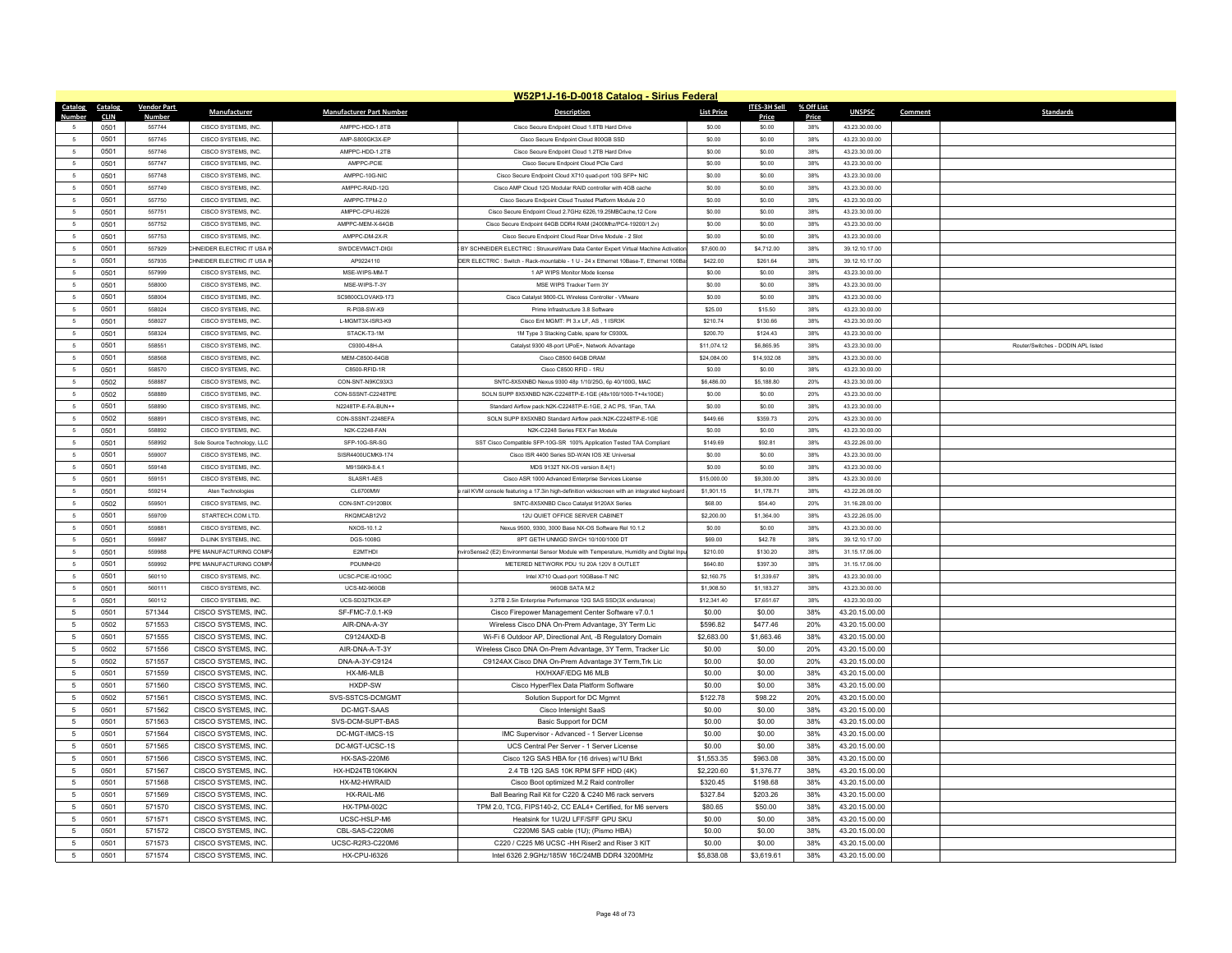|                              |                    |                             |                                 | W52P1J-16-D-0018 Catalog - Sirius Federal                                                 |                   |              |            |                |         |                                    |
|------------------------------|--------------------|-----------------------------|---------------------------------|-------------------------------------------------------------------------------------------|-------------------|--------------|------------|----------------|---------|------------------------------------|
| Catalog<br>Catalog           | <b>Vendor Part</b> | <b>Manufacturer</b>         | <b>Manufacturer Part Number</b> | <b>Description</b>                                                                        | <b>List Price</b> | ITES-3H Sell | % Off List | <b>UNSPSC</b>  | Comment | <b>Standards</b>                   |
| <b>Number</b><br><b>CLIN</b> | <b>Number</b>      |                             |                                 |                                                                                           |                   | Price        | Price      |                |         |                                    |
| 0501<br>5                    | 557744             | CISCO SYSTEMS, INC.         | AMPPC-HDD-1.8TB                 | Cisco Secure Endpoint Cloud 1.8TB Hard Drive                                              | \$0.00            | \$0.00       | 38%        | 43.23.30.00.00 |         |                                    |
| 0501<br>-5                   | 557745             | CISCO SYSTEMS INC.          | AMP-S800GK3X-EP                 | Cisco Secure Endpoint Cloud 800GB SSD                                                     | \$0.00            | \$0.00       | 38%        | 43 23 30 00 00 |         |                                    |
| $\overline{5}$<br>0501       | 557746             | CISCO SYSTEMS. INC.         | AMPPC-HDD-1.2TB                 | Cisco Secure Endpoint Cloud 1.2TB Hard Drive                                              | \$0.00            | \$0.00       | 38%        | 43.23.30.00.00 |         |                                    |
| 0501<br>$\sqrt{5}$           | 557747             | CISCO SYSTEMS, INC.         | AMPPC-PCIE                      | Cisco Secure Endpoint Cloud PCIe Card                                                     | \$0.00            | \$0.00       | 38%        | 43.23.30.00.00 |         |                                    |
| $\sqrt{5}$<br>0501           | 557748             | CISCO SYSTEMS. INC.         | AMPPC-10G-NIC                   | Cisco Secure Endpoint Cloud X710 quad-port 10G SFP+ NIC                                   | \$0.00            | \$0.00       | 38%        | 43.23.30.00.00 |         |                                    |
| 0501<br>-5                   | 557749             | CISCO SYSTEMS. INC.         | AMPPC-RAID-12G                  | Cisco AMP Cloud 12G Modular RAID controller with 4GB cache                                | \$0.00            | \$0.00       | 38%        | 43.23.30.00.00 |         |                                    |
| 0501<br>5                    | 557750             | CISCO SYSTEMS. INC          | AMPPC-TPM-2.0                   | Cisco Secure Endpoint Cloud Trusted Platform Module 2.0                                   | \$0.00            | \$0.00       | 38%        | 43.23.30.00.00 |         |                                    |
| $\sqrt{5}$<br>0501           | 557751             | CISCO SYSTEMS. INC          | AMPPC-CPU-16226                 | Cisco Secure Endpoint Cloud 2.7GHz 6226.19.25MBCache.12 Core                              | \$0.00            | \$0.00       | 38%        | 43.23.30.00.00 |         |                                    |
| 0501<br>-5                   | 557752             | CISCO SYSTEMS. INC.         | AMPPC-MEM-X-64GB                | Cisco Secure Endpoint 64GB DDR4 RAM (2400Mhz/PC4-19200/1.2v)                              | \$0.00            | \$0.00       | 38%        | 43.23.30.00.00 |         |                                    |
| $\sqrt{5}$<br>0501           | 557753             | CISCO SYSTEMS, INC.         | AMPPC-DM-2X-R                   | Cisco Secure Endpoint Cloud Rear Drive Module - 2 Slot                                    | \$0.00            | \$0.00       | 38%        | 43.23.30.00.00 |         |                                    |
| 5<br>0501                    | 557929             | HNEIDER ELECTRIC IT USA I   | SWDCEVMACT-DIGI                 | BY SCHNEIDER ELECTRIC : StruxureWare Data Center Expert Virtual Machine Activatio         | \$7,600.00        | \$4,712.00   | 38%        | 39.12.10.17.00 |         |                                    |
| 0501<br>5                    | 557935             | HNEIDER ELECTRIC IT USA IN  | AP9224110                       | DER ELECTRIC : Switch - Rack-mountable - 1 U - 24 x Ethernet 10Base-T, Ethernet 100Ba     | \$422.00          | \$261.64     | 38%        | 39.12.10.17.00 |         |                                    |
| 5<br>0501                    | 557999             | CISCO SYSTEMS. INC.         | MSE-WIPS-MM-T                   | 1 AP WIPS Monitor Mode license                                                            | \$0.00            | \$0.00       | 38%        | 43.23.30.00.00 |         |                                    |
| 0501<br>5                    | 558000             | CISCO SYSTEMS, INC.         | MSE-WIPS-T-3Y                   | MSE WIPS Tracker Term 3Y                                                                  | \$0.00            | \$0.00       | 38%        | 43.23.30.00.00 |         |                                    |
| 5<br>0501                    | 558004             | CISCO SYSTEMS, INC.         | SC9800CLOVAK9-173               | Cisco Catalyst 9800-CL Wireless Controller - VMware                                       | \$0.00            | \$0.00       | 38%        | 43.23.30.00.00 |         |                                    |
| -5<br>0501                   | 558024             | CISCO SYSTEMS. INC.         | R-PI38-SW-K9                    | Prime Infrastructure 3.8 Software                                                         | \$25.00           | \$15.50      | 38%        | 43.23.30.00.00 |         |                                    |
| 5<br>0501                    | 558027             | CISCO SYSTEMS, INC.         | L-MGMT3X-ISR3-K9                | Cisco Ent MGMT: PI 3.x LF, AS, 1 ISR3K                                                    | \$210.74          | \$130.66     | 38%        | 43.23.30.00.00 |         |                                    |
| 5<br>0501                    | 558324             | CISCO SYSTEMS, INC.         | STACK-T3-1M                     | 1M Type 3 Stacking Cable, spare for C9300L                                                | \$200.70          | \$124.43     | 38%        | 43.23.30.00.00 |         |                                    |
| 5<br>0501                    | 558551             | CISCO SYSTEMS. INC.         | C9300-48H-A                     | Catalyst 9300 48-port UPoE+, Network Advantage                                            | \$11,074.12       | \$6,865.95   | 38%        | 43.23.30.00.00 |         | Router/Switches - DODIN APL listed |
| $\sqrt{5}$<br>0501           | 558568             | CISCO SYSTEMS. INC.         | MEM-C8500-64GB                  | Cisco C8500 64GB DRAM                                                                     | \$24,084.00       | \$14,932.08  | 38%        | 43.23.30.00.00 |         |                                    |
| 0501<br>5                    | 558570             | CISCO SYSTEMS, INC.         | C8500-RFID-1R                   | Cisco C8500 RFID - 1RU                                                                    | \$0.00            | \$0.00       | 38%        | 43.23.30.00.00 |         |                                    |
| 5<br>0502                    | 558887             | CISCO SYSTEMS, INC.         | CON-SNT-N9KC93X3                | SNTC-8X5XNBD Nexus 9300 48p 1/10/25G, 6p 40/100G, MAC                                     | \$6,486.00        | \$5,188.80   | 20%        | 43.23.30.00.00 |         |                                    |
| 0502<br>5                    | 558889             | CISCO SYSTEMS, INC.         | CON-SSSNT-C2248TPE              | SOLN SUPP 8X5XNBD N2K-C2248TP-E-1GE (48x100/1000-T+4x10GE)                                | \$0.00            | \$0.00       | 20%        | 43.23.30.00.00 |         |                                    |
| 0501<br>$5\overline{5}$      | 558890             | CISCO SYSTEMS, INC.         | N2248TP-E-FA-BUN++              | Standard Airflow pack:N2K-C2248TP-E-1GE, 2 AC PS, 1Fan, TAA                               | \$0.00            | \$0.00       | 38%        | 43.23.30.00.00 |         |                                    |
| $\sqrt{5}$<br>0502           | 558891             | CISCO SYSTEMS INC.          | CON-SSSNT-2248FFA               | SOLN SUPP 8X5XNBD Standard Airflow pack:N2K-C2248TP-E-1GE                                 | S449.66           | \$359.73     | 20%        | 43.23.30.00.00 |         |                                    |
| 0501<br>-5                   | 558892             | CISCO SYSTEMS INC.          | N2K-C2248-FAN                   | N2K-C2248 Series FFX Fan Module                                                           | \$0.00            | \$0.00       | 38%        | 43 23 30 00 00 |         |                                    |
| $\sqrt{5}$<br>0501           | 558992             | Sole Source Technology, LLC | SEP-10G-SR-SG                   | SST Cisco Compatible SFP-10G-SR 100% Application Tested TAA Compliant                     | \$149.69          | \$92.81      | 38%        | 43.22.26.00.00 |         |                                    |
| -5<br>0501                   | 559007             | CISCO SYSTEMS, INC.         | SISR4400UCMK9-174               | Cisco ISR 4400 Series SD-WAN IOS XE Universal                                             | \$0.00            | \$0.00       | 38%        | 43.23.30.00.00 |         |                                    |
| 0501<br>-5                   | 559148             | CISCO SYSTEMS INC.          | M91S6K9-8 4 1                   | MDS 9132T NX-OS version 8 4(1)                                                            | \$0.00            | \$0.00       | 38%        | 43 23 30 00 00 |         |                                    |
| $\mathsf{s}$<br>0501         | 559151             | CISCO SYSTEMS, INC.         | SLASR1-AES                      | Cisco ASR 1000 Advanced Enterprise Services License                                       | \$15,000.00       | \$9,300.00   | 38%        | 43.23.30.00.00 |         |                                    |
| 5<br>0501                    | 559214             | Aten Technologies           | CL6700MW                        | rail KVM console featuring a 17,3in high-definition widescreen with an integrated keyboar | \$1,901.15        | \$1,178.71   | 38%        | 43.22.26.08.00 |         |                                    |
| 0502<br>5                    | 559501             | CISCO SYSTEMS. INC          | CON-SNT-C9120BIX                | SNTC-8X5XNBD Cisco Catalvst 9120AX Series                                                 | \$68.00           | \$54.40      | 20%        | 31.16.28.00.00 |         |                                    |
| $\overline{5}$<br>0501       | 559709             | STARTECH.COM LTD.           | RKQMCAB12V2                     | 12U QUIET OFFICE SERVER CABINET                                                           | \$2,200.00        | \$1,364.00   | 38%        | 43.22.26.05.00 |         |                                    |
| 5<br>0501                    | 559881             | CISCO SYSTEMS, INC.         | NXOS-10.1.2                     | Nexus 9500, 9300, 3000 Base NX-OS Software Rel 10.1.2                                     | \$0.00            | \$0.00       | 38%        | 43.23.30.00.00 |         |                                    |
| 0501<br>5                    | 559987             | D-LINK SYSTEMS, INC.        | DGS-1008G                       | 8PT GETH UNMGD SWCH 10/100/1000 DT                                                        | \$69.00           | \$42.78      | 38%        | 39.12.10.17.00 |         |                                    |
| $\sqrt{5}$<br>0501           | 559988             | PPE MANUFACTURING COMP      | F2MTHDL                         | viroSense2 (E2) Environmental Sensor Module with Temperature, Humidity and Digital In     | \$210.00          | \$130.20     | 38%        | 31.15.17.06.00 |         |                                    |
| $\overline{5}$<br>0501       | 559992             | PPE MANUFACTURING COMP/     | PDUMNH20                        | METERED NETWORK PDU 1U 20A 120V 8 OUTLET                                                  | \$640.80          | \$397.30     | 38%        | 31.15.17.06.00 |         |                                    |
| $5\phantom{.0}$<br>0501      | 560110             | CISCO SYSTEMS, INC.         | UCSC-PCIE-IQ10GC                | Intel X710 Quad-port 10GBase-T NIC                                                        | \$2,160.75        | \$1,339.67   | 38%        | 43.23.30.00.00 |         |                                    |
| $\overline{5}$<br>0501       | 560111             | CISCO SYSTEMS INC.          | UCS-M2-960GB                    | 960GB SATA M 2                                                                            | \$1,908.50        | \$1,183.27   | 38%        | 43 23 30 00 00 |         |                                    |
| 0501<br>-5                   | 560112             | CISCO SYSTEMS, INC.         | UCS-SD32TK3X-EP                 | 3.2TB 2.5in Enterprise Performance 12G SAS SSD(3X endurance)                              | \$12,341.40       | \$7,651.67   | 38%        | 43.23.30.00.00 |         |                                    |
| $5\phantom{.0}$<br>0501      | 571344             | CISCO SYSTEMS, INC.         | SF-FMC-7.0.1-K9                 | Cisco Firepower Management Center Software v7.0.1                                         | \$0.00            | \$0.00       | 38%        | 43.20.15.00.00 |         |                                    |
| 5<br>0502                    | 571553             | CISCO SYSTEMS, INC.         | AIR-DNA-A-3Y                    | Wireless Cisco DNA On-Prem Advantage, 3Y Term Lic                                         | \$596.82          | \$477.46     | 20%        | 43.20.15.00.00 |         |                                    |
| 0501<br>$5\phantom{.0}$      | 571555             | CISCO SYSTEMS. INC.         | C9124AXD-B                      | Wi-Fi 6 Outdoor AP, Directional Ant, -B Regulatory Domain                                 | \$2,683.00        | \$1,663.46   | 38%        | 43.20.15.00.00 |         |                                    |
| $5\phantom{.0}$<br>0502      | 571556             | CISCO SYSTEMS, INC.         | AIR-DNA-A-T-3Y                  | Wireless Cisco DNA On-Prem Advantage, 3Y Term, Tracker Lic                                | \$0.00            | \$0.00       | 20%        | 43.20.15.00.00 |         |                                    |
| $5\phantom{.0}$<br>0502      | 571557             | CISCO SYSTEMS, INC.         | DNA-A-3Y-C9124                  | C9124AX Cisco DNA On-Prem Advantage 3Y Term, Trk Lic                                      | \$0.00            | \$0.00       | 20%        | 43.20.15.00.00 |         |                                    |
| 5<br>0501                    | 571559             | CISCO SYSTEMS. INC          | HX-M6-MLB                       | HX/HXAF/EDG M6 MLB                                                                        | \$0.00            | \$0.00       | 38%        | 43.20.15.00.00 |         |                                    |
| $5\phantom{.0}$<br>0501      | 571560             | CISCO SYSTEMS, INC.         | HXDP-SW                         | Cisco HyperFlex Data Platform Software                                                    | \$0.00            | \$0.00       | 38%        | 43.20.15.00.00 |         |                                    |
| $5\phantom{.0}$<br>0502      | 571561             | CISCO SYSTEMS, INC.         | SVS-SSTCS-DCMGMT                | Solution Support for DC Mgmnt                                                             | \$122.78          | \$98.22      | 20%        | 43.20.15.00.00 |         |                                    |
| 0501<br>$5\overline{5}$      | 571562             | CISCO SYSTEMS, INC.         | DC-MGT-SAAS                     | Cisco Intersight SaaS                                                                     | \$0.00            | \$0.00       | 38%        | 43.20.15.00.00 |         |                                    |
| 5<br>0501                    | 571563             | CISCO SYSTEMS, INC.         | SVS-DCM-SUPT-BAS                | Basic Support for DCM                                                                     | \$0.00            | \$0.00       | 38%        | 43.20.15.00.00 |         |                                    |
| $5\phantom{.0}$<br>0501      | 571564             | CISCO SYSTEMS, INC.         | DC-MGT-IMCS-1S                  | IMC Supervisor - Advanced - 1 Server License                                              | \$0.00            | \$0.00       | 38%        | 43.20.15.00.00 |         |                                    |
| 5<br>0501                    | 571565             | CISCO SYSTEMS. INC          | DC-MGT-UCSC-1S                  | UCS Central Per Server - 1 Server License                                                 | \$0.00            | \$0.00       | 38%        | 43.20.15.00.00 |         |                                    |
| $\sqrt{5}$<br>0501           | 571566             | CISCO SYSTEMS, INC.         | <b>HX-SAS-220M6</b>             | Cisco 12G SAS HBA for (16 drives) w/1U Brkt                                               | \$1,553.35        | \$963.08     | 38%        | 43.20.15.00.00 |         |                                    |
| $5\phantom{.0}$<br>0501      | 571567             | CISCO SYSTEMS, INC.         | HX-HD24TB10K4KN                 | 2.4 TB 12G SAS 10K RPM SFF HDD (4K)                                                       | \$2,220.60        | \$1,376.77   | 38%        | 43.20.15.00.00 |         |                                    |
| 0501<br>5                    | 571568             | CISCO SYSTEMS, INC.         | HX-M2-HWRAID                    | Cisco Boot optimized M.2 Raid controller                                                  | \$320.45          | \$198.68     | 38%        | 43.20.15.00.00 |         |                                    |
| 5<br>0501                    | 571569             | CISCO SYSTEMS, INC.         | HX-RAIL-M6                      | Ball Bearing Rail Kit for C220 & C240 M6 rack servers                                     | \$327.84          | \$203.26     | 38%        | 43.20.15.00.00 |         |                                    |
| $5\phantom{.0}$<br>0501      | 571570             | CISCO SYSTEMS, INC.         | HX-TPM-002C                     | TPM 2.0, TCG, FIPS140-2, CC EAL4+ Certified, for M6 servers                               | \$80.65           | \$50.00      | 38%        | 43.20.15.00.00 |         |                                    |
| 0501<br>5                    | 571571             | CISCO SYSTEMS, INC.         | UCSC-HSLP-M6                    | Heatsink for 1U/2U LFF/SFF GPU SKU                                                        | \$0.00            | \$0.00       | 38%        | 43.20.15.00.00 |         |                                    |
| 5<br>0501                    | 571572             | CISCO SYSTEMS, INC          | CBL-SAS-C220M6                  | C220M6 SAS cable (1U); (Pismo HBA)                                                        | \$0.00            | \$0.00       | 38%        | 43.20.15.00.00 |         |                                    |
| 0501<br>$\sqrt{5}$           | 571573             | CISCO SYSTEMS, INC.         | UCSC-R2R3-C220M6                | C220 / C225 M6 UCSC -HH Riser2 and Riser 3 KIT                                            | \$0.00            | \$0.00       | 38%        | 43.20.15.00.00 |         |                                    |
| $\sqrt{5}$<br>0501           | 571574             | CISCO SYSTEMS, INC.         | <b>HX-CPU-16326</b>             | Intel 6326 2.9GHz/185W 16C/24MB DDR4 3200MHz                                              | \$5,838.08        | \$3,619.61   | 38%        | 43.20.15.00.00 |         |                                    |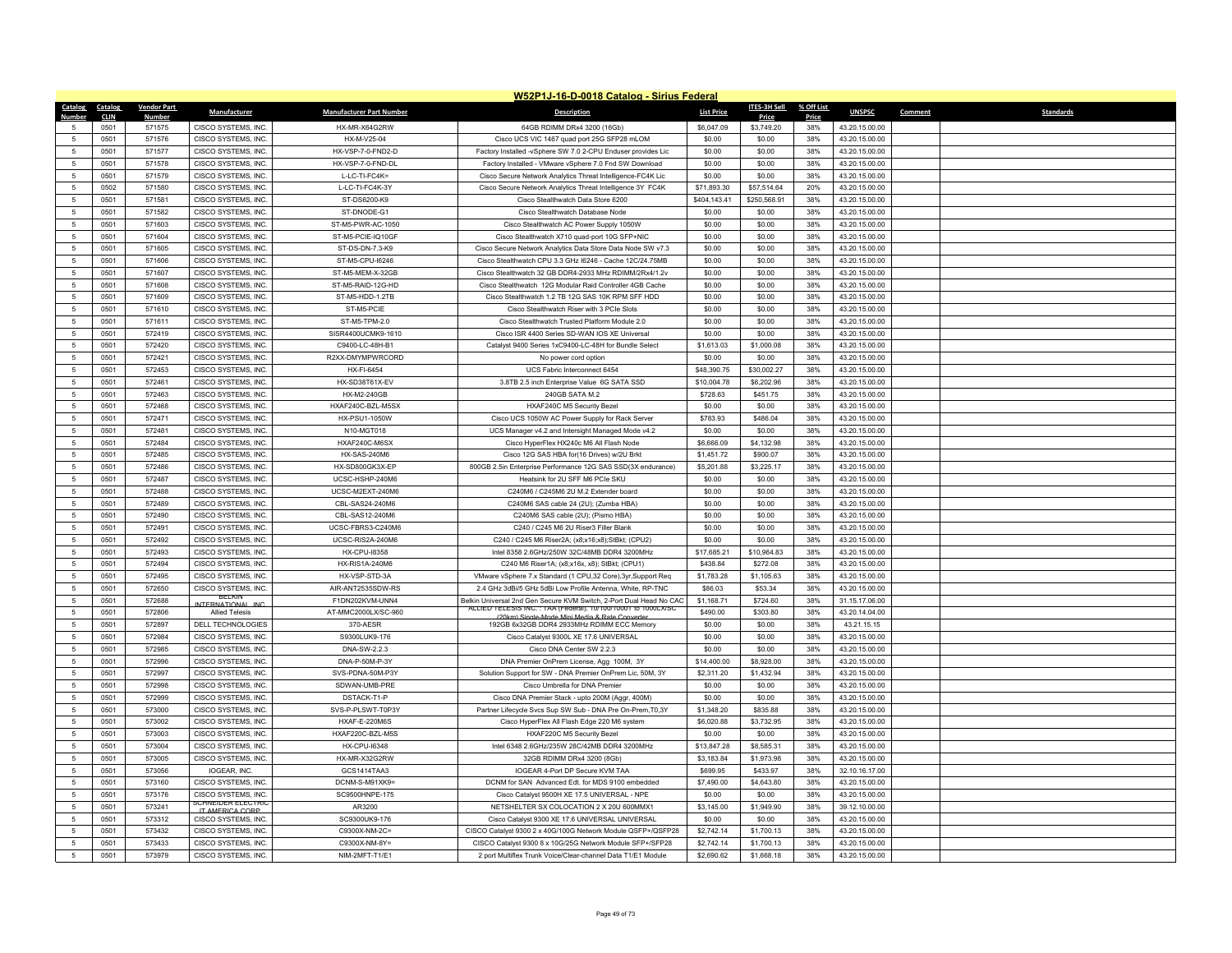|                                      |                        |                                            |                                    | W52P1J-16-D-0018 Catalog - Sirius Federal                                                             |                      |                      |              |                                  |                             |
|--------------------------------------|------------------------|--------------------------------------------|------------------------------------|-------------------------------------------------------------------------------------------------------|----------------------|----------------------|--------------|----------------------------------|-----------------------------|
| Catalog<br>Catalog                   | <b>Vendor Part</b>     | Manufacturer                               | <b>Manufacturer Part Number</b>    | <b>Description</b>                                                                                    | <b>List Price</b>    | <b>ITES-3H Sell</b>  | % Off List   | <b>UNSPSC</b>                    | Comment<br><b>Standards</b> |
| <b>Number</b><br>CLIN<br>0501<br>5   | <b>Numbe</b><br>571575 | CISCO SYSTEMS, INC.                        | HX-MR-X64G2RW                      | 64GB RDIMM DRx4 3200 (16Gb)                                                                           | \$6,047.09           | Price<br>\$3,749.20  | Price<br>38% | 43.20.15.00.00                   |                             |
| $\sqrt{5}$<br>0501                   | 571576                 | CISCO SYSTEMS, INC.                        | HX-M-V25-04                        | Cisco UCS VIC 1467 quad port 25G SFP28 mLOM                                                           | \$0.00               | \$0.00               | 38%          | 43.20.15.00.00                   |                             |
| 0501<br>5                            | 571577                 | CISCO SYSTEMS, INC.                        | HX-VSP-7-0-FND2-D                  | Factory Installed -vSphere SW 7.0 2-CPU Enduser provides Lic                                          | \$0.00               | \$0.00               | 38%          | 43.20.15.00.00                   |                             |
| $5\phantom{.0}$<br>0501              | 571578                 | CISCO SYSTEMS, INC.                        | HX-VSP-7-0-FND-DL                  | Factory Installed - VMware vSphere 7.0 Fnd SW Download                                                | \$0.00               | \$0.00               | 38%          | 43.20.15.00.00                   |                             |
| $\mathbf 5$<br>0501                  | 571579                 | CISCO SYSTEMS, INC.                        | L-LC-TI-FC4K=                      | Cisco Secure Network Analytics Threat Intelligence-FC4K Lic                                           | \$0.00               | \$0.00               | 38%          | 43.20.15.00.00                   |                             |
| 0502<br>$5\phantom{.0}$              | 571580                 | CISCO SYSTEMS, INC.                        | L-LC-TI-FC4K-3Y                    | Cisco Secure Network Analytics Threat Intelligence 3Y FC4K                                            | \$71,893.30          | \$57,514.64          | 20%          | 43.20.15.00.00                   |                             |
| $5\phantom{.0}$<br>0501              | 571581                 | CISCO SYSTEMS, INC.                        | ST-DS6200-K9                       | Cisco Stealthwatch Data Store 6200                                                                    | \$404,143.41         | \$250,568.91         | 38%          | 43.20.15.00.00                   |                             |
| $5\phantom{.0}$<br>0501              | 571582                 | CISCO SYSTEMS, INC.                        | ST-DNODE-G1                        | Cisco Stealthwatch Database Node                                                                      | \$0.00               | \$0.00               | 38%          | 43.20.15.00.00                   |                             |
| 0501<br>$5\phantom{.0}$              | 571603                 | <b>CISCO SYSTEMS, INC</b>                  | ST-M5-PWR-AC-1050                  | Cisco Stealthwatch AC Power Supply 1050W                                                              | \$0.00               | \$0.00               | 38%          | 43.20.15.00.00                   |                             |
| $5\phantom{.0}$<br>0501              | 571604                 | CISCO SYSTEMS, INC.                        | ST-M5-PCIE-IQ10GF                  | Cisco Stealthwatch X710 quad-port 10G SFP+NIC                                                         | \$0.00               | \$0.00               | 38%          | 43.20.15.00.00                   |                             |
| $5\phantom{.0}$<br>0501              | 571605                 | CISCO SYSTEMS, INC.                        | ST-DS-DN-7.3-K9                    | Cisco Secure Network Analytics Data Store Data Node SW v7.3                                           | \$0.00               | \$0.00               | 38%          | 43.20.15.00.00                   |                             |
| 0501<br>$5\phantom{.0}$              | 571606                 | CISCO SYSTEMS, INC.                        | ST-M5-CPU-I6246                    | Cisco Stealthwatch CPU 3.3 GHz I6246 - Cache 12C/24.75MB                                              | \$0.00               | \$0.00               | 38%          | 43.20.15.00.00                   |                             |
| $\sqrt{5}$<br>0501                   | 571607                 | CISCO SYSTEMS, INC.                        | ST-M5-MEM-X-32GB                   | Cisco Stealthwatch 32 GB DDR4-2933 MHz RDIMM/2Rx4/1.2v                                                | \$0.00               | \$0.00               | 38%          | 43.20.15.00.00                   |                             |
| $5\phantom{.0}$<br>0501              | 571608                 | CISCO SYSTEMS, INC.                        | ST-M5-RAID-12G-HD                  | Cisco Stealthwatch 12G Modular Raid Controller 4GB Cache                                              | \$0.00               | \$0.00               | 38%          | 43.20.15.00.00                   |                             |
| $5\overline{5}$<br>0501              | 571609                 | CISCO SYSTEMS, INC.                        | ST-M5-HDD-1.2TB                    | Cisco Stealthwatch 1.2 TB 12G SAS 10K RPM SFF HDD                                                     | \$0.00               | \$0.00               | 38%          | 43.20.15.00.00                   |                             |
| $5\phantom{.0}$<br>0501              | 571610                 | CISCO SYSTEMS, INC.                        | ST-M5-PCIE                         | Cisco Stealthwatch Riser with 3 PCIe Slots                                                            | \$0.00               | \$0.00               | 38%          | 43.20.15.00.00                   |                             |
| $5\phantom{.0}$<br>0501              | 571611                 | CISCO SYSTEMS, INC.                        | ST-M5-TPM-2.0                      | Cisco Stealthwatch Trusted Platform Module 2.0                                                        | \$0.00               | \$0.00               | 38%          | 43.20.15.00.00                   |                             |
| 0501<br>5                            | 572419                 | CISCO SYSTEMS, INC.                        | SISR4400UCMK9-1610                 | Cisco ISR 4400 Series SD-WAN IOS XE Universal                                                         | \$0.00               | \$0.00               | 38%          | 43.20.15.00.00                   |                             |
| 5<br>0501                            | 572420                 | CISCO SYSTEMS, INC.                        | C9400-LC-48H-B1                    | Catalyst 9400 Series 1xC9400-LC-48H for Bundle Select                                                 | \$1,613.03           | \$1,000.08           | 38%          | 43.20.15.00.00                   |                             |
| 0501<br>$5\phantom{.0}$              | 572421                 | CISCO SYSTEMS, INC.                        | R2XX-DMYMPWRCORD                   | No power cord option                                                                                  | \$0.00               | \$0.00               | 38%          | 43.20.15.00.00                   |                             |
| $5\phantom{.0}$<br>0501              | 572453                 | CISCO SYSTEMS, INC.                        | HX-FI-6454                         | UCS Fabric Interconnect 6454                                                                          | \$48,390.75          | \$30,002.27          | 38%          | 43.20.15.00.00                   |                             |
| $5\phantom{.0}$<br>0501              | 572461                 | CISCO SYSTEMS, INC.                        | HX-SD38T61X-EV                     | 3.8TB 2.5 inch Enterprise Value 6G SATA SSD                                                           | \$10,004.78          | \$6,202.96           | 38%          | 43.20.15.00.00                   |                             |
| 0501<br>5 <sup>5</sup>               | 572463                 | CISCO SYSTEMS, INC.                        | <b>HX-M2-240GB</b>                 | 240GB SATA M.2                                                                                        | \$728.63             | \$451.75             | 38%          | 43.20.15.00.00                   |                             |
| 0501<br>5 <sup>5</sup>               | 572468                 | CISCO SYSTEMS, INC.                        | HXAF240C-BZL-M5SX                  | HXAF240C M5 Security Bezel                                                                            | \$0.00               | \$0.00               | 38%          | 43.20.15.00.00                   |                             |
| 5<br>0501                            | 572471                 | CISCO SYSTEMS, INC.                        | HX-PSU1-1050W                      | Cisco UCS 1050W AC Power Supply for Rack Server                                                       | \$783.93             | \$486.04             | 38%          | 43.20.15.00.00                   |                             |
| 0501<br>$5\phantom{.0}$              | 572481                 | CISCO SYSTEMS. INC.                        | N10-MGT018                         | UCS Manager v4.2 and Intersight Managed Mode v4.2                                                     | \$0.00               | \$0.00               | 38%          | 43.20.15.00.00                   |                             |
| $5\phantom{.0}$<br>0501              | 572484                 | CISCO SYSTEMS, INC.                        | HXAF240C-M6SX                      | Cisco HyperFlex HX240c M6 All Flash Node                                                              | \$6,666.09           | \$4,132.98           | 38%          | 43.20.15.00.00                   |                             |
| $5\phantom{.0}$<br>0501              | 572485                 | CISCO SYSTEMS, INC.                        | <b>HX-SAS-240M6</b>                | Cisco 12G SAS HBA for(16 Drives) w/2U Brkt                                                            | \$1,451.72           | \$900.07             | 38%          | 43.20.15.00.00                   |                             |
| 0501<br>5<br>$5\phantom{.0}$<br>0501 | 572486<br>572487       | CISCO SYSTEMS, INC.<br>CISCO SYSTEMS, INC. | HX-SD800GK3X-EP<br>UCSC-HSHP-240M6 | 800GB 2.5in Enterprise Performance 12G SAS SSD(3X endurance)<br>Heatsink for 2U SFF M6 PCIe SKU       | \$5,201.88<br>\$0.00 | \$3,225.17<br>\$0.00 | 38%<br>38%   | 43.20.15.00.00                   |                             |
| $\overline{5}$<br>0501               | 572488                 |                                            | UCSC-M2EXT-240M6                   | C240M6 / C245M6 2U M.2 Extender board                                                                 | \$0.00               |                      | 38%          | 43.20.15.00.00<br>43.20.15.00.00 |                             |
| 0501<br>$5\phantom{.0}$              | 572489                 | CISCO SYSTEMS, INC.<br>CISCO SYSTEMS, INC. | CBL-SAS24-240M6                    | C240M6 SAS cable 24 (2U); (Zumba HBA)                                                                 | \$0.00               | \$0.00<br>\$0.00     | 38%          | 43.20.15.00.00                   |                             |
| $5\phantom{.0}$<br>0501              | 572490                 | CISCO SYSTEMS, INC.                        | CBL-SAS12-240M6                    | C240M6 SAS cable (2U); (Pismo HBA)                                                                    | \$0.00               | \$0.00               | 38%          | 43.20.15.00.00                   |                             |
| $5\phantom{.0}$<br>0501              | 572491                 | CISCO SYSTEMS, INC.                        | UCSC-FBRS3-C240M6                  | C240 / C245 M6 2U Riser3 Filler Blank                                                                 | \$0.00               | \$0.00               | 38%          | 43.20.15.00.00                   |                             |
| $5\overline{5}$<br>0501              | 572492                 | CISCO SYSTEMS, INC.                        | UCSC-RIS2A-240M6                   | C240 / C245 M6 Riser2A; (x8;x16;x8);StBkt; (CPU2)                                                     | \$0.00               | \$0.00               | 38%          | 43.20.15.00.00                   |                             |
| 5<br>0501                            | 572493                 | CISCO SYSTEMS, INC.                        | <b>HX-CPU-18358</b>                | Intel 8358 2.6GHz/250W 32C/48MB DDR4 3200MHz                                                          | \$17,685.21          | \$10,964.83          | 38%          | 43.20.15.00.00                   |                             |
| $5\phantom{.0}$<br>0501              | 572494                 | CISCO SYSTEMS, INC.                        | <b>HX-RIS1A-240M6</b>              | C240 M6 Riser1A; (x8;x16x, x8); StBkt; (CPU1)                                                         | \$438.84             | \$272.08             | 38%          | 43.20.15.00.00                   |                             |
| $5\overline{5}$<br>0501              | 572495                 | CISCO SYSTEMS, INC                         | HX-VSP-STD-3A                      | VMware vSphere 7.x Standard (1 CPU,32 Core),3yr,Support Req                                           | \$1,783.28           | \$1,105.63           | 38%          | 43.20.15.00.00                   |                             |
| $5\phantom{.0}$<br>0501              | 572650                 | CISCO SYSTEMS, INC.                        | AIR-ANT2535SDW-RS                  | 2.4 GHz 3dBi/5 GHz 5dBi Low Profile Antenna, White, RP-TNC                                            | \$86.03              | \$53.34              | 38%          | 43.20.15.00.00                   |                             |
| $5\phantom{.0}$<br>0501              | 572688                 | <b>BFIKI</b><br>INTERNATIONAL IN           | F1DN202KVM-UNN4                    | Belkin Universal 2nd Gen Secure KVM Switch, 2-Port Dual Head No CAC                                   | \$1,168.71           | \$724.60             | 38%          | 31.15.17.06.00                   |                             |
| 0501<br>5                            | 572806                 | <b>Allied Telesis</b>                      | AT-MMC2000LX/SC-960                | ALLIED TELESIS INC.: TAA (Federal), 10/100/10001 to 1000LX/SC<br>Okm) Single-Mode Mini Media & Rate C | \$490.00             | \$303.80             | 38%          | 43.20.14.04.00                   |                             |
| $\sqrt{5}$<br>0501                   | 572897                 | DELL TECHNOLOGIES                          | 370-AESR                           | 192GB 6x32GB DDR4 2933MHz RDIMM ECC Memory                                                            | \$0.00               | \$0.00               | 38%          | 43.21.15.15                      |                             |
| $5\phantom{.0}$<br>0501              | 572984                 | CISCO SYSTEMS, INC.                        | S9300LUK9-176                      | Cisco Catalyst 9300L XE 17.6 UNIVERSAL                                                                | \$0.00               | \$0.00               | 38%          | 43.20.15.00.00                   |                             |
| $5\overline{5}$<br>0501              | 572985                 | CISCO SYSTEMS, INC.                        | DNA-SW-2.2.3                       | Cisco DNA Center SW 2.2.3                                                                             | \$0.00               | \$0.00               | 38%          | 43.20.15.00.00                   |                             |
| $5\phantom{.0}$<br>0501              | 572996                 | CISCO SYSTEMS, INC.                        | DNA-P-50M-P-3Y                     | DNA Premier OnPrem License, Agg 100M, 3Y                                                              | \$14,400.00          | \$8,928.00           | 38%          | 43.20.15.00.00                   |                             |
| $5\phantom{.0}$<br>0501              | 572997                 | CISCO SYSTEMS, INC.                        | SVS-PDNA-50M-P3Y                   | Solution Support for SW - DNA Premier OnPrem Lic, 50M, 3Y                                             | \$2,311.20           | \$1,432.94           | 38%          | 43.20.15.00.00                   |                             |
| 0501<br>5                            | 572998                 | CISCO SYSTEMS, INC.                        | SDWAN-UMB-PRE                      | Cisco Umbrella for DNA Premier                                                                        | \$0.00               | \$0.00               | 38%          | 43.20.15.00.00                   |                             |
| 5<br>0501                            | 572999                 | CISCO SYSTEMS, INC.                        | DSTACK-T1-P                        | Cisco DNA Premier Stack - upto 200M (Aggr, 400M)                                                      | \$0.00               | \$0.00               | 38%          | 43.20.15.00.00                   |                             |
| 0501<br>5 <sup>5</sup>               | 573000                 | CISCO SYSTEMS, INC.                        | SVS-P-PLSWT-T0P3Y                  | Partner Lifecycle Svcs Sup SW Sub - DNA Pre On-Prem, T0,3Y                                            | \$1,348.20           | \$835.88             | 38%          | 43.20.15.00.00                   |                             |
| $5\phantom{.0}$<br>0501              | 573002                 | CISCO SYSTEMS, INC.                        | <b>HXAF-E-220M6S</b>               | Cisco HyperFlex All Flash Edge 220 M6 system                                                          | \$6,020.88           | \$3,732.95           | 38%          | 43.20.15.00.00                   |                             |
| $\overline{5}$<br>0501               | 573003                 | CISCO SYSTEMS, INC.                        | HXAF220C-BZL-M5S                   | HXAF220C M5 Security Bezel                                                                            | \$0.00               | \$0.00               | 38%          | 43.20.15.00.00                   |                             |
| 5 <sup>5</sup><br>0501               | 573004                 | CISCO SYSTEMS, INC.                        | <b>HX-CPU-16348</b>                | Intel 6348 2.6GHz/235W 28C/42MB DDR4 3200MHz                                                          | \$13,847.28          | \$8,585.31           | 38%          | 43.20.15.00.00                   |                             |
| $5\phantom{.0}$<br>0501              | 573005                 | CISCO SYSTEMS, INC.                        | HX-MR-X32G2RW                      | 32GB RDIMM DRx4 3200 (8Gb)                                                                            | \$3,183.84           | \$1,973.98           | 38%          | 43.20.15.00.00                   |                             |
| $5\phantom{.0}$<br>0501              | 573056<br>573160       | IOGEAR, INC.                               | GCS1414TAA3<br>DCNM-S-M91XK9=      | IOGEAR 4-Port DP Secure KVM TAA                                                                       | \$699.95             | \$433.97             | 38%<br>38%   | 32.10.16.17.00<br>43.20.15.00.00 |                             |
| 0501<br>5<br>$5\phantom{.0}$<br>0501 | 573176                 | CISCO SYSTEMS, INC.<br>CISCO SYSTEMS, INC. | SC9500HNPE-175                     | DCNM for SAN Advanced Edt. for MDS 9100 embedded<br>Cisco Catalyst 9500H XE 17.5 UNIVERSAL - NPE      | \$7,490.00<br>\$0.00 | \$4,643.80           | 38%          | 43.20.15.00.00                   |                             |
| $\overline{5}$<br>0501               | 573241                 | SCHNEIDER ELECTRI                          | AR3200                             | NETSHELTER SX COLOCATION 2 X 20U 600MMX1                                                              | \$3,145.00           | \$0.00<br>\$1,949.90 | 38%          | 39.12.10.00.00                   |                             |
| 0501<br>5                            | 573312                 | IT AMERICA CORP<br>CISCO SYSTEMS, INC      | SC9300UK9-176                      | Cisco Catalyst 9300 XE 17.6 UNIVERSAL UNIVERSAL                                                       | \$0.00               | \$0.00               | 38%          | 43.20.15.00.00                   |                             |
| $\overline{5}$<br>0501               | 573432                 | CISCO SYSTEMS, INC.                        | C9300X-NM-2C=                      | CISCO Catalyst 9300 2 x 40G/100G Network Module QSFP+/QSFP28                                          | \$2,742.14           | \$1,700.13           | 38%          | 43.20.15.00.00                   |                             |
| $\overline{5}$<br>0501               | 573433                 | CISCO SYSTEMS, INC.                        | C9300X-NM-8Y=                      | CISCO Catalyst 9300 8 x 10G/25G Network Module SEP+/SEP28                                             | \$2,742.14           | \$1,700.13           | 38%          | 43.20.15.00.00                   |                             |
| 0501<br>$5\phantom{.0}$              | 573979                 | CISCO SYSTEMS, INC.                        | NIM-2MFT-T1/E1                     | 2 port Multiflex Trunk Voice/Clear-channel Data T1/E1 Module                                          | \$2,690.62           | \$1,668.18           | 38%          | 43.20.15.00.00                   |                             |
|                                      |                        |                                            |                                    |                                                                                                       |                      |                      |              |                                  |                             |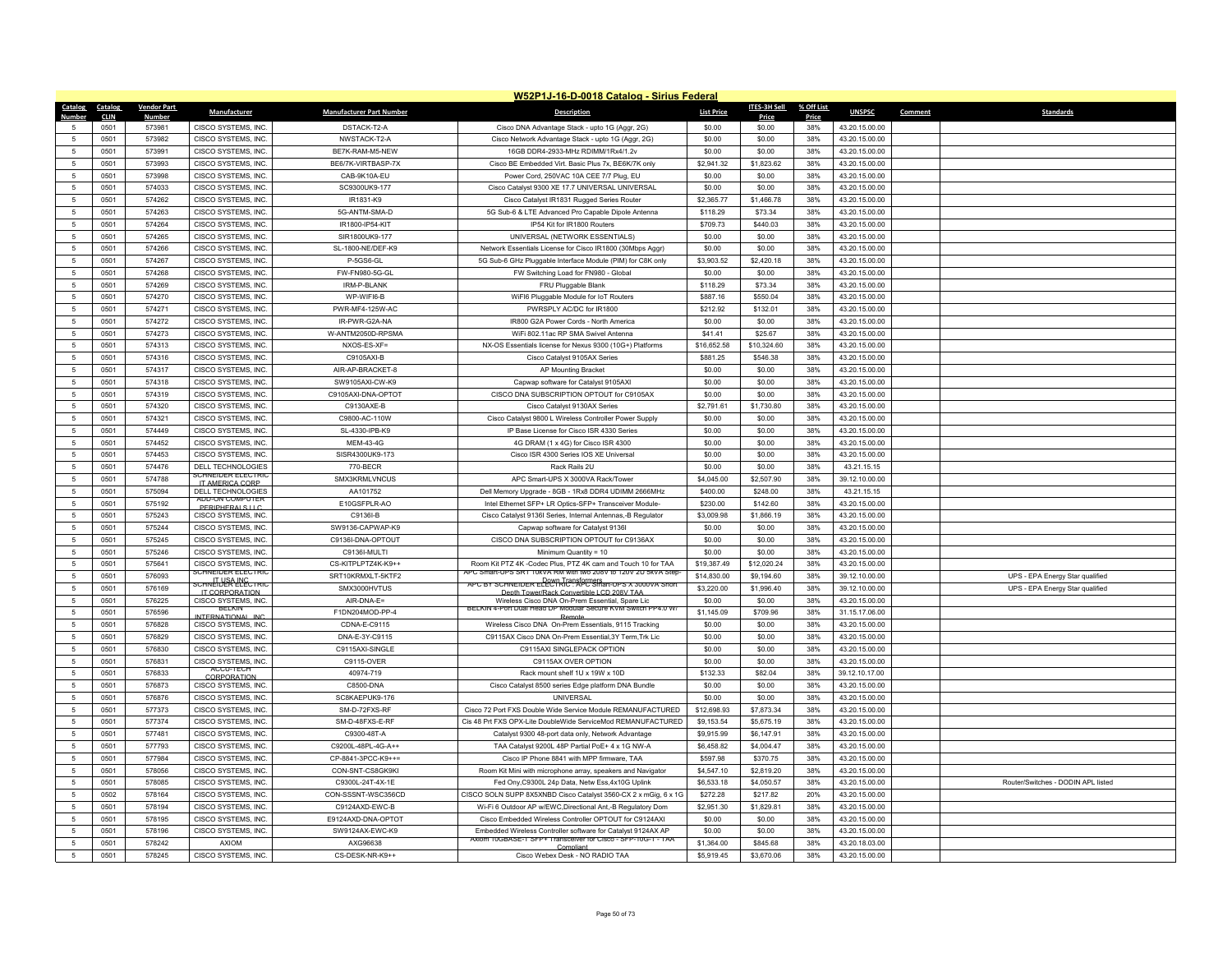|                    |              |                    |                                            |                                 | W52P1J-16-D-0018 Catalog - Sirius Federal                                                                                  |                   |                     |              |                                  |                                    |
|--------------------|--------------|--------------------|--------------------------------------------|---------------------------------|----------------------------------------------------------------------------------------------------------------------------|-------------------|---------------------|--------------|----------------------------------|------------------------------------|
| Catalog            | Catalog      | <b>Vendor Part</b> | Manufacturer                               | <b>Manufacturer Part Number</b> | <b>Description</b>                                                                                                         | <b>List Price</b> | <b>ITES-3H Sell</b> | % Off List   | <b>UNSPSC</b>                    | Comment<br><b>Standards</b>        |
| <b>Number</b><br>5 | <b>CLIN</b>  | Numbe<br>573981    |                                            |                                 |                                                                                                                            |                   | Price<br>\$0.00     | Price<br>38% |                                  |                                    |
| 5                  | 0501<br>0501 | 573982             | CISCO SYSTEMS, INC.                        | DSTACK-T2-A                     | Cisco DNA Advantage Stack - upto 1G (Aggr, 2G)                                                                             | \$0.00            | \$0.00              | 38%          | 43.20.15.00.00                   |                                    |
| 5 <sup>5</sup>     | 0501         | 573991             | CISCO SYSTEMS, INC.<br>CISCO SYSTEMS. INC. | NWSTACK-T2-A<br>BE7K-RAM-M5-NEW | Cisco Network Advantage Stack - upto 1G (Aggr, 2G)<br>16GB DDR4-2933-MHz RDIMM/1Rx4/1.2v                                   | \$0.00<br>\$0.00  | \$0.00              | 38%          | 43.20.15.00.00<br>43.20.15.00.00 |                                    |
|                    |              |                    |                                            |                                 |                                                                                                                            |                   |                     |              |                                  |                                    |
| $\sqrt{5}$         | 0501         | 573993             | CISCO SYSTEMS, INC.                        | BE6/7K-VIRTBASP-7X              | Cisco BE Embedded Virt. Basic Plus 7x, BE6K/7K only                                                                        | \$2,941.32        | \$1,823.62          | 38%          | 43.20.15.00.00                   |                                    |
| $\mathbf 5$        | 0501         | 573998             | CISCO SYSTEMS, INC.                        | CAB-9K10A-EU                    | Power Cord, 250VAC 10A CEE 7/7 Plug, EU                                                                                    | \$0.00            | \$0.00              | 38%          | 43.20.15.00.00                   |                                    |
| -5                 | 0501         | 574033             | CISCO SYSTEMS. INC.                        | SC9300UK9-177                   | Cisco Catalyst 9300 XE 17.7 UNIVERSAL UNIVERSAL                                                                            | \$0.00            | \$0.00              | 38%          | 43.20.15.00.00                   |                                    |
| $\sqrt{5}$         | 0501         | 574262             | CISCO SYSTEMS, INC.                        | IR1831-K9                       | Cisco Catalyst IR1831 Rugged Series Router                                                                                 | \$2,365.77        | \$1,466.78          | 38%          | 43.20.15.00.00                   |                                    |
| $\overline{5}$     | 0501         | 574263             | CISCO SYSTEMS, INC.                        | 5G-ANTM-SMA-D                   | 5G Sub-6 & LTE Advanced Pro Capable Dipole Antenna                                                                         | \$118.29          | \$73.34             | 38%          | 43.20.15.00.00                   |                                    |
| $5\phantom{.0}$    | 0501         | 574264             | CISCO SYSTEMS, INC.                        | IR1800-IP54-KIT                 | IP54 Kit for IR1800 Routers                                                                                                | \$709.73          | \$440.03            | 38%          | 43.20.15.00.00                   |                                    |
| $5\phantom{.0}$    | 0501         | 574265             | CISCO SYSTEMS, INC.                        | SIR1800UK9-177                  | UNIVERSAL (NETWORK ESSENTIALS)                                                                                             | \$0.00            | \$0.00              | 38%          | 43.20.15.00.00                   |                                    |
| 5                  | 0501         | 574266             | CISCO SYSTEMS, INC                         | SL-1800-NE/DEF-K9               | Network Essentials License for Cisco IR1800 (30Mbps Aggr)                                                                  | \$0.00            | \$0.00              | 38%          | 43.20.15.00.00                   |                                    |
| 5                  | 0501         | 574267             | CISCO SYSTEMS, INC                         | P-5GS6-GL                       | 5G Sub-6 GHz Pluggable Interface Module (PIM) for C8K only                                                                 | \$3,903.52        | \$2,420.18          | 38%          | 43.20.15.00.00                   |                                    |
| $5\phantom{.0}$    | 0501         | 574268             | CISCO SYSTEMS, INC.                        | FW-FN980-5G-GL                  | FW Switching Load for FN980 - Global                                                                                       | \$0.00            | \$0.00              | 38%          | 43.20.15.00.00                   |                                    |
| 5                  | 0501         | 574269             | CISCO SYSTEMS, INC.                        | IRM-P-BLANK                     | FRU Pluggable Blank                                                                                                        | \$118.29          | \$73.34             | 38%          | 43.20.15.00.00                   |                                    |
| $5\phantom{.0}$    | 0501         | 574270             | CISCO SYSTEMS, INC                         | WP-WIFI6-B                      | WiFI6 Pluggable Module for IoT Routers                                                                                     | \$887.16          | \$550.04            | 38%          | 43.20.15.00.00                   |                                    |
| $5\phantom{.0}$    | 0501         | 574271             | CISCO SYSTEMS, INC.                        | PWR-MF4-125W-AC                 | PWRSPLY AC/DC for IR1800                                                                                                   | \$212.92          | \$132.01            | 38%          | 43.20.15.00.00                   |                                    |
| 5                  | 0501         | 574272             | CISCO SYSTEMS, INC                         | IR-PWR-G2A-NA                   | IR800 G2A Power Cords - North America                                                                                      | \$0.00            | \$0.00              | 38%          | 43.20.15.00.00                   |                                    |
| $5\overline{5}$    | 0501         | 574273             | CISCO SYSTEMS, INC.                        | W-ANTM2050D-RPSMA               | WiFi 802.11ac RP SMA Swivel Antenna                                                                                        | \$41.41           | \$25.67             | 38%          | 43.20.15.00.00                   |                                    |
| 5 <sup>5</sup>     | 0501         | 574313             | CISCO SYSTEMS, INC                         | NXOS-ES-XF=                     | NX-OS Essentials license for Nexus 9300 (10G+) Platforms                                                                   | \$16,652.58       | \$10,324.60         | 38%          | 43.20.15.00.00                   |                                    |
| 5                  | 0501         | 574316             | CISCO SYSTEMS, INC.                        | C9105AXI-B                      | Cisco Catalyst 9105AX Series                                                                                               | \$881.25          | \$546.38            | 38%          | 43.20.15.00.00                   |                                    |
| 5                  | 0501         | 574317             | CISCO SYSTEMS, INC.                        | AIR-AP-BRACKET-8                | AP Mounting Bracket                                                                                                        | \$0.00            | \$0.00              | 38%          | 43.20.15.00.00                   |                                    |
| $\sqrt{5}$         | 0501         | 574318             | CISCO SYSTEMS, INC                         | SW9105AXI-CW-K9                 | Capwap software for Catalyst 9105AXI                                                                                       | \$0.00            | \$0.00              | 38%          | 43.20.15.00.00                   |                                    |
| $5\phantom{.0}$    | 0501         | 574319             | CISCO SYSTEMS, INC.                        | C9105AXI-DNA-OPTOT              | CISCO DNA SUBSCRIPTION OPTOUT for C9105AX                                                                                  | \$0.00            | \$0.00              | 38%          | 43.20.15.00.00                   |                                    |
| 5                  | 0501         | 574320             | CISCO SYSTEMS, INC.                        | C9130AXE-B                      | Cisco Catalyst 9130AX Series                                                                                               | \$2,791.61        | \$1,730.80          | 38%          | 43.20.15.00.00                   |                                    |
| 5                  | 0501         | 574321             | CISCO SYSTEMS, INC.                        | C9800-AC-110W                   | Cisco Catalyst 9800 L Wireless Controller Power Supply                                                                     | \$0.00            | \$0.00              | 38%          | 43.20.15.00.00                   |                                    |
| 5                  | 0501         | 574449             | CISCO SYSTEMS. INC.                        | SL-4330-IPB-K9                  | IP Base License for Cisco ISR 4330 Series                                                                                  | \$0.00            | \$0.00              | 38%          | 43.20.15.00.00                   |                                    |
| $5\phantom{.0}$    | 0501         | 574452             | CISCO SYSTEMS, INC.                        | MEM-43-4G                       | 4G DRAM (1 x 4G) for Cisco ISR 4300                                                                                        | \$0.00            | \$0.00              | 38%          | 43.20.15.00.00                   |                                    |
| $5\phantom{.0}$    | 0501         | 574453             | CISCO SYSTEMS, INC.                        | SISR4300UK9-173                 | Cisco ISR 4300 Series IOS XE Universal                                                                                     | \$0.00            | \$0.00              | 38%          | 43.20.15.00.00                   |                                    |
| $\sqrt{5}$         | 0501         | 574476             | DELL TECHNOLOGIES                          | 770-BFCR                        | Rack Rails 2U                                                                                                              | \$0.00            | \$0.00              | 38%          | 43 21 15 15                      |                                    |
| $5\phantom{.0}$    | 0501         | 574788             | SCHNEIDER ELECTRIC<br>IT AMERICA CORP.     | SMX3KRMLVNCUS                   | APC Smart-UPS X 3000VA Rack/Tower                                                                                          | \$4,045.00        | \$2,507.90          | 38%          | 39.12.10.00.00                   |                                    |
| 5                  | 0501         | 575094             | DELL TECHNOLOGIES                          | AA101752                        | Dell Memory Upgrade - 8GB - 1Rx8 DDR4 UDIMM 2666MHz                                                                        | \$400.00          | \$248.00            | 38%          | 43.21.15.15                      |                                    |
| 5                  | 0501         | 575192             | ADD-ON COMPUTER<br>PERIPHERALS LLC         | E10GSFPLR-AO                    | Intel Ethernet SFP+ LR Optics-SFP+ Transceiver Module-                                                                     | \$230.00          | \$142.60            | 38%          | 43.20.15.00.00                   |                                    |
| $5\phantom{.0}$    | 0501         | 575243             | CISCO SYSTEMS, INC.                        | C9136I-B                        | Cisco Catalyst 9136I Series, Internal Antennas,-B Regulator                                                                | \$3,009.98        | \$1,866.19          | 38%          | 43.20.15.00.00                   |                                    |
| $\overline{5}$     | 0501         | 575244             | CISCO SYSTEMS, INC.                        | SW9136-CAPWAP-K9                | Capwap software for Catalyst 9136                                                                                          | \$0.00            | \$0.00              | 38%          | 43.20.15.00.00                   |                                    |
| 5                  | 0501         | 575245             | CISCO SYSTEMS, INC.                        | C9136I-DNA-OPTOUT               | CISCO DNA SUBSCRIPTION OPTOUT for C9136AX                                                                                  | \$0.00            | \$0.00              | 38%          | 43.20.15.00.00                   |                                    |
| $5\overline{5}$    | 0501         | 575246             | CISCO SYSTEMS, INC.                        | C9136I-MULTI                    | Minimum Quantity = 10                                                                                                      | \$0.00            | \$0.00              | 38%          | 43.20.15.00.00                   |                                    |
| $5\phantom{.0}$    | 0501         | 575641             | CISCO SYSTEMS, INC.                        | CS-KITPLPTZ4K-K9++              | Room Kit PTZ 4K -Codec Plus, PTZ 4K cam and Touch 10 for TAA                                                               | \$19,387.49       | \$12,020.24         | 38%          | 43.20.15.00.00                   |                                    |
| $5\overline{5}$    | 0501         | 576093             | SCHNEIDER ELECTRIC                         | SRT10KRMXI T-5KTF2              | APC Smart-UPS SRT T0kVA RM with two 208V to 120V 2U 5kVA Step                                                              | \$14,830.00       | \$9,194.60          | 38%          | 39.12.10.00.00                   | UPS - EPA Energy Star qualified    |
| $5\overline{5}$    | 0501         | 576169             | <b>CHNEIDER ELECTRIC</b><br>IT CORPORATION | SMX3000HVTUS                    | SCHNEIDER ELECTRIC <sup>ORS</sup> APC <sup>ORS</sup> SMART-UPS X 3000VA Short<br>Denth Tower/Rack Convertible LCD 208V TAA | \$3,220.00        | \$1,996.40          | 38%          | 39.12.10.00.00                   | UPS - EPA Energy Star qualified    |
| 5                  | 0501         | 576225             | CISCO SYSTEMS, INC.                        | AIR-DNA-E=                      | Wireless Cisco DNA On-Prem Essential, Spare Lic                                                                            | \$0.00            | \$0.00              | 38%          | 43.20.15.00.00                   |                                    |
| 5                  | 0501         | 576596             | <b>BELKIN</b><br>INTERNATIONAL INC.        | F1DN204MOD-PP-4                 | BELKIN 4-Port Dual Head DP Modular Secure KVM Switch PP4.0 W/                                                              | \$1,145.09        | \$709.96            | 38%          | 31.15.17.06.00                   |                                    |
| $\sqrt{5}$         | 0501         | 576828             | CISCO SYSTEMS. INC.                        | CDNA-F-C9115                    | Wireless Cisco DNA On-Prem Essentials, 9115 Tracking                                                                       | \$0.00            | \$0.00              | 38%          | 43.20.15.00.00                   |                                    |
| 5                  | 0501         | 576829             | CISCO SYSTEMS, INC.                        | DNA-E-3Y-C9115                  | C9115AX Cisco DNA On-Prem Essential, 3Y Term, Trk Lic                                                                      | \$0.00            | \$0.00              | 38%          | 43.20.15.00.00                   |                                    |
| $5\overline{5}$    | 0501         | 576830             | CISCO SYSTEMS, INC.                        | C9115AXI-SINGLE                 | C9115AXI SINGLEPACK OPTION                                                                                                 | \$0.00            | \$0.00              | 38%          | 43.20.15.00.00                   |                                    |
| $5\phantom{.0}$    | 0501         | 576831             | CISCO SYSTEMS, INC.                        | C9115-OVER                      | C9115AX OVER OPTION                                                                                                        | \$0.00            | \$0.00              | 38%          | 43.20.15.00.00                   |                                    |
| 5 <sup>5</sup>     | 0501         | 576833             | ACCU-TECH<br>CORPORATION                   | 40974-719                       | Rack mount shelf 1U x 19W x 10D                                                                                            | \$132.33          | \$82.04             | 38%          | 39.12.10.17.00                   |                                    |
| 5                  | 0501         | 576873             | CISCO SYSTEMS, INC.                        | C8500-DNA                       | Cisco Catalyst 8500 series Edge platform DNA Bundle                                                                        | \$0.00            | \$0.00              | 38%          | 43.20.15.00.00                   |                                    |
| $\overline{5}$     | 0501         | 576876             | CISCO SYSTEMS, INC.                        | SC8KAEPUK9-176                  | <b>UNIVERSAL</b>                                                                                                           | \$0.00            | \$0.00              | 38%          | 43.20.15.00.00                   |                                    |
| 5 <sup>5</sup>     | 0501         | 577373             | CISCO SYSTEMS, INC.                        | SM-D-72FXS-RF                   | Cisco 72 Port FXS Double Wide Service Module REMANUFACTURED                                                                | \$12,698.93       | \$7,873.34          | 38%          | 43.20.15.00.00                   |                                    |
| $5\phantom{.0}$    | 0501         | 577374             | CISCO SYSTEMS, INC.                        | SM-D-48FXS-E-RF                 | Cis 48 Prt FXS OPX-Lite DoubleWide ServiceMod REMANUFACTURED                                                               | \$9,153.54        | \$5,675.19          | 38%          | 43.20.15.00.00                   |                                    |
| $\overline{5}$     | 0501         | 577481             | CISCO SYSTEMS, INC.                        | C9300-48T-A                     | Catalyst 9300 48-port data only, Network Advantage                                                                         | \$9,915.99        | \$6,147.91          | 38%          | 43.20.15.00.00                   |                                    |
| 5 <sup>5</sup>     | 0501         | 577793             | CISCO SYSTEMS, INC.                        | C9200L-48PL-4G-A++              | TAA Catalyst 9200L 48P Partial PoE+ 4 x 1G NW-A                                                                            | \$6,458.82        | \$4,004.47          | 38%          | 43.20.15.00.00                   |                                    |
| 5 <sup>5</sup>     | 0501         | 577984             | CISCO SYSTEMS, INC.                        | CP-8841-3PCC-K9++=              | Cisco IP Phone 8841 with MPP firmware, TAA                                                                                 | \$597.98          | \$370.75            | 38%          | 43.20.15.00.00                   |                                    |
| 5                  | 0501         | 578056             | CISCO SYSTEMS, INC.                        | CON-SNT-CS8GK9KI                | Room Kit Mini with microphone array, speakers and Navigator                                                                | \$4,547.10        | \$2,819.20          | 38%          | 43.20.15.00.00                   |                                    |
| 5                  | 0501         | 578085             | CISCO SYSTEMS INC                          | C9300L-24T-4X-1F                | Fed Ony, C9300L 24p Data, Netw Ess, 4x10G Uplink                                                                           | \$6,533.18        | \$4,050.57          | 38%          | 43.20.15.00.00                   | Router/Switches - DODIN API listed |
| $5\overline{5}$    | 0502         | 578164             | CISCO SYSTEMS, INC.                        | CON-SSSNT-WSC356CD              | CISCO SOLN SUPP 8X5XNBD Cisco Catalyst 3560-CX 2 x mGig, 6 x 1G                                                            | \$272.28          | \$217.82            | 20%          | 43.20.15.00.00                   |                                    |
| $\overline{5}$     | 0501         | 578194             | CISCO SYSTEMS, INC.                        | C9124AXD-EWC-B                  | Wi-Fi 6 Outdoor AP w/EWC, Directional Ant,-B Regulatory Dom                                                                | \$2,951.30        | \$1,829.81          | 38%          | 43.20.15.00.00                   |                                    |
| -5                 | 0501         | 578195             | CISCO SYSTEMS, INC.                        | E9124AXD-DNA-OPTOT              | Cisco Embedded Wireless Controller OPTOUT for C9124AXI                                                                     | \$0.00            | \$0.00              | 38%          | 43.20.15.00.00                   |                                    |
| $\overline{5}$     | 0501         | 578196             | CISCO SYSTEMS, INC.                        | SW9124AX-EWC-K9                 | Embedded Wireless Controller software for Catalyst 9124AX AF                                                               | \$0.00            | \$0.00              | 38%          | 43.20.15.00.00                   |                                    |
| $\sqrt{5}$         | 0501         | 578242             | <b>AXIOM</b>                               | AXG96638                        | Axiom 10GBASE-1 SFP+ Transceiver for Cisco - SFP-10G-1 - TAA<br>Compliant                                                  | \$1,364.00        | \$845.68            | 38%          | 43 20 18 03 00                   |                                    |
| $5\phantom{.0}$    | 0501         | 578245             | CISCO SYSTEMS, INC.                        | CS-DESK-NR-K9++                 | Cisco Webex Desk - NO RADIO TAA                                                                                            | \$5,919.45        | \$3,670.06          | 38%          | 43.20.15.00.00                   |                                    |
|                    |              |                    |                                            |                                 |                                                                                                                            |                   |                     |              |                                  |                                    |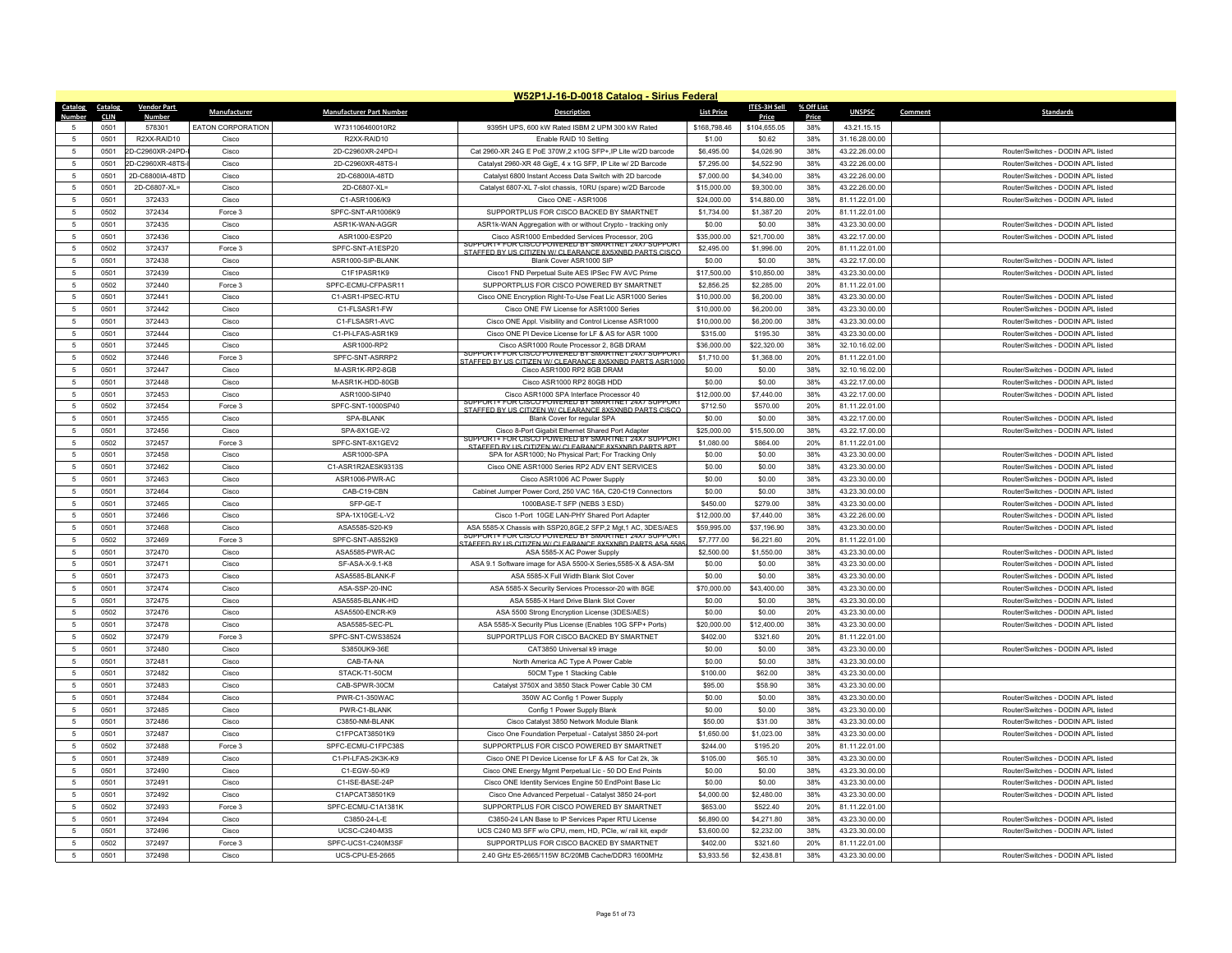|                     |                     |                        |                   |                                 | W52P1J-16-D-0018 Catalog - Sirius Federal                                                                     |                    |                       |              |                                  |         |                                                                          |
|---------------------|---------------------|------------------------|-------------------|---------------------------------|---------------------------------------------------------------------------------------------------------------|--------------------|-----------------------|--------------|----------------------------------|---------|--------------------------------------------------------------------------|
| Catalog             | <b>Catalog</b>      | <b>Vendor Part</b>     | Manufacturer      | <b>Manufacturer Part Number</b> | <b>Description</b>                                                                                            | <b>List Price</b>  | <b>ITES-3H Sell</b>   | % Off List   | <b>UNSPSC</b>                    | Comment | <b>Standards</b>                                                         |
| 5                   | <b>CLIN</b><br>0501 | <b>Numbe</b><br>578301 | EATON CORPORATION | W731106460010R2                 | 9395H UPS, 600 kW Rated ISBM 2 UPM 300 kW Rated                                                               | \$168,798.46       | Price<br>\$104,655.05 | Price<br>38% | 43.21.15.15                      |         |                                                                          |
| -5                  | 0501                | R2XX-RAID10            | Cisco             | R2XX-RAID10                     | Enable RAID 10 Setting                                                                                        | \$1.00             | \$0.62                | 38%          | 31.16.28.00.00                   |         |                                                                          |
| 5                   | 0501                | 2D-C2960XR-24PD-       | Cisco             | 2D-C2960XR-24PD-I               | Cat 2960-XR 24G E PoE 370W, 2 x10G SFP+, IP Lite w/2D barcode                                                 | \$6,495.00         | \$4,026.90            | 38%          | 43.22.26.00.00                   |         | Router/Switches - DODIN API listed                                       |
| 5                   | 0501                | 2D-C2960XR-48TS-       | Cisco             | 2D-C2960XR-48TS-I               | Catalyst 2960-XR 48 GigE, 4 x 1G SFP, IP Lite w/ 2D Barcode                                                   | \$7,295.00         | \$4,522.90            | 38%          | 43.22.26.00.00                   |         | Router/Switches - DODIN APL listed                                       |
| 5                   | 0501                | 2D-C6800IA-48TD        | Cisco             | 2D-C6800IA-48TD                 | Catalyst 6800 Instant Access Data Switch with 2D barcode                                                      | \$7,000.00         | \$4,340.00            | 38%          | 43.22.26.00.00                   |         | Router/Switches - DODIN APL listed                                       |
| 5                   | 0501                | 2D-C6807-XL=           | Cisco             | 2D-C6807-XL=                    | Catalyst 6807-XL 7-slot chassis, 10RU (spare) w/2D Barcode                                                    | \$15,000.00        | \$9,300.00            | 38%          | 43.22.26.00.00                   |         | Router/Switches - DODIN APL listed                                       |
| $\sqrt{2}$          | 0501                | 372433                 | Cisco             | C1-ASR1006/K9                   | Cisco ONE - ASR1006                                                                                           | \$24,000.00        | \$14,880.00           | 38%          | 81.11.22.01.00                   |         | Router/Switches - DODIN APL listed                                       |
| 5                   | 0502                | 372434                 | Force 3           | SPFC-SNT-AR1006K9               | SUPPORTPLUS FOR CISCO BACKED BY SMARTNET                                                                      | \$1,734.00         | \$1,387.20            | 20%          | 81.11.22.01.00                   |         |                                                                          |
| 5                   | 0501                | 372435                 | Cisco             | ASR1K-WAN-AGGR                  | ASR1k-WAN Aggregation with or without Crypto - tracking only                                                  | \$0.00             | \$0.00                | 38%          | 43.23.30.00.00                   |         | Router/Switches - DODIN APL listed                                       |
| $\overline{5}$      | 0501                | 372436                 | Cisco             | ASR1000-ESP20                   | Cisco ASR1000 Embedded Services Processor, 20G                                                                | \$35,000.00        | \$21,700.00           | 38%          | 43.22.17.00.00                   |         | Router/Switches - DODIN API listed                                       |
| -5                  | 0502                | 372437                 | Force 3           | SPFC-SNT-A1ESP20                | SUPPORT+ FOR CISCO POWERED BY SMARTNET 74X7 SUPPORT<br>STAFFED BY US CITIZEN W/ CLEARANCE 8X5XNRD PARTS CISCO | \$2,495.00         | \$1,996.00            | 20%          | 81.11.22.01.00                   |         |                                                                          |
| 5                   | 0501                | 372438                 | Cisco             | ASR1000-SIP-BLANK               | Blank Cover ASR1000 SIP                                                                                       | \$0.00             | \$0.00                | 38%          | 43.22.17.00.00                   |         | Router/Switches - DODIN APL listed                                       |
| 5                   | 0501                | 372439                 | Cisco             | C1F1PASR1K9                     | Cisco1 FND Perpetual Suite AES IPSec FW AVC Prime                                                             | \$17,500.00        | \$10,850.00           | 38%          | 43.23.30.00.00                   |         | Router/Switches - DODIN API listed                                       |
| 5                   | 0502                | 372440                 | Force 3           | SPFC-ECMU-CFPASR11              | SUPPORTPLUS FOR CISCO POWERED BY SMARTNET                                                                     | \$2,856.25         | \$2,285.00            | 20%          | 81.11.22.01.00                   |         |                                                                          |
| 5                   | 0501                | 372441                 | Cisco             | C1-ASR1-IPSEC-RTU               | Cisco ONE Encryption Right-To-Use Feat Lic ASR1000 Series                                                     | \$10,000.00        | \$6,200.00            | 38%          | 43.23.30.00.00                   |         | Router/Switches - DODIN APL listed                                       |
| 5                   | 0501                | 372442                 | Cisco             | C1-FLSASR1-FW                   | Cisco ONE FW License for ASR1000 Series                                                                       | \$10,000.00        | \$6,200.00            | 38%          | 43.23.30.00.00                   |         | Router/Switches - DODIN APL listed                                       |
| -5                  | 0501                | 372443                 | Cisco             | C1-FLSASR1-AVC                  | Cisco ONE Appl. Visibility and Control License ASR1000                                                        | \$10,000.00        | \$6,200.00            | 38%          | 43.23.30.00.00                   |         | Router/Switches - DODIN APL listed                                       |
| 5                   | 0501                | 372444                 | Cisco             | C1-PI-LFAS-ASR1K9               | Cisco ONE PI Device License for LF & AS for ASR 1000                                                          | \$315.00           | \$195.30              | 38%          | 43.23.30.00.00                   |         | Router/Switches - DODIN APL listed                                       |
| 5                   | 0501                | 372445                 | Cisco             | ASR1000-RP2                     | Cisco ASR1000 Route Processor 2, 8GB DRAM                                                                     | \$36,000.00        | \$22,320.00           | 38%          | 32.10.16.02.00                   |         | Router/Switches - DODIN APL listed                                       |
| 5                   | 0502                | 372446                 | Force 3           | SPFC-SNT-ASRRP2                 | F FOR CISCO POWERED BY SMARTNET 24X7 SUPPOR<br>STAFFED BY US CITIZEN W/ CLEARANCE 8X5XNBD PARTS ASR1000       | \$1,710.00         | \$1,368.00            | 20%          | 81.11.22.01.00                   |         |                                                                          |
| 5                   | 0501                | 372447                 | Cisco             | M-ASR1K-RP2-8GB                 | Cisco ASR1000 RP2 8GB DRAM                                                                                    | \$0.00             | \$0.00                | 38%          | 32.10.16.02.00                   |         | Router/Switches - DODIN APL listed                                       |
| 5                   | 0501                | 372448                 | Cisco             | M-ASR1K-HDD-80GB                | Cisco ASR1000 RP2 80GB HDD                                                                                    | \$0.00             | \$0.00                | 38%          | 43.22.17.00.00                   |         | Router/Switches - DODIN APL listed                                       |
| -5                  | 0501                | 372453                 | Cisco             | ASR1000-SIP40                   | Cisco ASR1000 SPA Interface Processor 40<br>SUPPORT+ FOR CISCO POWERED BY SMARTNET 24X/ SUPPOR                | \$12,000.00        | \$7,440.00            | 38%          | 43.22.17.00.00                   |         | Router/Switches - DODIN APL listed                                       |
| $\overline{5}$      | 0502                | 372454                 | Force 3           | SPFC-SNT-1000SP40               | STAFFED BY US CITIZEN W/ CLEARANCE 8X5XNBD PARTS CISCO                                                        | \$712.50           | \$570.00              | 20%          | 81.11.22.01.00                   |         |                                                                          |
| 5                   | 0501                | 372455                 | Cisco             | SPA-BLANK                       | <b>Blank Cover for regular SPA</b>                                                                            | \$0.00             | \$0.00                | 38%          | 43.22.17.00.00                   |         | Router/Switches - DODIN APL listed                                       |
| 5                   | 0501                | 372456                 | Cisco             | SPA-8X1GE-V2                    | Cisco 8-Port Gigabit Ethernet Shared Port Adapter<br>SUPPORT+ FOR CISCO POWERED BY SMARTNET 24X7 SUPPORT      | \$25,000.00        | \$15,500.00           | 38%          | 43.22.17.00.00                   |         | Router/Switches - DODIN APL listed                                       |
| $\overline{5}$      | 0502                | 372457                 | Force 3           | SPFC-SNT-8X1GEV2                | STAFFED BY US CITIZEN W/ CLEARANCE 8X5XNBD PARTS 8PT                                                          | \$1,080.00         | \$864.00              | 20%          | 81.11.22.01.00                   |         |                                                                          |
| 5                   | 0501                | 372458                 | Cisco             | ASR1000-SPA                     | SPA for ASR1000; No Physical Part; For Tracking Only                                                          | \$0.00             | \$0.00                | 38%          | 43.23.30.00.00                   |         | Router/Switches - DODIN APL listed                                       |
| 5                   | 0501                | 372462                 | Cisco             | C1-ASR1R2AESK9313S              | Cisco ONE ASR1000 Series RP2 ADV ENT SERVICES                                                                 | \$0.00             | \$0.00                | 38%          | 43.23.30.00.00                   |         | Router/Switches - DODIN APL listed                                       |
| $\overline{5}$      | 0501                | 372463                 | Cisco             | ASR1006-PWR-AC                  | Cisco ASR1006 AC Power Supply                                                                                 | \$0.00             | \$0.00                | 38%          | 43.23.30.00.00                   |         | Router/Switches - DODIN APL listed                                       |
| 5                   | 0501                | 372464<br>372465       | Cisco<br>Cisco    | CAB-C19-CBN<br>SFP-GF-T         | Cabinet Jumper Power Cord, 250 VAC 16A, C20-C19 Connectors<br>1000BASE-T SFP (NEBS 3 ESD)                     | \$0.00<br>\$450.00 | \$0.00<br>\$279.00    | 38%<br>38%   | 43.23.30.00.00<br>43.23.30.00.00 |         | Router/Switches - DODIN API listed<br>Router/Switches - DODIN APL listed |
| 5<br>$\overline{5}$ | 0501<br>0501        | 372466                 | Cisco             | SPA-1X10GE-L-V2                 | Cisco 1-Port 10GE LAN-PHY Shared Port Adapter                                                                 | \$12,000.00        | \$7,440.00            | 38%          | 43.22.26.00.00                   |         | Router/Switches - DODIN API listed                                       |
| 5                   | 0501                | 372468                 | Cisco             | ASA5585-S20-K9                  | ASA 5585-X Chassis with SSP20,8GE,2 SFP,2 Mgt,1 AC, 3DES/AES                                                  | \$59,995.00        | \$37,196.90           | 38%          | 43.23.30.00.00                   |         | Router/Switches - DODIN APL listed                                       |
| 5                   | 0502                | 372469                 | Force 3           | SPFC-SNT-A85S2K9                | SUPPORT+ FOR CISCO POWERED BY SMARTNET 24X7 SUPPORT                                                           | \$7,777.00         | \$6,221.60            | 20%          | 81.11.22.01.00                   |         |                                                                          |
| $\overline{5}$      | 0501                | 372470                 | Cisco             | ASA5585-PWR-AC                  | TAFFED BY US CITIZEN W/CLEARANCE 8X5XNRD PARTS ASA 558<br>ASA 5585-X AC Power Supply                          | \$2,500.00         | \$1,550.00            | 38%          | 43.23.30.00.00                   |         | Router/Switches - DODIN API listed                                       |
| 5                   | 0501                | 372471                 | Cisco             | SF-ASA-X-9.1-K8                 | ASA 9.1 Software image for ASA 5500-X Series, 5585-X & ASA-SM                                                 | \$0.00             | \$0.00                | 38%          | 43.23.30.00.00                   |         | Router/Switches - DODIN API listed                                       |
| 5                   | 0501                | 372473                 | Cisco             | ASA5585-BLANK-F                 | ASA 5585-X Full Width Blank Slot Cover                                                                        | \$0.00             | \$0.00                | 38%          | 43.23.30.00.00                   |         | Router/Switches - DODIN APL listed                                       |
| $\overline{5}$      | 0501                | 372474                 | Cisco             | ASA-SSP-20-INC                  | ASA 5585-X Security Services Processor-20 with 8GE                                                            | \$70,000.00        | \$43,400.00           | 38%          | 43.23.30.00.00                   |         | Router/Switches - DODIN APL listed                                       |
| $\overline{5}$      | 0501                | 372475                 | Cisco             | ASA5585-BLANK-HD                | ASA 5585-X Hard Drive Blank Slot Cover                                                                        | \$0.00             | \$0.00                | 38%          | 43.23.30.00.00                   |         | Router/Switches - DODIN API listed                                       |
| $\overline{5}$      | 0502                | 372476                 | Cisco             | ASA5500-ENCR-K9                 | ASA 5500 Strong Encryption License (3DES/AES)                                                                 | \$0.00             | \$0.00                | 20%          | 43.23.30.00.00                   |         | Router/Switches - DODIN APL listed                                       |
| $\overline{5}$      | 0501                | 372478                 | Cisco             | ASA5585-SEC-PL                  | ASA 5585-X Security Plus License (Enables 10G SFP+ Ports)                                                     | \$20,000.00        | \$12,400.00           | 38%          | 43.23.30.00.00                   |         | Router/Switches - DODIN API listed                                       |
| $\overline{5}$      | 0502                | 372479                 | Force 3           | SPFC-SNT-CWS38524               | SUPPORTPLUS FOR CISCO BACKED BY SMARTNET                                                                      | \$402.00           | \$321.60              | 20%          | 81.11.22.01.00                   |         |                                                                          |
| $\overline{5}$      | 0501                | 372480                 | Cisco             | S3850UK9-36F                    | CAT3850 Universal k9 image                                                                                    | \$0.00             | \$0.00                | 38%          | 43.23.30.00.00                   |         | Router/Switches - DODIN APL listed                                       |
| $\overline{5}$      | 0501                | 372481                 | Cisco             | CAB-TA-NA                       | North America AC Type A Power Cable                                                                           | \$0.00             | \$0.00                | 38%          | 43.23.30.00.00                   |         |                                                                          |
| -5                  | 0501                | 372482                 | Cisco             | STACK-T1-50CM                   | 50CM Type 1 Stacking Cable                                                                                    | \$100.00           | \$62.00               | 38%          | 43.23.30.00.00                   |         |                                                                          |
| $\overline{5}$      | 0501                | 372483                 | Cisco             | CAB-SPWR-30CM                   | Catalyst 3750X and 3850 Stack Power Cable 30 CM                                                               | \$95.00            | \$58.90               | 38%          | 43.23.30.00.00                   |         |                                                                          |
| $\overline{5}$      | 0501                | 372484                 | Cisco             | PWR-C1-350WAC                   | 350W AC Config 1 Power Supply                                                                                 | \$0.00             | \$0.00                | 38%          | 43.23.30.00.00                   |         | Router/Switches - DODIN APL listed                                       |
| 5                   | 0501                | 372485                 | Cisco             | PWR-C1-BI ANK                   | Config 1 Power Supply Blank                                                                                   | \$0.00             | \$0.00                | 38%          | 43.23.30.00.00                   |         | Router/Switches - DODIN API listed                                       |
| $\overline{5}$      | 0501                | 372486                 | Cisco             | C3850-NM-BLANK                  | Cisco Catalyst 3850 Network Module Blank                                                                      | \$50.00            | \$31.00               | 38%          | 43.23.30.00.00                   |         | Router/Switches - DODIN APL listed                                       |
|                     | 0501                | 372487                 | Cisco             | C1FPCAT38501K9                  | Cisco One Foundation Perpetual - Catalyst 3850 24-port                                                        | \$1,650.00         | \$1,023.00            | 38%          | 43.23.30.00.00                   |         | Router/Switches - DODIN APL listed                                       |
| -5                  | 0502                | 372488                 | Force 3           | SPEC-FCMU-C1FPC38S              | SUPPORTPLUS FOR CISCO POWERED BY SMARTNET                                                                     | \$244.00           | \$195.20              | 20%          | 81.11.22.01.00                   |         |                                                                          |
| $\overline{5}$      | 0501                | 372489                 | Cisco             | C1-PI-LFAS-2K3K-K9              | Cisco ONE PI Device License for LF & AS for Cat 2k, 3k                                                        | \$105.00           | \$65.10               | 38%          | 43.23.30.00.00                   |         | Router/Switches - DODIN API listed                                       |
| $\overline{5}$      | 0501                | 372490                 | Cisco             | C1-EGW-50-K9                    | Cisco ONE Energy Mgmt Perpetual Lic - 50 DO End Points                                                        | \$0.00             | \$0.00                | 38%          | 43.23.30.00.00                   |         | Router/Switches - DODIN API listed                                       |
| 5                   | 0501                | 372491                 | Cisco             | C1-ISF-BASF-24F                 | Cisco ONE Identity Services Engine 50 EndPoint Base Lic                                                       | \$0.00             | \$0.00                | 38%          | 43.23.30.00.00                   |         | Router/Switches - DODIN APL listed                                       |
| $\sqrt{2}$          | 0501                | 372492                 | Cisco             | C1APCAT38501K9                  | Cisco One Advanced Perpetual - Catalyst 3850 24-port                                                          | \$4,000.00         | \$2,480.00            | 38%          | 43.23.30.00.00                   |         | Router/Switches - DODIN APL listed                                       |
| 5                   | 0502                | 372493                 | Force 3           | SPFC-ECMU-C1A1381K              | SUPPORTPLUS FOR CISCO POWERED BY SMARTNET                                                                     | \$653.00           | \$522.40              | 20%          | 81.11.22.01.00                   |         |                                                                          |
| 5                   | 0501                | 372494                 | Cisco             | C3850-24-L-E                    | C3850-24 LAN Base to IP Services Paper RTU License                                                            | \$6,890.00         | \$4,271.80            | 38%          | 43.23.30.00.00                   |         | Router/Switches - DODIN APL listed<br>Router/Switches - DODIN API listed |
| $\sqrt{2}$          | 0501                | 372496                 | Cisco             | UCSC-C240-M3S                   | UCS C240 M3 SFF w/o CPU, mem, HD, PCIe, w/ rail kit, expdr                                                    | \$3,600.00         | \$2,232.00            | 38%          | 43.23.30.00.00                   |         |                                                                          |
| $\sqrt{2}$          | 0502                | 372497                 | Force 3           | SPFC-UCS1-C240M3SF              | SUPPORTPLUS FOR CISCO BACKED BY SMARTNET                                                                      | \$402.00           | \$321.60              | 20%          | 81.11.22.01.00                   |         |                                                                          |
| 5                   | 0501                | 372498                 | Cisco             | <b>UCS-CPU-E5-2665</b>          | 2.40 GHz E5-2665/115W 8C/20MB Cache/DDR3 1600MHz                                                              | \$3,933.56         | \$2,438.81            | 38%          | 43.23.30.00.00                   |         | Router/Switches - DODIN APL listed                                       |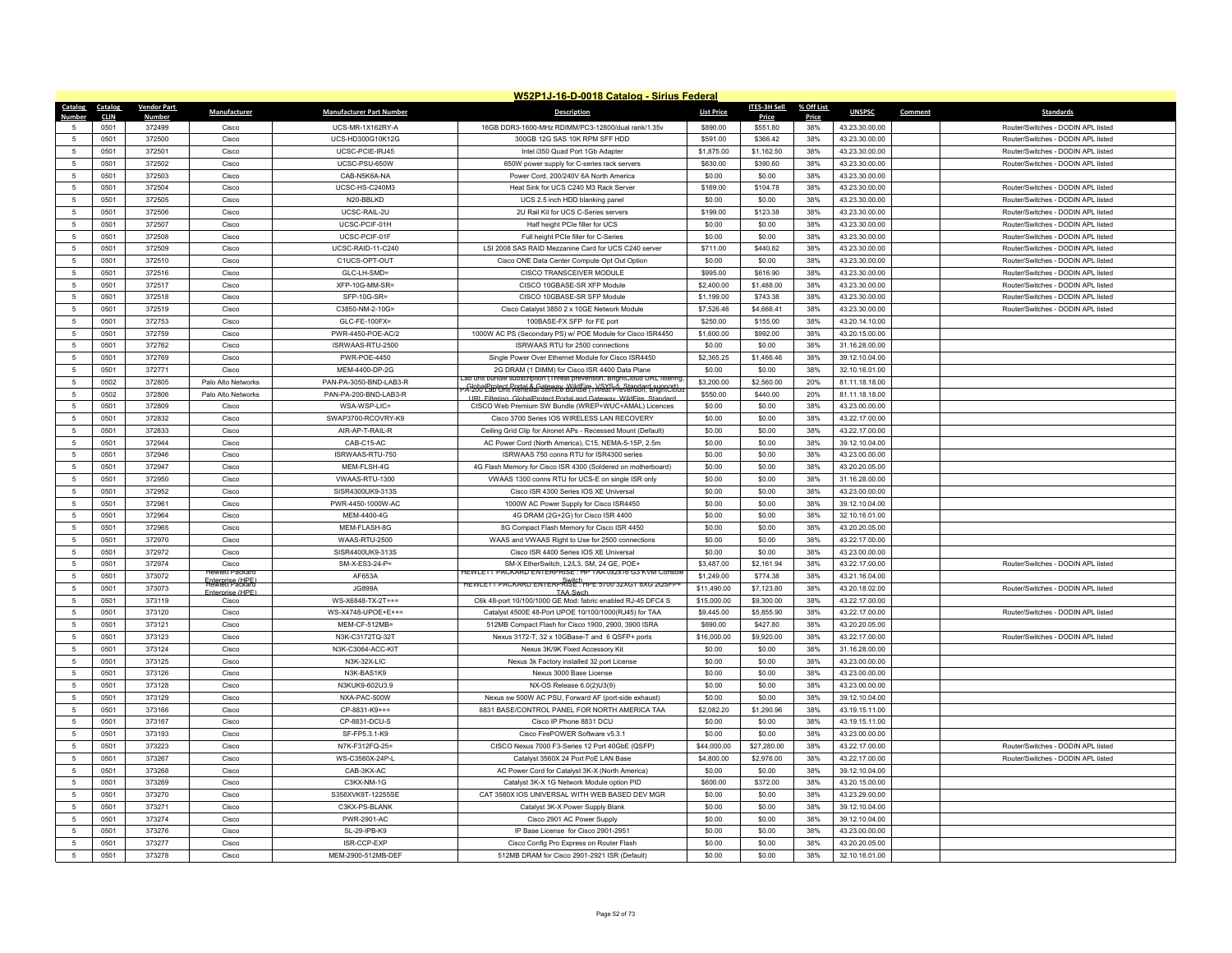|                                   |                |                         |                                      |                                  | W52P1J-16-D-0018 Catalog - Sirius Federal                                                                                                                                                                    |                   |                     |              |                                  |         |                                    |
|-----------------------------------|----------------|-------------------------|--------------------------------------|----------------------------------|--------------------------------------------------------------------------------------------------------------------------------------------------------------------------------------------------------------|-------------------|---------------------|--------------|----------------------------------|---------|------------------------------------|
| Catalog                           | <b>Catalog</b> | <b>Vendor Part</b>      | Manufacturer                         | <b>Manufacturer Part Number</b>  | <b>Description</b>                                                                                                                                                                                           | <b>List Price</b> | <b>ITES-3H Sell</b> | % Off List   | <b>UNSPSC</b>                    | Comment | <b>Standards</b>                   |
| 5                                 | CLIN<br>0501   | <b>Number</b><br>372499 | Cisco                                | UCS-MR-1X162RY-A                 | 16GB DDR3-1600-MHz RDIMM/PC3-12800/dual rank/1.35v                                                                                                                                                           | \$890.00          | Price<br>\$551.80   | Price<br>38% | 43.23.30.00.00                   |         | Router/Switches - DODIN APL listed |
| -5                                | 0501           | 372500                  | Cisco                                | UCS-HD300G10K12G                 | 300GB 12G SAS 10K RPM SFF HDD                                                                                                                                                                                | \$591.00          | \$366.42            | 38%          | 43.23.30.00.00                   |         | Router/Switches - DODIN APL listed |
| 5                                 | 0501           | 372501                  | Cisco                                | UCSC-PCIE-IRJ45                  | Intel i350 Quad Port 1Gb Adapter                                                                                                                                                                             | \$1,875.00        | \$1,162.50          | 38%          | 43.23.30.00.00                   |         | Router/Switches - DODIN APL listed |
| 5                                 | 0501           | 372502                  | Cisco                                | UCSC-PSU-650W                    | 650W power supply for C-series rack servers                                                                                                                                                                  | \$630.00          | \$390.60            | 38%          | 43.23.30.00.00                   |         | Router/Switches - DODIN APL listed |
| 5                                 | 0501           | 372503                  | Cisco                                | CAB-N5K6A-NA                     | Power Cord, 200/240V 6A North America                                                                                                                                                                        | \$0.00            | \$0.00              | 38%          | 43.23.30.00.00                   |         |                                    |
| $\sqrt{5}$                        | 0501           | 372504                  | Cisco                                | UCSC-HS-C240M3                   | Heat Sink for UCS C240 M3 Rack Server                                                                                                                                                                        | \$169.00          | \$104.78            | 38%          | 43.23.30.00.00                   |         | Router/Switches - DODIN APL listed |
| 5                                 | 0501           | 372505                  | Cisco                                | N20-BBLKD                        | UCS 2.5 inch HDD blanking panel                                                                                                                                                                              | \$0.00            | \$0.00              | 38%          | 43.23.30.00.00                   |         | Router/Switches - DODIN APL listed |
| 5                                 | 0501           | 372506                  | Cisco                                | UCSC-RAIL-2U                     | 2U Rail Kit for UCS C-Series servers                                                                                                                                                                         | \$199.00          | \$123.38            | 38%          | 43.23.30.00.00                   |         | Router/Switches - DODIN APL listed |
| $5\phantom{.0}$                   | 0501           | 372507                  | Cisco                                | UCSC-PCIF-01H                    | Half height PCIe filler for UCS                                                                                                                                                                              | \$0.00            | \$0.00              | 38%          | 43.23.30.00.00                   |         | Router/Switches - DODIN APL listed |
| 5                                 | 0501           | 372508                  | Cisco                                | UCSC-PCIF-01F                    | Full height PCIe filler for C-Series                                                                                                                                                                         | \$0.00            | \$0.00              | 38%          | 43.23.30.00.00                   |         | Router/Switches - DODIN API listed |
| 5                                 | 0501           | 372509                  | Cisco                                | UCSC-RAID-11-C240                | LSI 2008 SAS RAID Mezzanine Card for UCS C240 server                                                                                                                                                         | \$711.00          | \$440.82            | 38%          | 43.23.30.00.00                   |         | Router/Switches - DODIN APL listed |
| $\sqrt{5}$                        | 0501           | 372510                  | Cisco                                | C1UCS-OPT-OUT                    | Cisco ONE Data Center Compute Opt Out Option                                                                                                                                                                 | \$0.00            | \$0.00              | 38%          | 43.23.30.00.00                   |         | Router/Switches - DODIN APL listed |
| 5                                 | 0501           | 372516                  | Cisco                                | GLC-LH-SMD=                      | CISCO TRANSCEIVER MODULE                                                                                                                                                                                     | \$995.00          | \$616.90            | 38%          | 43.23.30.00.00                   |         | Router/Switches - DODIN APL listed |
| 5                                 | 0501           | 372517                  | Cisco                                | XFP-10G-MM-SR=                   | CISCO 10GBASE-SR XFP Module                                                                                                                                                                                  | \$2,400.00        | \$1,488.00          | 38%          | 43.23.30.00.00                   |         | Router/Switches - DODIN APL listed |
| $5\phantom{.0}$                   | 0501           | 372518                  | Cisco                                | SFP-10G-SR=                      | CISCO 10GBASE-SR SFP Module                                                                                                                                                                                  | \$1,199.00        | \$743.38            | 38%          | 43.23.30.00.00                   |         | Router/Switches - DODIN APL listed |
| $\overline{5}$                    | 0501           | 372519                  | Cisco                                | C3850-NM-2-10G=                  | Cisco Catalyst 3850 2 x 10GE Network Module                                                                                                                                                                  | \$7,526.46        | \$4,666.41          | 38%          | 43.23.30.00.00                   |         | Router/Switches - DODIN APL listed |
| $\sqrt{5}$                        | 0501           | 372753                  | Cisco                                | GLC-FE-100FX=                    | 100BASE-FX SFP for FE port                                                                                                                                                                                   | \$250.00          | \$155.00            | 38%          | 43.20.14.10.00                   |         |                                    |
| 5                                 | 0501           | 372759                  | Cisco                                | PWR-4450-POE-AC/2                | 1000W AC PS (Secondary PS) w/ POE Module for Cisco ISR4450                                                                                                                                                   | \$1,600.00        | \$992.00            | 38%          | 43.20.15.00.00                   |         |                                    |
| 5                                 | 0501           | 372762                  | Cisco                                | ISRWAAS-RTU-2500                 | ISRWAAS RTU for 2500 connections                                                                                                                                                                             | \$0.00            | \$0.00              | 38%          | 31.16.28.00.00                   |         |                                    |
| -5                                | 0501           | 372769                  | Cisco                                | PWR-POE-4450                     | Single Power Over Ethernet Module for Cisco ISR4450                                                                                                                                                          | \$2,365.25        | \$1,466.46          | 38%          | 39.12.10.04.00                   |         |                                    |
| $5\phantom{.0}$                   | 0501           | 372771                  | Cisco                                | MEM-4400-DP-2G                   | 2G DRAM (1 DIMM) for Cisco ISR 4400 Data Plane                                                                                                                                                               | \$0.00            | \$0.00              | 38%          | 32.10.16.01.00                   |         |                                    |
| $\sqrt{5}$                        | 0502           | 372805                  | Palo Alto Networks                   | PAN-PA-3050-BND-LAB3-R           | ab unit bundle subscription (Threat prevention, BrightCloud URL filtering                                                                                                                                    | \$3,200.00        | \$2,560.00          | 20%          | 81.11.18.18.00                   |         |                                    |
| -5                                | 0502           | 372806                  | Palo Alto Networks                   | PAN-PA-200-BND-LAB3-R            | -GlobalProtect Portal & Gateway WildFire, VSYS-5, Standard support)<br>-A-200 Lab Unit Renewal Service Bundle (Threat Prevention, BrightCloud<br>URI Filtering GlobalProtect Portal and Gateway WildFire Sta | \$550.00          | \$440.00            | 20%          | 81.11.18.18.00                   |         |                                    |
| $\sqrt{5}$                        | 0501           | 372809                  | Cisco                                | WSA-WSP-LIC=                     | CISCO Web Premium SW Bundle (WREP+WUC+AMAL) Licences                                                                                                                                                         | \$0.00            | \$0.00              | 38%          | 43.23.00.00.00                   |         |                                    |
| $\,$ 5 $\,$                       | 0501           | 372832                  | Cisco                                | SWAP3700-RCOVRY-K9               | Cisco 3700 Series IOS WIRELESS LAN RECOVERY                                                                                                                                                                  | \$0.00            | \$0.00              | 38%          | 43.22.17.00.00                   |         |                                    |
| 5                                 | 0501           | 372833                  | Cisco                                | AIR-AP-T-RAIL-R                  | Ceiling Grid Clip for Aironet APs - Recessed Mount (Default)                                                                                                                                                 | \$0.00            | \$0.00              | 38%          | 43.22.17.00.00                   |         |                                    |
| $5\phantom{.0}$                   | 0501           | 372944                  | Cisco                                | CAB-C15-AC                       | AC Power Cord (North America), C15, NEMA-5-15P, 2.5m                                                                                                                                                         | \$0.00            | \$0.00              | 38%          | 39.12.10.04.00                   |         |                                    |
| $\sqrt{5}$                        | 0501           | 372946                  | Cisco                                | ISRWAAS-RTU-750                  | ISRWAAS 750 conns RTU for ISR4300 series                                                                                                                                                                     | \$0.00            | \$0.00              | 38%          | 43.23.00.00.00                   |         |                                    |
| 5                                 | 0501           | 372947                  | Cisco                                | MFM-FLSH-4G                      | 4G Flash Memory for Cisco ISR 4300 (Soldered on motherboard)                                                                                                                                                 | \$0.00            | \$0.00              | 38%          | 43.20.20.05.00                   |         |                                    |
| $5\phantom{.0}$                   | 0501           | 372950                  | Cisco                                | VWAAS-RTU-1300                   | VWAAS 1300 conns RTU for UCS-E on single ISR only                                                                                                                                                            | \$0.00            | \$0.00              | 38%          | 31.16.28.00.00                   |         |                                    |
| 5                                 | 0501           | 372952                  | Cisco                                | SISR4300UK9-313S                 | Cisco ISR 4300 Series IOS XE Universal                                                                                                                                                                       | \$0.00            | \$0.00              | 38%          | 43.23.00.00.00                   |         |                                    |
| 5                                 | 0501           | 372961                  | Cisco                                | PWR-4450-1000W-AC                | 1000W AC Power Supply for Cisco ISR4450                                                                                                                                                                      | \$0.00            | \$0.00              | 38%          | 39.12.10.04.00                   |         |                                    |
| $\sqrt{5}$                        | 0501           | 372964                  | Cisco                                | MEM-4400-4G                      | 4G DRAM (2G+2G) for Cisco ISR 4400                                                                                                                                                                           | \$0.00            | \$0.00              | 38%          | 32.10.16.01.00                   |         |                                    |
| 5                                 | 0501           | 372965                  | Cisco                                | MEM-FLASH-8G                     | 8G Compact Flash Memory for Cisco ISR 4450                                                                                                                                                                   | \$0.00            | \$0.00              | 38%          | 43.20.20.05.00                   |         |                                    |
| $\sqrt{5}$                        | 0501           | 372970                  | Cisco                                | WAAS-RTU-2500                    | WAAS and VWAAS Right to Use for 2500 connections                                                                                                                                                             | \$0.00            | \$0.00              | 38%          | 43.22.17.00.00                   |         |                                    |
| 5                                 | 0501           | 372972                  | Cisco                                | SISR4400UK9-313S                 | Cisco ISR 4400 Series IOS XE Universal                                                                                                                                                                       | \$0.00            | \$0.00              | 38%          | 43.23.00.00.00                   |         |                                    |
| 5                                 | 0501           | 372974                  | Cisco<br>lewlett Packard             | SM-X-ES3-24-P=                   | SM-X EtherSwitch, L2/L3, SM, 24 GE, POE+<br>EWLETT PACKARD ENTERPRISE : HP TAA 0x2x16 G3 KVM Console                                                                                                         | \$3,487.00        | \$2,161.94          | 38%          | 43.22.17.00.00                   |         | Router/Switches - DODIN APL listed |
| $5\phantom{.0}$                   | 0501           | 373072                  | Enterprise (HPE)<br>Flewlett Packard | AF653A                           | HEWLETT PACKARD ENTERPRISE : HPE 5700 32XGT 8XG 2QSFP+                                                                                                                                                       | \$1,249.00        | \$774.38            | 38%          | 43.21.16.04.00                   |         |                                    |
| 5                                 | 0501           | 373073                  | <b>Enterprise (HPF</b>               | <b>JG899A</b>                    | <b>TAA Swch</b>                                                                                                                                                                                              | \$11,490.00       | \$7,123.80          | 38%          | 43.20.18.02.00                   |         | Router/Switches - DODIN API listed |
| 5                                 | 0501           | 373119                  | Cisco                                | WS-X6848-TX-2T++=                | C6k 48-port 10/100/1000 GE Mod: fabric enabled RJ-45 DFC4 S                                                                                                                                                  | \$15,000.00       | \$9,300.00          | 38%          | 43.22.17.00.00                   |         |                                    |
| 5                                 | 0501           | 373120                  | Cisco                                | WS-X4748-UPOE+E++=               | Catalyst 4500E 48-Port UPOE 10/100/1000(RJ45) for TAA                                                                                                                                                        | \$9,445.00        | \$5,855.90          | 38%          | 43.22.17.00.00                   |         | Router/Switches - DODIN APL listed |
| 5                                 | 0501           | 373121                  | Cisco                                | MEM-CF-512MB=                    | 512MB Compact Flash for Cisco 1900, 2900, 3900 ISRA                                                                                                                                                          | \$690.00          | \$427.80            | 38%          | 43.20.20.05.00                   |         |                                    |
| 5                                 | 0501           | 373123                  | Cisco                                | N3K-C3172TQ-32T                  | Nexus 3172-T, 32 x 10GBase-T and 6 QSFP+ ports                                                                                                                                                               | \$16,000.00       | \$9,920.00          | 38%          | 43.22.17.00.00                   |         | Router/Switches - DODIN APL listed |
| $5\phantom{.0}$<br>$\overline{5}$ | 0501<br>0501   | 373124<br>373125        | Cisco                                | N3K-C3064-ACC-KIT<br>N3K-32X-LIC | Nexus 3K/9K Fixed Accessory Kit                                                                                                                                                                              | \$0.00            | \$0.00<br>\$0.00    | 38%          | 31.16.28.00.00<br>43.23.00.00.00 |         |                                    |
| $\sqrt{5}$                        | 0501           | 373126                  | Cisco<br>Cisco                       | N3K-BAS1K9                       | Nexus 3k Factory installed 32 port License<br>Nexus 3000 Base License                                                                                                                                        | \$0.00<br>\$0.00  | \$0.00              | 38%<br>38%   | 43.23.00.00.00                   |         |                                    |
| 5                                 | 0501           | 373128                  | Cisco                                | N3KUK9-602U3.9                   | NX-OS Release 6.0(2)U3(9)                                                                                                                                                                                    | \$0.00            | \$0.00              | 38%          | 43.23.00.00.00                   |         |                                    |
| 5                                 | 0501           | 373129                  | Cisco                                | NXA-PAC-500W                     | Nexus sw 500W AC PSU, Forward AF (port-side exhaust)                                                                                                                                                         | \$0.00            | \$0.00              | 38%          | 39.12.10.04.00                   |         |                                    |
| 5                                 | 0501           | 373166                  | Cisco                                | CP-8831-K9++=                    | 8831 BASE/CONTROL PANEL FOR NORTH AMERICA TAA                                                                                                                                                                | \$2,082.20        | \$1,290.96          | 38%          | 43.19.15.11.00                   |         |                                    |
| $5\phantom{.0}$                   | 0501           | 373167                  | Cisco                                | CP-8831-DCU-S                    | Cisco IP Phone 8831 DCU                                                                                                                                                                                      | \$0.00            | \$0.00              | 38%          | 43.19.15.11.00                   |         |                                    |
| 5                                 | 0501           | 373193                  | Cisco                                | SF-FP5.3.1-K9                    | Cisco FirePOWER Software v5.3.1                                                                                                                                                                              | \$0.00            | \$0.00              | 38%          | 43.23.00.00.00                   |         |                                    |
| -5                                | 0501           | 373223                  | Cisco                                | N7K-F312FQ-25=                   | CISCO Nexus 7000 F3-Series 12 Port 40GbE (QSFP)                                                                                                                                                              | \$44,000.00       | \$27,280.00         | 38%          | 43.22.17.00.00                   |         | Router/Switches - DODIN API listed |
| $\sqrt{5}$                        | 0501           | 373267                  | Cisco                                | WS-C3560X-24P-L                  | Catalyst 3560X 24 Port PoE LAN Base                                                                                                                                                                          | \$4,800.00        | \$2,976.00          | 38%          | 43.22.17.00.00                   |         | Router/Switches - DODIN APL listed |
| $\sqrt{5}$                        | 0501           | 373268                  | Cisco                                | CAB-3KX-AC                       | AC Power Cord for Catalyst 3K-X (North America)                                                                                                                                                              | \$0.00            | \$0.00              | 38%          | 39.12.10.04.00                   |         |                                    |
| 5                                 | 0501           | 373269                  | Cisco                                | C3KX-NM-1G                       | Catalyst 3K-X 1G Network Module option PID                                                                                                                                                                   | \$600.00          | \$372.00            | 38%          | 43.20.15.00.00                   |         |                                    |
| 5                                 | 0501           | 373270                  | Cisco                                | S356XVK9T-12255SE                | CAT 3560X IOS UNIVERSAL WITH WEB BASED DEV MGR                                                                                                                                                               | \$0.00            | \$0.00              | 38%          | 43.23.29.00.00                   |         |                                    |
| 5                                 | 0501           | 373271                  | Cisco                                | C3KX-PS-BLANK                    | Catalyst 3K-X Power Supply Blank                                                                                                                                                                             | \$0.00            | \$0.00              | 38%          | 39.12.10.04.00                   |         |                                    |
| 5                                 | 0501           | 373274                  | Cisco                                | PWR-2901-AC                      | Cisco 2901 AC Power Supply                                                                                                                                                                                   | \$0.00            | \$0.00              | 38%          | 39.12.10.04.00                   |         |                                    |
| $\overline{5}$                    | 0501           | 373276                  | Cisco                                | SL-29-IPB-K9                     | IP Base License for Cisco 2901-2951                                                                                                                                                                          | \$0.00            | \$0.00              | 38%          | 43.23.00.00.00                   |         |                                    |
| 5                                 | 0501           | 373277                  | Cisco                                | ISR-CCP-EXP                      | Cisco Config Pro Express on Router Flash                                                                                                                                                                     | \$0.00            | \$0.00              | 38%          | 43.20.20.05.00                   |         |                                    |
| $\sqrt{5}$                        | 0501           | 373278                  | Cisco                                | MEM-2900-512MB-DEF               | 512MB DRAM for Cisco 2901-2921 ISR (Default)                                                                                                                                                                 | \$0.00            | \$0.00              | 38%          | 32.10.16.01.00                   |         |                                    |
|                                   |                |                         |                                      |                                  |                                                                                                                                                                                                              |                   |                     |              |                                  |         |                                    |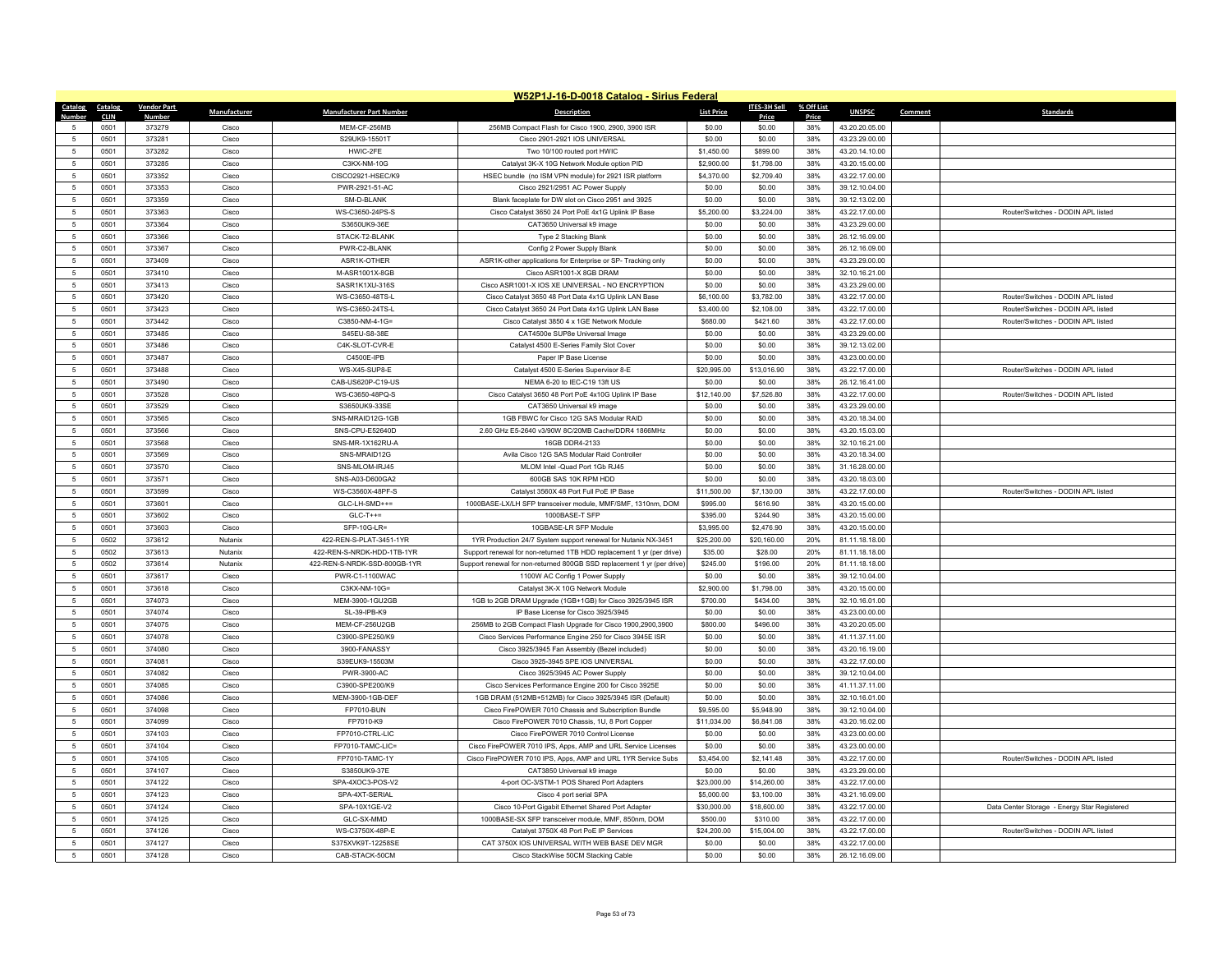|                     | W52P1J-16-D-0018 Catalog - Sirius Federal |                    |                |                                     |                                                                                                                          |                           |                           |            |                                  |                                              |
|---------------------|-------------------------------------------|--------------------|----------------|-------------------------------------|--------------------------------------------------------------------------------------------------------------------------|---------------------------|---------------------------|------------|----------------------------------|----------------------------------------------|
| Catalog             | Catalog                                   | <b>Vendor Part</b> | Manufacturer   | <b>Manufacturer Part Number</b>     | <b>Description</b>                                                                                                       | <b>List Price</b>         | <b>ITES-3H Sell</b>       | % Off List | <b>UNSPSC</b>                    | Comment<br><b>Standards</b>                  |
| Numhei              | <b>CLIN</b>                               | <b>Numbe</b>       |                |                                     |                                                                                                                          |                           | Price                     | Price      |                                  |                                              |
|                     | 0501                                      | 373279             | Cisco          | MEM-CF-256MB                        | 256MB Compact Flash for Cisco 1900, 2900, 3900 ISR                                                                       | \$0.00                    | \$0.00                    | 38%        | 43.20.20.05.00                   |                                              |
| $\overline{5}$      | 0501                                      | 373281             | Cisco          | S29UK9-15501T                       | Cisco 2901-2921 IOS UNIVERSAL                                                                                            | \$0.00                    | \$0.00                    | 38%        | 43.23.29.00.00                   |                                              |
| 5                   | 0501                                      | 373282             | Cisco          | HWIC-2FE                            | Two 10/100 routed port HWIC                                                                                              | \$1,450.00                | \$899.00                  | 38%        | 43.20.14.10.00                   |                                              |
| $\overline{5}$      | 0501                                      | 373285             | Cisco          | C3KX-NM-10G                         | Catalyst 3K-X 10G Network Module option PID                                                                              | \$2,900.00                | \$1,798.00                | 38%        | 43.20.15.00.00                   |                                              |
| $\overline{5}$      | 0501                                      | 373352             | Cisco          | CISCO2921-HSEC/K9                   | HSEC bundle (no ISM VPN module) for 2921 ISR platform                                                                    | \$4,370.00                | \$2,709.40                | 38%        | 43.22.17.00.00                   |                                              |
| 5                   | 0501                                      | 373353             | Cisco          | PWR-2921-51-AC                      | Cisco 2921/2951 AC Power Supply                                                                                          | \$0.00                    | \$0.00                    | 38%        | 39.12.10.04.00                   |                                              |
| $\overline{5}$      | 0501                                      | 373359             | Cisco          | SM-D-BLANK                          | Blank faceplate for DW slot on Cisco 2951 and 3925                                                                       | \$0.00                    | \$0.00                    | 38%        | 39.12.13.02.00                   |                                              |
| 5                   | 0501                                      | 373363             | Cisco          | WS-C3650-24PS-S                     | Cisco Catalyst 3650 24 Port PoE 4x1G Uplink IP Base                                                                      | \$5,200.00                | \$3,224.00                | 38%        | 43.22.17.00.00                   | Router/Switches - DODIN APL listed           |
| 5                   | 0501                                      | 373364             | Cisco          | S3650UK9-36E                        | CAT3650 Universal k9 image                                                                                               | \$0.00                    | \$0.00                    | 38%        | 43.23.29.00.00                   |                                              |
| $\overline{5}$      | 0501                                      | 373366             | Cisco          | STACK-T2-BLANK                      | Type 2 Stacking Blank                                                                                                    | \$0.00                    | \$0.00                    | 38%        | 26.12.16.09.00                   |                                              |
| $\overline{5}$      | 0501                                      | 373367             | Cisco          | PWR-C2-BLANK                        | Config 2 Power Supply Blank                                                                                              | \$0.00                    | \$0.00                    | 38%        | 26.12.16.09.00                   |                                              |
| 5                   | 0501                                      | 373409             | Cisco          | ASR1K-OTHER                         | ASR1K-other applications for Enterprise or SP- Tracking only                                                             | \$0.00                    | \$0.00                    | 38%        | 43.23.29.00.00                   |                                              |
| $\overline{5}$      | 0501                                      | 373410             | Cisco          | M-ASR1001X-8GB                      | Cisco ASR1001-X 8GB DRAM                                                                                                 | \$0.00                    | \$0.00                    | 38%        | 32.10.16.21.00                   |                                              |
| $\overline{5}$      | 0501                                      | 373413             | Cisco          | SASR1K1XU-316S                      | Cisco ASR1001-X IOS XE UNIVERSAL - NO ENCRYPTION                                                                         | \$0.00                    | \$0.00                    | 38%        | 43.23.29.00.00                   |                                              |
| 5                   | 0501                                      | 373420             | Cisco          | WS-C3650-48TS-L                     | Cisco Catalyst 3650 48 Port Data 4x1G Uplink LAN Base                                                                    | \$6,100.00                | \$3,782.00                | 38%        | 43.22.17.00.00                   | Router/Switches - DODIN APL listed           |
| $\overline{5}$      | 0501                                      | 373423             | Cisco          | WS-C3650-24TS-L                     | Cisco Catalyst 3650 24 Port Data 4x1G Uplink LAN Base                                                                    | \$3,400.00                | \$2,108.00                | 38%        | 43.22.17.00.00                   | Router/Switches - DODIN API listed           |
| $\overline{5}$      | 0501                                      | 373442             | Cisco          | C3850-NM-4-1G=                      | Cisco Catalyst 3850 4 x 1GE Network Module                                                                               | \$680.00                  | \$421.60                  | 38%        | 43.22.17.00.00                   | Router/Switches - DODIN APL listed           |
| 5                   | 0501                                      | 373485             | Cisco          | S45EU-S8-38E                        | CAT4500e SUP8e Universal Image                                                                                           | \$0.00                    | \$0.00                    | 38%        | 43.23.29.00.00                   |                                              |
| $\overline{5}$      | 0501                                      | 373486             | Cisco          | C4K-SLOT-CVR-E                      | Catalyst 4500 E-Series Family Slot Cover                                                                                 | \$0.00                    | \$0.00                    | 38%        | 39.12.13.02.00                   |                                              |
| -5                  | 0501                                      | 373487             | Cisco          | C4500E-IPB                          | Paper IP Base License                                                                                                    | \$0.00                    | \$0.00                    | 38%        | 43.23.00.00.00                   |                                              |
| $\overline{5}$      | 0501                                      | 373488             | Cisco          | WS-X45-SUP8-E                       | Catalyst 4500 E-Series Supervisor 8-E                                                                                    | \$20,995.00               | \$13,016.90               | 38%        | 43.22.17.00.00                   | Router/Switches - DODIN APL listed           |
| $\overline{5}$      | 0501                                      | 373490             | Cisco          | CAB-US620P-C19-US                   | NFMA 6-20 to IFC-C19 13ft US                                                                                             | \$0.00                    | \$0.00                    | 38%        | 26.12.16.41.00                   |                                              |
| -5                  | 0501                                      | 373528             | Cisco          | WS-C3650-48PQ-S                     | Cisco Catalyst 3650 48 Port PoE 4x10G Uplink IP Base                                                                     | \$12,140.00               | \$7,526.80                | 38%        | 43.22.17.00.00                   | Router/Switches - DODIN APL listed           |
| $\overline{5}$      | 0501                                      | 373529             | Cisco          | S3650UK9-33SE                       | CAT3650 Universal k9 image                                                                                               | \$0.00                    | \$0.00                    | 38%        | 43.23.29.00.00                   |                                              |
| $\,$ 5              | 0501                                      | 373565             | Cisco          | SNS-MRAID12G-1GB                    | 1GB FBWC for Cisco 12G SAS Modular RAID                                                                                  | \$0.00                    | \$0.00                    | 38%        | 43.20.18.34.00                   |                                              |
| 5                   | 0501                                      | 373566             | Cisco          | SNS-CPU-E52640D                     | 2.60 GHz E5-2640 v3/90W 8C/20MB Cache/DDR4 1866MHz                                                                       | \$0.00                    | \$0.00                    | 38%        | 43.20.15.03.00                   |                                              |
| $\overline{5}$      | 0501                                      | 373568             | Cisco          | SNS-MR-1X162RU-A                    | 16GB DDR4-2133                                                                                                           | \$0.00                    | \$0.00                    | 38%        | 32.10.16.21.00                   |                                              |
| $\overline{5}$      | 0501                                      | 373569             | Cisco          | SNS-MRAID12G                        | Avila Cisco 12G SAS Modular Raid Controller                                                                              | \$0.00                    | \$0.00                    | 38%        | 43.20.18.34.00                   |                                              |
| 5                   | 0501                                      | 373570             | Cisco          | SNS-MLOM-IRJ45                      | MLOM Intel -Quad Port 1Gb RJ45                                                                                           | \$0.00                    | \$0.00                    | 38%        | 31.16.28.00.00                   |                                              |
| $\overline{5}$      | 0501                                      | 373571             | Cisco          | SNS-A03-D600GA2                     | 600GB SAS 10K RPM HDD                                                                                                    | \$0.00                    | \$0.00                    | 38%        | 43.20.18.03.00                   |                                              |
| 5                   | 0501                                      | 373599             | Cisco          | WS-C3560X-48PF-S                    | Catalyst 3560X 48 Port Full PoE IP Base                                                                                  | \$11,500.00               | \$7,130.00                | 38%        | 43.22.17.00.00                   | Router/Switches - DODIN API listed           |
| 5                   | 0501                                      | 373601             | Cisco          | GLC-LH-SMD++=                       | 1000BASE-LX/LH SFP transceiver module, MMF/SMF, 1310nm, DOM                                                              | \$995.00                  | \$616.90                  | 38%        | 43.20.15.00.00                   |                                              |
| $\overline{5}$      | 0501                                      | 373602             | Cisco          | $GLC-T++=$                          | 1000BASE-T SFP                                                                                                           | \$395.00                  | \$244.90                  | 38%        | 43.20.15.00.00                   |                                              |
| 5                   | 0501                                      | 373603             | Cisco          | SFP-10G-LR=                         | 10GBASE-LR SFP Module                                                                                                    | \$3,995.00                | \$2,476.90                | 38%        | 43.20.15.00.00                   |                                              |
| 5                   | 0502                                      | 373612             | Nutanix        | 422-REN-S-PLAT-3451-1YR             | 1YR Production 24/7 System support renewal for Nutanix NX-3451                                                           | \$25,200.00               | \$20,160.00               | 20%        | 81.11.18.18.00                   |                                              |
| 5                   | 0502                                      | 373613             | Nutanix        | 422-REN-S-NRDK-HDD-1TB-1YR          | Support renewal for non-returned 1TB HDD replacement 1 yr (per drive)                                                    | \$35.00                   | \$28.00                   | 20%        | 81.11.18.18.00                   |                                              |
| $\overline{5}$      | 0502                                      | 373614             | Nutanix        | 422-REN-S-NRDK-SSD-800GB-1YR        | Support renewal for non-returned 800GB SSD replacement 1 yr (per drive)                                                  | \$245.00                  | \$196.00                  | 20%        | 81.11.18.18.00                   |                                              |
| 5<br>$\overline{5}$ | 0501                                      | 373617             | Cisco          | PWR-C1-1100WAC                      | 1100W AC Config 1 Power Supply                                                                                           | \$0.00                    | \$0.00                    | 38%        | 39.12.10.04.00                   |                                              |
|                     | 0501<br>0501                              | 373618<br>374073   | Cisco          | C3KX-NM-10G=<br>MEM-3900-1GU2GB     | Catalyst 3K-X 10G Network Module                                                                                         | \$2,900.00<br>\$700.00    | \$1,798.00<br>\$434.00    | 38%<br>38% | 43.20.15.00.00<br>32.10.16.01.00 |                                              |
| 5                   |                                           |                    | Cisco          |                                     | 1GB to 2GB DRAM Upgrade (1GB+1GB) for Cisco 3925/3945 ISR                                                                |                           |                           |            |                                  |                                              |
| 5<br>$\sqrt{2}$     | 0501                                      | 374074             | Cisco          | SL-39-IPB-K9                        | IP Base License for Cisco 3925/3945                                                                                      | \$0.00                    | \$0.00                    | 38%<br>38% | 43.23.00.00.00                   |                                              |
| 5                   | 0501<br>0501                              | 374075<br>374078   | Cisco<br>Cisco | MEM-CF-256U2GB<br>C3900-SPE250/K9   | 256MB to 2GB Compact Flash Upgrade for Cisco 1900,2900,3900<br>Cisco Services Performance Engine 250 for Cisco 3945E ISR | \$800.00<br>\$0.00        | \$496.00<br>\$0.00        | 38%        | 43.20.20.05.00<br>41.11.37.11.00 |                                              |
|                     | 0501                                      |                    |                | 3900-FANASSY                        |                                                                                                                          | \$0.00                    |                           |            | 43.20.16.19.00                   |                                              |
| 5                   |                                           | 374080             | Cisco          |                                     | Cisco 3925/3945 Fan Assembly (Bezel included)                                                                            |                           | \$0.00                    | 38%        |                                  |                                              |
| 5                   | 0501                                      | 374081             | Cisco          | S39EUK9-15503M                      | Cisco 3925-3945 SPE IOS UNIVERSAL                                                                                        | \$0.00                    | \$0.00                    | 38%        | 43.22.17.00.00                   |                                              |
| 5<br>$\overline{5}$ | 0501                                      | 374082             | Cisco<br>Cisco | PWR-3900-AC                         | Cisco 3925/3945 AC Power Supply                                                                                          | \$0.00                    | \$0.00                    | 38%<br>38% | 39.12.10.04.00                   |                                              |
|                     | 0501                                      | 374085             |                | C3900-SPE200/K9                     | Cisco Services Performance Engine 200 for Cisco 3925E                                                                    | \$0.00                    | \$0.00                    |            | 41.11.37.11.00                   |                                              |
| 5                   | 0501<br>0501                              | 374086<br>374098   | Cisco          | MEM-3900-1GB-DEF<br>FP7010-BUN      | 1GB DRAM (512MB+512MB) for Cisco 3925/3945 ISR (Default)<br>Cisco FirePOWER 7010 Chassis and Subscription Bundle         | \$0.00<br>\$9,595.00      | \$0.00<br>\$5,948.90      | 38%<br>38% | 32.10.16.01.00<br>39.12.10.04.00 |                                              |
| 5<br>5              |                                           |                    | Cisco          |                                     |                                                                                                                          |                           |                           |            |                                  |                                              |
|                     | 0501                                      | 374099             | Cisco          | FP7010-K9                           | Cisco FirePOWER 7010 Chassis, 1U, 8 Port Copper                                                                          | \$11,034.00               | \$6,841.08                | 38%        | 43.20.16.02.00                   |                                              |
| 5                   | 0501<br>0501                              | 374103<br>374104   | Cisco<br>Cisco | FP7010-CTRL-LIC<br>FP7010-TAMC-LIC= | Cisco FirePOWER 7010 Control License<br>Cisco FirePOWER 7010 IPS, Apps, AMP and URL Service Licenses                     | \$0.00<br>\$0.00          | \$0.00                    | 38%<br>38% | 43.23.00.00.00<br>43.23.00.00.00 |                                              |
| 5<br>5              | 0501                                      | 374105             | Cisco          | FP7010-TAMC-1Y                      | Cisco FirePOWER 7010 IPS, Apps, AMP and URL 1YR Service Subs                                                             | \$3,454.00                | \$0.00<br>\$2,141.48      | 38%        | 43.22.17.00.00                   | Router/Switches - DODIN APL listed           |
| 5                   |                                           | 374107             | Cisco          |                                     |                                                                                                                          | \$0.00                    | \$0.00                    | 38%        | 43.23.29.00.00                   |                                              |
|                     | 0501                                      |                    |                | S3850UK9-37E<br>SPA-4XOC3-POS-V2    | CAT3850 Universal k9 image                                                                                               |                           |                           |            |                                  |                                              |
| 5<br>$\overline{5}$ | 0501                                      | 374122             | Cisco<br>Cisco |                                     | 4-port OC-3/STM-1 POS Shared Port Adapters                                                                               | \$23,000.00               | \$14,260.00               | 38%<br>38% | 43.22.17.00.00                   |                                              |
| 5                   | 0501<br>0501                              | 374123<br>374124   | Cisco          | SPA-4XT-SERIAL<br>SPA-10X1GE-V2     | Cisco 4 port serial SPA<br>Cisco 10-Port Gigabit Ethernet Shared Port Adapter                                            | \$5,000.00<br>\$30,000.00 | \$3,100.00<br>\$18,600.00 | 38%        | 43.21.16.09.00<br>43.22.17.00.00 | Data Center Storage - Energy Star Registered |
| 5                   | 0501                                      | 374125             | Cisco          | GLC-SX-MMD                          | 1000BASE-SX SFP transceiver module, MMF, 850nm, DOM                                                                      | \$500.00                  | \$310.00                  | 38%        | 43.22.17.00.00                   |                                              |
| $\overline{5}$      | 0501                                      | 374126             | Cisco          | WS-C3750X-48P-E                     | Catalyst 3750X 48 Port PoE IP Services                                                                                   | \$24,200.00               | \$15,004.00               | 38%        | 43.22.17.00.00                   | Router/Switches - DODIN API listed           |
| 5                   | 0501                                      | 374127             | Cisco          | S375XVK9T-12258SE                   | CAT 3750X IOS UNIVERSAL WITH WEB BASE DEV MGR                                                                            | \$0.00                    | \$0.00                    | 38%        | 43.22.17.00.00                   |                                              |
| 5                   | 0501                                      | 374128             | Cisco          | CAB-STACK-50CM                      | Cisco StackWise 50CM Stacking Cable                                                                                      | \$0.00                    | \$0.00                    | 38%        | 26.12.16.09.00                   |                                              |
|                     |                                           |                    |                |                                     |                                                                                                                          |                           |                           |            |                                  |                                              |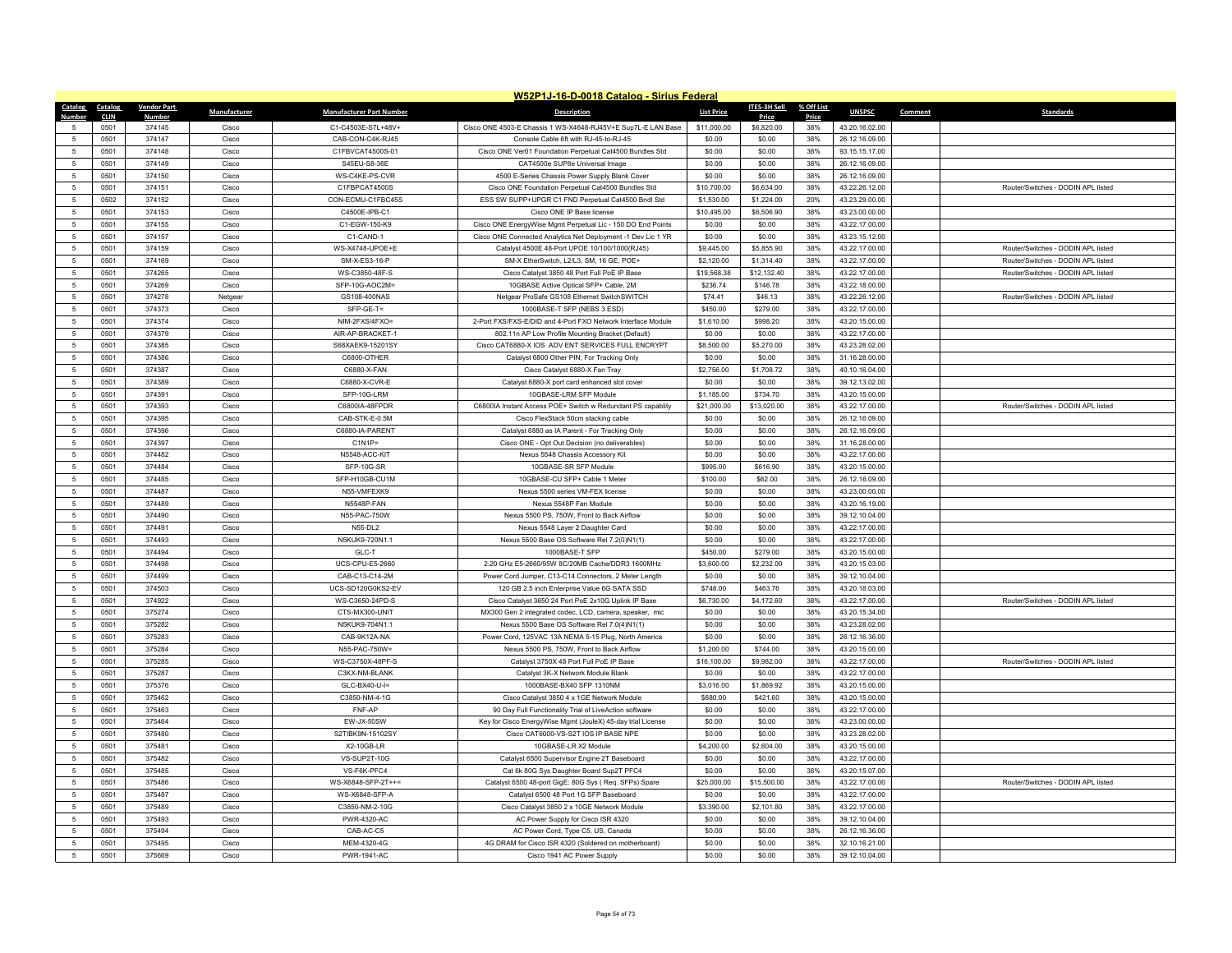|                |              |                        |                |                                  | W52P1J-16-D-0018 Catalog - Sirius Federal                                                                |                       |                          |            |                                  |         |                                                                          |
|----------------|--------------|------------------------|----------------|----------------------------------|----------------------------------------------------------------------------------------------------------|-----------------------|--------------------------|------------|----------------------------------|---------|--------------------------------------------------------------------------|
| Catalog        | Catalog      | <b>Vendor Part</b>     | Manufacturer   | <b>Manufacturer Part Number</b>  | <b>Description</b>                                                                                       | <b>List Price</b>     | ITES-3H Sell             | % Off List | <b>UNSPSC</b>                    | Comment | <b>Standards</b>                                                         |
| Numhei         | <b>CLIN</b>  | <b>Numbe</b><br>374145 |                | C1-C4503E-S7L+48V+               | Cisco ONE 4503-E Chassis 1 WS-X4648-RJ45V+E Sup7L-E LAN Base                                             |                       | Price<br>\$6,820.00      | Price      | 43.20.16.02.00                   |         |                                                                          |
| $\overline{5}$ | 0501<br>0501 | 374147                 | Cisco<br>Cisco | CAB-CON-C4K-RJ45                 | Console Cable 6ft with RJ-45-to-RJ-45                                                                    | \$11,000.00<br>\$0.00 | \$0.00                   | 38%<br>38% | 26.12.16.09.00                   |         |                                                                          |
| -5             | 0501         | 374148                 | Cisco          | C1FBVCAT4500S-01                 | Cisco ONE Ver01 Foundation Perpetual Cat4500 Bundles Std                                                 | \$0.00                | \$0.00                   | 38%        | 93.15.15.17.00                   |         |                                                                          |
| 5              | 0501         | 374149                 | Cisco          | S45EU-S8-36E                     | CAT4500e SUP8e Universal Image                                                                           | \$0.00                | \$0.00                   | 38%        | 26.12.16.09.00                   |         |                                                                          |
| 5              |              |                        |                | WS-C4KE-PS-CVR                   |                                                                                                          |                       |                          |            |                                  |         |                                                                          |
|                | 0501         | 374150                 | Cisco          | C1FBPCAT4500S                    | 4500 E-Series Chassis Power Supply Blank Cover                                                           | \$0.00                | \$0.00                   | 38%        | 26.12.16.09.00                   |         |                                                                          |
| 5<br>5         | 0501         | 374151<br>374152       | Cisco<br>Cisco | CON-ECMU-C1FBC45S                | Cisco ONE Foundation Perpetual Cat4500 Bundles Std<br>ESS SW SUPP+UPGR C1 FND Perpetual Cat4500 Bndl Std | \$10,700.00           | \$6,634.00<br>\$1,224.00 | 38%<br>20% | 43.22.26.12.00<br>43.23.29.00.00 |         | Router/Switches - DODIN APL listed                                       |
| 5              | 0502         |                        |                |                                  |                                                                                                          | \$1,530.00            |                          |            |                                  |         |                                                                          |
|                | 0501<br>0501 | 374153<br>374155       | Cisco<br>Cisco | C4500E-IPB-C1<br>C1-EGW-150-K9   | Cisco ONE IP Base license                                                                                | \$10,495.00<br>\$0.00 | \$6,506.90<br>\$0.00     | 38%<br>38% | 43.23.00.00.00<br>43.22.17.00.00 |         |                                                                          |
| 5<br>5         |              |                        |                |                                  | Cisco ONE EnergyWise Mgmt Perpetual Lic - 150 DO End Points                                              |                       |                          |            |                                  |         |                                                                          |
|                | 0501         | 374157                 | Cisco          | C1-CAND-1                        | Cisco ONE Connected Analytics Net Deployment -1 Dev Lic 1 YR                                             | \$0.00                | \$0.00                   | 38%        | 43.23.15.12.00                   |         |                                                                          |
| 5              | 0501         | 374159<br>374169       | Cisco          | WS-X4748-UPOE+E<br>SM-X-ES3-16-P | Catalyst 4500E 48-Port UPOE 10/100/1000(RJ45)                                                            | \$9,445.00            | \$5,855.90               | 38%<br>38% | 43.22.17.00.00                   |         | Router/Switches - DODIN APL listed<br>Router/Switches - DODIN API listed |
| 5              | 0501         |                        | Cisco          |                                  | SM-X EtherSwitch, L2/L3, SM, 16 GE, POE+                                                                 | \$2,120.00            | \$1,314.40               |            | 43.22.17.00.00                   |         |                                                                          |
| $\overline{5}$ | 0501         | 374265                 | Cisco          | WS-C3850-48F-S                   | Cisco Catalyst 3850 48 Port Full PoE IP Base                                                             | \$19,568.38           | \$12,132.40              | 38%        | 43.22.17.00.00                   |         | Router/Switches - DODIN APL listed                                       |
| 5              | 0501         | 374269                 | Cisco          | SFP-10G-AOC2M=                   | 10GBASE Active Optical SFP+ Cable, 2M                                                                    | \$236.74              | \$146.78                 | 38%        | 43.22.18.00.00                   |         |                                                                          |
| 5              | 0501         | 374278                 | Netgear        | GS108-400NAS                     | Netgear ProSafe GS108 Ethernet SwitchSWITCH                                                              | \$74.41               | \$46.13                  | 38%        | 43.22.26.12.00                   |         | Router/Switches - DODIN APL listed                                       |
| $\overline{5}$ | 0501         | 374373                 | Cisco          | SFP-GE-T=                        | 1000BASE-T SFP (NEBS 3 ESD)                                                                              | \$450.00              | \$279.00                 | 38%        | 43.22.17.00.00                   |         |                                                                          |
| 5              | 0501         | 374374                 | Cisco          | NIM-2FXS/4FXO=                   | 2-Port FXS/FXS-E/DID and 4-Port FXO Network Interface Module                                             | \$1,610.00            | \$998.20                 | 38%        | 43.20.15.00.00                   |         |                                                                          |
| 5              | 0501         | 374379                 | Cisco          | AIR-AP-BRACKET-1                 | 802.11n AP Low Profile Mounting Bracket (Default)                                                        | \$0.00                | \$0.00                   | 38%        | 43.22.17.00.00                   |         |                                                                          |
| $\overline{5}$ | 0501         | 374385                 | Cisco          | S68XAEK9-15201SY                 | Cisco CAT6880-X IOS ADV ENT SERVICES FULL ENCRYPT                                                        | \$8,500.00            | \$5,270.00               | 38%        | 43.23.28.02.00                   |         |                                                                          |
| $\overline{5}$ | 0501         | 374386                 | Cisco          | C6800-OTHER                      | Catalyst 6800 Other PIN; For Tracking Only                                                               | \$0.00                | \$0.00                   | 38%        | 31.16.28.00.00                   |         |                                                                          |
| 5              | 0501         | 374387                 | Cisco          | C6880-X-FAN                      | Cisco Catalyst 6880-X Fan Tray                                                                           | \$2,756.00            | \$1,708.72               | 38%        | 40.10.16.04.00                   |         |                                                                          |
| $\overline{5}$ | 0501         | 374389                 | Cisco          | C6880-X-CVR-E                    | Catalyst 6880-X port card enhanced slot cover                                                            | \$0.00                | \$0.00                   | 38%        | 39.12.13.02.00                   |         |                                                                          |
| $\overline{5}$ | 0501         | 374391                 | Cisco          | SFP-10G-LRM                      | 10GBASE-I RM SEP Module                                                                                  | \$1,185.00            | \$734.70                 | 38%        | 43.20.15.00.00                   |         |                                                                          |
| 5              | 0501         | 374393                 | Cisco          | C6800IA-48FPDR                   | C6800IA Instant Access POE+ Switch w Redundant PS capablity                                              | \$21,000.00           | \$13,020.00              | 38%        | 43.22.17.00.00                   |         | Router/Switches - DODIN APL listed                                       |
| $\overline{5}$ | 0501         | 374395                 | Cisco          | CAB-STK-E-0.5M                   | Cisco FlexStack 50cm stacking cable                                                                      | \$0.00                | \$0.00                   | 38%        | 26.12.16.09.00                   |         |                                                                          |
| $\overline{5}$ | 0501         | 374396                 | Cisco          | C6880-IA-PARENT                  | Catalyst 6880 as IA Parent - For Tracking Only                                                           | \$0.00                | \$0.00                   | 38%        | 26.12.16.09.00                   |         |                                                                          |
| 5              | 0501         | 374397                 | Cisco          | $C1N1P =$                        | Cisco ONE - Opt Out Decision (no deliverables)                                                           | \$0.00                | \$0.00                   | 38%        | 31.16.28.00.00                   |         |                                                                          |
| $\overline{5}$ | 0501         | 374482                 | Cisco          | N5548-ACC-KIT                    | Nexus 5548 Chassis Accessory Kit                                                                         | \$0.00                | \$0.00                   | 38%        | 43.22.17.00.00                   |         |                                                                          |
| $\overline{5}$ | 0501         | 374484                 | Cisco          | SFP-10G-SR                       | 10GBASE-SR SFP Module                                                                                    | \$995.00              | \$616.90                 | 38%        | 43.20.15.00.00                   |         |                                                                          |
| $\overline{5}$ | 0501         | 374485                 | Cisco          | SFP-H10GB-CU1M                   | 10GBASE-CU SFP+ Cable 1 Meter                                                                            | \$100.00              | \$62.00                  | 38%        | 26.12.16.09.00                   |         |                                                                          |
| $\,$ 5         | 0501         | 374487                 | Cisco          | N55-VMFEXK9                      | Nexus 5500 series VM-FEX license                                                                         | \$0.00                | \$0.00                   | 38%        | 43.23.00.00.00                   |         |                                                                          |
| -5             | 0501         | 374489                 | Cisco          | N5548P-FAN                       | Nexus 5548P Fan Module                                                                                   | \$0.00                | \$0.00                   | 38%        | 43.20.16.19.00                   |         |                                                                          |
| $\overline{5}$ | 0501         | 374490                 | Cisco          | N55-PAC-750W                     | Nexus 5500 PS, 750W, Front to Back Airflow                                                               | \$0.00                | \$0.00                   | 38%        | 39.12.10.04.00                   |         |                                                                          |
| 5              | 0501         | 374491                 | Cisco          | N55-DL2                          | Nexus 5548 Layer 2 Daughter Card                                                                         | \$0.00                | \$0.00                   | 38%        | 43.22.17.00.00                   |         |                                                                          |
| 5              | 0501         | 374493                 | Cisco          | N5KUK9-720N1.1                   | Nexus 5500 Base OS Software Rel 7.2(0)N1(1)                                                              | \$0.00                | \$0.00                   | 38%        | 43.22.17.00.00                   |         |                                                                          |
| 5              | 0501         | 374494                 | Cisco          | GLC-T                            | 1000BASE-T SFP                                                                                           | \$450.00              | \$279.00                 | 38%        | 43.20.15.00.00                   |         |                                                                          |
| 5              | 0501         | 374498                 | Cisco          | <b>UCS-CPU-E5-2660</b>           | 2.20 GHz E5-2660/95W 8C/20MB Cache/DDR3 1600MHz                                                          | \$3,600.00            | \$2,232.00               | 38%        | 43.20.15.03.00                   |         |                                                                          |
| 5              | 0501         | 374499                 | Cisco          | CAB-C13-C14-2M                   | Power Cord Jumper, C13-C14 Connectors, 2 Meter Length                                                    | \$0.00                | \$0.00                   | 38%        | 39.12.10.04.00                   |         |                                                                          |
| 5              | 0501         | 374503                 | Cisco          | UCS-SD120G0KS2-EV                | 120 GB 2.5 inch Enterprise Value 6G SATA SSD                                                             | \$748.00              | \$463.76                 | 38%        | 43.20.18.03.00                   |         |                                                                          |
| 5              | 0501         | 374922                 | Cisco          | WS-C3650-24PD-S                  | Cisco Catalyst 3650 24 Port PoE 2x10G Uplink IP Base                                                     | \$6,730.00            | \$4,172.60               | 38%        | 43.22.17.00.00                   |         | Router/Switches - DODIN APL listed                                       |
| 5              | 0501         | 375274                 | Cisco          | CTS-MX300-UNIT                   | MX300 Gen 2 integrated codec, LCD, camera, speaker, mic                                                  | \$0.00                | \$0.00                   | 38%        | 43.20.15.34.00                   |         |                                                                          |
| $\overline{5}$ | 0501         | 375282                 | Cisco          | N5KUK9-704N1.1                   | Nexus 5500 Base OS Software Rel 7.0(4)N1(1)                                                              | \$0.00                | \$0.00                   | 38%        | 43.23.28.02.00                   |         |                                                                          |
| 5              | 0501         | 375283                 | Cisco          | CAB-9K12A-NA                     | Power Cord, 125VAC 13A NEMA 5-15 Plug, North America                                                     | \$0.00                | \$0.00                   | 38%        | 26.12.16.36.00                   |         |                                                                          |
| 5              | 0501         | 375284                 | Cisco          | N55-PAC-750W=                    | Nexus 5500 PS, 750W, Front to Back Airflow                                                               | \$1,200.00            | \$744.00                 | 38%        | 43.20.15.00.00                   |         |                                                                          |
| 5              | 0501         | 375285                 | Cisco          | WS-C3750X-48PF-S                 | Catalyst 3750X 48 Port Full PoE IP Base                                                                  | \$16,100.00           | \$9,982.00               | 38%        | 43.22.17.00.00                   |         | Router/Switches - DODIN API listed                                       |
| $\overline{5}$ | 0501         | 375287                 | Cisco          | C3KX-NM-BLANK                    | Catalyst 3K-X Network Module Blank                                                                       | \$0.00                | \$0.00                   | 38%        | 43.22.17.00.00                   |         |                                                                          |
| 5              | 0501         | 375376                 | Cisco          | GLC-BX40-U-I=                    | 1000BASE-BX40 SFP 1310NM                                                                                 | \$3,016.00            | \$1,869.92               | 38%        | 43.20.15.00.00                   |         |                                                                          |
| $\overline{5}$ | 0501         | 375462                 | Cisco          | C3850-NM-4-1G                    | Cisco Catalyst 3850 4 x 1GE Network Module                                                               | \$680.00              | \$421.60                 | 38%        | 43.20.15.00.00                   |         |                                                                          |
| 5              | 0501         | 375463                 | Cisco          | FNF-AP                           | 90 Day Full Functionality Trial of LiveAction software                                                   | \$0.00                | \$0.00                   | 38%        | 43.22.17.00.00                   |         |                                                                          |
| 5              | 0501         | 375464                 | Cisco          | EW-JX-50SW                       | Key for Cisco EnergyWise Mgmt (JouleX) 45-day trial License                                              | \$0.00                | \$0.00                   | 38%        | 43.23.00.00.00                   |         |                                                                          |
| 5              | 0501         | 375480                 | Cisco          | S2TIBK9N-15102SY                 | Cisco CAT6000-VS-S2T IOS IP BASE NPE                                                                     | \$0.00                | \$0.00                   | 38%        | 43.23.28.02.00                   |         |                                                                          |
| 5              | 0501         | 375481                 | Cisco          | X2-10GB-LR                       | 10GBASE-LR X2 Module                                                                                     | \$4,200.00            | \$2,604.00               | 38%        | 43.20.15.00.00                   |         |                                                                          |
| 5              | 0501         | 375482                 | Cisco          | VS-SUP2T-10G                     | Catalyst 6500 Supervisor Engine 2T Baseboard                                                             | \$0.00                | \$0.00                   | 38%        | 43.22.17.00.00                   |         |                                                                          |
| $\overline{5}$ | 0501         | 375485                 | Cisco          | VS-F6K-PFC4                      | Cat 6k 80G Sys Daughter Board Sup2T PFC4                                                                 | \$0.00                | \$0.00                   | 38%        | 43.20.15.07.00                   |         |                                                                          |
| 5              | 0501         | 375486                 | Cisco          | WS-X6848-SFP-2T++=               | Catalyst 6500 48-port GigE: 80G Sys (Req. SFPs) Spare                                                    | \$25,000.00           | \$15,500.00              | 38%        | 43.22.17.00.00                   |         | Router/Switches - DODIN APL listed                                       |
| $\overline{5}$ | 0501         | 375487                 | Cisco          | WS-X6848-SFP-A                   | Catalyst 6500 48 Port 1G SFP Baseboard                                                                   | \$0.00                | \$0.00                   | 38%        | 43.22.17.00.00                   |         |                                                                          |
| $\overline{5}$ | 0501         | 375489                 | Cisco          | C3850-NM-2-10G                   | Cisco Catalyst 3850 2 x 10GE Network Module                                                              | \$3,390.00            | \$2,101.80               | 38%        | 43.22.17.00.00                   |         |                                                                          |
| -5             | 0501         | 375493                 | Cisco          | <b>PWR-4320-AC</b>               | AC Power Supply for Cisco ISR 4320                                                                       | \$0.00                | \$0.00                   | 38%        | 39.12.10.04.00                   |         |                                                                          |
| $\overline{5}$ | 0501         | 375494                 | Cisco          | CAB-AC-C5                        | AC Power Cord, Type C5, US, Canada                                                                       | \$0.00                | \$0.00                   | 38%        | 26.12.16.36.00                   |         |                                                                          |
| $\overline{5}$ | 0501         | 375495                 | Cisco          | MEM-4320-4G                      | 4G DRAM for Cisco ISR 4320 (Soldered on motherboard)                                                     | \$0.00                | \$0.00                   | 38%        | 32.10.16.21.00                   |         |                                                                          |
| 5              | 0501         | 375669                 | Cisco          | PWR-1941-AC                      | Cisco 1941 AC Power Supply                                                                               | \$0.00                | \$0.00                   | 38%        | 39.12.10.04.00                   |         |                                                                          |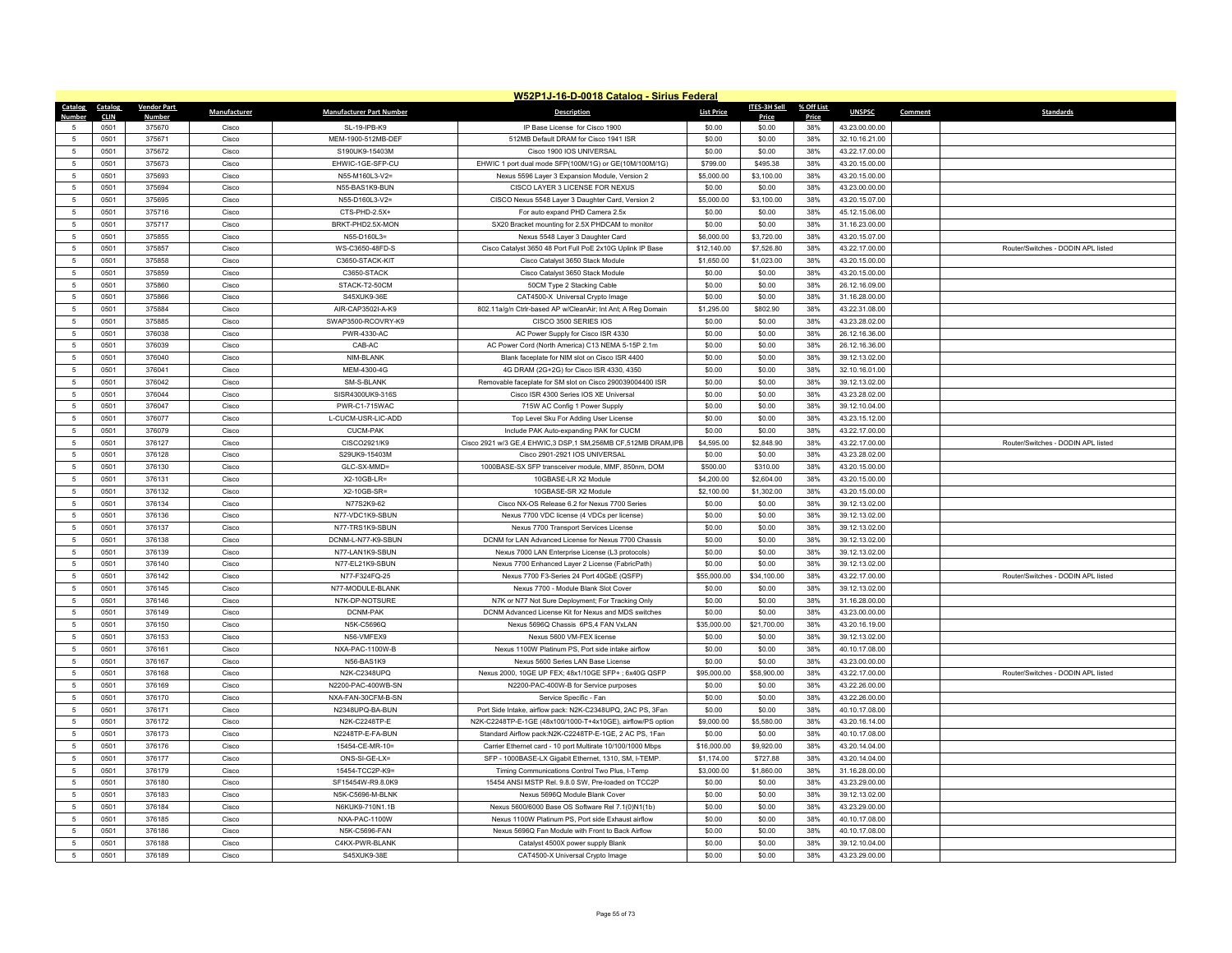|                     |                     |                    |                |                                 | W52P1J-16-D-0018 Catalog - Sirius Federal                                                  |                       |                       |              |                                  |         |                                    |
|---------------------|---------------------|--------------------|----------------|---------------------------------|--------------------------------------------------------------------------------------------|-----------------------|-----------------------|--------------|----------------------------------|---------|------------------------------------|
| <b>Catalog</b>      | <b>Catalog</b>      | <b>Vendor Part</b> | Manufacturer   | <b>Manufacturer Part Number</b> | <b>Description</b>                                                                         | <b>List Price</b>     | ITES-3H Sell          | % Off List   | <b>UNSPSC</b>                    | Comment | <b>Standards</b>                   |
| $\sqrt{2}$          | <b>CLIN</b><br>0501 | Number<br>375670   | Cisco          | SL-19-IPB-K9                    | IP Base License for Cisco 1900                                                             | \$0.00                | Price<br>\$0.00       | Price<br>38% | 43.23.00.00.00                   |         |                                    |
| 5                   | 0501                | 375671             | Cisco          | MEM-1900-512MB-DEF              | 512MB Default DRAM for Cisco 1941 ISR                                                      | \$0.00                | \$0.00                | 38%          | 32.10.16.21.00                   |         |                                    |
| 5                   | 0501                | 375672             | Cisco          | S190UK9-15403M                  | Cisco 1900 IOS UNIVERSAL                                                                   | \$0.00                | \$0.00                | 38%          | 43.22.17.00.00                   |         |                                    |
| 5                   | 0501                | 375673             | Cisco          | EHWIC-1GE-SFP-CU                | EHWIC 1 port dual mode SFP(100M/1G) or GE(10M/100M/1G)                                     | \$799.00              | \$495.38              | 38%          | 43.20.15.00.00                   |         |                                    |
| 5                   | 0501                | 375693             | Cisco          | N55-M160L3-V2=                  | Nexus 5596 Layer 3 Expansion Module, Version 2                                             | \$5,000.00            | \$3,100.00            | 38%          | 43.20.15.00.00                   |         |                                    |
| 5                   | 0501                | 375694             | Cisco          | N55-BAS1K9-BUN                  | CISCO LAYER 3 LICENSE FOR NEXUS                                                            | \$0.00                | \$0.00                | 38%          | 43.23.00.00.00                   |         |                                    |
| $\overline{5}$      | 0501                | 375695             | Cisco          | N55-D160L3-V2=                  | CISCO Nexus 5548 Layer 3 Daughter Card, Version 2                                          | \$5,000.00            | \$3,100.00            | 38%          | 43.20.15.07.00                   |         |                                    |
| 5                   | 0501                | 375716             | Cisco          | CTS-PHD-2.5X+                   | For auto expand PHD Camera 2.5x                                                            | \$0.00                | \$0.00                | 38%          | 45.12.15.06.00                   |         |                                    |
| 5                   | 0501                | 375717             | Cisco          | BRKT-PHD2.5X-MON                | SX20 Bracket mounting for 2.5X PHDCAM to monitor                                           | \$0.00                | \$0.00                | 38%          | 31.16.23.00.00                   |         |                                    |
| $\overline{5}$      | 0501                | 375855             | Cisco          | N55-D160L3=                     | Nexus 5548 Layer 3 Daughter Card                                                           | \$6,000.00            | \$3,720.00            | 38%          | 43.20.15.07.00                   |         |                                    |
| $\overline{5}$      | 0501                | 375857             | Cisco          | WS-C3650-48FD-S                 | Cisco Catalyst 3650 48 Port Full PoE 2x10G Uplink IP Base                                  | \$12,140.00           | \$7,526.80            | 38%          | 43.22.17.00.00                   |         | Router/Switches - DODIN APL listed |
| 5                   | 0501                | 375858             | Cisco          | C3650-STACK-KIT                 | Cisco Catalyst 3650 Stack Module                                                           | \$1,650.00            | \$1,023.00            | 38%          | 43.20.15.00.00                   |         |                                    |
| $\overline{5}$      | 0501                | 375859             | Cisco          | C3650-STACK                     | Cisco Catalyst 3650 Stack Module                                                           | \$0.00                | \$0.00                | 38%          | 43.20.15.00.00                   |         |                                    |
| $\overline{5}$      | 0501                | 375860             | Cisco          | STACK-T2-50CM                   | 50CM Type 2 Stacking Cable                                                                 | \$0.00                | \$0.00                | 38%          | 26.12.16.09.00                   |         |                                    |
| 5                   | 0501                | 375866             | Cisco          | S45XUK9-36E                     | CAT4500-X Universal Crypto Image                                                           | \$0.00                | \$0.00                | 38%          | 31.16.28.00.00                   |         |                                    |
| $\overline{5}$      | 0501                | 375884             | Cisco          | AIR-CAP3502I-A-K9               | 802.11a/g/n Ctrlr-based AP w/CleanAir; Int Ant; A Reg Domain                               | \$1,295.00            | \$802.90              | 38%          | 43.22.31.08.00                   |         |                                    |
| $\overline{5}$      | 0501                | 375885             | Cisco          | SWAP3500-RCOVRY-K9              | CISCO 3500 SERIES IOS                                                                      | \$0.00                | \$0.00                | 38%          | 43.23.28.02.00                   |         |                                    |
| 5                   | 0501                | 376038             | Cisco          | PWR-4330-AC                     | AC Power Supply for Cisco ISR 4330                                                         | \$0.00                | \$0.00                | 38%          | 26.12.16.36.00                   |         |                                    |
| $\overline{5}$      | 0501                | 376039             | Cisco          | CAB-AC                          | AC Power Cord (North America) C13 NEMA 5-15P 2.1m                                          | \$0.00                | \$0.00                | 38%          | 26.12.16.36.00                   |         |                                    |
| -5                  | 0501                | 376040             | Cisco          | NIM-BLANK                       | Blank faceplate for NIM slot on Cisco ISR 4400                                             | \$0.00                | \$0.00                | 38%          | 39.12.13.02.00                   |         |                                    |
| 5                   | 0501                | 376041             | Cisco          | MEM-4300-4G                     | 4G DRAM (2G+2G) for Cisco ISR 4330, 4350                                                   | \$0.00                | \$0.00                | 38%          | 32.10.16.01.00                   |         |                                    |
| $\overline{5}$      | 0501                | 376042             | Cisco          | SM-S-BLANK                      | Removable faceplate for SM slot on Cisco 290039004400 ISR                                  | \$0.00                | \$0.00                | 38%          | 39.12.13.02.00                   |         |                                    |
| 5                   | 0501                | 376044             | Cisco          | SISR4300UK9-316S                | Cisco ISR 4300 Series IOS XE Universal                                                     | \$0.00                | \$0.00                | 38%          | 43.23.28.02.00                   |         |                                    |
| 5                   | 0501                | 376047             | Cisco          | PWR-C1-715WAC                   | 715W AC Config 1 Power Supply                                                              | \$0.00                | \$0.00                | 38%          | 39.12.10.04.00                   |         |                                    |
| 5                   | 0501                | 376077             | Cisco          | L-CUCM-USR-LIC-ADD              | Top Level Sku For Adding User License                                                      | \$0.00                | \$0.00                | 38%          | 43.23.15.12.00                   |         |                                    |
| 5                   | 0501                | 376079             | Cisco          | <b>CUCM-PAK</b>                 | Include PAK Auto-expanding PAK for CUCM                                                    | \$0.00                | \$0.00                | 38%          | 43.22.17.00.00                   |         |                                    |
| 5                   | 0501                | 376127             | Cisco          | CISCO2921/K9                    | Cisco 2921 w/3 GE,4 EHWIC,3 DSP,1 SM,256MB CF,512MB DRAM,IPB                               | \$4,595.00            | \$2,848.90            | 38%          | 43.22.17.00.00                   |         | Router/Switches - DODIN APL listed |
| 5                   | 0501                | 376128             | Cisco          | S29UK9-15403M                   | Cisco 2901-2921 IOS UNIVERSAL                                                              | \$0.00                | \$0.00                | 38%          | 43.23.28.02.00                   |         |                                    |
| 5                   | 0501                | 376130             | Cisco          | GLC-SX-MMD=                     | 1000BASE-SX SFP transceiver module, MMF, 850nm, DOM                                        | \$500.00              | \$310.00              | 38%          | 43.20.15.00.00                   |         |                                    |
| 5                   | 0501                | 376131             | Cisco          | X2-10GB-LR=                     | 10GBASE-LR X2 Module                                                                       | \$4,200.00            | \$2,604.00            | 38%          | 43.20.15.00.00                   |         |                                    |
| 5                   | 0501                | 376132             | Cisco          | X2-10GB-SR=                     | 10GBASE-SR X2 Module                                                                       | \$2,100.00            | \$1,302.00            | 38%          | 43.20.15.00.00                   |         |                                    |
| 5                   | 0501                | 376134             | Cisco          | N77S2K9-62                      | Cisco NX-OS Release 6.2 for Nexus 7700 Series                                              | \$0.00                | \$0.00                | 38%          | 39.12.13.02.00                   |         |                                    |
| $\overline{5}$      | 0501                | 376136             | Cisco          | N77-VDC1K9-SBUN                 | Nexus 7700 VDC license (4 VDCs per license)                                                | \$0.00                | \$0.00                | 38%          | 39.12.13.02.00                   |         |                                    |
| 5                   | 0501                | 376137             | Cisco          | N77-TRS1K9-SBUN                 | Nexus 7700 Transport Services License                                                      | \$0.00                | \$0.00                | 38%          | 39.12.13.02.00                   |         |                                    |
| 5                   | 0501                | 376138             | Cisco          | DCNM-L-N77-K9-SBUN              | DCNM for LAN Advanced License for Nexus 7700 Chassis                                       | \$0.00                | \$0.00                | 38%          | 39.12.13.02.00                   |         |                                    |
| $\overline{5}$      | 0501                | 376139             | Cisco          | N77-LAN1K9-SBUN                 | Nexus 7000 LAN Enterprise License (L3 protocols)                                           | \$0.00                | \$0.00                | 38%          | 39.12.13.02.00                   |         |                                    |
| 5                   | 0501                | 376140             | Cisco          | N77-EL21K9-SBUN                 | Nexus 7700 Enhanced Layer 2 License (FabricPath)                                           | \$0.00                | \$0.00                | 38%          | 39.12.13.02.00                   |         |                                    |
| 5                   | 0501                | 376142             | Cisco          | N77-F324FQ-25                   | Nexus 7700 F3-Series 24 Port 40GbF (OSFP)                                                  | \$55,000.00           | \$34,100.00           | 38%          | 43.22.17.00.00                   |         | Router/Switches - DODIN API listed |
| $\overline{5}$      | 0501                | 376145             | Cisco          | N77-MODULE-BLANK                | Nexus 7700 - Module Blank Slot Cover                                                       | \$0.00                | \$0.00                | 38%          | 39.12.13.02.00                   |         |                                    |
| $\overline{5}$      | 0501                | 376146             | Cisco          | N7K-DP-NOTSURE                  | N7K or N77 Not Sure Deployment; For Tracking Only                                          | \$0.00                | \$0.00                | 38%          | 31.16.28.00.00                   |         |                                    |
| 5<br>$\overline{5}$ | 0501                | 376149             | Cisco          | DCNM-PAK                        | DCNM Advanced License Kit for Nexus and MDS switches                                       | \$0.00                | \$0.00                | 38%          | 43.23.00.00.00                   |         |                                    |
|                     | 0501                | 376150             | Cisco          | N5K-C5696Q<br>N56-VMFEX9        | Nexus 5696Q Chassis 6PS,4 FAN VxLAN<br>Nexus 5600 VM-FEX license                           | \$35,000.00           | \$21,700.00           | 38%          | 43.20.16.19.00                   |         |                                    |
| 5                   | 0501                | 376153             | Cisco          | NXA-PAC-1100W-B                 |                                                                                            | \$0.00                | \$0.00                | 38%          | 39.12.13.02.00                   |         |                                    |
| 5<br>$\overline{5}$ | 0501<br>0501        | 376161<br>376167   | Cisco<br>Cisco | N56-BAS1K9                      | Nexus 1100W Platinum PS, Port side intake airflow                                          | \$0.00                | \$0.00                | 38%<br>38%   | 40.10.17.08.00<br>43.23.00.00.00 |         |                                    |
| 5                   | 0501                | 376168             | Cisco          | N2K-C2348UPQ                    | Nexus 5600 Series LAN Base License<br>Nexus 2000, 10GE UP FEX; 48x1/10GE SFP+ ; 6x40G QSFP | \$0.00<br>\$95,000.00 | \$0.00<br>\$58,900.00 | 38%          | 43.22.17.00.00                   |         | Router/Switches - DODIN APL listed |
| 5                   | 0501                | 376169             | Cisco          | N2200-PAC-400WB-SN              | N2200-PAC-400W-B for Service purposes                                                      | \$0.00                | \$0.00                | 38%          | 43.22.26.00.00                   |         |                                    |
| $\overline{5}$      | 0501                | 376170             | Cisco          | NXA-FAN-30CFM-B-SN              | Service Specific - Fan                                                                     | \$0.00                | \$0.00                | 38%          | 43.22.26.00.00                   |         |                                    |
| 5                   | 0501                | 376171             | Cisco          | N2348UPQ-BA-BUN                 | Port Side Intake, airflow pack: N2K-C2348UPQ, 2AC PS, 3Fan                                 | \$0.00                | \$0.00                | 38%          | 40.10.17.08.00                   |         |                                    |
| 5                   | 0501                | 376172             | Cisco          | N2K-C2248TP-E                   | N2K-C2248TP-E-1GE (48x100/1000-T+4x10GE), airflow/PS option                                | \$9,000.00            | \$5,580.00            | 38%          | 43.20.16.14.00                   |         |                                    |
| 5                   | 0501                | 376173             | Cisco          | N2248TP-E-FA-BUN                | Standard Airflow pack:N2K-C2248TP-E-1GE, 2 AC PS, 1Fan                                     | \$0.00                | \$0.00                | 38%          | 40.10.17.08.00                   |         |                                    |
| 5                   | 0501                | 376176             | Cisco          | 15454-CE-MR-10=                 | Carrier Ethernet card - 10 port Multirate 10/100/1000 Mbps                                 | \$16,000.00           | \$9,920.00            | 38%          | 43.20.14.04.00                   |         |                                    |
| 5                   | 0501                | 376177             | Cisco          | ONS-SI-GE-LX=                   | SFP - 1000BASE-LX Gigabit Ethernet, 1310, SM, I-TEMP.                                      | \$1,174.00            | \$727.88              | 38%          | 43.20.14.04.00                   |         |                                    |
| 5                   | 0501                | 376179             | Cisco          | 15454-TCC2P-K9=                 | Timing Communications Control Two Plus, I-Temp                                             | \$3,000.00            | \$1,860.00            | 38%          | 31.16.28.00.00                   |         |                                    |
| 5                   | 0501                | 376180             | Cisco          | SF15454W-R9.8.0K9               | 15454 ANSI MSTP Rel. 9.8.0 SW, Pre-loaded on TCC2P                                         | \$0.00                | \$0.00                | 38%          | 43.23.29.00.00                   |         |                                    |
| $\overline{5}$      | 0501                | 376183             | Cisco          | N5K-C5696-M-BLNK                | Nexus 5696Q Module Blank Cover                                                             | \$0.00                | \$0.00                | 38%          | 39.12.13.02.00                   |         |                                    |
| $\overline{5}$      | 0501                | 376184             | Cisco          | N6KUK9-710N1.1B                 | Nexus 5600/6000 Base OS Software Rel 7.1(0)N1(1b)                                          | \$0.00                | \$0.00                | 38%          | 43.23.29.00.00                   |         |                                    |
| -5                  | 0501                | 376185             | Cisco          | NXA-PAC-1100W                   | Nexus 1100W Platinum PS, Port side Exhaust airflow                                         | \$0.00                | \$0.00                | 38%          | 40.10.17.08.00                   |         |                                    |
| $\overline{5}$      | 0501                | 376186             | Cisco          | N5K-C5696-FAN                   | Nexus 5696Q Fan Module with Front to Back Airflow                                          | \$0.00                | \$0.00                | 38%          | 40.10.17.08.00                   |         |                                    |
| 5                   | 0501                | 376188             | Cisco          | C4KX-PWR-BLANK                  | Catalyst 4500X power supply Blank                                                          | \$0.00                | \$0.00                | 38%          | 39.12.10.04.00                   |         |                                    |
| 5                   | 0501                | 376189             | Cisco          | S45XUK9-38E                     | CAT4500-X Universal Crypto Image                                                           | \$0.00                | \$0.00                | 38%          | 43.23.29.00.00                   |         |                                    |
|                     |                     |                    |                |                                 |                                                                                            |                       |                       |              |                                  |         |                                    |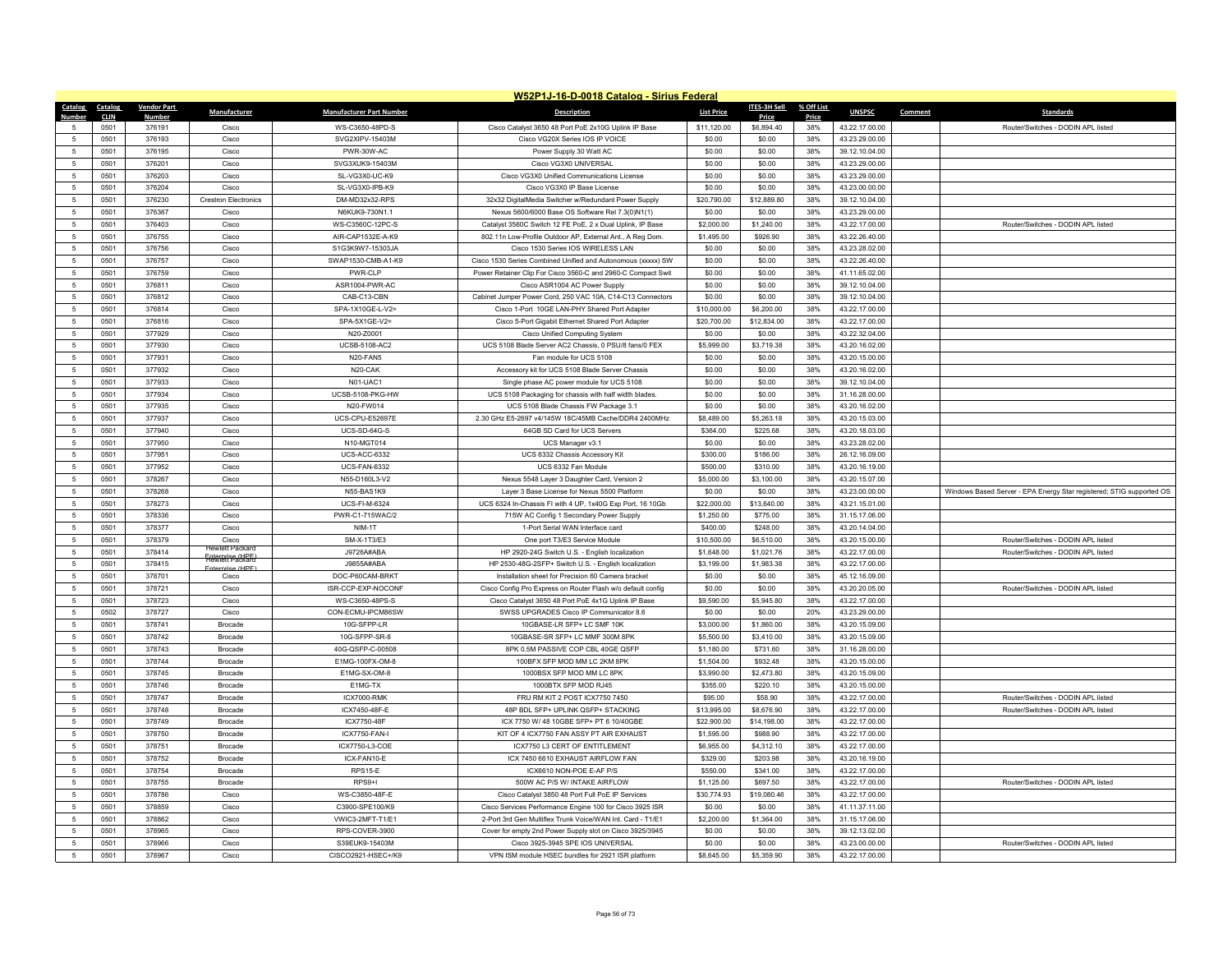|                      |                     |                    |                             |                                      | W52P1J-16-D-0018 Catalog - Sirius Federal                                                                 |                           |                        |              |                                  |         |                                                                      |
|----------------------|---------------------|--------------------|-----------------------------|--------------------------------------|-----------------------------------------------------------------------------------------------------------|---------------------------|------------------------|--------------|----------------------------------|---------|----------------------------------------------------------------------|
| Catalog              | Catalog             | <b>Vendor Part</b> | Manufacturer                | <b>Manufacturer Part Number</b>      | <b>Description</b>                                                                                        | <b>List Price</b>         | ITES-3H Sell           | % Off List   | <b>UNSPSC</b>                    | Comment | <b>Standards</b>                                                     |
| 5                    | <b>CLIN</b><br>0501 | Number<br>376191   | Cisco                       | WS-C3650-48PD-S                      | Cisco Catalyst 3650 48 Port PoE 2x10G Uplink IP Base                                                      | \$11,120.00               | Price<br>\$6,894.40    | Price<br>38% | 43.22.17.00.00                   |         | Router/Switches - DODIN APL listed                                   |
| $\sqrt{5}$           | 0501                | 376193             | Cisco                       | SVG2XIPV-15403M                      | Cisco VG20X Series IOS IP VOICE                                                                           | \$0.00                    | \$0.00                 | 38%          | 43.23.29.00.00                   |         |                                                                      |
| $\sqrt{5}$           | 0501                | 376195             | Cisco                       | PWR-30W-AC                           | Power Supply 30 Watt AC                                                                                   | \$0.00                    | \$0.00                 | 38%          | 39.12.10.04.00                   |         |                                                                      |
| $5\phantom{.0}$      | 0501                | 376201             | Cisco                       | SVG3XUK9-15403M                      | Cisco VG3X0 UNIVERSAL                                                                                     | \$0.00                    | \$0.00                 | 38%          | 43.23.29.00.00                   |         |                                                                      |
| $\sqrt{5}$           | 0501                | 376203             | Cisco                       | SL-VG3X0-UC-K9                       | Cisco VG3X0 Unified Communications License                                                                | \$0.00                    | \$0.00                 | 38%          | 43.23.29.00.00                   |         |                                                                      |
| $\sqrt{5}$           | 0501                | 376204             | Cisco                       | SL-VG3X0-IPB-K9                      | Cisco VG3X0 IP Base License                                                                               | \$0.00                    | \$0.00                 | 38%          | 43.23.00.00.00                   |         |                                                                      |
| 5                    | 0501                | 376230             | <b>Crestron Electronics</b> | DM-MD32x32-RPS                       | 32x32 DigitalMedia Switcher w/Redundant Power Supply                                                      | \$20,790.00               | \$12,889.80            | 38%          | 39.12.10.04.00                   |         |                                                                      |
| 5                    | 0501                | 376367             | Cisco                       | N6KUK9-730N1.1                       | Nexus 5600/6000 Base OS Software Rel 7.3(0)N1(1)                                                          | \$0.00                    | \$0.00                 | 38%          | 43.23.29.00.00                   |         |                                                                      |
| $5\phantom{.0}$      | 0501                | 376403             | Cisco                       | WS-C3560C-12PC-S                     | Catalyst 3560C Switch 12 FE PoE, 2 x Dual Uplink, IP Base                                                 | \$2,000.00                | \$1,240.00             | 38%          | 43.22.17.00.00                   |         | Router/Switches - DODIN APL listed                                   |
| $\sqrt{5}$           | 0501                | 376755             | Cisco                       | AIR-CAP1532E-A-K9                    | 802.11n Low-Profile Outdoor AP, External Ant., A Reg Dom.                                                 | \$1,495.00                | \$926.90               | 38%          | 43.22.26.40.00                   |         |                                                                      |
| 5                    | 0501                | 376756             | Cisco                       | S1G3K9W7-15303JA                     | Cisco 1530 Series IOS WIRELESS LAN                                                                        | \$0.00                    | \$0.00                 | 38%          | 43.23.28.02.00                   |         |                                                                      |
| $\sqrt{5}$           | 0501                | 376757             | Cisco                       | SWAP1530-CMB-A1-K9                   | Cisco 1530 Series Combined Unified and Autonomous (xxxxx) SW                                              | \$0.00                    | \$0.00                 | 38%          | 43.22.26.40.00                   |         |                                                                      |
| 5                    | 0501                | 376759             | Cisco                       | PWR-CLP                              | Power Retainer Clip For Cisco 3560-C and 2960-C Compact Swit                                              | \$0.00                    | \$0.00                 | 38%          | 41.11.65.02.00                   |         |                                                                      |
| 5                    | 0501                | 376811             | Cisco                       | ASR1004-PWR-AC                       | Cisco ASR1004 AC Power Supply                                                                             | \$0.00                    | \$0.00                 | 38%          | 39.12.10.04.00                   |         |                                                                      |
| $5\phantom{.0}$      | 0501                | 376812             | Cisco                       | CAB-C13-CBN                          | Cabinet Jumper Power Cord, 250 VAC 10A, C14-C13 Connectors                                                | \$0.00                    | \$0.00                 | 38%          | 39.12.10.04.00                   |         |                                                                      |
| $\overline{5}$       | 0501                | 376814             | Cisco                       | SPA-1X10GE-L-V2=                     | Cisco 1-Port 10GE LAN-PHY Shared Port Adapter                                                             | \$10,000.00               | \$6,200.00             | 38%          | 43.22.17.00.00                   |         |                                                                      |
| $\sqrt{5}$           | 0501                | 376816             | Cisco                       | SPA-5X1GE-V2=                        | Cisco 5-Port Gigabit Ethernet Shared Port Adapter                                                         | \$20,700.00               | \$12,834.00            | 38%          | 43.22.17.00.00                   |         |                                                                      |
| $5\phantom{.0}$      | 0501                | 377929             | Cisco                       | N20-Z0001                            | Cisco Unified Computing System                                                                            | \$0.00                    | \$0.00                 | 38%          | 43.22.32.04.00                   |         |                                                                      |
| $\overline{5}$       | 0501                | 377930             | Cisco                       | <b>UCSB-5108-AC2</b>                 | UCS 5108 Blade Server AC2 Chassis, 0 PSU/8 fans/0 FEX                                                     | \$5,999.00                | \$3,719.38             | 38%          | 43.20.16.02.00                   |         |                                                                      |
| 5                    | 0501                | 377931             | Cisco                       | N20-FAN5                             | Fan module for UCS 5108                                                                                   | \$0.00                    | \$0.00                 | 38%          | 43.20.15.00.00                   |         |                                                                      |
| $5\phantom{.0}$      | 0501                | 377932             | Cisco                       | N20-CAK                              | Accessory kit for UCS 5108 Blade Server Chassis                                                           | \$0.00                    | \$0.00                 | 38%          | 43.20.16.02.00                   |         |                                                                      |
| $5\overline{5}$      | 0501                | 377933             | Cisco                       | N01-UAC1                             | Single phase AC power module for UCS 5108                                                                 | \$0.00                    | \$0.00                 | 38%          | 39.12.10.04.00                   |         |                                                                      |
| -5                   | 0501                | 377934             | Cisco                       | UCSB-5108-PKG-HW                     | UCS 5108 Packaging for chassis with half width blades                                                     | \$0.00                    | \$0.00                 | 38%          | 31.16.28.00.00                   |         |                                                                      |
| $\sqrt{5}$           | 0501                | 377935             | Cisco                       | N20-FW014                            | UCS 5108 Blade Chassis FW Package 3.1                                                                     | \$0.00                    | \$0.00                 | 38%          | 43.20.16.02.00                   |         |                                                                      |
| $\,$ 5 $\,$          | 0501                | 377937             | Cisco                       | UCS-CPU-E52697E                      | 2.30 GHz E5-2697 v4/145W 18C/45MB Cache/DDR4 2400MHz                                                      | \$8,489.00                | \$5,263.18             | 38%          | 43.20.15.03.00                   |         |                                                                      |
| 5                    | 0501                | 377940             | Cisco                       | UCS-SD-64G-S                         | 64GB SD Card for UCS Servers                                                                              | \$364.00                  | \$225.68               | 38%          | 43.20.18.03.00                   |         |                                                                      |
| $5\phantom{.0}$      | 0501                | 377950             | Cisco                       | N10-MGT014                           | UCS Manager v3.1                                                                                          | \$0.00                    | \$0.00                 | 38%          | 43.23.28.02.00                   |         |                                                                      |
| $\,$ 5 $\,$          | 0501                | 377951             | Cisco                       | UCS-ACC-6332                         | UCS 6332 Chassis Accessory Kit                                                                            | \$300.00                  | \$186.00               | 38%          | 26.12.16.09.00                   |         |                                                                      |
| 5<br>$5\phantom{.0}$ | 0501<br>0501        | 377952<br>378267   | Cisco<br>Cisco              | <b>UCS-FAN-6332</b><br>N55-D160L3-V2 | UCS 6332 Fan Module                                                                                       | \$500.00<br>\$5,000.00    | \$310.00<br>\$3,100.00 | 38%<br>38%   | 43.20.16.19.00<br>43.20.15.07.00 |         |                                                                      |
| 5                    | 0501                | 378268             | Cisco                       | N55-BAS1K9                           | Nexus 5548 Layer 3 Daughter Card, Version 2                                                               | \$0.00                    | \$0.00                 | 38%          | 43.23.00.00.00                   |         |                                                                      |
| $\sqrt{5}$           | 0501                | 378273             | Cisco                       | UCS-FI-M-6324                        | Layer 3 Base License for Nexus 5500 Platform<br>UCS 6324 In-Chassis FI with 4 UP, 1x40G Exp Port, 16 10Gb | \$22,000.00               | \$13,640.00            | 38%          | 43.21.15.01.00                   |         | Windows Based Server - EPA Energy Star registered; STIG supported OS |
| $\sqrt{5}$           | 0501                | 378336             | Cisco                       | PWR-C1-715WAC/2                      | 715W AC Config 1 Secondary Power Supply                                                                   | \$1,250.00                | \$775.00               | 38%          | 31.15.17.06.00                   |         |                                                                      |
| $\sqrt{5}$           | 0501                | 378377             | Cisco                       | NIM-1T                               | 1-Port Serial WAN Interface card                                                                          | \$400.00                  | \$248.00               | 38%          | 43.20.14.04.00                   |         |                                                                      |
| $\sqrt{5}$           | 0501                | 378379             | Cisco                       | SM-X-1T3/E3                          | One port T3/E3 Service Module                                                                             | \$10,500.00               | \$6,510.00             | 38%          | 43.20.15.00.00                   |         | Router/Switches - DODIN APL listed                                   |
| 5                    | 0501                | 378414             | ewlett Packa                | J9726A#ABA                           | HP 2920-24G Switch U.S. - English localization                                                            | \$1,648.00                | \$1,021.76             | 38%          | 43.22.17.00.00                   |         | Router/Switches - DODIN APL listed                                   |
| 5                    | 0501                | 378415             | <b>Frewrett Packard</b>     | J9855A#ABA                           | HP 2530-48G-2SFP+ Switch U.S. - English localization                                                      | \$3,199.00                | \$1,983.38             | 38%          | 43.22.17.00.00                   |         |                                                                      |
| $5\phantom{.0}$      | 0501                | 378701             | Enternrise (HPF<br>Cisco    | DOC-P60CAM-BRKT                      | Installation sheet for Precision 60 Camera bracket                                                        | \$0.00                    | \$0.00                 | 38%          | 45.12.16.09.00                   |         |                                                                      |
| 5                    | 0501                | 378721             | Cisco                       | ISR-CCP-EXP-NOCONF                   | Cisco Config Pro Express on Router Flash w/o default config                                               | \$0.00                    | \$0.00                 | 38%          | 43.20.20.05.00                   |         | Router/Switches - DODIN API listed                                   |
| $\sqrt{5}$           | 0501                | 378723             | Cisco                       | WS-C3650-48PS-S                      | Cisco Catalyst 3650 48 Port PoE 4x1G Uplink IP Base                                                       | \$9,590.00                | \$5,945.80             | 38%          | 43.22.17.00.00                   |         |                                                                      |
| 5                    | 0502                | 378727             | Cisco                       | CON-ECMU-IPCM86SW                    | SWSS UPGRADES Cisco IP Communicator 8.6                                                                   | \$0.00                    | \$0.00                 | 20%          | 43.23.29.00.00                   |         |                                                                      |
| 5                    | 0501                | 378741             | <b>Brocade</b>              | 10G-SFPP-LR                          | 10GBASE-LR SFP+ LC SMF 10K                                                                                | \$3,000.00                | \$1,860.00             | 38%          | 43.20.15.09.00                   |         |                                                                      |
| 5                    | 0501                | 378742             | Brocade                     | 10G-SFPP-SR-8                        | 10GBASE-SR SFP+ LC MMF 300M 8PK                                                                           | \$5,500.00                | \$3,410.00             | 38%          | 43.20.15.09.00                   |         |                                                                      |
| $5\phantom{.0}$      | 0501                | 378743             | Brocade                     | 40G-QSFP-C-00508                     | 8PK 0.5M PASSIVE COP CBL 40GE QSFF                                                                        | \$1,180.00                | \$731.60               | 38%          | 31.16.28.00.00                   |         |                                                                      |
| $\overline{5}$       | 0501                | 378744             | Brocade                     | E1MG-100FX-OM-8                      | 100BFX SFP MOD MM LC 2KM 8PK                                                                              | \$1,504.00                | \$932.48               | 38%          | 43.20.15.00.00                   |         |                                                                      |
| $\sqrt{5}$           | 0501                | 378745             | <b>Brocade</b>              | E1MG-SX-OM-8                         | 1000BSX SFP MOD MM LC 8PK                                                                                 | \$3,990.00                | \$2,473.80             | 38%          | 43.20.15.09.00                   |         |                                                                      |
| $5\phantom{.0}$      | 0501                | 378746             | Brocade                     | E1MG-TX                              | 1000BTX SFP MOD RJ45                                                                                      | \$355.00                  | \$220.10               | 38%          | 43.20.15.00.00                   |         |                                                                      |
| $\sqrt{5}$           | 0501                | 378747             | Brocade                     | <b>ICX7000-RMK</b>                   | FRU RM KIT 2 POST ICX7750 7450                                                                            | \$95.00                   | \$58.90                | 38%          | 43.22.17.00.00                   |         | Router/Switches - DODIN APL listed                                   |
| 5                    | 0501                | 378748             | <b>Brocade</b>              | ICX7450-48F-E                        | 48P BDL SFP+ UPLINK QSFP+ STACKING                                                                        | \$13,995.00               | \$8,676.90             | 38%          | 43.22.17.00.00                   |         | Router/Switches - DODIN APL listed                                   |
| $5\phantom{.0}$      | 0501                | 378749             | Brocade                     | ICX7750-48F                          | ICX 7750 W/ 48 10GBE SFP+ PT 6 10/40GBE                                                                   | \$22,900.00               | \$14,198.00            | 38%          | 43.22.17.00.00                   |         |                                                                      |
| 5                    | 0501                | 378750             | Brocade                     | ICX7750-FAN-I                        | KIT OF 4 ICX7750 FAN ASSY PT AIR EXHAUST                                                                  | \$1,595.00                | \$988.90               | 38%          | 43.22.17.00.00                   |         |                                                                      |
| -5                   | 0501                | 378751             | <b>Brocade</b>              | ICX7750-L3-COE                       | ICX7750 L3 CERT OF ENTITLEMENT                                                                            | \$6,955.00                | \$4,312.10             | 38%          | 43.22.17.00.00                   |         |                                                                      |
| $\sqrt{5}$           | 0501                | 378752             | <b>Brocade</b>              | ICX-FAN10-E                          | ICX 7450 6610 EXHAUST AIRFLOW FAN                                                                         | \$329.00                  | \$203.98               | 38%          | 43.20.16.19.00                   |         |                                                                      |
| $\sqrt{5}$           | 0501<br>0501        | 378754<br>378755   | Brocade                     | RPS15-E<br>RPS9+I                    | ICX6610 NON-POE E-AF P/S<br>500W AC P/S W/ INTAKE AIRFLOW                                                 | \$550.00                  | \$341.00               | 38%<br>38%   | 43.22.17.00.00<br>43.22.17.00.00 |         | Router/Switches - DODIN API listed                                   |
| 5<br>5               | 0501                | 378786             | <b>Brocade</b><br>Cisco     | WS-C3850-48F-E                       | Cisco Catalyst 3850 48 Port Full PoE IP Services                                                          | \$1,125.00<br>\$30,774.93 | \$697.50               | 38%          |                                  |         |                                                                      |
| $\,$ 5 $\,$          | 0501                | 378859             | Cisco                       | C3900-SPE100/K9                      | Cisco Services Performance Engine 100 for Cisco 3925 ISR                                                  | \$0.00                    | \$19,080.46<br>\$0.00  | 38%          | 43.22.17.00.00<br>41.11.37.11.00 |         |                                                                      |
| 5                    | 0501                | 378862             | Cisco                       | VWIC3-2MFT-T1/E1                     | 2-Port 3rd Gen Multiflex Trunk Voice/WAN Int. Card - T1/E1                                                | \$2,200.00                | \$1,364.00             | 38%          | 31.15.17.06.00                   |         |                                                                      |
| $\overline{5}$       | 0501                | 378965             | Cisco                       | RPS-COVER-3900                       | Cover for empty 2nd Power Supply slot on Cisco 3925/3945                                                  | \$0.00                    | \$0.00                 | 38%          | 39.12.13.02.00                   |         |                                                                      |
| 5                    | 0501                | 378966             | Cisco                       | S39EUK9-15403M                       | Cisco 3925-3945 SPE IOS UNIVERSAL                                                                         | \$0.00                    | \$0.00                 | 38%          | 43.23.00.00.00                   |         | Router/Switches - DODIN APL listed                                   |
| $\sqrt{5}$           | 0501                | 378967             | Cisco                       | CISCO2921-HSEC+/K9                   | VPN ISM module HSEC bundles for 2921 ISR platform                                                         | \$8,645.00                | \$5,359.90             | 38%          | 43.22.17.00.00                   |         |                                                                      |
|                      |                     |                    |                             |                                      |                                                                                                           |                           |                        |              |                                  |         |                                                                      |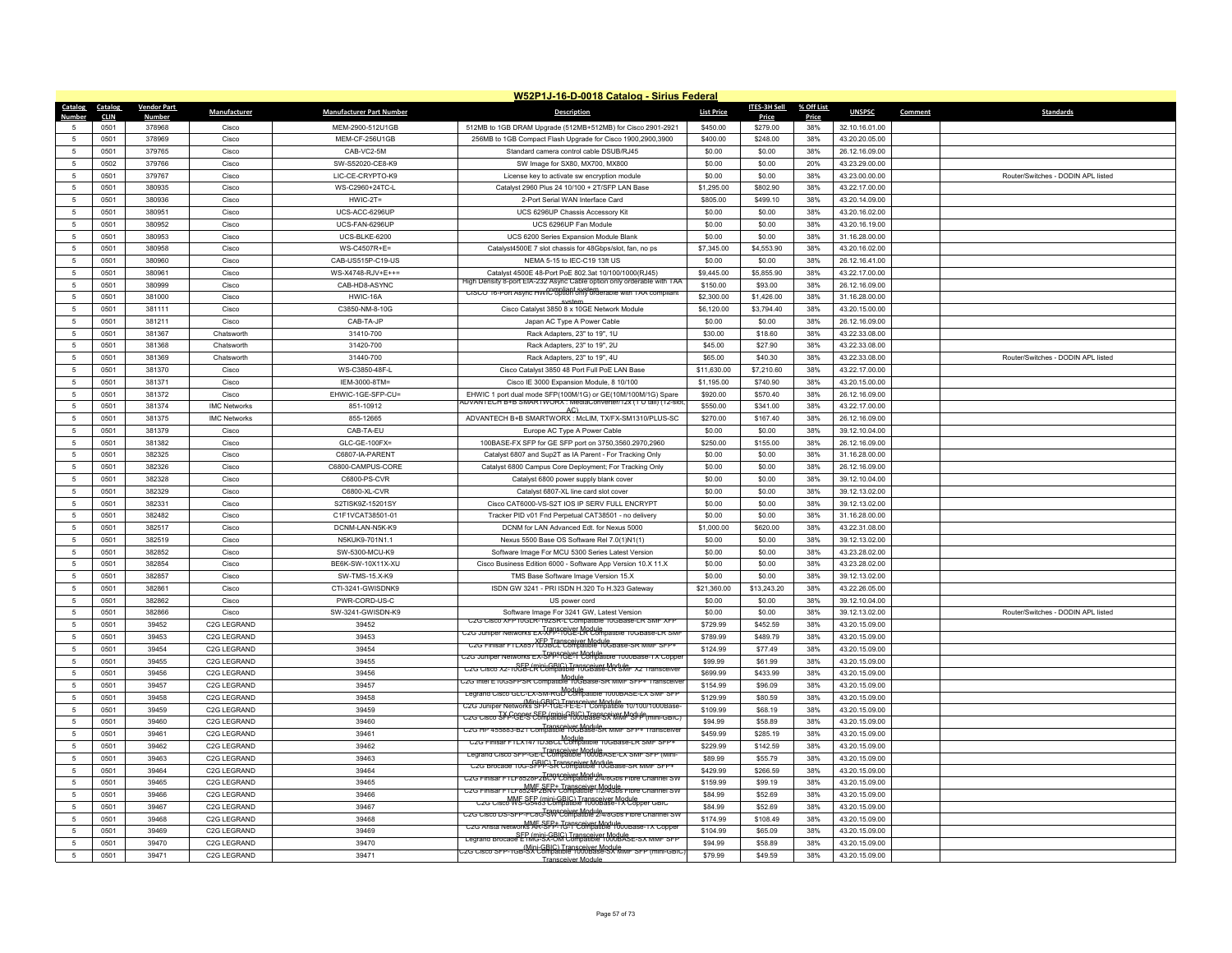|                     |              |                    |                          |                                 | W52P1J-16-D-0018 Catalog - Sirius Federal                                                              |                   |                     |            |                |                                    |
|---------------------|--------------|--------------------|--------------------------|---------------------------------|--------------------------------------------------------------------------------------------------------|-------------------|---------------------|------------|----------------|------------------------------------|
| Catalog Catalog     |              | <b>Vendor Part</b> | Manufacturer             | <b>Manufacturer Part Number</b> | <b>Description</b>                                                                                     | <b>List Price</b> | <b>ITES-3H Sell</b> | % Off List | <b>UNSPSC</b>  | <b>Standards</b><br>Comment        |
| Number              | <b>CLIN</b>  | <b>Number</b>      |                          |                                 |                                                                                                        |                   | Price               | Price      |                |                                    |
| 5                   | 0501         | 378968             | Cisco                    | MEM-2900-512U1GB                | 512MB to 1GB DRAM Upgrade (512MB+512MB) for Cisco 2901-2921                                            | \$450.00          | \$279.00            | 38%        | 32.10.16.01.00 |                                    |
| $\sqrt{2}$          | 0501         | 378969             | Cisco                    | MEM-CF-256U1GB                  | 256MB to 1GB Compact Flash Upgrade for Cisco 1900,2900,3900                                            | \$400.00          | \$248.00            | 38%        | 43.20.20.05.00 |                                    |
| 5                   | 0501         | 379765             | Cisco                    | CAB-VC2-5M                      | Standard camera control cable DSUB/RJ45                                                                | \$0.00            | \$0.00              | 38%        | 26.12.16.09.00 |                                    |
| 5                   | 0502         | 379766             | Cisco                    | SW-S52020-CE8-K9                | SW Image for SX80, MX700, MX800                                                                        | \$0.00            | \$0.00              | 20%        | 43.23.29.00.00 |                                    |
| $\overline{5}$      | 0501         | 379767             | Cisco                    | LIC-CE-CRYPTO-K9                | License key to activate sw encryption module                                                           | \$0.00            | \$0.00              | 38%        | 43.23.00.00.00 | Router/Switches - DODIN API listed |
| -5                  | 0501         | 380935             | Cisco                    | WS-C2960+24TC-L                 | Catalyst 2960 Plus 24 10/100 + 2T/SFP LAN Base                                                         | \$1,295.00        | \$802.90            | 38%        | 43.22.17.00.00 |                                    |
| 5                   | 0501         | 380936             | Cisco                    | $HWIC-2T=$                      | 2-Port Serial WAN Interface Card                                                                       | \$805.00          | \$499.10            | 38%        | 43.20.14.09.00 |                                    |
| $\overline{5}$      | 0501         | 380951             | Cisco                    | UCS-ACC-6296UP                  | UCS 6296UP Chassis Accessory Kit                                                                       | \$0.00            | \$0.00              | 38%        | 43.20.16.02.00 |                                    |
| 5                   | 0501         | 380952             | Cisco                    | UCS-FAN-6296UP                  | UCS 6296UP Fan Module                                                                                  | \$0.00            | \$0.00              | 38%        | 43.20.16.19.00 |                                    |
| $\overline{5}$      | 0501         | 380953             | Cisco                    | UCS-BLKE-6200                   | UCS 6200 Series Expansion Module Blank                                                                 | \$0.00            | \$0.00              | 38%        | 31.16.28.00.00 |                                    |
| 5                   | 0501         | 380958             | Cisco                    | WS-C4507R+E=                    | Catalyst4500E 7 slot chassis for 48Gbps/slot, fan, no ps                                               | \$7,345.00        | \$4,553.90          | 38%        | 43.20.16.02.00 |                                    |
| -5                  | 0501         | 380960             | Cisco                    | CAB-US515P-C19-US               | NEMA 5-15 to IEC-C19 13ft US                                                                           | \$0.00            | \$0.00              | 38%        | 26.12.16.41.00 |                                    |
| $\overline{5}$      | 0501         | 380961             | Cisco                    | WS-X4748-RJV+E++=               | Catalyst 4500E 48-Port PoE 802.3at 10/100/1000(RJ45)                                                   | \$9,445.00        | \$5,855.90          | 38%        | 43.22.17.00.00 |                                    |
| 5                   | 0501         | 380999             | Cisco                    | CAB-HD8-ASYNC                   | High Density 8-port EIA-232 Async Cable option only orderable with TAA                                 | \$150.00          | \$93.00             | 38%        | 26.12.16.09.00 |                                    |
| 5                   | 0501         | 381000             | Cisco                    | HWIC-16A                        | CISCO 16-Port Async HWIC option only orderable with TAA compliant                                      | \$2,300.00        | \$1,426.00          | 38%        | 31.16.28.00.00 |                                    |
| $\overline{5}$      | 0501         | 381111             | Cisco                    | C3850-NM-8-10G                  | Cisco Catalyst 3850 8 x 10GE Network Module                                                            | \$6,120.00        | \$3,794.40          | 38%        | 43.20.15.00.00 |                                    |
| 5                   | 0501         | 381211             | Cisco                    | CAB-TA-JP                       | Japan AC Type A Power Cable                                                                            | \$0.00            | \$0.00              | 38%        | 26.12.16.09.00 |                                    |
| 5                   | 0501         | 381367             | Chatsworth               | 31410-700                       | Rack Adapters, 23" to 19", 1U                                                                          | \$30.00           | \$18.60             | 38%        | 43.22.33.08.00 |                                    |
| $\overline{5}$      | 0501         | 381368             | Chatsworth               | 31420-700                       | Rack Adapters, 23" to 19", 2U                                                                          | \$45.00           | \$27.90             | 38%        | 43.22.33.08.00 |                                    |
| $\overline{5}$      | 0501         | 381369             | Chatsworth               | 31440-700                       | Rack Adapters, 23" to 19", 4U                                                                          | \$65.00           | \$40.30             | 38%        | 43.22.33.08.00 | Router/Switches - DODIN APL listed |
| 5                   | 0501         | 381370             | Cisco                    | WS-C3850-48F-L                  | Cisco Catalyst 3850 48 Port Full PoE LAN Base                                                          | \$11,630.00       | \$7,210.60          | 38%        | 43.22.17.00.00 |                                    |
| $\overline{5}$      | 0501         | 381371             | Cisco                    | IEM-3000-8TM=                   | Cisco IE 3000 Expansion Module, 8 10/100                                                               | \$1.195.00        | \$740.90            | 38%        | 43.20.15.00.00 |                                    |
| $\overline{5}$      | 0501         | 381372             | Cisco                    | EHWIC-1GE-SFP-CU=               | EHWIC 1 port dual mode SFP(100M/1G) or GE(10M/100M/1G) Spare                                           | \$920.00          | \$570.40            | 38%        | 26.12.16.09.00 |                                    |
| 5                   | 0501         | 381374             | <b>IMC Networks</b>      | 851-10912                       | ADVANTECH B+B SMARTWORX : MediaConverter/12x (1 U tail) (12-slot                                       | \$550.00          | \$341.00            | 38%        | 43.22.17.00.00 |                                    |
| $\overline{5}$      | 0501         | 381375             | <b>IMC Networks</b>      | 855-12665                       | AC <sub>1</sub><br>ADVANTECH B+B SMARTWORX : McLIM, TX/FX-SM1310/PLUS-SC                               | \$270.00          | \$167.40            | 38%        | 26.12.16.09.00 |                                    |
| $\overline{5}$      | 0501         | 381379             | Cisco                    | CAB-TA-EU                       | Europe AC Type A Power Cable                                                                           | \$0.00            | \$0.00              | 38%        | 39.12.10.04.00 |                                    |
| 5                   | 0501         | 381382             | Cisco                    | GLC-GE-100FX=                   | 100BASE-FX SFP for GE SFP port on 3750,3560.2970,2960                                                  | \$250.00          | \$155.00            | 38%        | 26.12.16.09.00 |                                    |
| $\overline{5}$      | 0501         | 382325             | Cisco                    | C6807-IA-PARENT                 | Catalyst 6807 and Sup2T as IA Parent - For Tracking Only                                               | \$0.00            | \$0.00              | 38%        | 31.16.28.00.00 |                                    |
| $\overline{5}$      | 0501         | 382326             | Cisco                    | C6800-CAMPUS-CORE               | Catalyst 6800 Campus Core Deployment; For Tracking Only                                                | \$0.00            | \$0.00              | 38%        | 26.12.16.09.00 |                                    |
| $\overline{5}$      | 0501         | 382328             | Cisco                    | C6800-PS-CVR                    | Catalyst 6800 power supply blank cover                                                                 | \$0.00            | \$0.00              | 38%        | 39.12.10.04.00 |                                    |
| $\overline{5}$      | 0501         | 382329             | Cisco                    | C6800-XL-CVR                    | Catalyst 6807-XL line card slot cover                                                                  | \$0.00            | \$0.00              | 38%        | 39.12.13.02.00 |                                    |
| $\overline{5}$      | 0501         | 382331             | Cisco                    | S2TISK9Z-15201SY                | Cisco CAT6000-VS-S2T IOS IP SERV FULL ENCRYPT                                                          | \$0.00            | \$0.00              | 38%        | 39.12.13.02.00 |                                    |
| $\overline{5}$      | 0501         | 382482             | Cisco                    | C1F1VCAT38501-01                | Tracker PID v01 Fnd Perpetual CAT38501 - no delivery                                                   | \$0.00            | \$0.00              | 38%        | 31.16.28.00.00 |                                    |
| $\overline{5}$      |              |                    |                          |                                 |                                                                                                        |                   |                     |            |                |                                    |
|                     | 0501<br>0501 | 382517<br>382519   | Cisco                    | DCNM-LAN-N5K-K9                 | DCNM for LAN Advanced Edt. for Nexus 5000                                                              | \$1,000.00        | \$620.00            | 38%<br>38% | 43.22.31.08.00 |                                    |
| 5<br>$\overline{5}$ |              |                    | Cisco                    | N5KUK9-701N1.1                  | Nexus 5500 Base OS Software Rel 7.0(1)N1(1)                                                            | \$0.00            | \$0.00              |            | 39.12.13.02.00 |                                    |
|                     | 0501         | 382852             | Cisco                    | SW-5300-MCU-K9                  | Software Image For MCU 5300 Series Latest Version                                                      | \$0.00            | \$0.00              | 38%        | 43.23.28.02.00 |                                    |
| 5                   | 0501         | 382854             | Cisco                    | BE6K-SW-10X11X-XU               | Cisco Business Edition 6000 - Software App Version 10.X 11.X                                           | \$0.00            | \$0.00              | 38%        | 43.23.28.02.00 |                                    |
| 5                   | 0501         | 382857             | Cisco                    | SW-TMS-15.X-K9                  | TMS Base Software Image Version 15.X                                                                   | \$0.00            | \$0.00              | 38%        | 39.12.13.02.00 |                                    |
| $\overline{5}$      | 0501         | 382861             | Cisco                    | CTI-3241-GWISDNKS               | ISDN GW 3241 - PRI ISDN H.320 To H.323 Gateway                                                         | \$21,360.00       | \$13,243.20         | 38%        | 43.22.26.05.00 |                                    |
| $\overline{5}$      | 0501         | 382862             | Cisco                    | PWR-CORD-US-C                   | US power cord                                                                                          | \$0.00            | \$0.00              | 38%        | 39.12.10.04.00 |                                    |
| 5                   | 0501         | 382866             | Cisco                    | SW-3241-GWISDN-K9               | Software Image For 3241 GW, Latest Version<br>C2G Cisco XFP10GLR-192SR-L Compatible 10GBase-LR SMF XFF | \$0.00            | \$0.00              | 38%        | 39.12.13.02.00 | Router/Switches - DODIN APL listed |
| $\overline{5}$      | 0501         | 39452              | C <sub>2</sub> G LEGRAND | 39452                           | Trapsceiver Module<br>C2G Juniper Networks EX-XFP-10GE-LR Compatible 10GBase-LR SMF                    | \$729.99          | \$452.59            | 38%        | 43.20.15.09.00 |                                    |
| $\overline{5}$      | 0501         | 39453              | C2G LEGRAND              | 39453                           | C2G Finisar FTLX85/YER Transceiver Module<br>C2G Finisar FTLX85/YERBCL Compatible 10GBase-SR MMF SFP+  | \$789.99          | \$489.79            | 38%        | 43.20.15.09.00 |                                    |
| $\,$ 5              | 0501         | 39454              | C2G LEGRAND              | 39454                           | C2G Juniper Networks EX-SFP-1GE-1 Compatible 1000Base-1X Coppe                                         | \$124.99          | \$77.49             | 38%        | 43.20.15.09.00 |                                    |
| $\overline{5}$      | 0501         | 39455              | C2G LEGRAND              | 39455                           | C2G Cisco X2-10GB-LR Compatible 10GBase-LR SMF X2 Transceiver                                          | \$99.99           | \$61.99             | 38%        | 43.20.15.09.00 |                                    |
| $\overline{5}$      | 0501         | 39456              | C2G LEGRAND              | 39456                           | C2G Intel E10GSFPSR Compatible 10GBase-SR MMF SFP+ Transceive                                          | \$699.99          | \$433.99            | 38%        | 43.20.15.09.00 |                                    |
| 5                   | 0501         | 39457              | C2G LEGRAND              | 39457                           | Legrand Cisco GLC-LX-SM-RGD Compatible 1000BASE-LX SMF SFP                                             | \$154.99          | \$96.09             | 38%        | 43.20.15.09.00 |                                    |
| $\overline{5}$      | 0501         | 39458              | C2G LEGRAND              | 39458                           | Wini-GBIC) Transceiver Module<br>C2G Juniper Networks SFP-1GE-FE-E-1 Compatible 10/100/1000Base-       | \$129.99          | \$80.59             | 38%        | 43.20.15.09.00 |                                    |
| -5                  | 0501         | 39459              | C2G LEGRAND              | 39459                           | C2G Cisco SFP-CE-S Compatible 1000Base-SX MMF SFP (mini-GBIC)                                          | \$109.99          | \$68.19             | 38%        | 43.20.15.09.00 |                                    |
| $\overline{5}$      | 0501         | 39460              | C2G LEGRAND              | 39460                           | Transceiver Module<br>C2G HP 455883-B21 Compatible 10GBase-SR MMF SFP+ Transceiver                     | \$94.99           | \$58.89             | 38%        | 43.20.15.09.00 |                                    |
| $\overline{5}$      | 0501         | 39461              | C2G LEGRAND              | 39461                           | C2G Finisar FTLX1471D3BCL Compatible 10GBase-LR SMF SFP+                                               | \$459.99          | \$285.19            | 38%        | 43.20.15.09.00 |                                    |
| -5                  | 0501         | 39462              | C2G LEGRAND              | 39462                           | Legrand Cisco SFP-GE-L Compatible 1000BASE-LX SMF SFP (Mini-                                           | \$229.99          | \$142.59            | 38%        | 43.20.15.09.00 |                                    |
| $\overline{5}$      | 0501         | 39463              | C2G LEGRAND              | 39463                           | C2G Brocade 10G-SFPP-SR Compatible 10GBase-SR MMF SFP+                                                 | \$89.99           | \$55.79             | 38%        | 43.20.15.09.00 |                                    |
| $\overline{5}$      | 0501         | 39464              | C2G LEGRAND              | 39464                           |                                                                                                        | \$429.99          | \$266.59            | 38%        | 43.20.15.09.00 |                                    |
| 5                   | 0501         | 39465              | C2G LEGRAND              | 39465                           | C2G Finisar FTLF8528P2BCV Compatible 2/4/8Gbs Fibre Channel SW                                         | \$159.99          | \$99.19             | 38%        | 43.20.15.09.00 |                                    |
| 5                   | 0501         | 39466              | C2G LEGRAND              | 39466                           | C2G Finisar FTLF8524F2BRV Compatible 1/2/4Gbs Fibre Channel SW                                         | \$84.99           | \$52.69             | 38%        | 43.20.15.09.00 |                                    |
| $\overline{5}$      | 0501         | 39467              | C2G LEGRAND              | 39467                           | C2G Cisco WS-85483 Compatible 1000Base-1X Copper GBIC                                                  | \$84.99           | \$52.69             | 38%        | 43.20.15.09.00 |                                    |
| 5                   | 0501         | 39468              | C2G LEGRAND              | 39468                           | C2G Cisco DS-SFP-FC8G-SW Compatible 2/4/8Gbs Fibre Channel SW                                          | \$174.99          | \$108.49            | 38%        | 43.20.15.09.00 |                                    |
| $\sqrt{2}$          | 0501         | 39469              | C2G LEGRAND              | 39469                           | C2G Arista Networks AR-SEP+ Transceiver Module                                                         | \$104.99          | \$65.09             | 38%        | 43.20.15.09.00 |                                    |
|                     | 0501         | 39470              | C2G LEGRAND              | 39470                           | Legrand Brocage ETMG-SC-DM Compatible 1000BASE-SX MMF SFF                                              | \$94.99           | \$58.89             | 38%        | 43.20.15.09.00 |                                    |
| 5                   | 0501         | 39471              | C2G LEGRAND              | 39471                           | C2G Cisco SFP-1GB-SX Compatible 1000Base-SX MMF SFP (mini-GBIC<br>Transceiver Module                   | \$79.99           | \$49.59             | 38%        | 43.20.15.09.00 |                                    |
|                     |              |                    |                          |                                 |                                                                                                        |                   |                     |            |                |                                    |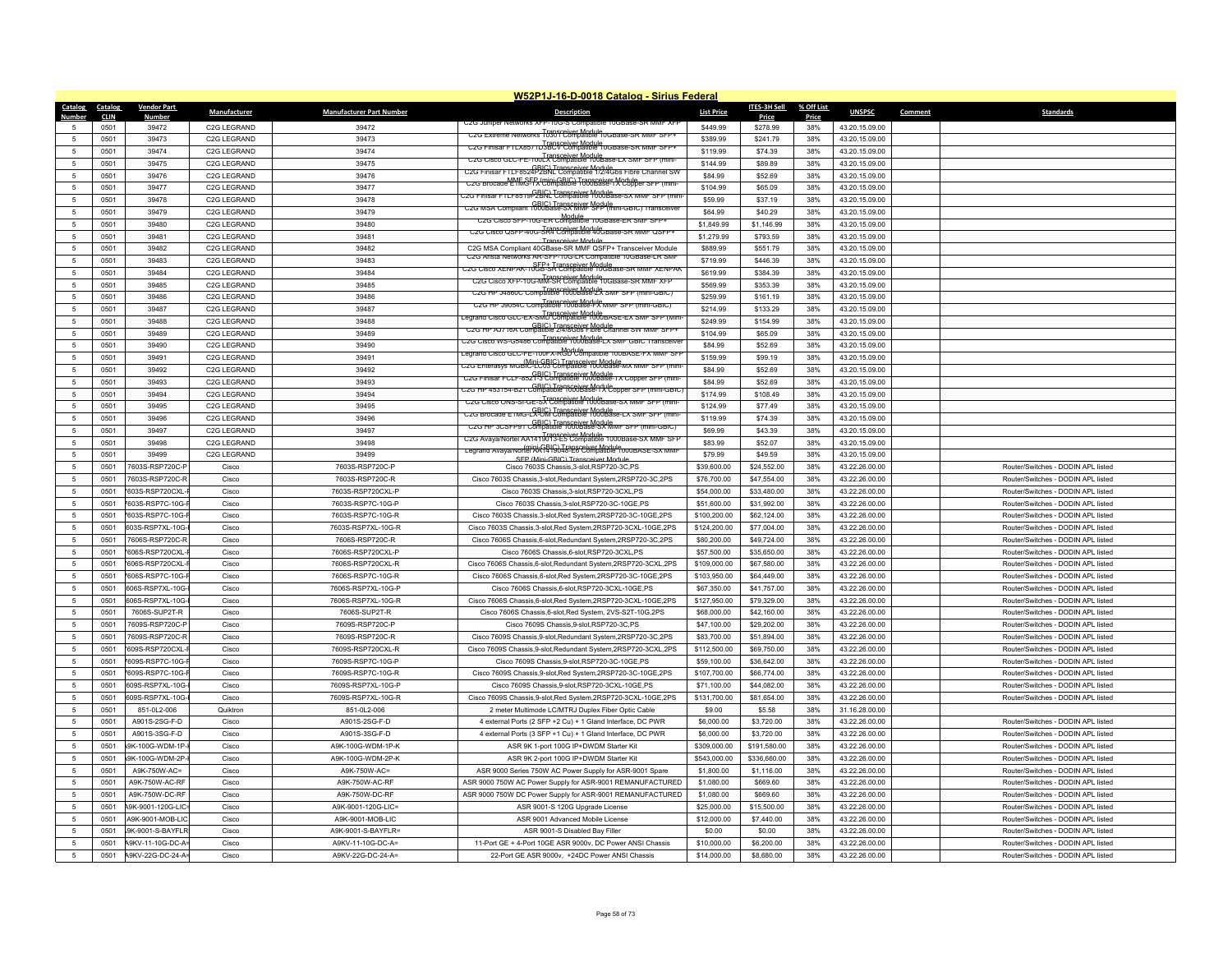| <b>Catalog</b>      | Catalog     | <b>Vendor Part</b> |                          |                                 | W52P1J-16-D-0018 Catalog - Sirius Federal                                                  |                      | <b>ITES-3H Sell</b> | % Off List |                |         |                                    |
|---------------------|-------------|--------------------|--------------------------|---------------------------------|--------------------------------------------------------------------------------------------|----------------------|---------------------|------------|----------------|---------|------------------------------------|
| Number              | <b>CLIN</b> | Numbei             | Manufacturer             | <b>Manufacturer Part Number</b> | <b>Description</b>                                                                         | <b>List Price</b>    | Price               | Price      | <b>UNSPSC</b>  | Comment | <b>Standards</b>                   |
| -5                  | 0501        | 39472              | C2G LEGRAND              | 39472                           | UZG Juniper Networks ストピ-10G-S Con                                                         | \$449.99             | \$278.99            | 38%        | 43.20.15.09.00 |         |                                    |
| 5                   | 0501        | 39473              | C2G LEGRAND              | 39473                           | C2G Extreme Networks 10301 Compatible 10GBase-SR MMF SFP+                                  | \$389.99             | \$241.79            | 38%        | 43.20.15.09.00 |         |                                    |
| 5                   | 0501        | 39474              | C2G LEGRAND              | 39474                           | C2G Finisar FTLX85/1D3BCV Compatible 10GBase-SR MMF SFP+                                   | \$119.99             | \$74.39             | 38%        | 43.20.15.09.00 |         |                                    |
| -5                  | 0501        | 39475              | C <sub>2G</sub> I FGRAND | 39475                           | C2G Cisco GLC-FE-100LX Compatible 100Base-LX SMF SFP (mini-                                | \$144.99             | \$89.89             | 38%        | 43.20.15.09.00 |         |                                    |
| 5                   | 0501        | 39476              | C2G LEGRAND              | 39476                           | GBIC) Transceiver Module<br>C2G Finisar FTLF8524P2BNL Compatible 1/2/4Gbs Fibre Channel SW | \$84.99              | \$52.69             | 38%        | 43.20.15.09.00 |         |                                    |
| 5                   | 0501        | 39477              | C2G LEGRAND              | 39477                           | C2G Brocage LHMGFFX (Digiti GBIG) Transceiver Module or SF                                 | \$104.99             | \$65.09             | 38%        | 43.20.15.09.00 |         |                                    |
| 5                   | 0501        | 39478              | C <sub>2G</sub> I FGRAND | 39478                           |                                                                                            | \$59.99              | \$37.19             | 38%        | 43.20.15.09.00 |         |                                    |
| $\overline{5}$      | 0501        | 39479              | C2G LEGRAND              | 39479                           | C2G MSA Compliant 1000Base-SX MMF SPP (mini-GBIC) Transceiv                                | \$64.99              | \$40.29             | 38%        | 43.20.15.09.00 |         |                                    |
| 5                   | 0501        | 39480              | C2G LEGRAND              | 39480                           | Module<br>C2G Cisco SFP-10G-ER Compatible 10GBase-ER SMF SFP-                              | \$1,849.99           | \$1,146.99          | 38%        | 43.20.15.09.00 |         |                                    |
| $5\phantom{.0}$     | 0501        | 39481              | C2G LEGRAND              | 39481                           | C2G Cisco QSFP-40G-SR4 Compatible 40GBase-SR MMF QSFP-                                     | \$1,279.99           | \$793.59            | 38%        | 43.20.15.09.00 |         |                                    |
| $\overline{5}$      | 0501        | 39482              | C2G LEGRAND              | 39482                           | <b>Transceiver Module</b><br>C2G MSA Compliant 40GBase-SR MMF QSFP+ Transceiver Module     | \$889.99             | \$551.79            | 38%        | 43.20.15.09.00 |         |                                    |
| 5                   | 0501        | 39483              | C2G LEGRAND              | 39483                           | C2G Arista Networks AR-SFP-10G-LR Compatible 10GBase-LR SMF                                | \$719.99             | \$446.39            | 38%        | 43.20.15.09.00 |         |                                    |
| $5\phantom{.0}$     | 0501        | 39484              | C2G LEGRAND              | 39484                           | C2G Cisco XENPAK-10GB-SR Compatible 10GBase-SR MMF XENPAK                                  | \$619.99             | \$384.39            | 38%        | 43.20.15.09.00 |         |                                    |
| 5                   | 0501        | 39485              | C2G LEGRAND              | 39485                           | Transceiver Module<br>C2G Cisco XFP-10G-MM-SR Compatible 10GBase-SR MMF XFI                | \$569.99             | \$353.39            | 38%        | 43.20.15.09.00 |         |                                    |
| -5                  | 0501        | 39486              | C2G LEGRAND              | 39486                           | Transceiver Module<br>C2G HP J4860C Compatible 1000Base-2X SMF SFP (mini-GBIC)             | \$259.99             | \$161.19            | 38%        | 43.20.15.09.00 |         |                                    |
|                     |             |                    |                          | 39487                           | C2G HP J9054C Compatible 100Base-PX MMF SFP (mini-GBIC)                                    |                      |                     |            |                |         |                                    |
| $5\phantom{.0}$     | 0501        | 39487              | C2G LEGRAND              |                                 | .earand Cisco GLC-EX-SMD Compatible 1000BASE-EX SMF SFP (Mini                              | \$214.99<br>\$249.99 | \$133.29            | 38%<br>38% | 43.20.15.09.00 |         |                                    |
| $\sqrt{5}$          | 0501        | 39488              | C2G LEGRAND              | 39488                           | C2G HP AJ716A Compatible 2/4/8Gbs Fibre Channel SW MMF SFP+                                |                      | \$154.99            |            | 43.20.15.09.00 |         |                                    |
| -5                  | 0501        | 39489              | C <sub>2G</sub> I FGRAND | 39489                           | Transceiver Module<br>C2G Cisco WS-G5486 Compatible 1000Base-LX SMF GBIC Transceive        | \$104.99             | \$65.09             | 38%        | 43.20.15.09.00 |         |                                    |
| $\sqrt{5}$          | 0501        | 39490              | C2G LEGRAND              | 39490                           |                                                                                            | \$84.99              | \$52.69             | 38%        | 43.20.15.09.00 |         |                                    |
| $\sqrt{5}$          | 0501        | 39491              | C2G LEGRAND              | 39491                           | C2G Enterasys mGBlCECBCLTransceivftJ084se-mx mmF SFP (mm                                   | \$159.99             | \$99.19             | 38%        | 43.20.15.09.00 |         |                                    |
| $5\phantom{.0}$     | 0501        | 39492              | C2G LEGRAND              | 39492                           | C2G Finisar FCLF-8521-3 Compatible 1000Base-1X Copper SFP (mini-                           | \$84.99              | \$52.69             | 38%        | 43.20.15.09.00 |         |                                    |
| 5                   | 0501        | 39493              | C2G LEGRAND              | 39493                           | C2G HP 453154-B21 Compatible 1000Base-IX Copper SFP (mini-GBIC                             | \$84.99              | \$52.69             | 38%        | 43.20.15.09.00 |         |                                    |
| 5                   | 0501        | 39494              | C2G LEGRAND              | 39494                           | C2G Cisco ONS-SI-GE-SX Compatible 1000Base-SX MMF SFP (mini-                               | \$174.99             | \$108.49            | 38%        | 43.20.15.09.00 |         |                                    |
| $\sqrt{5}$          | 0501        | 39495              | C2G LEGRAND              | 39495                           | C2G Brocade E1MG-LX-UM Compatible 1000Base-LX SMF SFP (min)                                | \$124.99             | \$77.49             | 38%        | 43.20.15.09.00 |         |                                    |
| -5                  | 0501        | 39496              | C2G LEGRAND              | 39496                           | C2G HP 3CSFP91 Compatible 1000Base-SX MMF SFP (mini-GBIC)                                  | \$119.99             | \$74.39             | 38%        | 43.20.15.09.00 |         |                                    |
| 5                   | 0501        | 39497              | C2G LEGRAND              | 39497                           | C2G Avaya/Nortel AA1419013-E5 Compatible 1000Base-SX MMF SFF                               | \$69.99              | \$43.39             | 38%        | 43.20.15.09.00 |         |                                    |
| $5\phantom{.0}$     | 0501        | 39498              | C2G LEGRAND              | 39498                           | Legrand Avaya/Nortel AA1419048-E6 Compatible T000BASE-SX MMI                               | \$83.99              | \$52.07             | 38%        | 43.20.15.09.00 |         |                                    |
| $\overline{5}$      | 0501        | 39499              | C2G LEGRAND              | 39499                           | SEP (Mini-GBIC) Transceiver Module                                                         | \$79.99              | \$49.59             | 38%        | 43.20.15.09.00 |         |                                    |
| $\sqrt{5}$          | 0501        | 7603S-RSP720C-P    | Cisco                    | 7603S-RSP720C-P                 | Cisco 7603S Chassis 3-slot RSP720-3C PS                                                    | \$39,600.00          | \$24,552.00         | 38%        | 43.22.26.00.00 |         | Router/Switches - DODIN APL listed |
| $\sqrt{5}$          | 0501        | 7603S-RSP720C-R    | Cisco                    | 7603S-RSP720C-R                 | Cisco 7603S Chassis, 3-slot, Redundant System, 2RSP720-3C, 2PS                             | \$76,700.00          | \$47,554.00         | 38%        | 43.22.26.00.00 |         | Router/Switches - DODIN APL listed |
| $\sqrt{5}$          | 0501        | 603S-RSP720CXL     | Cisco                    | 7603S-RSP720CXL-P               | Cisco 7603S Chassis, 3-slot, RSP720-3CXL, PS                                               | \$54,000.00          | \$33,480.00         | 38%        | 43.22.26.00.00 |         | Router/Switches - DODIN APL listed |
| -5                  | 0501        | 7603S-RSP7C-10G-   | Cisco                    | 7603S-RSP7C-10G-P               | Cisco 7603S Chassis.3-slot.RSP720-3C-10GE.PS                                               | \$51,600.00          | \$31,992.00         | 38%        | 43.22.26.00.00 |         | Router/Switches - DODIN APL listed |
| -5                  | 0501        | 7603S-RSP7C-10G-   | Cisco                    | 7603S-RSP7C-10G-R               | Cisco 7603S Chassis, 3-slot, Red System, 2RSP720-3C-10GE, 2PS                              | \$100,200.00         | \$62,124.00         | 38%        | 43.22.26.00.00 |         | Router/Switches - DODIN APL listed |
| 5                   | 0501        | 603S-RSP7XL-10G    | Cisco                    | 7603S-RSP7XL-10G-R              | Cisco 7603S Chassis, 3-slot, Red System, 2RSP720-3CXL-10GE, 2PS                            | \$124,200.00         | \$77,004.00         | 38%        | 43.22.26.00.00 |         | Router/Switches - DODIN APL listed |
| $\sqrt{5}$          | 0501        | 7606S-RSP720C-R    | Cisco                    | 7606S-RSP720C-R                 | Cisco 7606S Chassis, 6-slot, Redundant System, 2RSP720-3C, 2PS                             | \$80,200.00          | \$49,724.00         | 38%        | 43.22.26.00.00 |         | Router/Switches - DODIN APL listed |
| 5                   | 0501        | 606S-RSP720CXL-    | Cisco                    | 7606S-RSP720CXL-P               | Cisco 7606S Chassis, 6-slot, RSP720-3CXL, PS                                               | \$57,500.00          | \$35,650.00         | 38%        | 43.22.26.00.00 |         | Router/Switches - DODIN APL listed |
| 5                   | 0501        | 606S-RSP720CXL-    | Cisco                    | 7606S-RSP720CXL-R               | Cisco 7606S Chassis, 6-slot, Redundant System, 2RSP720-3CXL, 2PS                           | \$109,000.00         | \$67,580.00         | 38%        | 43.22.26.00.00 |         | Router/Switches - DODIN APL listed |
| $\sqrt{5}$          | 0501        | 7606S-RSP7C-10G-   | Cisco                    | 7606S-RSP7C-10G-R               | Cisco 7606S Chassis.6-slot.Red System.2RSP720-3C-10GE.2PS                                  | \$103,950.00         | \$64,449.00         | 38%        | 43.22.26.00.00 |         | Router/Switches - DODIN APL listed |
| 5                   | 0501        | 606S-RSP7XL-10G    | Cisco                    | 7606S-RSP7XL-10G-P              | Cisco 7606S Chassis 6-slot RSP720-3CXL-10GE PS                                             | \$67,350.00          | \$41,757.00         | 38%        | 43.22.26.00.00 |         | Router/Switches - DODIN API listed |
| 5                   | 0501        | 606S-RSP7XL-10G    | Cisco                    | 7606S-RSP7XL-10G-R              | Cisco 7606S Chassis, 6-slot, Red System, 2RSP720-3CXL-10GE, 2PS                            | \$127,950.00         | \$79,329.00         | 38%        | 43.22.26.00.00 |         | Router/Switches - DODIN APL listed |
| 5                   | 0501        | 7606S-SUP2T-R      | Cisco                    | 7606S-SUP2T-R                   | Cisco 7606S Chassis, 6-slot, Red System, 2VS-S2T-10G, 2PS                                  | \$68,000.00          | \$42,160.00         | 38%        | 43.22.26.00.00 |         | Router/Switches - DODIN APL listed |
| 5                   | 0501        | 7609S-RSP720C-P    | Cisco                    | 7609S-RSP720C-P                 | Cisco 7609S Chassis, 9-slot, RSP720-3C, PS                                                 | \$47,100.00          | \$29,202.00         | 38%        | 43.22.26.00.00 |         | Router/Switches - DODIN APL listed |
| 5                   | 0501        | 7609S-RSP720C-R    | Cisco                    | 7609S-RSP720C-R                 | Cisco 7609S Chassis, 9-slot, Redundant System, 2RSP720-3C, 2PS                             | \$83,700.00          | \$51,894.00         | 38%        | 43.22.26.00.00 |         | Router/Switches - DODIN APL listed |
| 5                   | 0501        | 609S-RSP720CXL-    | Cisco                    | 7609S-RSP720CXL-R               | Cisco 7609S Chassis, 9-slot, Redundant System, 2RSP720-3CXL, 2PS                           | \$112,500.00         | \$69,750.00         | 38%        | 43.22.26.00.00 |         | Router/Switches - DODIN APL listed |
| 5                   | 0501        | 7609S-RSP7C-10G-   | Cisco                    | 7609S-RSP7C-10G-P               | Cisco 7609S Chassis, 9-slot, RSP720-3C-10GE, PS                                            | \$59,100.00          | \$36,642.00         | 38%        | 43.22.26.00.00 |         | Router/Switches - DODIN APL listed |
| 5                   | 0501        | 7609S-RSP7C-10G-   | Cisco                    | 7609S-RSP7C-10G-R               | Cisco 7609S Chassis, 9-slot, Red System, 2RSP720-3C-10GE, 2PS                              | \$107,700.00         | \$66,774.00         | 38%        | 43.22.26.00.00 |         | Router/Switches - DODIN APL listed |
| -5                  | 0501        | 609S-RSP7XL-10G-   | Cisco                    | 7609S-RSP7XL-10G-P              | Cisco 7609S Chassis, 9-slot, RSP720-3CXL-10GE, PS                                          | \$71,100.00          | \$44,082.00         | 38%        | 43.22.26.00.00 |         | Router/Switches - DODIN API listed |
| 5                   | 0501        | 609S-RSP7XL-10G-   | Cisco                    | 7609S-RSP7XL-10G-R              | Cisco 7609S Chassis, 9-slot, Red System, 2RSP720-3CXL-10GE, 2PS                            | \$131,700.00         | \$81,654.00         | 38%        | 43.22.26.00.00 |         | Router/Switches - DODIN APL listed |
|                     | 0501        | 851-0L2-006        | Quiktron                 | 851-0L2-006                     | 2 meter Multimode LC/MTRJ Duplex Fiber Optic Cable                                         | \$9.00               | \$5.58              | 38%        | 31.16.28.00.00 |         |                                    |
| 5<br>$\overline{5}$ |             |                    |                          |                                 |                                                                                            |                      |                     |            |                |         |                                    |
|                     | 0501        | A901S-2SG-F-D      | Cisco                    | A901S-2SG-F-D                   | 4 external Ports (2 SFP +2 Cu) + 1 Gland Interface, DC PWR                                 | \$6,000.00           | \$3,720.00          | 38%        | 43.22.26.00.00 |         | Router/Switches - DODIN APL listed |
| $\sqrt{5}$          | 0501        | A901S-3SG-F-D      | Cisco                    | A901S-3SG-F-D                   | 4 external Ports (3 SFP +1 Cu) + 1 Gland Interface, DC PWR                                 | \$6,000.00           | \$3,720.00          | 38%        | 43.22.26.00.00 |         | Router/Switches - DODIN API listed |
| 5                   | 0501        | 9K-100G-WDM-1P-    | Cisco                    | A9K-100G-WDM-1P-K               | ASR 9K 1-port 100G IP+DWDM Starter Kit                                                     | \$309,000.00         | \$191,580.00        | 38%        | 43.22.26.00.00 |         | Router/Switches - DODIN API listed |
| 5                   | 0501        | 9K-100G-WDM-2P-    | Cisco                    | A9K-100G-WDM-2P-K               | ASR 9K 2-port 100G IP+DWDM Starter Kit                                                     | \$543,000.00         | \$336,660.00        | 38%        | 43.22.26.00.00 |         | Router/Switches - DODIN APL listed |
| 5                   | 0501        | A9K-750W-AC=       | Cisco                    | A9K-750W-AC=                    | ASR 9000 Series 750W AC Power Supply for ASR-9001 Spare                                    | \$1,800.00           | \$1,116.00          | 38%        | 43.22.26.00.00 |         | Router/Switches - DODIN API listed |
| 5                   | 0501        | A9K-750W-AC-RF     | Cisco                    | A9K-750W-AC-RF                  | ASR 9000 750W AC Power Supply for ASR-9001 REMANUFACTURED                                  | \$1,080.00           | \$669.60            | 38%        | 43.22.26.00.00 |         | Router/Switches - DODIN APL listed |
| 5                   | 0501        | A9K-750W-DC-RF     | Cisco                    | A9K-750W-DC-RF                  | ASR 9000 750W DC Power Supply for ASR-9001 REMANUFACTURED                                  | \$1,080.00           | \$669.60            | 38%        | 43.22.26.00.00 |         | Router/Switches - DODIN APL listed |
| 5                   | 0501        | 49K-9001-120G-LIC  | Cisco                    | A9K-9001-120G-LIC=              | ASR 9001-S 120G Upgrade License                                                            | \$25,000.00          | \$15,500.00         | 38%        | 43.22.26.00.00 |         | Router/Switches - DODIN APL listed |
| 5                   | 0501        | A9K-9001-MOB-LIC   | Cisco                    | A9K-9001-MOB-LIC                | ASR 9001 Advanced Mobile License                                                           | \$12,000.00          | \$7,440.00          | 38%        | 43.22.26.00.00 |         | Router/Switches - DODIN APL listed |
| $\overline{5}$      | 0501        | 9K-9001-S-BAYFLF   | Cisco                    | A9K-9001-S-BAYFLR=              | ASR 9001-S Disabled Bay Filler                                                             | \$0.00               | \$0.00              | 38%        | 43.22.26.00.00 |         | Router/Switches - DODIN API listed |
| -5                  | 0501        | 49KV-11-10G-DC-A   | Cisco                    | A9KV-11-10G-DC-A=               | 11-Port GE + 4-Port 10GE ASR 9000v, DC Power ANSI Chassis                                  | \$10,000.00          | \$6,200.00          | 38%        | 43 22 26 00 00 |         | Router/Switches - DODIN API listed |
| $\sqrt{5}$          | 0501        | 49KV-22G-DC-24-A   | Cisco                    | A9KV-22G-DC-24-A=               | 22-Port GE ASR 9000v, +24DC Power ANSI Chassis                                             | \$14,000.00          | \$8,680.00          | 38%        | 43.22.26.00.00 |         | Router/Switches - DODIN APL listed |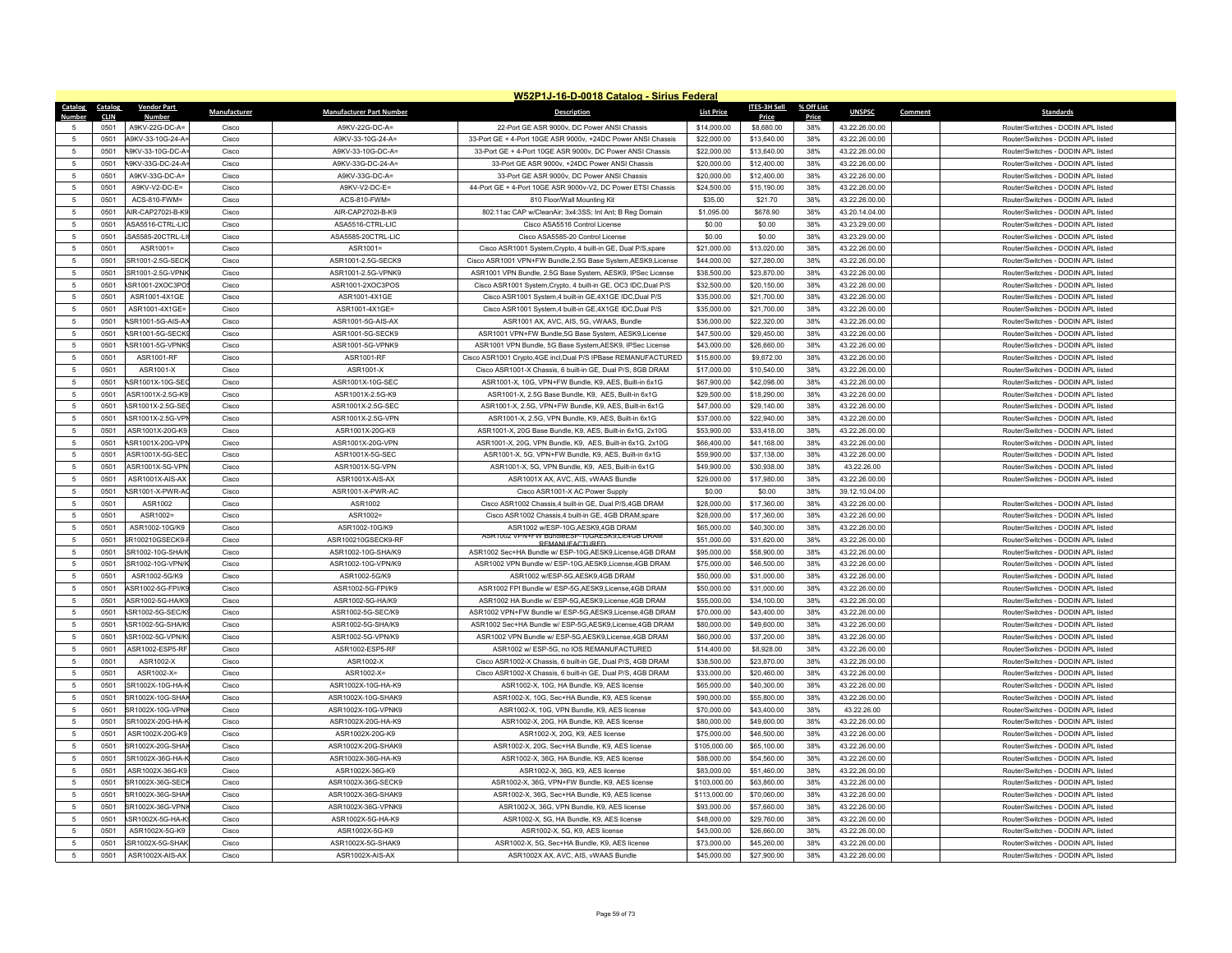|                                   |              |                                       |                |                                        | W52P1J-16-D-0018 Catalog - Sirius Federal                                                                                 |                            |                            |            |                                  |                                                                          |
|-----------------------------------|--------------|---------------------------------------|----------------|----------------------------------------|---------------------------------------------------------------------------------------------------------------------------|----------------------------|----------------------------|------------|----------------------------------|--------------------------------------------------------------------------|
| <b>Catalog</b>                    | Catalog      | <b>Vendor Part</b>                    | Manufacturer   | <b>Manufacturer Part Number</b>        | <b>Description</b>                                                                                                        | <b>List Price</b>          | ITES-3H Sell               | % Off List | <b>UNSPSC</b>                    | Comment<br><b>Standards</b>                                              |
| 5                                 | CLIN         | <b>Number</b>                         |                |                                        |                                                                                                                           |                            | Price                      | Price      |                                  |                                                                          |
| -5                                | 0501         | A9KV-22G-DC-A=                        | Cisco          | A9KV-22G-DC-A=                         | 22-Port GE ASR 9000v, DC Power ANSI Chassis                                                                               | \$14,000.00                | \$8,680.00                 | 38%        | 43.22.26.00.00                   | Router/Switches - DODIN APL listed                                       |
|                                   | 0501<br>0501 | A9KV-33-10G-24-A=<br>49KV-33-10G-DC-A | Cisco<br>Cisco | A9KV-33-10G-24-A=<br>A9KV-33-10G-DC-A= | 33-Port GE + 4-Port 10GE ASR 9000v, +24DC Power ANSI Chassis<br>33-Port GE + 4-Port 10GE ASR 9000v, DC Power ANSI Chassis | \$22,000.00<br>\$22,000.00 | \$13,640.00<br>\$13,640.00 | 38%<br>38% | 43.22.26.00.00<br>43.22.26.00.00 | Router/Switches - DODIN APL listed<br>Router/Switches - DODIN API listed |
| 5<br>5                            |              |                                       |                |                                        |                                                                                                                           |                            |                            |            |                                  |                                                                          |
|                                   | 0501         | 49KV-33G-DC-24-A                      | Cisco          | A9KV-33G-DC-24-A=                      | 33-Port GE ASR 9000v, +24DC Power ANSI Chassis                                                                            | \$20,000.00                | \$12,400.00                | 38%        | 43.22.26.00.00                   | Router/Switches - DODIN APL listed                                       |
| 5                                 | 0501         | A9KV-33G-DC-A=                        | Cisco          | A9KV-33G-DC-A=                         | 33-Port GE ASR 9000v, DC Power ANSI Chassis                                                                               | \$20,000.00                | \$12,400.00                | 38%        | 43.22.26.00.00                   | Router/Switches - DODIN APL listed                                       |
| 5<br>5                            | 0501         | A9KV-V2-DC-E=                         | Cisco          | A9KV-V2-DC-E=                          | 44-Port GE + 4-Port 10GE ASR 9000v-V2, DC Power ETSI Chassis                                                              | \$24,500.00                | \$15,190.00                | 38%<br>38% | 43.22.26.00.00                   | Router/Switches - DODIN APL listed                                       |
|                                   | 0501         | ACS-810-FWM=                          | Cisco          | ACS-810-FWM=                           | 810 Floor/Wall Mounting Kit                                                                                               | \$35.00                    | \$21.70                    |            | 43.22.26.00.00                   | Router/Switches - DODIN APL listed                                       |
| 5                                 | 0501         | AIR-CAP2702I-B-K9                     | Cisco          | AIR-CAP2702I-B-K9                      | 802.11ac CAP w/CleanAir; 3x4:3SS; Int Ant; B Reg Domain                                                                   | \$1,095.00                 | \$678.90                   | 38%        | 43.20.14.04.00                   | Router/Switches - DODIN APL listed                                       |
| $5\phantom{.0}$<br>5              | 0501<br>0501 | ASA5516-CTRL-LIC<br>SA5585-20CTRL-L   | Cisco          | ASA5516-CTRL-LIC<br>ASA5585-20CTRL-LIC | Cisco ASA5516 Control License<br>Cisco ASA5585-20 Control License                                                         | \$0.00                     | \$0.00<br>\$0.00           | 38%        | 43.23.29.00.00<br>43.23.29.00.00 | Router/Switches - DODIN APL listed<br>Router/Switches - DODIN API listed |
|                                   |              | $ASR1001=$                            | Cisco          | $ASR1001=$                             |                                                                                                                           | \$0.00                     |                            | 38%        |                                  | Router/Switches - DODIN API listed                                       |
| 5                                 | 0501         |                                       | Cisco          |                                        | Cisco ASR1001 System, Crypto, 4 built-in GE, Dual P/S, spare                                                              | \$21,000.00                | \$13,020.00                | 38%<br>38% | 43.22.26.00.00                   | Router/Switches - DODIN APL listed                                       |
| $\sqrt{5}$<br>5                   | 0501<br>0501 | SR1001-2.5G-SECK<br>SR1001-2.5G-VPNK  | Cisco<br>Cisco | ASR1001-2.5G-SECK9                     | Cisco ASR1001 VPN+FW Bundle, 2.5G Base System, AESK9, License                                                             | \$44,000.00                | \$27,280.00                | 38%        | 43.22.26.00.00                   | Router/Switches - DODIN API listed                                       |
|                                   |              |                                       |                | ASR1001-2.5G-VPNK9                     | ASR1001 VPN Bundle, 2.5G Base System, AESK9, IPSec License                                                                | \$38,500.00                | \$23,870.00                |            | 43.22.26.00.00                   |                                                                          |
| 5                                 | 0501         | SR1001-2XOC3PO                        | Cisco          | ASR1001-2XOC3POS                       | Cisco ASR1001 System, Crypto, 4 built-in GE, OC3 IDC, Dual P/S                                                            | \$32,500.00                | \$20,150.00                | 38%        | 43.22.26.00.00                   | Router/Switches - DODIN APL listed                                       |
| $5\phantom{.0}$<br>$\overline{5}$ | 0501         | ASR1001-4X1GE                         | Cisco          | ASR1001-4X1GE                          | Cisco ASR1001 System,4 built-in GE,4X1GE IDC,Dual P/S                                                                     | \$35,000.00                | \$21,700.00                | 38%        | 43.22.26.00.00                   | Router/Switches - DODIN APL listed                                       |
|                                   | 0501         | ASR1001-4X1GE=                        | Cisco<br>Cisco | ASR1001-4X1GE=                         | Cisco ASR1001 System,4 built-in GE,4X1GE IDC,Dual P/S                                                                     | \$35,000.00                | \$21,700.00                | 38%        | 43.22.26.00.00                   | Router/Switches - DODIN API listed<br>Router/Switches - DODIN API listed |
| $\sqrt{5}$                        | 0501         | ASR1001-5G-AIS-A)                     |                | ASR1001-5G-AIS-AX                      | ASR1001 AX, AVC, AIS, 5G, vWAAS, Bundle                                                                                   | \$36,000.00                | \$22,320.00                | 38%        | 43.22.26.00.00                   |                                                                          |
| 5                                 | 0501         | ASR1001-5G-SECK                       | Cisco          | ASR1001-5G-SECK9                       | ASR1001 VPN+FW Bundle,5G Base System, AESK9, License                                                                      | \$47,500.00                | \$29,450.00                | 38%        | 43.22.26.00.00                   | Router/Switches - DODIN APL listed                                       |
| 5                                 | 0501         | ASR1001-5G-VPNK                       | Cisco          | ASR1001-5G-VPNK9                       | ASR1001 VPN Bundle, 5G Base System, AESK9, IPSec License                                                                  | \$43,000.00                | \$26,660.00                | 38%        | 43.22.26.00.00                   | Router/Switches - DODIN APL listed                                       |
| -5                                | 0501         | ASR1001-RF                            | Cisco          | ASR1001-RF                             | Cisco ASR1001 Crypto.4GE incl.Dual P/S IPBase REMANUFACTURED                                                              | \$15,600.00                | \$9,672.00                 | 38%        | 43.22.26.00.00                   | Router/Switches - DODIN API listed                                       |
| $\sqrt{5}$                        | 0501         | ASR1001-X                             | Cisco          | ASR1001-X                              | Cisco ASR1001-X Chassis, 6 built-in GE, Dual P/S, 8GB DRAM                                                                | \$17,000.00                | \$10,540.00                | 38%        | 43.22.26.00.00                   | Router/Switches - DODIN APL listed                                       |
| 5                                 | 0501         | ASR1001X-10G-SEC                      | Cisco          | ASR1001X-10G-SEC                       | ASR1001-X, 10G, VPN+FW Bundle, K9, AES, Built-in 6x1G                                                                     | \$67,900.00                | \$42,098.00                | 38%        | 43.22.26.00.00                   | Router/Switches - DODIN APL listed                                       |
| -5                                | 0501         | ASR1001X-2.5G-K9                      | Cisco          | ASR1001X-2.5G-K9                       | ASR1001-X, 2.5G Base Bundle, K9, AES, Built-in 6x1G                                                                       | \$29,500.00                | \$18,290.00                | 38%        | 43.22.26.00.00                   | Router/Switches - DODIN API listed                                       |
| $\sqrt{5}$                        | 0501         | ASR1001X-2.5G-SE0                     | Cisco          | ASR1001X-2.5G-SEC                      | ASR1001-X, 2.5G, VPN+FW Bundle, K9, AES, Built-in 6x1G                                                                    | \$47,000.00                | \$29,140.00                | 38%        | 43.22.26.00.00                   | Router/Switches - DODIN API listed                                       |
| $\,$ 5 $\,$                       | 0501         | ASR1001X-2.5G-VPI                     | Cisco          | ASR1001X-2.5G-VPN                      | ASR1001-X, 2.5G, VPN Bundle, K9, AES, Built-in 6x1G                                                                       | \$37,000.00                | \$22,940.00                | 38%        | 43.22.26.00.00                   | Router/Switches - DODIN APL listed                                       |
| 5                                 | 0501         | ASR1001X-20G-K9                       | Cisco          | ASR1001X-20G-K9                        | ASR1001-X, 20G Base Bundle, K9, AES, Built-in 6x1G, 2x10G                                                                 | \$53,900.00                | \$33,418.00                | 38%        | 43.22.26.00.00                   | Router/Switches - DODIN API listed                                       |
| $5\phantom{.0}$                   | 0501         | ASR1001X-20G-VPM                      | Cisco          | ASR1001X-20G-VPN                       | ASR1001-X, 20G, VPN Bundle, K9, AES, Built-in 6x1G, 2x10G                                                                 | \$66,400.00                | \$41,168.00                | 38%        | 43.22.26.00.00                   | Router/Switches - DODIN API listed                                       |
| $\sqrt{5}$                        | 0501         | ASR1001X-5G-SEC                       | Cisco          | ASR1001X-5G-SEC                        | ASR1001-X, 5G, VPN+FW Bundle, K9, AES, Built-in 6x1G                                                                      | \$59,900.00                | \$37,138.00                | 38%        | 43.22.26.00.00                   | Router/Switches - DODIN APL listed                                       |
| 5                                 | 0501         | ASR1001X-5G-VPM                       | Cisco          | ASR1001X-5G-VPN                        | ASR1001-X, 5G, VPN Bundle, K9, AES, Built-in 6x1G                                                                         | \$49,900.00                | \$30,938.00                | 38%        | 43 22 26 00                      | Router/Switches - DODIN API listed                                       |
| $5\phantom{.0}$                   | 0501         | ASR1001X-AIS-AX                       | Cisco          | ASR1001X-AIS-AX                        | ASR1001X AX, AVC, AIS, vWAAS Bundle                                                                                       | \$29,000.00                | \$17,980.00                | 38%        | 43.22.26.00.00                   | Router/Switches - DODIN APL listed                                       |
| 5                                 | 0501         | ASR1001-X-PWR-A                       | Cisco          | ASR1001-X-PWR-AC<br>ASR1002            | Cisco ASR1001-X AC Power Supply                                                                                           | \$0.00                     | \$0.00                     | 38%        | 39.12.10.04.00                   |                                                                          |
| 5                                 | 0501         | ASR1002                               | Cisco          |                                        | Cisco ASR1002 Chassis,4 built-in GE, Dual P/S,4GB DRAM                                                                    | \$28,000.00                | \$17,360.00                | 38%        | 43.22.26.00.00                   | Router/Switches - DODIN API listed                                       |
| $\overline{5}$                    | 0501         | ASR1002=                              | Cisco          | ASR1002=                               | Cisco ASR1002 Chassis,4 built-in GE, 4GB DRAM,spare                                                                       | \$28,000.00                | \$17,360.00                | 38%        | 43.22.26.00.00                   | Router/Switches - DODIN APL listed                                       |
| 5                                 | 0501         | ASR1002-10G/K9                        | Cisco          | ASR1002-10G/K9                         | ASR1002 w/ESP-10G, AESK9, 4GB DRAM<br>ASR1002 VPN+FW BundleESP-10GAESK9.Lic4GB DRAM                                       | \$65,000.00                | \$40,300.00                | 38%        | 43.22.26.00.00                   | Router/Switches - DODIN APL listed                                       |
| $\sqrt{5}$                        | 0501         | SR100210GSECK9-                       | Cisco          | ASR100210GSECK9-RF                     | REMANLIFACTURED                                                                                                           | \$51,000.00                | \$31,620.00                | 38%        | 43.22.26.00.00                   | Router/Switches - DODIN APL listed                                       |
| 5                                 | 0501         | SR1002-10G-SHA/K                      | Cisco          | ASR1002-10G-SHA/K9                     | ASR1002 Sec+HA Bundle w/ ESP-10G, AESK9, License, 4GB DRAM                                                                | \$95,000.00                | \$58,900.00                | 38%        | 43.22.26.00.00                   | Router/Switches - DODIN APL listed                                       |
| 5                                 | 0501         | SR1002-10G-VPN/K                      | Cisco          | ASR1002-10G-VPN/K9                     | ASR1002 VPN Bundle w/ ESP-10G, AESK9, License, 4GB DRAM                                                                   | \$75,000.00                | \$46,500.00                | 38%        | 43.22.26.00.00                   | Router/Switches - DODIN APL listed                                       |
| $\sqrt{5}$                        | 0501         | ASR1002-5G/K9                         | Cisco          | ASR1002-5G/K9                          | ASR1002 w/ESP-5G.AESK9.4GB DRAM                                                                                           | \$50,000.00                | \$31,000.00                | 38%        | 43.22.26.00.00                   | Router/Switches - DODIN APL listed                                       |
| 5                                 | 0501         | ASR1002-5G-FPI/K                      | Cisco          | ASR1002-5G-FPI/K9                      | ASR1002 FPI Bundle w/ FSP-5G AFSK9 License 4GB DRAM                                                                       | \$50,000.00                | \$31,000.00                | 38%        | 43.22.26.00.00                   | Router/Switches - DODIN API listed                                       |
| 5                                 | 0501         | ASR1002-5G-HA/K9                      | Cisco          | ASR1002-5G-HA/K9                       | ASR1002 HA Bundle w/ ESP-5G, AESK9, License, 4GB DRAM                                                                     | \$55,000.00                | \$34,100.00                | 38%        | 43.22.26.00.00                   | Router/Switches - DODIN APL listed                                       |
| 5                                 | 0501         | <b>ASR1002-5G-SEC/K</b>               | Cisco          | ASR1002-5G-SEC/K9                      | ASR1002 VPN+FW Bundle w/ ESP-5G, AESK9, License, 4GB DRAM                                                                 | \$70,000.00                | \$43,400.00                | 38%        | 43.22.26.00.00                   | Router/Switches - DODIN APL listed                                       |
| 5                                 | 0501         | <b>ASR1002-5G-SHA/K</b>               | Cisco          | ASR1002-5G-SHA/K9                      | ASR1002 Sec+HA Bundle w/ ESP-5G, AESK9, License, 4GB DRAM                                                                 | \$80,000.00                | \$49,600.00                | 38%        | 43.22.26.00.00                   | Router/Switches - DODIN API listed                                       |
| 5                                 | 0501         | <b>ASR1002-5G-VPN/K</b>               | Cisco          | ASR1002-5G-VPN/K9                      | ASR1002 VPN Bundle w/ ESP-5G, AESK9, License, 4GB DRAM                                                                    | \$60,000.00                | \$37,200.00                | 38%        | 43.22.26.00.00                   | Router/Switches - DODIN APL listed                                       |
| $5\phantom{.0}$                   | 0501         | ASR1002-ESP5-RF                       | Cisco          | ASR1002-ESP5-RF                        | ASR1002 w/ ESP-5G, no IOS REMANUFACTURED                                                                                  | \$14,400.00                | \$8,928.00                 | 38%        | 43.22.26.00.00                   | Router/Switches - DODIN APL listed                                       |
| $\overline{5}$                    | 0501         | ASR1002-X                             | Cisco          | ASR1002-X                              | Cisco ASR1002-X Chassis, 6 built-in GE, Dual P/S, 4GB DRAM                                                                | \$38,500.00                | \$23,870.00                | 38%        | 43.22.26.00.00                   | Router/Switches - DODIN APL listed                                       |
| $\sqrt{5}$                        | 0501         | ASR1002-X=                            | Cisco          | ASR1002-X=                             | Cisco ASR1002-X Chassis, 6 built-in GE, Dual P/S, 4GB DRAM                                                                | \$33,000.00                | \$20,460.00                | 38%        | 43 22 26 00 00                   | Router/Switches - DODIN API listed                                       |
| 5                                 | 0501         | SR1002X-10G-HA-K                      | Cisco          | ASR1002X-10G-HA-K9                     | ASR1002-X, 10G, HA Bundle, K9, AES license                                                                                | \$65,000.00                | \$40,300.00                | 38%        | 43.22.26.00.00                   | Router/Switches - DODIN APL listed                                       |
| 5                                 | 0501         | SR1002X-10G-SHAI                      | Cisco          | ASR1002X-10G-SHAK9                     | ASR1002-X, 10G, Sec+HA Bundle, K9, AES license                                                                            | \$90,000.00                | \$55,800.00                | 38%        | 43.22.26.00.00                   | Router/Switches - DODIN APL listed                                       |
| -5                                | 0501         | SR1002X-10G-VPN                       | Cisco          | ASR1002X-10G-VPNK9                     | ASR1002-X, 10G, VPN Bundle, K9, AFS license                                                                               | \$70,000.00                | \$43,400.00                | 38%        | 43 22 26 00                      | Router/Switches - DODIN API listed                                       |
| $5\phantom{.0}$                   | 0501         | SR1002X-20G-HA-K                      | Cisco          | ASR1002X-20G-HA-K9                     | ASR1002-X, 20G, HA Bundle, K9, AES license                                                                                | \$80,000.00                | \$49,600.00                | 38%        | 43.22.26.00.00                   | Router/Switches - DODIN APL listed                                       |
| 5                                 | 0501         | ASR1002X-20G-K9                       | Cisco          | ASR1002X-20G-K9                        | ASR1002-X, 20G, K9, AES license                                                                                           | \$75,000.00                | \$46,500.00                | 38%        | 43.22.26.00.00                   | Router/Switches - DODIN APL listed                                       |
| -5                                | 0501         | SR1002X-20G-SHA                       | Cisco          | ASR1002X-20G-SHAK9                     | ASR1002-X 20G Sec+HA Bundle, K9, AFS license                                                                              | \$105,000.00               | \$65,100.00                | 38%        | 43.22.26.00.00                   | Router/Switches - DODIN API listed                                       |
| $\sqrt{5}$                        | 0501         | SR1002X-36G-HA-K                      | Cisco          | ASR1002X-36G-HA-K9                     | ASR1002-X, 36G, HA Bundle, K9, AES license                                                                                | \$88,000.00                | \$54,560.00                | 38%        | 43.22.26.00.00                   | Router/Switches - DODIN API listed                                       |
| $\sqrt{5}$                        | 0501         | ASR1002X-36G-K9                       | Cisco          | ASR1002X-36G-K9                        | ASR1002-X, 36G, K9, AES license                                                                                           | \$83,000.00                | \$51,460.00                | 38%        | 43.22.26.00.00                   | Router/Switches - DODIN APL listed                                       |
| 5                                 | 0501         | SR1002X-36G-SFC                       | Cisco          | ASR1002X-36G-SECK9                     | ASR1002-X, 36G, VPN+FW Bundle, K9, AES license                                                                            | \$103,000.00               | \$63,860.00                | 38%        | 43.22.26.00.00                   | Router/Switches - DODIN API listed                                       |
| 5                                 | 0501         | SR1002X-36G-SHA                       | Cisco          | ASR1002X-36G-SHAK9                     | ASR1002-X, 36G, Sec+HA Bundle, K9, AES license                                                                            | \$113,000.00               | \$70,060.00                | 38%        | 43.22.26.00.00                   | Router/Switches - DODIN API listed                                       |
| 5                                 | 0501         | SR1002X-36G-VPN                       | Cisco          | ASR1002X-36G-VPNK9                     | ASR1002-X, 36G, VPN Bundle, K9, AES license                                                                               | \$93,000.00                | \$57,660.00                | 38%        | 43.22.26.00.00                   | Router/Switches - DODIN APL listed                                       |
| 5                                 | 0501         | <b>ASR1002X-5G-HA-K</b>               | Cisco          | ASR1002X-5G-HA-K9                      | ASR1002-X, 5G, HA Bundle, K9, AES license                                                                                 | \$48,000.00                | \$29,760.00                | 38%        | 43.22.26.00.00                   | Router/Switches - DODIN API listed                                       |
| $\overline{5}$                    | 0501         | ASR1002X-5G-K9                        | Cisco          | ASR1002X-5G-K9                         | ASR1002-X, 5G, K9, AES license                                                                                            | \$43,000.00                | \$26,660.00                | 38%        | 43.22.26.00.00                   | Router/Switches - DODIN APL listed                                       |
| 5                                 | 0501         | SR1002X-5G-SHAK                       | Cisco          | ASR1002X-5G-SHAK9                      | ASR1002-X, 5G, Sec+HA Bundle, K9, AES license                                                                             | \$73,000.00                | \$45,260.00                | 38%        | 43 22 26 00 00                   | Router/Switches - DODIN API listed                                       |
| $\sqrt{5}$                        | 0501         | ASR1002X-AIS-AX                       | Cisco          | ASR1002X-AIS-AX                        | ASR1002X AX, AVC, AIS, vWAAS Bundle                                                                                       | \$45,000.00                | \$27,900.00                | 38%        | 43.22.26.00.00                   | Router/Switches - DODIN APL listed                                       |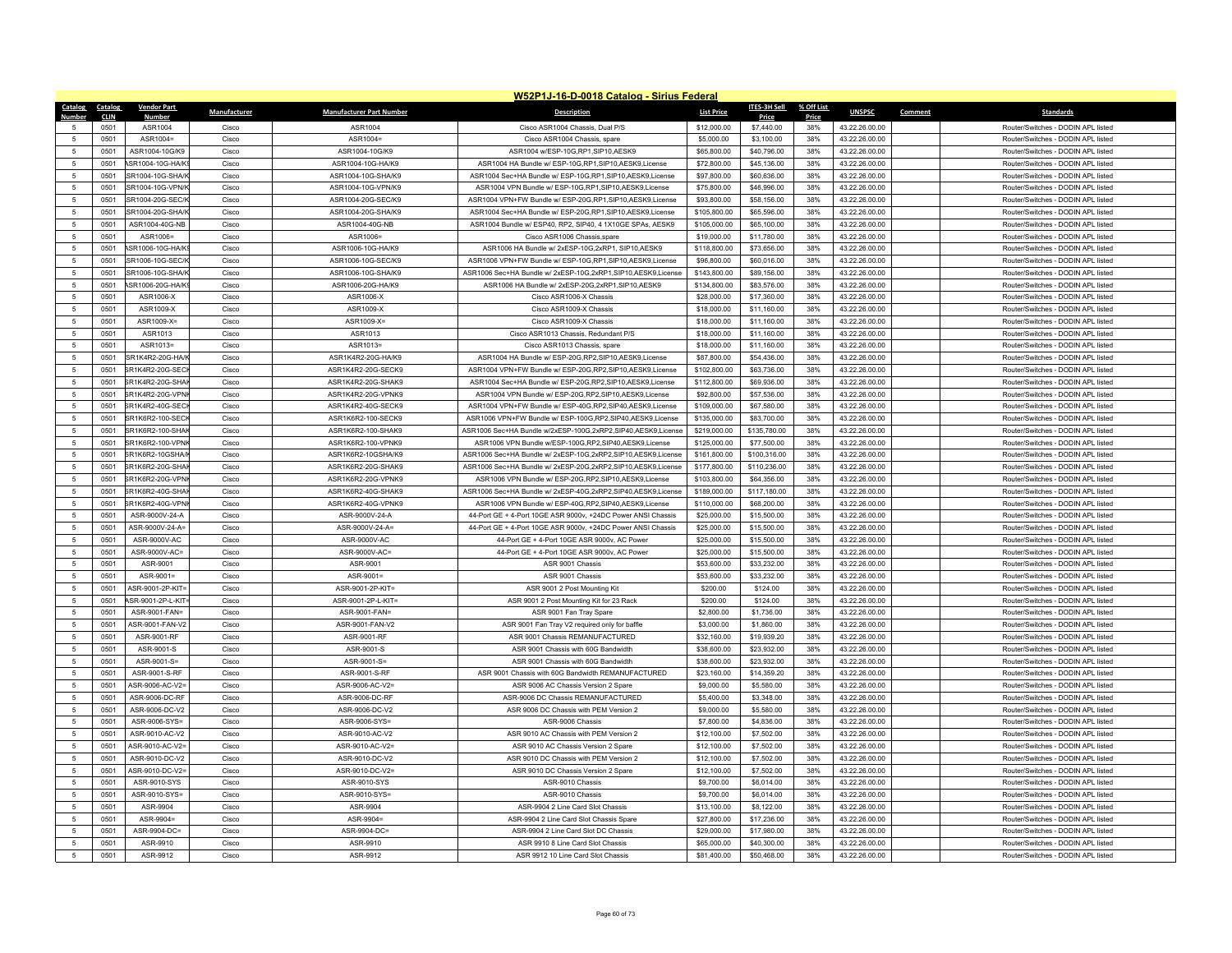|                     |              |                                   |                |                                   | W52P1J-16-D-0018 Catalog - Sirius Federal                                     |                            |                          |              |                                  |                                                                          |
|---------------------|--------------|-----------------------------------|----------------|-----------------------------------|-------------------------------------------------------------------------------|----------------------------|--------------------------|--------------|----------------------------------|--------------------------------------------------------------------------|
| Catalog             | Catalog      | <b>Vendor Part</b>                | Manufacturer   | <b>Manufacturer Part Number</b>   | <b>Description</b>                                                            | <b>List Price</b>          | <b>ITES-3H Sell</b>      | % Off List   | <b>UNSPSC</b>                    | Comment<br><b>Standards</b>                                              |
| 5                   | CLIN<br>0501 | <b>Number</b><br>ASR1004          | Cisco          | ASR1004                           | Cisco ASR1004 Chassis, Dual P/S                                               | \$12,000.00                | Price<br>\$7,440.00      | Price<br>38% | 43.22.26.00.00                   | Router/Switches - DODIN APL listed                                       |
| 5                   | 0501         | ASR1004=                          | Cisco          | ASR1004=                          | Cisco ASR1004 Chassis, spare                                                  | \$5,000.00                 | \$3,100.00               | 38%          | 43.22.26.00.00                   | Router/Switches - DODIN APL listed                                       |
| 5                   | 0501         | ASR1004-10G/K9                    | Cisco          | ASR1004-10G/K9                    | ASR1004 w/ESP-10G,RP1,SIP10,AESK9                                             | \$65,800.00                | \$40,796.00              | 38%          | 43.22.26.00.00                   | Router/Switches - DODIN API listed                                       |
| $5\phantom{.0}$     | 0501         | ASR1004-10G-HA/K!                 | Cisco          | ASR1004-10G-HA/K9                 | ASR1004 HA Bundle w/ ESP-10G,RP1,SIP10,AESK9,License                          | \$72,800.00                | \$45,136.00              | 38%          | 43.22.26.00.00                   | Router/Switches - DODIN APL listed                                       |
| 5                   | 0501         | SR1004-10G-SHA/K                  | Cisco          | ASR1004-10G-SHA/K9                | ASR1004 Sec+HA Bundle w/ ESP-10G, RP1, SIP10, AESK9, License                  | \$97,800.00                | \$60,636.00              | 38%          | 43.22.26.00.00                   | Router/Switches - DODIN APL listed                                       |
| $\sqrt{5}$          | 0501         | SR1004-10G-VPN/                   | Cisco          | ASR1004-10G-VPN/K9                | ASR1004 VPN Bundle w/ ESP-10G,RP1,SIP10,AESK9,License                         | \$75,800.00                | \$46,996.00              | 38%          | 43.22.26.00.00                   | Router/Switches - DODIN APL listed                                       |
| 5                   | 0501         | SR1004-20G-SEC/K                  | Cisco          | ASR1004-20G-SEC/K9                | ASR1004 VPN+FW Bundle w/ ESP-20G,RP1,SIP10,AESK9,License                      | \$93,800.00                | \$58,156.00              | 38%          | 43.22.26.00.00                   | Router/Switches - DODIN APL listed                                       |
| 5                   | 0501         | SR1004-20G-SHA/K                  | Cisco          | ASR1004-20G-SHA/K9                | ASR1004 Sec+HA Bundle w/ ESP-20G, RP1, SIP10, AESK9, License                  | \$105,800.00               | \$65,596.00              | 38%          | 43.22.26.00.00                   | Router/Switches - DODIN APL listed                                       |
| $\sqrt{5}$          | 0501         | ASR1004-40G-NB                    | Cisco          | ASR1004-40G-NB                    | ASR1004 Bundle w/ ESP40, RP2, SIP40, 4 1X10GE SPAs, AESK9                     | \$105,000.00               | \$65,100.00              | 38%          | 43.22.26.00.00                   | Router/Switches - DODIN API listed                                       |
| 5                   | 0501         | ASR1006=                          | Cisco          | ASR1006=                          | Cisco ASR1006 Chassis spare                                                   | \$19,000.00                | \$11,780.00              | 38%          | 43.22.26.00.00                   | Router/Switches - DODIN APL listed                                       |
| 5                   | 0501         | ASR1006-10G-HA/K!                 | Cisco          | ASR1006-10G-HA/K9                 | ASR1006 HA Bundle w/ 2xESP-10G,2xRP1, SIP10,AESK9                             | \$118,800.00               | \$73,656.00              | 38%          | 43.22.26.00.00                   | Router/Switches - DODIN API listed                                       |
| $\sqrt{5}$          | 0501         | SR1006-10G-SEC/K                  | Cisco          | ASR1006-10G-SEC/K9                | ASR1006 VPN+FW Bundle w/ ESP-10G,RP1,SIP10,AESK9,License                      | \$96,800.00                | \$60,016.00              | 38%          | 43.22.26.00.00                   | Router/Switches - DODIN APL listed                                       |
| 5                   | 0501         | SR1006-10G-SHA/K                  | Cisco          | ASR1006-10G-SHA/K9                | ASR1006 Sec+HA Bundle w/ 2xESP-10G,2xRP1,SIP10,AESK9,License                  | \$143,800.00               | \$89,156.00              | 38%          | 43.22.26.00.00                   | Router/Switches - DODIN API listed                                       |
| 5                   | 0501         | <b>ASR1006-20G-HA/K</b>           | Cisco          | ASR1006-20G-HA/K9                 | ASR1006 HA Bundle w/ 2xESP-20G,2xRP1,SIP10,AESK9                              | \$134,800.00               | \$83,576.00              | 38%          | 43.22.26.00.00                   | Router/Switches - DODIN APL listed                                       |
| $5\phantom{.0}$     | 0501         | ASR1006-X                         | Cisco          | ASR1006-X                         | Cisco ASR1006-X Chassis                                                       | \$28,000.00                | \$17,360.00              | 38%          | 43.22.26.00.00                   | Router/Switches - DODIN APL listed                                       |
| $\overline{5}$      | 0501         | ASR1009-X                         | Cisco          | ASR1009-X                         | Cisco ASR1009-X Chassis                                                       | \$18,000.00                | \$11,160.00              | 38%          | 43.22.26.00.00                   | Router/Switches - DODIN APL listed                                       |
| 5                   | 0501         | ASR1009-X=                        | Cisco          | ASR1009-X=                        | Cisco ASR1009-X Chassis                                                       | \$18,000.00                | \$11,160.00              | 38%          | 43.22.26.00.00                   | Router/Switches - DODIN API listed                                       |
| 5                   | 0501         | ASR1013                           | Cisco          | ASR1013                           | Cisco ASR1013 Chassis, Redundant P/S                                          | \$18,000.00                | \$11,160.00              | 38%          | 43.22.26.00.00                   | Router/Switches - DODIN APL listed                                       |
| $\overline{5}$      | 0501         | ASR1013=                          | Cisco          | ASR1013=                          | Cisco ASR1013 Chassis, spare                                                  | \$18,000.00                | \$11,160.00              | 38%          | 43.22.26.00.00                   | Router/Switches - DODIN API listed                                       |
| 5                   | 0501         | SR1K4R2-20G-HA/K                  | Cisco          | ASR1K4R2-20G-HA/K9                | ASR1004 HA Bundle w/ ESP-20G,RP2,SIP10,AESK9,License                          | \$87,800.00                | \$54,436.00              | 38%          | 43.22.26.00.00                   | Router/Switches - DODIN APL listed                                       |
| 5                   | 0501         | SR1K4R2-20G-SECI                  | Cisco          | ASR1K4R2-20G-SECK9                | ASR1004 VPN+FW Bundle w/ ESP-20G,RP2,SIP10,AESK9,License                      | \$102,800.00               | \$63,736.00              | 38%          | 43.22.26.00.00                   | Router/Switches - DODIN APL listed                                       |
| $\overline{5}$      | 0501         | SR1K4R2-20G-SHA                   | Cisco          | ASR1K4R2-20G-SHAK9                | ASR1004 Sec+HA Bundle w/ ESP-20G,RP2,SIP10,AESK9,License                      | \$112,800.00               | \$69,936.00              | 38%          | 43.22.26.00.00                   | Router/Switches - DODIN API listed                                       |
| 5                   | 0501         | SR1K4R2-20G-VPN                   | Cisco          | ASR1K4R2-20G-VPNK9                | ASR1004 VPN Bundle w/ ESP-20G,RP2,SIP10,AESK9,License                         | \$92,800.00                | \$57,536.00              | 38%          | 43.22.26.00.00                   | Router/Switches - DODIN APL listed                                       |
| 5                   | 0501         | SR1K4R2-40G-SEC                   | Cisco          | ASR1K4R2-40G-SECK9                | ASR1004 VPN+FW Bundle w/ ESP-40G,RP2,SIP40,AESK9,License                      | \$109,000.00               | \$67,580.00              | 38%          | 43.22.26.00.00                   | Router/Switches - DODIN APL listed                                       |
| 5                   | 0501         | SR1K6R2-100-SECI                  | Cisco          | ASR1K6R2-100-SECK9                | ASR1006 VPN+FW Bundle w/ ESP-100G,RP2,SIP40,AESK9,License                     | \$135,000.00               | \$83,700.00              | 38%          | 43.22.26.00.00                   | Router/Switches - DODIN APL listed                                       |
| 5                   | 0501         | SR1K6R2-100-SHAI                  | Cisco          | ASR1K6R2-100-SHAK9                | ASR1006 Sec+HA Bundle w/2xFSP-100G 2xRP2 SIP40 AFSK9 License                  | \$219,000.00               | \$135,780.00             | 38%          | 43.22.26.00.00                   | Router/Switches - DODIN API listed                                       |
| $5\phantom{.0}$     | 0501         | SR1K6R2-100-VPNI                  | Cisco          | ASR1K6R2-100-VPNK9                | ASR1006 VPN Bundle w/ESP-100G,RP2,SIP40,AESK9,License                         | \$125,000.00               | \$77,500.00              | 38%          | 43.22.26.00.00                   | Router/Switches - DODIN APL listed                                       |
| 5                   | 0501         | SR1K6R2-10GSHA/                   | Cisco          | ASR1K6R2-10GSHA/K9                | ASR1006 Sec+HA Bundle w/ 2xESP-10G,2xRP2,SIP10,AESK9,License                  | \$161,800.00               | \$100,316.00             | 38%          | 43.22.26.00.00                   | Router/Switches - DODIN APL listed                                       |
| -5                  | 0501         | SR1K6R2-20G-SHA                   | Cisco          | ASR1K6R2-20G-SHAK9                | ASR1006 Sec+HA Bundle w/ 2xESP-20G,2xRP2,SIP10,AESK9,License                  | \$177,800.00               | \$110,236.00             | 38%          | 43.22.26.00.00                   | Router/Switches - DODIN API listed                                       |
| $\sqrt{5}$          | 0501         | SR1K6R2-20G-VPNI                  | Cisco          | ASR1K6R2-20G-VPNK9                | ASR1006 VPN Bundle w/ ESP-20G,RP2,SIP10,AESK9,License                         | \$103,800.00               | \$64,356.00              | 38%          | 43.22.26.00.00                   | Router/Switches - DODIN APL listed                                       |
| 5                   | 0501         | SR1K6R2-40G-SHA                   | Cisco          | ASR1K6R2-40G-SHAK9                | ASR1006 Sec+HA Bundle w/ 2xESP-40G,2xRP2,SIP40,AESK9,License                  | \$189,000.00               | \$117,180.00             | 38%          | 43.22.26.00.00                   | Router/Switches - DODIN APL listed                                       |
| -5                  | 0501         | SR1K6R2-40G-VPN                   | Cisco          | ASR1K6R2-40G-VPNK9                | ASR1006 VPN Bundle w/ ESP-40G.RP2.SIP40.AESK9.License                         | \$110,000.00               | \$68,200.00              | 38%          | 43.22.26.00.00                   | Router/Switches - DODIN API listed                                       |
| $\sqrt{5}$          | 0501         | ASR-9000V-24-A                    | Cisco          | ASR-9000V-24-A                    | 44-Port GE + 4-Port 10GE ASR 9000v, +24DC Power ANSI Chassis                  | \$25,000.00                | \$15,500.00              | 38%          | 43.22.26.00.00                   | Router/Switches - DODIN API listed                                       |
| $\sqrt{5}$          | 0501         | ASR-9000V-24-A=                   | Cisco          | ASR-9000V-24-A=                   | 44-Port GE + 4-Port 10GE ASR 9000v, +24DC Power ANSI Chassis                  | \$25,000.00                | \$15,500.00              | 38%          | 43.22.26.00.00                   | Router/Switches - DODIN APL listed                                       |
| 5                   | 0501         | ASR-9000V-AC                      | Cisco          | ASR-9000V-AC                      | 44-Port GE + 4-Port 10GE ASR 9000v, AC Power                                  | \$25,000.00                | \$15,500.00              | 38%          | 43.22.26.00.00                   | Router/Switches - DODIN API listed                                       |
| 5                   | 0501         | ASR-9000V-AC=                     | Cisco          | ASR-9000V-AC=                     | 44-Port GE + 4-Port 10GE ASR 9000v, AC Power                                  | \$25,000.00                | \$15,500.00              | 38%          | 43.22.26.00.00                   | Router/Switches - DODIN APL listed                                       |
| 5                   | 0501         | ASR-9001                          | Cisco          | ASR-9001                          | ASR 9001 Chassis                                                              | \$53,600.00                | \$33,232.00              | 38%          | 43.22.26.00.00                   | Router/Switches - DODIN APL listed                                       |
| $\overline{5}$      | 0501         | $ASR-9001=$                       | Cisco          | ASR-9001=                         | ASR 9001 Chassis                                                              | \$53,600.00                | \$33,232.00              | 38%          | 43.22.26.00.00                   | Router/Switches - DODIN API listed                                       |
| $\overline{5}$      | 0501         | ASR-9001-2P-KIT=                  | Cisco          | ASR-9001-2P-KIT=                  | ASR 9001 2 Post Mounting Kit                                                  | \$200.00                   | \$124.00                 | 38%          | 43.22.26.00.00                   | Router/Switches - DODIN API listed                                       |
| 5                   | 0501         | ASR-9001-2P-L-KIT                 | Cisco          | ASR-9001-2P-L-KIT=                | ASR 9001 2 Post Mounting Kit for 23 Rack                                      | \$200.00                   | \$124.00                 | 38%          | 43.22.26.00.00                   | Router/Switches - DODIN API listed                                       |
| $\,$ 5 $\,$         | 0501         | ASR-9001-FAN=                     | Cisco          | ASR-9001-FAN=                     | ASR 9001 Fan Tray Spare                                                       | \$2,800.00                 | \$1,736.00               | 38%          | 43.22.26.00.00                   | Router/Switches - DODIN APL listed                                       |
| 5                   | 0501         | ASR-9001-FAN-V2                   | Cisco          | ASR-9001-FAN-V2                   | ASR 9001 Fan Tray V2 required only for baffle                                 | \$3,000.00                 | \$1,860.00               | 38%          | 43.22.26.00.00                   | Router/Switches - DODIN APL listed                                       |
| 5                   | 0501         | ASR-9001-RF                       | Cisco          | ASR-9001-RF                       | ASR 9001 Chassis REMANUFACTURED                                               | \$32,160.00                | \$19,939.20              | 38%          | 43.22.26.00.00                   | Router/Switches - DODIN APL listed                                       |
| $5\phantom{.0}$     | 0501         | ASR-9001-S                        | Cisco          | ASR-9001-S                        | ASR 9001 Chassis with 60G Bandwidth                                           | \$38,600.00                | \$23,932.00              | 38%          | 43.22.26.00.00                   | Router/Switches - DODIN APL listed                                       |
| 5                   | 0501         | ASR-9001-S=                       | Cisco          | ASR-9001-S=                       | ASR 9001 Chassis with 60G Bandwidth                                           | \$38,600.00                | \$23,932.00              | 38%          | 43.22.26.00.00                   | Router/Switches - DODIN APL listed                                       |
| 5                   | 0501         | ASR-9001-S-RF                     | Cisco          | ASR-9001-S-RF                     | ASR 9001 Chassis with 60G Bandwidth REMANUFACTURED                            | \$23,160.00                | \$14,359.20              | 38%          | 43.22.26.00.00                   | Router/Switches - DODIN APL listed                                       |
| $\sqrt{5}$<br>5     | 0501         | ASR-9006-AC-V2=<br>ASR-9006-DC-RF | Cisco          | ASR-9006-AC-V2=<br>ASR-9006-DC-RF | ASR 9006 AC Chassis Version 2 Spare                                           | \$9,000.00                 | \$5,580.00               | 38%          | 43.22.26.00.00                   | Router/Switches - DODIN APL listed<br>Router/Switches - DODIN API listed |
|                     | 0501         | ASR-9006-DC-V2                    | Cisco          |                                   | ASR-9006 DC Chassis REMANUFACTURED                                            | \$5,400.00                 | \$3,348.00               | 38%          | 43.22.26.00.00                   | Router/Switches - DODIN API listed                                       |
| 5                   | 0501         |                                   | Cisco          | ASR-9006-DC-V2                    | ASR 9006 DC Chassis with PEM Version 2                                        | \$9,000.00                 | \$5,580.00               | 38%          | 43.22.26.00.00                   |                                                                          |
| 5<br>$\overline{5}$ | 0501         | ASR-9006-SYS=<br>ASR-9010-AC-V2   | Cisco          | ASR-9006-SYS=                     | ASR-9006 Chassis                                                              | \$7,800.00                 | \$4,836.00               | 38%          | 43.22.26.00.00                   | Router/Switches - DODIN APL listed                                       |
| 5                   | 0501<br>0501 | ASR-9010-AC-V2=                   | Cisco<br>Cisco | ASR-9010-AC-V2<br>ASR-9010-AC-V2= | ASR 9010 AC Chassis with PEM Version 2<br>ASR 9010 AC Chassis Version 2 Spare | \$12,100.00<br>\$12,100.00 | \$7,502.00<br>\$7,502.00 | 38%<br>38%   | 43.22.26.00.00<br>43.22.26.00.00 | Router/Switches - DODIN APL listed<br>Router/Switches - DODIN APL listed |
| 5                   | 0501         | ASR-9010-DC-V2                    | Cisco          | ASR-9010-DC-V2                    | ASR 9010 DC Chassis with PEM Version 2                                        | \$12,100.00                | \$7,502.00               | 38%          | 43.22.26.00.00                   | Router/Switches - DODIN APL listed                                       |
| 5                   | 0501         | ASR-9010-DC-V2=                   | Cisco          |                                   | ASR 9010 DC Chassis Version 2 Spare                                           |                            |                          | 38%          | 43.22.26.00.00                   | Router/Switches - DODIN APL listed                                       |
| 5                   | 0501         | ASR-9010-SYS                      | Cisco          | ASR-9010-DC-V2=<br>ASR-9010-SYS   | ASR-9010 Chassis                                                              | \$12,100.00<br>\$9,700.00  | \$7,502.00<br>\$6,014.00 | 38%          | 43.22.26.00.00                   | Router/Switches - DODIN API listed                                       |
| $\sqrt{5}$          | 0501         | ASR-9010-SYS=                     | Cisco          | ASR-9010-SYS=                     | ASR-9010 Chassis                                                              | \$9,700.00                 | \$6,014.00               | 38%          | 43.22.26.00.00                   | Router/Switches - DODIN APL listed                                       |
| $\sqrt{5}$          | 0501         | ASR-9904                          | Cisco          | ASR-9904                          | ASR-9904 2 Line Card Slot Chassis                                             | \$13,100.00                | \$8,122.00               | 38%          | 43.22.26.00.00                   | Router/Switches - DODIN APL listed                                       |
| -5                  | 0501         | ASR-9904=                         | Cisco          | ASR-9904=                         | ASR-9904 2 Line Card Slot Chassis Spare                                       | \$27,800.00                | \$17,236.00              | 38%          | 43.22.26.00.00                   | Router/Switches - DODIN APL listed                                       |
| $\sqrt{5}$          | 0501         | ASR-9904-DC=                      | Cisco          | ASR-9904-DC=                      | ASR-9904 2 Line Card Slot DC Chassis                                          | \$29,000.00                | \$17,980.00              | 38%          | 43.22.26.00.00                   | Router/Switches - DODIN API listed                                       |
| 5                   | 0501         | ASR-9910                          | Cisco          | ASR-9910                          | ASR 9910 8 Line Card Slot Chassis                                             | \$65,000.00                | \$40,300.00              | 38%          | 43.22.26.00.00                   | Router/Switches - DODIN APL listed                                       |
| 5                   | 0501         | ASR-9912                          | Cisco          | ASR-9912                          | ASR 9912 10 Line Card Slot Chassis                                            | \$81,400.00                | \$50,468.00              | 38%          | 43.22.26.00.00                   | Router/Switches - DODIN APL listed                                       |
|                     |              |                                   |                |                                   |                                                                               |                            |                          |              |                                  |                                                                          |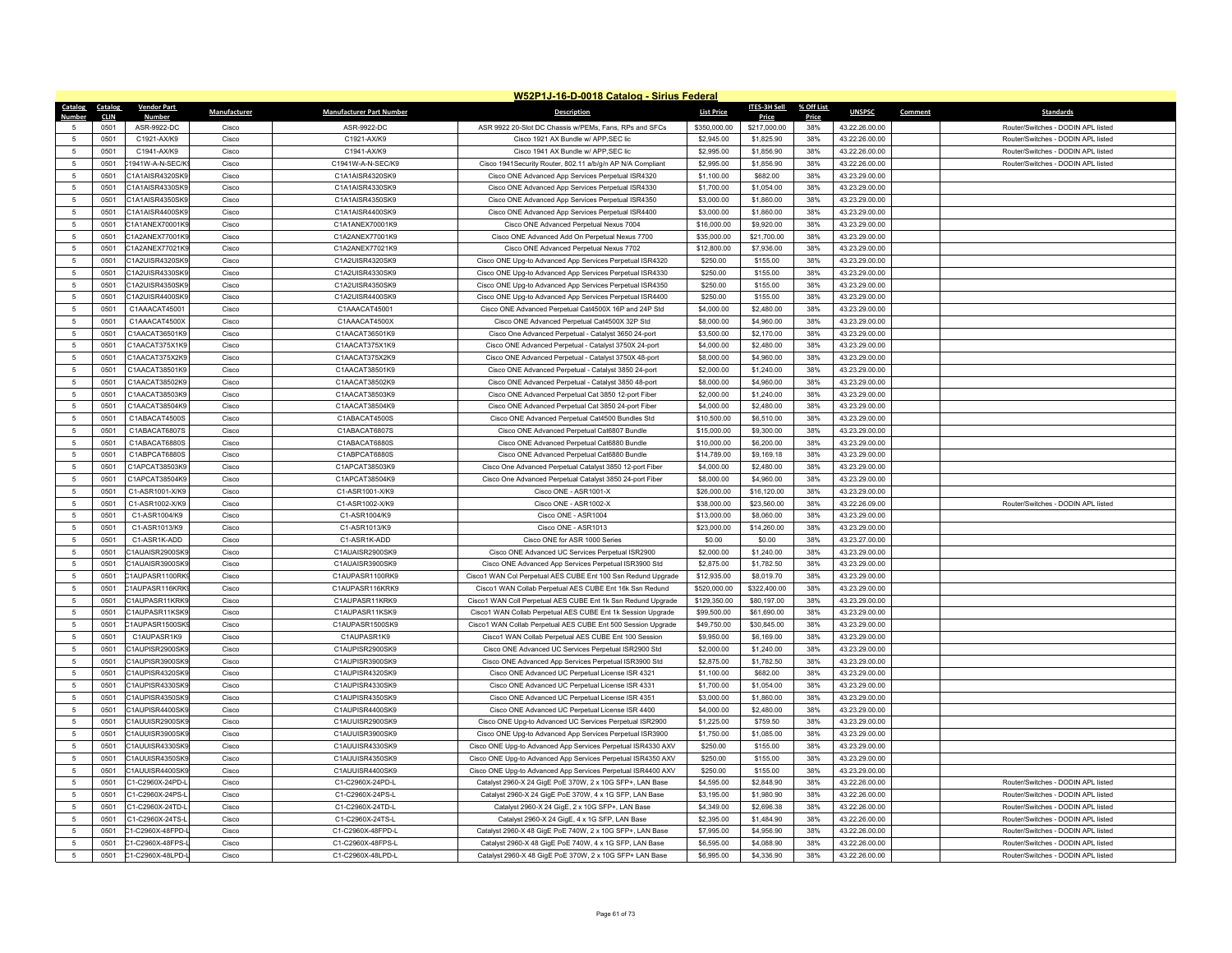|                          |              |                                    |                |                                    | W52P1J-16-D-0018 Catalog - Sirius Federal                                                                     |                           |                        |            |                                  |                                    |
|--------------------------|--------------|------------------------------------|----------------|------------------------------------|---------------------------------------------------------------------------------------------------------------|---------------------------|------------------------|------------|----------------------------------|------------------------------------|
| Catalog                  | Catalog      | <b>Vendor Part</b>                 | Manufacturer   | <b>Manufacturer Part Number</b>    | <b>Description</b>                                                                                            | <b>List Price</b>         | <b>ITES-3H Sell</b>    | % Off List | <b>UNSPSC</b>                    | Comment<br><b>Standards</b>        |
| Numh                     | <b>CLIN</b>  | <b>Numbe</b>                       |                |                                    |                                                                                                               |                           | Price                  | Price      |                                  |                                    |
|                          | 0501         | ASR-9922-DC                        | Cisco          | ASR-9922-DC                        | ASR 9922 20-Slot DC Chassis w/PEMs, Fans, RPs and SFCs                                                        | \$350,000.00              | \$217,000.00           | 38%        | 43.22.26.00.00                   | Router/Switches - DODIN APL listed |
| 5                        | 0501         | C1921-AX/K9                        | Cisco          | C1921-AX/K9                        | Cisco 1921 AX Bundle w/ APP, SEC lic                                                                          | \$2,945.00                | \$1,825.90             | 38%        | 43.22.26.00.00                   | Router/Switches - DODIN APL listed |
| 5                        | 0501         | C1941-AX/K9                        | Cisco          | C1941-AX/K9                        | Cisco 1941 AX Bundle w/ APP.SEC lic                                                                           | \$2,995.00                | \$1,856.90             | 38%        | 43.22.26.00.00                   | Router/Switches - DODIN API listed |
| $\sqrt{5}$               | 0501         | 1941W-A-N-SEC/K                    | Cisco          | C1941W-A-N-SEC/K9                  | Cisco 1941Security Router, 802.11 a/b/g/n AP N/A Compliant                                                    | \$2,995.00                | \$1,856.90             | 38%        | 43.22.26.00.00                   | Router/Switches - DODIN APL listed |
| $\sqrt{5}$               | 0501         | C1A1AISR4320SK9                    | Cisco          | C1A1AISR4320SK9                    | Cisco ONE Advanced App Services Perpetual ISR4320                                                             | \$1,100.00                | \$682.00               | 38%        | 43.23.29.00.00                   |                                    |
| 5                        | 0501         | C1A1AISR4330SK9                    | Cisco          | C1A1AISR4330SK9                    | Cisco ONE Advanced App Services Perpetual ISR4330                                                             | \$1,700.00                | \$1,054.00             | 38%        | 43.23.29.00.00                   |                                    |
| $\sqrt{5}$               | 0501         | C1A1AISR4350SK9                    | Cisco          | C1A1AISR4350SK9                    | Cisco ONE Advanced App Services Perpetual ISR4350                                                             | \$3,000.00                | \$1,860.00             | 38%        | 43.23.29.00.00                   |                                    |
| 5                        | 0501         | C1A1AISR4400SK9                    | Cisco          | C1A1AISR4400SK9                    | Cisco ONE Advanced App Services Perpetual ISR4400                                                             | \$3,000.00                | \$1,860.00             | 38%        | 43.23.29.00.00                   |                                    |
| $\sqrt{5}$               | 0501         | C1A1ANEX70001K9                    | Cisco          | C1A1ANEX70001K9                    | Cisco ONE Advanced Perpetual Nexus 7004                                                                       | \$16,000.00               | \$9,920.00             | 38%        | 43.23.29.00.00                   |                                    |
| $\overline{5}$           | 0501         | C1A2ANEX77001K9                    | Cisco          | C1A2ANEX77001K9                    | Cisco ONE Advanced Add On Perpetual Nexus 7700                                                                | \$35,000.00               | \$21,700.00            | 38%        | 43.23.29.00.00                   |                                    |
| 5                        | 0501         | C1A2ANEX77021K9                    | Cisco          | C1A2ANEX77021K9                    | Cisco ONE Advanced Perpetual Nexus 7702                                                                       | \$12,800.00               | \$7,936.00             | 38%        | 43.23.29.00.00                   |                                    |
| $\sqrt{5}$               | 0501         | C1A2UISR4320SK9                    | Cisco          | C1A2UISR4320SK9                    | Cisco ONE Upg-to Advanced App Services Perpetual ISR4320                                                      | \$250.00                  | \$155.00               | 38%        | 43.23.29.00.00                   |                                    |
| 5                        | 0501         | C1A2UISR4330SK9                    | Cisco          | C1A2UISR4330SK9                    | Cisco ONE Upg-to Advanced App Services Perpetual ISR4330                                                      | \$250.00                  | \$155.00               | 38%        | 43.23.29.00.00                   |                                    |
| 5                        | 0501         | C1A2UISR4350SK9                    | Cisco          | C1A2UISR4350SK9                    | Cisco ONE Upg-to Advanced App Services Perpetual ISR4350                                                      | \$250.00                  | \$155.00               | 38%        | 43.23.29.00.00                   |                                    |
| $5\phantom{.0}$          | 0501         | C1A2UISR4400SK9                    | Cisco          | C1A2UISR4400SK9                    | Cisco ONE Upg-to Advanced App Services Perpetual ISR4400                                                      | \$250.00                  | \$155.00               | 38%        | 43.23.29.00.00                   |                                    |
| $\overline{5}$           | 0501         | C1AAACAT45001                      | Cisco          | C1AAACAT45001                      | Cisco ONE Advanced Perpetual Cat4500X 16P and 24P Std                                                         | \$4,000.00                | \$2,480.00             | 38%        | 43.23.29.00.00                   |                                    |
| $\sqrt{5}$               | 0501         | C1AAACAT4500X                      | Cisco          | C1AAACAT4500X                      | Cisco ONE Advanced Perpetual Cat4500X 32P Std                                                                 | \$8,000.00                | \$4,960.00             | 38%        | 43.23.29.00.00                   |                                    |
| $5\phantom{.0}$          | 0501         | C1AACAT36501K9                     | Cisco          | C1AACAT36501K9                     | Cisco One Advanced Perpetual - Catalyst 3650 24-port                                                          | \$3,500.00                | \$2,170.00             | 38%        | 43.23.29.00.00                   |                                    |
| 5                        | 0501         | C1AACAT375X1K9                     | Cisco          | C1AACAT375X1K9                     | Cisco ONE Advanced Perpetual - Catalyst 3750X 24-port                                                         | \$4,000.00                | \$2,480.00             | 38%        | 43.23.29.00.00                   |                                    |
| 5                        | 0501         | C1AACAT375X2K9                     | Cisco          | C1AACAT375X2K9                     | Cisco ONE Advanced Perpetual - Catalyst 3750X 48-port                                                         | \$8,000.00                | \$4,960.00             | 38%        | 43.23.29.00.00                   |                                    |
| 5                        | 0501         | C1AACAT38501K9                     | Cisco          | C1AACAT38501K9                     | Cisco ONE Advanced Perpetual - Catalyst 3850 24-port                                                          | \$2,000.00                | \$1,240.00             | 38%        | 43.23.29.00.00                   |                                    |
| $\sqrt{5}$               | 0501         | C1AACAT38502K9                     | Cisco          | C1AACAT38502K9                     | Cisco ONE Advanced Perpetual - Catalyst 3850 48-port                                                          | \$8,000.00                | \$4,960.00             | 38%        | 43.23.29.00.00                   |                                    |
| 5                        | 0501         | C1AACAT38503K9                     | Cisco          | C1AACAT38503K9                     | Cisco ONE Advanced Perpetual Cat 3850 12-port Fiber                                                           | \$2,000.00                | \$1,240.00             | 38%        | 43.23.29.00.00                   |                                    |
| $\sqrt{5}$               | 0501         | C1AACAT38504K9                     | Cisco          | C1AACAT38504K9                     | Cisco ONE Advanced Perpetual Cat 3850 24-port Fiber                                                           | \$4,000.00                | \$2,480.00             | 38%        | 43.23.29.00.00                   |                                    |
| $\sqrt{5}$               | 0501         | C1ABACAT4500S                      | Cisco          | C1ABACAT4500S                      | Cisco ONE Advanced Perpetual Cat4500 Bundles Std                                                              | \$10,500.00               | \$6,510.00             | 38%        | 43.23.29.00.00                   |                                    |
| 5                        | 0501         | C1ABACAT6807S                      | Cisco          | C1ABACAT6807S                      | Cisco ONE Advanced Perpetual Cat6807 Bundle                                                                   | \$15,000.00               | \$9,300.00             | 38%        | 43.23.29.00.00                   |                                    |
| 5                        | 0501         | C1ABACAT6880S                      | Cisco          | C1ABACAT6880S                      | Cisco ONE Advanced Perpetual Cat6880 Bundle                                                                   | \$10,000.00               | \$6,200.00             | 38%        | 43.23.29.00.00                   |                                    |
| 5                        | 0501         | C1ABPCAT6880S                      | Cisco          | C1ABPCAT6880S                      | Cisco ONE Advanced Perpetual Cat6880 Bundle                                                                   | \$14,789.00               | \$9,169.18             | 38%        | 43.23.29.00.00                   |                                    |
| $\sqrt{5}$               | 0501         | C1APCAT38503K9                     | Cisco          | C1APCAT38503K9                     | Cisco One Advanced Perpetual Catalyst 3850 12-port Fiber                                                      | \$4,000.00                | \$2,480.00             | 38%        | 43.23.29.00.00                   |                                    |
| 5                        | 0501         | C1APCAT38504K9                     | Cisco          | C1APCAT38504K9                     | Cisco One Advanced Perpetual Catalyst 3850 24-port Fiber                                                      | \$8,000.00                | \$4,960.00             | 38%        | 43.23.29.00.00                   |                                    |
| $\sqrt{5}$               | 0501         | C1-ASR1001-X/K9                    | Cisco          | C1-ASR1001-X/K9                    | Cisco ONE - ASR1001-X                                                                                         | \$26,000.00               | \$16,120.00            | 38%        | 43.23.29.00.00                   |                                    |
| $\sqrt{5}$               | 0501         | C1-ASR1002-X/K9                    | Cisco          | C1-ASR1002-X/K9                    | Cisco ONE - ASR1002-X                                                                                         | \$38,000.00               | \$23,560.00            | 38%        | 43.22.26.09.00                   | Router/Switches - DODIN APL listed |
| 5                        | 0501         | C1-ASR1004/K9                      | Cisco          | C1-ASR1004/K9                      | Cisco ONE - ASR1004                                                                                           | \$13,000.00               | \$8,060.00             | 38%        | 43.23.29.00.00                   |                                    |
| $\sqrt{5}$               | 0501         | C1-ASR1013/K9                      | Cisco          | C1-ASR1013/K9                      | Cisco ONE - ASR1013                                                                                           | \$23,000.00               | \$14,260.00            | 38%        | 43.23.29.00.00                   |                                    |
| 5                        | 0501         | C1-ASR1K-ADD                       | Cisco          | C1-ASR1K-ADD                       | Cisco ONE for ASR 1000 Series                                                                                 | \$0.00                    | \$0.00                 | 38%        | 43.23.27.00.00                   |                                    |
| 5                        | 0501         | C1AUAISR2900SK9                    | Cisco          | C1AUAISR2900SK9                    | Cisco ONE Advanced UC Services Perpetual ISR2900                                                              | \$2,000.00                | \$1,240.00             | 38%        | 43.23.29.00.00                   |                                    |
| $\sqrt{5}$               | 0501         | C1AUAISR3900SK9                    | Cisco          | C1AUAISR3900SK9                    | Cisco ONE Advanced App Services Perpetual ISR3900 Std                                                         | \$2,875.00                | \$1,782.50             | 38%        | 43.23.29.00.00                   |                                    |
| $5\phantom{.0}$          | 0501         | C1AUPASR1100RK                     | Cisco          | C1AUPASR1100RK9                    | Cisco1 WAN Col Perpetual AES CUBE Ent 100 Ssn Redund Upgrade                                                  | \$12,935.00               | \$8,019.70             | 38%        | 43.23.29.00.00                   |                                    |
| $\sqrt{5}$               | 0501         | 1AUPASR116KRK                      | Cisco          | C1AUPASR116KRK9                    | Cisco1 WAN Collab Perpetual AES CUBE Ent 16k Ssn Redund                                                       | \$520,000.00              | \$322,400.00           | 38%        | 43.23.29.00.00                   |                                    |
| 5                        | 0501         | C1AUPASR11KRK9                     | Cisco          | C1AUPASR11KRK9                     | Cisco1 WAN Coll Perpetual AES CUBE Ent 1k Ssn Redund Upgrade                                                  | \$129,350.00              | \$80,197.00            | 38%        | 43.23.29.00.00                   |                                    |
| $\sqrt{5}$               | 0501         | C1AUPASR11KSK9                     | Cisco          | C1AUPASR11KSK9                     | Cisco1 WAN Collab Perpetual AES CUBE Ent 1k Session Upgrade                                                   | \$99,500.00               | \$61,690.00            | 38%        | 43.23.29.00.00                   |                                    |
| 5                        | 0501<br>0501 | C1AUPASR1500SK<br>C1AUPASR1K9      | Cisco          | C1AUPASR1500SK9<br>C1AUPASR1K9     | Cisco1 WAN Collab Perpetual AES CUBE Ent 500 Session Upgrade                                                  | \$49,750.00<br>\$9,950.00 | \$30,845.00            | 38%        | 43.23.29.00.00                   |                                    |
| -5                       |              |                                    | Cisco          |                                    | Cisco1 WAN Collab Perpetual AES CUBE Ent 100 Session                                                          |                           | \$6,169.00             | 38%        | 43.23.29.00.00                   |                                    |
| $\sqrt{5}$<br>$\sqrt{5}$ | 0501<br>0501 | C1AUPISR2900SK9<br>C1AUPISR3900SK9 | Cisco<br>Cisco | C1AUPISR2900SK9<br>C1AUPISR3900SK9 | Cisco ONE Advanced UC Services Perpetual ISR2900 Std<br>Cisco ONE Advanced App Services Perpetual ISR3900 Std | \$2,000.00<br>\$2,875.00  | \$1,240.00             | 38%<br>38% | 43.23.29.00.00<br>43.23.29.00.00 |                                    |
|                          | 0501         | C1AUPISR4320SK9                    | Cisco          | C1AUPISR4320SK9                    |                                                                                                               |                           | \$1,782.50<br>\$682.00 | 38%        | 43.23.29.00.00                   |                                    |
| $\sqrt{5}$<br>$\sqrt{5}$ | 0501         | C1AUPISR4330SK9                    | Cisco          | C1AUPISR4330SK9                    | Cisco ONE Advanced UC Perpetual License ISR 4321<br>Cisco ONE Advanced UC Perpetual License ISR 4331          | \$1,100.00<br>\$1,700.00  | \$1,054.00             | 38%        | 43.23.29.00.00                   |                                    |
| 5                        | 0501         | C1AUPISR4350SK9                    | Cisco          | C1AUPISR4350SK9                    | Cisco ONE Advanced UC Perpetual License ISR 4351                                                              | \$3,000.00                | \$1,860.00             | 38%        | 43.23.29.00.00                   |                                    |
| $\sqrt{5}$               | 0501         | C1AUPISR4400SK9                    | Cisco          | C1AUPISR4400SK9                    | Cisco ONE Advanced UC Perpetual License ISR 4400                                                              | \$4,000.00                | \$2,480.00             | 38%        | 43.23.29.00.00                   |                                    |
| 5                        | 0501         | C1AUUISR2900SK9                    | Cisco          | C1AUUISR2900SK9                    | Cisco ONE Upg-to Advanced UC Services Perpetual ISR2900                                                       | \$1,225.00                | \$759.50               | 38%        | 43.23.29.00.00                   |                                    |
| $\sqrt{5}$               | 0501         | C1AUUISR3900SK9                    | Cisco          | C1AUUISR3900SK9                    | Cisco ONE Upg-to Advanced App Services Perpetual ISR3900                                                      | \$1,750.00                | \$1,085.00             | 38%        | 43.23.29.00.00                   |                                    |
| $\sqrt{5}$               | 0501         | C1AUUISR4330SK9                    | Cisco          | C1AUUISR4330SK9                    | Cisco ONE Upg-to Advanced App Services Perpetual ISR4330 AXV                                                  | \$250.00                  | \$155.00               | 38%        | 43.23.29.00.00                   |                                    |
| $\sqrt{5}$               | 0501         | C1AUUISR4350SK9                    | Cisco          | C1AUUISR4350SK9                    | Cisco ONE Upg-to Advanced App Services Perpetual ISR4350 AXV                                                  | \$250.00                  | \$155.00               | 38%        | 43.23.29.00.00                   |                                    |
| 5                        | 0501         | C1AUUISR4400SK9                    | Cisco          | C1AUUISR4400SK9                    | Cisco ONE Upg-to Advanced App Services Perpetual ISR4400 AXV                                                  | \$250.00                  | \$155.00               | 38%        | 43.23.29.00.00                   |                                    |
| 5                        | 0501         | C1-C2960X-24PD-L                   | Cisco          | C1-C2960X-24PD-L                   | Catalyst 2960-X 24 GigE PoE 370W, 2 x 10G SFP+, LAN Base                                                      | \$4,595.00                | \$2,848.90             | 38%        | 43.22.26.00.00                   | Router/Switches - DODIN APL listed |
| 5                        | 0501         | C1-C2960X-24PS-L                   | Cisco          | C1-C2960X-24PS-L                   | Catalyst 2960-X 24 GigE PoE 370W, 4 x 1G SFP, LAN Base                                                        | \$3,195.00                | \$1,980.90             | 38%        | 43.22.26.00.00                   | Router/Switches - DODIN APL listed |
| 5                        | 0501         | C1-C2960X-24TD-L                   | Cisco          | C1-C2960X-24TD-L                   | Catalyst 2960-X 24 GigE, 2 x 10G SFP+, LAN Base                                                               | \$4,349.00                | \$2,696.38             | 38%        | 43.22.26.00.00                   | Router/Switches - DODIN APL listed |
| 5                        | 0501         | C1-C2960X-24TS-L                   | Cisco          | C1-C2960X-24TS-L                   | Catalyst 2960-X 24 GigE, 4 x 1G SFP, LAN Base                                                                 | \$2,395.00                | \$1,484.90             | 38%        | 43.22.26.00.00                   | Router/Switches - DODIN APL listed |
| 5                        | 0501         | C1-C2960X-48FPD-                   | Cisco          | C1-C2960X-48FPD-L                  | Catalyst 2960-X 48 GigE PoE 740W, 2 x 10G SFP+, LAN Base                                                      | \$7,995.00                | \$4,956.90             | 38%        | 43.22.26.00.00                   | Router/Switches - DODIN APL listed |
| -5                       | 0501         | C1-C2960X-48FPS-I                  | Cisco          | C1-C2960X-48FPS-I                  | Catalyst 2960-X 48 GigE PoE 740W, 4 x 1G SFP, LAN Base                                                        | \$6,595.00                | \$4,088.90             | 38%        | 43.22.26.00.00                   | Router/Switches - DODIN API listed |
| $\sqrt{5}$               | 0501         | C1-C2960X-48LPD-L                  | Cisco          | C1-C2960X-48LPD-L                  | Catalyst 2960-X 48 GigE PoE 370W, 2 x 10G SFP+ LAN Base                                                       | \$6,995.00                | \$4,336.90             | 38%        | 43.22.26.00.00                   | Router/Switches - DODIN APL listed |
|                          |              |                                    |                |                                    |                                                                                                               |                           |                        |            |                                  |                                    |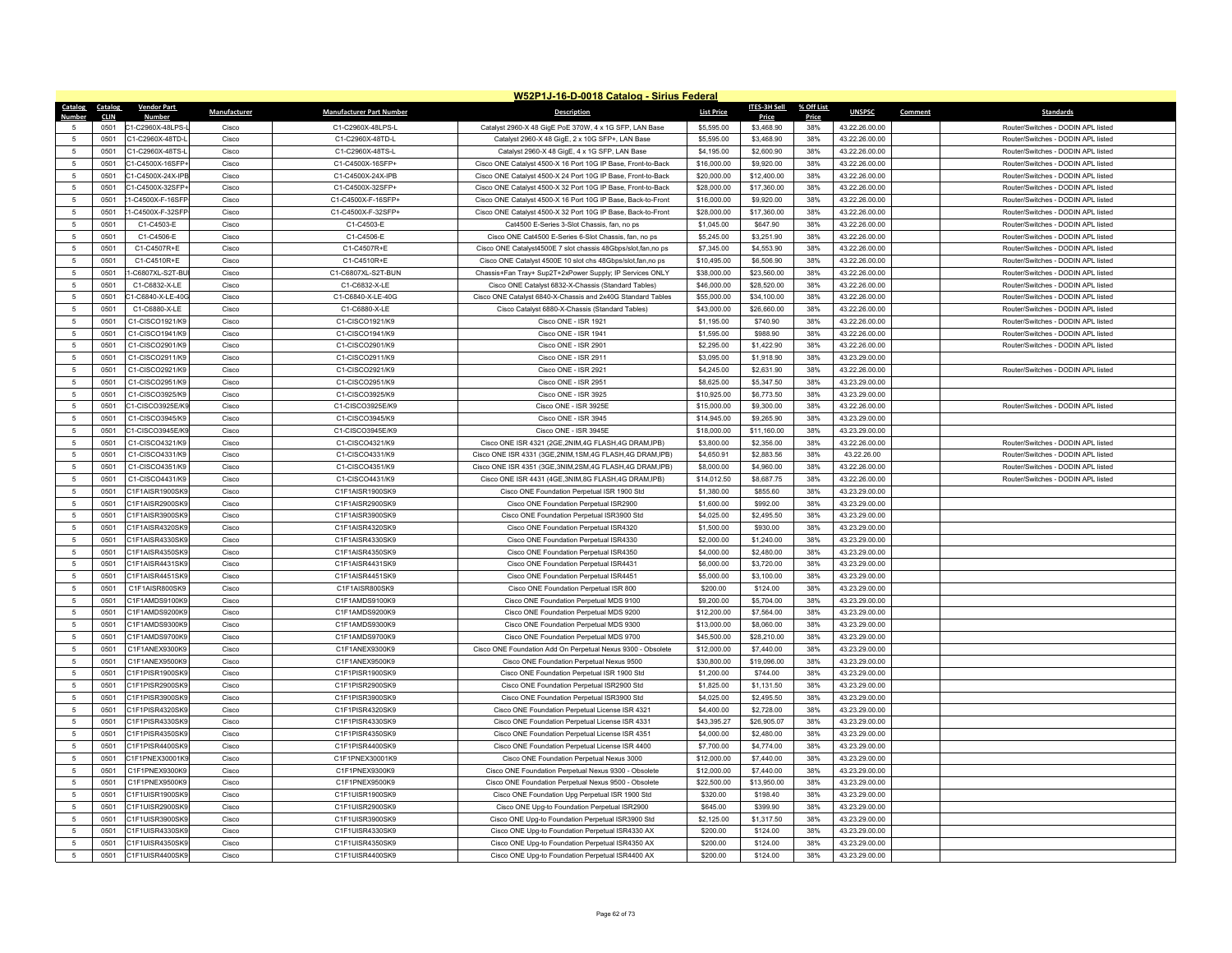|                 |             |                    |              |                                 | W52P1J-16-D-0018 Catalog - Sirius Federal                    |                   |                     |            |                |                                    |
|-----------------|-------------|--------------------|--------------|---------------------------------|--------------------------------------------------------------|-------------------|---------------------|------------|----------------|------------------------------------|
| Catalog         | Catalog     | <b>Vendor Part</b> | Manufacturer | <b>Manufacturer Part Number</b> | <b>Description</b>                                           | <b>List Price</b> | <b>ITES-3H Sell</b> | % Off List | <b>UNSPSC</b>  | Comment<br><b>Standards</b>        |
| Numhe           | <b>CLIN</b> | <b>Numbe</b>       |              |                                 |                                                              |                   | Price               | Price      |                |                                    |
|                 | 0501        | C1-C2960X-48LPS-L  | Cisco        | C1-C2960X-48LPS-L               | Catalyst 2960-X 48 GigE PoE 370W, 4 x 1G SFP, LAN Base       | \$5,595.00        | \$3,468.90          | 38%        | 43.22.26.00.00 | Router/Switches - DODIN APL listed |
| 5               | 0501        | C1-C2960X-48TD-L   | Cisco        | C1-C2960X-48TD-L                | Catalyst 2960-X 48 GigE, 2 x 10G SFP+, LAN Base              | \$5,595.00        | \$3,468.90          | 38%        | 43.22.26.00.00 | Router/Switches - DODIN API listed |
| $\sqrt{5}$      | 0501        | C1-C2960X-48TS-L   | Cisco        | C1-C2960X-48TS-L                | Catalyst 2960-X 48 GigE, 4 x 1G SFP, LAN Base                | \$4,195.00        | \$2,600.90          | 38%        | 43.22.26.00.00 | Router/Switches - DODIN APL listed |
| 5               | 0501        | C1-C4500X-16SFP+   | Cisco        | C1-C4500X-16SFP+                | Cisco ONE Catalyst 4500-X 16 Port 10G IP Base, Front-to-Back | \$16,000.00       | \$9,920.00          | 38%        | 43.22.26.00.00 | Router/Switches - DODIN APL listed |
| 5               | 0501        | C1-C4500X-24X-IPE  | Cisco        | C1-C4500X-24X-IPB               | Cisco ONE Catalyst 4500-X 24 Port 10G IP Base, Front-to-Back | \$20,000.00       | \$12,400.00         | 38%        | 43.22.26.00.00 | Router/Switches - DODIN APL listed |
| 5               | 0501        | C1-C4500X-32SFP-   | Cisco        | C1-C4500X-32SFP+                | Cisco ONE Catalyst 4500-X 32 Port 10G IP Base, Front-to-Back | \$28,000.00       | \$17,360.00         | 38%        | 43.22.26.00.00 | Router/Switches - DODIN APL listed |
| 5               | 0501        | 1-C4500X-F-16SFP   | Cisco        | C1-C4500X-F-16SFP+              | Cisco ONE Catalyst 4500-X 16 Port 10G IP Base, Back-to-Front | \$16,000.00       | \$9,920.00          | 38%        | 43.22.26.00.00 | Router/Switches - DODIN APL listed |
| $\sqrt{5}$      | 0501        | 1-C4500X-F-32SFP   | Cisco        | C1-C4500X-F-32SFP+              | Cisco ONE Catalyst 4500-X 32 Port 10G IP Base, Back-to-Front | \$28,000.00       | \$17,360.00         | 38%        | 43.22.26.00.00 | Router/Switches - DODIN APL listed |
| 5               | 0501        | C1-C4503-E         | Cisco        | C1-C4503-E                      | Cat4500 E-Series 3-Slot Chassis, fan, no ps                  | \$1,045.00        | \$647.90            | 38%        | 43.22.26.00.00 | Router/Switches - DODIN APL listed |
| 5               | 0501        | C1-C4506-E         | Cisco        | C1-C4506-E                      | Cisco ONE Cat4500 E-Series 6-Slot Chassis, fan, no ps        | \$5,245.00        | \$3,251.90          | 38%        | 43.22.26.00.00 | Router/Switches - DODIN APL listed |
| 5               | 0501        | C1-C4507R+E        | Cisco        | C1-C4507R+E                     | Cisco ONE Catalyst4500E 7 slot chassis 48Gbps/slot,fan,no ps | \$7,345.00        | \$4,553.90          | 38%        | 43.22.26.00.00 | Router/Switches - DODIN APL listed |
| -5              | 0501        | C1-C4510R+E        | Cisco        | C1-C4510R+F                     | Cisco ONE Catalyst 4500E 10 slot chs 48Gbps/slot, fan, no ps | \$10,495.00       | \$6,506.90          | 38%        | 43.22.26.00.00 | Router/Switches - DODIN API listed |
| 5               | 0501        | 1-C6807XL-S2T-BU   | Cisco        | C1-C6807XL-S2T-BUN              | Chassis+Fan Tray+ Sup2T+2xPower Supply; IP Services ONLY     | \$38,000.00       | \$23,560.00         | 38%        | 43.22.26.00.00 | Router/Switches - DODIN APL listed |
| 5               | 0501        | C1-C6832-X-LE      | Cisco        | C1-C6832-X-LE                   | Cisco ONE Catalyst 6832-X-Chassis (Standard Tables)          | \$46,000.00       | \$28,520.00         | 38%        | 43.22.26.00.00 | Router/Switches - DODIN APL listed |
| $5\phantom{.0}$ | 0501        | C1-C6840-X-LE-40G  | Cisco        | C1-C6840-X-LE-40G               | Cisco ONE Catalyst 6840-X-Chassis and 2x40G Standard Tables  | \$55,000.00       | \$34,100.00         | 38%        | 43.22.26.00.00 | Router/Switches - DODIN APL listed |
| 5               | 0501        | C1-C6880-X-LE      | Cisco        | C1-C6880-X-LE                   | Cisco Catalyst 6880-X-Chassis (Standard Tables)              | \$43,000.00       | \$26,660.00         | 38%        | 43.22.26.00.00 | Router/Switches - DODIN API listed |
| 5               | 0501        | C1-CISCO1921/K9    | Cisco        | C1-CISCO1921/K9                 | Cisco ONE - ISR 1921                                         | \$1,195.00        | \$740.90            | 38%        | 43.22.26.00.00 | Router/Switches - DODIN APL listed |
| $\sqrt{5}$      | 0501        | C1-CISCO1941/K9    | Cisco        | C1-CISCO1941/K9                 | Cisco ONE - ISR 1941                                         | \$1,595.00        | \$988.90            | 38%        | 43.22.26.00.00 | Router/Switches - DODIN APL listed |
| 5               | 0501        | C1-CISCO2901/K9    | Cisco        | C1-CISCO2901/K9                 | Cisco ONE - ISR 2901                                         | \$2,295.00        | \$1,422.90          | 38%        | 43.22.26.00.00 | Router/Switches - DODIN API listed |
| 5               | 0501        | C1-CISCO2911/K9    | Cisco        | C1-CISCO2911/K9                 | Cisco ONE - ISR 2911                                         | \$3,095.00        | \$1,918.90          | 38%        | 43.23.29.00.00 |                                    |
| $\sqrt{5}$      | 0501        | C1-CISCO2921/K9    | Cisco        | C1-CISCO2921/K9                 | Cisco ONE - ISR 2921                                         | \$4,245.00        | \$2,631.90          | 38%        | 43.22.26.00.00 | Router/Switches - DODIN APL listed |
| 5               | 0501        | C1-CISCO2951/K9    | Cisco        | C1-CISCO2951/K9                 | Cisco ONE - ISR 2951                                         | \$8,625.00        | \$5,347.50          | 38%        | 43.23.29.00.00 |                                    |
| $\sqrt{5}$      | 0501        | C1-CISCO3925/K9    | Cisco        | C1-CISCO3925/K9                 | Cisco ONE - ISR 3925                                         | \$10,925.00       | \$6,773.50          | 38%        | 43.23.29.00.00 |                                    |
| $\sqrt{5}$      | 0501        | C1-CISCO3925E/K9   | Cisco        | C1-CISCO3925E/K9                | Cisco ONE - ISR 3925E                                        | \$15,000.00       | \$9,300.00          | 38%        | 43.22.26.00.00 | Router/Switches - DODIN APL listed |
| $\overline{5}$  | 0501        | C1-CISCO3945/K9    | Cisco        | C1-CISCO3945/K9                 | Cisco ONE - ISR 3945                                         | \$14,945.00       | \$9,265.90          | 38%        | 43.23.29.00.00 |                                    |
| 5               | 0501        | C1-CISCO3945E/K9   | Cisco        | C1-CISCO3945F/K9                | Cisco ONE - ISR 3945E                                        | \$18,000.00       | \$11,160.00         | 38%        | 43.23.29.00.00 |                                    |
| $\sqrt{5}$      | 0501        | C1-CISCO4321/K9    | Cisco        | C1-CISCO4321/K9                 | Cisco ONE ISR 4321 (2GE, 2NIM, 4G FLASH, 4G DRAM, IPB)       | \$3,800.00        | \$2,356.00          | 38%        | 43.22.26.00.00 | Router/Switches - DODIN APL listed |
| $\sqrt{5}$      | 0501        | C1-CISCO4331/K9    | Cisco        | C1-CISCO4331/K9                 | Cisco ONE ISR 4331 (3GE, 2NIM, 1SM, 4G FLASH, 4G DRAM, IPB)  | \$4,650.91        | \$2,883.56          | 38%        | 43.22.26.00    | Router/Switches - DODIN API listed |
| -5              | 0501        | C1-CISCO4351/K9    | Cisco        | C1-CISCO4351/K9                 | Cisco ONE ISR 4351 (3GE.3NIM.2SM.4G FLASH.4G DRAM.IPB)       | \$8,000.00        | \$4,960.00          | 38%        | 43.22.26.00.00 | Router/Switches - DODIN APL listed |
| $\sqrt{5}$      | 0501        | C1-CISCO4431/K9    | Cisco        | C1-CISCO4431/K9                 | Cisco ONE ISR 4431 (4GE, 3NIM, 8G FLASH, 4G DRAM, IPB)       | \$14,012.50       | \$8,687.75          | 38%        | 43.22.26.00.00 | Router/Switches - DODIN APL listed |
| $\sqrt{5}$      | 0501        | C1F1AISR1900SK9    | Cisco        | C1F1AISR1900SK9                 | Cisco ONE Foundation Perpetual ISR 1900 Std                  | \$1,380.00        | \$855.60            | 38%        | 43.23.29.00.00 |                                    |
| 5               | 0501        | C1F1AISR2900SK9    | Cisco        | C1F1AISR2900SK9                 | Cisco ONE Foundation Perpetual ISR2900                       | \$1,600.00        | \$992.00            | 38%        | 43.23.29.00.00 |                                    |
| -5              | 0501        | C1F1AISR3900SK9    | Cisco        | C1F1AISR3900SK9                 | Cisco ONE Foundation Perpetual ISR3900 Std                   | \$4,025.00        | \$2,495.50          | 38%        | 43.23.29.00.00 |                                    |
| $\sqrt{5}$      | 0501        | C1F1AISR4320SK9    | Cisco        | C1F1AISR4320SK9                 | Cisco ONE Foundation Perpetual ISR4320                       | \$1,500.00        | \$930.00            | 38%        | 43.23.29.00.00 |                                    |
| 5               | 0501        | C1F1AISR4330SK9    | Cisco        | C1F1AISR4330SK9                 | Cisco ONE Foundation Perpetual ISR4330                       | \$2,000.00        | \$1,240.00          | 38%        | 43.23.29.00.00 |                                    |
| $\sqrt{5}$      | 0501        | C1F1AISR4350SK9    | Cisco        | C1F1AISR4350SK9                 | Cisco ONE Foundation Perpetual ISR4350                       | \$4,000.00        | \$2,480.00          | 38%        | 43.23.29.00.00 |                                    |
| $\sqrt{5}$      | 0501        | C1F1AISR4431SK9    | Cisco        | C1F1AISR4431SK9                 | Cisco ONE Foundation Perpetual ISR4431                       | \$6,000.00        | \$3,720.00          | 38%        | 43.23.29.00.00 |                                    |
| 5               | 0501        | C1F1AISR4451SK9    | Cisco        | C1F1AISR4451SK9                 | Cisco ONE Foundation Perpetual ISR4451                       | \$5,000.00        | \$3,100.00          | 38%        | 43.23.29.00.00 |                                    |
| 5               | 0501        | C1F1AISR800SK9     | Cisco        | C1F1AISR800SK9                  | Cisco ONE Foundation Perpetual ISR 800                       | \$200.00          | \$124.00            | 38%        | 43.23.29.00.00 |                                    |
| $\sqrt{5}$      | 0501        | C1F1AMDS9100K9     | Cisco        | C1F1AMDS9100K9                  | Cisco ONE Foundation Perpetual MDS 9100                      | \$9,200.00        | \$5,704.00          | 38%        | 43.23.29.00.00 |                                    |
| 5               | 0501        | C1F1AMDS9200K9     | Cisco        | C1F1AMDS9200K9                  | Cisco ONE Foundation Perpetual MDS 9200                      | \$12,200.00       | \$7,564.00          | 38%        | 43.23.29.00.00 |                                    |
| 5               | 0501        | C1F1AMDS9300K9     | Cisco        | C1F1AMDS9300K9                  | Cisco ONE Foundation Perpetual MDS 9300                      | \$13,000.00       | \$8,060.00          | 38%        | 43.23.29.00.00 |                                    |
| 5               | 0501        | C1F1AMDS9700K9     | Cisco        | C1F1AMDS9700K9                  | Cisco ONE Foundation Perpetual MDS 9700                      | \$45,500.00       | \$28,210.00         | 38%        | 43.23.29.00.00 |                                    |
| $5\phantom{.0}$ | 0501        | C1F1ANEX9300K9     | Cisco        | C1F1ANEX9300K9                  | Cisco ONE Foundation Add On Perpetual Nexus 9300 - Obsolete  | \$12,000.00       | \$7,440.00          | 38%        | 43.23.29.00.00 |                                    |
| 5               | 0501        | C1F1ANFX9500K9     | Cisco        | C1F1ANEX9500K9                  | Cisco ONE Foundation Perpetual Nexus 9500                    | \$30,800.00       | \$19,096.00         | 38%        | 43.23.29.00.00 |                                    |
| $\sqrt{5}$      | 0501        | C1F1PISR1900SK9    | Cisco        | C1F1PISR1900SK9                 | Cisco ONE Foundation Perpetual ISR 1900 Std                  | \$1,200.00        | \$744.00            | 38%        | 43.23.29.00.00 |                                    |
| $\sqrt{5}$      | 0501        | C1F1PISR2900SK9    | Cisco        | C1F1PISR2900SK9                 | Cisco ONE Foundation Perpetual ISR2900 Std                   | \$1,825.00        | \$1,131.50          | 38%        | 43.23.29.00.00 |                                    |
| 5               | 0501        | C1F1PISR3900SK9    | Cisco        | C1F1PISR3900SK9                 | Cisco ONE Foundation Perpetual ISR3900 Std                   | \$4,025.00        | \$2,495.50          | 38%        | 43.23.29.00.00 |                                    |
| $\sqrt{5}$      | 0501        | C1F1PISR4320SK9    | Cisco        | C1F1PISR4320SK9                 | Cisco ONE Foundation Perpetual License ISR 4321              | \$4,400.00        | \$2,728.00          | 38%        | 43.23.29.00.00 |                                    |
| $\sqrt{5}$      | 0501        | C1F1PISR4330SK9    | Cisco        | C1F1PISR4330SK9                 | Cisco ONE Foundation Perpetual License ISR 4331              | \$43,395.27       | \$26,905.07         | 38%        | 43.23.29.00.00 |                                    |
| $\overline{5}$  | 0501        | C1F1PISR4350SK9    | Cisco        | C1F1PISR4350SK9                 | Cisco ONE Foundation Perpetual License ISR 4351              | \$4,000.00        | \$2,480.00          | 38%        | 43.23.29.00.00 |                                    |
| $\sqrt{5}$      | 0501        | C1F1PISR4400SK9    | Cisco        | C1F1PISR4400SK9                 | Cisco ONE Foundation Perpetual License ISR 4400              | \$7,700.00        | \$4,774.00          | 38%        | 43.23.29.00.00 |                                    |
| 5               | 0501        | C1F1PNEX30001K9    | Cisco        | C1F1PNEX30001K9                 | Cisco ONE Foundation Perpetual Nexus 3000                    | \$12,000.00       | \$7,440.00          | 38%        | 43.23.29.00.00 |                                    |
| 5               | 0501        | C1F1PNFX9300K9     | Cisco        | C1F1PNEX9300K9                  | Cisco ONE Foundation Perpetual Nexus 9300 - Obsolete         | \$12,000.00       | \$7,440.00          | 38%        | 43.23.29.00.00 |                                    |
| 5               | 0501        | C1F1PNEX9500K9     | Cisco        | C1F1PNEX9500K9                  | Cisco ONE Foundation Perpetual Nexus 9500 - Obsolete         | \$22,500.00       | \$13,950.00         | 38%        | 43.23.29.00.00 |                                    |
| $\sqrt{5}$      | 0501        | C1F1UISR1900SK9    | Cisco        | C1F1UISR1900SK9                 | Cisco ONE Foundation Upg Perpetual ISR 1900 Std              | \$320.00          | \$198.40            | 38%        | 43.23.29.00.00 |                                    |
| $\sqrt{5}$      | 0501        | C1F1UISR2900SK9    | Cisco        | C1F1UISR2900SK9                 | Cisco ONE Upg-to Foundation Perpetual ISR2900                | \$645.00          | \$399.90            | 38%        | 43.23.29.00.00 |                                    |
| -5              | 0501        | C1F1UISR3900SK9    | Cisco        | C1F1UISR3900SK9                 | Cisco ONE Upg-to Foundation Perpetual ISR3900 Std            | \$2,125.00        | \$1,317.50          | 38%        | 43.23.29.00.00 |                                    |
| $\sqrt{5}$      | 0501        | C1F1UISR4330SK9    | Cisco        | C1F1UISR4330SK9                 | Cisco ONE Upg-to Foundation Perpetual ISR4330 AX             | \$200.00          | \$124.00            | 38%        | 43.23.29.00.00 |                                    |
| 5               | 0501        | C1F1UISR4350SK9    | Cisco        | C1F1UISR4350SK9                 | Cisco ONE Upg-to Foundation Perpetual ISR4350 AX             | \$200.00          | \$124.00            | 38%        | 43.23.29.00.00 |                                    |
| 5               | 0501        | C1F1UISR4400SK9    | Cisco        | C1F1UISR4400SK9                 | Cisco ONE Upg-to Foundation Perpetual ISR4400 AX             | \$200.00          | \$124.00            | 38%        | 43.23.29.00.00 |                                    |
|                 |             |                    |              |                                 |                                                              |                   |                     |            |                |                                    |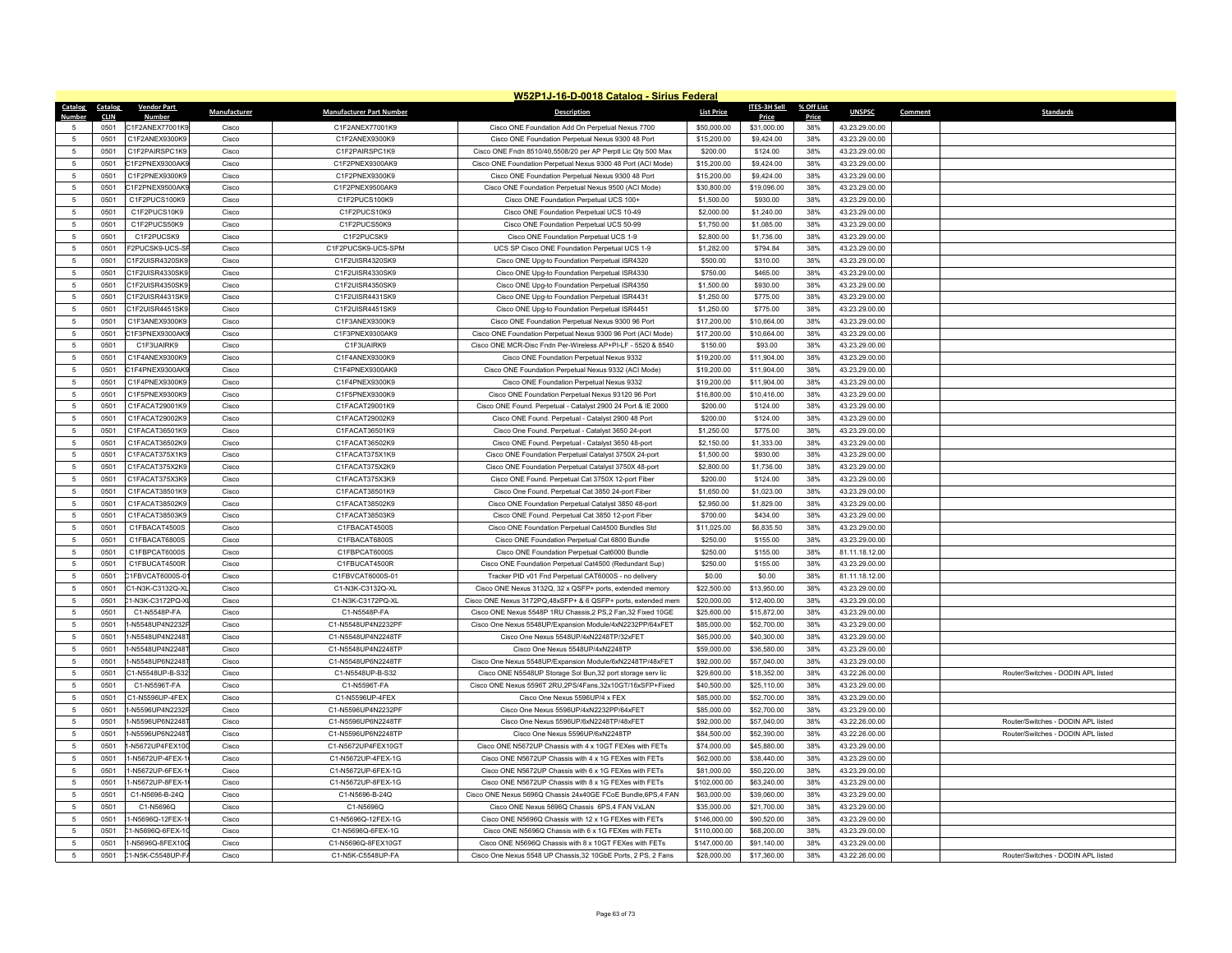|                 |             |                    |              |                                 | W52P1J-16-D-0018 Catalog - Sirius Federal                     |                   |                     |            |                |         |                                    |
|-----------------|-------------|--------------------|--------------|---------------------------------|---------------------------------------------------------------|-------------------|---------------------|------------|----------------|---------|------------------------------------|
| Catalog Catalog |             | <b>Vendor Part</b> | Manufacturer | <b>Manufacturer Part Number</b> | <b>Description</b>                                            | <b>List Price</b> | <b>ITES-3H Sell</b> | % Off List | <b>UNSPSC</b>  | Comment | <b>Standards</b>                   |
| <b>Number</b>   | <b>CLIN</b> | <b>Number</b>      |              |                                 |                                                               |                   | Price               | Price      |                |         |                                    |
| 5               | 0501        | C1F2ANEX77001K9    | Cisco        | C1F2ANEX77001K9                 | Cisco ONE Foundation Add On Perpetual Nexus 7700              | \$50,000.00       | \$31,000.00         | 38%        | 43.23.29.00.00 |         |                                    |
| $\overline{5}$  | 0501        | C1F2ANEX9300K9     | Cisco        | C1F2ANEX9300K9                  | Cisco ONE Foundation Perpetual Nexus 9300 48 Port             | \$15,200.00       | \$9,424.00          | 38%        | 43.23.29.00.00 |         |                                    |
| 5               | 0501        | C1F2PAIRSPC1K9     | Cisco        | C1F2PAIRSPC1K9                  | Cisco ONE Fndn 8510/40,5508/20 per AP Perptl Lic Qty 500 Max  | \$200.00          | \$124.00            | 38%        | 43.23.29.00.00 |         |                                    |
| 5               | 0501        | C1F2PNEX9300AK9    | Cisco        | C1F2PNEX9300AK9                 | Cisco ONE Foundation Perpetual Nexus 9300 48 Port (ACI Mode)  | \$15,200.00       | \$9,424.00          | 38%        | 43.23.29.00.00 |         |                                    |
| 5               | 0501        | C1F2PNEX9300K9     | Cisco        | C1F2PNEX9300K9                  | Cisco ONE Foundation Perpetual Nexus 9300 48 Port             | \$15,200.00       | \$9,424.00          | 38%        | 43.23.29.00.00 |         |                                    |
| 5               | 0501        | C1F2PNFX9500AK     | Cisco        | C1F2PNEX9500AK9                 | Cisco ONE Foundation Perpetual Nexus 9500 (ACI Mode)          | \$30,800.00       | \$19,096.00         | 38%        | 43.23.29.00.00 |         |                                    |
| 5               | 0501        | C1F2PUCS100K9      | Cisco        | C1F2PUCS100K9                   | Cisco ONE Foundation Perpetual UCS 100+                       | \$1,500.00        | \$930.00            | 38%        | 43.23.29.00.00 |         |                                    |
| 5               | 0501        | C1F2PUCS10K9       | Cisco        | C1F2PUCS10K9                    | Cisco ONE Foundation Perpetual UCS 10-49                      | \$2,000.00        | \$1,240.00          | 38%        | 43.23.29.00.00 |         |                                    |
| -5              | 0501        | C1F2PUCS50K9       | Cisco        | C1F2PUCS50K9                    | Cisco ONE Foundation Perpetual UCS 50-99                      | \$1,750.00        | \$1,085.00          | 38%        | 43.23.29.00.00 |         |                                    |
| $5\phantom{.0}$ | 0501        | C1F2PUCSK9         | Cisco        | C1F2PUCSK9                      | Cisco ONE Foundation Perpetual UCS 1-9                        | \$2,800.00        | \$1,736.00          | 38%        | 43.23.29.00.00 |         |                                    |
| $\sqrt{5}$      | 0501        | F2PUCSK9-UCS-S     | Cisco        | C1F2PUCSK9-UCS-SPM              | UCS SP Cisco ONE Foundation Perpetual UCS 1-9                 | \$1,282.00        | \$794.84            | 38%        | 43.23.29.00.00 |         |                                    |
| 5               | 0501        | C1F2UISR4320SK9    | Cisco        | C1F2UISR4320SK9                 | Cisco ONE Upg-to Foundation Perpetual ISR4320                 | \$500.00          | \$310.00            | 38%        | 43.23.29.00.00 |         |                                    |
| 5               | 0501        | C1F2UISR4330SK9    | Cisco        | C1F2UISR4330SK9                 | Cisco ONE Upg-to Foundation Perpetual ISR4330                 | \$750.00          | \$465.00            | 38%        | 43.23.29.00.00 |         |                                    |
| 5               | 0501        | C1F2UISR4350SK9    | Cisco        | C1F2UISR4350SK9                 | Cisco ONE Upg-to Foundation Perpetual ISR4350                 | \$1,500.00        | \$930.00            | 38%        | 43.23.29.00.00 |         |                                    |
| $\sqrt{5}$      | 0501        | C1F2UISR4431SK9    | Cisco        | C1F2UISR4431SK9                 | Cisco ONE Upg-to Foundation Perpetual ISR4431                 | \$1,250.00        | \$775.00            | 38%        | 43.23.29.00.00 |         |                                    |
| $\overline{5}$  | 0501        | C1F2UISR4451SK9    | Cisco        | C1F2UISR4451SK9                 | Cisco ONE Upg-to Foundation Perpetual ISR4451                 | \$1,250.00        | \$775.00            | 38%        | 43.23.29.00.00 |         |                                    |
| 5               | 0501        | C1F3ANEX9300K9     | Cisco        | C1F3ANEX9300K9                  | Cisco ONE Foundation Perpetual Nexus 9300 96 Port             | \$17,200.00       | \$10,664.00         | 38%        | 43.23.29.00.00 |         |                                    |
| $\sqrt{5}$      | 0501        | C1F3PNEX9300AK9    | Cisco        | C1F3PNEX9300AK9                 | Cisco ONE Foundation Perpetual Nexus 9300 96 Port (ACI Mode)  | \$17,200.00       | \$10,664.00         | 38%        | 43.23.29.00.00 |         |                                    |
| 5               | 0501        | C1F3UAIRK9         | Cisco        | C1F3UAIRK9                      | Cisco ONE MCR-Disc Fndn Per-Wireless AP+PI-LF - 5520 & 8540   | \$150.00          | \$93.00             | 38%        | 43.23.29.00.00 |         |                                    |
| 5               | 0501        | C1F4ANEX9300K9     | Cisco        | C1F4ANEX9300K9                  | Cisco ONE Foundation Perpetual Nexus 9332                     | \$19,200.00       | \$11,904.00         | 38%        | 43.23.29.00.00 |         |                                    |
| 5               | 0501        | C1F4PNEX9300AK9    | Cisco        | C1F4PNEX9300AK9                 | Cisco ONE Foundation Perpetual Nexus 9332 (ACI Mode)          | \$19,200.00       | \$11,904.00         | 38%        | 43.23.29.00.00 |         |                                    |
| $\overline{5}$  | 0501        | C1F4PNFX9300K9     | Cisco        | C1F4PNEX9300K9                  | Cisco ONE Foundation Perpetual Nexus 9332                     | \$19,200.00       | \$11,904.00         | 38%        | 43.23.29.00.00 |         |                                    |
| 5               | 0501        | C1F5PNEX9300K9     | Cisco        | C1F5PNEX9300K9                  | Cisco ONE Foundation Perpetual Nexus 93120 96 Port            | \$16,800.00       | \$10,416.00         | 38%        | 43.23.29.00.00 |         |                                    |
|                 |             |                    |              |                                 |                                                               |                   |                     |            |                |         |                                    |
| 5               | 0501        | C1FACAT29001K9     | Cisco        | C1FACAT29001K9                  | Cisco ONE Found. Perpetual - Catalyst 2900 24 Port & IE 2000  | \$200.00          | \$124.00            | 38%        | 43.23.29.00.00 |         |                                    |
| $\sqrt{5}$      | 0501        | C1FACAT29002K9     | Cisco        | C1FACAT29002K9                  | Cisco ONE Found. Perpetual - Catalyst 2900 48 Port            | \$200.00          | \$124.00            | 38%        | 43.23.29.00.00 |         |                                    |
| 5               | 0501        | C1FACAT36501K9     | Cisco        | C1FACAT36501K9                  | Cisco One Found. Perpetual - Catalyst 3650 24-port            | \$1,250.00        | \$775.00            | 38%        | 43.23.29.00.00 |         |                                    |
| -5              | 0501        | C1FACAT36502K9     | Cisco        | C1FACAT36502K9                  | Cisco ONE Found. Perpetual - Catalyst 3650 48-port            | \$2,150.00        | \$1,333.00          | 38%        | 43.23.29.00.00 |         |                                    |
| $\sqrt{5}$      | 0501        | C1FACAT375X1K9     | Cisco        | C1FACAT375X1K9                  | Cisco ONE Foundation Perpetual Catalyst 3750X 24-port         | \$1,500.00        | \$930.00            | 38%        | 43.23.29.00.00 |         |                                    |
| 5               | 0501        | C1FACAT375X2K9     | Cisco        | C1FACAT375X2K9                  | Cisco ONE Foundation Perpetual Catalyst 3750X 48-port         | \$2,800.00        | \$1,736.00          | 38%        | 43.23.29.00.00 |         |                                    |
| $\overline{5}$  | 0501        | C1FACAT375X3K9     | Cisco        | C1FACAT375X3K9                  | Cisco ONE Found. Perpetual Cat 3750X 12-port Fiber            | \$200.00          | \$124.00            | 38%        | 43.23.29.00.00 |         |                                    |
| $\sqrt{5}$      | 0501        | C1FACAT38501K9     | Cisco        | C1FACAT38501K9                  | Cisco One Found. Perpetual Cat 3850 24-port Fiber             | \$1,650.00        | \$1,023.00          | 38%        | 43.23.29.00.00 |         |                                    |
| 5               | 0501        | C1FACAT38502K9     | Cisco        | C1FACAT38502K9                  | Cisco ONE Foundation Perpetual Catalyst 3850 48-port          | \$2,950.00        | \$1,829.00          | 38%        | 43.23.29.00.00 |         |                                    |
| 5               | 0501        | C1FACAT38503K9     | Cisco        | C1FACAT38503K9                  | Cisco ONE Found, Perpetual Cat 3850 12-port Fiber             | \$700.00          | \$434.00            | 38%        | 43.23.29.00.00 |         |                                    |
| $\sqrt{5}$      | 0501        | C1FBACAT4500S      | Cisco        | C1FBACAT4500S                   | Cisco ONE Foundation Perpetual Cat4500 Bundles Std            | \$11,025.00       | \$6,835.50          | 38%        | 43.23.29.00.00 |         |                                    |
| 5               | 0501        | C1FBACAT6800S      | Cisco        | C1FBACAT6800S                   | Cisco ONE Foundation Perpetual Cat 6800 Bundle                | \$250.00          | \$155.00            | 38%        | 43.23.29.00.00 |         |                                    |
| 5               | 0501        | C1FBPCAT6000S      | Cisco        | C1FBPCAT6000S                   | Cisco ONE Foundation Perpetual Cat6000 Bundle                 | \$250.00          | \$155.00            | 38%        | 81.11.18.12.00 |         |                                    |
| 5               | 0501        | C1FBUCAT4500R      | Cisco        | C1FBUCAT4500R                   | Cisco ONE Foundation Perpetual Cat4500 (Redundant Sup)        | \$250.00          | \$155.00            | 38%        | 43.23.29.00.00 |         |                                    |
| $5\phantom{.0}$ | 0501        | C1FBVCAT6000S-0    | Cisco        | C1FBVCAT6000S-01                | Tracker PID v01 Fnd Perpetual CAT6000S - no delivery          | \$0.00            | \$0.00              | 38%        | 81.11.18.12.00 |         |                                    |
| $\overline{5}$  | 0501        | C1-N3K-C3132Q-XI   | Cisco        | C1-N3K-C3132Q-XL                | Cisco ONE Nexus 3132Q, 32 x QSFP+ ports, extended memory      | \$22,500.00       | \$13,950.00         | 38%        | 43.23.29.00.00 |         |                                    |
| 5               | 0501        | 1-N3K-C3172PQ-X    | Cisco        | C1-N3K-C3172PQ-XL               | Cisco ONE Nexus 3172PQ.48xSFP+ & 6 QSFP+ ports, extended mem  | \$20,000.00       | \$12,400.00         | 38%        | 43.23.29.00.00 |         |                                    |
| $\sqrt{5}$      | 0501        | C1-N5548P-FA       | Cisco        | C1-N5548P-FA                    | Cisco ONE Nexus 5548P 1RU Chassis,2 PS,2 Fan,32 Fixed 10GE    | \$25,600.00       | \$15,872.00         | 38%        | 43.23.29.00.00 |         |                                    |
| 5               | 0501        | -N5548UP4N2232I    | Cisco        | C1-N5548UP4N2232PF              | Cisco One Nexus 5548UP/Expansion Module/4xN2232PP/64xFET      | \$85,000.00       | \$52,700.00         | 38%        | 43.23.29.00.00 |         |                                    |
| 5               | 0501        | -N5548UP4N2248     | Cisco        | C1-N5548UP4N2248TF              | Cisco One Nexus 5548UP/4xN2248TP/32xFFT                       | \$65,000.00       | \$40,300.00         | 38%        | 43.23.29.00.00 |         |                                    |
| $5\phantom{.0}$ | 0501        | 1-N5548UP4N2248    | Cisco        | C1-N5548UP4N2248TP              | Cisco One Nexus 5548UP/4xN2248TP                              | \$59,000.00       | \$36,580.00         | 38%        | 43.23.29.00.00 |         |                                    |
| $\sqrt{5}$      | 0501        | -N5548UP6N2248     | Cisco        | C1-N5548UP6N2248TF              | Cisco One Nexus 5548UP/Expansion Module/6xN2248TP/48xFET      | \$92,000.00       | \$57,040.00         | 38%        | 43.23.29.00.00 |         |                                    |
| $\sqrt{5}$      | 0501        | C1-N5548UP-B-S32   | Cisco        | C1-N5548UP-B-S32                | Cisco ONE N5548UP Storage Sol Bun,32 port storage serv lic    | \$29,600.00       | \$18,352.00         | 38%        | 43.22.26.00.00 |         | Router/Switches - DODIN API listed |
| $\sqrt{5}$      | 0501        | C1-N5596T-FA       | Cisco        | C1-N5596T-FA                    | Cisco ONE Nexus 5596T 2RU, 2PS/4Fans, 32x10GT/16xSFP+Fixed    | \$40,500.00       | \$25,110.00         | 38%        | 43.23.29.00.00 |         |                                    |
| 5               | 0501        | C1-N5596UP-4FEX    | Cisco        | C1-N5596UP-4FEX                 | Cisco One Nexus 5596UP/4 x FEX                                | \$85,000.00       | \$52,700.00         | 38%        | 43.23.29.00.00 |         |                                    |
| $5\phantom{.0}$ | 0501        | I-N5596UP4N2232    | Cisco        | C1-N5596UP4N2232PF              | Cisco One Nexus 5596UP/4xN2232PP/64xFET                       | \$85,000.00       | \$52,700.00         | 38%        | 43.23.29.00.00 |         |                                    |
| 5               | 0501        | 1-N5596UP6N2248    | Cisco        | C1-N5596UP6N2248TF              | Cisco One Nexus 5596UP/6xN2248TP/48xFET                       | \$92,000.00       | \$57,040.00         | 38%        | 43.22.26.00.00 |         | Router/Switches - DODIN API listed |
|                 |             |                    |              |                                 |                                                               |                   |                     |            |                |         |                                    |
| $\sqrt{5}$      | 0501        | -N5596UP6N2248     | Cisco        | C1-N5596UP6N2248TP              | Cisco One Nexus 5596UP/6xN2248TP                              | \$84,500.00       | \$52,390.00         | 38%        | 43.22.26.00.00 |         | Router/Switches - DODIN APL listed |
| $\sqrt{5}$      | 0501        | -N5672UP4FEX10     | Cisco        | C1-N5672UP4FEX10GT              | Cisco ONE N5672UP Chassis with 4 x 10GT FEXes with FETs       | \$74,000.00       | \$45,880.00         | 38%        | 43.23.29.00.00 |         |                                    |
| 5               | 0501        | 1-N5672UP-4FEX-    | Cisco        | C1-N5672UP-4FEX-1G              | Cisco ONE N5672UP Chassis with 4 x 1G FEXes with FETs         | \$62,000.00       | \$38,440.00         | 38%        | 43.23.29.00.00 |         |                                    |
| 5               | 0501        | 1-N5672UP-6FEX-1   | Cisco        | C1-N5672UP-6FEX-1G              | Cisco ONE N5672UP Chassis with 6 x 1G FEXes with FETs         | \$81,000.00       | \$50,220.00         | 38%        | 43.23.29.00.00 |         |                                    |
| 5               | 0501        | 1-N5672UP-8FEX-    | Cisco        | C1-N5672UP-8FEX-1G              | Cisco ONE N5672UP Chassis with 8 x 1G FEXes with FETs         | \$102,000.00      | \$63,240.00         | 38%        | 43.23.29.00.00 |         |                                    |
| 5               | 0501        | C1-N5696-B-24Q     | Cisco        | C1-N5696-B-24Q                  | Cisco ONE Nexus 5696Q Chassis 24x40GE FCoE Bundle, 6PS, 4 FAN | \$63,000.00       | \$39,060.00         | 38%        | 43.23.29.00.00 |         |                                    |
| 5               | 0501        | C1-N5696Q          | Cisco        | C1-N5696Q                       | Cisco ONE Nexus 5696Q Chassis 6PS,4 FAN VxLAN                 | \$35,000.00       | \$21,700.00         | 38%        | 43.23.29.00.00 |         |                                    |
| 5               | 0501        | 1-N5696Q-12FEX-1   | Cisco        | C1-N5696Q-12FEX-1G              | Cisco ONE N5696Q Chassis with 12 x 1G FEXes with FETs         | \$146,000.00      | \$90,520.00         | 38%        | 43.23.29.00.00 |         |                                    |
| 5               | 0501        | 1-N5696Q-6FEX-1    | Cisco        | C1-N5696Q-6FEX-1G               | Cisco ONE N5696Q Chassis with 6 x 1G FEXes with FETs          | \$110,000.00      | \$68,200.00         | 38%        | 43.23.29.00.00 |         |                                    |
| 5               | 0501        | -N5696Q-8FEX10G    | Cisco        | C1-N5696O-8FFX10GT              | Cisco ONE N5696Q Chassis with 8 x 10GT FEXes with FETs        | \$147,000.00      | \$91,140.00         | 38%        | 43.23.29.00.00 |         |                                    |
| $\sqrt{5}$      | 0501        | 21-N5K-C5548UP-FA  | Cisco        | C1-N5K-C5548UP-FA               | Cisco One Nexus 5548 UP Chassis, 32 10GbE Ports, 2 PS, 2 Fans | \$28,000.00       | \$17,360.00         | 38%        | 43.22.26.00.00 |         | Router/Switches - DODIN APL listed |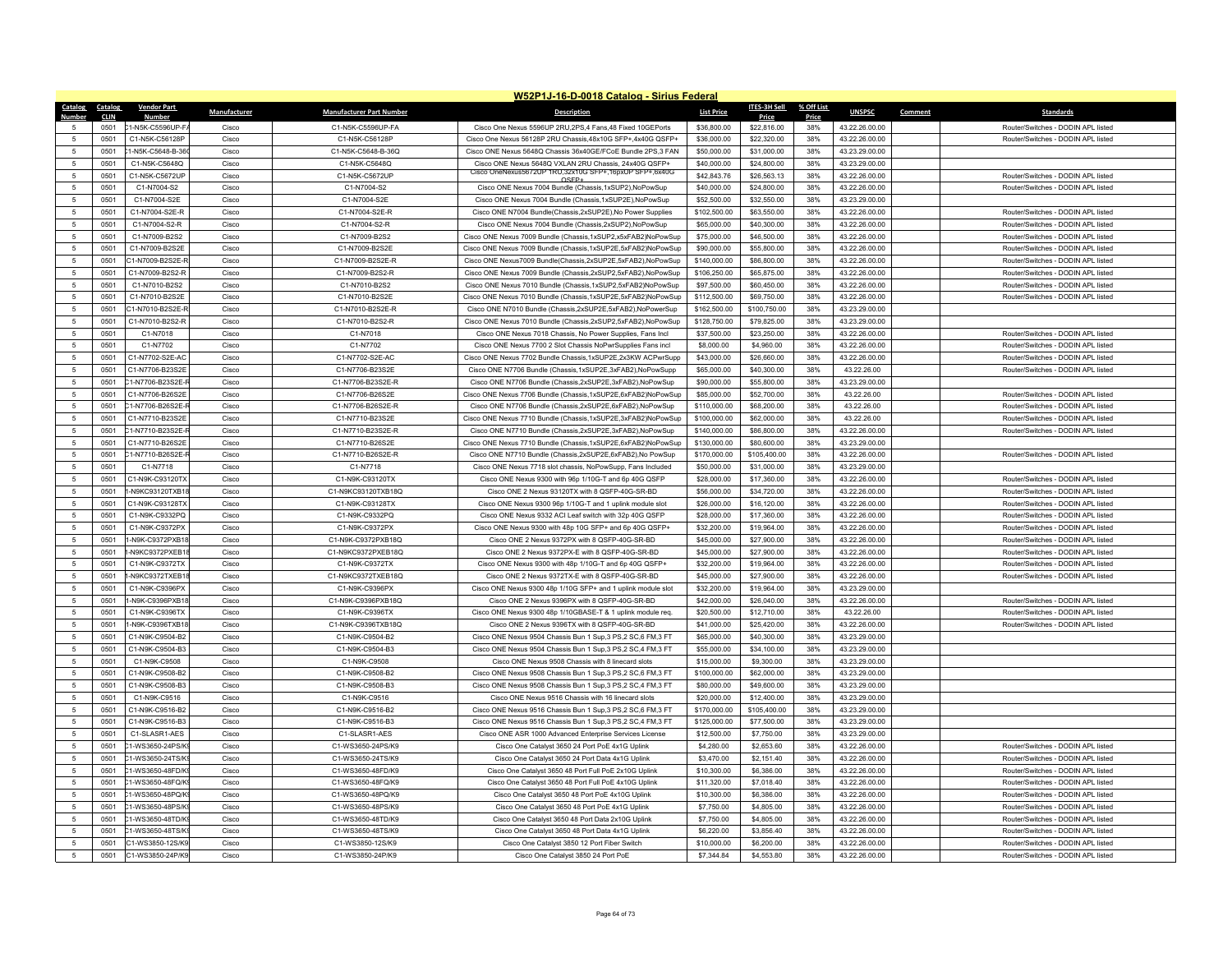|                                   |              |                                      |                |                                        | W52P1J-16-D-0018 Catalog - Sirius Federal                                                                             |                             |                             |            |                                  |         |                                    |
|-----------------------------------|--------------|--------------------------------------|----------------|----------------------------------------|-----------------------------------------------------------------------------------------------------------------------|-----------------------------|-----------------------------|------------|----------------------------------|---------|------------------------------------|
| Catalog Catalog                   |              | <b>Vendor Part</b>                   | Manufacturer   | <b>Manufacturer Part Number</b>        | <b>Description</b>                                                                                                    | <b>List Price</b>           | ITES-3H Sell                | % Off List | <b>UNSPSC</b>                    | Comment | <b>Standards</b>                   |
| Number                            | <b>CLIN</b>  | <b>Number</b>                        |                |                                        |                                                                                                                       |                             | Price                       | Price      |                                  |         |                                    |
| 5                                 | 0501         | C1-N5K-C5596UP-FA                    | Cisco          | C1-N5K-C5596UP-FA                      | Cisco One Nexus 5596UP 2RU, 2PS, 4 Fans, 48 Fixed 10GEPorts                                                           | \$36,800.00                 | \$22,816.00                 | 38%        | 43.22.26.00.00                   |         | Router/Switches - DODIN APL listed |
| 5                                 | 0501         | C1-N5K-C56128P                       | Cisco          | C1-N5K-C56128P                         | Cisco One Nexus 56128P 2RU Chassis.48x10G SFP+.4x40G QSFP+                                                            | \$36,000.00                 | \$22,320.00                 | 38%        | 43.22.26.00.00                   |         | Router/Switches - DODIN APL listed |
| 5                                 | 0501         | 1-N5K-C5648-B-36                     | Cisco          | C1-N5K-C5648-B-36Q                     | Cisco ONE Nexus 5648O Chassis 36x40GE/ECoE Bundle 2PS 3 FAN                                                           | \$50,000.00                 | \$31,000.00                 | 38%        | 43.23.29.00.00                   |         |                                    |
| 5                                 | 0501         | C1-N5K-C5648Q                        | Cisco          | C1-N5K-C5648Q                          | Cisco ONE Nexus 5648Q VXLAN 2RU Chassis, 24x40G QSFP+<br>Cisco OneNexus5672UP 1RU,32x10G SFP+,16pxUP SFP+,6x40G       | \$40,000.00                 | \$24,800.00                 | 38%        | 43.23.29.00.00                   |         |                                    |
| 5                                 | 0501         | C1-N5K-C5672UP                       | Cisco          | C1-N5K-C5672UP                         | OSFP+                                                                                                                 | \$42,843.76                 | \$26,563.13                 | 38%        | 43.22.26.00.00                   |         | Router/Switches - DODIN API listed |
| -5                                | 0501         | C <sub>1</sub> -N7004-S <sub>2</sub> | Cisco          | C1-N7004-S2                            | Cisco ONE Nexus 7004 Bundle (Chassis, 1xSUP2), NoPowSup                                                               | \$40,000.00                 | \$24,800.00                 | 38%        | 43.22.26.00.00                   |         | Router/Switches - DODIN APL listed |
| 5                                 | 0501         | C1-N7004-S2E                         | Cisco          | C1-N7004-S2E                           | Cisco ONE Nexus 7004 Bundle (Chassis, 1xSUP2E), NoPowSup                                                              | \$52,500.00                 | \$32,550.00                 | 38%        | 43.23.29.00.00                   |         |                                    |
| 5                                 | 0501         | C1-N7004-S2E-R                       | Cisco          | C1-N7004-S2E-R                         | Cisco ONE N7004 Bundle(Chassis,2xSUP2E), No Power Supplies                                                            | \$102,500.00                | \$63,550.00                 | 38%        | 43.22.26.00.00                   |         | Router/Switches - DODIN API listed |
| -5                                | 0501         | C1-N7004-S2-R                        | Cisco          | C1-N7004-S2-R                          | Cisco ONE Nexus 7004 Bundle (Chassis 2xSUP2) NoPowSup                                                                 | \$65,000.00                 | \$40,300.00                 | 38%        | 43.22.26.00.00                   |         | Router/Switches - DODIN API listed |
| $\sqrt{5}$                        | 0501         | C1-N7009-B2S2                        | Cisco          | C1-N7009-B2S2                          | Cisco ONE Nexus 7009 Bundle (Chassis,1xSUP2,x5xFAB2)NoPowSup                                                          | \$75,000.00                 | \$46,500.00                 | 38%        | 43.22.26.00.00                   |         | Router/Switches - DODIN APL listed |
| $\sqrt{5}$                        | 0501         | C1-N7009-B2S2E                       | Cisco          | C1-N7009-B2S2E                         | Cisco ONE Nexus 7009 Bundle (Chassis,1xSUP2E,5xFAB2)NoPowSup                                                          | \$90,000.00                 | \$55,800.00                 | 38%        | 43.22.26.00.00                   |         | Router/Switches - DODIN APL listed |
| -5                                | 0501         | C1-N7009-B2S2E-F                     | Cisco          | C1-N7009-B2S2E-R                       | Cisco ONE Nexus7009 Bundle(Chassis.2xSUP2E.5xFAB2).NoPowSup                                                           | \$140,000.00                | \$86,800.00                 | 38%        | 43.22.26.00.00                   |         | Router/Switches - DODIN API listed |
| $\sqrt{5}$                        | 0501         | C1-N7009-B2S2-R                      | Cisco          | C1-N7009-B2S2-R                        | Cisco ONE Nexus 7009 Bundle (Chassis,2xSUP2,5xFAB2),NoPowSup                                                          | \$106,250.00                | \$65,875.00                 | 38%        | 43.22.26.00.00                   |         | Router/Switches - DODIN APL listed |
| 5                                 | 0501         | C1-N7010-B2S2                        | Cisco          | C1-N7010-B2S2                          | Cisco ONE Nexus 7010 Bundle (Chassis,1xSUP2,5xFAB2)NoPowSup                                                           | \$97,500.00                 | \$60,450.00                 | 38%        | 43.22.26.00.00                   |         | Router/Switches - DODIN APL listed |
| 5                                 | 0501         | C1-N7010-B2S2F                       | Cisco          | C1-N7010-B2S2E                         | Cisco ONE Nexus 7010 Bundle (Chassis,1xSUP2E,5xFAB2)NoPowSup                                                          | \$112,500.00                | \$69,750.00                 | 38%        | 43.22.26.00.00                   |         | Router/Switches - DODIN API listed |
| $\overline{5}$                    | 0501         | C1-N7010-B2S2E-R                     | Cisco          | C1-N7010-B2S2E-R                       | Cisco ONE N7010 Bundle (Chassis.2xSUP2E.5xFAB2).NoPowerSup                                                            | \$162,500.00                | \$100,750.00                | 38%        | 43.23.29.00.00                   |         |                                    |
| 5                                 | 0501         | C1-N7010-B2S2-R                      | Cisco          | C1-N7010-B2S2-R                        | Cisco ONE Nexus 7010 Bundle (Chassis,2xSUP2,5xFAB2),NoPowSup                                                          | \$128,750.00                | \$79,825.00                 | 38%        | 43.23.29.00.00                   |         |                                    |
| 5                                 | 0501         | C1-N7018                             | Cisco          | C1-N7018                               | Cisco ONE Nexus 7018 Chassis, No Power Supplies, Fans Incl                                                            | \$37,500.00                 | \$23,250.00                 | 38%        | 43.22.26.00.00                   |         | Router/Switches - DODIN API listed |
| 5                                 | 0501         | C1-N7702                             | Cisco          | C1-N7702                               | Cisco ONE Nexus 7700 2 Slot Chassis NoPwrSupplies Fans incl                                                           | \$8,000.00                  | \$4,960.00                  | 38%        | 43.22.26.00.00                   |         | Router/Switches - DODIN APL listed |
| 5                                 | 0501         | C1-N7702-S2E-AC                      | Cisco          | C1-N7702-S2E-AC                        | Cisco ONE Nexus 7702 Bundle Chassis, 1xSUP2E, 2x3KW ACPwrSupp                                                         | \$43,000.00                 | \$26,660.00                 | 38%        | 43.22.26.00.00                   |         | Router/Switches - DODIN API listed |
| $5\phantom{.0}$                   | 0501         | C1-N7706-B23S2E                      | Cisco          | C1-N7706-B23S2E                        | Cisco ONE N7706 Bundle (Chassis, 1xSUP2E, 3xFAB2), NoPowSupp                                                          | \$65,000.00                 | \$40,300.00                 | 38%        | 43.22.26.00                      |         | Router/Switches - DODIN APL listed |
| 5                                 | 0501         | 21-N7706-B23S2E-                     | Cisco          | C1-N7706-B23S2F-R                      | Cisco ONE N7706 Bundle (Chassis,2xSUP2E,3xFAB2),NoPowSup                                                              | \$90,000.00                 | \$55,800.00                 | 38%        | 43.23.29.00.00                   |         |                                    |
| 5                                 | 0501         | C1-N7706-B26S2F                      | Cisco          | C1-N7706-B26S2F                        | Cisco ONE Nexus 7706 Bundle (Chassis,1xSUP2E,6xFAB2)NoPowSup                                                          | \$85,000.00                 | \$52,700.00                 | 38%        | 43 22 26 00                      |         | Router/Switches - DODIN API listed |
| 5                                 | 0501         | C1-N7706-B26S2E-F                    | Cisco          | C1-N7706-B26S2E-R                      | Cisco ONE N7706 Bundle (Chassis,2xSUP2E,6xFAB2),NoPowSup                                                              | \$110,000.00                | \$68,200.00                 | 38%        | 43.22.26.00                      |         | Router/Switches - DODIN APL listed |
| 5                                 | 0501         | C1-N7710-B23S2E                      | Cisco          | C1-N7710-B23S2F                        | Cisco ONE Nexus 7710 Bundle (Chassis,1xSUP2E,3xFAB2)NoPowSup                                                          | \$100,000.00                | \$62,000.00                 | 38%        | 43.22.26.00                      |         | Router/Switches - DODIN API listed |
| 5                                 | 0501         | 21-N7710-B23S2E-F                    | Cisco          | C1-N7710-B23S2E-R                      | Cisco ONE N7710 Bundle (Chassis.2xSUP2E.3xFAB2).NoPowSup                                                              | \$140,000.00                | \$86,800.00                 | 38%        | 43.22.26.00.00                   |         | Router/Switches - DODIN APL listed |
| $5\phantom{.0}$                   | 0501         | C1-N7710-B26S2E                      | Cisco          | C1-N7710-B26S2E                        | Cisco ONE Nexus 7710 Bundle (Chassis,1xSUP2E,6xFAB2)NoPowSup                                                          | \$130,000.00                | \$80,600.00                 | 38%        | 43.23.29.00.00                   |         |                                    |
| $\overline{5}$                    | 0501         | C1-N7710-B26S2E-                     | Cisco          | C1-N7710-B26S2E-R                      | Cisco ONE N7710 Bundle (Chassis, 2xSUP2E, 6xFAB2), No PowSup                                                          | \$170,000.00                | \$105,400.00                | 38%        | 43.22.26.00.00                   |         | Router/Switches - DODIN API listed |
| $\sqrt{5}$                        | 0501         | C1-N7718                             | Cisco          | C1-N7718                               | Cisco ONE Nexus 7718 slot chassis, NoPowSupp, Fans Included                                                           | \$50,000.00                 | \$31,000.00                 | 38%        | 43.23.29.00.00                   |         |                                    |
| $\sqrt{5}$                        | 0501         | C1-N9K-C93120TX                      | Cisco          | C1-N9K-C93120TX                        | Cisco ONE Nexus 9300 with 96p 1/10G-T and 6p 40G QSFP                                                                 | \$28,000.00                 | \$17,360.00                 | 38%        | 43.22.26.00.00                   |         | Router/Switches - DODIN APL listed |
| 5                                 | 0501         | -N9KC93120TXB18                      | Cisco          | C1-N9KC93120TXB18Q                     | Cisco ONE 2 Nexus 93120TX with 8 QSFP-40G-SR-BD                                                                       | \$56,000.00                 | \$34,720.00                 | 38%        | 43.22.26.00.00                   |         | Router/Switches - DODIN APL listed |
| -5                                | 0501         | C1-N9K-C93128TX                      | Cisco          | C1-N9K-C93128TX                        | Cisco ONE Nexus 9300 96p 1/10G-T and 1 uplink module slot                                                             | \$26,000.00                 | \$16,120.00                 | 38%        | 43.22.26.00.00                   |         | Router/Switches - DODIN API listed |
| -5                                | 0501         | C1-N9K-C9332PO                       | Cisco          | C1-N9K-C9332PO                         | Cisco ONE Nexus 9332 ACI Leaf switch with 32p 40G QSFP                                                                | \$28,000.00                 | \$17,360.00                 | 38%        | 43.22.26.00.00                   |         | Router/Switches - DODIN API listed |
| 5                                 | 0501         | C1-N9K-C9372PX                       | Cisco          | C1-N9K-C9372PX                         | Cisco ONE Nexus 9300 with 48p 10G SFP+ and 6p 40G QSFP-                                                               | \$32,200.00                 | \$19,964.00                 | 38%        | 43.22.26.00.00                   |         | Router/Switches - DODIN APL listed |
| -5                                | 0501         | -N9K-C9372PXB18                      | Cisco          | C1-N9K-C9372PXB18Q                     | Cisco ONE 2 Nexus 9372PX with 8 QSFP-40G-SR-BD                                                                        | \$45,000.00                 | \$27,900.00                 | 38%        | 43.22.26.00.00                   |         | Router/Switches - DODIN APL listed |
| $\overline{5}$                    | 0501         | 1-N9KC9372PXEB18                     | Cisco          | C1-N9KC9372PXEB18Q                     | Cisco ONE 2 Nexus 9372PX-E with 8 QSFP-40G-SR-BD                                                                      | \$45,000.00                 | \$27,900.00                 | 38%        | 43.22.26.00.00                   |         | Router/Switches - DODIN APL listed |
| 5                                 | 0501         | C1-N9K-C9372TX                       | Cisco          | C1-N9K-C9372TX                         | Cisco ONE Nexus 9300 with 48p 1/10G-T and 6p 40G QSFP+                                                                | \$32,200.00                 | \$19,964.00                 | 38%        | 43.22.26.00.00                   |         | Router/Switches - DODIN APL listed |
| -5                                | 0501         | 1-N9KC9372TXFB1                      | Cisco          | C1-N9KC9372TXFB18O                     | Cisco ONF 2 Nexus 9372TX-F with 8 OSFP-40G-SR-BD                                                                      | \$45,000.00                 | \$27,900.00                 | 38%        | 43.22.26.00.00                   |         | Router/Switches - DODIN API listed |
| 5                                 | 0501         | C1-N9K-C9396PX                       | Cisco          | C1-N9K-C9396PX                         | Cisco ONE Nexus 9300 48p 1/10G SFP+ and 1 uplink module slot                                                          | \$32,200.00                 | \$19,964.00                 | 38%        | 43.23.29.00.00                   |         |                                    |
| 5                                 | 0501         | -N9K-C9396PXB18                      | Cisco          | C1-N9K-C9396PXB18Q                     | Cisco ONE 2 Nexus 9396PX with 8 QSFP-40G-SR-BD                                                                        | \$42,000.00                 | \$26,040.00                 | 38%        | 43.22.26.00.00                   |         | Router/Switches - DODIN API listed |
| 5                                 | 0501         | C1-N9K-C9396TX                       | Cisco          | C1-N9K-C9396TX                         | Cisco ONE Nexus 9300 48p 1/10GBASE-T & 1 uplink module req.                                                           | \$20,500.00                 | \$12,710.00                 | 38%        | 43.22.26.00                      |         | Router/Switches - DODIN APL listed |
| $\overline{5}$                    | 0501         | -N9K-C9396TXB18                      | Cisco          | C1-N9K-C9396TXB18Q                     | Cisco ONE 2 Nexus 9396TX with 8 QSFP-40G-SR-BD                                                                        | \$41,000.00                 | \$25,420.00                 | 38%        | 43.22.26.00.00                   |         | Router/Switches - DODIN APL listed |
| 5                                 | 0501         | C1-N9K-C9504-B2                      | Cisco          | C1-N9K-C9504-B2                        | Cisco ONE Nexus 9504 Chassis Bun 1 Sup, 3 PS, 2 SC, 6 FM, 3 FT                                                        | \$65,000.00                 | \$40,300.00                 | 38%        | 43.23.29.00.00                   |         |                                    |
| $5\phantom{.0}$<br>$\overline{5}$ | 0501         | C1-N9K-C9504-B3                      | Cisco          | C1-N9K-C9504-B3                        | Cisco ONE Nexus 9504 Chassis Bun 1 Sup, 3 PS, 2 SC, 4 FM, 3 FT                                                        | \$55,000.00                 | \$34,100.00                 | 38%        | 43.23.29.00.00                   |         |                                    |
|                                   | 0501         | C1-N9K-C9508                         | Cisco          | C1-N9K-C9508                           | Cisco ONE Nexus 9508 Chassis with 8 linecard slots                                                                    | \$15,000.00                 | \$9,300.00                  | 38%        | 43.23.29.00.00                   |         |                                    |
| -5                                | 0501         | C1-N9K-C9508-B2                      | Cisco          | C1-N9K-C9508-B2                        | Cisco ONE Nexus 9508 Chassis Bun 1 Sup, 3 PS, 2 SC, 6 FM, 3 FT                                                        | \$100,000.00                | \$62,000.00                 | 38%        | 43.23.29.00.00                   |         |                                    |
| -5<br>$\overline{5}$              | 0501<br>0501 | C1-N9K-C9508-B3<br>C1-N9K-C9516      | Cisco<br>Cisco | C1-N9K-C9508-B3<br>C1-N9K-C9516        | Cisco ONE Nexus 9508 Chassis Bun 1 Sup, 3 PS, 2 SC, 4 FM, 3 FT                                                        | \$80,000.00                 | \$49,600.00                 | 38%<br>38% | 43.23.29.00.00                   |         |                                    |
| 5                                 | 0501         | C1-N9K-C9516-B2                      | Cisco          | C1-N9K-C9516-B2                        | Cisco ONE Nexus 9516 Chassis with 16 linecard slots<br>Cisco ONE Nexus 9516 Chassis Bun 1 Sup, 3 PS, 2 SC, 6 FM, 3 FT | \$20,000.00<br>\$170,000.00 | \$12,400.00<br>\$105,400.00 | 38%        | 43.23.29.00.00<br>43.23.29.00.00 |         |                                    |
| -5                                | 0501         | C1-N9K-C9516-B3                      | Cisco          | C1-N9K-C9516-B3                        |                                                                                                                       |                             |                             | 38%        |                                  |         |                                    |
| -5                                |              | C1-SLASR1-AFS                        |                |                                        | Cisco ONE Nexus 9516 Chassis Bun 1 Sup, 3 PS, 2 SC, 4 FM, 3 FT                                                        | \$125,000.00                | \$77,500.00                 |            | 43.23.29.00.00                   |         |                                    |
| -5                                | 0501<br>0501 | 1-WS3650-24PS/K                      | Cisco<br>Cisco | C1-SLASR1-AES<br>C1-WS3650-24PS/K9     | Cisco ONE ASR 1000 Advanced Enterprise Services License<br>Cisco One Catalyst 3650 24 Port PoE 4x1G Uplink            | \$12,500.00<br>\$4,280.00   | \$7,750.00<br>\$2,653.60    | 38%<br>38% | 43.23.29.00.00<br>43.22.26.00.00 |         | Router/Switches - DODIN APL listed |
| $\sqrt{5}$                        | 0501         | C1-WS3650-24TS/K                     | Cisco          | C1-WS3650-24TS/K9                      | Cisco One Catalyst 3650 24 Port Data 4x1G Uplink                                                                      | \$3,470.00                  | \$2.151.40                  | 38%        | 43.22.26.00.00                   |         | Router/Switches - DODIN API listed |
| -5                                |              | 1-WS3650-48FD/K                      |                |                                        |                                                                                                                       |                             |                             |            | 43.22.26.00.00                   |         | Router/Switches - DODIN APL listed |
|                                   | 0501<br>0501 | 21-WS3650-48FO/K                     | Cisco<br>Cisco | C1-WS3650-48FD/K9<br>C1-WS3650-48FO/K9 | Cisco One Catalyst 3650 48 Port Full PoE 2x10G Uplink                                                                 | \$10,300.00                 | \$6,386.00                  | 38%<br>38% |                                  |         | Router/Switches - DODIN API listed |
| 5<br>$\overline{5}$               | 0501         | 1-WS3650-48PQ/K                      | Cisco          | C1-WS3650-48PQ/K9                      | Cisco One Catalyst 3650 48 Port Full PoE 4x10G Uplink<br>Cisco One Catalyst 3650 48 Port PoE 4x10G Uplink             | \$11,320.00<br>\$10,300.00  | \$7,018.40<br>\$6,386.00    | 38%        | 43.22.26.00.00<br>43.22.26.00.00 |         | Router/Switches - DODIN APL listed |
| $\sqrt{5}$                        | 0501         | 21-WS3650-48PS/K                     | Cisco          | C1-WS3650-48PS/K9                      | Cisco One Catalyst 3650 48 Port PoE 4x1G Uplink                                                                       | \$7,750.00                  | \$4,805.00                  | 38%        | 43.22.26.00.00                   |         | Router/Switches - DODIN APL listed |
| 5                                 | 0501         | 1-WS3650-48TD/K                      | Cisco          | C1-WS3650-48TD/K9                      | Cisco One Catalyst 3650 48 Port Data 2x10G Uplink                                                                     | \$7,750.00                  | \$4,805.00                  | 38%        | 43.22.26.00.00                   |         | Router/Switches - DODIN API listed |
| $\overline{5}$                    | 0501         | 1-WS3650-48TS/K                      | Cisco          | C1-WS3650-48TS/K9                      | Cisco One Catalyst 3650 48 Port Data 4x1G Uplink                                                                      | \$6,220.00                  | \$3,856.40                  | 38%        | 43.22.26.00.00                   |         | Router/Switches - DODIN APL listed |
| 5                                 | 0501         | C1-WS3850-12S/K9                     | Cisco          | C1-WS3850-12S/K9                       | Cisco One Catalyst 3850 12 Port Fiber Switch                                                                          | \$10,000.00                 | \$6,200.00                  | 38%        | 43.22.26.00.00                   |         | Router/Switches - DODIN APL listed |
|                                   | 0501         | C1-WS3850-24P/K9                     |                | C1-WS3850-24P/K9                       |                                                                                                                       |                             | \$4,553.80                  |            |                                  |         |                                    |
| $\sqrt{5}$                        |              |                                      | Cisco          |                                        | Cisco One Catalyst 3850 24 Port PoE                                                                                   | \$7,344.84                  |                             | 38%        | 43.22.26.00.00                   |         | Router/Switches - DODIN APL listed |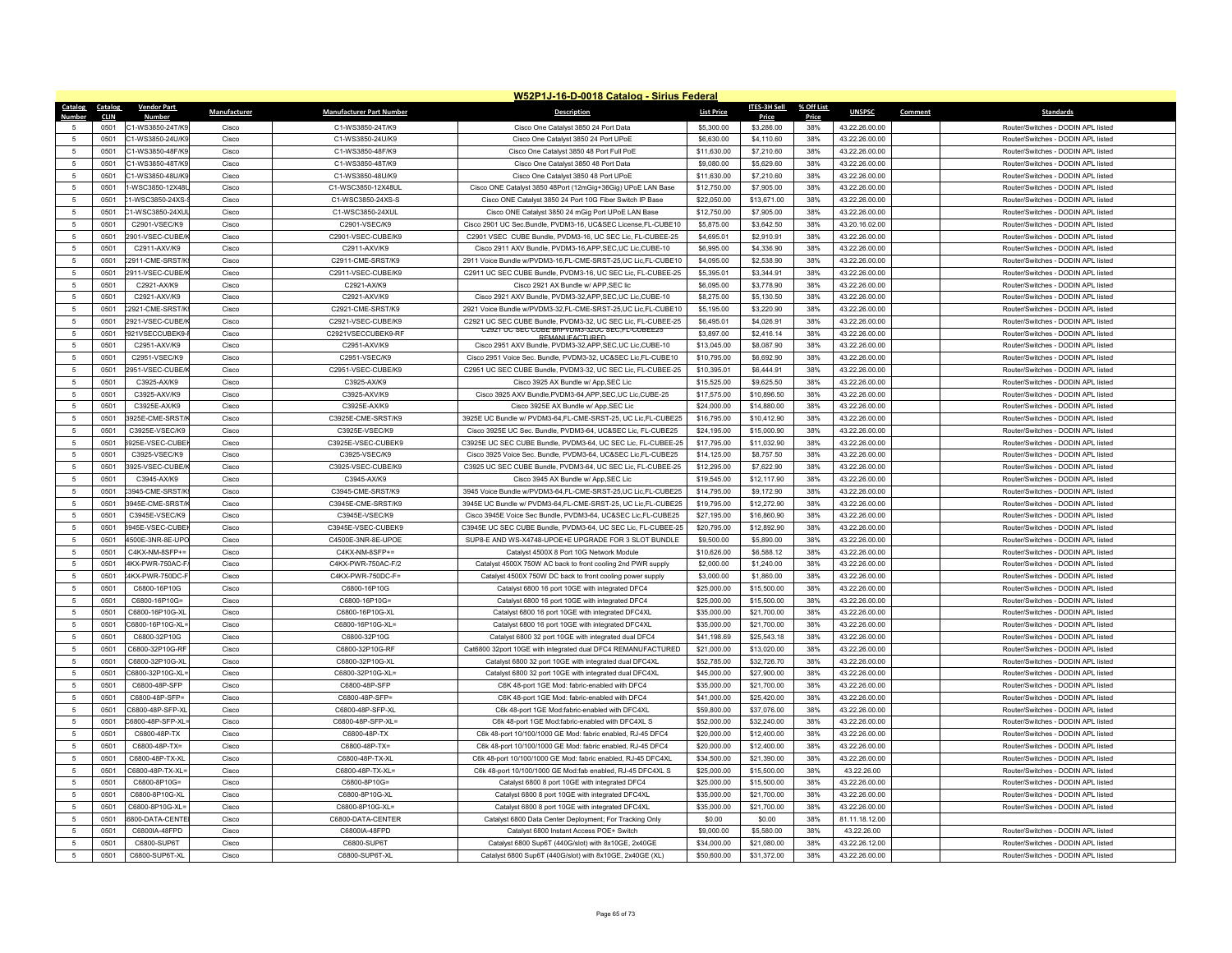|                               |                |                                      |                |                                         | W52P1J-16-D-0018 Catalog - Sirius Federal                                                                                    |                            |                           |            |                                  |                                                                          |
|-------------------------------|----------------|--------------------------------------|----------------|-----------------------------------------|------------------------------------------------------------------------------------------------------------------------------|----------------------------|---------------------------|------------|----------------------------------|--------------------------------------------------------------------------|
| <b>Catalog</b>                | <b>Catalog</b> | <b>Vendor Part</b>                   | Manufacturer   | <b>Manufacturer Part Number</b>         | <b>Description</b>                                                                                                           | <b>List Price</b>          | <b>ITES-3H Sell</b>       | % Off List | <b>UNSPSC</b>                    | Comment<br><b>Standards</b>                                              |
| 5                             | CLIN           | <b>Numbe</b>                         |                |                                         |                                                                                                                              |                            | Price                     | Price      |                                  |                                                                          |
| -5                            | 0501           | C1-WS3850-24T/K9                     | Cisco          | C1-WS3850-24T/K9                        | Cisco One Catalyst 3850 24 Port Data                                                                                         | \$5,300.00                 | \$3,286.00                | 38%        | 43.22.26.00.00                   | Router/Switches - DODIN APL listed                                       |
|                               | 0501<br>0501   | C1-WS3850-24U/K9<br>C1-WS3850-48F/K9 | Cisco          | C1-WS3850-24U/K9<br>C1-WS3850-48F/K9    | Cisco One Catalyst 3850 24 Port UPoE<br>Cisco One Catalyst 3850 48 Port Full PoE                                             | \$6,630.00<br>\$11,630.00  | \$4,110.60                | 38%<br>38% | 43.22.26.00.00<br>43.22.26.00.00 | Router/Switches - DODIN APL listed<br>Router/Switches - DODIN API listed |
| 5<br>$\overline{5}$           |                |                                      | Cisco          |                                         |                                                                                                                              |                            | \$7,210.60                |            |                                  |                                                                          |
|                               | 0501           | C1-WS3850-48T/K9                     | Cisco          | C1-WS3850-48T/K9                        | Cisco One Catalyst 3850 48 Port Data                                                                                         | \$9,080.00                 | \$5,629.60                | 38%        | 43.22.26.00.00                   | Router/Switches - DODIN APL listed                                       |
| 5                             | 0501           | C1-WS3850-48U/K9                     | Cisco          | C1-WS3850-48U/K9                        | Cisco One Catalyst 3850 48 Port UPoE                                                                                         | \$11,630.00                | \$7,210.60                | 38%        | 43.22.26.00.00                   | Router/Switches - DODIN APL listed                                       |
| $\sqrt{5}$<br>$\overline{5}$  | 0501           | 1-WSC3850-12X48                      | Cisco          | C1-WSC3850-12X48UI                      | Cisco ONE Catalyst 3850 48Port (12mGig+36Gig) UPoE LAN Base                                                                  | \$12,750.00                | \$7,905.00                | 38%        | 43.22.26.00.00                   | Router/Switches - DODIN APL listed                                       |
|                               | 0501           | 1-WSC3850-24XS-                      | Cisco          | C1-WSC3850-24XS-S                       | Cisco ONE Catalyst 3850 24 Port 10G Fiber Switch IP Base                                                                     | \$22,050.00                | \$13,671.00               | 38%        | 43.22.26.00.00                   | Router/Switches - DODIN APL listed                                       |
| 5                             | 0501           | C1-WSC3850-24XU                      | Cisco          | C1-WSC3850-24XUL                        | Cisco ONE Catalyst 3850 24 mGig Port UPoE LAN Base                                                                           | \$12,750.00                | \$7,905.00                | 38%        | 43.22.26.00.00                   | Router/Switches - DODIN APL listed                                       |
| $\sqrt{5}$                    | 0501           | C2901-VSEC/K9                        | Cisco          | C2901-VSEC/K9                           | Cisco 2901 UC Sec.Bundle, PVDM3-16, UC&SEC License,FL-CUBE10                                                                 | \$5,875.00                 | \$3,642.50                | 38%        | 43.20.16.02.00                   | Router/Switches - DODIN APL listed                                       |
| -5                            | 0501           | 2901-VSFC-CUBF/                      | Cisco          | C2901-VSEC-CUBE/K9                      | C2901 VSEC, CUBE Bundle, PVDM3-16, UC SEC Lic, EL-CUBEE-25                                                                   | \$4,695.01                 | \$2,910.91                | 38%        | 43.22.26.00.00                   | Router/Switches - DODIN API listed                                       |
| 5                             | 0501           | C2911-AXV/K9                         | Cisco          | C2911-AXV/K9                            | Cisco 2911 AXV Bundle, PVDM3-16, APP, SEC, UC Lic, CUBE-10                                                                   | \$6,995.00                 | \$4,336.90                | 38%        | 43.22.26.00.00                   | Router/Switches - DODIN APL listed                                       |
| $\sqrt{5}$                    | 0501           | 2911-CME-SRST/K                      | Cisco          | C2911-CME-SRST/K9                       | 2911 Voice Bundle w/PVDM3-16,FL-CME-SRST-25,UC Lic,FL-CUBE10                                                                 | \$4,095.00                 | \$2,538.90                | 38%        | 43.22.26.00.00                   | Router/Switches - DODIN APL listed                                       |
| 5                             | 0501           | 2911-VSEC-CUBE/                      | Cisco          | C2911-VSEC-CUBE/K9                      | C2911 UC SEC CUBE Bundle, PVDM3-16, UC SEC Lic, FL-CUBEE-25                                                                  | \$5,395.01                 | \$3,344.91                | 38%        | 43.22.26.00.00                   | Router/Switches - DODIN APL listed                                       |
| $\sqrt{5}$                    | 0501           | C2921-AX/K9                          | Cisco          | C2921-AX/K9                             | Cisco 2921 AX Bundle w/ APP, SEC lic                                                                                         | \$6,095.00                 | \$3,778.90                | 38%        | 43.22.26.00.00                   | Router/Switches - DODIN APL listed                                       |
| 5                             | 0501           | C2921-AXV/K9                         | Cisco          | C2921-AXV/K9                            | Cisco 2921 AXV Bundle, PVDM3-32, APP, SEC, UC Lic, CUBE-10                                                                   | \$8,275.00                 | \$5,130.50                | 38%        | 43.22.26.00.00                   | Router/Switches - DODIN APL listed                                       |
| 5                             | 0501           | 2921-CME-SRST/K                      | Cisco          | C2921-CME-SRST/K9                       | 2921 Voice Bundle w/PVDM3-32,FL-CME-SRST-25,UC Lic,FL-CUBE10                                                                 | \$5,195.00                 | \$3,220.90                | 38%        | 43.22.26.00.00                   | Router/Switches - DODIN APL listed                                       |
| 5                             | 0501           | 2921-VSEC-CUBE/                      | Cisco          | C2921-VSEC-CUBE/K9                      | C2921 UC SEC CUBE Bundle, PVDM3-32, UC SEC Lic, FL-CUBEE-25<br>C2921 UC SEC CUBE BNPVDM3-32UC SEC.FL-CUBEE25                 | \$6,495.01                 | \$4,026.91                | 38%        | 43.22.26.00.00                   | Router/Switches - DODIN APL listed                                       |
| 5                             | 0501           | 2921VSECCUBEK9-                      | Cisco          | C2921VSECCUBEK9-RF                      | REMANUEACTURED                                                                                                               | \$3,897.00                 | \$2,416.14                | 38%        | 43.22.26.00.00                   | Router/Switches - DODIN APL listed                                       |
| 5                             | 0501           | C2951-AXV/K9                         | Cisco          | C2951-AXV/K9                            | Cisco 2951 AXV Bundle, PVDM3-32,APP,SEC,UC Lic,CUBE-10                                                                       | \$13,045.00                | \$8,087.90                | 38%        | 43.22.26.00.00                   | Router/Switches - DODIN APL listed                                       |
| 5                             | 0501           | C2951-VSFC/K9                        | Cisco          | C2951-VSFC/K9                           | Cisco 2951 Voice Sec. Bundle, PVDM3-32, UC&SEC Lic,FL-CUBE10                                                                 | \$10,795.00                | \$6,692.90                | 38%        | 43 22 26 00 00                   | Router/Switches - DODIN API listed                                       |
| 5                             | 0501           | 2951-VSEC-CUBE/                      | Cisco          | C2951-VSEC-CUBE/K9                      | C2951 UC SEC CUBE Bundle, PVDM3-32, UC SEC Lic, FL-CUBEE-25                                                                  | \$10,395.01                | \$6,444.91                | 38%        | 43.22.26.00.00                   | Router/Switches - DODIN APL listed                                       |
| 5                             | 0501           | C3925-AX/K9                          | Cisco          | C3925-AX/K9                             | Cisco 3925 AX Bundle w/ App, SEC Lic                                                                                         | \$15,525.00                | \$9,625.50                | 38%        | 43.22.26.00.00                   | Router/Switches - DODIN APL listed                                       |
| -5                            | 0501           | C3925-AXV/K9                         | Cisco          | C3925-AXV/K9                            | Cisco 3925 AXV Bundle, PVDM3-64, APP, SEC, UC Lic, CUBE-25                                                                   | \$17,575.00                | \$10,896.50               | 38%        | 43.22.26.00.00                   | Router/Switches - DODIN API listed                                       |
| 5                             | 0501           | C3925E-AX/K9                         | Cisco          | C3925E-AX/K9                            | Cisco 3925E AX Bundle w/ App, SEC Lic                                                                                        | \$24,000.00                | \$14,880.00               | 38%        | 43.22.26.00.00                   | Router/Switches - DODIN APL listed                                       |
| 5                             | 0501           | 3925E-CME-SRST/                      | Cisco          | C3925E-CME-SRST/K9                      | 3925E UC Bundle w/ PVDM3-64,FL-CME-SRST-25, UC Lic,FL-CUBE25                                                                 | \$16,795.00                | \$10,412.90               | 38%        | 43.22.26.00.00                   | Router/Switches - DODIN APL listed                                       |
| 5                             | 0501           | C3925F-VSFC/K9                       | Cisco          | C3925F-VSFC/K9                          | Cisco 3925F UC Sec. Bundle, PVDM3-64, UC&SEC Lic, FL-CUBE25                                                                  | \$24,195.00                | \$15,000.90               | 38%        | 43.22.26.00.00                   | Router/Switches - DODIN API listed                                       |
| 5                             | 0501           | 3925E-VSEC-CUBE                      | Cisco          | C3925E-VSEC-CUBEK9                      | C3925E UC SEC CUBE Bundle, PVDM3-64, UC SEC Lic, FL-CUBEE-25                                                                 | \$17,795.00                | \$11,032.90               | 38%        | 43.22.26.00.00                   | Router/Switches - DODIN APL listed                                       |
| 5                             | 0501           | C3925-VSEC/K9                        | Cisco          | C3925-VSEC/K9                           | Cisco 3925 Voice Sec. Bundle, PVDM3-64, UC&SEC Lic,FL-CUBE25                                                                 | \$14,125.00                | \$8,757.50                | 38%        | 43.22.26.00.00                   | Router/Switches - DODIN APL listed                                       |
| $\sqrt{5}$<br>5               | 0501<br>0501   | 3925-VSEC-CUBE/<br>C3945-AX/K9       | Cisco          | C3925-VSEC-CUBE/K9<br>C3945-AX/K9       | C3925 UC SEC CUBE Bundle, PVDM3-64, UC SEC Lic, FL-CUBEE-25                                                                  | \$12,295.00<br>\$19,545.00 | \$7,622.90                | 38%<br>38% | 43.22.26.00.00                   | Router/Switches - DODIN APL listed<br>Router/Switches - DODIN API listed |
|                               |                | 23945-CMF-SRST/K                     | Cisco          |                                         | Cisco 3945 AX Bundle w/ App, SEC Lic                                                                                         |                            | \$12,117.90               |            | 43.22.26.00.00                   |                                                                          |
| $\sqrt{5}$<br>$5\phantom{.0}$ | 0501<br>0501   | 3945F-CMF-SRST/                      | Cisco<br>Cisco | C3945-CME-SRST/K9<br>C3945F-CMF-SRST/K9 | 3945 Voice Bundle w/PVDM3-64,FL-CME-SRST-25,UC Lic,FL-CUBE25<br>3945E UC Bundle w/ PVDM3-64,FL-CME-SRST-25, UC Lic,FL-CUBE25 | \$14,795.00<br>\$19,795.00 | \$9,172.90<br>\$12,272.90 | 38%<br>38% | 43.22.26.00.00<br>43.22.26.00.00 | Router/Switches - DODIN APL listed<br>Router/Switches - DODIN APL listed |
| $\sqrt{5}$                    | 0501           | C3945F-VSFC/K9                       | Cisco          | C3945F-VSFC/K9                          | Cisco 3945E Voice Sec Bundle, PVDM3-64, UC&SEC Lic.FL-CUBE25                                                                 | \$27,195.00                | \$16,860.90               | 38%        | 43.22.26.00.00                   | Router/Switches - DODIN API listed                                       |
| 5                             | 0501           | 3945F-VSFC-CUBF                      | Cisco          | C3945F-VSFC-CUBFK9                      | C3945E UC SEC CUBE Bundle, PVDM3-64, UC SEC Lic, FL-CUBEE-25                                                                 | \$20,795.00                | \$12,892.90               | 38%        | 43.22.26.00.00                   | Router/Switches - DODIN API listed                                       |
| 5                             | 0501           | 4500E-3NR-8E-UPO                     | Cisco          | C4500E-3NR-8E-UPOE                      | SUP8-E AND WS-X4748-UPOE+E UPGRADE FOR 3 SLOT BUNDLE                                                                         | \$9,500.00                 | \$5,890.00                | 38%        | 43.22.26.00.00                   | Router/Switches - DODIN APL listed                                       |
| 5                             | 0501           | C4KX-NM-8SFP+=                       | Cisco          | $C4KX-NM-RSFP+=$                        | Catalyst 4500X 8 Port 10G Network Module                                                                                     | \$10,626.00                | \$6,588.12                | 38%        | 43.22.26.00.00                   | Router/Switches - DODIN APL listed                                       |
| 5                             | 0501           | :4KX-PWR-750AC-F                     | Cisco          | C4KX-PWR-750AC-F/2                      | Catalyst 4500X 750W AC back to front cooling 2nd PWR supply                                                                  | \$2,000.00                 | \$1,240.00                | 38%        | 43.22.26.00.00                   | Router/Switches - DODIN APL listed                                       |
| $5\phantom{.0}$               | 0501           | 4KX-PWR-750DC-F                      | Cisco          | C4KX-PWR-750DC-F=                       | Catalyst 4500X 750W DC back to front cooling power supply                                                                    | \$3,000.00                 | \$1,860.00                | 38%        | 43.22.26.00.00                   | Router/Switches - DODIN APL listed                                       |
| 5                             | 0501           | C6800-16P10G                         | Cisco          | C6800-16P10G                            | Catalyst 6800 16 port 10GE with integrated DFC4                                                                              | \$25,000.00                | \$15,500.00               | 38%        | 43.22.26.00.00                   | Router/Switches - DODIN API listed                                       |
| -5                            | 0501           | C6800-16P10G=                        | Cisco          | C6800-16P10G=                           | Catalyst 6800 16 port 10GE with integrated DFC4                                                                              | \$25,000.00                | \$15,500.00               | 38%        | 43.22.26.00.00                   | Router/Switches - DODIN API listed                                       |
| 5                             | 0501           | C6800-16P10G-XL                      | Cisco          | C6800-16P10G-XI                         | Catalyst 6800 16 port 10GE with integrated DFC4XL                                                                            | \$35,000.00                | \$21,700.00               | 38%        | 43.22.26.00.00                   | Router/Switches - DODIN API listed                                       |
| 5                             | 0501           | C6800-16P10G-XL                      | Cisco          | C6800-16P10G-XL=                        | Catalyst 6800 16 port 10GE with integrated DFC4XL                                                                            | \$35,000.00                | \$21,700.00               | 38%        | 43.22.26.00.00                   | Router/Switches - DODIN APL listed                                       |
| -5                            | 0501           | C6800-32P10G                         | Cisco          | C6800-32P10G                            | Catalyst 6800 32 port 10GE with integrated dual DFC4                                                                         | \$41.198.69                | \$25,543.18               | 38%        | 43.22.26.00.00                   | Router/Switches - DODIN API listed                                       |
| $5\phantom{.0}$               | 0501           | C6800-32P10G-RF                      | Cisco          | C6800-32P10G-RF                         | Cat6800 32port 10GE with integrated dual DFC4 REMANUFACTURED                                                                 | \$21,000.00                | \$13,020.00               | 38%        | 43.22.26.00.00                   | Router/Switches - DODIN APL listed                                       |
| $\sqrt{5}$                    | 0501           | C6800-32P10G-XL                      | Cisco          | C6800-32P10G-XL                         | Catalyst 6800 32 port 10GE with integrated dual DFC4XL                                                                       | \$52,785.00                | \$32,726.70               | 38%        | 43.22.26.00.00                   | Router/Switches - DODIN APL listed                                       |
| 5                             | 0501           | C6800-32P10G-XL                      | Cisco          | C6800-32P10G-XL=                        | Catalyst 6800 32 port 10GE with integrated dual DFC4XL                                                                       | \$45,000.00                | \$27,900.00               | 38%        | 43.22.26.00.00                   | Router/Switches - DODIN API listed                                       |
| $\sqrt{5}$                    | 0501           | C6800-48P-SFP                        | Cisco          | C6800-48P-SFP                           | C6K 48-port 1GE Mod: fabric-enabled with DFC4                                                                                | \$35,000.00                | \$21,700.00               | 38%        | 43.22.26.00.00                   | Router/Switches - DODIN API listed                                       |
| $\sqrt{5}$                    | 0501           | C6800-48P-SFP=                       | Cisco          | C6800-48P-SFP=                          | C6K 48-port 1GE Mod: fabric-enabled with DFC4                                                                                | \$41,000.00                | \$25,420.00               | 38%        | 43.22.26.00.00                   | Router/Switches - DODIN APL listed                                       |
| 5                             | 0501           | C6800-48P-SEP-XL                     | Cisco          | C6800-48P-SEP-XL                        | C6k 48-port 1GF Mod:fabric-enabled with DFC4XI                                                                               | \$59,800.00                | \$37,076.00               | 38%        | 43.22.26.00.00                   | Router/Switches - DODIN API listed                                       |
| $\overline{5}$                | 0501           | C6800-48P-SFP-XL                     | Cisco          | C6800-48P-SFP-XL=                       | C6k 48-port 1GE Mod:fabric-enabled with DFC4XL S                                                                             | \$52,000.00                | \$32,240.00               | 38%        | 43.22.26.00.00                   | Router/Switches - DODIN APL listed                                       |
| 5                             | 0501           | C6800-48P-TX                         | Cisco          | C6800-48P-TX                            | C6k 48-port 10/100/1000 GE Mod: fabric enabled, RJ-45 DFC4                                                                   | \$20,000.00                | \$12,400.00               | 38%        | 43.22.26.00.00                   | Router/Switches - DODIN API listed                                       |
| -5                            | 0501           | C6800-48P-TX=                        | Cisco          | C6800-48P-TX=                           | C6k 48-port 10/100/1000 GE Mod: fabric enabled, RJ-45 DFC4                                                                   | \$20,000.00                | \$12,400.00               | 38%        | 43.22.26.00.00                   | Router/Switches - DODIN APL listed                                       |
| $\overline{5}$                | 0501           | C6800-48P-TX-XL                      | Cisco          | C6800-48P-TX-XL                         | C6k 48-port 10/100/1000 GE Mod: fabric enabled, RJ-45 DFC4XL                                                                 | \$34,500.00                | \$21,390.00               | 38%        | 43.22.26.00.00                   | Router/Switches - DODIN APL listed                                       |
| 5                             | 0501           | C6800-48P-TX-XI =                    | Cisco          | C6800-48P-TX-XL=                        | C6k 48-port 10/100/1000 GE Mod:fab enabled, RJ-45 DFC4XL S                                                                   | \$25,000.00                | \$15,500.00               | 38%        | 43 22 26 00                      | Router/Switches - DODIN API listed                                       |
| $\sqrt{5}$                    | 0501           | C6800-8P10G=                         | Cisco          | C6800-8P10G=                            | Catalyst 6800 8 port 10GE with integrated DFC4                                                                               | \$25,000.00                | \$15,500.00               | 38%        | 43.22.26.00.00                   | Router/Switches - DODIN APL listed                                       |
| 5                             | 0501           | C6800-8P10G-XL                       | Cisco          | C6800-8P10G-XL                          | Catalyst 6800 8 port 10GE with integrated DFC4XL                                                                             | \$35,000.00                | \$21,700.00               | 38%        | 43.22.26.00.00                   | Router/Switches - DODIN APL listed                                       |
| -5                            | 0501           | C6800-8P10G-XI =                     | Cisco          | C6800-8P10G-XL=                         | Catalyst 6800 8 port 10GE with integrated DFC4XL                                                                             | \$35,000.00                | \$21,700.00               | 38%        | 43 22 26 00 00                   | Router/Switches - DODIN API listed                                       |
| 5                             | 0501           | 6800-DATA-CENTE                      | Cisco          | C6800-DATA-CENTER                       | Catalyst 6800 Data Center Deployment; For Tracking Only                                                                      | \$0.00                     | \$0.00                    | 38%        | 81.11.18.12.00                   |                                                                          |
| $\overline{5}$                | 0501           | C6800IA-48FPD                        | Cisco          | C6800IA-48FPD                           | Catalyst 6800 Instant Access POE+ Switch                                                                                     | \$9,000.00                 | \$5,580.00                | 38%        | 43.22.26.00                      | Router/Switches - DODIN API listed                                       |
| 5                             | 0501           | C6800-SUP6T                          | Cisco          | C6800-SUP6T                             | Catalyst 6800 Sup6T (440G/slot) with 8x10GE, 2x40GE                                                                          | \$34,000.00                | \$21,080.00               | 38%        | 43.22.26.12.00                   | Router/Switches - DODIN APL listed                                       |
| 5                             | 0501           | C6800-SUP6T-XL                       | Cisco          | C6800-SUP6T-XL                          | Catalyst 6800 Sup6T (440G/slot) with 8x10GE, 2x40GE (XL)                                                                     | \$50,600.00                | \$31,372.00               | 38%        | 43.22.26.00.00                   | Router/Switches - DODIN APL listed                                       |
|                               |                |                                      |                |                                         |                                                                                                                              |                            |                           |            |                                  |                                                                          |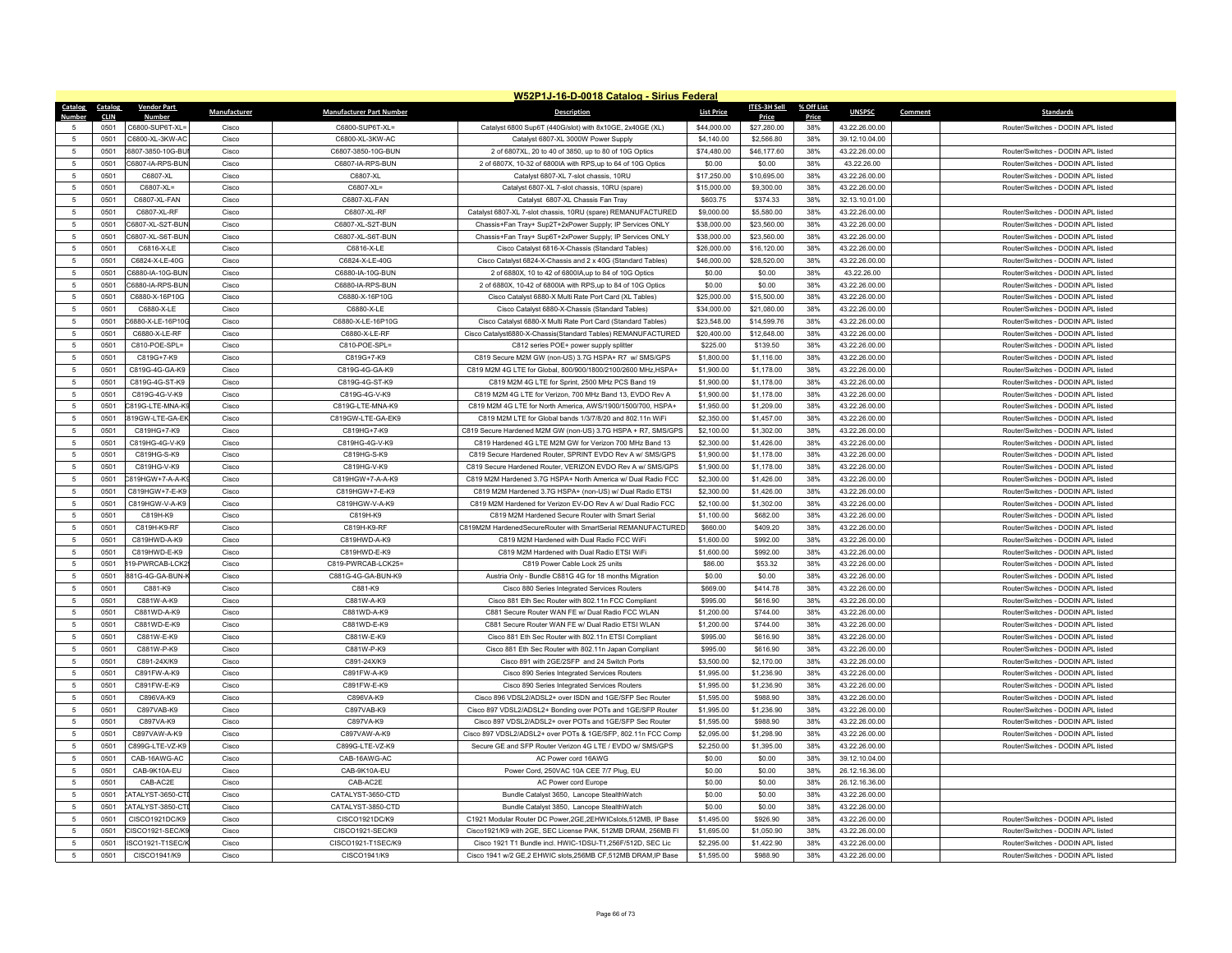|                          |              |                                      |                |                                       | W52P1J-16-D-0018 Catalog - Sirius Federal                                                                               |                            |                            |            |                                  |                                                                          |
|--------------------------|--------------|--------------------------------------|----------------|---------------------------------------|-------------------------------------------------------------------------------------------------------------------------|----------------------------|----------------------------|------------|----------------------------------|--------------------------------------------------------------------------|
| Catalog                  | Catalog      | <b>Vendor Part</b>                   | Manufacturer   | <b>Manufacturer Part Number</b>       | <b>Description</b>                                                                                                      | <b>List Price</b>          | ITES-3H Sell               | % Off List | <b>UNSPSC</b>                    | Comment<br><b>Standards</b>                                              |
| 5                        | CLIN         | <b>Numbe</b>                         |                |                                       |                                                                                                                         |                            | Price                      | Price      |                                  |                                                                          |
| -5                       | 0501         | C6800-SUP6T-XL=                      | Cisco          | C6800-SUP6T-XL=                       | Catalyst 6800 Sup6T (440G/slot) with 8x10GE, 2x40GE (XL)                                                                | \$44,000.00                | \$27,280.00                | 38%        | 43.22.26.00.00                   | Router/Switches - DODIN APL listed                                       |
|                          | 0501<br>0501 | C6800-XL-3KW-AC<br>6807-3850-10G-BL  | Cisco<br>Cisco | C6800-XL-3KW-AC<br>C6807-3850-10G-BUN | Catalyst 6807-XL 3000W Power Supply<br>2 of 6807XL, 20 to 40 of 3850, up to 80 of 10G Optics                            | \$4,140.00<br>\$74,480.00  | \$2,566.80<br>\$46,177.60  | 38%<br>38% | 39.12.10.04.00<br>43.22.26.00.00 | Router/Switches - DODIN API listed                                       |
| 5<br>5                   |              |                                      |                |                                       |                                                                                                                         |                            |                            |            |                                  |                                                                          |
|                          | 0501         | C6807-IA-RPS-BUN                     | Cisco          | C6807-IA-RPS-BUN                      | 2 of 6807X, 10-32 of 6800IA with RPS,up to 64 of 10G Optics                                                             | \$0.00                     | \$0.00                     | 38%        | 43.22.26.00                      | Router/Switches - DODIN APL listed                                       |
| 5                        | 0501         | C6807-XL                             | Cisco          | C6807-XL                              | Catalyst 6807-XL 7-slot chassis, 10RU                                                                                   | \$17,250.00                | \$10,695.00                | 38%        | 43.22.26.00.00                   | Router/Switches - DODIN APL listed                                       |
| $\sqrt{5}$<br>5          | 0501         | C6807-XL=                            | Cisco          | C6807-XL=                             | Catalyst 6807-XL 7-slot chassis, 10RU (spare)                                                                           | \$15,000.00                | \$9,300.00                 | 38%        | 43.22.26.00.00                   | Router/Switches - DODIN APL listed                                       |
|                          | 0501         | C6807-XL-FAN                         | Cisco          | C6807-XL-FAN                          | Catalyst 6807-XL Chassis Fan Tray                                                                                       | \$603.75                   | \$374.33                   | 38%        | 32.13.10.01.00                   |                                                                          |
| 5                        | 0501         | C6807-XL-RF                          | Cisco          | C6807-XL-RF                           | Catalyst 6807-XL 7-slot chassis, 10RU (spare) REMANUFACTURED                                                            | \$9,000.00                 | \$5,580.00                 | 38%        | 43.22.26.00.00                   | Router/Switches - DODIN APL listed                                       |
| $5\phantom{.0}$<br>5     | 0501<br>0501 | C6807-XL-S2T-BUN<br>C6807-XL-S6T-BUN | Cisco<br>Cisco | C6807-XL-S2T-BUN<br>C6807-XI -S6T-BUN | Chassis+Fan Tray+ Sup2T+2xPower Supply; IP Services ONLY                                                                | \$38,000.00<br>\$38,000.00 | \$23,560.00<br>\$23,560.00 | 38%<br>38% | 43.22.26.00.00<br>43.22.26.00.00 | Router/Switches - DODIN APL listed<br>Router/Switches - DODIN API listed |
|                          |              | C6816-X-I F                          |                |                                       | Chassis+Fan Tray+ Sup6T+2xPower Supply; IP Services ONLY                                                                |                            |                            |            |                                  | Router/Switches - DODIN API listed                                       |
| 5                        | 0501         | C6824-X-LE-40G                       | Cisco          | C6816-X-LE<br>C6824-X-LE-40G          | Cisco Catalyst 6816-X-Chassis (Standard Tables)                                                                         | \$26,000.00                | \$16,120.00                | 38%<br>38% | 43.22.26.00.00                   | Router/Switches - DODIN APL listed                                       |
| $\sqrt{5}$<br>5          | 0501<br>0501 | C6880-IA-10G-BUN                     | Cisco<br>Cisco | C6880-IA-10G-BUN                      | Cisco Catalyst 6824-X-Chassis and 2 x 40G (Standard Tables)<br>2 of 6880X, 10 to 42 of 6800IA,up to 84 of 10G Optics    | \$46,000.00<br>\$0.00      | \$28,520.00<br>\$0.00      | 38%        | 43.22.26.00.00<br>43.22.26.00    | Router/Switches - DODIN API listed                                       |
| 5                        | 0501         | C6880-IA-RPS-BUN                     | Cisco          | C6880-IA-RPS-BUN                      | 2 of 6880X, 10-42 of 6800IA with RPS,up to 84 of 10G Optics                                                             | \$0.00                     | \$0.00                     | 38%        | 43.22.26.00.00                   | Router/Switches - DODIN APL listed                                       |
| $5\phantom{.0}$          | 0501         | C6880-X-16P10G                       | Cisco          | C6880-X-16P10G                        | Cisco Catalyst 6880-X Multi Rate Port Card (XL Tables)                                                                  | \$25,000.00                | \$15,500.00                | 38%        | 43.22.26.00.00                   | Router/Switches - DODIN APL listed                                       |
| $\overline{5}$           | 0501         | C6880-X-I F                          | Cisco          | C6880-X-LE                            | Cisco Catalyst 6880-X-Chassis (Standard Tables)                                                                         | \$34,000.00                | \$21,080.00                | 38%        | 43.22.26.00.00                   | Router/Switches - DODIN API listed                                       |
| $\sqrt{5}$               | 0501         | C6880-X-LE-16P10G                    | Cisco          | C6880-X-LE-16P10G                     | Cisco Catalyst 6880-X Multi Rate Port Card (Standard Tables)                                                            | \$23,548.00                | \$14,599.76                | 38%        | 43.22.26.00.00                   | Router/Switches - DODIN API listed                                       |
| 5                        | 0501         | C6880-X-LE-RF                        | Cisco          | C6880-X-LE-RF                         | Cisco Catalyst6880-X-Chassis(Standard Tables) REMANUFACTURED                                                            | \$20,400.00                | \$12,648.00                | 38%        | 43.22.26.00.00                   | Router/Switches - DODIN APL listed                                       |
| 5                        | 0501         | C810-POE-SPL=                        | Cisco          | C810-POE-SPL=                         |                                                                                                                         | \$225.00                   | \$139.50                   | 38%        | 43.22.26.00.00                   | Router/Switches - DODIN APL listed                                       |
| -5                       | 0501         | C819G+7-K9                           | Cisco          | C819G+7-K9                            | C812 series POE+ power supply splitter<br>C819 Secure M2M GW (non-US) 3.7G HSPA+ R7 w/ SMS/GPS                          | \$1,800.00                 | \$1,116.00                 | 38%        | 43.22.26.00.00                   | Router/Switches - DODIN API listed                                       |
|                          |              |                                      |                |                                       | C819 M2M 4G LTE for Global, 800/900/1800/2100/2600 MHz, HSPA+                                                           |                            |                            |            |                                  |                                                                          |
| $\sqrt{5}$<br>$\sqrt{5}$ | 0501<br>0501 | C819G-4G-GA-K9<br>C819G-4G-ST-K9     | Cisco<br>Cisco | C819G-4G-GA-K9<br>C819G-4G-ST-K9      | C819 M2M 4G LTE for Sprint, 2500 MHz PCS Band 19                                                                        | \$1,900.00<br>\$1,900.00   | \$1,178.00<br>\$1,178.00   | 38%<br>38% | 43.22.26.00.00<br>43.22.26.00.00 | Router/Switches - DODIN APL listed<br>Router/Switches - DODIN API listed |
| -5                       | 0501         | C819G-4G-V-K9                        | Cisco          | C819G-4G-V-K9                         | C819 M2M 4G I TF for Verizon, 700 MHz Band 13, EVDO Rev A                                                               | \$1,900.00                 | \$1,178.00                 | 38%        | 43.22.26.00.00                   | Router/Switches - DODIN APL listed                                       |
| $\sqrt{5}$               | 0501         | C819G-LTE-MNA-K9                     | Cisco          | C819G-LTE-MNA-K9                      | C819 M2M 4G LTE for North America, AWS/1900/1500/700, HSPA+                                                             | \$1,950.00                 | \$1,209.00                 | 38%        | 43.22.26.00.00                   | Router/Switches - DODIN API listed                                       |
|                          |              |                                      | Cisco          |                                       |                                                                                                                         |                            |                            | 38%        |                                  |                                                                          |
| $\,$ 5 $\,$              | 0501<br>0501 | 819GW-LTE-GA-EK<br>C819HG+7-K9       | Cisco          | C819GW-LTE-GA-EK9<br>C819HG+7-K9      | C819 M2M LTE for Global bands 1/3/7/8/20 and 802.11n WiFi                                                               | \$2,350.00                 | \$1,457.00                 | 38%        | 43.22.26.00.00<br>43.22.26.00.00 | Router/Switches - DODIN APL listed<br>Router/Switches - DODIN API listed |
| 5<br>$5\phantom{.0}$     | 0501         | C819HG-4G-V-K9                       | Cisco          | C819HG-4G-V-K9                        | C819 Secure Hardened M2M GW (non-US) 3.7G HSPA + R7, SMS/GPS<br>C819 Hardened 4G LTE M2M GW for Verizon 700 MHz Band 13 | \$2,100.00<br>\$2,300.00   | \$1,302.00<br>\$1,426.00   | 38%        | 43.22.26.00.00                   | Router/Switches - DODIN API listed                                       |
| $\sqrt{5}$               |              |                                      |                |                                       |                                                                                                                         |                            |                            |            |                                  |                                                                          |
|                          | 0501<br>0501 | C819HG-S-K9<br>C819HG-V-K9           | Cisco<br>Cisco | C819HG-S-K9<br>C819HG-V-K9            | C819 Secure Hardened Router, SPRINT EVDO Rev A w/ SMS/GPS<br>C819 Secure Hardened Router, VERIZON EVDO Rev A w/ SMS/GPS | \$1,900.00<br>\$1,900.00   | \$1,178.00<br>\$1,178.00   | 38%<br>38% | 43.22.26.00.00<br>43.22.26.00.00 | Router/Switches - DODIN APL listed<br>Router/Switches - DODIN API listed |
| 5<br>$5\phantom{.0}$     | 0501         | C819HGW+7-A-A-K                      | Cisco          | C819HGW+7-A-A-K9                      | C819 M2M Hardened 3.7G HSPA+ North America w/ Dual Radio FCC                                                            | \$2,300.00                 | \$1,426.00                 | 38%        | 43.22.26.00.00                   | Router/Switches - DODIN APL listed                                       |
| 5                        | 0501         | C819HGW+7-E-K9                       | Cisco          | C819HGW+7-E-K9                        | C819 M2M Hardened 3.7G HSPA+ (non-US) w/ Dual Radio ETSI                                                                | \$2,300.00                 |                            | 38%        | 43.22.26.00.00                   | Router/Switches - DODIN APL listed                                       |
| 5                        | 0501         | C819HGW-V-A-K9                       | Cisco          | C819HGW-V-A-K9                        | C819 M2M Hardened for Verizon EV-DO Rev A w/ Dual Radio FCC                                                             | \$2,100.00                 | \$1,426.00<br>\$1,302.00   | 38%        | 43.22.26.00.00                   | Router/Switches - DODIN API listed                                       |
| $\overline{5}$           | 0501         | C819H-K9                             | Cisco          | C819H-K9                              | C819 M2M Hardened Secure Router with Smart Serial                                                                       | \$1,100.00                 | \$682.00                   | 38%        | 43.22.26.00.00                   | Router/Switches - DODIN APL listed                                       |
| 5                        | 0501         | C819H-K9-RF                          | Cisco          | C819H-K9-RF                           | C819M2M HardenedSecureRouter with SmartSerial REMANUFACTURED                                                            | \$660.00                   | \$409.20                   | 38%        | 43.22.26.00.00                   | Router/Switches - DODIN APL listed                                       |
| $\sqrt{5}$               | 0501         | C819HWD-A-K9                         | Cisco          | C819HWD-A-K9                          | C819 M2M Hardened with Dual Radio FCC WiFi                                                                              | \$1,600.00                 | \$992.00                   | 38%        | 43.22.26.00.00                   | Router/Switches - DODIN APL listed                                       |
| 5                        | 0501         | C819HWD-E-K9                         | Cisco          | C819HWD-E-K9                          | C819 M2M Hardened with Dual Radio ETSI WiFi                                                                             | \$1,600.00                 | \$992.00                   | 38%        | 43.22.26.00.00                   | Router/Switches - DODIN APL listed                                       |
| 5                        | 0501         | 319-PWRCAB-LCK2                      | Cisco          | C819-PWRCAB-LCK25=                    | C819 Power Cable Lock 25 units                                                                                          | \$86,00                    | \$53.32                    | 38%        | 43.22.26.00.00                   | Router/Switches - DODIN APL listed                                       |
| $\sqrt{5}$               | 0501         | 881G-4G-GA-BUN-                      | Cisco          | C881G-4G-GA-BUN-K9                    | Austria Only - Bundle C881G 4G for 18 months Migration                                                                  | \$0.00                     | \$0.00                     | 38%        | 43.22.26.00.00                   | Router/Switches - DODIN APL listed                                       |
| 5                        | 0501         | C881-K9                              | Cisco          | C881-K9                               | Cisco 880 Series Integrated Services Routers                                                                            | \$669.00                   | \$414.78                   | 38%        | 43.22.26.00.00                   | Router/Switches - DODIN API listed                                       |
| 5                        | 0501         | C881W-A-K9                           | Cisco          | C881W-A-K9                            | Cisco 881 Eth Sec Router with 802.11n FCC Compliant                                                                     | \$995.00                   | \$616.90                   | 38%        | 43.22.26.00.00                   | Router/Switches - DODIN APL listed                                       |
| 5                        | 0501         | C881WD-A-K9                          | Cisco          | C881WD-A-K9                           | C881 Secure Router WAN FE w/ Dual Radio FCC WLAN                                                                        | \$1,200.00                 | \$744.00                   | 38%        | 43.22.26.00.00                   | Router/Switches - DODIN APL listed                                       |
| 5                        | 0501         | C881WD-E-K9                          | Cisco          | C881WD-E-K9                           | C881 Secure Router WAN FE w/ Dual Radio ETSI WLAN                                                                       | \$1,200.00                 | \$744.00                   | 38%        | 43.22.26.00.00                   | Router/Switches - DODIN API listed                                       |
| 5                        | 0501         | C881W-E-K9                           | Cisco          | C881W-E-K9                            | Cisco 881 Eth Sec Router with 802.11n ETSI Compliant                                                                    | \$995.00                   | \$616.90                   | 38%        | 43.22.26.00.00                   | Router/Switches - DODIN APL listed                                       |
| $5\phantom{.0}$          | 0501         | C881W-P-K9                           | Cisco          | C881W-P-K9                            | Cisco 881 Eth Sec Router with 802.11n Japan Compliant                                                                   | \$995.00                   | \$616.90                   | 38%        | 43.22.26.00.00                   | Router/Switches - DODIN APL listed                                       |
| $\overline{5}$           | 0501         | C891-24X/K9                          | Cisco          | C891-24X/K9                           | Cisco 891 with 2GE/2SFP and 24 Switch Ports                                                                             | \$3,500.00                 | \$2,170.00                 | 38%        | 43.22.26.00.00                   | Router/Switches - DODIN APL listed                                       |
| $\sqrt{5}$               | 0501         | C891FW-A-K9                          | Cisco          | C891FW-A-K9                           | Cisco 890 Series Integrated Services Routers                                                                            | \$1,995.00                 | \$1,236.90                 | 38%        | 43.22.26.00.00                   | Router/Switches - DODIN APL listed                                       |
| 5                        | 0501         | C891FW-E-K9                          | Cisco          | C891FW-E-K9                           | Cisco 890 Series Integrated Services Routers                                                                            | \$1,995.00                 | \$1,236.90                 | 38%        | 43.22.26.00.00                   | Router/Switches - DODIN APL listed                                       |
| 5                        | 0501         | C896VA-K9                            | Cisco          | C896VA-K9                             | Cisco 896 VDSL2/ADSL2+ over ISDN and 1GE/SFP Sec Router                                                                 | \$1,595.00                 | \$988.90                   | 38%        | 43.22.26.00.00                   | Router/Switches - DODIN APL listed                                       |
| -5                       | 0501         | C897VAB-K9                           | Cisco          | C897VAB-K9                            | Cisco 897 VDSL2/ADSL2+ Bonding over POTs and 1GE/SFP Router                                                             | \$1,995.00                 | \$1,236.90                 | 38%        | 43.22.26.00.00                   | Router/Switches - DODIN API listed                                       |
| $5\phantom{.0}$          | 0501         | C897VA-K9                            | Cisco          | C897VA-K9                             | Cisco 897 VDSL2/ADSL2+ over POTs and 1GE/SFP Sec Router                                                                 | \$1,595.00                 | \$988.90                   | 38%        | 43.22.26.00.00                   | Router/Switches - DODIN APL listed                                       |
| 5                        | 0501         | C897VAW-A-K9                         | Cisco          | C897VAW-A-K9                          | Cisco 897 VDSL2/ADSL2+ over POTs & 1GE/SFP, 802.11n FCC Comp                                                            | \$2,095.00                 | \$1,298.90                 | 38%        | 43.22.26.00.00                   | Router/Switches - DODIN APL listed                                       |
| -5                       | 0501         | C899G-I TF-VZ-K9                     | Cisco          | C899G-LTE-VZ-K9                       | Secure GE and SFP Router Verizon 4G LTE / EVDO w/ SMS/GPS                                                               | \$2,250.00                 | \$1,395.00                 | 38%        | 43 22 26 00 00                   | Router/Switches - DODIN APL listed                                       |
| $\sqrt{5}$               | 0501         | CAB-16AWG-AC                         | Cisco          | CAB-16AWG-AC                          | AC Power cord 16AWG                                                                                                     | \$0.00                     | \$0.00                     | 38%        | 39.12.10.04.00                   |                                                                          |
| $\sqrt{5}$               | 0501         | CAB-9K10A-EU                         | Cisco          | CAB-9K10A-EU                          | Power Cord, 250VAC 10A CEE 7/7 Plug, EU                                                                                 | \$0.00                     | \$0.00                     | 38%        | 26.12.16.36.00                   |                                                                          |
| 5                        | 0501         | CAB-AC2F                             | Cisco          | CAB-AC2E                              | AC Power cord Europe                                                                                                    | \$0.00                     | \$0.00                     | 38%        | 26.12.16.36.00                   |                                                                          |
| 5                        | 0501         | ATALYST-3650-CTI                     | Cisco          | CATALYST-3650-CTD                     | Bundle Catalyst 3650, Lancope StealthWatch                                                                              | \$0.00                     | \$0.00                     | 38%        | 43.22.26.00.00                   |                                                                          |
| $\sqrt{5}$               | 0501         | CATALYST-3850-CT                     | Cisco          | CATALYST-3850-CTD                     | Bundle Catalyst 3850, Lancope StealthWatch                                                                              | \$0.00                     | \$0.00                     | 38%        | 43.22.26.00.00                   |                                                                          |
| 5                        | 0501         | CISCO1921DC/K9                       | Cisco          | CISCO1921DC/K9                        | C1921 Modular Router DC Power.2GE.2EHWICslots.512MB. IP Base                                                            | \$1,495.00                 | \$926.90                   | 38%        | 43 22 26 00 00                   | Router/Switches - DODIN API listed                                       |
| $\overline{5}$           | 0501         | CISCO1921-SEC/K9                     | Cisco          | CISCO1921-SEC/K9                      | Cisco1921/K9 with 2GE, SEC License PAK, 512MB DRAM, 256MB FI                                                            | \$1,695.00                 | \$1,050.90                 | 38%        | 43.22.26.00.00                   | Router/Switches - DODIN APL listed                                       |
| 5                        | 0501         | ISCO1921-T1SEC/I                     | Cisco          | CISCO1921-T1SEC/K9                    | Cisco 1921 T1 Bundle incl. HWIC-1DSU-T1,256F/512D, SEC Lic                                                              | \$2,295.00                 | \$1,422.90                 | 38%        | 43.22.26.00.00                   | Router/Switches - DODIN API listed                                       |
| $\sqrt{5}$               | 0501         | CISCO1941/K9                         | Cisco          | CISCO1941/K9                          | Cisco 1941 w/2 GE,2 EHWIC slots,256MB CF,512MB DRAM,IP Base                                                             | \$1,595.00                 | \$988.90                   | 38%        | 43.22.26.00.00                   | Router/Switches - DODIN APL listed                                       |
|                          |              |                                      |                |                                       |                                                                                                                         |                            |                            |            |                                  |                                                                          |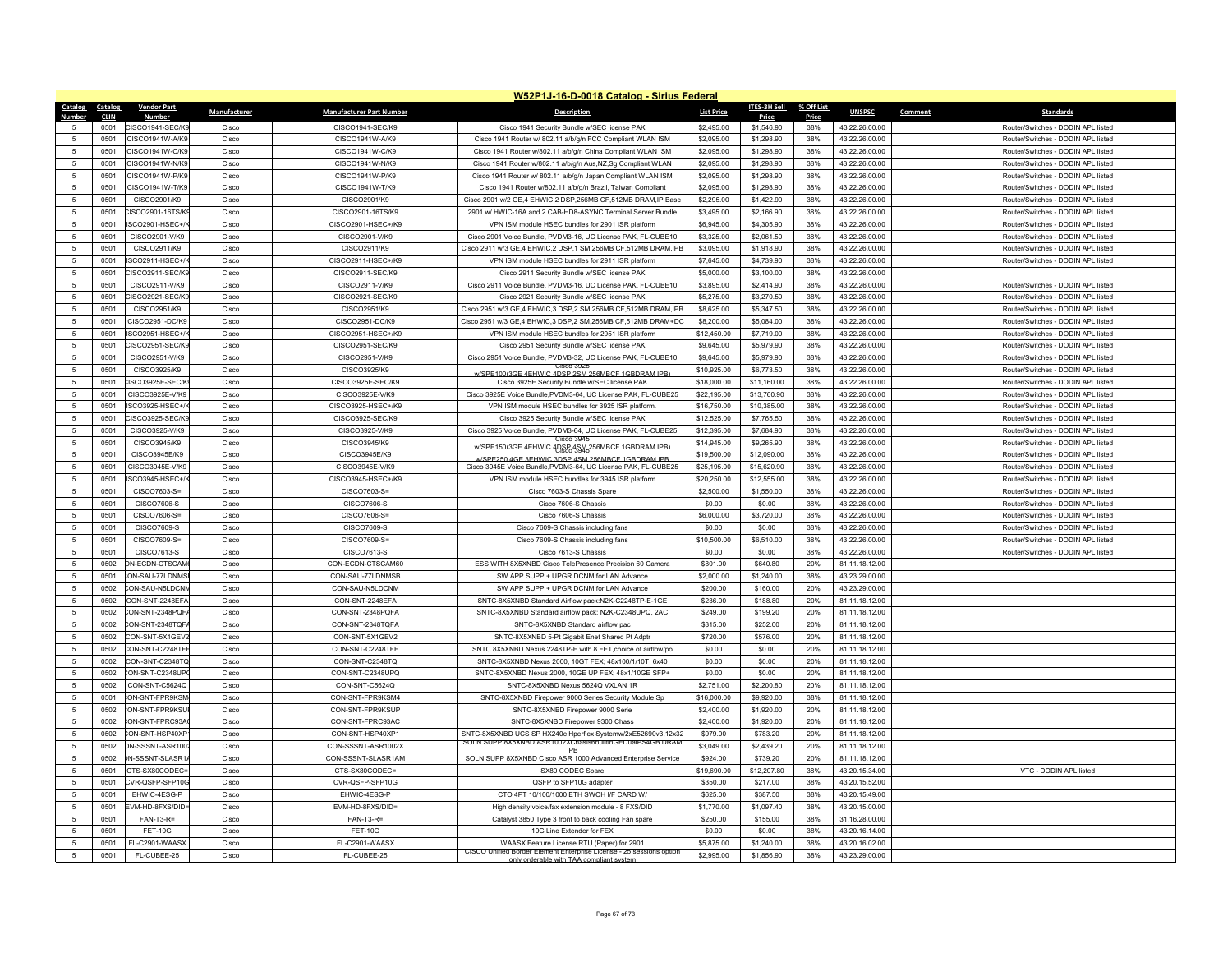|                      |              |                                    |                |                                        | W52P1J-16-D-0018 Catalog - Sirius Federal                                                                                |                        |                          |            |                                  |                                    |
|----------------------|--------------|------------------------------------|----------------|----------------------------------------|--------------------------------------------------------------------------------------------------------------------------|------------------------|--------------------------|------------|----------------------------------|------------------------------------|
| Catalog              | Catalog      | <b>Vendor Part</b>                 | Manufacturer   | <b>Manufacturer Part Number</b>        | <b>Description</b>                                                                                                       | <b>List Price</b>      | <b>ITES-3H Sell</b>      | % Off List | <b>UNSPSC</b>                    | Comment<br><b>Standards</b>        |
| Numbe                | <b>CLIN</b>  | Numbe                              |                |                                        |                                                                                                                          |                        | Price                    | Price      |                                  |                                    |
|                      | 0501         | CISCO1941-SEC/KS                   | Cisco          | CISCO1941-SEC/K9                       | Cisco 1941 Security Bundle w/SEC license PAK                                                                             | \$2,495.00             | \$1,546.90               | 38%        | 43.22.26.00.00                   | Router/Switches - DODIN APL listed |
| 5                    | 0501         | CISCO1941W-A/K9                    | Cisco          | CISCO1941W-A/K9                        | Cisco 1941 Router w/ 802.11 a/b/g/n FCC Compliant WLAN ISM                                                               | \$2,095.00             | \$1,298.90               | 38%        | 43.22.26.00.00                   | Router/Switches - DODIN API listed |
| $\sqrt{5}$           | 0501         | CISCO1941W-C/K9                    | Cisco          | CISCO1941W-C/K9                        | Cisco 1941 Router w/802.11 a/b/g/n China Compliant WLAN ISM                                                              | \$2,095.00             | \$1,298.90               | 38%        | 43.22.26.00.00                   | Router/Switches - DODIN APL listed |
| 5                    | 0501         | CISCO1941W-N/K9                    | Cisco          | CISCO1941W-N/K9                        | Cisco 1941 Router w/802.11 a/b/g/n Aus,NZ,Sg Compliant WLAN                                                              | \$2,095.00             | \$1,298.90               | 38%        | 43.22.26.00.00                   | Router/Switches - DODIN APL listed |
| 5                    | 0501         | CISCO1941W-P/K9                    | Cisco          | CISCO1941W-P/K9                        | Cisco 1941 Router w/ 802.11 a/b/g/n Japan Compliant WLAN ISM                                                             | \$2,095.00             | \$1,298.90               | 38%        | 43.22.26.00.00                   | Router/Switches - DODIN APL listed |
| -5                   | 0501         | CISCO1941W-T/K9                    | Cisco          | CISCO1941W-T/K9                        | Cisco 1941 Router w/802.11 a/b/g/n Brazil, Taiwan Compliant                                                              | \$2,095.00             | \$1,298.90               | 38%        | 43.22.26.00.00                   | Router/Switches - DODIN APL listed |
| 5                    | 0501         | CISCO2901/K9                       | Cisco          | CISCO2901/K9                           | Cisco 2901 w/2 GE,4 EHWIC,2 DSP,256MB CF,512MB DRAM,IP Base                                                              | \$2,295.00             | \$1,422.90               | 38%        | 43.22.26.00.00                   | Router/Switches - DODIN APL listed |
| 5                    | 0501         | CISCO2901-16TS/K                   | Cisco          | CISCO2901-16TS/K9                      | 2901 w/ HWIC-16A and 2 CAB-HD8-ASYNC Terminal Server Bundle                                                              | \$3,495.00             | \$2,166.90               | 38%        | 43.22.26.00.00                   | Router/Switches - DODIN APL listed |
| -5                   | 0501         | ISCO2901-HSFC+/                    | Cisco          | CISCO2901-HSFC+/K9                     | VPN ISM module HSEC bundles for 2901 ISR platform                                                                        | \$6,945.00             | \$4,305.90               | 38%        | 43.22.26.00.00                   | Router/Switches - DODIN API listed |
| 5                    | 0501         | CISCO2901-V/K9                     | Cisco          | CISCO2901-V/K9                         | Cisco 2901 Voice Bundle, PVDM3-16, UC License PAK, FL-CUBE10                                                             | \$3,325.00             | \$2,061.50               | 38%        | 43.22.26.00.00                   | Router/Switches - DODIN APL listed |
| 5                    | 0501         | CISCO2911/K9                       | Cisco          | CISCO2911/K9                           | Cisco 2911 w/3 GE,4 EHWIC,2 DSP,1 SM,256MB CF,512MB DRAM,IPB                                                             | \$3,095.00             | \$1,918.90               | 38%        | 43.22.26.00.00                   | Router/Switches - DODIN APL listed |
| -5                   | 0501         | ISCO2911-HSFC+/                    | Cisco          | CISCO2911-HSFC+/K9                     | VPN ISM module HSEC bundles for 2911 ISR platform                                                                        | \$7,645.00             | \$4,739.90               | 38%        | 43.22.26.00.00                   | Router/Switches - DODIN API listed |
| 5                    | 0501         | CISCO2911-SEC/K9                   | Cisco          | CISCO2911-SEC/K9                       | Cisco 2911 Security Bundle w/SEC license PAK                                                                             | \$5,000.00             | \$3,100.00               | 38%        | 43.22.26.00.00                   |                                    |
| 5                    | 0501         | CISCO2911-V/K9                     | Cisco          | CISCO2911-V/K9                         | Cisco 2911 Voice Bundle, PVDM3-16, UC License PAK, FL-CUBE10                                                             | \$3,895.00             | \$2,414.90               | 38%        | 43.22.26.00.00                   | Router/Switches - DODIN APL listed |
| $5\phantom{.0}$      | 0501         | CISCO2921-SEC/K9                   | Cisco          | CISCO2921-SEC/K9                       | Cisco 2921 Security Bundle w/SEC license PAK                                                                             | \$5,275.00             | \$3,270.50               | 38%        | 43.22.26.00.00                   | Router/Switches - DODIN APL listed |
| 5                    | 0501         | CISCO2951/K9                       | Cisco          | CISCO2951/K9                           | Cisco 2951 w/3 GE,4 EHWIC,3 DSP,2 SM,256MB CF,512MB DRAM,IPB                                                             | \$8,625.00             | \$5,347.50               | 38%        | 43.22.26.00.00                   | Router/Switches - DODIN API listed |
| 5                    | 0501         | CISCO2951-DC/K9                    | Cisco          | CISCO2951-DC/K9                        | Cisco 2951 w/3 GE,4 EHWIC,3 DSP,2 SM,256MB CF,512MB DRAM+DC                                                              | \$8,200.00             | \$5,084.00               | 38%        | 43.22.26.00.00                   | Router/Switches - DODIN APL listed |
| $\sqrt{5}$           | 0501         | ISCO2951-HSEC+/                    | Cisco          | CISCO2951-HSEC+/K9                     | VPN ISM module HSEC bundles for 2951 ISR platform                                                                        | \$12,450.00            | \$7,719.00               | 38%        | 43.22.26.00.00                   | Router/Switches - DODIN APL listed |
| 5                    | 0501         | CISCO2951-SFC/K                    | Cisco          | CISCO2951-SEC/K9                       | Cisco 2951 Security Bundle w/SEC license PAK                                                                             | \$9,645.00             | \$5,979.90               | 38%        | 43.22.26.00.00                   | Router/Switches - DODIN API listed |
| 5                    | 0501         | CISCO2951-V/K9                     | Cisco          | CISCO2951-V/K9                         | Cisco 2951 Voice Bundle, PVDM3-32, UC License PAK, FL-CUBE10<br>JSCO 3923                                                | \$9,645.00             | \$5,979.90               | 38%        | 43.22.26.00.00                   | Router/Switches - DODIN APL listed |
| 5                    | 0501         | CISCO3925/K9                       | Cisco          | CISCO3925/K9                           | PE100/3GE 4FHWIC 4DSP 2SM 256MRCE 1GRDRAM IPE                                                                            | \$10,925.00            | \$6,773.50               | 38%        | 43.22.26.00.00                   | Router/Switches - DODIN APL listed |
| 5                    | 0501         | CISCO3925F-SFC/K                   | Cisco          | CISCO3925F-SFC/K9                      | Cisco 3925E Security Bundle w/SEC license PAK                                                                            | \$18,000.00            | \$11,160.00              | 38%        | 43.22.26.00.00                   | Router/Switches - DODIN API listed |
| 5                    | 0501         | CISCO3925E-V/K9                    | Cisco          | CISCO3925E-V/K9                        | Cisco 3925E Voice Bundle, PVDM3-64, UC License PAK, FL-CUBE25                                                            | \$22,195.00            | \$13,760.90              | 38%        | 43.22.26.00.00                   | Router/Switches - DODIN APL listed |
| 5                    | 0501         | ISCO3925-HSEC+/                    | Cisco          | CISCO3925-HSEC+/K9                     | VPN ISM module HSEC bundles for 3925 ISR platform.                                                                       | \$16,750.00            | \$10,385.00              | 38%        | 43.22.26.00.00                   | Router/Switches - DODIN APL listed |
| 5                    | 0501         | CISCO3925-SEC/K9                   | Cisco          | CISCO3925-SEC/K9                       | Cisco 3925 Security Bundle w/SEC license PAK                                                                             | \$12,525.00            | \$7,765.50               | 38%        | 43.22.26.00.00                   | Router/Switches - DODIN APL listed |
| 5                    | 0501         | CISCO3925-V/K9                     | Cisco          | CISCO3925-V/K9                         | Cisco 3925 Voice Bundle, PVDM3-64, UC License PAK, FL-CUBE25<br><b>Cisco 3945</b>                                        | \$12,395.00            | \$7,684.90               | 38%        | 43.22.26.00.00                   | Router/Switches - DODIN API listed |
| 5                    | 0501         | CISCO3945/K9                       | Cisco          | CISCO3945/K9                           | SPE150/3GE 4EHWIC 4DSP 4SM 256MRCE 1GRDRAM IPR                                                                           | \$14,945.00            | \$9,265.90               | 38%        | 43.22.26.00.00                   | Router/Switches - DODIN APL listed |
| $\overline{5}$       | 0501         | CISCO3945F/K9                      | Cisco          | CISCO3945F/K9                          | w/SPF250 4GF 3FHWIC 3DSP 4SM 256MBCF 1GBDRAM IPB                                                                         | \$19,500.00            | \$12,090.00              | 38%        | 43.22.26.00.00                   | Router/Switches - DODIN API listed |
| -5                   | 0501         | CISCO3945E-V/K9                    | Cisco          | CISCO3945E-V/K9                        | Cisco 3945E Voice Bundle.PVDM3-64, UC License PAK, FL-CUBE25                                                             | \$25,195.00            | \$15,620.90              | 38%        | 43.22.26.00.00                   | Router/Switches - DODIN APL listed |
| $\sqrt{5}$           | 0501         | ISCO3945-HSEC+/                    | Cisco          | CISCO3945-HSEC+/K9                     | VPN ISM module HSEC bundles for 3945 ISR platform                                                                        | \$20,250.00            | \$12,555.00              | 38%        | 43.22.26.00.00                   | Router/Switches - DODIN APL listed |
| 5                    | 0501         | CISCO7603-S=                       | Cisco          | CISCO7603-S=                           | Cisco 7603-S Chassis Spare                                                                                               | \$2,500.00             | \$1,550.00               | 38%        | 43.22.26.00.00                   | Router/Switches - DODIN APL listed |
| 5                    | 0501         | CISCO7606-S                        | Cisco          | CISCO7606-S                            | Cisco 7606-S Chassis                                                                                                     | \$0.00                 | \$0.00                   | 38%        | 43.22.26.00.00                   | Router/Switches - DODIN API listed |
| -5                   | 0501         | CISCO7606-S=                       | Cisco          | CISCO7606-S=                           | Cisco 7606-S Chassis                                                                                                     | \$6,000.00             | \$3,720.00               | 38%        | 43.22.26.00.00                   | Router/Switches - DODIN API listed |
| -5                   | 0501         | CISCO7609-S                        | Cisco          | CISCO7609-S                            | Cisco 7609-S Chassis including fans                                                                                      | \$0.00                 | \$0.00                   | 38%        | 43.22.26.00.00                   | Router/Switches - DODIN APL listed |
| -5                   | 0501         | CISCO7609-S=                       | Cisco          | CISCO7609-S=                           | Cisco 7609-S Chassis including fans                                                                                      | \$10,500.00            | \$6,510.00               | 38%        | 43.22.26.00.00                   | Router/Switches - DODIN APL listed |
| $\sqrt{5}$           | 0501         | CISCO7613-S                        | Cisco          | CISCO7613-S                            | Cisco 7613-S Chassis                                                                                                     | \$0.00                 | \$0.00                   | 38%        | 43.22.26.00.00                   | Router/Switches - DODIN APL listed |
| 5                    | 0502         | ON-ECDN-CTSCAM                     | Cisco          | CON-ECDN-CTSCAM60                      | ESS WITH 8X5XNBD Cisco TelePresence Precision 60 Camera                                                                  | \$801.00               | \$640.80                 | 20%        | 81.11.18.12.00                   |                                    |
| 5                    | 0501         | CON-SAU-77LDNMS                    | Cisco          | CON-SAU-77LDNMSB                       | SW APP SUPP + UPGR DCNM for LAN Advance                                                                                  | \$2,000.00             | \$1,240.00               | 38%        | 43.23.29.00.00                   |                                    |
| 5                    | 0502         | CON-SAU-N5LDCNI                    | Cisco          | CON-SAU-N5LDCNM                        | SW APP SUPP + UPGR DCNM for LAN Advance                                                                                  | \$200.00               | \$160.00                 | 20%        | 43.23.29.00.00                   |                                    |
| 5                    | 0502         | CON-SNT-2248EF/                    | Cisco          | CON-SNT-2248EFA                        | SNTC-8X5XNBD Standard Airflow pack:N2K-C2248TP-E-1GE                                                                     | \$236.00               | \$188.80                 | 20%        | 81.11.18.12.00                   |                                    |
| 5                    | 0502         | CON-SNT-2348PQF                    | Cisco          | CON-SNT-2348PQFA                       | SNTC-8X5XNBD Standard airflow pack: N2K-C2348UPQ, 2AC                                                                    | \$249.00               | \$199.20                 | 20%        | 81.11.18.12.00                   |                                    |
| 5                    | 0502         | CON-SNT-2348TQF/                   | Cisco          | CON-SNT-2348TQFA                       | SNTC-8X5XNBD Standard airflow pac                                                                                        | \$315.00               | \$252.00                 | 20%        | 81.11.18.12.00                   |                                    |
| 5                    | 0502         | CON-SNT-5X1GEV2                    | Cisco          | CON-SNT-5X1GEV2                        | SNTC-8X5XNBD 5-Pt Gigabit Enet Shared Pt Adptr                                                                           | \$720.00               | \$576.00                 | 20%        | 81.11.18.12.00                   |                                    |
| $5\phantom{.0}$<br>5 | 0502<br>0502 | CON-SNT-C2248TF                    | Cisco          | CON-SNT-C2248TFE                       | SNTC 8X5XNBD Nexus 2248TP-E with 8 FET, choice of airflow/po                                                             | \$0.00                 | \$0.00<br>\$0.00         | 20%        | 81.11.18.12.00                   |                                    |
|                      |              | CON-SNT-C2348TC                    | Cisco          | CON-SNT-C2348TQ                        | SNTC-8X5XNBD Nexus 2000, 10GT FEX; 48x100/1/10T; 6x40                                                                    | \$0.00                 |                          | 20%        | 81.11.18.12.00                   |                                    |
| $\sqrt{5}$           | 0502         | CON-SNT-C2348UP<br>CON-SNT-C5624Q  | Cisco          | CON-SNT-C2348UPQ                       | SNTC-8X5XNBD Nexus 2000, 10GE UP FEX; 48x1/10GE SFP+                                                                     | \$0.00                 | \$0.00                   | 20%        | 81.11.18.12.00                   |                                    |
| $\sqrt{5}$<br>5      | 0502<br>0501 | CON-SNT-FPR9KSM                    | Cisco<br>Cisco | CON-SNT-C5624Q<br>CON-SNT-FPR9KSM4     | SNTC-8X5XNBD Nexus 5624Q VXLAN 1R                                                                                        | \$2,751.00             | \$2,200.80<br>\$9,920.00 | 20%<br>38% | 81.11.18.12.00                   |                                    |
|                      |              | CON-SNT-FPR9KSL                    |                |                                        | SNTC-8X5XNBD Firepower 9000 Series Security Module Sp                                                                    | \$16,000.00            |                          |            | 81.11.18.12.00                   |                                    |
| $\sqrt{5}$           | 0502         |                                    | Cisco          | CON-SNT-FPR9KSUP                       | SNTC-8X5XNBD Firepower 9000 Serie                                                                                        | \$2,400.00             | \$1,920.00               | 20%        | 81.11.18.12.00                   |                                    |
| 5<br>5               | 0502         | CON-SNT-FPRC93A<br>CON-SNT-HSP40XF | Cisco          | CON-SNT-FPRC93AC                       | SNTC-8X5XNBD Firepower 9300 Chass                                                                                        | \$2,400.00             | \$1,920.00               | 20%        | 81.11.18.12.00                   |                                    |
| 5                    | 0502<br>0502 | ON-SSSNT-ASR100                    | Cisco<br>Cisco | CON-SNT-HSP40XP1<br>CON-SSSNT-ASR1002X | SNTC-8X5XNBD UCS SP HX240c Hperflex Systemw/2xE52690v3,12x32<br>SOLN SUPP 8X5XNBD ASR1002XChasis6builtinGEDualPS4GB DRAM | \$979.00<br>\$3,049.00 | \$783.20<br>\$2,439.20   | 20%<br>20% | 81.11.18.12.00<br>81.11.18.12.00 |                                    |
| 5                    | 0502         | <b>N-SSSNT-SLASR1</b>              | Cisco          | CON-SSSNT-SLASR1AM                     | IPP                                                                                                                      | \$924.00               | \$739.20                 | 20%        | 81.11.18.12.00                   |                                    |
| 5                    | 0501         | CTS-SX80CODEC=                     | Cisco          | CTS-SX80CODEC=                         | SOLN SUPP 8X5XNBD Cisco ASR 1000 Advanced Enterprise Service                                                             | \$19,690.00            | \$12,207.80              | 38%        |                                  | VTC - DODIN APL listed             |
| 5                    | 0501         | CVR-QSFP-SFP10G                    | Cisco          | CVR-QSFP-SFP10G                        | SX80 CODEC Spare<br>QSFP to SFP10G adapter                                                                               | \$350.00               | \$217.00                 | 38%        | 43.20.15.34.00<br>43.20.15.52.00 |                                    |
| $\sqrt{5}$           | 0501         | EHWIC-4ESG-P                       | Cisco          | EHWIC-4ESG-P                           | CTO 4PT 10/100/1000 ETH SWCH I/F CARD W/                                                                                 | \$625.00               | \$387.50                 | 38%        | 43.20.15.49.00                   |                                    |
| $\sqrt{5}$           | 0501         | FVM-HD-8FXS/DID                    | Cisco          | EVM-HD-8FXS/DID=                       | High density voice/fax extension module - 8 FXS/DID                                                                      | \$1,770.00             | \$1,097.40               | 38%        | 43.20.15.00.00                   |                                    |
| -5                   | 0501         | FAN-T3-R=                          | Cisco          | $FAN-T3-R=$                            | Catalyst 3850 Type 3 front to back cooling Fan spare                                                                     | \$250.00               | \$155.00                 | 38%        | 31.16.28.00.00                   |                                    |
| $\sqrt{5}$           | 0501         | <b>FFT-10G</b>                     | Cisco          | <b>FFT-10G</b>                         | 10G Line Extender for FFX                                                                                                | \$0.00                 | \$0.00                   | 38%        | 43 20 16 14 00                   |                                    |
| 5                    | 0501         | FL-C2901-WAASX                     | Cisco          | FL-C2901-WAASX                         | WAASX Feature License RTU (Paper) for 2901                                                                               | \$5,875.00             | \$1,240.00               | 38%        | 43.20.16.02.00                   |                                    |
| 5                    | 0501         | FL-CUBEE-25                        | Cisco          | FL-CUBEE-25                            | CISCO Unified Border Element Enterprise License - 25 sessions option                                                     | \$2,995.00             | \$1,856.90               | 38%        | 43.23.29.00.00                   |                                    |
|                      |              |                                    |                |                                        | only orderable with TAA compliant system                                                                                 |                        |                          |            |                                  |                                    |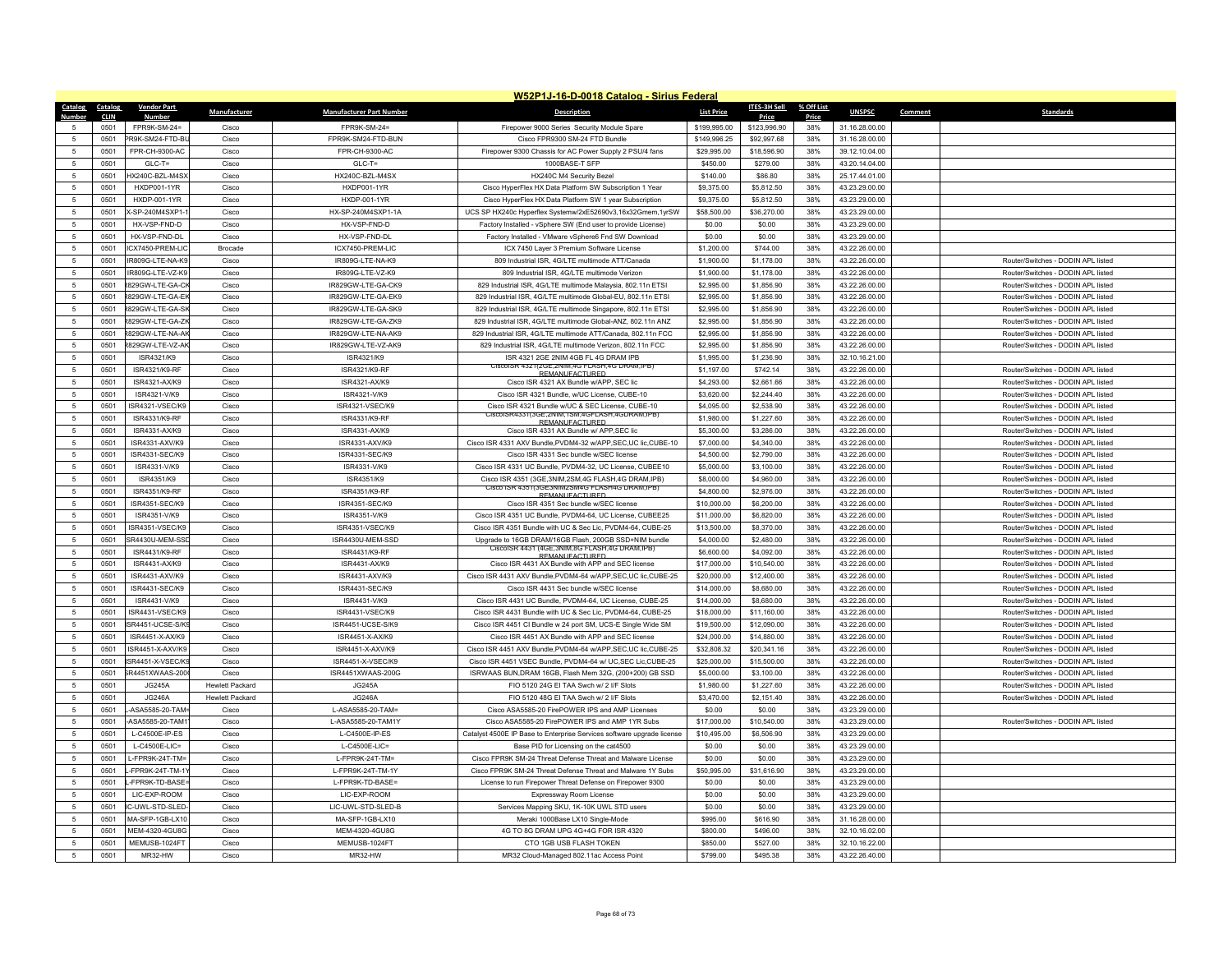|                 |              |                                    |                        |                                      | W52P1J-16-D-0018 Catalog - Sirius Federal                                                          |                   |                            |            |                |         |                                    |
|-----------------|--------------|------------------------------------|------------------------|--------------------------------------|----------------------------------------------------------------------------------------------------|-------------------|----------------------------|------------|----------------|---------|------------------------------------|
| Catalog         | Catalog      | <b>Vendor Part</b>                 | Manufacturer           | <b>Manufacturer Part Number</b>      | <b>Description</b>                                                                                 | <b>List Price</b> | <b>ITES-3H Sell</b>        | % Off List | <b>UNSPSC</b>  | Comment | <b>Standards</b>                   |
| Number          | <b>CLIN</b>  | <b>Number</b>                      |                        |                                      |                                                                                                    |                   | Price                      | Price      |                |         |                                    |
| -5              | 0501         | FPR9K-SM-24=                       | Cisco                  | FPR9K-SM-24=                         | Firepower 9000 Series Security Module Spare                                                        | \$199,995.00      | \$123,996.90               | 38%        | 31.16.28.00.00 |         |                                    |
| 5               | 0501<br>0501 | PR9K-SM24-FTD-BL<br>FPR-CH-9300-AC | Cisco<br>Cisco         | FPR9K-SM24-FTD-BUN<br>FPR-CH-9300-AC | Cisco FPR9300 SM-24 FTD Bundle                                                                     | \$149,996.25      | \$92,997.68<br>\$18,596.90 | 38%<br>38% | 31.16.28.00.00 |         |                                    |
| 5               |              |                                    |                        |                                      | Firepower 9300 Chassis for AC Power Supply 2 PSU/4 fans                                            | \$29,995.00       |                            |            | 39.12.10.04.00 |         |                                    |
| 5               | 0501         | $GLC-T=$                           | Cisco                  | $GLC-T=$                             | 1000BASE-T SFP                                                                                     | \$450.00          | \$279.00                   | 38%        | 43.20.14.04.00 |         |                                    |
| 5               | 0501         | HX240C-BZL-M4SX                    | Cisco                  | HX240C-BZL-M4SX                      | HX240C M4 Security Bezel                                                                           | \$140.00          | \$86.80                    | 38%        | 25.17.44.01.00 |         |                                    |
| -5              | 0501         | <b>HXDP001-1YR</b>                 | Cisco                  | <b>HXDP001-1YR</b>                   | Cisco HyperFlex HX Data Platform SW Subscription 1 Year                                            | \$9,375.00        | \$5,812.50                 | 38%        | 43 23 29 00 00 |         |                                    |
| 5               | 0501         | HXDP-001-1YR<br>X-SP-240M4SXP1-    | Cisco                  | HXDP-001-1YR                         | Cisco HyperFlex HX Data Platform SW 1 year Subscription                                            | \$9,375.00        | \$5,812.50                 | 38%        | 43.23.29.00.00 |         |                                    |
| 5               | 0501         |                                    | Cisco                  | HX-SP-240M4SXP1-1A                   | UCS SP HX240c Hyperflex Systemw/2xE52690v3,16x32Gmem,1yrSW                                         | \$58,500.00       | \$36,270.00                | 38%        | 43.23.29.00.00 |         |                                    |
| -5              | 0501         | HX-VSP-FND-D                       | Cisco                  | HX-VSP-FND-D                         | Factory Installed - vSphere SW (Fnd user to provide License)                                       | \$0.00            | \$0.00                     | 38%        | 43.23.29.00.00 |         |                                    |
| $\sqrt{5}$      | 0501         | HX-VSP-FND-DI                      | Cisco                  | HX-VSP-FND-DI                        | Factory Installed - VMware vSphere6 Fnd SW Download                                                | \$0.00            | \$0.00                     | 38%        | 43.23.29.00.00 |         |                                    |
| 5               | 0501         | ICX7450-PREM-LIC                   | Brocade                | ICX7450-PREM-LIC                     | ICX 7450 Layer 3 Premium Software License                                                          | \$1,200.00        | \$744.00                   | 38%        | 43.22.26.00.00 |         |                                    |
| 5               | 0501         | IR809G-I TF-NA-KS                  | Cisco                  | <b>IR809G-I TF-NA-K9</b>             | 809 Industrial ISR, 4G/LTE multimode ATT/Canada                                                    | \$1,900.00        | \$1,178.00                 | 38%        | 43 22 26 00 00 |         | Router/Switches - DODIN API listed |
| $\sqrt{5}$      | 0501         | IR809G-LTE-VZ-K9                   | Cisco                  | IR809G-LTE-VZ-K9                     | 809 Industrial ISR, 4G/LTE multimode Verizon                                                       | \$1,900.00        | \$1,178.00                 | 38%        | 43.22.26.00.00 |         | Router/Switches - DODIN API listed |
| 5               | 0501         | 829GW-LTE-GA-CI                    | Cisco                  | IR829GW-LTE-GA-CK9                   | 829 Industrial ISR, 4G/LTE multimode Malaysia, 802.11n ETSI                                        | \$2,995.00        | \$1,856.90                 | 38%        | 43.22.26.00.00 |         | Router/Switches - DODIN APL listed |
| 5               | 0501         | 8829GW-I TF-GA-FI                  | Cisco                  | IR829GW-I TF-GA-FK9                  | 829 Industrial ISR, 4G/LTF multimode Global-FU, 802,11n FTSI                                       | \$2,995.00        | \$1,856.90                 | 38%        | 43.22.26.00.00 |         | Router/Switches - DODIN API listed |
| 5               | 0501         | 829GW-LTE-GA-SH                    | Cisco                  | IR829GW-LTE-GA-SK9                   | 829 Industrial ISR, 4G/LTE multimode Singapore, 802,11n ETSI                                       | \$2,995.00        | \$1,856.90                 | 38%        | 43 22 26 00 00 |         | Router/Switches - DODIN APL listed |
| 5               | 0501         | <b>829GW-LTE-GA-ZI</b>             | Cisco                  | IR829GW-LTE-GA-ZK9                   | 829 Industrial ISR, 4G/LTE multimode Global-ANZ, 802.11n ANZ                                       | \$2,995.00        | \$1,856.90                 | 38%        | 43.22.26.00.00 |         | Router/Switches - DODIN APL listed |
| 5               | 0501         | 8829GW-I TF-NA-AI                  | Cisco                  | IR829GW-I TF-NA-AK9                  | 829 Industrial ISR, 4G/LTE multimode ATT/Canada, 802.11n FCC                                       | \$2,995.00        | \$1,856.90                 | 38%        | 43.22.26.00.00 |         | Router/Switches - DODIN API listed |
| 5               | 0501         | <b>829GW-LTE-VZ-AR</b>             | Cisco                  | IR829GW-LTE-VZ-AK9                   | 829 Industrial ISR, 4G/LTE multimode Verizon, 802.11n FCC                                          | \$2,995.00        | \$1,856.90                 | 38%        | 43.22.26.00.00 |         | Router/Switches - DODIN API listed |
| 5               | 0501         | ISR4321/K9                         | Cisco                  | ISR4321/K9                           | ISR 4321 2GF 2NIM 4GB FL 4G DRAM IPB<br>URAM,IPB (USCOD) JPD DRAM,IPB                              | \$1,995.00        | \$1,236.90                 | 38%        | 32.10.16.21.00 |         |                                    |
| $\,$ 5 $\,$     | 0501         | ISR4321/K9-RF                      | Cisco                  | ISR4321/K9-RF                        | <b>REMANUEACTURED</b>                                                                              | \$1,197.00        | \$742.14                   | 38%        | 43.22.26.00.00 |         | Router/Switches - DODIN APL listed |
| 5               | 0501         | ISR4321-AX/K9                      | Cisco                  | ISR4321-AX/K9                        | Cisco ISR 4321 AX Bundle w/APP, SEC lic                                                            | \$4,293,00        | \$2,661.66                 | 38%        | 43 22 26 00 00 |         | Router/Switches - DODIN API listed |
| 5               | 0501         | ISR4321-V/K9                       | Cisco                  | ISR4321-V/K9                         | Cisco ISR 4321 Bundle, w/UC License, CUBE-10                                                       | \$3,620.00        | \$2,244.40                 | 38%        | 43 22 26 00 00 |         | Router/Switches - DODIN API listed |
| 5               | 0501         | ISR4321-VSEC/K9                    | Cisco                  | ISR4321-VSEC/K9                      | Cisco ISR 4321 Bundle w/UC & SEC License, CUBE-10<br>CiscolSR4331(3GE.2NIM.1SM.4GFLASH.4GDRAM.IPB) | \$4,095.00        | \$2,538.90                 | 38%        | 43.22.26.00.00 |         | Router/Switches - DODIN APL listed |
| 5               | 0501         | ISR4331/K9-RF                      | Cisco                  | ISR4331/K9-RF                        | <b>REMANUEACTURED</b>                                                                              | \$1,980.00        | \$1,227.60                 | 38%        | 43.22.26.00.00 |         | Router/Switches - DODIN API listed |
| 5               | 0501         | ISR4331-AX/K9                      | Cisco                  | ISR4331-AX/K9                        | Cisco ISR 4331 AX Bundle w/ APP SEC lic                                                            | \$5,300.00        | \$3,286.00                 | 38%        | 43.22.26.00.00 |         | Router/Switches - DODIN API listed |
| 5               | 0501         | ISR4331-AXV/K9                     | Cisco                  | ISR4331-AXV/K9                       | Cisco ISR 4331 AXV Bundle, PVDM4-32 w/APP, SEC, UC lic, CUBE-10                                    | \$7,000.00        | \$4,340.00                 | 38%        | 43.22.26.00.00 |         | Router/Switches - DODIN APL listed |
| 5               | 0501         | ISR4331-SFC/K9                     | Cisco                  | ISR4331-SFC/K9                       | Cisco ISR 4331 Sec bundle w/SEC license                                                            | \$4,500.00        | \$2,790.00                 | 38%        | 43.22.26.00.00 |         | Router/Switches - DODIN APL listed |
| -5              | 0501         | ISR4331-V/K9                       | Cisco                  | ISR4331-V/K9                         | Cisco ISR 4331 UC Bundle, PVDM4-32, UC License, CUBEE10                                            | \$5,000.00        | \$3,100.00                 | 38%        | 43.22.26.00.00 |         | Router/Switches - DODIN APL listed |
| $\sqrt{5}$      | 0501         | ISR4351/K9                         | Cisco                  | ISR4351/K9                           | Cisco ISR 4351 (3GE, 3NIM, 2SM, 4G FLASH, 4G DRAM, IPB)                                            | \$8,000.00        | \$4,960.00                 | 38%        | 43.22.26.00.00 |         | Router/Switches - DODIN API listed |
| 5               | 0501         | ISR4351/K9-RF                      | Cisco                  | ISR4351/K9-RF                        | CISCO ISR 4351(3GE3NIM2SM4G FLASH4G DRAM, IPB)<br>REMANUEACTURED                                   | \$4,800.00        | \$2,976.00                 | 38%        | 43.22.26.00.00 |         | Router/Switches - DODIN APL listed |
| 5               | 0501         | ISR4351-SEC/K9                     | Cisco                  | <b>ISR4351-SEC/K9</b>                | Cisco ISR 4351 Sec bundle w/SEC license                                                            | \$10,000.00       | \$6,200.00                 | 38%        | 43.22.26.00.00 |         | Router/Switches - DODIN API listed |
| $\sqrt{5}$      | 0501         | ISR4351-V/K9                       | Cisco                  | ISR4351-V/K9                         | Cisco ISR 4351 UC Bundle, PVDM4-64, UC License, CUBEE25                                            | \$11,000.00       | \$6,820.00                 | 38%        | 43.22.26.00.00 |         | Router/Switches - DODIN API listed |
| 5               | 0501         | ISR4351-VSEC/K9                    | Cisco                  | ISR4351-VSEC/K9                      | Cisco ISR 4351 Bundle with UC & Sec Lic, PVDM4-64, CUBE-25                                         | \$13,500.00       | \$8,370.00                 | 38%        | 43.22.26.00.00 |         | Router/Switches - DODIN APL listed |
| -5              | 0501         | SR4430LLMEM-SS                     | Cisco                  | ISR4430LLMEM-SSD                     | Upgrade to 16GB DRAM/16GB Flash, 200GB SSD+NIM bundle                                              | \$4,000.00        | \$2,480.00                 | 38%        | 43.22.26.00.00 |         | Router/Switches - DODIN API listed |
| $\overline{5}$  | 0501         | ISR4431/K9-RF                      | Cisco                  | ISR4431/K9-RF                        | CISCOISR 4431 (4GE, 3NIM, 8G FLASH, 4G DRAM, IPB)<br><b>REMANUEACTURED</b>                         | \$6,600.00        | \$4,092.00                 | 38%        | 43.22.26.00.00 |         | Router/Switches - DODIN APL listed |
| 5               | 0501         | ISR4431-AX/K9                      | Cisco                  | ISR4431-AX/K9                        | Cisco ISR 4431 AX Bundle with APP and SEC license                                                  | \$17,000.00       | \$10,540.00                | 38%        | 43.22.26.00.00 |         | Router/Switches - DODIN APL listed |
| 5               | 0501         | ISR4431-AXV/K9                     | Cisco                  | ISR4431-AXV/K9                       | Cisco ISR 4431 AXV Bundle.PVDM4-64 w/APP.SEC.UC lic.CUBE-25                                        | \$20,000.00       | \$12,400.00                | 38%        | 43 22 26 00 00 |         | Router/Switches - DODIN API listed |
| $\overline{5}$  | 0501         | ISR4431-SEC/K9                     | Cisco                  | <b>ISR4431-SEC/K9</b>                | Cisco ISR 4431 Sec bundle w/SEC license                                                            | \$14,000.00       | \$8,680.00                 | 38%        | 43 22 26 00 00 |         | Router/Switches - DODIN API listed |
| 5               | 0501         | ISR4431-V/K9                       | Cisco                  | ISR4431-V/K9                         | Cisco ISR 4431 UC Bundle, PVDM4-64, UC License, CUBE-25                                            | \$14,000.00       | \$8,680.00                 | 38%        | 43 22 26 00 00 |         | Router/Switches - DODIN API listed |
| 5               | 0501         | ISR4431-VSEC/K9                    | Cisco                  | ISR4431-VSEC/K9                      | Cisco ISR 4431 Bundle with UC & Sec Lic, PVDM4-64, CUBE-25                                         | \$18,000.00       | \$11,160.00                | 38%        | 43.22.26.00.00 |         | Router/Switches - DODIN APL listed |
| 5               | 0501         | SR4451-UCSE-S/K                    | Cisco                  | ISR4451-UCSE-S/KS                    | Cisco ISR 4451 CI Bundle w 24 port SM, UCS-F Single Wide SM                                        | \$19,500.00       | \$12,090.00                | 38%        | 43 22 26 00 00 |         | Router/Switches - DODIN APL listed |
| 5               | 0501         | ISR4451-X-AX/K9                    | Cisco                  | ISR4451-X-AX/K9                      | Cisco ISR 4451 AX Bundle with APP and SEC license                                                  | \$24,000.00       | \$14,880.00                | 38%        | 43 22 26 00 00 |         | Router/Switches - DODIN API listed |
| $5\phantom{.0}$ | 0501         | ISR4451-X-AXV/K9                   | Cisco                  | ISR4451-X-AXV/K9                     | Cisco ISR 4451 AXV Bundle, PVDM4-64 w/APP, SEC, UC lic, CUBE-25                                    | \$32,808.32       | \$20,341.16                | 38%        | 43.22.26.00.00 |         | Router/Switches - DODIN APL listed |
| $\overline{5}$  | 0501         | ISR4451-X-VSEC/K                   | Cisco                  | ISR4451-X-VSEC/K9                    | Cisco ISR 4451 VSEC Bundle, PVDM4-64 w/ UC, SEC Lic, CUBE-25                                       | \$25,000.00       | \$15,500.00                | 38%        | 43.22.26.00.00 |         | Router/Switches - DODIN API listed |
| -5              | 0501         | SR4451XWAAS-200                    | Cisco                  | ISR4451XWAAS-200G                    | ISRWAAS BUN, DRAM 16GB, Flash Mem 32G, (200+200) GB SSD                                            | \$5,000.00        | \$3,100.00                 | 38%        | 43.22.26.00.00 |         | Router/Switches - DODIN API listed |
| -5              | 0501         | <b>JG245A</b>                      | <b>Hewlett Packard</b> | <b>JG245A</b>                        | FIO 5120 24G EI TAA Swch w/ 2 I/F Slots                                                            | \$1,980.00        | \$1,227.60                 | 38%        | 43.22.26.00.00 |         | Router/Switches - DODIN APL listed |
| 5               | 0501         | IG246A                             | <b>Hewlett Packard</b> | JG246A                               | FIO 5120 48G FI TAA Swch w/ 2 I/F Slots                                                            | \$3,470.00        | \$2,151.40                 | 38%        | 43.22.26.00.00 |         | Router/Switches - DODIN API listed |
| -5              | 0501         | -ASA5585-20-TAM                    | Cisco                  | L-ASA5585-20-TAM=                    | Cisco ASA5585-20 FirePOWER IPS and AMP Licenses                                                    | \$0.00            | \$0.00                     | 38%        | 43.23.29.00.00 |         |                                    |
| -5              | 0501         | -ASA5585-20-TAM1                   | Cisco                  | L-ASA5585-20-TAM1Y                   | Cisco ASA5585-20 FirePOWER IPS and AMP 1YR Subs                                                    | \$17,000.00       | \$10,540.00                | 38%        | 43.23.29.00.00 |         | Router/Switches - DODIN API listed |
| $\overline{5}$  | 0501         | L-C4500F-IP-FS                     | Cisco                  | L-C4500E-IP-ES                       | Catalyst 4500E IP Base to Enterprise Services software upgrade license                             | \$10,495.00       | \$6,506.90                 | 38%        | 43.23.29.00.00 |         |                                    |
| -5              | 0501         | $L$ -C4500E-LIC=                   | Cisco                  | L-C4500E-LIC=                        | Base PID for Licensing on the cat4500                                                              | \$0.00            | \$0.00                     | 38%        | 43.23.29.00.00 |         |                                    |
| $\sqrt{5}$      | 0501         | L-FPR9K-24T-TM=                    | Cisco                  | I-FPR9K-24T-TM=                      | Cisco FPR9K SM-24 Threat Defense Threat and Malware License                                        | \$0.00            | \$0.00                     | 38%        | 43 23 29 00 00 |         |                                    |
| $\overline{5}$  | 0501         | -FPR9K-24T-TM-1                    | Cisco                  | L-FPR9K-24T-TM-1Y                    | Cisco FPR9K SM-24 Threat Defense Threat and Malware 1Y Subs                                        | \$50,995.00       | \$31,616.90                | 38%        | 43.23.29.00.00 |         |                                    |
| -5              | 0501         | L-FPR9K-TD-RASE:                   | Cisco                  | I-FPR9K-TD-BASF=                     | License to run Firepower Threat Defense on Firepower 9300                                          | \$0.00            | \$0.00                     | 38%        | 43 23 29 00 00 |         |                                    |
| 5               | 0501         | LIC-EXP-ROOM                       | Cisco                  | LIC-EXP-ROOM                         | Expressway Room License                                                                            | \$0.00            | \$0.00                     | 38%        | 43.23.29.00.00 |         |                                    |
| 5               | 0501         | IC-UWL-STD-SLED                    | Cisco                  | LIC-UWL-STD-SLED-B                   | Services Mapping SKU, 1K-10K UWL STD users                                                         | \$0.00            | \$0.00                     | 38%        | 43.23.29.00.00 |         |                                    |
| -5              | 0501         | MA-SFP-1GB-LX10                    | Cisco                  | MA-SFP-1GB-I X10                     | Meraki 1000Base J X10 Single-Mode                                                                  | \$995.00          | \$616.90                   | 38%        | 31.16.28.00.00 |         |                                    |
| $\overline{5}$  | 0501         | MEM-4320-4GU8G                     | Cisco                  | MEM-4320-4GU8G                       | 4G TO 8G DRAM UPG 4G+4G FOR ISR 4320                                                               | \$800.00          | \$496.00                   | 38%        | 32.10.16.02.00 |         |                                    |
| 5               | 0501         | MEMUSB-1024FT                      | Cisco                  | MEMUSB-1024FT                        | CTO 1GB USB FLASH TOKEN                                                                            | \$850.00          | \$527.00                   | 38%        | 32.10.16.22.00 |         |                                    |
| $\sqrt{5}$      | 0501         | MR32-HW                            | Cisco                  | MR32-HW                              | MR32 Cloud-Managed 802.11ac Access Point                                                           | \$799.00          | \$495.38                   | 38%        | 43.22.26.40.00 |         |                                    |
|                 |              |                                    |                        |                                      |                                                                                                    |                   |                            |            |                |         |                                    |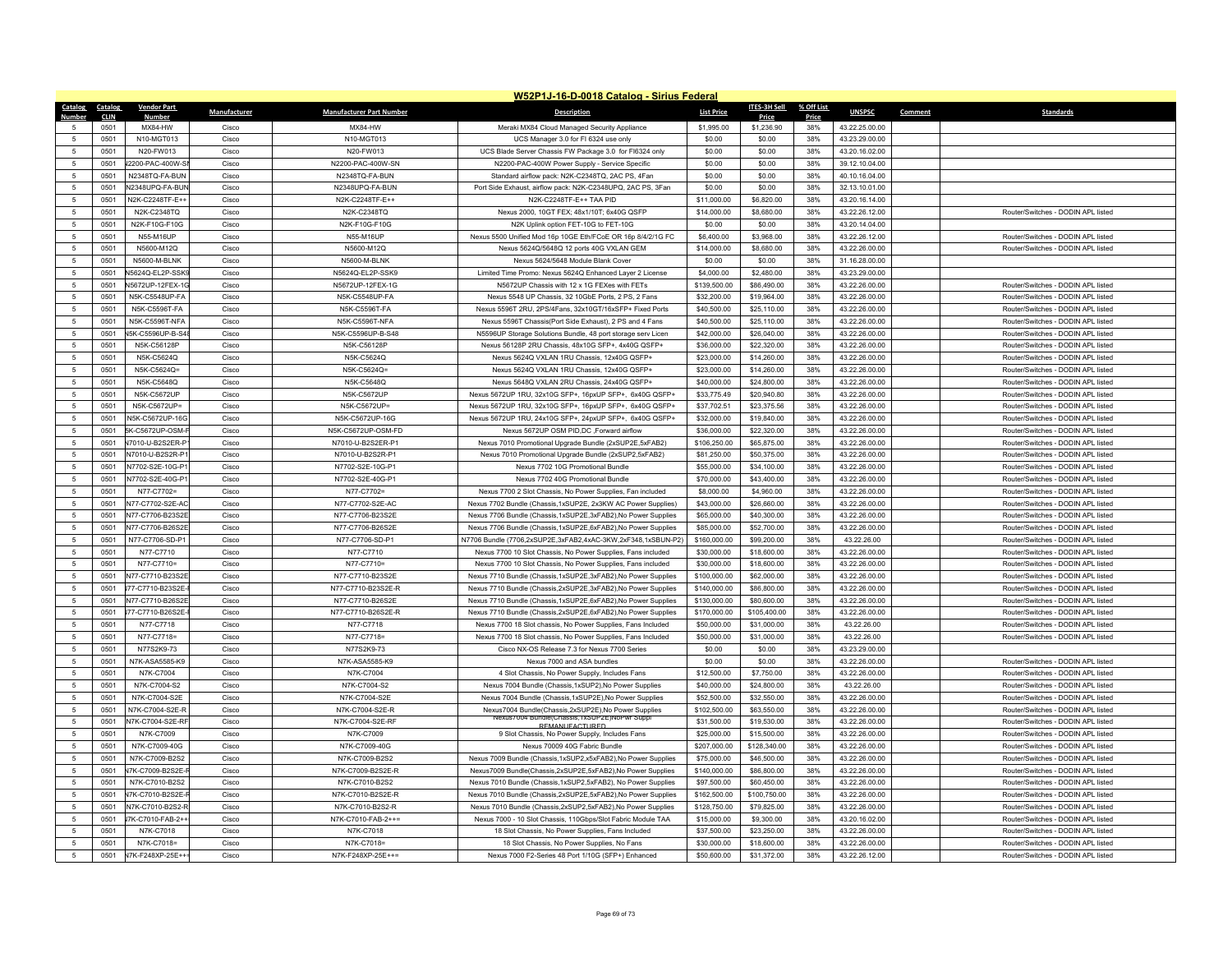|                 |                     |                                |              |                                 | W52P1J-16-D-0018 Catalog - Sirius Federal                        |                   |                     |              |                |         |                                    |
|-----------------|---------------------|--------------------------------|--------------|---------------------------------|------------------------------------------------------------------|-------------------|---------------------|--------------|----------------|---------|------------------------------------|
| Catalog Catalog |                     | <b>Vendor Part</b>             | Manufacturer | <b>Manufacturer Part Number</b> | <b>Description</b>                                               | <b>List Price</b> | <b>ITES-3H Sell</b> | % Off List   | <b>UNSPSC</b>  | Comment | <b>Standards</b>                   |
| Numhei          | <b>CLIN</b><br>0501 | <b>Numbe</b><br><b>MX84-HW</b> | Cisco        | MX84-HW                         | Meraki MX84 Cloud Managed Security Appliance                     | \$1,995.00        | Price<br>\$1,236.90 | Price<br>38% | 43.22.25.00.00 |         |                                    |
| $\sqrt{2}$      | 0501                | N10-MGT013                     | Cisco        | N10-MGT013                      | UCS Manager 3.0 for FI 6324 use only                             | \$0.00            | \$0.00              | 38%          | 43.23.29.00.00 |         |                                    |
| -5              | 0501                | N20-FW013                      | Cisco        | N20-FW013                       | UCS Blade Server Chassis FW Package 3.0 for FI6324 only          | \$0.00            | \$0.00              | 38%          | 43.20.16.02.00 |         |                                    |
| $\overline{5}$  | 0501                | J2200-PAC-400W-S               | Cisco        | N2200-PAC-400W-SN               | N2200-PAC-400W Power Supply - Service Specific                   | \$0.00            | \$0.00              | 38%          | 39.12.10.04.00 |         |                                    |
| 5               | 0501                | N2348TQ-FA-BUN                 | Cisco        | N2348TQ-FA-BUN                  | Standard airflow pack: N2K-C2348TQ, 2AC PS, 4Fan                 | \$0.00            | \$0.00              | 38%          | 40.10.16.04.00 |         |                                    |
| 5               | 0501                | N2348UPQ-FA-BUN                | Cisco        | N2348UPO-FA-BUN                 | Port Side Exhaust, airflow pack: N2K-C2348UPQ, 2AC PS, 3Fan      | \$0.00            | \$0.00              | 38%          | 32.13.10.01.00 |         |                                    |
| $\overline{5}$  | 0501                | N2K-C2248TF-E++                | Cisco        | N2K-C2248TF-E++                 | N2K-C2248TF-E++ TAA PID                                          | \$11,000.00       | \$6,820.00          | 38%          | 43.20.16.14.00 |         |                                    |
| 5               | 0501                | N2K-C2348TQ                    | Cisco        | N2K-C2348TQ                     | Nexus 2000, 10GT FEX; 48x1/10T; 6x40G QSFP                       | \$14,000.00       | \$8,680.00          | 38%          | 43.22.26.12.00 |         | Router/Switches - DODIN APL listed |
| 5               | 0501                | N2K-F10G-F10G                  | Cisco        | N2K-F10G-F10G                   | N2K Uplink option FET-10G to FET-10G                             | \$0.00            | \$0.00              | 38%          | 43 20 14 04 00 |         |                                    |
| $\overline{5}$  | 0501                | N55-M16UP                      | Cisco        | N55-M16UF                       | Nexus 5500 Unified Mod 16p 10GE Eth/FCoE OR 16p 8/4/2/1G FC      | \$6,400.00        | \$3,968.00          | 38%          | 43 22 26 12 00 |         | Router/Switches - DODIN API listed |
| $\overline{5}$  | 0501                | N5600-M12O                     | Cisco        | N5600-M12O                      | Nexus 5624Q/5648Q 12 ports 40G VXLAN GEM                         | \$14,000.00       | \$8,680.00          | 38%          | 43.22.26.00.00 |         | Router/Switches - DODIN API listed |
| 5               | 0501                | N5600-M-BLNK                   | Cisco        | N5600-M-BLNK                    | Nexus 5624/5648 Module Blank Cover                               | \$0.00            | \$0.00              | 38%          | 31.16.28.00.00 |         |                                    |
| $\overline{5}$  | 0501                | N5624Q-EL2P-SSK9               | Cisco        | N5624Q-EL2P-SSK9                | Limited Time Promo: Nexus 56240 Enhanced Laver 2 License         | \$4,000.00        | \$2,480.00          | 38%          | 43.23.29.00.00 |         |                                    |
| 5               | 0501                | N5672UP-12FFX-10               | Cisco        | N5672UP-12FFX-1G                | N5672UP Chassis with 12 x 1G FEXes with FETs                     | \$139,500.00      | \$86,490.00         | 38%          | 43.22.26.00.00 |         | Router/Switches - DODIN API listed |
| 5               | 0501                | N5K-C5548UP-FA                 | Cisco        | N5K-C5548UP-FA                  | Nexus 5548 UP Chassis, 32 10GbE Ports, 2 PS, 2 Fans              | \$32,200.00       | \$19,964.00         | 38%          | 43.22.26.00.00 |         | Router/Switches - DODIN APL listed |
| $\overline{5}$  | 0501                | N5K-C5596T-FA                  | Cisco        | N5K-C5596T-FA                   | Nexus 5596T 2RU, 2PS/4Fans, 32x10GT/16xSFP+ Fixed Ports          | \$40,500.00       | \$25,110.00         | 38%          | 43.22.26.00.00 |         | Router/Switches - DODIN APL listed |
| 5               | 0501                | N5K-C5596T-NFA                 | Cisco        | N5K-C5596T-NFA                  | Nexus 5596T Chassis(Port Side Exhaust), 2 PS and 4 Fans          | \$40,500.00       | \$25,110.00         | 38%          | 43.22.26.00.00 |         | Router/Switches - DODIN API listed |
| 5               | 0501                | <b>V5K-C5596UP-B-S4</b>        | Cisco        | N5K-C5596UP-B-S48               | N5596UP Storage Solutions Bundle, 48 port storage serv Licen     | \$42,000.00       | \$26,040.00         | 38%          | 43.22.26.00.00 |         | Router/Switches - DODIN APL listed |
| $\sqrt{2}$      | 0501                | N5K-C56128P                    | Cisco        | N5K-C56128P                     | Nexus 56128P 2RU Chassis, 48x10G SFP+, 4x40G QSFP+               | \$36,000.00       | \$22,320.00         | 38%          | 43.22.26.00.00 |         | Router/Switches - DODIN API listed |
| -5              | 0501                | N5K-C5624O                     | Cisco        | N5K-C5624O                      | Nexus 5624Q VXLAN 1RU Chassis, 12x40G QSFP+                      | \$23,000.00       | \$14,260.00         | 38%          | 43.22.26.00.00 |         | Router/Switches - DODIN API listed |
| $\overline{5}$  | 0501                | N5K-C5624O=                    | Cisco        | N5K-C5624Q=                     | Nexus 5624Q VXLAN 1RU Chassis, 12x40G QSFP+                      | \$23,000.00       | \$14,260.00         | 38%          | 43.22.26.00.00 |         | Router/Switches - DODIN API listed |
| 5               | 0501                | N5K-C5648Q                     | Cisco        | N5K-C5648Q                      | Nexus 5648Q VXLAN 2RU Chassis, 24x40G QSFP+                      | \$40,000.00       | \$24,800.00         | 38%          | 43.22.26.00.00 |         | Router/Switches - DODIN APL listed |
| -5              | 0501                | N5K-C5672UP                    | Cisco        | N5K-C5672UP                     | Nexus 5672UP 1RU. 32x10G SFP+, 16pxUP SFP+, 6x40G QSFP+          | \$33,775.49       | \$20,940.80         | 38%          | 43.22.26.00.00 |         | Router/Switches - DODIN API listed |
| $\overline{5}$  | 0501                | N5K-C5672UP=                   | Cisco        | N5K-C5672UP=                    | Nexus 5672UP 1RU, 32x10G SFP+, 16pxUP SFP+, 6x40G QSFP+          | \$37,702.51       | \$23,375.56         | 38%          | 43.22.26.00.00 |         | Router/Switches - DODIN APL listed |
| 5               | 0501                | N5K-C5672UP-16G                | Cisco        | N5K-C5672UP-16G                 | Nexus 5672UP 1RU, 24x10G SFP+, 24pxUP SFP+, 6x40G QSFP+          | \$32,000.00       | \$19,840.00         | 38%          | 43.22.26.00.00 |         | Router/Switches - DODIN APL listed |
| 5               | 0501                | 5K-C5672UP-OSM-                | Cisco        | N5K-C5672UP-OSM-FD              | Nexus 5672UP OSM PID,DC ,Forward airflow                         | \$36,000.00       | \$22,320.00         | 38%          | 43.22.26.00.00 |         | Router/Switches - DODIN API listed |
| $\overline{5}$  | 0501                | V7010-U-B2S2ER-P               | Cisco        | N7010-U-B2S2ER-P1               | Nexus 7010 Promotional Upgrade Bundle (2xSUP2E,5xFAB2)           | \$106,250.00      | \$65,875.00         | 38%          | 43.22.26.00.00 |         | Router/Switches - DODIN APL listed |
| 5               | 0501                | N7010-U-B2S2R-P                | Cisco        | N7010-U-B2S2R-P1                | Nexus 7010 Promotional Upgrade Bundle (2xSUP2,5xFAB2)            | \$81,250.00       | \$50,375.00         | 38%          | 43.22.26.00.00 |         | Router/Switches - DODIN APL listed |
| 5               | 0501                | N7702-S2E-10G-P                | Cisco        | N7702-S2E-10G-P1                | Nexus 7702 10G Promotional Bundle                                | \$55,000.00       | \$34,100.00         | 38%          | 43.22.26.00.00 |         | Router/Switches - DODIN APL listed |
| $\overline{5}$  | 0501                | N7702-S2E-40G-P                | Cisco        | N7702-S2E-40G-P1                | Nexus 7702 40G Promotional Bundle                                | \$70,000.00       | \$43,400.00         | 38%          | 43.22.26.00.00 |         | Router/Switches - DODIN API listed |
| 5               | 0501                | N77-C7702=                     | Cisco        | N77-C7702=                      | Nexus 7700 2 Slot Chassis, No Power Supplies, Fan included       | \$8,000.00        | \$4,960.00          | 38%          | 43.22.26.00.00 |         | Router/Switches - DODIN APL listed |
| 5               | 0501                | N77-C7702-S2E-AC               | Cisco        | N77-C7702-S2E-AC                | Nexus 7702 Bundle (Chassis,1xSUP2E, 2x3KW AC Power Supplies)     | \$43,000.00       | \$26,660.00         | 38%          | 43.22.26.00.00 |         | Router/Switches - DODIN APL listed |
| $\overline{5}$  | 0501                | N77-C7706-B23S2F               | Cisco        | N77-C7706-B23S2F                | Nexus 7706 Bundle (Chassis, 1xSUP2E, 3xFAB2), No Power Supplies  | \$65,000.00       | \$40,300.00         | 38%          | 43 22 26 00 00 |         | Router/Switches - DODIN API listed |
| 5               | 0501                | N77-C7706-B26S2E               | Cisco        | N77-C7706-B26S2E                | Nexus 7706 Bundle (Chassis, 1xSUP2E, 6xFAB2), No Power Supplies  | \$85,000.00       | \$52,700.00         | 38%          | 43.22.26.00.00 |         | Router/Switches - DODIN APL listed |
| 5               | 0501                | N77-C7706-SD-P1                | Cisco        | N77-C7706-SD-P1                 | N7706 Bundle (7706,2xSUP2E,3xFAB2,4xAC-3KW,2xF348,1xSBUN-P2)     | \$160,000.00      | \$99,200.00         | 38%          | 43.22.26.00    |         | Router/Switches - DODIN APL listed |
| 5               | 0501                | N77-C7710                      | Cisco        | N77-C7710                       | Nexus 7700 10 Slot Chassis, No Power Supplies, Fans included     | \$30,000.00       | \$18,600.00         | 38%          | 43.22.26.00.00 |         | Router/Switches - DODIN APL listed |
| 5               | 0501                | N77-C7710=                     | Cisco        | N77-C7710=                      | Nexus 7700 10 Slot Chassis, No Power Supplies, Fans included     | \$30,000.00       | \$18,600.00         | 38%          | 43.22.26.00.00 |         | Router/Switches - DODIN APL listed |
| 5               | 0501                | N77-C7710-B23S2E               | Cisco        | N77-C7710-B23S2E                | Nexus 7710 Bundle (Chassis, 1xSUP2E, 3xFAB2), No Power Supplies  | \$100,000.00      | \$62,000.00         | 38%          | 43.22.26.00.00 |         | Router/Switches - DODIN APL listed |
| 5               | 0501                | 77-C7710-B23S2E-               | Cisco        | N77-C7710-B23S2E-R              | Nexus 7710 Bundle (Chassis.2xSUP2E.3xFAB2).No Power Supplies     | \$140,000.00      | \$86,800.00         | 38%          | 43.22.26.00.00 |         | Router/Switches - DODIN APL listed |
| -5              | 0501                | N77-C7710-B26S2F               | Cisco        | N77-C7710-B26S2F                | Nexus 7710 Bundle (Chassis, 1xSUP2E, 6xFAB2), No Power Supplies  | \$130,000.00      | \$80,600.00         | 38%          | 43.22.26.00.00 |         | Router/Switches - DODIN API listed |
| $\overline{5}$  | 0501                | 77-C7710-B26S2E                | Cisco        | N77-C7710-B26S2E-R              | Nexus 7710 Bundle (Chassis, 2xSUP2E, 6xFAB2), No Power Supplies  | \$170,000.00      | \$105,400.00        | 38%          | 43.22.26.00.00 |         | Router/Switches - DODIN APL listed |
| 5               | 0501                | N77-C7718                      | Cisco        | N77-C7718                       | Nexus 7700 18 Slot chassis, No Power Supplies, Fans Included     | \$50,000.00       | \$31,000.00         | 38%          | 43.22.26.00    |         | Router/Switches - DODIN APL listed |
| 5               | 0501                | N77-C7718=                     | Cisco        | N77-C7718=                      | Nexus 7700 18 Slot chassis, No Power Supplies, Fans Included     | \$50,000.00       | \$31,000.00         | 38%          | 43 22 26 00    |         | Router/Switches - DODIN API listed |
| $\overline{5}$  | 0501                | N77S2K9-73                     | Cisco        | N77S2K9-73                      | Cisco NX-OS Release 7.3 for Nexus 7700 Series                    | \$0.00            | \$0.00              | 38%          | 43.23.29.00.00 |         |                                    |
| 5               | 0501                | N7K-ASA5585-K9                 | Cisco        | N7K-ASA5585-K9                  | Nexus 7000 and ASA bundles                                       | \$0.00            | \$0.00              | 38%          | 43.22.26.00.00 |         | Router/Switches - DODIN APL listed |
| 5               | 0501                | N7K-C7004                      | Cisco        | N7K-C7004                       | 4 Slot Chassis, No Power Supply, Includes Fans                   | \$12,500.00       | \$7,750.00          | 38%          | 43.22.26.00.00 |         | Router/Switches - DODIN APL listed |
| $\overline{5}$  | 0501                | N7K-C7004-S2                   | Cisco        | N7K-C7004-S2                    | Nexus 7004 Bundle (Chassis, 1xSUP2), No Power Supplies           | \$40,000.00       | \$24,800.00         | 38%          | 43.22.26.00    |         | Router/Switches - DODIN APL listed |
| 5               | 0501                | N7K-C7004-S2E                  | Cisco        | N7K-C7004-S2E                   | Nexus 7004 Bundle (Chassis, 1xSUP2E), No Power Supplies          | \$52,500.00       | \$32,550.00         | 38%          | 43.22.26.00.00 |         | Router/Switches - DODIN APL listed |
| 5               | 0501                | N7K-C7004-S2E-R                | Cisco        | N7K-C7004-S2E-R                 | Nexus7004 Bundle(Chassis,2xSUP2E),No Power Supplies              | \$102,500.00      | \$63,550.00         | 38%          | 43.22.26.00.00 |         | Router/Switches - DODIN APL listed |
| $\overline{5}$  | 0501                | N7K-C7004-S2E-RF               | Cisco        | N7K-C7004-S2E-RF                | s/004 Bundle(Chassis.1xSUP2E)NoPwr Supp<br><b>REMANUEACTURED</b> | \$31,500.00       | \$19,530.00         | 38%          | 43.22.26.00.00 |         | Router/Switches - DODIN APL listed |
| 5               | 0501                | N7K-C7009                      | Cisco        | N7K-C7009                       | 9 Slot Chassis, No Power Supply, Includes Fans                   | \$25,000.00       | \$15,500.00         | 38%          | 43.22.26.00.00 |         | Router/Switches - DODIN APL listed |
| 5               | 0501                | N7K-C7009-40G                  | Cisco        | N7K-C7009-40G                   | Nexus 70009 40G Fabric Bundle                                    | \$207,000.00      | \$128,340.00        | 38%          | 43.22.26.00.00 |         | Router/Switches - DODIN APL listed |
| 5               | 0501                | N7K-C7009-B2S2                 | Cisco        | N7K-C7009-B2S2                  | Nexus 7009 Bundle (Chassis, 1xSUP2, x5xFAB2), No Power Supplies  | \$75,000.00       | \$46,500.00         | 38%          | 43.22.26.00.00 |         | Router/Switches - DODIN API listed |
| 5               | 0501                | V7K-C7009-B2S2E-I              | Cisco        | N7K-C7009-B2S2E-R               | Nexus7009 Bundle(Chassis,2xSUP2E,5xFAB2),No Power Supplies       | \$140,000.00      | \$86,800.00         | 38%          | 43.22.26.00.00 |         | Router/Switches - DODIN APL listed |
| 5               | 0501                | N7K-C7010-B2S2                 | Cisco        | N7K-C7010-B2S2                  | Nexus 7010 Bundle (Chassis, 1xSUP2, 5xFAB2), No Power Supplies   | \$97,500.00       | \$60,450.00         | 38%          | 43.22.26.00.00 |         | Router/Switches - DODIN APL listed |
| 5               | 0501                | V7K-C7010-B2S2E-               | Cisco        | N7K-C7010-B2S2E-R               | Nexus 7010 Bundle (Chassis,2xSUP2E,5xFAB2),No Power Supplies     | \$162,500.00      | \$100,750.00        | 38%          | 43.22.26.00.00 |         | Router/Switches - DODIN APL listed |
| -5              | 0501                | N7K-C7010-B2S2-R               | Cisco        | N7K-C7010-B2S2-R                | Nexus 7010 Bundle (Chassis, 2xSUP2, 5xFAB2), No Power Supplies   | \$128,750.00      | \$79,825.00         | 38%          | 43.22.26.00.00 |         | Router/Switches - DODIN APL listed |
| 5               | 0501                | 7K-C7010-FAB-2+                | Cisco        | N7K-C7010-FAB-2++=              | Nexus 7000 - 10 Slot Chassis, 110Gbps/Slot Fabric Module TAA     | \$15,000.00       | \$9,300.00          | 38%          | 43.20.16.02.00 |         | Router/Switches - DODIN APL listed |
| 5               | 0501                | N7K-C7018                      | Cisco        | N7K-C7018                       | 18 Slot Chassis, No Power Supplies, Fans Included                | \$37,500.00       | \$23,250.00         | 38%          | 43.22.26.00.00 |         | Router/Switches - DODIN APL listed |
| -5              | 0501                | N7K-C7018=                     | Cisco        | N7K-C7018=                      | 18 Slot Chassis, No Power Supplies, No Fans                      | \$30,000.00       | \$18,600.00         | 38%          | 43.22.26.00.00 |         | Router/Switches - DODIN API listed |
| $\overline{5}$  | 0501                | V7K-F248XP-25E++               | Cisco        | N7K-F248XP-25E++=               | Nexus 7000 F2-Series 48 Port 1/10G (SFP+) Enhanced               | \$50,600.00       | \$31,372.00         | 38%          | 43.22.26.12.00 |         | Router/Switches - DODIN APL listed |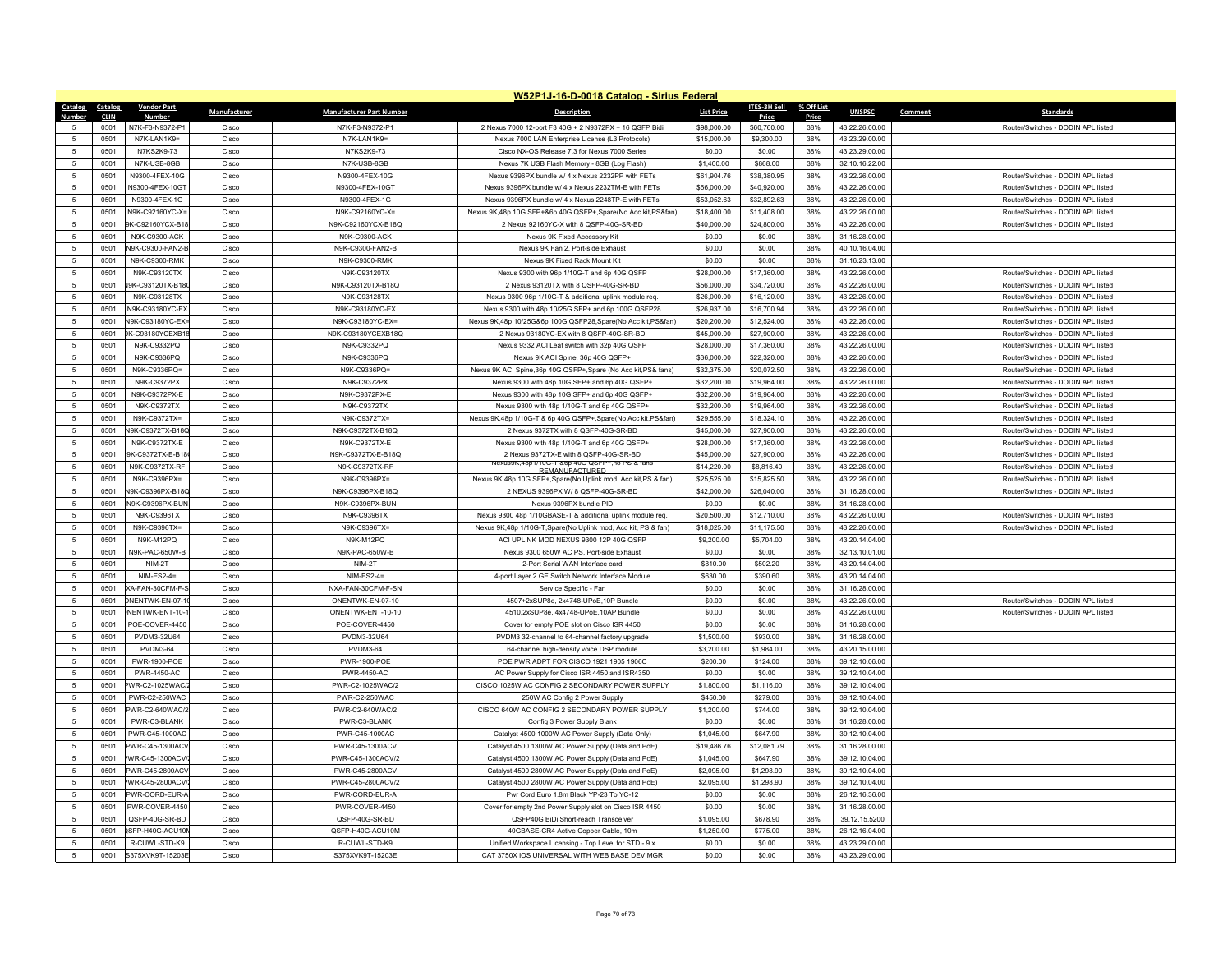|                 |                     |                                     |                |                                       | W52P1J-16-D-0018 Catalog - Sirius Federal                                                                  |                            |                            |              |                                  |                                                                          |
|-----------------|---------------------|-------------------------------------|----------------|---------------------------------------|------------------------------------------------------------------------------------------------------------|----------------------------|----------------------------|--------------|----------------------------------|--------------------------------------------------------------------------|
| Catalog Catalog |                     | <b>Vendor Part</b>                  | Manufacturer   | <b>Manufacturer Part Number</b>       | <b>Description</b>                                                                                         | <b>List Price</b>          | <b>ITES-3H Sell</b>        | % Off List   | <b>UNSPSC</b><br>Comment         | <b>Standards</b>                                                         |
| Numhei          | <b>CLIN</b><br>0501 | Numbe<br>N7K-F3-N9372-P1            | Cisco          | N7K-F3-N9372-P1                       | 2 Nexus 7000 12-port F3 40G + 2 N9372PX + 16 QSFP Bidi                                                     | \$98,000.00                | Price<br>\$60,760.00       | Price<br>38% | 43.22.26.00.00                   | Router/Switches - DODIN APL listed                                       |
| $\sqrt{2}$      | 0501                | N7K-I AN1K9=                        | Cisco          | N7K-I AN1K9=                          | Nexus 7000 LAN Enterprise License (L3 Protocols)                                                           | \$15,000.00                | \$9,300.00                 | 38%          | 43.23.29.00.00                   |                                                                          |
| -5              | 0501                | N7KS2K9-73                          | Cisco          | N7KS2K9-73                            | Cisco NX-OS Release 7.3 for Nexus 7000 Series                                                              | \$0.00                     | \$0.00                     | 38%          | 43.23.29.00.00                   |                                                                          |
| 5               | 0501                | N7K-USB-8GB                         | Cisco          | N7K-USB-8GB                           |                                                                                                            | \$1,400.00                 | \$868.00                   | 38%          | 32.10.16.22.00                   |                                                                          |
| 5               |                     |                                     |                |                                       | Nexus 7K USB Flash Memory - 8GB (Log Flash)                                                                |                            |                            |              |                                  | Router/Switches - DODIN APL listed                                       |
|                 | 0501                | N9300-4FEX-10G<br>N9300-4FFX-10GT   | Cisco          | N9300-4FEX-10G                        | Nexus 9396PX bundle w/ 4 x Nexus 2232PP with FETs                                                          | \$61,904.76                | \$38,380.95                | 38%          | 43.22.26.00.00                   |                                                                          |
| -5<br>5         | 0501<br>0501        | N9300-4FEX-1G                       | Cisco<br>Cisco | N9300-4FEX-10GT<br>N9300-4FEX-1G      | Nexus 9396PX bundle w/ 4 x Nexus 2232TM-E with FETs<br>Nexus 9396PX bundle w/ 4 x Nexus 2248TP-E with FETs | \$66,000.00                | \$40,920.00<br>\$32,892.63 | 38%<br>38%   | 43.22.26.00.00                   | Router/Switches - DODIN APL listed<br>Router/Switches - DODIN APL listed |
| 5               |                     |                                     |                |                                       |                                                                                                            | \$53,052.63                |                            |              | 43.22.26.00.00                   |                                                                          |
| 5               | 0501<br>0501        | N9K-C92160YC-X=<br>9K-C92160YCX-B18 | Cisco<br>Cisco | N9K-C92160YC-X=<br>N9K-C92160YCX-B18Q | Nexus 9K,48p 10G SFP+&6p 40G QSFP+,Spare(No Acc kit,PS&fan)<br>2 Nexus 92160YC-X with 8 QSFP-40G-SR-BD     | \$18,400.00<br>\$40,000.00 | \$11,408.00<br>\$24,800.00 | 38%<br>38%   | 43.22.26.00.00<br>43.22.26.00.00 | Router/Switches - DODIN APL listed<br>Router/Switches - DODIN APL listed |
| $\overline{5}$  | 0501                | N9K-C9300-ACK                       | Cisco          | N9K-C9300-ACK                         | Nexus 9K Fixed Accessory Kit                                                                               | \$0.00                     | \$0.00                     | 38%          | 31.16.28.00.00                   |                                                                          |
| 5               | 0501                | N9K-C9300-FAN2-E                    | Cisco          | N9K-C9300-FAN2-B                      | Nexus 9K Fan 2, Port-side Exhaust                                                                          | \$0.00                     | \$0.00                     | 38%          | 40.10.16.04.00                   |                                                                          |
| 5               | 0501                | N9K-C9300-RMK                       | Cisco          | N9K-C9300-RMK                         | Nexus 9K Fixed Rack Mount Kit                                                                              | \$0.00                     | \$0.00                     | 38%          | 31.16.23.13.00                   |                                                                          |
| $\overline{5}$  | 0501                | N9K-C93120TX                        | Cisco          | N9K-C93120TX                          | Nexus 9300 with 96p 1/10G-T and 6p 40G QSFP                                                                | \$28,000.00                | \$17,360.00                | 38%          | 43.22.26.00.00                   | Router/Switches - DODIN APL listed                                       |
|                 |                     |                                     |                |                                       |                                                                                                            |                            |                            |              |                                  |                                                                          |
| 5               | 0501                | V9K-C93120TX-B18                    | Cisco          | N9K-C93120TX-B18Q                     | 2 Nexus 93120TX with 8 QSFP-40G-SR-BD                                                                      | \$56,000.00                | \$34,720.00                | 38%          | 43.22.26.00.00                   | Router/Switches - DODIN APL listed                                       |
| 5               | 0501                | N9K-C93128TX                        | Cisco          | N9K-C93128TX                          | Nexus 9300 96p 1/10G-T & additional uplink module req.                                                     | \$26,000.00                | \$16,120.00                | 38%          | 43.22.26.00.00                   | Router/Switches - DODIN APL listed                                       |
| $\overline{5}$  | 0501                | N9K-C93180YC-EX                     | Cisco          | N9K-C93180YC-EX                       | Nexus 9300 with 48p 10/25G SFP+ and 6p 100G QSFP28                                                         | \$26,937.00                | \$16,700.94                | 38%          | 43.22.26.00.00                   | Router/Switches - DODIN APL listed                                       |
| 5               | 0501                | N9K-C93180YC-EX                     | Cisco          | N9K-C93180YC-EX=                      | Nexus 9K,48p 10/25G&6p 100G QSFP28,Spare(No Acc kit,PS&fan)                                                | \$20,200.00                | \$12,524.00                | 38%          | 43.22.26.00.00                   | Router/Switches - DODIN APL listed                                       |
| 5               | 0501                | 9K-C93180YCEXB1                     | Cisco          | N9K-C93180YCEXB18Q                    | 2 Nexus 93180YC-EX with 8 QSFP-40G-SR-BD                                                                   | \$45,000.00                | \$27,900.00                | 38%          | 43.22.26.00.00                   | Router/Switches - DODIN APL listed                                       |
| $\overline{5}$  | 0501                | N9K-C9332PO                         | Cisco          | N9K-C9332PO                           | Nexus 9332 ACI Leaf switch with 32p 40G QSFP                                                               | \$28,000.00                | \$17,360.00                | 38%          | 43.22.26.00.00                   | Router/Switches - DODIN API listed                                       |
| $\overline{5}$  | 0501                | N9K-C9336PO                         | Cisco          | N9K-C9336PO                           | Nexus 9K ACI Spine, 36p 40G QSFP+                                                                          | \$36,000.00                | \$22,320.00                | 38%          | 43.22.26.00.00                   | Router/Switches - DODIN API listed                                       |
| 5               | 0501                | N9K-C9336PQ=                        | Cisco          | N9K-C9336PQ=                          | Nexus 9K ACI Spine, 36p 40G QSFP+, Spare (No Acc kit, PS& fans)                                            | \$32,375.00                | \$20,072.50                | 38%          | 43.22.26.00.00                   | Router/Switches - DODIN APL listed                                       |
| $\overline{5}$  | 0501                | N9K-C9372PX                         | Cisco          | N9K-C9372PX                           | Nexus 9300 with 48p 10G SFP+ and 6p 40G OSFP+                                                              | \$32,200.00                | \$19,964.00                | 38%          | 43.22.26.00.00                   | Router/Switches - DODIN API listed                                       |
| $\overline{5}$  | 0501                | N9K-C9372PX-E                       | Cisco          | N9K-C9372PX-E                         | Nexus 9300 with 48p 10G SFP+ and 6p 40G QSFP+                                                              | \$32,200.00                | \$19,964.00                | 38%          | 43.22.26.00.00                   | Router/Switches - DODIN API listed                                       |
| 5               | 0501                | N9K-C9372TX                         | Cisco          | N9K-C9372TX                           | Nexus 9300 with 48p 1/10G-T and 6p 40G QSFP+                                                               | \$32,200.00                | \$19,964.00                | 38%          | 43.22.26.00.00                   | Router/Switches - DODIN APL listed                                       |
| $\sqrt{2}$      | 0501                | N9K-C9372TX=                        | Cisco          | N9K-C9372TX=                          | Nexus 9K,48p 1/10G-T & 6p 40G QSFP+,Spare(No Acc kit,PS&fan)                                               | \$29,555.00                | \$18,324.10                | 38%          | 43.22.26.00.00                   | Router/Switches - DODIN API listed                                       |
| $\overline{5}$  | 0501                | N9K-C9372TX-B180                    | Cisco          | N9K-C9372TX-B18Q                      | 2 Nexus 9372TX with 8 QSFP-40G-SR-BD                                                                       | \$45,000.00                | \$27,900.00                | 38%          | 43.22.26.00.00                   | Router/Switches - DODIN API listed                                       |
| 5               | 0501                | N9K-C9372TX-E                       | Cisco          | N9K-C9372TX-E                         | Nexus 9300 with 48p 1/10G-T and 6p 40G QSFP+                                                               | \$28,000.00                | \$17,360.00                | 38%          | 43.22.26.00.00                   | Router/Switches - DODIN APL listed                                       |
| $\overline{5}$  | 0501                | 9K-C9372TX-E-B18                    | Cisco          | N9K-C9372TX-E-B18Q                    | 2 Nexus 9372TX-E with 8 QSFP-40G-SR-BD<br>10G-1 & 6p 40G QSFP+, no PS & fan:                               | \$45,000.00                | \$27,900.00                | 38%          | 43.22.26.00.00                   | Router/Switches - DODIN APL listed                                       |
| $\overline{5}$  | 0501                | N9K-C9372TX-RF                      | Cisco          | N9K-C9372TX-RF                        | REMANUEACTURED.                                                                                            | \$14,220.00                | \$8,816.40                 | 38%          | 43.22.26.00.00                   | Router/Switches - DODIN API listed                                       |
| $\overline{5}$  | 0501                | N9K-C9396PX=                        | Cisco          | N9K-C9396PX=                          | Nexus 9K,48p 10G SFP+,Spare(No Uplink mod, Acc kit,PS & fan)                                               | \$25,525.00                | \$15,825.50                | 38%          | 43.22.26.00.00                   | Router/Switches - DODIN APL listed                                       |
| $\overline{5}$  | 0501                | N9K-C9396PX-B180                    | Cisco          | N9K-C9396PX-B18Q                      | 2 NEXUS 9396PX W/ 8 QSFP-40G-SR-BD                                                                         | \$42,000.00                | \$26,040.00                | 38%          | 31.16.28.00.00                   | Router/Switches - DODIN APL listed                                       |
| -5              | 0501                | N9K-C9396PX-BUN                     | Cisco          | N9K-C9396PX-BUN                       | Nexus 9396PX bundle PID                                                                                    | \$0.00                     | \$0.00                     | 38%          | 31.16.28.00.00                   |                                                                          |
| $\overline{5}$  | 0501                | N9K-C9396TX                         | Cisco          | N9K-C9396TX                           | Nexus 9300 48p 1/10GBASE-T & additional uplink module req.                                                 | \$20,500.00                | \$12,710.00                | 38%          | 43.22.26.00.00                   | Router/Switches - DODIN API listed                                       |
| $\overline{5}$  | 0501                | N9K-C9396TX=                        | Cisco          | N9K-C9396TX=                          | Nexus 9K,48p 1/10G-T,Spare(No Uplink mod, Acc kit, PS & fan)                                               | \$18,025.00                | \$11,175.50                | 38%          | 43.22.26.00.00                   | Router/Switches - DODIN APL listed                                       |
| 5               | 0501                | N9K-M12PQ                           | Cisco          | N9K-M12PQ                             | ACI UPLINK MOD NEXUS 9300 12P 40G QSFP                                                                     | \$9,200.00                 | \$5,704.00                 | 38%          | 43.20.14.04.00                   |                                                                          |
| $\overline{5}$  | 0501                | N9K-PAC-650W-B                      | Cisco          | N9K-PAC-650W-B                        | Nexus 9300 650W AC PS, Port-side Exhaust                                                                   | \$0.00                     | \$0.00                     | 38%          | 32.13.10.01.00                   |                                                                          |
| 5               | 0501                | NIM-2T                              | Cisco          | NIM-2T                                | 2-Port Serial WAN Interface card                                                                           | \$810.00                   | \$502.20                   | 38%          | 43.20.14.04.00                   |                                                                          |
| 5               | 0501                | $NIM-FS2-4=$                        | Cisco          | $NIM-FS2-4=$                          | 4-port Laver 2 GE Switch Network Interface Module                                                          | \$630.00                   | \$390.60                   | 38%          | 43.20.14.04.00                   |                                                                          |
| 5               | 0501                | XA-FAN-30CFM-F-S                    | Cisco          | NXA-FAN-30CFM-F-SN                    | Service Specific - Fan                                                                                     | \$0.00                     | \$0.00                     | 38%          | 31.16.28.00.00                   |                                                                          |
| 5               | 0501                | DNENTWK-EN-07-1                     | Cisco          | ONENTWK-EN-07-10                      | 4507+2xSUP8e, 2x4748-UPoE, 10P Bundle                                                                      | \$0.00                     | \$0.00                     | 38%          | 43.22.26.00.00                   | Router/Switches - DODIN APL listed                                       |
| 5               | 0501                | NENTWK-ENT-10-                      | Cisco          | ONENTWK-ENT-10-10                     | 4510,2xSUP8e, 4x4748-UPoE,10AP Bundle                                                                      | \$0.00                     | \$0.00                     | 38%          | 43.22.26.00.00                   | Router/Switches - DODIN APL listed                                       |
| $\overline{5}$  | 0501                | POE-COVER-4450                      | Cisco          | POE-COVER-4450                        | Cover for empty POE slot on Cisco ISR 4450                                                                 | \$0.00                     | \$0.00                     | 38%          | 31.16.28.00.00                   |                                                                          |
| 5               | 0501                | PVDM3-32U64                         | Cisco          | PVDM3-32U64                           | PVDM3 32-channel to 64-channel factory upgrade                                                             | \$1,500.00                 | \$930.00                   | 38%          | 31.16.28.00.00                   |                                                                          |
| 5               | 0501                | PVDM3-64                            | Cisco          | <b>PVDM3-64</b>                       | 64-channel high-density voice DSP module                                                                   | \$3,200.00                 | \$1,984.00                 | 38%          | 43.20.15.00.00                   |                                                                          |
| $\overline{5}$  | 0501                | PWR-1900-POF                        | Cisco          | PWR-1900-POE                          | POE PWR ADPT FOR CISCO 1921 1905 1906C                                                                     | \$200.00                   | \$124.00                   | 38%          | 39.12.10.06.00                   |                                                                          |
| $\overline{5}$  | 0501                | <b>PWR-4450-AC</b>                  | Cisco          | PWR-4450-AC                           | AC Power Supply for Cisco ISR 4450 and ISR4350                                                             | \$0.00                     | \$0.00                     | 38%          | 39.12.10.04.00                   |                                                                          |
| 5               | 0501                | PWR-C2-1025WAC/                     | Cisco          | PWR-C2-1025WAC/2                      | CISCO 1025W AC CONFIG 2 SECONDARY POWER SUPPLY                                                             | \$1,800.00                 | \$1,116.00                 | 38%          | 39.12.10.04.00                   |                                                                          |
| $\overline{5}$  | 0501                | PWR-C2-250WAC                       | Cisco          | PWR-C2-250WAC                         | 250W AC Config 2 Power Supply                                                                              | \$450.00                   | \$279.00                   | 38%          | 39.12.10.04.00                   |                                                                          |
| 5               | 0501                | PWR-C2-640WAC/2                     | Cisco          | PWR-C2-640WAC/2                       | CISCO 640W AC CONFIG 2 SECONDARY POWER SUPPLY                                                              | \$1,200.00                 | \$744.00                   | 38%          | 39.12.10.04.00                   |                                                                          |
| 5               | 0501                | PWR-C3-BLANK                        | Cisco          | PWR-C3-BLANK                          | Config 3 Power Supply Blank                                                                                | \$0.00                     | \$0.00                     | 38%          | 31.16.28.00.00                   |                                                                          |
| $\overline{5}$  | 0501                | PWR-C45-1000AC                      | Cisco          | PWR-C45-1000AC                        | Catalyst 4500 1000W AC Power Supply (Data Only)                                                            | \$1,045.00                 | \$647.90                   | 38%          | 39.12.10.04.00                   |                                                                          |
| $\overline{5}$  | 0501                | PWR-C45-1300AC\                     | Cisco          | PWR-C45-1300ACV                       | Catalyst 4500 1300W AC Power Supply (Data and PoE)                                                         | \$19,486.76                | \$12,081.79                | 38%          | 31.16.28.00.00                   |                                                                          |
| 5               | 0501                | WR-C45-1300ACV                      | Cisco          | PWR-C45-1300ACV/2                     | Catalyst 4500 1300W AC Power Supply (Data and PoE)                                                         | \$1,045.00                 | \$647.90                   | 38%          | 39.12.10.04.00                   |                                                                          |
| $\overline{5}$  | 0501                | PWR-C45-2800AC\                     | Cisco          | PWR-C45-2800ACV                       | Catalyst 4500 2800W AC Power Supply (Data and PoE)                                                         | \$2,095.00                 | \$1,298.90                 | 38%          | 39.12.10.04.00                   |                                                                          |
| 5               | 0501                | WR-C45-2800ACV                      | Cisco          | PWR-C45-2800ACV/2                     | Catalyst 4500 2800W AC Power Supply (Data and PoE)                                                         | \$2,095.00                 | \$1,298.90                 | 38%          | 39.12.10.04.00                   |                                                                          |
| $\overline{5}$  | 0501                | PWR-CORD-FUR-                       | Cisco          | PWR-CORD-EUR-A                        | Pwr Cord Euro 1.8m Black YP-23 To YC-12                                                                    | \$0.00                     | \$0.00                     | 38%          | 26.12.16.36.00                   |                                                                          |
| $\sqrt{2}$      | 0501                | PWR-COVER-4450                      | Cisco          | PWR-COVER-4450                        | Cover for empty 2nd Power Supply slot on Cisco ISR 4450                                                    | \$0.00                     | \$0.00                     | 38%          | 31.16.28.00.00                   |                                                                          |
| -5              | 0501                | QSFP-40G-SR-BD                      | Cisco          | QSFP-40G-SR-BD                        | OSEP40G BiDi Short-reach Transceiver                                                                       | \$1,095.00                 | \$678.90                   | 38%          | 39.12.15.5200                    |                                                                          |
| $\overline{5}$  | 0501                | SFP-H40G-ACU10                      | Cisco          | QSFP-H40G-ACU10M                      | 40GBASE-CR4 Active Copper Cable, 10m                                                                       | \$1,250.00                 | \$775.00                   | 38%          | 26.12.16.04.00                   |                                                                          |
| $\overline{5}$  | 0501                | R-CUWL-STD-K9                       | Cisco          | R-CUWL-STD-K9                         | Unified Workspace Licensing - Top Level for STD - 9.x                                                      | \$0.00                     | \$0.00                     | 38%          | 43.23.29.00.00                   |                                                                          |
| 5               | 0501                | S375XVK9T-15203E                    | Cisco          | S375XVK9T-15203E                      | CAT 3750X IOS UNIVERSAL WITH WEB BASE DEV MGR                                                              | \$0.00                     | \$0.00                     | 38%          | 43.23.29.00.00                   |                                                                          |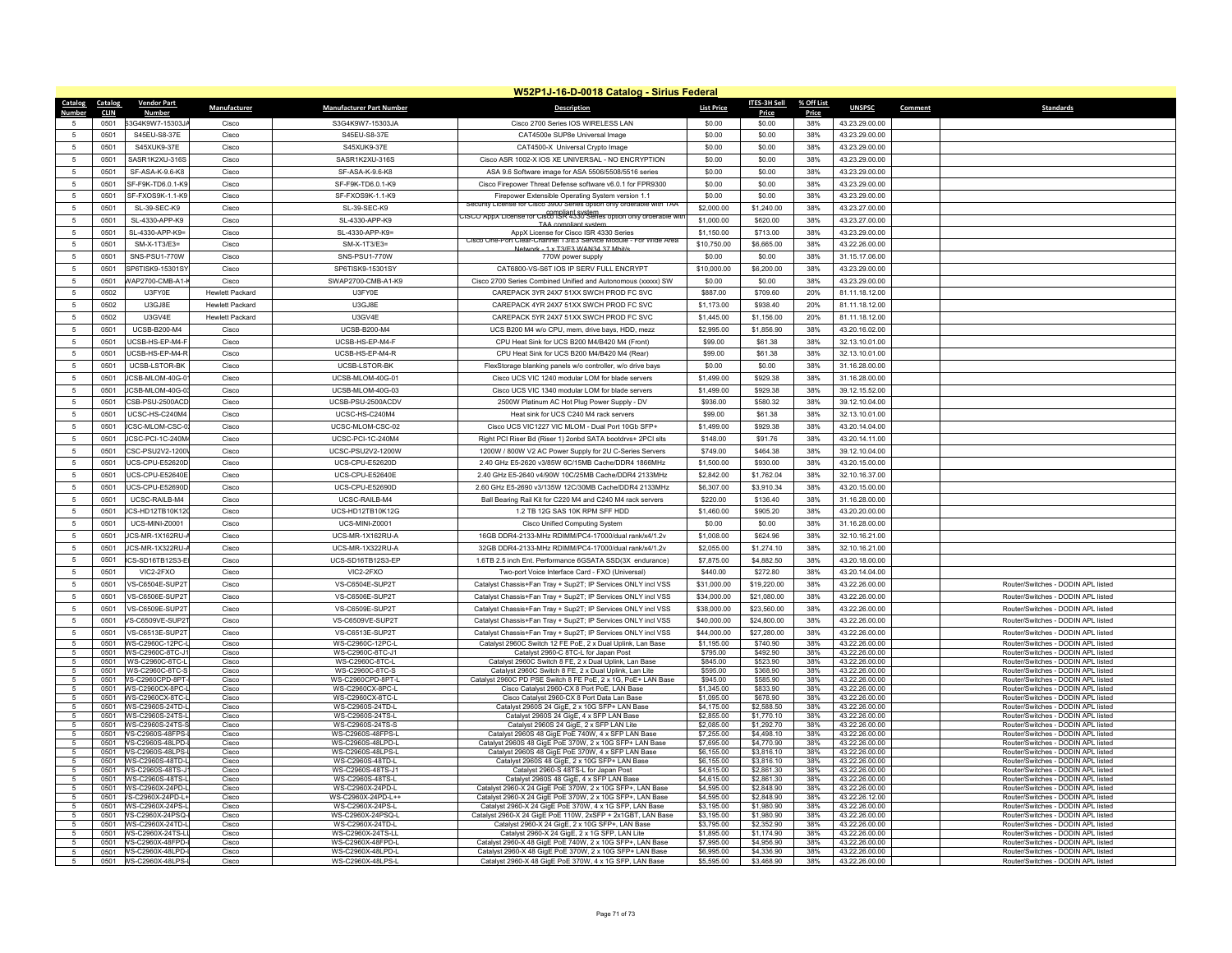| <b>Catalog</b><br>Catalog | <b>Vendor Part</b>                        | Manufacturer           | <b>Manufacturer Part Number</b>        | <b>Description</b>                                                                                                         | <b>List Price</b>          | ITES-3H Sell             | % Off List | <b>UNSPSC</b>                    | Comment | <b>Standards</b>                                                         |
|---------------------------|-------------------------------------------|------------------------|----------------------------------------|----------------------------------------------------------------------------------------------------------------------------|----------------------------|--------------------------|------------|----------------------------------|---------|--------------------------------------------------------------------------|
| <b>CLIN</b>               |                                           |                        |                                        |                                                                                                                            |                            | Price                    | Price      |                                  |         |                                                                          |
| 0501<br>5                 | S3G4K9W7-15303JA                          | Cisco                  | S3G4K9W7-15303JA                       | Cisco 2700 Series IOS WIRELESS LAN                                                                                         | \$0.00                     | \$0.00                   | 38%        | 43.23.29.00.00                   |         |                                                                          |
| 0501<br>5<br>0501<br>-5   | S45EU-S8-37E<br>S45XUK9-37F               | Cisco<br>Cisco         | S45EU-S8-37E<br>S45XUK9-37F            | CAT4500e SUP8e Universal Image                                                                                             | \$0.00<br>\$0.00           | \$0.00<br>\$0.00         | 38%<br>38% | 43.23.29.00.00                   |         |                                                                          |
|                           |                                           |                        |                                        | CAT4500-X Universal Crypto Image                                                                                           |                            |                          |            | 43.23.29.00.00                   |         |                                                                          |
| 5<br>050'                 | SASR1K2XU-316S                            | Cisco                  | SASR1K2XU-316S                         | Cisco ASR 1002-X IOS XE UNIVERSAL - NO ENCRYPTION                                                                          | \$0.00                     | \$0.00                   | 38%        | 43 23 29 00 00                   |         |                                                                          |
| 0501<br>5                 | SF-ASA-K-9.6-K8                           | Cisco                  | SF-ASA-K-9.6-K8                        | ASA 9.6 Software image for ASA 5506/5508/5516 series                                                                       | \$0.00                     | \$0.00                   | 38%        | 43.23.29.00.00                   |         |                                                                          |
| $\overline{5}$<br>050'    | SF-F9K-TD6.0.1-K9                         | Cisco                  | SF-F9K-TD6.0.1-K9                      | Cisco Firepower Threat Defense software v6.0.1 for FPR9300                                                                 | \$0.00                     | \$0.00                   | 38%        | 43.23.29.00.00                   |         |                                                                          |
| 5<br>050'                 | SF-FXOS9K-1.1-K9                          | Cisco                  | SF-FXOS9K-1.1-K9                       | Firepower Extensible Operating System version 1.1<br>Security License for Cisco 3900 Series option only orderable with TAA | \$0.00                     | \$0.00                   | 38%        | 43.23.29.00.00                   |         |                                                                          |
| 0501<br>$\sqrt{5}$        | SL-39-SEC-K9                              | Cisco                  | SL-39-SEC-K9                           | ISCO AppX License for Cisco ISR 4330 Series option only orderable wr                                                       | \$2,000.00                 | \$1,240.00               | 38%        | 43.23.27.00.00                   |         |                                                                          |
| -5<br>050'                | SL-4330-APP-K9                            | Cisco                  | SI-4330-APP-K9                         | TAA compliant syster                                                                                                       | \$1,000.00                 | \$620.00                 | 38%        | 43.23.27.00.00                   |         |                                                                          |
| $\overline{5}$<br>050'    | SL-4330-APP-K9=                           | Cisco                  | SL-4330-APP-K9=                        | AppX License for Cisco ISR 4330 Series<br>on Clear-Channel 13/E3 Service Module - For Wide Area                            | \$1,150.00                 | \$713.00                 | 38%        | 43 23 29 00 00                   |         |                                                                          |
| $\sqrt{5}$<br>0501        | SM-X-1T3/E3=                              | Cisco                  | SM-X-1T3/E3=                           | Network - 1 x T3/F3 WAN34 37 Mhit/s                                                                                        | \$10,750.00                | \$6,665.00               | 38%        | 43.22.26.00.00                   |         |                                                                          |
| $\overline{5}$<br>0501    | SNS-PSU1-770W                             | Cisco                  | SNS-PSU1-770W                          | 770W power supply                                                                                                          | \$0.00                     | \$0.00                   | 38%        | 31.15.17.06.00                   |         |                                                                          |
| 5<br>0501                 | SP6TISK9-15301S'                          | Cisco                  | SP6TISK9-15301SY                       | CAT6800-VS-S6T IOS IP SERV FULL ENCRYPT                                                                                    | \$10,000.00                | \$6,200.00               | 38%        | 43.23.29.00.00                   |         |                                                                          |
| 0501<br>$\sqrt{5}$        | WAP2700-CMB-A1-                           | Cisco                  | SWAP2700-CMB-A1-K9                     | Cisco 2700 Series Combined Unified and Autonomous (xxxxx) SW                                                               | \$0.00                     | \$0.00                   | 38%        | 43.23.29.00.00                   |         |                                                                          |
| $\overline{5}$<br>0502    | <b>U3FY0F</b>                             | <b>Hewlett Packard</b> | U3FY0F                                 | CAREPACK 3YR 24X7 51XX SWCH PROD FC SVC                                                                                    | \$887.00                   | \$709.60                 | 20%        | 81.11.18.12.00                   |         |                                                                          |
| 0502<br>-5                | <b>U3GJ8E</b>                             | <b>Hewlett Packard</b> | <b>U3GJ8E</b>                          | CAREPACK 4YR 24X7 51XX SWCH PROD FC SVC                                                                                    | \$1,173.00                 | \$938.40                 | 20%        | 81.11.18.12.00                   |         |                                                                          |
| 0502<br>-5                | IISGVAF                                   | <b>Hewlett Packard</b> | LI3GV4F                                | CAREPACK 5YR 24X7 51XX SWCH PROD FC SVC                                                                                    | \$1,445.00                 | \$1,156.00               | 20%        | 81.11.18.12.00                   |         |                                                                          |
| $5\phantom{.0}$<br>0501   | UCSB-B200-M4                              | Cisco                  | <b>UCSB-B200-M4</b>                    | UCS B200 M4 w/o CPU, mem, drive bays, HDD, mezz                                                                            | \$2,995.00                 | \$1,856.90               | 38%        | 43.20.16.02.00                   |         |                                                                          |
| $5\phantom{.0}$<br>0501   | JCSB-HS-EP-M4-F                           | Cisco                  | UCSB-HS-EP-M4-F                        | CPU Heat Sink for UCS B200 M4/B420 M4 (Front)                                                                              | \$99.00                    | \$61.38                  | 38%        | 32.13.10.01.00                   |         |                                                                          |
| 0501<br>$\sqrt{5}$        | UCSB-HS-FP-M4-F                           | Cisco                  | UCSB-HS-EP-M4-R                        | CPU Heat Sink for UCS B200 M4/B420 M4 (Rear)                                                                               | \$99.00                    | \$61.38                  | 38%        | 32.13.10.01.00                   |         |                                                                          |
| $\overline{5}$<br>0501    | UCSB-LSTOR-BK                             | Cisco                  | UCSB-LSTOR-BK                          | FlexStorage blanking panels w/o controller, w/o drive bays                                                                 | \$0.00                     | \$0.00                   | 38%        | 31.16.28.00.00                   |         |                                                                          |
| $\sqrt{5}$<br>0501        | CSB-MLOM-40G-0                            | Cisco                  | UCSB-MLOM-40G-01                       | Cisco UCS VIC 1240 modular LOM for blade servers                                                                           | \$1,499.00                 | \$929.38                 | 38%        | 31.16.28.00.00                   |         |                                                                          |
| 0501<br>-5                | CSB-MI OM-40G-0                           | Cisco                  | <b>UCSB-MLOM-40G-03</b>                | Cisco UCS VIC 1340 modular LOM for blade servers                                                                           | \$1,499.00                 | \$929.38                 | 38%        | 39.12.15.52.00                   |         |                                                                          |
| $5\phantom{.0}$<br>0501   | CSB-PSU-2500ACD                           | Cisco                  | UCSB-PSU-2500ACDV                      | 2500W Platinum AC Hot Plug Power Supply - DV                                                                               | \$936.00                   | \$580.32                 | 38%        | 39.12.10.04.00                   |         |                                                                          |
| $5\phantom{.0}$<br>0501   | UCSC-HS-C240M4                            | Cisco                  | UCSC-HS-C240M4                         | Heat sink for UCS C240 M4 rack servers                                                                                     | \$99.00                    | \$61.38                  | 38%        | 32.13.10.01.00                   |         |                                                                          |
| 0501<br>5                 | <b>ICSC-MLOM-CSC-0</b>                    | Cisco                  | LICSC-MLOM-CSC-02                      | Cisco UCS VIC1227 VIC MLOM - Dual Port 10Gb SFP+                                                                           | \$1,499.00                 | \$929.38                 | 38%        | 43 20 14 04 00                   |         |                                                                          |
| $\sqrt{5}$<br>0501        | JCSC-PCI-1C-240M                          | Cisco                  | UCSC-PCI-1C-240M4                      | Right PCI Riser Bd (Riser 1) 2onbd SATA bootdrvs+ 2PCI slts                                                                | \$148.00                   | \$91.76                  | 38%        | 43.20.14.11.00                   |         |                                                                          |
| $\overline{5}$<br>050'    | CSC-PSU2V2-1200                           | Cisco                  | UCSC-PSU2V2-1200W                      | 1200W / 800W V2 AC Power Supply for 2U C-Series Servers                                                                    | \$749.00                   | \$464.38                 | 38%        | 39.12.10.04.00                   |         |                                                                          |
| 0501<br>-5                | UCS-CPU-F52620D                           | Cisco                  | LICS-CPU-F52620D                       | 2.40 GHz E5-2620 v3/85W 6C/15MB Cache/DDR4 1866MHz                                                                         | \$1,500.00                 | \$930.00                 | 38%        | 43.20.15.00.00                   |         |                                                                          |
| $5\phantom{.0}$<br>050'   | UCS-CPU-E52640E                           | Cisco                  | UCS-CPU-E52640E                        | 2.40 GHz E5-2640 v4/90W 10C/25MB Cache/DDR4 2133MHz                                                                        | \$2,842.00                 | \$1,762.04               | 38%        | 32.10.16.37.00                   |         |                                                                          |
| $5\phantom{.0}$<br>0501   | UCS-CPU-E52690D                           | Cisco                  | UCS-CPU-E52690D                        | 2.60 GHz E5-2690 v3/135W 12C/30MB Cache/DDR4 2133MHz                                                                       | \$6,307.00                 | \$3,910.34               | 38%        | 43.20.15.00.00                   |         |                                                                          |
| 0501<br>-5                | UCSC-RAILB-M4                             | Cisco                  | <b>UCSC-RAILB-M4</b>                   | Ball Bearing Rail Kit for C220 M4 and C240 M4 rack servers                                                                 | \$220.00                   | \$136.40                 | 38%        | 31.16.28.00.00                   |         |                                                                          |
| 0501<br>5                 | JCS-HD12TB10K12                           | Cisco                  | UCS-HD12TB10K12G                       | 1.2 TB 12G SAS 10K RPM SFF HDD                                                                                             | \$1,460.00                 | \$905.20                 | 38%        | 43.20.20.00.00                   |         |                                                                          |
| $5\phantom{.0}$<br>050'   | UCS-MINI-Z0001                            | Cisco                  | UCS-MINI-Z0001                         | Cisco Unified Computing System                                                                                             | \$0.00                     | \$0.00                   | 38%        | 31.16.28.00.00                   |         |                                                                          |
| 050'<br>-5                | CS-MR-1X162RU-                            | Cisco                  | UCS-MR-1X162RU-A                       | 16GB DDR4-2133-MHz RDIMM/PC4-17000/dual rank/x4/1.2v                                                                       | \$1,008.00                 | \$624.96                 | 38%        | 32.10.16.21.00                   |         |                                                                          |
| $5\phantom{.0}$<br>050'   | CS-MR-1X322RU-                            | Cisco                  | UCS-MR-1X322RU-A                       | 32GB DDR4-2133-MHz RDIMM/PC4-17000/dual rank/x4/1.2v                                                                       | \$2,055.00                 | \$1,274.10               | 38%        | 32.10.16.21.00                   |         |                                                                          |
| -5<br>0501                | S-SD16TB12S3-E                            | Cisco                  | UCS-SD16TB12S3-EP                      | 1.6TB 2.5 inch Ent. Performance 6GSATA SSD(3X endurance)                                                                   | \$7,875.00                 | \$4,882.50               | 38%        | 43.20.18.00.00                   |         |                                                                          |
| 0501<br>5                 | VIC2-2FXO                                 | Cisco                  | VIC2-2FXO                              | Two-port Voice Interface Card - FXO (Universal)                                                                            | \$440.00                   | \$272.80                 | 38%        | 43.20.14.04.00                   |         |                                                                          |
| 0501<br>5                 | VS-C6504E-SUP2T                           | Cisco                  | VS-C6504E-SUP2T                        | Catalyst Chassis+Fan Tray + Sup2T; IP Services ONLY incl VSS                                                               | \$31,000.00                | \$19,220.00              | 38%        | 43.22.26.00.00                   |         | Router/Switches - DODIN APL listed                                       |
| $5\phantom{.0}$<br>0501   | /S-C6506E-SUP2T                           |                        | VS-C6506E-SUP2T                        | Catalyst Chassis+Fan Tray + Sup2T; IP Services ONLY incl VSS                                                               |                            | \$21,080.00              | 38%        |                                  |         | Router/Switches - DODIN APL listed                                       |
| 0501<br>5                 | VS-C6509F-SUP21                           | Cisco<br>Cisco         | VS-C6509F-SUP2T                        | Catalyst Chassis+Fan Tray + Sup2T; IP Services ONLY incl VSS                                                               | \$34,000.00<br>\$38,000.00 | \$23,560.00              | 38%        | 43.22.26.00.00<br>43 22 26 00 00 |         | Router/Switches - DODIN APL listed                                       |
| 0501<br>5                 | VS-C6509VE-SUP2                           | Cisco                  | VS-C6509VE-SUP2T                       |                                                                                                                            | \$40,000.00                | \$24,800.00              | 38%        | 43.22.26.00.00                   |         | Router/Switches - DODIN APL listed                                       |
| 5<br>0501                 | VS-C6513E-SUP2T                           | Cisco                  | VS-C6513F-SUP2T                        | Catalyst Chassis+Fan Tray + Sup2T; IP Services ONLY incl VSS                                                               | \$44,000.00                | \$27,280.00              | 38%        | 43 22 26 00 00                   |         | Router/Switches - DODIN API listed                                       |
| -5<br>0501                | WS-C2960C-12PC-                           | Cisco                  | WS-C2960C-12PC-I                       | Catalyst Chassis+Fan Tray + Sup2T; IP Services ONLY incl VSS<br>Catalyst 2960C Switch 12 FE PoE, 2 x Dual Uplink, Lan Base | \$1,195.00                 | \$740.90                 | 38%        | 43 22 26 00 00                   |         | Router/Switches - DODIN API listed                                       |
| 0501<br>5                 | WS-C2960C-8TC-J                           | Cisco                  | WS-C2960C-8TC-J1                       | Catalyst 2960-C 8TC-L for Japan Post                                                                                       | \$795.00                   | \$492.90                 | 38%        | 43.22.26.00.00                   |         | Router/Switches - DODIN APL listed                                       |
| 5<br>0501                 | WS-C2960C-8TC-L                           | Cisco                  | WS-C2960C-8TC-L                        | Catalyst 2960C Switch 8 FE, 2 x Dual Uplink, Lan Base                                                                      | \$845.00                   | \$523.90                 | 38%        | 43.22.26.00.00                   |         | Router/Switches - DODIN APL listed                                       |
| 0501<br>-5<br>0501        | WS-C2960C-8TC-<br>VS-C2960CPD-8PT         | Cisco<br>Cisco         | WS-C2960C-8TC-S<br>WS-C2960CPD-8PT-I   | Catalyst 2960C Switch 8 FE, 2 x Dual Uplink, Lan Lite<br>Catalyst 2960C PD PSE Switch 8 FE PoE, 2 x 1G, PoE+ LAN Base      | \$595.00<br>\$945.00       | \$368.90<br>\$585.90     | 38%<br>38% | 43.22.26.00.00<br>43.22.26.00.00 |         | Router/Switches - DODIN APL listed<br>Router/Switches - DODIN APL listed |
| 5<br>0501                 | WS-C2960CX-8PC-                           | Cisco                  | WS-C2960CX-8PC-L                       | Cisco Catalyst 2960-CX 8 Port PoE, LAN Base                                                                                | \$1,345.00                 | \$833.90                 | 38%        | 43.22.26.00.00                   |         | Router/Switches - DODIN APL listed                                       |
| -5<br>0501                | WS-C2960CX-8TC-                           | Cisco                  | WS-C2960CX-8TC-L                       | Cisco Catalyst 2960-CX 8 Port Data Lan Base                                                                                | \$1,095.00                 | \$678.90                 | 38%        | 43 22 26 00 00                   |         | Router/Switches - DODIN API listed                                       |
| 0501<br>5<br>-5<br>0501   | WS-C2960S-24TD-<br>WS-C2960S-24TS-        | Cisco                  | WS-C2960S-24TD-L<br>WS-C2960S-24TS-I   | Catalyst 2960S 24 GigE, 2 x 10G SFP+ LAN Base                                                                              | \$4,175.00<br>\$2,855.00   | \$2,588.50<br>\$1,770.10 | 38%<br>38% | 43.22.26.00.00<br>43 22 26 00 00 |         | Router/Switches - DODIN APL listed<br>Router/Switches - DODIN API listed |
| 5<br>0501                 | WS-C2960S-24TS-                           | Cisco<br>Cisco         | WS-C2960S-24TS-S                       | Catalyst 2960S 24 GigE, 4 x SFP LAN Base<br>Catalyst 2960S 24 GigE, 2 x SFP LAN Lite                                       | \$2,085.00                 | \$1,292.70               | 38%        | 43.22.26.00.00                   |         | Router/Switches - DODIN APL listed                                       |
| 0501<br>-5                | VS-C2960S-48FPS                           | Cisco                  | WS-C2960S-48FPS-I                      | Catalyst 2960S 48 GigE PoE 740W, 4 x SFP LAN Base                                                                          | \$7,255.00                 | \$4,498.10               | 38%        | 43.22.26.00.00                   |         | Router/Switches - DODIN APL listed                                       |
| 0501                      | S-C2960S-48LPD-                           | Cisco                  | WS-C2960S-48LPD-I                      | Catalyst 2960S 48 GigE PoE 370W, 2 x 10G SFP+ LAN Base                                                                     | \$7,695.00                 | \$4,770.90               | 38%        | 43.22.26.00.00                   |         | Router/Switches - DODIN APL listed                                       |
| -5<br>0501<br>5<br>0501   | <b>NS-C2960S-48LPS</b><br>WS-C2960S-48TD- | Cisco<br>Cisco         | WS-C2960S-48LPS-L<br>WS-C2960S-48TD-L  | Catalyst 2960S 48 GigE PoE 370W, 4 x SFP LAN Base<br>Catalyst 2960S 48 GigE, 2 x 10G SFP+ LAN Base                         | \$6,155.00<br>\$6,155.00   | \$3,816.10<br>\$3,816.10 | 38%<br>38% | 43 22 26 00 00<br>43.22.26.00.00 |         | Router/Switches - DODIN API listed<br>Router/Switches - DODIN APL listed |
| 0501<br>-5                | <b>NS-C2960S-48TS-J</b>                   | Cisco                  | WS-C2960S-48TS-J1                      | Catalyst 2960-S 48TS-L for Japan Post                                                                                      | \$4,615.00                 | \$2,861.30               | 38%        | 43 22 26 00 00                   |         | Router/Switches - DODIN API listed                                       |
| 0501<br>5                 | WS-C2960S-48TS-                           | Cisco                  | WS-C2960S-48TS-L                       | Catalyst 2960S 48 GigE, 4 x SFP LAN Base                                                                                   | \$4,615.00                 | \$2,861.30               | 38%        | 43.22.26.00.00                   |         | Router/Switches - DODIN APL listed                                       |
| 5<br>0501<br>0501<br>5    | WS-C2960X-24PD-<br>/S-C2960X-24PD-L       | Cisco<br>Cisco         | WS-C2960X-24PD-L<br>WS-C2960X-24PD-L++ | Catalyst 2960-X 24 GigE PoE 370W, 2 x 10G SFP+, LAN Base<br>Catalyst 2960-X 24 GigE PoE 370W, 2 x 10G SFP+, LAN Base       | \$4,595.00<br>\$4,595.00   | \$2,848.90<br>\$2,848.90 | 38%<br>38% | 43.22.26.00.00<br>43.22.26.12.00 |         | Router/Switches - DODIN APL listed<br>Router/Switches - DODIN APL listed |
| 0501<br>5                 | WS-C2960X-24PS-                           | Cisco                  | WS-C2960X-24PS-L                       | Catalyst 2960-X 24 GigE PoE 370W, 4 x 1G SFP, LAN Base                                                                     | \$3,195.00                 | \$1,980.90               | 38%        | 43.22.26.00.00                   |         | Router/Switches - DODIN APL listed                                       |
| 0501<br>-5                | VS-C2960X-24PSQ                           | Cisco                  | WS-C2960X-24PSQ-L                      | Catalyst 2960-X 24 GigE PoE 110W, 2xSFP + 2x1GBT, LAN Base                                                                 | \$3,195.00                 | \$1,980.90               | 38%        | 43.22.26.00.00                   |         | Router/Switches - DODIN APL listed                                       |
| 0501<br>5<br>0501         | WS-C2960X-24TD-<br>WS-C2960X-24TS-L       | Cisco                  | WS-C2960X-24TD-L<br>WS-C2960X-24TS-LI  | Catalyst 2960-X 24 GigE, 2 x 10G SFP+, LAN Base                                                                            | \$3,795.00<br>\$1,895.00   | \$2,352.90               | 38%<br>38% | 43.22.26.00.00                   |         | Router/Switches - DODIN APL listed<br>Router/Switches - DODIN APL listed |
| -5<br>0501                | VS-C2960X-48FPD-                          | Cisco<br>Cisco         | WS-C2960X-48FPD-I                      | Catalyst 2960-X 24 GigE, 2 x 1G SFP, LAN Lite<br>Catalyst 2960-X 48 GigE PoE 740W, 2 x 10G SFP+, LAN Base                  | \$7,995.00                 | \$1,174.90<br>\$4,956.90 | 38%        | 43.22.26.00.00<br>43 22 26 00 00 |         | Router/Switches - DODIN API listed                                       |
| -5                        |                                           | Cisco                  | WS-C2960X-48LPD-L                      | Catalyst 2960-X 48 GigE PoE 370W, 2 x 10G SFP+ LAN Base                                                                    | \$6,995.00                 | \$4,336.90               | 38%        | 43.22.26.00.00                   |         | Router/Switches - DODIN APL listed                                       |
| 5<br>0501                 | VS-C2960X-48LPS-L                         | Cisco                  | WS-C2960X-48LPS-L                      | Catalyst 2960-X 48 GigE PoE 370W, 4 x 1G SFP, LAN Base                                                                     | \$5,595.00                 | \$3,468.90               | 38%        | 43.22.26.00.00                   |         | Router/Switches - DODIN APL listed                                       |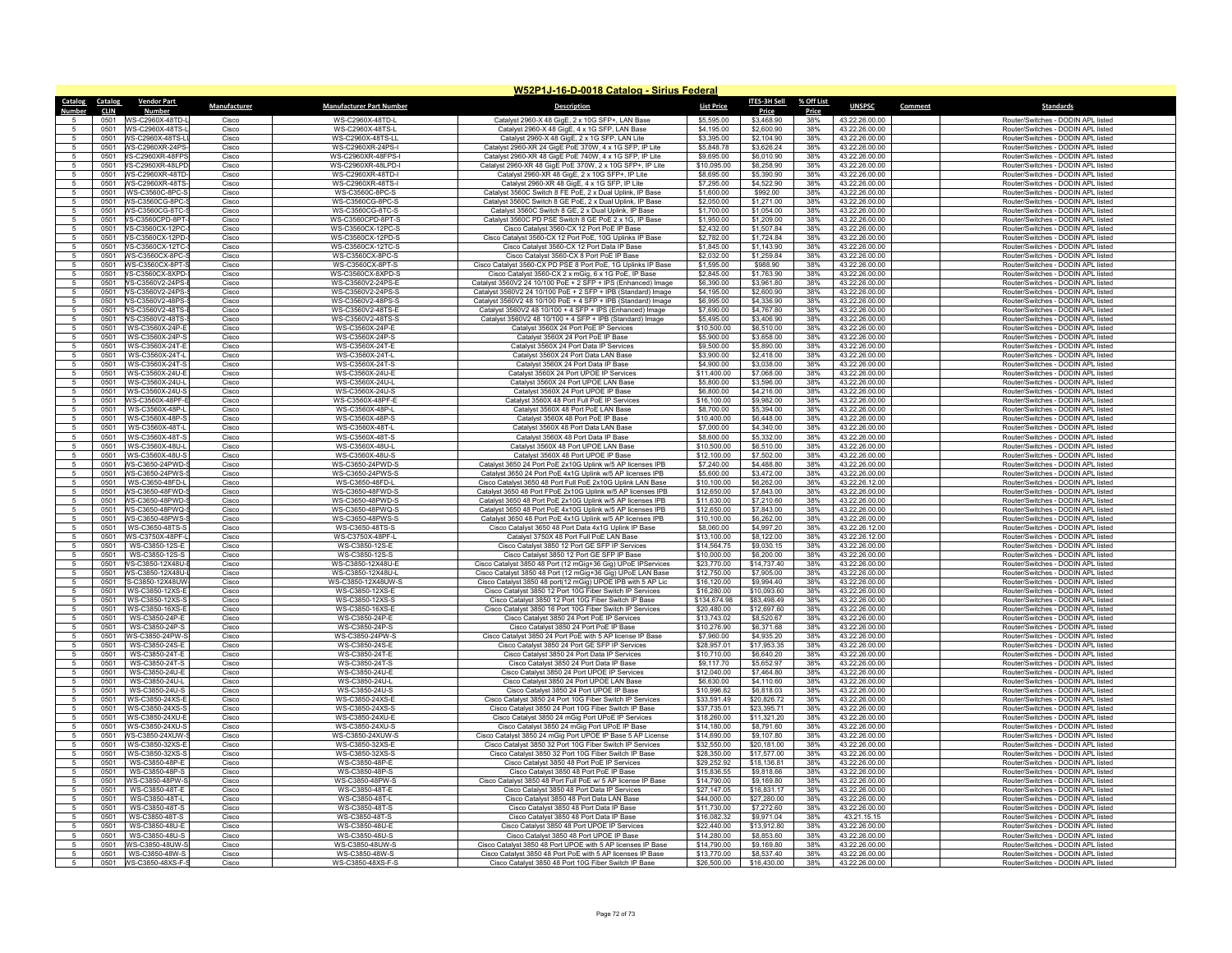|                 |                                                   |                |                                        | W52P1J-16-D-0018 Catalog - Sirius Federal                                                                                |                             |                            |            |                                  |                                                                          |
|-----------------|---------------------------------------------------|----------------|----------------------------------------|--------------------------------------------------------------------------------------------------------------------------|-----------------------------|----------------------------|------------|----------------------------------|--------------------------------------------------------------------------|
| Catalog         | <b>Catalog</b><br><b>Vendor Part</b>              | Manufacturer   | <b>Manufacturer Part Number</b>        | <b>Description</b>                                                                                                       | <b>List Price</b>           | ITES-3H Sell % Off List    |            | <b>UNSPSC</b>                    | Comment<br><b>Standards</b>                                              |
|                 | <b>CLIN</b><br>Number                             |                |                                        |                                                                                                                          |                             | Price                      | Price      |                                  |                                                                          |
| -5.<br>5        | 0501 WS-C2960X-48TD-                              | Cisco          | WS-C2960X-48TD-L                       | Catalyst 2960-X 48 GigE, 2 x 10G SFP+, LAN Base                                                                          | \$5,595.00                  | \$3,468.90                 | 38%        | 43.22.26.00.00                   | Router/Switches - DODIN APL listed                                       |
| 5               | 0501 WS-C2960X-48TS-I<br>0501 WS-C2960X-48TS-L    | Cisco<br>Cisco | WS-C2960X-48TS-L<br>WS-C2960X-48TS-LL  | Catalyst 2960-X 48 GigE, 4 x 1G SFP, LAN Base                                                                            | \$4,195.00<br>\$3,395.00    | \$2,600.90<br>\$2,104.90   | 38%<br>38% | 43.22.26.00.00<br>43.22.26.00.00 | Router/Switches - DODIN APL listed<br>Router/Switches - DODIN APL listed |
|                 | 0501<br><b>NS-C2960XR-24PS</b>                    | Cisco          | WS-C2960XR-24PS-I                      | Catalyst 2960-X 48 GigE, 2 x 1G SFP, LAN Lite<br>Catalyst 2960-XR 24 GigE PoE 370W, 4 x 1G SFP, IP Lite                  | \$5,848.78                  | \$3,626.24                 | 38%        | 43.22.26.00.00                   | Router/Switches - DODIN APL listed                                       |
| $\sqrt{5}$      | 0501 VS-C2960XR-48FPS                             | Cisco          | WS-C2960XR-48FPS-                      | Catalyst 2960-XR 48 GigF PoF 740W 4 x 1G SFP IP Lite                                                                     | \$9,695.00                  | \$6,010.90                 | 38%        | 43 22 26 00 00                   | Router/Switches - DODIN API listed                                       |
| 5               |                                                   | Cisco          | WS-C2960XR-48LPD-I                     | Catalyst 2960-XR 48 GigE PoE 370W, 2 x 10G SFP+, IP Lite                                                                 | \$10,095.00                 | \$6,258.90                 | 38%        | 43.22.26.00.00                   | Router/Switches - DODIN APL listed                                       |
| -5              | 0501 WS-C2960XR-48TD                              | Cisco          | WS-C2960XR-48TD-I                      | Catalyst 2960-XR 48 GigE, 2 x 10G SFP+, IP Lite                                                                          | \$8,695.00                  | \$5,390.90                 | 38%        | 43.22.26.00.00                   | Router/Switches - DODIN APL listed                                       |
| 5               | <b>NS-C2960XR-48TS</b><br>0501                    | Cisco          | WS-C2960XR-48TS-I                      | Catalyst 2960-XR 48 GigE, 4 x 1G SFP, IP Lite                                                                            | \$7,295.00                  | \$4,522.90                 | 38%        | 43.22.26.00.00                   | Router/Switches - DODIN APL listed                                       |
| 5               |                                                   | Cisco          | WS-C3560C-8PC-S                        | Catalyst 3560C Switch 8 FE PoE, 2 x Dual Uplink, IP Base                                                                 | \$1,600.00                  | \$992.00                   | 38%        | 43.22.26.00.00                   | Router/Switches - DODIN APL listed                                       |
| 5               |                                                   | Cisco          | WS-C3560CG-8PC-S                       | Catalyst 3560C Switch 8 GE PoE, 2 x Dual Uplink, IP Base                                                                 | \$2,050.00                  | \$1,271.00                 | 38%        | 43.22.26.00.00                   | Router/Switches - DODIN APL listed                                       |
|                 | <b>NS-C3560CG-8TC-</b><br>0501                    | Cisco          | WS-C3560CG-8TC-S                       | Catalyst 3560C Switch 8 GE, 2 x Dual Uplink, IP Base                                                                     | \$1,700.00                  | \$1,054.00                 | 38%        | 43.22.26.00.00                   | Router/Switches - DODIN APL listed                                       |
| 5               | 0501<br>VS-C3560CPD-8PT<br>0501 VS-C3560CX-12PC-  | Cisco<br>Cisco | WS-C3560CPD-8PT-9<br>WS-C3560CX-12PC-S | Catalyst 3560C PD PSE Switch 8 GE PoE 2 x 1G, IP Base<br>Cisco Catalyst 3560-CX 12 Port PoE IP Base                      | \$1,950.00<br>\$2,432.00    | \$1,209.00<br>\$1,507.84   | 38%<br>38% | 43.22.26.00.00<br>43.22.26.00.00 | Router/Switches - DODIN APL listed<br>Router/Switches - DODIN APL listed |
| -5              | 0501 VS-C3560CX-12PD-                             | Cisco          | WS-C3560CX-12PD-S                      | Cisco Catalyst 3560-CX 12 Port PoE, 10G Uplinks IP Base                                                                  | \$2,782.00                  | \$1,724.84                 | 38%        | 43.22.26.00.00                   | Router/Switches - DODIN APL listed                                       |
|                 | VS-C3560CX-12TC<br>0501                           | Cisco          | WS-C3560CX-12TC-S                      | Cisco Catalyst 3560-CX 12 Port Data IP Base                                                                              | \$1,845.00                  | \$1,143.90                 | 38%        | 43.22.26.00.00                   | Router/Switches - DODIN APL listed                                       |
| -5              |                                                   | Cisco          | WS-C3560CX-8PC-S                       | Cisco Catalyst 3560-CX 8 Port PoE IP Base                                                                                | \$2,032.00                  | \$1,259.84                 | 38%        | 43.22.26.00.00                   | Router/Switches - DODIN APL listed                                       |
| 5               |                                                   | Cisco          | WS-C3560CX-8PT-S                       | Cisco Catalyst 3560-CX PD PSE 8 Port PoE, 1G Uplinks IP Base                                                             | \$1,595.00                  | \$988.90                   | 38%        | 43.22.26.00.00                   | Router/Switches - DODIN APL listed                                       |
| -5              | 0501 VS-C3560CX-8XPD-                             | Cisco          | WS-C3560CX-8XPD-S                      | Cisco Catalyst 3560-CX 2 x mGig, 6 x 1G PoE, IP Base                                                                     | \$2,845.00                  | \$1,763.90                 | 38%        | 43 22 26 00 00                   | Router/Switches - DODIN API listed                                       |
| 5               | VS-C3560V2-24PS-<br>0501                          | Cisco          | WS-C3560V2-24PS-E                      | Catalyst 3560V2 24 10/100 PoE + 2 SFP + IPS (Enhanced) Image                                                             | \$6,390.00                  | \$3,961.80                 | 38%        | 43.22.26.00.00                   | Router/Switches - DODIN APL listed                                       |
| $\overline{5}$  |                                                   | Cisco          | WS-C3560V2-24PS-S                      | Catalyst 3560V2 24 10/100 PoE + 2 SFP + IPB (Standard) Image                                                             | \$4.195.00                  | \$2,600.90                 | 38%        | 43 22 26 00 00                   | Router/Switches - DODIN API listed                                       |
| 5               |                                                   | Cisco          | WS-C3560V2-48PS-S                      | Catalyst 3560V2 48 10/100 PoE + 4 SFP + IPB (Standard) Image                                                             | \$6,995.00<br>\$7,690.00    | \$4,336.90<br>\$4,767.80   | 38%<br>38% | 43.22.26.00.00                   | Router/Switches - DODIN APL listed                                       |
| 5               | 0501                                              | Cisco<br>Cisco | WS-C3560V2-48TS-E                      | Catalyst 3560V2 48 10/100 + 4 SFP + IPS (Enhanced) Image                                                                 |                             |                            |            | 43.22.26.00.00                   | Router/Switches - DODIN APL listed                                       |
| 5               | VS-C3560V2-48TS<br>0501<br>WS-C3560X-24P-E        | Cisco          | WS-C3560V2-48TS-S<br>WS-C3560X-24P-E   | Catalyst 3560V2 48 10/100 + 4 SFP + IPB (Standard) Image<br>Catalyst 3560X 24 Port PoE IP Services                       | \$5,495.00<br>\$10,500.00   | \$3,406.90<br>\$6,510.00   | 38%<br>38% | 43.22.26.00.00<br>43.22.26.00.00 | Router/Switches - DODIN APL listed<br>Router/Switches - DODIN APL listed |
| 5               | 0501 WS-C3560X-24P-S                              | Cisco          | WS-C3560X-24P-S                        | Catalyst 3560X 24 Port PoE IP Base                                                                                       | \$5,900.00                  | \$3,658.00                 | 38%        | 43.22.26.00.00                   | Router/Switches - DODIN APL listed                                       |
|                 | WS-C3560X-24T-E<br>0501                           | Cisco          | WS-C3560X-24T-E                        | Catalyst 3560X 24 Port Data IP Services                                                                                  | \$9,500.00                  | \$5,890.00                 | 38%        | 43.22.26.00.00                   | Router/Switches - DODIN APL listed                                       |
| 5               | 0501<br>WS-C3560X-24T-                            | Cisco          | WS-C3560X-24T-I                        | Catalyst 3560X 24 Port Data LAN Base                                                                                     | \$3,900.00                  | \$2,418.00                 | 38%        | 43.22.26.00.00                   | Router/Switches - DODIN APL listed                                       |
| 5               | 0501 WS-C3560X-24T-S                              | Cisco          | WS-C3560X-24T-S                        | Catalyst 3560X 24 Port Data IP Base                                                                                      | \$4,900.00                  | \$3,038.00                 | 38%        | 43.22.26.00.00                   | Router/Switches - DODIN APL listed                                       |
| -5              | 0501 WS-C3560X-24U-E                              | Cisco          | WS-C3560X-24U-E                        | Catalyst 3560X 24 Port UPOE IP Services                                                                                  | \$11,400.00                 | \$7,068.00                 | 38%        | 43.22.26.00.00                   | Router/Switches - DODIN APL listed                                       |
|                 | 0501<br>WS-C3560X-24U-L                           | Cisco          | WS-C3560X-24U-L                        | Catalyst 3560X 24 Port UPOE LAN Base                                                                                     | \$5,800.00                  | \$3,596.00                 | 38%        | 43.22.26.00.00                   | Router/Switches - DODIN APL listed                                       |
| -5              | WS-C3560X-24U-S<br>0501                           | Cisco          | WS-C3560X-24U-S                        | Catalyst 3560X 24 Port UPOF IP Base                                                                                      | \$6,800.00                  | \$4,216.00                 | 38%        | 43.22.26.00.00                   | Router/Switches - DODIN APL listed                                       |
| 5               | 0501 WS-C3560X-48PF-E<br>0501 WS-C3560X-48P-L     | Cisco          | WS-C3560X-48PF-E<br>WS-C3560X-48P-I    | Catalyst 3560X 48 Port Full PoE IP Services<br>Catalyst 3560X 48 Port PoF LAN Base                                       | \$16,100.00                 | \$9,982.00<br>\$5,394.00   | 38%<br>38% | 43.22.26.00.00                   | Router/Switches - DODIN APL listed                                       |
| 5<br>5          | WS-C3560X-48P-S<br>0501                           | Cisco<br>Cisco | WS-C3560X-48P-S                        | Catalyst 3560X 48 Port PoE IP Base                                                                                       | \$8,700.00<br>\$10,400.00   | \$6,448.00                 | 38%        | 43 22 26 00 00<br>43.22.26.00.00 | Router/Switches - DODIN API listed<br>Router/Switches - DODIN APL listed |
| $5\overline{)}$ | 0501<br>WS-C3560X-48T-I                           | Cisco          | WS-C3560X-48T-I                        | Catalyst 3560X 48 Port Data LAN Base                                                                                     | \$7,000.00                  | \$4,340.00                 | 38%        | 43 22 26 00 00                   | Router/Switches - DODIN API listed                                       |
| 5               | WS-C3560X-48T-S<br>0501                           | Cisco          | WS-C3560X-48T-S                        | Catalyst 3560X 48 Port Data IP Base                                                                                      | \$8,600.00                  | \$5,332.00                 | 38%        | 43.22.26.00.00                   | Router/Switches - DODIN APL listed                                       |
| 5               | WS-C3560X-48U-L<br>0501                           | Cisco          | WS-C3560X-48U-I                        | Catalyst 3560X 48 Port UPOE LAN Base                                                                                     | \$10,500.00                 | \$6,510.00                 | 38%        | 43.22.26.00.00                   | Router/Switches - DODIN APL listed                                       |
| -5              | 0501<br>WS-C3560X-48U-S                           | Cisco          | WS-C3560X-48U-S                        | Catalyst 3560X 48 Port UPOE IP Base                                                                                      | \$12,100.00                 | \$7,502.00                 | 38%        | 43.22.26.00.00                   | Router/Switches - DODIN APL listed                                       |
|                 |                                                   | Cisco          | WS-C3650-24PWD-S                       | Catalyst 3650 24 Port PoE 2x10G Uplink w/5 AP licenses IPB                                                               | \$7,240.00                  | \$4,488.80                 | 38%        | 43.22.26.00.00                   | Router/Switches - DODIN APL listed                                       |
| 5               |                                                   | Cisco          | WS-C3650-24PWS-S                       | Catalyst 3650 24 Port PoE 4x1G Uplink w/5 AP licenses IPB                                                                | \$5,600.00                  | \$3,472.00                 | 38%        | 43.22.26.00.00                   | Router/Switches - DODIN APL listed                                       |
|                 | 0501<br>WS-C3650-48FD-L                           | Cisco          | WS-C3650-48FD-I                        | Cisco Catalyst 3650 48 Port Full PoE 2x10G Uplink LAN Base                                                               | \$10,100.00                 | \$6,262.00                 | 38%        | 43.22.26.12.00                   | Router/Switches - DODIN APL listed                                       |
| -5              |                                                   | Cisco          | WS-C3650-48FWD-S                       | Catalyst 3650 48 Port EPoE 2x10G Uplink w/5 AP licenses IPB                                                              | \$12,650.00                 | \$7,843.00                 | 38%        | 43 22 26 00 00                   | Router/Switches - DODIN API listed                                       |
| 5<br>-5         |                                                   | Cisco<br>Cisco | WS-C3650-48PWD-S<br>WS-C3650-48PWQ-S   | Catalyst 3650 48 Port PoE 2x10G Uplink w/5 AP licenses IPB<br>Catalyst 3650 48 Port PoF 4x10G Uplink w/5 AP licenses IPB | \$11,630.00<br>\$12,650.00  | \$7,210.60<br>\$7,843.00   | 38%<br>38% | 43.22.26.00.00<br>43 22 26 00 00 | Router/Switches - DODIN APL listed<br>Router/Switches - DODIN API listed |
|                 | <b>NS-C3650-48PWS-</b><br>0501                    | Cisco          | WS-C3650-48PWS-S                       | Catalyst 3650 48 Port PoE 4x1G Uplink w/5 AP licenses IPB                                                                | \$10,100.00                 | \$6,262.00                 | 38%        | 43.22.26.00.00                   | Router/Switches - DODIN APL listed                                       |
| $\overline{5}$  | WS-C3650-48TS-S<br>0501                           | Cisco          | WS-C3650-48TS-S                        | Cisco Catalyst 3650 48 Port Data 4x1G Uplink IP Base                                                                     | \$8,060.00                  | \$4,997.20                 | 38%        | 43.22.26.12.00                   | Router/Switches - DODIN APL listed                                       |
| -5              | 0501 WS-C3750X-48PF-L                             | Cisco          | WS-C3750X-48PF-L                       | Catalyst 3750X 48 Port Full PoE LAN Base                                                                                 | \$13,100.00                 | \$8,122.00                 | 38%        | 43.22.26.12.00                   | Router/Switches - DODIN APL listed                                       |
| 5               | WS-C3850-12S-F<br>0501                            | Cisco          | WS-C3850-12S-F                         | Cisco Catalyst 3850 12 Port GF SFP IP Services                                                                           | \$14,564.75                 | \$9,030.15                 | 38%        | 43.22.26.00.00                   | Router/Switches - DODIN API listed                                       |
| 5               | WS-C3850-12S-S<br>0501                            | Cisco          | WS-C3850-12S-S                         | Cisco Catalyst 3850 12 Port GE SFP IP Base                                                                               | \$10,000.00                 | \$6,200.00                 | 38%        | 43.22.26.00.00                   | Router/Switches - DODIN APL listed                                       |
| $\overline{a}$  | VS-C3850-12X48U-I<br>0501                         | Cisco          | WS-C3850-12X48U-E                      | Cisco Catalyst 3850 48 Port (12 mGig+36 Gig) UPoE IPServices                                                             | \$23,770.00                 | \$14,737.40                | 38%        | 43.22.26.00.00                   | Router/Switches - DODIN APL listed                                       |
| 5               |                                                   | Cisco          | WS-C3850-12X48U-L                      | Cisco Catalyst 3850 48 Port (12 mGig+36 Gig) UPoE LAN Base                                                               | \$12,750.00                 | \$7,905.00                 | 38%        | 43.22.26.00.00                   | Router/Switches - DODIN APL listed                                       |
| 5               | S-C3850-12X48UW<br>0501                           | Cisco          | WS-C3850-12X48UW-S                     | Cisco Catalyst 3850 48 port(12 mGig) UPOE IPB with 5 AP Lic                                                              | \$16,120.00                 | \$9,994.40                 | 38%        | 43.22.26.00.00                   | Router/Switches - DODIN APL listed                                       |
| 5               | 0501<br>WS-C3850-12XS-E                           | Cisco          | WS-C3850-12XS-E                        | Cisco Catalyst 3850 12 Port 10G Fiber Switch IP Services                                                                 | \$16,280.00                 | \$10,093.60                | 38%        | 43.22.26.00.00                   | Router/Switches - DODIN APL listed                                       |
| 5<br>-5         | 0501<br>WS-C3850-12XS-S<br>0501 WS-C3850-16XS-E   | Cisco<br>Cisco | WS-C3850-12XS-S<br>WS-C3850-16XS-E     | Cisco Catalyst 3850 12 Port 10G Fiber Switch IP Base<br>Cisco Catalyst 3850 16 Port 10G Fiber Switch IP Services         | \$134,674.98<br>\$20,480.00 | \$83,498.49<br>\$12,697.60 | 38%<br>38% | 43.22.26.00.00                   | Router/Switches - DODIN APL listed<br>Router/Switches - DODIN APL listed |
|                 | 0501<br>WS-C3850-24P-E                            | Cisco          | WS-C3850-24P-E                         | Cisco Catalyst 3850 24 Port PoE IP Services                                                                              | \$13,743.02                 | \$8,520.67                 | 38%        | 43.22.26.00.00<br>43.22.26.00.00 | Router/Switches - DODIN APL listed                                       |
| -5              | WS-C3850-24P-S<br>0501                            | Cisco          | WS-C3850-24P-S                         | Cisco Catalyst 3850 24 Port PoF IP Base                                                                                  | \$10,276.90                 | \$6,371.68                 | 38%        | 43 22 26 00 00                   | Router/Switches - DODIN API listed                                       |
| 5               | 0501<br>WS-C3850-24PW-S                           | Cisco          | WS-C3850-24PW-S                        | Cisco Catalyst 3850 24 Port PoE with 5 AP license IP Base                                                                | \$7,960.00                  | \$4,935.20                 | 38%        | 43.22.26.00.00                   | Router/Switches - DODIN APL listed                                       |
| -5              | WS-C3850-24S-E<br>0501                            | Cisco          | WS-C3850-24S-E                         | Cisco Catalyst 3850 24 Port GE SFP IP Services                                                                           | \$28,957.01                 | \$17,953.35                | 38%        | 43.22.26.00.00                   | Router/Switches - DODIN APL listed                                       |
| 5               | WS-C3850-24T-E<br>0501                            | Cisco          | WS-C3850-24T-E                         | Cisco Catalyst 3850 24 Port Data IP Services                                                                             | \$10,710.00                 | \$6,640.20                 | 38%        | 43.22.26.00.00                   | Router/Switches - DODIN APL listed                                       |
| -5              | 0501<br>WS-C3850-24T-S                            | Cisco          | WS-C3850-24T-S                         | Cisco Catalyst 3850 24 Port Data IP Base                                                                                 | \$9,117.70                  | \$5,652.97                 | 38%        | 43.22.26.00.00                   | Router/Switches - DODIN APL listed                                       |
| 5               | 0501 WS-C3850-24U-E                               | Cisco          | WS-C3850-24U-E                         | Cisco Catalyst 3850 24 Port UPOE IP Services                                                                             | \$12,040.00                 | \$7,464.80                 | 38%        | 43.22.26.00.00                   | Router/Switches - DODIN APL listed                                       |
|                 | WS-C3850-24U-L<br>0501                            | Cisco          | WS-C3850-24U-L                         | Cisco Catalyst 3850 24 Port UPOE LAN Base                                                                                | \$6,630.00                  | \$4,110.60                 | 38%        | 43.22.26.00.00                   | Router/Switches - DODIN APL listed                                       |
| 5               | 0501<br>WS-C3850-24U-S<br>0501<br>WS-C3850-24XS-E | Cisco<br>Cisco | WS-C3850-24U-S<br>WS-C3850-24XS-E      | Cisco Catalyst 3850 24 Port UPOE IP Base<br>Cisco Catalyst 3850 24 Port 10G Fiber Switch IP Services                     | \$10,996.82<br>\$33,591.49  | \$6,818.03<br>\$20,826.72  | 38%<br>38% | 43.22.26.00.00<br>43.22.26.00.00 | Router/Switches - DODIN APL listed<br>Router/Switches - DODIN APL listed |
| -5              | 0501 WS-C3850-24XS-S                              | Cisco          | WS-C3850-24XS-S                        | Cisco Catalyst 3850 24 Port 10G Fiber Switch IP Base                                                                     | \$37,735.01                 | \$23,395.71                | 38%        | 43.22.26.00.00                   | Router/Switches - DODIN APL listed                                       |
|                 | 0501<br>WS-C3850-24XU-E                           | Cisco          | WS-C3850-24XU-E                        | Cisco Catalyst 3850 24 mGig Port UPoE IP Services                                                                        | \$18,260.00                 | \$11,321.20                | 38%        | 43.22.26.00.00                   | Router/Switches - DODIN APL listed                                       |
| 5               | 0501 WS-C3850-24XU-S                              | Cisco          | WS-C3850-24XU-S                        | Cisco Catalyst 3850 24 mGig Port UPoE IP Base                                                                            | \$14,180.00                 | \$8,791.60                 | 38%        | 43.22.26.00.00                   | Router/Switches - DODIN APL listed                                       |
| 5               |                                                   | Cisco          | WS-C3850-24XUW-S                       | Cisco Catalyst 3850 24 mGig Port UPOE IP Base 5 AP License                                                               | \$14,690.00                 | \$9,107.80                 | 38%        | 43.22.26.00.00                   | Router/Switches - DODIN APL listed                                       |
| -5              | 0501 WS-C3850-32XS-F                              | Cisco          | WS-C3850-32XS-F                        | Cisco Catalyst 3850 32 Port 10G Fiber Switch IP Services                                                                 | \$32,550.00                 | \$20,181.00                | 38%        | 43 22 26 00 00                   | Router/Switches - DODIN API listed                                       |
| 5               | WS-C3850-32XS-S<br>0501                           | Cisco          | WS-C3850-32XS-S                        | Cisco Catalyst 3850 32 Port 10G Fiber Switch IP Base                                                                     | \$28,350.00                 | \$17,577.00                | 38%        | 43.22.26.00.00                   | Router/Switches - DODIN APL listed                                       |
| -5              | 0501 WS-C3850-48P-F                               | Cisco          | WS-C3850-48P-F                         | Cisco Catalyst 3850 48 Port PoF IP Services                                                                              | \$29,252.92                 | \$18,136.81                | 38%        | 43 22 26 00 00                   | Router/Switches - DODIN API listed                                       |
| 5               | WS-C3850-48P-S<br>0501                            | Cisco          | WS-C3850-48P-S                         | Cisco Catalyst 3850 48 Port PoE IP Base                                                                                  | \$15,836.55                 | \$9,818,66                 | 38%        | 43.22.26.00.00                   | Router/Switches - DODIN APL listed                                       |
| 5               | WS-C3850-48PW-9<br>0501                           | Cisco          | WS-C3850-48PW-S                        | Cisco Catalyst 3850 48 Port Full PoE w/ 5 AP license IP Base                                                             | \$14,790.00                 | \$9,169.80                 | 38%        | 43.22.26.00.00                   | Router/Switches - DODIN APL listed                                       |
| 5               | WS-C3850-48T-E<br>0501<br>WS-C3850-48T-L<br>0501  | Cisco<br>Cisco | WS-C3850-48T-E<br>WS-C3850-48T-L       | Cisco Catalyst 3850 48 Port Data IP Services<br>Cisco Catalyst 3850 48 Port Data LAN Base                                | \$27,147.05<br>\$44,000.00  | \$16,831.17<br>\$27,280.00 | 38%<br>38% | 43.22.26.00.00<br>43.22.26.00.00 | Router/Switches - DODIN APL listed<br>Router/Switches - DODIN APL listed |
| 5               | 0501<br>WS-C3850-48T-S                            | Cisco          | WS-C3850-48T-S                         | Cisco Catalyst 3850 48 Port Data IP Base                                                                                 | \$11,730.00                 | \$7,272.60                 | 38%        | 43.22.26.00.00                   | Router/Switches - DODIN APL listed                                       |
|                 | WS-C3850-48T-S<br>0501                            | Cisco          | WS-C3850-48T-S                         | Cisco Catalyst 3850 48 Port Data IP Base                                                                                 | \$16,082.32                 | \$9,971.04                 | 38%        | 43.21.15.15                      | Router/Switches - DODIN APL listed                                       |
|                 | 0501<br>WS-C3850-48U-F                            | Cisco          | WS-C3850-48U-F                         | Cisco Catalyst 3850 48 Port UPOE IP Services                                                                             | \$22,440.00                 | \$13,912.80                | 38%        | 43.22.26.00.00                   | Router/Switches - DODIN APL listed                                       |
|                 |                                                   | Cisco          | WS-C3850-48U-S                         | Cisco Catalyst 3850 48 Port UPOE IP Base                                                                                 | \$14,280.00                 | \$8,853.60                 | 38%        | 43.22.26.00.00                   | Router/Switches - DODIN APL listed                                       |
| 5               | 0501 WS-C3850-48UW-S                              | Cisco          | WS-C3850-48UW-S                        | Cisco Catalyst 3850 48 Port UPOE with 5 AP licenses IP Base                                                              | \$14,790.00                 | \$9.169.80                 | 38%        | 43.22.26.00.00                   | Router/Switches - DODIN APL listed                                       |
|                 | 0501<br>WS-C3850-48W-S                            | Cisco          | WS-C3850-48W-S                         | Cisco Catalyst 3850 48 Port PoE with 5 AP licenses IP Base                                                               | \$13,770.00                 | \$8,537.40                 | 38%        | 43.22.26.00.00                   | Router/Switches - DODIN APL listed                                       |
| -5              | 0501<br>WS-C3850-48XS-F-S                         | Cisco          | WS-C3850-48XS-F-S                      | Cisco Catalyst 3850 48 Port 10G Fiber Switch IP Base                                                                     | \$26,500.00                 | \$16,430.00                | 38%        | 43.22.26.00.00                   | Router/Switches - DODIN APL listed                                       |